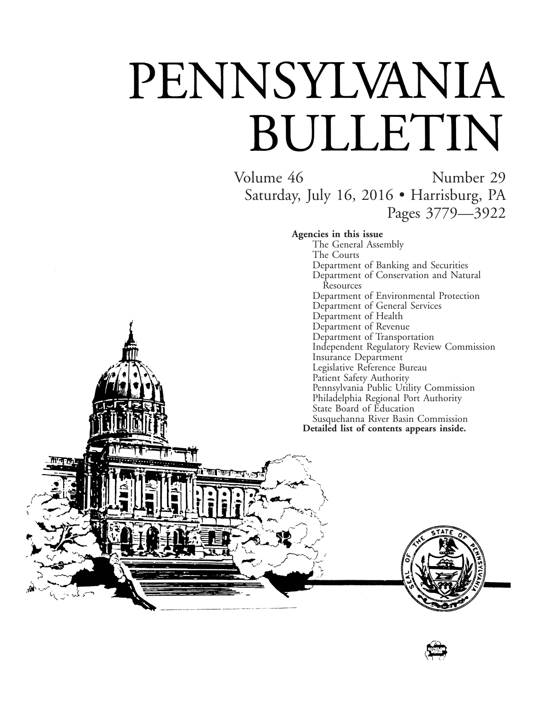# PENNSYLVANIA BULLETIN

गान

Volume 46 Number 29 Saturday, July 16, 2016 • Harrisburg, PA Pages 3779—3922

> **Agencies in this issue** The General Assembly The Courts Department of Banking and Securities Department of Conservation and Natural Resources Department of Environmental Protection Department of General Services Department of Health Department of Revenue Department of Transportation Independent Regulatory Review Commission Insurance Department Legislative Reference Bureau Patient Safety Authority Pennsylvania Public Utility Commission Philadelphia Regional Port Authority State Board of Education Detailed list of contents appears inside.



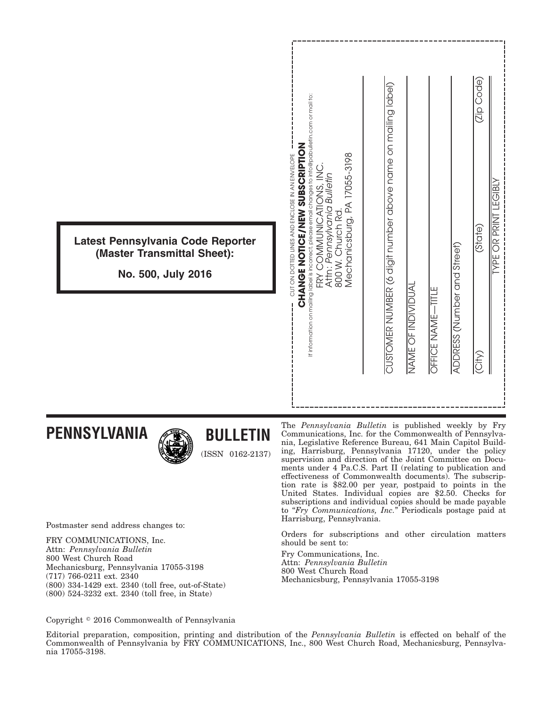|                                                                                        | If information on mailing label is incorrect, please email changes to info@pabulletin.com or mail to:<br>CHANGE NOTICE/NEW SUBSCRIPTION<br>Mechanicsburg, PA 17055-3198<br>CUT ON DOTTED LINES AND ENCLOSE IN AN ENVELOPE<br>FRY COMMUNICATIONS, INC.<br>Attn: Pennsylvania Bulletin | (Zip Code)<br>CUSTOMER NUMBER (6 digit number above name on mailing label)<br>画  |
|----------------------------------------------------------------------------------------|--------------------------------------------------------------------------------------------------------------------------------------------------------------------------------------------------------------------------------------------------------------------------------------|----------------------------------------------------------------------------------|
| Latest Pennsylvania Code Reporter<br>(Master Transmittal Sheet):<br>No. 500, July 2016 | 800 W. Church Rd                                                                                                                                                                                                                                                                     | <b>LNISLE OR PRINT</b><br>(State)                                                |
|                                                                                        |                                                                                                                                                                                                                                                                                      | ADDRESS (Number and Street)<br>NAME OF INDIVIDUAI<br>OFFICE NAME-TITLE<br>(City) |

# **PENNSYLVANIA**



**BULLETIN**

The *Pennsylvania Bulletin* is published weekly by Fry Communications, Inc. for the Commonwealth of Pennsylvania, Legislative Reference Bureau, 641 Main Capitol Building, Harrisburg, Pennsylvania 17120, under the policy supervision and direction of the Joint Committee on Documents under 4 Pa.C.S. Part II (relating to publication and effectiveness of Commonwealth documents). The subscription rate is \$82.00 per year, postpaid to points in the United States. Individual copies are \$2.50. Checks for subscriptions and individual copies should be made payable to "*Fry Communications, Inc.*" Periodicals postage paid at Harrisburg, Pennsylvania.

Orders for subscriptions and other circulation matters should be sent to:

Fry Communications, Inc. Attn: *Pennsylvania Bulletin* 800 West Church Road Mechanicsburg, Pennsylvania 17055-3198

Postmaster send address changes to:

FRY COMMUNICATIONS, Inc. Attn: *Pennsylvania Bulletin* 800 West Church Road Mechanicsburg, Pennsylvania 17055-3198 (717) 766-0211 ext. 2340 (800) 334-1429 ext. 2340 (toll free, out-of-State) (800) 524-3232 ext. 2340 (toll free, in State)

Copyright © 2016 Commonwealth of Pennsylvania

Editorial preparation, composition, printing and distribution of the *Pennsylvania Bulletin* is effected on behalf of the Commonwealth of Pennsylvania by FRY COMMUNICATIONS, Inc., 800 West Church Road, Mechanicsburg, Pennsylvania 17055-3198.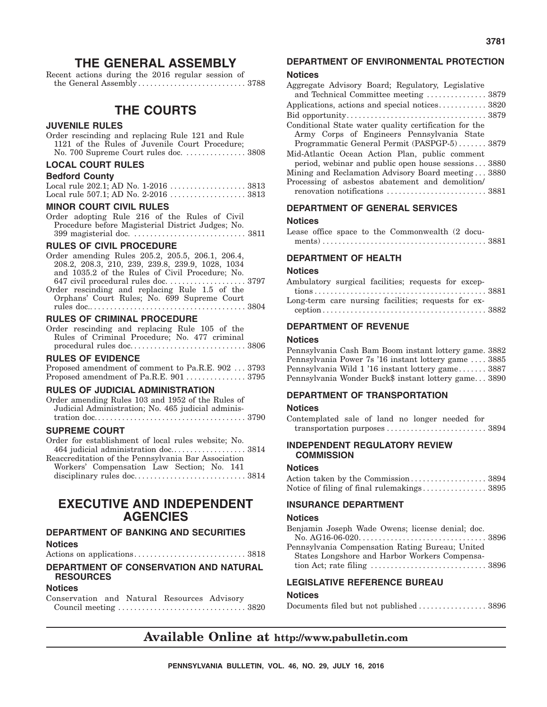# **THE GENERAL ASSEMBLY**

Recent actions during the 2016 regular session of the General Assembly ........................... 3788

# **THE COURTS**

# **JUVENILE RULES**

| Order rescinding and replacing Rule 121 and Rule |  |
|--------------------------------------------------|--|
| 1121 of the Rules of Juvenile Court Procedure;   |  |
| No. 700 Supreme Court rules doc.  3808           |  |

# **LOCAL COURT RULES**

# **Bedford County**

#### **MINOR COURT CIVIL RULES**

Order adopting Rule 216 of the Rules of Civil Procedure before Magisterial District Judges; No. 399 magisterial doc. . . . . . . . . . . . . . . . . . . . . . . . . . . . . 3811

# **RULES OF CIVIL PROCEDURE**

| Order amending Rules 205.2, 205.5, 206.1, 206.4, |  |
|--------------------------------------------------|--|
| 208.2, 208.3, 210, 239, 239.8, 239.9, 1028, 1034 |  |
| and 1035.2 of the Rules of Civil Procedure; No.  |  |
|                                                  |  |
| Order rescinding and replacing Rule 1.5 of the   |  |
| Orphans' Court Rules; No. 699 Supreme Court      |  |
|                                                  |  |
|                                                  |  |

# **RULES OF CRIMINAL PROCEDURE**

|  |  | Order rescinding and replacing Rule 105 of the |  |  |  |
|--|--|------------------------------------------------|--|--|--|
|  |  | Rules of Criminal Procedure; No. 477 criminal  |  |  |  |
|  |  |                                                |  |  |  |

# **RULES OF EVIDENCE**

| Proposed amendment of comment to Pa.R.E. 902  3793 |  |  |  |
|----------------------------------------------------|--|--|--|
|                                                    |  |  |  |

# **RULES OF JUDICIAL ADMINISTRATION**

| Order amending Rules 103 and 1952 of the Rules of  |  |
|----------------------------------------------------|--|
| Judicial Administration; No. 465 judicial adminis- |  |
|                                                    |  |

#### **SUPREME COURT**

| Order for establishment of local rules website; No. |
|-----------------------------------------------------|
|                                                     |
| Reaccreditation of the Pennsylvania Bar Association |
| Workers' Compensation Law Section; No. 141          |
|                                                     |

# **EXECUTIVE AND INDEPENDENT AGENCIES**

# **DEPARTMENT OF BANKING AND SECURITIES**

**Notices**

|--|--|

# **DEPARTMENT OF CONSERVATION AND NATURAL RESOURCES**

# **Notices**

Conservation and Natural Resources Advisory Council meeting ................................ 3820

### **DEPARTMENT OF ENVIRONMENTAL PROTECTION**

#### **Notices**

| Aggregate Advisory Board; Regulatory, Legislative                                                   |
|-----------------------------------------------------------------------------------------------------|
| and Technical Committee meeting  3879                                                               |
| Applications, actions and special notices 3820                                                      |
|                                                                                                     |
| Conditional State water quality certification for the<br>Army Corps of Engineers Pennsylvania State |
| Programmatic General Permit (PASPGP-5) 3879                                                         |
| Mid-Atlantic Ocean Action Plan, public comment                                                      |
| period, webinar and public open house sessions3880                                                  |
| Mining and Reclamation Advisory Board meeting3880                                                   |
| Processing of asbestos abatement and demolition/                                                    |
|                                                                                                     |
|                                                                                                     |

# **DEPARTMENT OF GENERAL SERVICES**

#### **Notices**

|  |  |  | Lease office space to the Commonwealth (2 docu- |  |  |
|--|--|--|-------------------------------------------------|--|--|
|  |  |  |                                                 |  |  |

#### **DEPARTMENT OF HEALTH**

#### **Notices**

| Ambulatory surgical facilities; requests for excep- |  |  |
|-----------------------------------------------------|--|--|
|                                                     |  |  |
| Long-term care nursing facilities; requests for ex- |  |  |
|                                                     |  |  |

# **DEPARTMENT OF REVENUE**

#### **Notices**

Pennsylvania Cash Bam Boom instant lottery game. 3882 Pennsylvania Power 7s '16 instant lottery game .... 3885 Pennsylvania Wild 1 '16 instant lottery game....... 3887 Pennsylvania Wonder Buck\$ instant lottery game. . . 3890

# **DEPARTMENT OF TRANSPORTATION**

#### **Notices**

| Contemplated sale of land no longer needed for |  |  |  |  |
|------------------------------------------------|--|--|--|--|
|                                                |  |  |  |  |

# **INDEPENDENT REGULATORY REVIEW COMMISSION**

#### **Notices**

| Notice of filing of final rulemakings3895 |  |
|-------------------------------------------|--|

# **INSURANCE DEPARTMENT**

#### **Notices**

| Benjamin Joseph Wade Owens; license denial; doc.                                         |  |
|------------------------------------------------------------------------------------------|--|
|                                                                                          |  |
| Pennsylvania Compensation Rating Bureau; United                                          |  |
| States Longshore and Harbor Workers Compensa-                                            |  |
| tion Act; rate filing $\dots \dots \dots \dots \dots \dots \dots \dots \dots \dots 3896$ |  |
|                                                                                          |  |

# **LEGISLATIVE REFERENCE BUREAU**

#### **Notices**

|  |  |  | Documents filed but not published 3896 |  |
|--|--|--|----------------------------------------|--|
|--|--|--|----------------------------------------|--|

# **Available Online at http://www.pabulletin.com**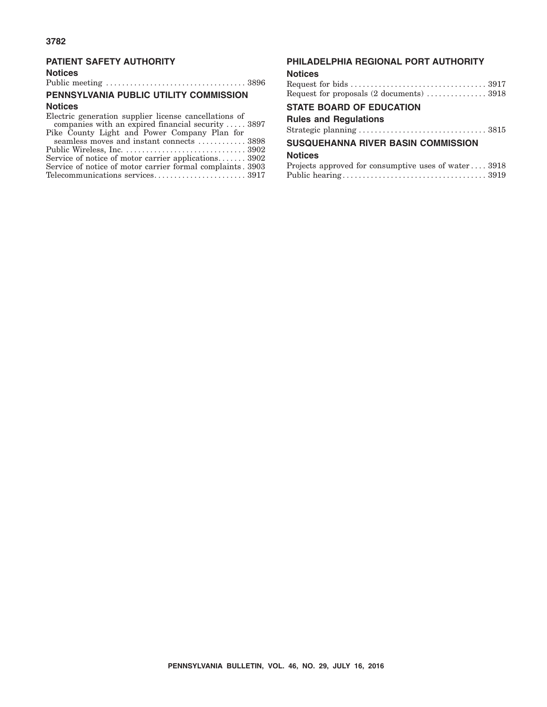# **PATIENT SAFETY AUTHORITY**

# **Notices** Public meeting ................................... 3896

# **PENNSYLVANIA PUBLIC UTILITY COMMISSION Notices**

| Electric generation supplier license cancellations of      |  |
|------------------------------------------------------------|--|
| companies with an expired financial security $\dots$ 3897  |  |
| Pike County Light and Power Company Plan for               |  |
| seamless moves and instant connects  3898                  |  |
|                                                            |  |
| Service of notice of motor carrier applications 3902       |  |
| Service of notice of motor carrier formal complaints. 3903 |  |
|                                                            |  |

# **PHILADELPHIA REGIONAL PORT AUTHORITY Notices**

# **STATE BOARD OF EDUCATION**

# **Rules and Regulations**

Strategic planning ................................ 3815

# **SUSQUEHANNA RIVER BASIN COMMISSION**

# **Notices**

| Projects approved for consumptive uses of water $3918$ |  |  |  |  |
|--------------------------------------------------------|--|--|--|--|
|                                                        |  |  |  |  |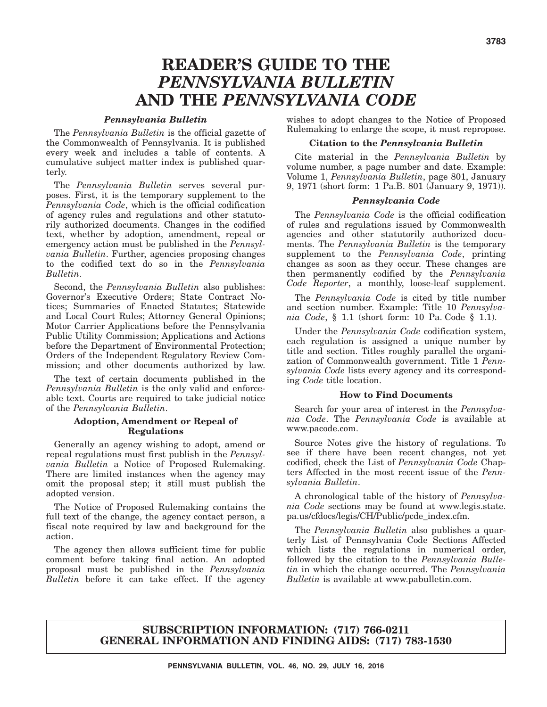# **READER'S GUIDE TO THE** *PENNSYLVANIA BULLETIN* **AND THE** *PENNSYLVANIA CODE*

# *Pennsylvania Bulletin*

The *Pennsylvania Bulletin* is the official gazette of the Commonwealth of Pennsylvania. It is published every week and includes a table of contents. A cumulative subject matter index is published quarterly.

The *Pennsylvania Bulletin* serves several purposes. First, it is the temporary supplement to the *Pennsylvania Code*, which is the official codification of agency rules and regulations and other statutorily authorized documents. Changes in the codified text, whether by adoption, amendment, repeal or emergency action must be published in the *Pennsylvania Bulletin*. Further, agencies proposing changes to the codified text do so in the *Pennsylvania Bulletin*.

Second, the *Pennsylvania Bulletin* also publishes: Governor's Executive Orders; State Contract Notices; Summaries of Enacted Statutes; Statewide and Local Court Rules; Attorney General Opinions; Motor Carrier Applications before the Pennsylvania Public Utility Commission; Applications and Actions before the Department of Environmental Protection; Orders of the Independent Regulatory Review Commission; and other documents authorized by law.

The text of certain documents published in the *Pennsylvania Bulletin* is the only valid and enforceable text. Courts are required to take judicial notice of the *Pennsylvania Bulletin*.

### **Adoption, Amendment or Repeal of Regulations**

Generally an agency wishing to adopt, amend or repeal regulations must first publish in the *Pennsylvania Bulletin* a Notice of Proposed Rulemaking. There are limited instances when the agency may omit the proposal step; it still must publish the adopted version.

The Notice of Proposed Rulemaking contains the full text of the change, the agency contact person, a fiscal note required by law and background for the action.

The agency then allows sufficient time for public comment before taking final action. An adopted proposal must be published in the *Pennsylvania Bulletin* before it can take effect. If the agency

wishes to adopt changes to the Notice of Proposed Rulemaking to enlarge the scope, it must repropose.

### **Citation to the** *Pennsylvania Bulletin*

Cite material in the *Pennsylvania Bulletin* by volume number, a page number and date. Example: Volume 1, *Pennsylvania Bulletin*, page 801, January 9, 1971 (short form: 1 Pa.B. 801 (January 9, 1971)).

#### *Pennsylvania Code*

The *Pennsylvania Code* is the official codification of rules and regulations issued by Commonwealth agencies and other statutorily authorized documents. The *Pennsylvania Bulletin* is the temporary supplement to the *Pennsylvania Code*, printing changes as soon as they occur. These changes are then permanently codified by the *Pennsylvania Code Reporter*, a monthly, loose-leaf supplement.

The *Pennsylvania Code* is cited by title number and section number. Example: Title 10 *Pennsylvania Code*, § 1.1 (short form: 10 Pa. Code § 1.1).

Under the *Pennsylvania Code* codification system, each regulation is assigned a unique number by title and section. Titles roughly parallel the organization of Commonwealth government. Title 1 *Pennsylvania Code* lists every agency and its corresponding *Code* title location.

#### **How to Find Documents**

Search for your area of interest in the *Pennsylvania Code*. The *Pennsylvania Code* is available at www.pacode.com.

Source Notes give the history of regulations. To see if there have been recent changes, not yet codified, check the List of *Pennsylvania Code* Chapters Affected in the most recent issue of the *Pennsylvania Bulletin*.

A chronological table of the history of *Pennsylvania Code* sections may be found at www.legis.state. pa.us/cfdocs/legis/CH/Public/pcde\_index.cfm.

The *Pennsylvania Bulletin* also publishes a quarterly List of Pennsylvania Code Sections Affected which lists the regulations in numerical order, followed by the citation to the *Pennsylvania Bulletin* in which the change occurred. The *Pennsylvania Bulletin* is available at www.pabulletin.com.

# **SUBSCRIPTION INFORMATION: (717) 766-0211 GENERAL INFORMATION AND FINDING AIDS: (717) 783-1530**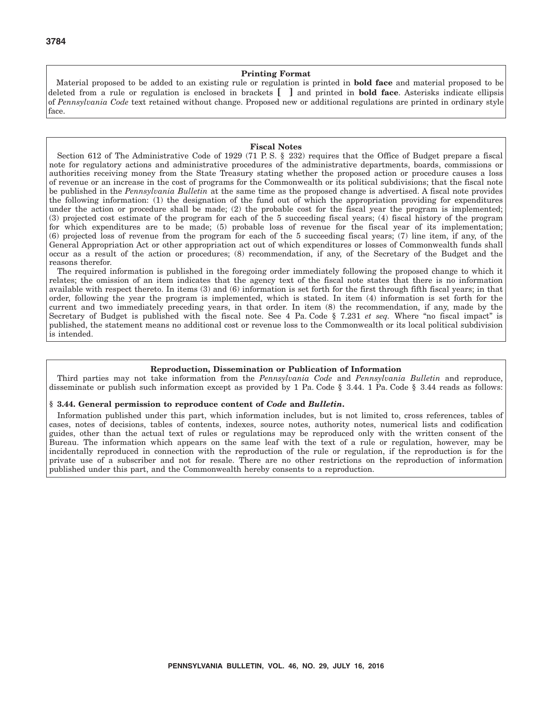### **Printing Format**

Material proposed to be added to an existing rule or regulation is printed in **bold face** and material proposed to be deleted from a rule or regulation is enclosed in brackets **[ ]** and printed in **bold face**. Asterisks indicate ellipsis of *Pennsylvania Code* text retained without change. Proposed new or additional regulations are printed in ordinary style face.

### **Fiscal Notes**

Section 612 of The Administrative Code of 1929 (71 P. S. § 232) requires that the Office of Budget prepare a fiscal note for regulatory actions and administrative procedures of the administrative departments, boards, commissions or authorities receiving money from the State Treasury stating whether the proposed action or procedure causes a loss of revenue or an increase in the cost of programs for the Commonwealth or its political subdivisions; that the fiscal note be published in the *Pennsylvania Bulletin* at the same time as the proposed change is advertised. A fiscal note provides the following information: (1) the designation of the fund out of which the appropriation providing for expenditures under the action or procedure shall be made; (2) the probable cost for the fiscal year the program is implemented; (3) projected cost estimate of the program for each of the 5 succeeding fiscal years; (4) fiscal history of the program for which expenditures are to be made; (5) probable loss of revenue for the fiscal year of its implementation; (6) projected loss of revenue from the program for each of the 5 succeeding fiscal years; (7) line item, if any, of the General Appropriation Act or other appropriation act out of which expenditures or losses of Commonwealth funds shall occur as a result of the action or procedures; (8) recommendation, if any, of the Secretary of the Budget and the reasons therefor.

The required information is published in the foregoing order immediately following the proposed change to which it relates; the omission of an item indicates that the agency text of the fiscal note states that there is no information available with respect thereto. In items (3) and (6) information is set forth for the first through fifth fiscal years; in that order, following the year the program is implemented, which is stated. In item (4) information is set forth for the current and two immediately preceding years, in that order. In item (8) the recommendation, if any, made by the Secretary of Budget is published with the fiscal note. See 4 Pa. Code § 7.231 *et seq.* Where "no fiscal impact" is published, the statement means no additional cost or revenue loss to the Commonwealth or its local political subdivision is intended.

#### **Reproduction, Dissemination or Publication of Information**

Third parties may not take information from the *Pennsylvania Code* and *Pennsylvania Bulletin* and reproduce, disseminate or publish such information except as provided by 1 Pa. Code § 3.44. 1 Pa. Code § 3.44 reads as follows:

#### **§ 3.44. General permission to reproduce content of** *Code* **and** *Bulletin***.**

Information published under this part, which information includes, but is not limited to, cross references, tables of cases, notes of decisions, tables of contents, indexes, source notes, authority notes, numerical lists and codification guides, other than the actual text of rules or regulations may be reproduced only with the written consent of the Bureau. The information which appears on the same leaf with the text of a rule or regulation, however, may be incidentally reproduced in connection with the reproduction of the rule or regulation, if the reproduction is for the private use of a subscriber and not for resale. There are no other restrictions on the reproduction of information published under this part, and the Commonwealth hereby consents to a reproduction.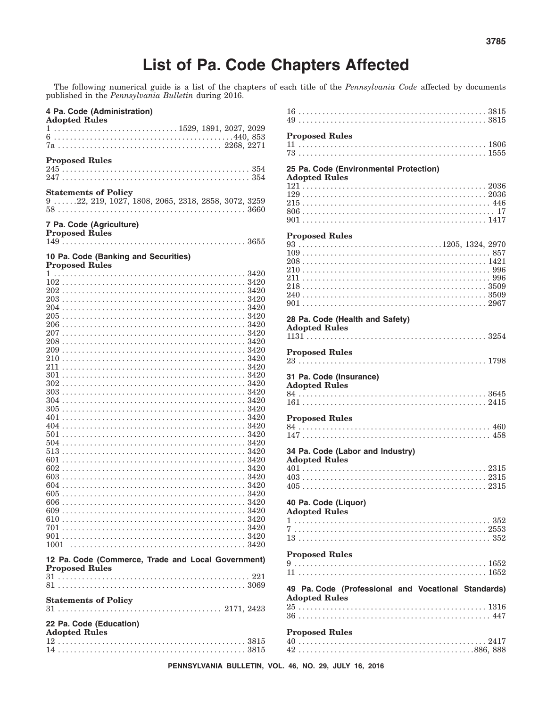# List of Pa. Code Chapters Affected

The following numerical guide is a list of the chapters of each title of the Pennsylvania Code affected by documents published in the Pennsylvania Bulletin during 2016.

| 4 Pa. Code (Administration)<br><b>Adopted Rules</b>                                              |
|--------------------------------------------------------------------------------------------------|
| $1 \ldots \ldots \ldots \ldots \ldots \ldots \ldots \ldots \ldots \ldots 1529, 1891, 2027, 2029$ |
|                                                                                                  |
| <b>Proposed Rules</b>                                                                            |
|                                                                                                  |
| <b>Statements of Policy</b><br>$9 \ldots 22, 219, 1027, 1808, 2065, 2318, 2858, 3072, 3259$      |
| 7 Pa. Code (Agriculture)<br><b>Proposed Rules</b>                                                |
|                                                                                                  |
| 10 Pa. Code (Banking and Securities)<br><b>Proposed Rules</b>                                    |
|                                                                                                  |
|                                                                                                  |
|                                                                                                  |
|                                                                                                  |
|                                                                                                  |
|                                                                                                  |
|                                                                                                  |
|                                                                                                  |
|                                                                                                  |
|                                                                                                  |
|                                                                                                  |
|                                                                                                  |
|                                                                                                  |
|                                                                                                  |
|                                                                                                  |
|                                                                                                  |
|                                                                                                  |
|                                                                                                  |
|                                                                                                  |
|                                                                                                  |
|                                                                                                  |
|                                                                                                  |
|                                                                                                  |
|                                                                                                  |
|                                                                                                  |
|                                                                                                  |
|                                                                                                  |
|                                                                                                  |
|                                                                                                  |
|                                                                                                  |
|                                                                                                  |
|                                                                                                  |
|                                                                                                  |
|                                                                                                  |
| 1001                                                                                             |
| 12 Pa. Code (Commerce, Trade and Local Government)<br><b>Proposed Rules</b>                      |
|                                                                                                  |
| <b>Statements of Policy</b>                                                                      |
|                                                                                                  |
| 22 Pa. Code (Education)<br><b>Adopted Rules</b>                                                  |
|                                                                                                  |
|                                                                                                  |
|                                                                                                  |

#### **Proposed Rules**

# 25 Pa. Code (Environmental Protection)

| aaoptea rules |  |
|---------------|--|
| - - -         |  |

| 901 |  | 1417 |
|-----|--|------|

### **Proposed Rules**

| $93 \ldots \ldots \ldots \ldots \ldots \ldots \ldots \ldots \ldots \ldots \ldots \ldots 1205, 1324, 2970$ |  |  |  |  |  |  |  |  |  |  |  |  |  |  |  |  |  |  |  |  |  |  |  |  |  |
|-----------------------------------------------------------------------------------------------------------|--|--|--|--|--|--|--|--|--|--|--|--|--|--|--|--|--|--|--|--|--|--|--|--|--|
|                                                                                                           |  |  |  |  |  |  |  |  |  |  |  |  |  |  |  |  |  |  |  |  |  |  |  |  |  |
|                                                                                                           |  |  |  |  |  |  |  |  |  |  |  |  |  |  |  |  |  |  |  |  |  |  |  |  |  |
|                                                                                                           |  |  |  |  |  |  |  |  |  |  |  |  |  |  |  |  |  |  |  |  |  |  |  |  |  |
|                                                                                                           |  |  |  |  |  |  |  |  |  |  |  |  |  |  |  |  |  |  |  |  |  |  |  |  |  |
|                                                                                                           |  |  |  |  |  |  |  |  |  |  |  |  |  |  |  |  |  |  |  |  |  |  |  |  |  |
|                                                                                                           |  |  |  |  |  |  |  |  |  |  |  |  |  |  |  |  |  |  |  |  |  |  |  |  |  |
|                                                                                                           |  |  |  |  |  |  |  |  |  |  |  |  |  |  |  |  |  |  |  |  |  |  |  |  |  |

# 28 Pa. Code (Health and Safety)

**Adopted Rules** 

| <b>Proposed Rules</b>                                                                    |  |
|------------------------------------------------------------------------------------------|--|
| 31 Pa. Code (Insurance)<br><b>Adopted Rules</b>                                          |  |
|                                                                                          |  |
| <b>Proposed Rules</b>                                                                    |  |
| 34 Pa. Code (Labor and Industry)<br><b>Adopted Rules</b>                                 |  |
|                                                                                          |  |
| 40 Pa. Code (Liquor)<br><b>Adopted Rules</b>                                             |  |
|                                                                                          |  |
| <b>Proposed Rules</b><br>$9 \ldots  \ldots  \ldots  \ldots  \ldots  \ldots  \ldots 1652$ |  |
| 49 Pa. Code (Professional and Vocational Standards)<br><b>Adopted Rules</b>              |  |
|                                                                                          |  |
| <b>Proposed Rules</b>                                                                    |  |
|                                                                                          |  |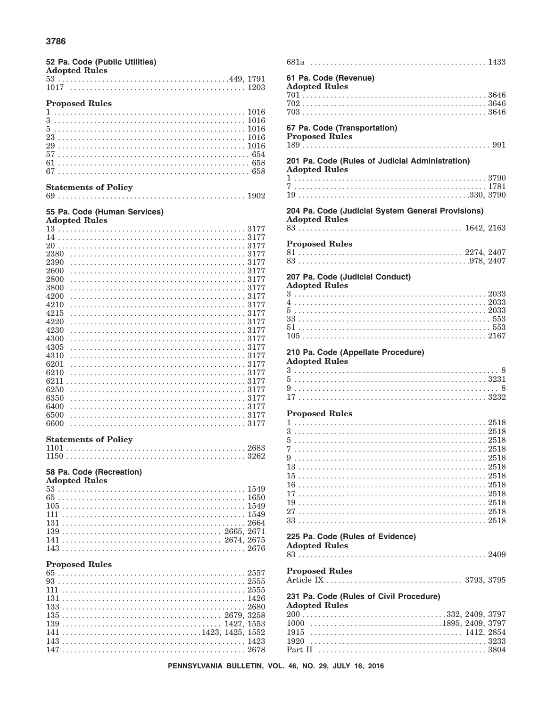# 3786

#### 52 Pa. Code (Public Utilities) **Adopted Rules Proposed Rules Statements of Policy** 55 Pa. Code (Human Services) **Adopted Rules Statements of Policy** 58 Pa. Code (Recreation) **Adopted Rules Proposed Rules**  $141 \ldots \ldots \ldots \ldots \ldots \ldots \ldots \ldots \ldots \ldots \ldots 1423, 1425, 1552$

| 681a                                                                      |
|---------------------------------------------------------------------------|
| 61 Pa. Code (Revenue)<br><b>Adopted Rules</b>                             |
|                                                                           |
| 67 Pa. Code (Transportation)<br><b>Proposed Rules</b>                     |
| 201 Pa. Code (Rules of Judicial Administration)<br><b>Adopted Rules</b>   |
|                                                                           |
| 204 Pa. Code (Judicial System General Provisions)<br><b>Adopted Rules</b> |
| <b>Proposed Rules</b>                                                     |
| 207 Pa. Code (Judicial Conduct)                                           |
| <b>Adopted Rules</b>                                                      |
| 210 Pa. Code (Appellate Procedure)<br><b>Adopted Rules</b>                |
|                                                                           |
| <b>Proposed Rules</b>                                                     |
|                                                                           |
|                                                                           |
| 225 Pa. Code (Rules of Evidence)<br><b>Adopted Rules</b>                  |
| <b>Proposed Rules</b>                                                     |
| 231 Pa. Code (Rules of Civil Procedure)<br><b>Adopted Rules</b>           |
| 1000<br>1915<br>1920                                                      |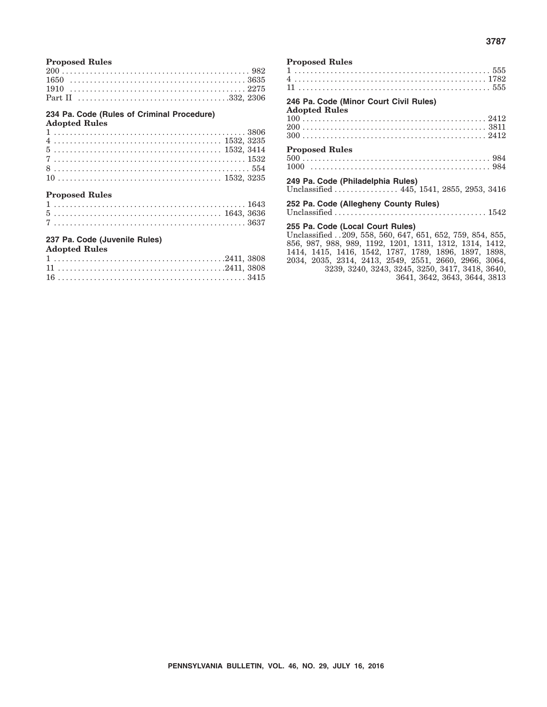# **Proposed Rules**

# **234 Pa. Code (Rules of Criminal Procedure)**

# **Adopted Rules**

### **Proposed Rules**

# **237 Pa. Code (Juvenile Rules)**

# **Adopted Rules**

# **Proposed Rules**

| 246 Pa. Code (Minor Court Civil Rules)<br><b>Adopted Rules</b>                |
|-------------------------------------------------------------------------------|
|                                                                               |
|                                                                               |
|                                                                               |
| <b>Proposed Rules</b>                                                         |
|                                                                               |
|                                                                               |
| 249 Pa. Code (Philadelphia Rules)<br>Unclassified 445, 1541, 2855, 2953, 3416 |
| 252 Pa. Code (Allegheny County Rules)                                         |
|                                                                               |
| 255 Pa. Code (Local Court Rules)                                              |
| Unclassified 209, 558, 560, 647, 651, 652, 759, 854, 855,                     |
| 856, 987, 988, 989, 1192, 1201, 1311, 1312, 1314, 1412,                       |
| 1414, 1415, 1416, 1542, 1787, 1789, 1896, 1897, 1898,                         |
| 2034, 2035, 2314, 2413, 2549, 2551, 2660, 2966, 3064,                         |

3239, 3240, 3243, 3245, 3250, 3417, 3418, 3640,

3641, 3642, 3643, 3644, 3813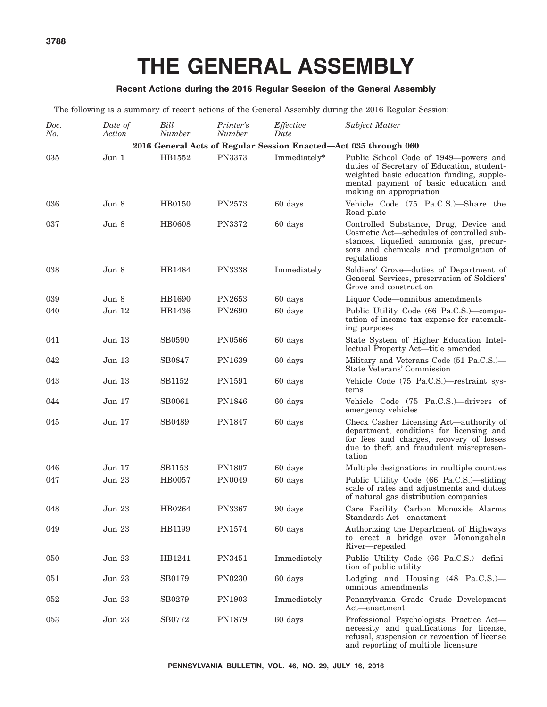# **THE GENERAL ASSEMBLY**

# **Recent Actions during the 2016 Regular Session of the General Assembly**

The following is a summary of recent actions of the General Assembly during the 2016 Regular Session:

| Doc.<br>No. | Date of<br>Action | Bill<br>Number | <i>Printer's</i><br>Number | Effective<br>Date | <b>Subject Matter</b>                                                                                                                                                                                |
|-------------|-------------------|----------------|----------------------------|-------------------|------------------------------------------------------------------------------------------------------------------------------------------------------------------------------------------------------|
|             |                   |                |                            |                   | 2016 General Acts of Regular Session Enacted-Act 035 through 060                                                                                                                                     |
| 035         | Jun 1             | HB1552         | PN3373                     | Immediately*      | Public School Code of 1949-powers and<br>duties of Secretary of Education, student-<br>weighted basic education funding, supple-<br>mental payment of basic education and<br>making an appropriation |
| 036         | Jun 8             | HB0150         | PN2573                     | 60 days           | Vehicle Code (75 Pa.C.S.)-Share the<br>Road plate                                                                                                                                                    |
| 037         | Jun 8             | <b>HB0608</b>  | PN3372                     | 60 days           | Controlled Substance, Drug, Device and<br>Cosmetic Act—schedules of controlled sub-<br>stances, liquefied ammonia gas, precur-<br>sors and chemicals and promulgation of<br>regulations              |
| 038         | Jun 8             | HB1484         | <b>PN3338</b>              | Immediately       | Soldiers' Grove-duties of Department of<br>General Services, preservation of Soldiers'<br>Grove and construction                                                                                     |
| 039         | Jun 8             | HB1690         | PN2653                     | 60 days           | Liquor Code—omnibus amendments                                                                                                                                                                       |
| 040         | Jun $12$          | HB1436         | <b>PN2690</b>              | 60 days           | Public Utility Code (66 Pa.C.S.)—compu-<br>tation of income tax expense for ratemak-<br>ing purposes                                                                                                 |
| 041         | Jun 13            | SB0590         | <b>PN0566</b>              | 60 days           | State System of Higher Education Intel-<br>lectual Property Act-title amended                                                                                                                        |
| 042         | Jun 13            | SB0847         | PN1639                     | 60 days           | Military and Veterans Code (51 Pa.C.S.)—<br>State Veterans' Commission                                                                                                                               |
| 043         | Jun 13            | SB1152         | PN1591                     | 60 days           | Vehicle Code (75 Pa.C.S.)-restraint sys-<br>tems                                                                                                                                                     |
| 044         | Jun 17            | SB0061         | <b>PN1846</b>              | 60 days           | Vehicle Code (75 Pa.C.S.)—drivers of<br>emergency vehicles                                                                                                                                           |
| 045         | Jun 17            | SB0489         | <b>PN1847</b>              | 60 days           | Check Casher Licensing Act—authority of<br>department, conditions for licensing and<br>for fees and charges, recovery of losses<br>due to theft and fraudulent misrepresen-<br>tation                |
| 046         | Jun 17            | SB1153         | <b>PN1807</b>              | 60 days           | Multiple designations in multiple counties                                                                                                                                                           |
| 047         | Jun 23            | HB0057         | PN0049                     | 60 days           | Public Utility Code (66 Pa.C.S.)—sliding<br>scale of rates and adjustments and duties<br>of natural gas distribution companies                                                                       |
| 048         | Jun $23$          | HB0264         | <b>PN3367</b>              | 90 days           | Care Facility Carbon Monoxide Alarms<br>Standards Act—enactment                                                                                                                                      |
| 049         | Jun 23            | HB1199         | PN1574                     | 60 days           | Authorizing the Department of Highways<br>to erect a bridge over Monongahela<br>River-repealed                                                                                                       |
| 050         | Jun $23$          | HB1241         | PN3451                     | Immediately       | Public Utility Code (66 Pa.C.S.)—defini-<br>tion of public utility                                                                                                                                   |
| 051         | Jun 23            | SB0179         | PN0230                     | 60 days           | Lodging and Housing (48 Pa.C.S.)-<br>omnibus amendments                                                                                                                                              |
| 052         | Jun 23            | SB0279         | PN1903                     | Immediately       | Pennsylvania Grade Crude Development<br>Act-enactment                                                                                                                                                |
| 053         | Jun 23            | SB0772         | <b>PN1879</b>              | 60 days           | Professional Psychologists Practice Act-<br>necessity and qualifications for license,<br>refusal, suspension or revocation of license                                                                |

and reporting of multiple licensure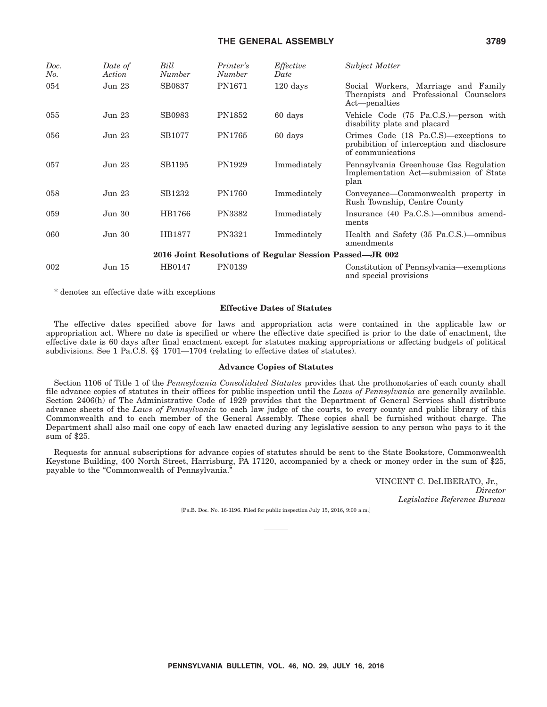# **THE GENERAL ASSEMBLY 3789**

| Doc.<br>No. | Date of<br>Action | Bill<br>Number | Printer's<br>Number | <i>Effective</i><br>Date                                | <b>Subject Matter</b>                                                                                    |
|-------------|-------------------|----------------|---------------------|---------------------------------------------------------|----------------------------------------------------------------------------------------------------------|
| 054         | Jun 23            | SB0837         | PN1671              | $120$ days                                              | Social Workers, Marriage and Family<br>Therapists and Professional Counselors<br>Act—penalties           |
| 055         | Jun 23            | SB0983         | PN1852              | 60 days                                                 | Vehicle Code (75 Pa.C.S.)-person with<br>disability plate and placard                                    |
| 056         | Jun 23            | <b>SB1077</b>  | PN1765              | 60 days                                                 | Crimes Code (18 Pa.C.S)—exceptions to<br>prohibition of interception and disclosure<br>of communications |
| 057         | Jun 23            | SB1195         | PN1929              | Immediately                                             | Pennsylvania Greenhouse Gas Regulation<br>Implementation Act—submission of State<br>plan                 |
| 058         | Jun 23            | SB1232         | <b>PN1760</b>       | Immediately                                             | Conveyance—Commonwealth property in<br>Rush Township, Centre County                                      |
| 059         | Jun 30            | HB1766         | PN3382              | Immediately                                             | Insurance (40 Pa.C.S.)—omnibus amend-<br>ments                                                           |
| 060         | Jun 30            | HB1877         | PN3321              | Immediately                                             | Health and Safety (35 Pa.C.S.)—omnibus<br>amendments                                                     |
|             |                   |                |                     | 2016 Joint Resolutions of Regular Session Passed—JR 002 |                                                                                                          |
| 002         | Jun $15$          | HB0147         | PN0139              |                                                         | Constitution of Pennsylvania—exemptions<br>and special provisions                                        |

\* denotes an effective date with exceptions

#### **Effective Dates of Statutes**

The effective dates specified above for laws and appropriation acts were contained in the applicable law or appropriation act. Where no date is specified or where the effective date specified is prior to the date of enactment, the effective date is 60 days after final enactment except for statutes making appropriations or affecting budgets of political subdivisions. See 1 Pa.C.S. §§ 1701—1704 (relating to effective dates of statutes).

#### **Advance Copies of Statutes**

Section 1106 of Title 1 of the *Pennsylvania Consolidated Statutes* provides that the prothonotaries of each county shall file advance copies of statutes in their offices for public inspection until the *Laws of Pennsylvania* are generally available. Section 2406(h) of The Administrative Code of 1929 provides that the Department of General Services shall distribute advance sheets of the *Laws of Pennsylvania* to each law judge of the courts, to every county and public library of this Commonwealth and to each member of the General Assembly. These copies shall be furnished without charge. The Department shall also mail one copy of each law enacted during any legislative session to any person who pays to it the sum of \$25.

Requests for annual subscriptions for advance copies of statutes should be sent to the State Bookstore, Commonwealth Keystone Building, 400 North Street, Harrisburg, PA 17120, accompanied by a check or money order in the sum of \$25, payable to the ''Commonwealth of Pennsylvania.''

> VINCENT C. DeLIBERATO, Jr., *Director Legislative Reference Bureau*

[Pa.B. Doc. No. 16-1196. Filed for public inspection July 15, 2016, 9:00 a.m.]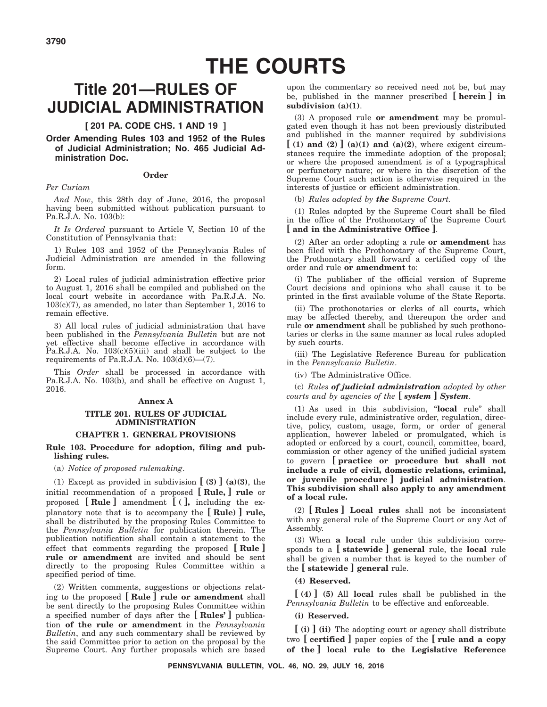# **THE COURTS**

# **Title 201—RULES OF JUDICIAL ADMINISTRATION**

# **[ 201 PA. CODE CHS. 1 AND 19 ]**

# **Order Amending Rules 103 and 1952 of the Rules of Judicial Administration; No. 465 Judicial Administration Doc.**

#### **Order**

#### *Per Curiam*

*And Now*, this 28th day of June, 2016, the proposal having been submitted without publication pursuant to Pa.R.J.A. No. 103(b):

*It Is Ordered* pursuant to Article V, Section 10 of the Constitution of Pennsylvania that:

1) Rules 103 and 1952 of the Pennsylvania Rules of Judicial Administration are amended in the following form.

2) Local rules of judicial administration effective prior to August 1, 2016 shall be compiled and published on the local court website in accordance with Pa.R.J.A. No. 103(c)(7), as amended, no later than September 1, 2016 to remain effective.

3) All local rules of judicial administration that have been published in the *Pennsylvania Bulletin* but are not yet effective shall become effective in accordance with Pa.R.J.A. No.  $103(c)(5)(iii)$  and shall be subject to the requirements of Pa.R.J.A. No.  $103(d)(6)$ — $(7)$ .

This *Order* shall be processed in accordance with Pa.R.J.A. No. 103(b), and shall be effective on August 1, 2016.

#### **Annex A**

# **TITLE 201. RULES OF JUDICIAL ADMINISTRATION**

#### **CHAPTER 1. GENERAL PROVISIONS**

#### **Rule 103. Procedure for adoption, filing and publishing rules.**

#### (a) *Notice of proposed rulemaking*.

(1) Except as provided in subdivision **[ (3) ] (a)(3)**, the initial recommendation of a proposed **[ Rule, ] rule** or proposed **[ Rule ]** amendment **[ ( ],** including the explanatory note that is to accompany the **[ Rule) ] rule,** shall be distributed by the proposing Rules Committee to the *Pennsylvania Bulletin* for publication therein. The publication notification shall contain a statement to the effect that comments regarding the proposed **[ Rule ] rule or amendment** are invited and should be sent directly to the proposing Rules Committee within a specified period of time.

(2) Written comments, suggestions or objections relating to the proposed **[ Rule ] rule or amendment** shall be sent directly to the proposing Rules Committee within a specified number of days after the **[ Rules' ]** publication **of the rule or amendment** in the *Pennsylvania Bulletin*, and any such commentary shall be reviewed by the said Committee prior to action on the proposal by the Supreme Court. Any further proposals which are based

upon the commentary so received need not be, but may be, published in the manner prescribed **[ herein ] in subdivision (a)(1)**.

(3) A proposed rule **or amendment** may be promulgated even though it has not been previously distributed and published in the manner required by subdivisions  $\left[ (1)$  and  $(2)$   $\right]$   $\left( (a)(1)$  and  $\left( (a)(2) \right)$ , where exigent circumstances require the immediate adoption of the proposal; or where the proposed amendment is of a typographical or perfunctory nature; or where in the discretion of the Supreme Court such action is otherwise required in the interests of justice or efficient administration.

(b) *Rules adopted by the Supreme Court.*

(1) Rules adopted by the Supreme Court shall be filed in the office of the Prothonotary of the Supreme Court **[ and in the Administrative Office ]**.

(2) After an order adopting a rule **or amendment** has been filed with the Prothonotary of the Supreme Court, the Prothonotary shall forward a certified copy of the order and rule **or amendment** to:

(i) The publisher of the official version of Supreme Court decisions and opinions who shall cause it to be printed in the first available volume of the State Reports.

(ii) The prothonotaries or clerks of all courts**,** which may be affected thereby, and thereupon the order and rule **or amendment** shall be published by such prothonotaries or clerks in the same manner as local rules adopted by such courts.

(iii) The Legislative Reference Bureau for publication in the *Pennsylvania Bulletin*.

(iv) The Administrative Office.

(c) *Rules of judicial administration adopted by other courts and by agencies of the* **[** *system* **]** *System*.

(1) As used in this subdivision, ''**local** rule'' shall include every rule, administrative order, regulation, directive, policy, custom, usage, form, or order of general application, however labeled or promulgated, which is adopted or enforced by a court, council, committee, board, commission or other agency of the unified judicial system to govern **[ practice or procedure but shall not include a rule of civil, domestic relations, criminal, or juvenile procedure ] judicial administration**. **This subdivision shall also apply to any amendment of a local rule.**

(2) **[ Rules ] Local rules** shall not be inconsistent with any general rule of the Supreme Court or any Act of Assembly.

(3) When **a local** rule under this subdivision corresponds to a **[ statewide ] general** rule, the **local** rule shall be given a number that is keyed to the number of the **[ statewide ] general** rule.

#### **(4) Reserved.**

**[ (4) ] (5)** All **local** rules shall be published in the *Pennsylvania Bulletin* to be effective and enforceable.

# **(i) Reserved.**

**[ (i) ] (ii)** The adopting court or agency shall distribute two **[ certified ]** paper copies of the **[ rule and a copy of the ] local rule to the Legislative Reference**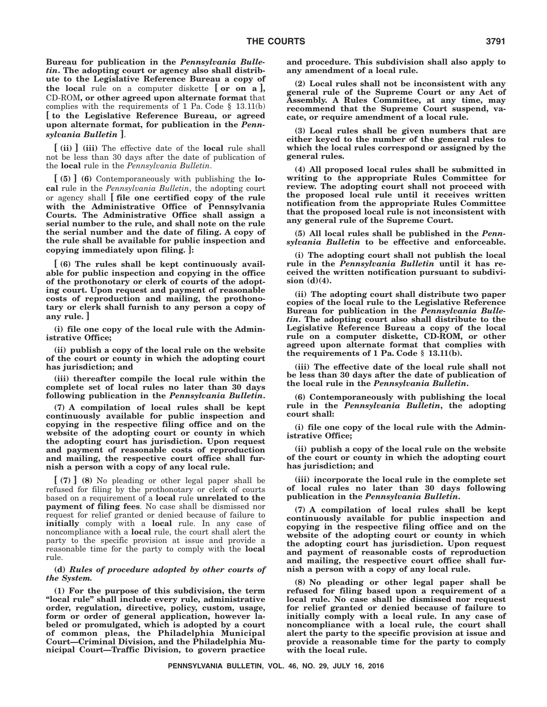**Bureau for publication in the** *Pennsylvania Bulletin***. The adopting court or agency also shall distribute to the Legislative Reference Bureau a copy of the local** rule on a computer diskette **[ or on a ],** CD-ROM**, or other agreed upon alternate format** that complies with the requirements of 1 Pa. Code § 13.11(b) **[ to the Legislative Reference Bureau, or agreed upon alternate format, for publication in the** *Pennsylvania Bulletin* **]**.

**[ (ii) ] (iii)** The effective date of the **local** rule shall not be less than 30 days after the date of publication of the **local** rule in the *Pennsylvania Bulletin*.

**[ (5) ] (6)** Contemporaneously with publishing the **local** rule in the *Pennsylvania Bulletin*, the adopting court or agency shall **[ file one certified copy of the rule with the Administrative Office of Pennsylvania Courts. The Administrative Office shall assign a serial number to the rule, and shall note on the rule the serial number and the date of filing. A copy of the rule shall be available for public inspection and copying immediately upon filing. ]:**

**[ (6) The rules shall be kept continuously available for public inspection and copying in the office of the prothonotary or clerk of courts of the adopting court. Upon request and payment of reasonable costs of reproduction and mailing, the prothonotary or clerk shall furnish to any person a copy of any rule. ]**

**(i) file one copy of the local rule with the Administrative Office;**

**(ii) publish a copy of the local rule on the website of the court or county in which the adopting court has jurisdiction; and**

**(iii) thereafter compile the local rule within the complete set of local rules no later than 30 days following publication in the** *Pennsylvania Bulletin***.**

**(7) A compilation of local rules shall be kept continuously available for public inspection and copying in the respective filing office and on the website of the adopting court or county in which the adopting court has jurisdiction. Upon request and payment of reasonable costs of reproduction and mailing, the respective court office shall furnish a person with a copy of any local rule.**

**[ (7) ] (8)** No pleading or other legal paper shall be refused for filing by the prothonotary or clerk of courts based on a requirement of a **local** rule **unrelated to the payment of filing fees**. No case shall be dismissed nor request for relief granted or denied because of failure to **initially** comply with a **local** rule. In any case of noncompliance with a **local** rule, the court shall alert the party to the specific provision at issue and provide a reasonable time for the party to comply with the **local** rule.

#### **(d)** *Rules of procedure adopted by other courts of the System.*

**(1) For the purpose of this subdivision, the term ''local rule'' shall include every rule, administrative order, regulation, directive, policy, custom, usage, form or order of general application, however labeled or promulgated, which is adopted by a court of common pleas, the Philadelphia Municipal Court—Criminal Division, and the Philadelphia Municipal Court—Traffic Division, to govern practice**

**and procedure. This subdivision shall also apply to any amendment of a local rule.**

**(2) Local rules shall not be inconsistent with any general rule of the Supreme Court or any Act of Assembly. A Rules Committee, at any time, may recommend that the Supreme Court suspend, vacate, or require amendment of a local rule.**

**(3) Local rules shall be given numbers that are either keyed to the number of the general rules to which the local rules correspond or assigned by the general rules.**

**(4) All proposed local rules shall be submitted in writing to the appropriate Rules Committee for review. The adopting court shall not proceed with the proposed local rule until it receives written notification from the appropriate Rules Committee that the proposed local rule is not inconsistent with any general rule of the Supreme Court.**

**(5) All local rules shall be published in the** *Pennsylvania Bulletin* **to be effective and enforceable.**

**(i) The adopting court shall not publish the local rule in the** *Pennsylvania Bulletin* **until it has received the written notification pursuant to subdivision (d)(4).**

**(ii) The adopting court shall distribute two paper copies of the local rule to the Legislative Reference Bureau for publication in the** *Pennsylvania Bulletin***. The adopting court also shall distribute to the Legislative Reference Bureau a copy of the local rule on a computer diskette, CD-ROM, or other agreed upon alternate format that complies with the requirements of 1 Pa. Code § 13.11(b).**

**(iii) The effective date of the local rule shall not be less than 30 days after the date of publication of the local rule in the** *Pennsylvania Bulletin***.**

**(6) Contemporaneously with publishing the local rule in the** *Pennsylvania Bulletin***, the adopting court shall:**

**(i) file one copy of the local rule with the Administrative Office;**

**(ii) publish a copy of the local rule on the website of the court or county in which the adopting court has jurisdiction; and**

**(iii) incorporate the local rule in the complete set of local rules no later than 30 days following publication in the** *Pennsylvania Bulletin***.**

**(7) A compilation of local rules shall be kept continuously available for public inspection and copying in the respective filing office and on the website of the adopting court or county in which the adopting court has jurisdiction. Upon request and payment of reasonable costs of reproduction and mailing, the respective court office shall furnish a person with a copy of any local rule.**

**(8) No pleading or other legal paper shall be refused for filing based upon a requirement of a local rule. No case shall be dismissed nor request for relief granted or denied because of failure to initially comply with a local rule. In any case of noncompliance with a local rule, the court shall alert the party to the specific provision at issue and provide a reasonable time for the party to comply with the local rule.**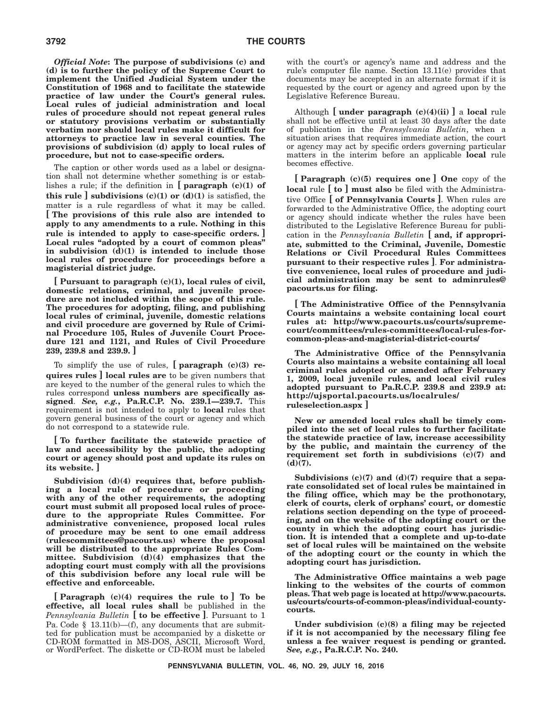*Official Note***: The purpose of subdivisions (c) and (d) is to further the policy of the Supreme Court to implement the Unified Judicial System under the Constitution of 1968 and to facilitate the statewide practice of law under the Court's general rules. Local rules of judicial administration and local rules of procedure should not repeat general rules or statutory provisions verbatim or substantially verbatim nor should local rules make it difficult for attorneys to practice law in several counties. The provisions of subdivision (d) apply to local rules of procedure, but not to case-specific orders.**

The caption or other words used as a label or designation shall not determine whether something is or establishes a rule; if the definition in **[ paragraph (c)(1) of this rule ] subdivisions** (c)(1) or (d)(1) is satisfied, the matter is a rule regardless of what it may be called. **[ The provisions of this rule also are intended to apply to any amendments to a rule. Nothing in this rule is intended to apply to case-specific orders. ] Local rules ''adopted by a court of common pleas'' in subdivision (d)(1) is intended to include those local rules of procedure for proceedings before a magisterial district judge.**

**[ Pursuant to paragraph (c)(1), local rules of civil, domestic relations, criminal, and juvenile procedure are not included within the scope of this rule. The procedures for adopting, filing, and publishing local rules of criminal, juvenile, domestic relations and civil procedure are governed by Rule of Criminal Procedure 105, Rules of Juvenile Court Procedure 121 and 1121, and Rules of Civil Procedure 239, 239.8 and 239.9. ]**

To simplify the use of rules, **[ paragraph (c)(3) requires rules ] local rules are** to be given numbers that are keyed to the number of the general rules to which the rules correspond **unless numbers are specifically assigned**. *See, e.g.***, Pa.R.C.P. No. 239.1—239.7.** This requirement is not intended to apply to **local** rules that govern general business of the court or agency and which do not correspond to a statewide rule.

**[ To further facilitate the statewide practice of law and accessibility by the public, the adopting court or agency should post and update its rules on its website. ]**

**Subdivision (d)(4) requires that, before publishing a local rule of procedure or proceeding with any of the other requirements, the adopting court must submit all proposed local rules of procedure to the appropriate Rules Committee. For administrative convenience, proposed local rules of procedure may be sent to one email address (rulescommittees@pacourts.us) where the proposal will be distributed to the appropriate Rules Committee. Subdivision (d)(4) emphasizes that the adopting court must comply with all the provisions of this subdivision before any local rule will be effective and enforceable.**

**[ Paragraph (c)(4) requires the rule to ] To be effective, all local rules shall** be published in the *Pennsylvania Bulletin* **[ to be effective ]**. Pursuant to 1 Pa. Code  $§$  13.11(b)—(f), any documents that are submitted for publication must be accompanied by a diskette or CD-ROM formatted in MS-DOS, ASCII, Microsoft Word, or WordPerfect. The diskette or CD-ROM must be labeled with the court's or agency's name and address and the rule's computer file name. Section 13.11(e) provides that documents may be accepted in an alternate format if it is requested by the court or agency and agreed upon by the Legislative Reference Bureau.

Although **[ under paragraph (c)(4)(ii) ]** a **local** rule shall not be effective until at least 30 days after the date of publication in the *Pennsylvania Bulletin*, when a situation arises that requires immediate action, the court or agency may act by specific orders governing particular matters in the interim before an applicable **local** rule becomes effective.

**[ Paragraph (c)(5) requires one ] One** copy of the **local** rule **[ to ] must also** be filed with the Administrative Office **[ of Pennsylvania Courts ]**. When rules are forwarded to the Administrative Office, the adopting court or agency should indicate whether the rules have been distributed to the Legislative Reference Bureau for publication in the *Pennsylvania Bulletin* **[ and, if appropriate, submitted to the Criminal, Juvenile, Domestic Relations or Civil Procedural Rules Committees pursuant to their respective rules ]**. **For administrative convenience, local rules of procedure and judicial administration may be sent to adminrules@ pacourts.us for filing.**

**[ The Administrative Office of the Pennsylvania Courts maintains a website containing local court rules at: http://www.pacourts.us/courts/supremecourt/committees/rules-committees/local-rules-forcommon-pleas-and-magisterial-district-courts/**

**The Administrative Office of the Pennsylvania Courts also maintains a website containing all local criminal rules adopted or amended after February 1, 2009, local juvenile rules, and local civil rules adopted pursuant to Pa.R.C.P. 239.8 and 239.9 at: http://ujsportal.pacourts.us/localrules/ ruleselection.aspx ]**

**New or amended local rules shall be timely compiled into the set of local rules to further facilitate the statewide practice of law, increase accessibility by the public, and maintain the currency of the requirement set forth in subdivisions (c)(7) and (d)(7).**

**Subdivisions (c)(7) and (d)(7) require that a separate consolidated set of local rules be maintained in the filing office, which may be the prothonotary, clerk of courts, clerk of orphans' court, or domestic relations section depending on the type of proceeding, and on the website of the adopting court or the county in which the adopting court has jurisdiction. It is intended that a complete and up-to-date set of local rules will be maintained on the website of the adopting court or the county in which the adopting court has jurisdiction.**

**The Administrative Office maintains a web page linking to the websites of the courts of common pleas. That web page is located at http://www.pacourts. us/courts/courts-of-common-pleas/individual-countycourts.**

**Under subdivision (c)(8) a filing may be rejected if it is not accompanied by the necessary filing fee unless a fee waiver request is pending or granted.** *See, e.g.***, Pa.R.C.P. No. 240.**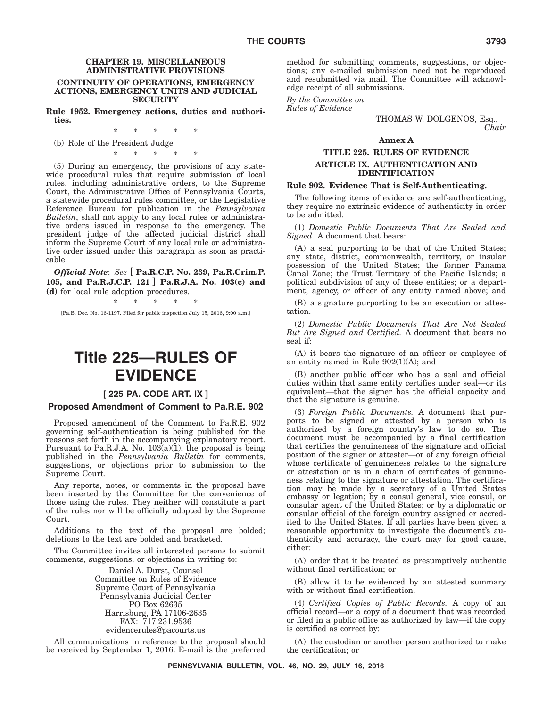# **CHAPTER 19. MISCELLANEOUS ADMINISTRATIVE PROVISIONS CONTINUITY OF OPERATIONS, EMERGENCY**

### **ACTIONS, EMERGENCY UNITS AND JUDICIAL SECURITY**

**Rule 1952. Emergency actions, duties and authorities.**

\*\*\*\*\*

(b) Role of the President Judge

\*\*\*\*\*

(5) During an emergency, the provisions of any statewide procedural rules that require submission of local rules, including administrative orders, to the Supreme Court, the Administrative Office of Pennsylvania Courts, a statewide procedural rules committee, or the Legislative Reference Bureau for publication in the *Pennsylvania Bulletin*, shall not apply to any local rules or administrative orders issued in response to the emergency. The president judge of the affected judicial district shall inform the Supreme Court of any local rule or administrative order issued under this paragraph as soon as practicable.

*Official Note*: *See* **[ Pa.R.C.P. No. 239, Pa.R.Crim.P. 105, and Pa.R.J.C.P. 121 ] Pa.R.J.A. No. 103(c) and (d)** for local rule adoption procedures.

\*\*\*\*\*

[Pa.B. Doc. No. 16-1197. Filed for public inspection July 15, 2016, 9:00 a.m.]

# **Title 225—RULES OF EVIDENCE**

#### **[ 225 PA. CODE ART. IX ]**

#### **Proposed Amendment of Comment to Pa.R.E. 902**

Proposed amendment of the Comment to Pa.R.E. 902 governing self-authentication is being published for the reasons set forth in the accompanying explanatory report. Pursuant to Pa.R.J.A. No.  $103(a)(1)$ , the proposal is being published in the *Pennsylvania Bulletin* for comments, suggestions, or objections prior to submission to the Supreme Court.

Any reports, notes, or comments in the proposal have been inserted by the Committee for the convenience of those using the rules. They neither will constitute a part of the rules nor will be officially adopted by the Supreme Court.

Additions to the text of the proposal are bolded; deletions to the text are bolded and bracketed.

The Committee invites all interested persons to submit comments, suggestions, or objections in writing to:

> Daniel A. Durst, Counsel Committee on Rules of Evidence Supreme Court of Pennsylvania Pennsylvania Judicial Center PO Box 62635 Harrisburg, PA 17106-2635 FAX: 717.231.9536 evidencerules@pacourts.us

All communications in reference to the proposal should be received by September 1, 2016. E-mail is the preferred

method for submitting comments, suggestions, or objections; any e-mailed submission need not be reproduced and resubmitted via mail. The Committee will acknowledge receipt of all submissions.

*By the Committee on Rules of Evidence*

> THOMAS W. DOLGENOS, Esq., *Chair*

# **Annex A**

# **TITLE 225. RULES OF EVIDENCE**

#### **ARTICLE IX. AUTHENTICATION AND IDENTIFICATION**

#### **Rule 902. Evidence That is Self-Authenticating.**

The following items of evidence are self-authenticating; they require no extrinsic evidence of authenticity in order to be admitted:

(1) *Domestic Public Documents That Are Sealed and Signed.* A document that bears:

(A) a seal purporting to be that of the United States; any state, district, commonwealth, territory, or insular possession of the United States; the former Panama Canal Zone; the Trust Territory of the Pacific Islands; a political subdivision of any of these entities; or a department, agency, or officer of any entity named above; and

(B) a signature purporting to be an execution or attestation.

(2) *Domestic Public Documents That Are Not Sealed But Are Signed and Certified.* A document that bears no seal if:

(A) it bears the signature of an officer or employee of an entity named in Rule 902(1)(A); and

(B) another public officer who has a seal and official duties within that same entity certifies under seal—or its equivalent—that the signer has the official capacity and that the signature is genuine.

(3) *Foreign Public Documents.* A document that purports to be signed or attested by a person who is authorized by a foreign country's law to do so. The document must be accompanied by a final certification that certifies the genuineness of the signature and official position of the signer or attester—or of any foreign official whose certificate of genuineness relates to the signature or attestation or is in a chain of certificates of genuineness relating to the signature or attestation. The certification may be made by a secretary of a United States embassy or legation; by a consul general, vice consul, or consular agent of the United States; or by a diplomatic or consular official of the foreign country assigned or accredited to the United States. If all parties have been given a reasonable opportunity to investigate the document's authenticity and accuracy, the court may for good cause, either:

(A) order that it be treated as presumptively authentic without final certification; or

(B) allow it to be evidenced by an attested summary with or without final certification.

(4) *Certified Copies of Public Records.* A copy of an official record—or a copy of a document that was recorded or filed in a public office as authorized by law—if the copy is certified as correct by:

(A) the custodian or another person authorized to make the certification; or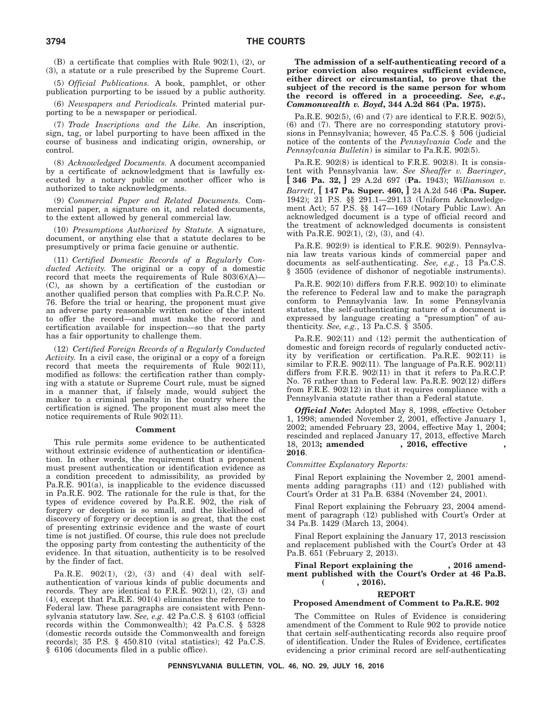(B) a certificate that complies with Rule 902(1), (2), or (3), a statute or a rule prescribed by the Supreme Court.

(5) *Official Publications.* A book, pamphlet, or other publication purporting to be issued by a public authority.

(6) *Newspapers and Periodicals.* Printed material purporting to be a newspaper or periodical.

(7) *Trade Inscriptions and the Like.* An inscription, sign, tag, or label purporting to have been affixed in the course of business and indicating origin, ownership, or control.

(8) *Acknowledged Documents.* A document accompanied by a certificate of acknowledgment that is lawfully executed by a notary public or another officer who is authorized to take acknowledgments.

(9) *Commercial Paper and Related Documents.* Commercial paper, a signature on it, and related documents, to the extent allowed by general commercial law.

(10) *Presumptions Authorized by Statute.* A signature, document, or anything else that a statute declares to be presumptively or prima facie genuine or authentic.

(11) *Certified Domestic Records of a Regularly Conducted Activity.* The original or a copy of a domestic record that meets the requirements of Rule  $803(6)(A)$ (C), as shown by a certification of the custodian or another qualified person that complies with Pa.R.C.P. No. 76. Before the trial or hearing, the proponent must give an adverse party reasonable written notice of the intent to offer the record—and must make the record and certification available for inspection—so that the party has a fair opportunity to challenge them.

(12) *Certified Foreign Records of a Regularly Conducted Activity.* In a civil case, the original or a copy of a foreign record that meets the requirements of Rule 902(11), modified as follows: the certification rather than complying with a statute or Supreme Court rule, must be signed in a manner that, if falsely made, would subject the maker to a criminal penalty in the country where the certification is signed. The proponent must also meet the notice requirements of Rule 902(11).

#### **Comment**

This rule permits some evidence to be authenticated without extrinsic evidence of authentication or identification. In other words, the requirement that a proponent must present authentication or identification evidence as a condition precedent to admissibility, as provided by Pa.R.E. 901(a), is inapplicable to the evidence discussed in Pa.R.E. 902. The rationale for the rule is that, for the types of evidence covered by Pa.R.E. 902, the risk of forgery or deception is so small, and the likelihood of discovery of forgery or deception is so great, that the cost of presenting extrinsic evidence and the waste of court time is not justified. Of course, this rule does not preclude the opposing party from contesting the authenticity of the evidence. In that situation, authenticity is to be resolved by the finder of fact.

Pa.R.E. 902(1), (2), (3) and (4) deal with selfauthentication of various kinds of public documents and records. They are identical to F.R.E.  $902(1)$ ,  $(2)$ ,  $(3)$  and (4), except that Pa.R.E. 901(4) eliminates the reference to Federal law. These paragraphs are consistent with Pennsylvania statutory law. *See, e.g.* 42 Pa.C.S. § 6103 (official records within the Commonwealth); 42 Pa.C.S. § 5328 (domestic records outside the Commonwealth and foreign records); 35 P.S. § 450.810 (vital statistics); 42 Pa.C.S. § 6106 (documents filed in a public office).

**The admission of a self-authenticating record of a prior conviction also requires sufficient evidence, either direct or circumstantial, to prove that the subject of the record is the same person for whom the record is offered in a proceeding.** *See, e.g., Commonwealth v. Boyd***, 344 A.2d 864 (Pa. 1975).**

Pa.R.E. 902(5), (6) and (7) are identical to F.R.E. 902(5), (6) and (7). There are no corresponding statutory provisions in Pennsylvania; however, 45 Pa.C.S. § 506 (judicial notice of the contents of the *Pennsylvania Code* and the *Pennsylvania Bulletin*) is similar to Pa.R.E. 902(5).

Pa.R.E. 902(8) is identical to F.R.E. 902(8). It is consistent with Pennsylvania law. *See Sheaffer v. Baeringer*, **[ 346 Pa. 32, ]** 29 A.2d 697 (**Pa.** 1943); *Williamson v. Barrett*, **[ 147 Pa. Super. 460, ]** 24 A.2d 546 (**Pa. Super.** 1942); 21 P.S. §§ 291.1—291.13 (Uniform Acknowledgement Act); 57 P.S. §§ 147—169 (Notary Public Law). An acknowledged document is a type of official record and the treatment of acknowledged documents is consistent with Pa.R.E. 902(1), (2), (3), and (4).

Pa.R.E. 902(9) is identical to F.R.E. 902(9). Pennsylvania law treats various kinds of commercial paper and documents as self-authenticating. *See, e.g.*, 13 Pa.C.S. § 3505 (evidence of dishonor of negotiable instruments).

Pa.R.E. 902(10) differs from F.R.E. 902(10) to eliminate the reference to Federal law and to make the paragraph conform to Pennsylvania law. In some Pennsylvania statutes, the self-authenticating nature of a document is expressed by language creating a "presumption" of authenticity. *See, e.g.*, 13 Pa.C.S. § 3505.

Pa.R.E. 902(11) and (12) permit the authentication of domestic and foreign records of regularly conducted activity by verification or certification. Pa.R.E. 902(11) is similar to F.R.E. 902(11). The language of Pa.R.E. 902(11) differs from F.R.E. 902(11) in that it refers to Pa.R.C.P. No. 76 rather than to Federal law. Pa.R.E. 902(12) differs from F.R.E. 902(12) in that it requires compliance with a Pennsylvania statute rather than a Federal statute.

*Official Note***:** Adopted May 8, 1998, effective October 1, 1998; amended November 2, 2001, effective January 1, 2002; amended February 23, 2004, effective May 1, 2004; rescinded and replaced January 17, 2013, effective March 18, 2013**; amended , 2016, effective , 2016**.

#### *Committee Explanatory Reports:*

Final Report explaining the November 2, 2001 amendments adding paragraphs (11) and (12) published with Court's Order at 31 Pa.B. 6384 (November 24, 2001).

Final Report explaining the February 23, 2004 amendment of paragraph (12) published with Court's Order at 34 Pa.B. 1429 (March 13, 2004).

Final Report explaining the January 17, 2013 rescission and replacement published with the Court's Order at 43 Pa.B. 651 (February 2, 2013).

#### Final Report explaining the , 2016 amend**ment published with the Court's Order at 46 Pa.B.**  $( , 2016).$

#### **REPORT**

#### **Proposed Amendment of Comment to Pa.R.E. 902**

The Committee on Rules of Evidence is considering amendment of the Comment to Rule 902 to provide notice that certain self-authenticating records also require proof of identification. Under the Rules of Evidence, certificates evidencing a prior criminal record are self-authenticating

**PENNSYLVANIA BULLETIN, VOL. 46, NO. 29, JULY 16, 2016**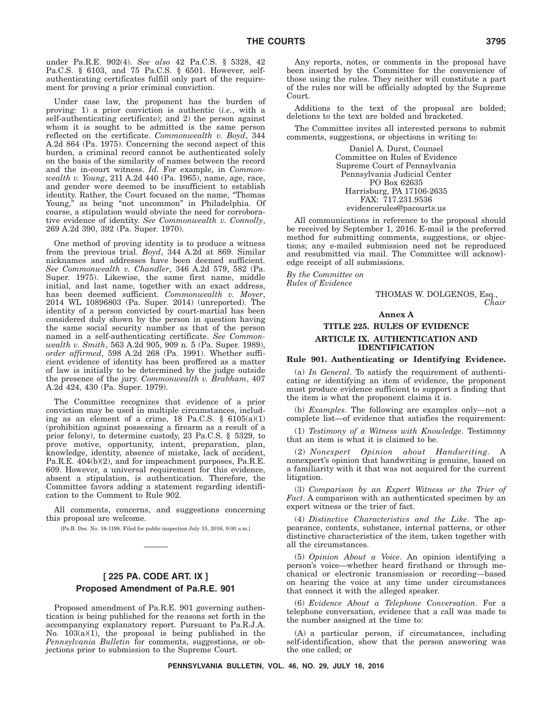under Pa.R.E. 902(4). *See also* 42 Pa.C.S. § 5328, 42 Pa.C.S. § 6103, and 75 Pa.C.S. § 6501. However, selfauthenticating certificates fulfill only part of the requirement for proving a prior criminal conviction.

Under case law, the proponent has the burden of proving: 1) a prior conviction is authentic (*i.e.*, with a self-authenticating certificate); and 2) the person against whom it is sought to be admitted is the same person reflected on the certificate. *Commonwealth v. Boyd*, 344 A.2d 864 (Pa. 1975). Concerning the second aspect of this burden, a criminal record cannot be authenticated solely on the basis of the similarity of names between the record and the in-court witness. *Id.* For example, in *Commonwealth v. Young*, 211 A.2d 440 (Pa. 1965), name, age, race, and gender were deemed to be insufficient to establish identity. Rather, the Court focused on the name, ''Thomas Young," as being "not uncommon" in Philadelphia. Of course, a stipulation would obviate the need for corroborative evidence of identity. *See Commonwealth v. Connolly*, 269 A.2d 390, 392 (Pa. Super. 1970).

One method of proving identity is to produce a witness from the previous trial. *Boyd*, 344 A.2d at 869. Similar nicknames and addresses have been deemed sufficient. *See Commonwealth v. Chandler*, 346 A.2d 579, 582 (Pa. Super. 1975). Likewise, the same first name, middle initial, and last name, together with an exact address, has been deemed sufficient. *Commonwealth v. Moyer*, 2014 WL 10896803 (Pa. Super. 2014) (unreported). The identity of a person convicted by court-martial has been considered duly shown by the person in question having the same social security number as that of the person named in a self-authenticating certificate. *See Commonwealth v. Smith*, 563 A.2d 905, 909 n. 5 (Pa. Super. 1989), *order affirmed*, 598 A.2d 268 (Pa. 1991). Whether sufficient evidence of identity has been proffered as a matter of law is initially to be determined by the judge outside the presence of the jury. *Commonwealth v. Brabham*, 407 A.2d 424, 430 (Pa. Super. 1979).

The Committee recognizes that evidence of a prior conviction may be used in multiple circumstances, including as an element of a crime, 18 Pa.C.S.  $\S$  6105(a)(1) (prohibition against possessing a firearm as a result of a prior felony), to determine custody, 23 Pa.C.S. § 5329, to prove motive, opportunity, intent, preparation, plan, knowledge, identity, absence of mistake, lack of accident, Pa.R.E. 404(b)(2), and for impeachment purposes, Pa.R.E. 609. However, a universal requirement for this evidence, absent a stipulation, is authentication. Therefore, the Committee favors adding a statement regarding identification to the Comment to Rule 902.

All comments, concerns, and suggestions concerning this proposal are welcome.

[Pa.B. Doc. No. 16-1198. Filed for public inspection July 15, 2016, 9:00 a.m.]

# **[ 225 PA. CODE ART. IX ] Proposed Amendment of Pa.R.E. 901**

Proposed amendment of Pa.R.E. 901 governing authentication is being published for the reasons set forth in the accompanying explanatory report. Pursuant to Pa.R.J.A. No. 103(a)(1), the proposal is being published in the *Pennsylvania Bulletin* for comments, suggestions, or objections prior to submission to the Supreme Court.

Any reports, notes, or comments in the proposal have been inserted by the Committee for the convenience of those using the rules. They neither will constitute a part of the rules nor will be officially adopted by the Supreme Court.

Additions to the text of the proposal are bolded; deletions to the text are bolded and bracketed.

The Committee invites all interested persons to submit comments, suggestions, or objections in writing to:

> Daniel A. Durst, Counsel Committee on Rules of Evidence Supreme Court of Pennsylvania Pennsylvania Judicial Center PO Box 62635 Harrisburg, PA 17106-2635 FAX: 717.231.9536 evidencerules@pacourts.us

All communications in reference to the proposal should be received by September 1, 2016. E-mail is the preferred method for submitting comments, suggestions, or objections; any e-mailed submission need not be reproduced and resubmitted via mail. The Committee will acknowledge receipt of all submissions.

*By the Committee on Rules of Evidence*

> THOMAS W. DOLGENOS, Esq., *Chair*

#### **Annex A**

# **TITLE 225. RULES OF EVIDENCE ARTICLE IX. AUTHENTICATION AND IDENTIFICATION**

#### **Rule 901. Authenticating or Identifying Evidence.**

(a) *In General*. To satisfy the requirement of authenticating or identifying an item of evidence, the proponent must produce evidence sufficient to support a finding that the item is what the proponent claims it is.

(b) *Examples*. The following are examples only—not a complete list—of evidence that satisfies the requirement:

(1) *Testimony of a Witness with Knowledge*. Testimony that an item is what it is claimed to be.

(2) *Nonexpert Opinion about Handwriting*. A nonexpert's opinion that handwriting is genuine, based on a familiarity with it that was not acquired for the current litigation.

(3) *Comparison by an Expert Witness or the Trier of Fact*. A comparison with an authenticated specimen by an expert witness or the trier of fact.

(4) *Distinctive Characteristics and the Like*. The appearance, contents, substance, internal patterns, or other distinctive characteristics of the item, taken together with all the circumstances.

(5) *Opinion About a Voice*. An opinion identifying a person's voice—whether heard firsthand or through mechanical or electronic transmission or recording—based on hearing the voice at any time under circumstances that connect it with the alleged speaker.

(6) *Evidence About a Telephone Conversation*. For a telephone conversation, evidence that a call was made to the number assigned at the time to:

(A) a particular person, if circumstances, including self-identification, show that the person answering was the one called; or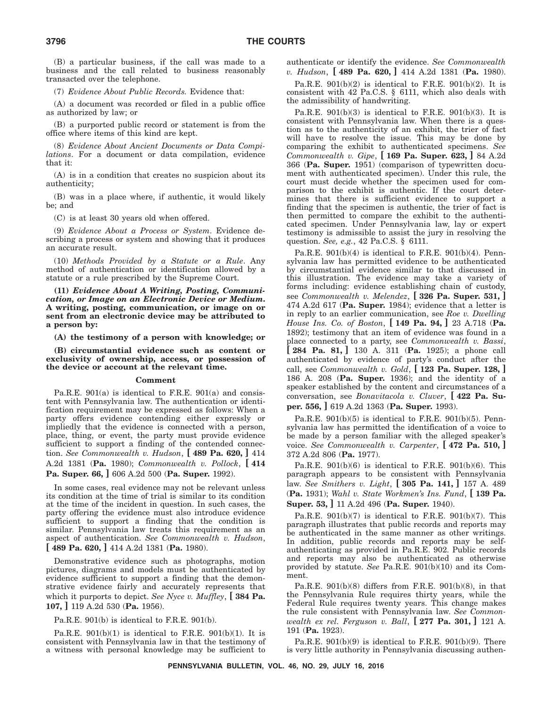(B) a particular business, if the call was made to a business and the call related to business reasonably transacted over the telephone.

(7) *Evidence About Public Records.* Evidence that:

(A) a document was recorded or filed in a public office as authorized by law; or

(B) a purported public record or statement is from the office where items of this kind are kept.

(8) *Evidence About Ancient Documents or Data Compilations*. For a document or data compilation, evidence that it:

(A) is in a condition that creates no suspicion about its authenticity;

(B) was in a place where, if authentic, it would likely be; and

(C) is at least 30 years old when offered.

(9) *Evidence About a Process or System*. Evidence describing a process or system and showing that it produces an accurate result.

(10) *Methods Provided by a Statute or a Rule*. Any method of authentication or identification allowed by a statute or a rule prescribed by the Supreme Court.

**(11)** *Evidence About A Writing, Posting, Communication, or Image on an Electronic Device or Medium***. A writing, posting, communication, or image on or sent from an electronic device may be attributed to a person by:**

**(A) the testimony of a person with knowledge; or**

**(B) circumstantial evidence such as content or exclusivity of ownership, access, or possession of the device or account at the relevant time.**

#### **Comment**

Pa.R.E. 901(a) is identical to F.R.E. 901(a) and consistent with Pennsylvania law. The authentication or identification requirement may be expressed as follows: When a party offers evidence contending either expressly or impliedly that the evidence is connected with a person, place, thing, or event, the party must provide evidence sufficient to support a finding of the contended connection. *See Commonwealth v. Hudson*, **[ 489 Pa. 620, ]** 414 A.2d 1381 (**Pa.** 1980); *Commonwealth v. Pollock*, **[ 414 Pa. Super. 66, ]** 606 A.2d 500 (**Pa. Super.** 1992).

In some cases, real evidence may not be relevant unless its condition at the time of trial is similar to its condition at the time of the incident in question. In such cases, the party offering the evidence must also introduce evidence sufficient to support a finding that the condition is similar. Pennsylvania law treats this requirement as an aspect of authentication. *See Commonwealth v. Hudson*, **[ 489 Pa. 620, ]** 414 A.2d 1381 (**Pa.** 1980).

Demonstrative evidence such as photographs, motion pictures, diagrams and models must be authenticated by evidence sufficient to support a finding that the demonstrative evidence fairly and accurately represents that which it purports to depict. *See Nyce v. Muffley*, **[ 384 Pa. 107, ]** 119 A.2d 530 (**Pa.** 1956).

Pa.R.E. 901(b) is identical to F.R.E. 901(b).

Pa.R.E.  $901(b)(1)$  is identical to F.R.E.  $901(b)(1)$ . It is consistent with Pennsylvania law in that the testimony of a witness with personal knowledge may be sufficient to authenticate or identify the evidence. *See Commonwealth v. Hudson*, **[ 489 Pa. 620, ]** 414 A.2d 1381 (**Pa.** 1980).

Pa.R.E.  $901(b)(2)$  is identical to F.R.E.  $901(b)(2)$ . It is consistent with 42 Pa.C.S. § 6111, which also deals with the admissibility of handwriting.

Pa.R.E.  $901(b)(3)$  is identical to F.R.E.  $901(b)(3)$ . It is consistent with Pennsylvania law. When there is a question as to the authenticity of an exhibit, the trier of fact will have to resolve the issue. This may be done by comparing the exhibit to authenticated specimens. *See Commonwealth v. Gipe*, **[ 169 Pa. Super. 623, ]** 84 A.2d 366 (**Pa. Super.** 1951) (comparison of typewritten document with authenticated specimen). Under this rule, the court must decide whether the specimen used for comparison to the exhibit is authentic. If the court determines that there is sufficient evidence to support a finding that the specimen is authentic, the trier of fact is then permitted to compare the exhibit to the authenticated specimen. Under Pennsylvania law, lay or expert testimony is admissible to assist the jury in resolving the question. *See, e.g.*, 42 Pa.C.S. § 6111.

Pa.R.E. 901(b)(4) is identical to F.R.E. 901(b)(4). Pennsylvania law has permitted evidence to be authenticated by circumstantial evidence similar to that discussed in this illustration. The evidence may take a variety of forms including: evidence establishing chain of custody, see *Commonwealth v. Melendez*, **[ 326 Pa. Super. 531, ]** 474 A.2d 617 (**Pa. Super.** 1984); evidence that a letter is in reply to an earlier communication, see *Roe v. Dwelling House Ins. Co. of Boston*, **[ 149 Pa. 94, ]** 23 A.718 (**Pa.** 1892); testimony that an item of evidence was found in a place connected to a party, see *Commonwealth v. Bassi*, **[ 284 Pa. 81, ]** 130 A. 311 (**Pa.** 1925); a phone call authenticated by evidence of party's conduct after the call, see *Commonwealth v. Gold*, **[ 123 Pa. Super. 128, ]** 186 A. 208 (**Pa. Super.** 1936); and the identity of a speaker established by the content and circumstances of a conversation, see *Bonavitacola v. Cluver*, **[ 422 Pa. Super. 556, ]** 619 A.2d 1363 (**Pa. Super.** 1993).

Pa.R.E.  $901(b)(5)$  is identical to F.R.E.  $901(b)(5)$ . Pennsylvania law has permitted the identification of a voice to be made by a person familiar with the alleged speaker's voice. *See Commonwealth v. Carpenter*, **[ 472 Pa. 510, ]** 372 A.2d 806 (**Pa.** 1977).

Pa.R.E.  $901(b)(6)$  is identical to F.R.E.  $901(b)(6)$ . This paragraph appears to be consistent with Pennsylvania law. *See Smithers v. Light*, **[ 305 Pa. 141, ]** 157 A. 489 (**Pa.** 1931); *Wahl v. State Workmen's Ins. Fund*, **[ 139 Pa. Super. 53, ]** 11 A.2d 496 (**Pa. Super.** 1940).

Pa.R.E.  $901(b)(7)$  is identical to F.R.E.  $901(b)(7)$ . This paragraph illustrates that public records and reports may be authenticated in the same manner as other writings. In addition, public records and reports may be selfauthenticating as provided in Pa.R.E. 902. Public records and reports may also be authenticated as otherwise provided by statute. *See* Pa.R.E. 901(b)(10) and its Comment.

Pa.R.E.  $901(b)(8)$  differs from F.R.E.  $901(b)(8)$ , in that the Pennsylvania Rule requires thirty years, while the Federal Rule requires twenty years. This change makes the rule consistent with Pennsylvania law. *See Commonwealth ex rel. Ferguson v. Ball*, **[ 277 Pa. 301, ]** 121 A. 191 (**Pa.** 1923).

Pa.R.E.  $901(b)(9)$  is identical to F.R.E.  $901(b)(9)$ . There is very little authority in Pennsylvania discussing authen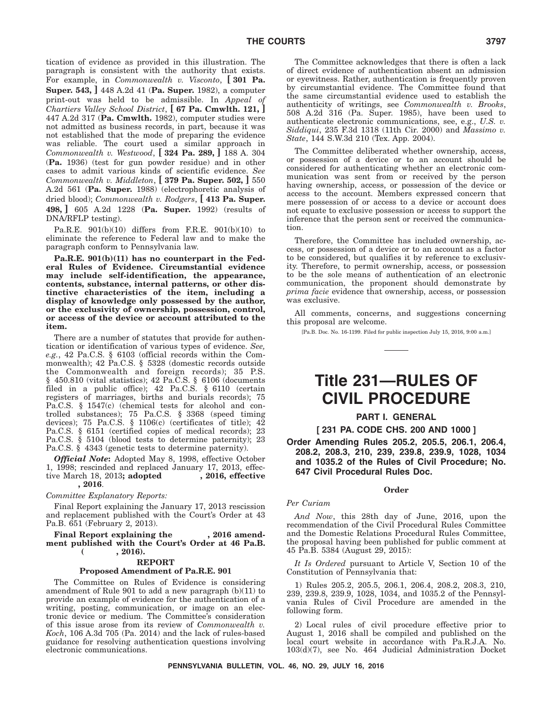tication of evidence as provided in this illustration. The paragraph is consistent with the authority that exists. For example, in *Commonwealth v. Visconto*, **[ 301 Pa. Super. 543, ]** 448 A.2d 41 (**Pa. Super.** 1982), a computer print-out was held to be admissible. In *Appeal of Chartiers Valley School District*, **[ 67 Pa. Cmwlth. 121, ]** 447 A.2d 317 (**Pa. Cmwlth.** 1982), computer studies were not admitted as business records, in part, because it was not established that the mode of preparing the evidence was reliable. The court used a similar approach in *Commonwealth v. Westwood*, **[ 324 Pa. 289, ]** 188 A. 304 (**Pa.** 1936) (test for gun powder residue) and in other cases to admit various kinds of scientific evidence. *See Commonwealth v. Middleton*, **[ 379 Pa. Super. 502, ]** 550 A.2d 561 (**Pa. Super.** 1988) (electrophoretic analysis of dried blood); *Commonwealth v. Rodgers*, **[ 413 Pa. Super. 498, ]** 605 A.2d 1228 (**Pa. Super.** 1992) (results of DNA/RFLP testing).

Pa.R.E. 901(b)(10) differs from F.R.E. 901(b)(10) to eliminate the reference to Federal law and to make the paragraph conform to Pennsylvania law.

**Pa.R.E. 901(b)(11) has no counterpart in the Federal Rules of Evidence. Circumstantial evidence may include self-identification, the appearance, contents, substance, internal patterns, or other distinctive characteristics of the item, including a display of knowledge only possessed by the author, or the exclusivity of ownership, possession, control, or access of the device or account attributed to the item.**

There are a number of statutes that provide for authentication or identification of various types of evidence. *See, e.g.*, 42 Pa.C.S. § 6103 (official records within the Commonwealth); 42 Pa.C.S. § 5328 (domestic records outside the Commonwealth and foreign records); 35 P.S. § 450.810 (vital statistics); 42 Pa.C.S. § 6106 (documents filed in a public office); 42 Pa.C.S. § 6110 (certain registers of marriages, births and burials records); 75 Pa.C.S. § 1547(c) (chemical tests for alcohol and controlled substances); 75 Pa.C.S. § 3368 (speed timing devices); 75 Pa.C.S. § 1106(c) (certificates of title); 42 Pa.C.S. § 6151 (certified copies of medical records); 23 Pa.C.S. § 5104 (blood tests to determine paternity); 23 Pa.C.S. § 4343 (genetic tests to determine paternity).

*Official Note***:** Adopted May 8, 1998, effective October 1, 1998; rescinded and replaced January 17, 2013, effective March 18, 2013**; adopted**, 2016, effective **, 2016**.

#### *Committee Explanatory Reports:*

Final Report explaining the January 17, 2013 rescission and replacement published with the Court's Order at 43 Pa.B. 651 (February 2, 2013).

**Final Report explaining the , 2016 amendment published with the Court's Order at 46 Pa.B.**  $( , 2016).$ 

#### **REPORT**

#### **Proposed Amendment of Pa.R.E. 901**

The Committee on Rules of Evidence is considering amendment of Rule 901 to add a new paragraph (b)(11) to provide an example of evidence for the authentication of a writing, posting, communication, or image on an electronic device or medium. The Committee's consideration of this issue arose from its review of *Commonwealth v. Koch*, 106 A.3d 705 (Pa. 2014) and the lack of rules-based guidance for resolving authentication questions involving electronic communications.

The Committee acknowledges that there is often a lack of direct evidence of authentication absent an admission or eyewitness. Rather, authentication is frequently proven by circumstantial evidence. The Committee found that the same circumstantial evidence used to establish the authenticity of writings, see *Commonwealth v. Brooks*, 508 A.2d 316 (Pa. Super. 1985), have been used to authenticate electronic communications, see, e.g., *U.S. v. Siddiqui*, 235 F.3d 1318 (11th Cir. 2000) and *Massimo v. State*, 144 S.W.3d 210 (Tex. App. 2004).

The Committee deliberated whether ownership, access, or possession of a device or to an account should be considered for authenticating whether an electronic communication was sent from or received by the person having ownership, access, or possession of the device or access to the account. Members expressed concern that mere possession of or access to a device or account does not equate to exclusive possession or access to support the inference that the person sent or received the communication.

Therefore, the Committee has included ownership, access, or possession of a device or to an account as a factor to be considered, but qualifies it by reference to exclusivity. Therefore, to permit ownership, access, or possession to be the sole means of authentication of an electronic communication, the proponent should demonstrate by *prima facie* evidence that ownership, access, or possession was exclusive.

All comments, concerns, and suggestions concerning this proposal are welcome.

[Pa.B. Doc. No. 16-1199. Filed for public inspection July 15, 2016, 9:00 a.m.]

# **Title 231—RULES OF CIVIL PROCEDURE**

### **PART I. GENERAL**

#### **[ 231 PA. CODE CHS. 200 AND 1000 ]**

**Order Amending Rules 205.2, 205.5, 206.1, 206.4, 208.2, 208.3, 210, 239, 239.8, 239.9, 1028, 1034 and 1035.2 of the Rules of Civil Procedure; No. 647 Civil Procedural Rules Doc.**

#### **Order**

#### *Per Curiam*

*And Now*, this 28th day of June, 2016, upon the recommendation of the Civil Procedural Rules Committee and the Domestic Relations Procedural Rules Committee, the proposal having been published for public comment at 45 Pa.B. 5384 (August 29, 2015):

*It Is Ordered* pursuant to Article V, Section 10 of the Constitution of Pennsylvania that:

1) Rules 205.2, 205.5, 206.1, 206.4, 208.2, 208.3, 210, 239, 239.8, 239.9, 1028, 1034, and 1035.2 of the Pennsylvania Rules of Civil Procedure are amended in the following form.

2) Local rules of civil procedure effective prior to August 1, 2016 shall be compiled and published on the local court website in accordance with Pa.R.J.A. No. 103(d)(7), see No. 464 Judicial Administration Docket

**PENNSYLVANIA BULLETIN, VOL. 46, NO. 29, JULY 16, 2016**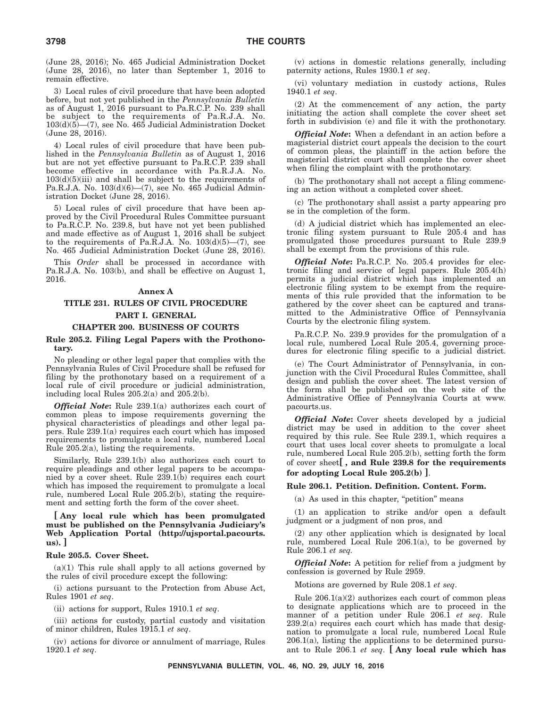(June 28, 2016); No. 465 Judicial Administration Docket (June 28, 2016), no later than September 1, 2016 to remain effective.

3) Local rules of civil procedure that have been adopted before, but not yet published in the *Pennsylvania Bulletin* as of August 1, 2016 pursuant to Pa.R.C.P. No. 239 shall be subject to the requirements of Pa.R.J.A. No.  $103(d)(5)$ —(7), see No. 465 Judicial Administration Docket (June 28, 2016).

4) Local rules of civil procedure that have been published in the *Pennsylvania Bulletin* as of August 1, 2016 but are not yet effective pursuant to Pa.R.C.P. 239 shall become effective in accordance with Pa.R.J.A. No.  $103(d)(5)(iii)$  and shall be subject to the requirements of Pa.R.J.A. No. 103(d)(6)—(7), see No. 465 Judicial Administration Docket (June 28, 2016).

5) Local rules of civil procedure that have been approved by the Civil Procedural Rules Committee pursuant to Pa.R.C.P. No. 239.8, but have not yet been published and made effective as of August 1, 2016 shall be subject to the requirements of Pa.R.J.A. No.  $103(d)(5)$ — $(7)$ , see No. 465 Judicial Administration Docket (June 28, 2016).

This *Order* shall be processed in accordance with Pa.R.J.A. No. 103(b), and shall be effective on August 1, 2016.

#### **Annex A**

# **TITLE 231. RULES OF CIVIL PROCEDURE PART I. GENERAL**

#### **CHAPTER 200. BUSINESS OF COURTS**

#### **Rule 205.2. Filing Legal Papers with the Prothonotary.**

No pleading or other legal paper that complies with the Pennsylvania Rules of Civil Procedure shall be refused for filing by the prothonotary based on a requirement of a local rule of civil procedure or judicial administration, including local Rules 205.2(a) and 205.2(b).

*Official Note***:** Rule 239.1(a) authorizes each court of common pleas to impose requirements governing the physical characteristics of pleadings and other legal papers. Rule 239.1(a) requires each court which has imposed requirements to promulgate a local rule, numbered Local Rule 205.2(a), listing the requirements.

Similarly, Rule 239.1(b) also authorizes each court to require pleadings and other legal papers to be accompanied by a cover sheet. Rule 239.1(b) requires each court which has imposed the requirement to promulgate a local rule, numbered Local Rule 205.2(b), stating the requirement and setting forth the form of the cover sheet.

**[ Any local rule which has been promulgated must be published on the Pennsylvania Judiciary's Web Application Portal (http://ujsportal.pacourts. us). ]**

#### **Rule 205.5. Cover Sheet.**

 $(a)(1)$  This rule shall apply to all actions governed by the rules of civil procedure except the following:

(i) actions pursuant to the Protection from Abuse Act, Rules 1901 *et seq*.

(ii) actions for support, Rules 1910.1 *et seq*.

(iii) actions for custody, partial custody and visitation of minor children, Rules 1915.1 *et seq*.

(iv) actions for divorce or annulment of marriage, Rules 1920.1 *et seq*.

(v) actions in domestic relations generally, including paternity actions, Rules 1930.1 *et seq*.

(vi) voluntary mediation in custody actions, Rules 1940.1 *et seq*.

(2) At the commencement of any action, the party initiating the action shall complete the cover sheet set forth in subdivision (e) and file it with the prothonotary.

*Official Note***:** When a defendant in an action before a magisterial district court appeals the decision to the court of common pleas, the plaintiff in the action before the magisterial district court shall complete the cover sheet when filing the complaint with the prothonotary.

(b) The prothonotary shall not accept a filing commencing an action without a completed cover sheet.

(c) The prothonotary shall assist a party appearing pro se in the completion of the form.

(d) A judicial district which has implemented an electronic filing system pursuant to Rule 205.4 and has promulgated those procedures pursuant to Rule 239.9 shall be exempt from the provisions of this rule.

*Official Note***:** Pa.R.C.P. No. 205.4 provides for electronic filing and service of legal papers. Rule 205.4(h) permits a judicial district which has implemented an electronic filing system to be exempt from the requirements of this rule provided that the information to be gathered by the cover sheet can be captured and transmitted to the Administrative Office of Pennsylvania Courts by the electronic filing system.

Pa.R.C.P. No. 239.9 provides for the promulgation of a local rule, numbered Local Rule 205.4, governing procedures for electronic filing specific to a judicial district.

(e) The Court Administrator of Pennsylvania, in conjunction with the Civil Procedural Rules Committee, shall design and publish the cover sheet. The latest version of the form shall be published on the web site of the Administrative Office of Pennsylvania Courts at www. pacourts.us.

*Official Note:* Cover sheets developed by a judicial district may be used in addition to the cover sheet required by this rule. See Rule 239.1, which requires a court that uses local cover sheets to promulgate a local rule, numbered Local Rule 205.2(b), setting forth the form of cover sheet**[ , and Rule 239.8 for the requirements for adopting Local Rule 205.2(b) ]**.

#### **Rule 206.1. Petition. Definition. Content. Form.**

(a) As used in this chapter, ''petition'' means

(1) an application to strike and/or open a default judgment or a judgment of non pros, and

(2) any other application which is designated by local rule, numbered Local Rule 206.1(a), to be governed by Rule 206.1 *et seq.*

*Official Note***:** A petition for relief from a judgment by confession is governed by Rule 2959.

Motions are governed by Rule 208.1 *et seq*.

Rule  $206.1(a)(2)$  authorizes each court of common pleas to designate applications which are to proceed in the manner of a petition under Rule 206.1 *et seq*. Rule 239.2(a) requires each court which has made that designation to promulgate a local rule, numbered Local Rule 206.1(a), listing the applications to be determined pursuant to Rule 206.1 *et seq*. **[ Any local rule which has**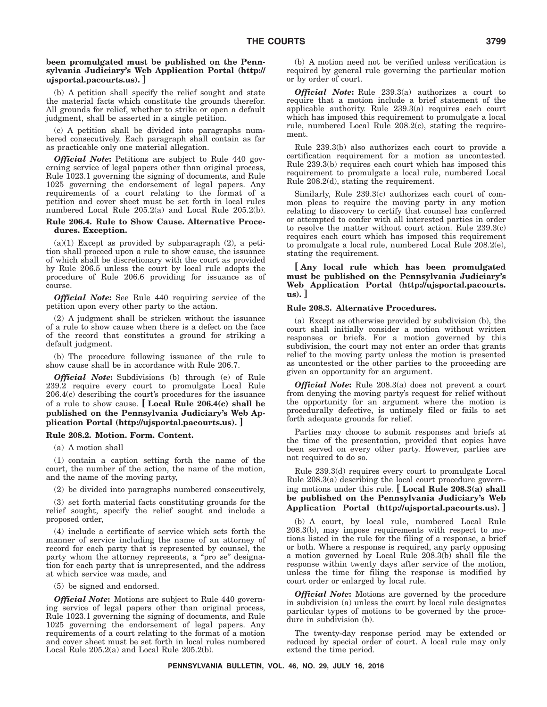#### **been promulgated must be published on the Pennsylvania Judiciary's Web Application Portal (http:// ujsportal.pacourts.us). ]**

(b) A petition shall specify the relief sought and state the material facts which constitute the grounds therefor. All grounds for relief, whether to strike or open a default judgment, shall be asserted in a single petition.

(c) A petition shall be divided into paragraphs numbered consecutively. Each paragraph shall contain as far as practicable only one material allegation.

*Official Note***:** Petitions are subject to Rule 440 governing service of legal papers other than original process, Rule 1023.1 governing the signing of documents, and Rule 1025 governing the endorsement of legal papers. Any requirements of a court relating to the format of a petition and cover sheet must be set forth in local rules numbered Local Rule 205.2(a) and Local Rule 205.2(b).

#### **Rule 206.4. Rule to Show Cause. Alternative Procedures. Exception.**

 $(a)(1)$  Except as provided by subparagraph  $(2)$ , a petition shall proceed upon a rule to show cause, the issuance of which shall be discretionary with the court as provided by Rule 206.5 unless the court by local rule adopts the procedure of Rule 206.6 providing for issuance as of course.

*Official Note***:** See Rule 440 requiring service of the petition upon every other party to the action.

(2) A judgment shall be stricken without the issuance of a rule to show cause when there is a defect on the face of the record that constitutes a ground for striking a default judgment.

(b) The procedure following issuance of the rule to show cause shall be in accordance with Rule 206.7.

*Official Note***:** Subdivisions (b) through (e) of Rule 239.2 require every court to promulgate Local Rule 206.4(c) describing the court's procedures for the issuance of a rule to show cause. **[ Local Rule 206.4(c) shall be published on the Pennsylvania Judiciary's Web Application Portal (http://ujsportal.pacourts.us). ]**

#### **Rule 208.2. Motion. Form. Content.**

(a) A motion shall

(1) contain a caption setting forth the name of the court, the number of the action, the name of the motion, and the name of the moving party,

(2) be divided into paragraphs numbered consecutively,

(3) set forth material facts constituting grounds for the relief sought, specify the relief sought and include a proposed order,

(4) include a certificate of service which sets forth the manner of service including the name of an attorney of record for each party that is represented by counsel, the party whom the attorney represents, a "pro se" designation for each party that is unrepresented, and the address at which service was made, and

(5) be signed and endorsed.

*Official Note***:** Motions are subject to Rule 440 governing service of legal papers other than original process, Rule 1023.1 governing the signing of documents, and Rule 1025 governing the endorsement of legal papers. Any requirements of a court relating to the format of a motion and cover sheet must be set forth in local rules numbered Local Rule 205.2(a) and Local Rule 205.2(b).

(b) A motion need not be verified unless verification is required by general rule governing the particular motion or by order of court.

*Official Note***:** Rule 239.3(a) authorizes a court to require that a motion include a brief statement of the applicable authority. Rule 239.3(a) requires each court which has imposed this requirement to promulgate a local rule, numbered Local Rule 208.2(c), stating the requirement.

Rule 239.3(b) also authorizes each court to provide a certification requirement for a motion as uncontested. Rule 239.3(b) requires each court which has imposed this requirement to promulgate a local rule, numbered Local Rule 208.2(d), stating the requirement.

Similarly, Rule 239.3(c) authorizes each court of common pleas to require the moving party in any motion relating to discovery to certify that counsel has conferred or attempted to confer with all interested parties in order to resolve the matter without court action. Rule 239.3(c) requires each court which has imposed this requirement to promulgate a local rule, numbered Local Rule 208.2(e), stating the requirement.

**[ Any local rule which has been promulgated must be published on the Pennsylvania Judiciary's Web Application Portal (http://ujsportal.pacourts. us). ]**

#### **Rule 208.3. Alternative Procedures.**

(a) Except as otherwise provided by subdivision (b), the court shall initially consider a motion without written responses or briefs. For a motion governed by this subdivision, the court may not enter an order that grants relief to the moving party unless the motion is presented as uncontested or the other parties to the proceeding are given an opportunity for an argument.

*Official Note***:** Rule 208.3(a) does not prevent a court from denying the moving party's request for relief without the opportunity for an argument where the motion is procedurally defective, is untimely filed or fails to set forth adequate grounds for relief.

Parties may choose to submit responses and briefs at the time of the presentation, provided that copies have been served on every other party. However, parties are not required to do so.

Rule 239.3(d) requires every court to promulgate Local Rule 208.3(a) describing the local court procedure governing motions under this rule. **[ Local Rule 208.3(a) shall be published on the Pennsylvania Judiciary's Web Application Portal (http://ujsportal.pacourts.us). ]**

(b) A court, by local rule, numbered Local Rule 208.3(b), may impose requirements with respect to motions listed in the rule for the filing of a response, a brief or both. Where a response is required, any party opposing a motion governed by Local Rule 208.3(b) shall file the response within twenty days after service of the motion, unless the time for filing the response is modified by court order or enlarged by local rule.

*Official Note***:** Motions are governed by the procedure in subdivision (a) unless the court by local rule designates particular types of motions to be governed by the procedure in subdivision (b).

The twenty-day response period may be extended or reduced by special order of court. A local rule may only extend the time period.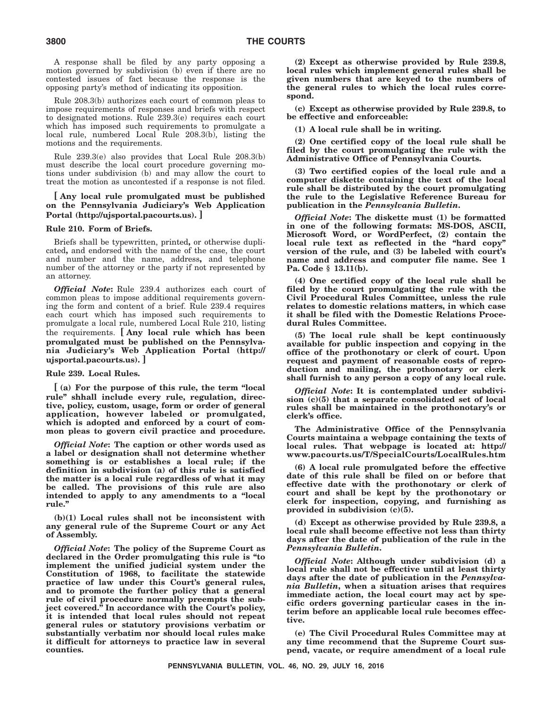A response shall be filed by any party opposing a motion governed by subdivision (b) even if there are no contested issues of fact because the response is the opposing party's method of indicating its opposition.

Rule 208.3(b) authorizes each court of common pleas to impose requirements of responses and briefs with respect to designated motions. Rule 239.3(e) requires each court which has imposed such requirements to promulgate a local rule, numbered Local Rule 208.3(b), listing the motions and the requirements.

Rule 239.3(e) also provides that Local Rule 208.3(b) must describe the local court procedure governing motions under subdivision (b) and may allow the court to treat the motion as uncontested if a response is not filed.

**[ Any local rule promulgated must be published on the Pennsylvania Judiciary's Web Application Portal (http://ujsportal.pacourts.us). ]**

#### **Rule 210. Form of Briefs.**

Briefs shall be typewritten, printed**,** or otherwise duplicated**,** and endorsed with the name of the case, the court and number and the name, address**,** and telephone number of the attorney or the party if not represented by an attorney.

*Official Note***:** Rule 239.4 authorizes each court of common pleas to impose additional requirements governing the form and content of a brief. Rule 239.4 requires each court which has imposed such requirements to promulgate a local rule, numbered Local Rule 210, listing the requirements. **[ Any local rule which has been promulgated must be published on the Pennsylvania Judiciary's Web Application Portal (http:// ujsportal.pacourts.us). ]**

#### **Rule 239. Local Rules.**

**[ (a) For the purpose of this rule, the term ''local rule'' shhall include every rule, regulation, directive, policy, custom, usage, form or order of general application, however labeled or promulgated, which is adopted and enforced by a court of common pleas to govern civil practice and procedure.**

*Official Note***: The caption or other words used as a label or designation shall not determine whether something is or establishes a local rule; if the definition in subdivision (a) of this rule is satisfied the matter is a local rule regardless of what it may be called. The provisions of this rule are also intended to apply to any amendments to a ''local rule.''**

**(b)(1) Local rules shall not be inconsistent with any general rule of the Supreme Court or any Act of Assembly.**

*Official Note***: The policy of the Supreme Court as declared in the Order promulgating this rule is ''to implement the unified judicial system under the Constitution of 1968, to facilitate the statewide practice of law under this Court's general rules, and to promote the further policy that a general rule of civil procedure normally preempts the subject covered.'' In accordance with the Court's policy, it is intended that local rules should not repeat general rules or statutory provisions verbatim or substantially verbatim nor should local rules make it difficult for attorneys to practice law in several counties.**

**(2) Except as otherwise provided by Rule 239.8, local rules which implement general rules shall be given numbers that are keyed to the numbers of the general rules to which the local rules correspond.**

**(c) Except as otherwise provided by Rule 239.8, to be effective and enforceable:**

**(1) A local rule shall be in writing.**

**(2) One certified copy of the local rule shall be filed by the court promulgating the rule with the Administrative Office of Pennsylvania Courts.**

**(3) Two certified copies of the local rule and a computer diskette containing the text of the local rule shall be distributed by the court promulgating the rule to the Legislative Reference Bureau for publication in the** *Pennsylvania Bulletin***.**

*Official Note***: The diskette must (1) be formatted in one of the following formats: MS-DOS, ASCII, Microsoft Word, or WordPerfect, (2) contain the local rule text as reflected in the ''hard copy'' version of the rule, and (3) be labeled with court's name and address and computer file name. See 1 Pa. Code § 13.11(b).**

**(4) One certified copy of the local rule shall be filed by the court promulgating the rule with the Civil Procedural Rules Committee, unless the rule relates to domestic relations matters, in which case it shall be filed with the Domestic Relations Procedural Rules Committee.**

**(5) The local rule shall be kept continuously available for public inspection and copying in the office of the prothonotary or clerk of court. Upon request and payment of reasonable costs of reproduction and mailing, the prothonotary or clerk shall furnish to any person a copy of any local rule.**

*Official Note***: It is contemplated under subdivision (c)(5) that a separate consolidated set of local rules shall be maintained in the prothonotary's or clerk's office.**

**The Administrative Office of the Pennsylvania Courts maintaina a webpage containing the texts of local rules. That webpage is located at: http:// www.pacourts.us/T/SpecialCourts/LocalRules.htm**

**(6) A local rule promulgated before the effective date of this rule shall be filed on or before that effective date with the prothonotary or clerk of court and shall be kept by the prothonotary or clerk for inspection, copying, and furnishing as provided in subdivision (c)(5).**

**(d) Except as otherwise provided by Rule 239.8, a local rule shall become effective not less than thirty days after the date of publication of the rule in the** *Pennsylvania Bulletin***.**

*Official Note***: Although under subdivision (d) a local rule shall not be effective until at least thirty days after the date of publication in the** *Pennsylvania Bulletin***, when a situation arises that requires immediate action, the local court may act by specific orders governing particular cases in the interim before an applicable local rule becomes effective.**

**(e) The Civil Procedural Rules Committee may at any time recommend that the Supreme Court suspend, vacate, or require amendment of a local rule**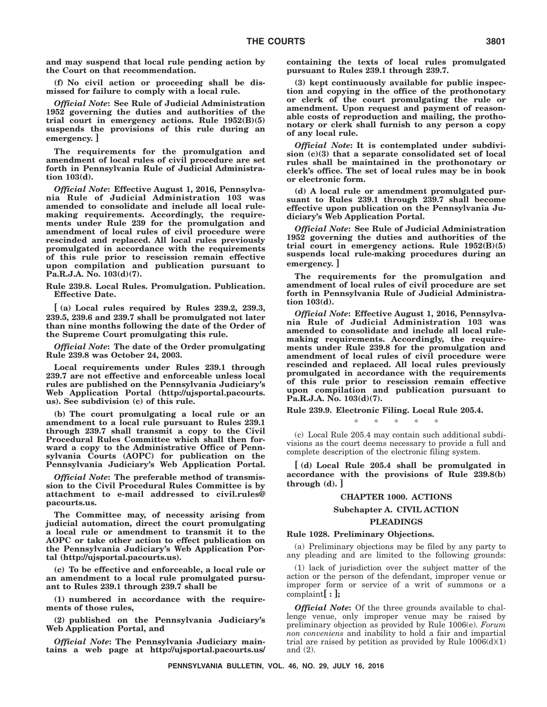**and may suspend that local rule pending action by the Court on that recommendation.**

**(f) No civil action or proceeding shall be dismissed for failure to comply with a local rule.**

*Official Note***: See Rule of Judicial Administration 1952 governing the duties and authorities of the trial court in emergency actions. Rule 1952(B)(5) suspends the provisions of this rule during an emergency. ]**

**The requirements for the promulgation and amendment of local rules of civil procedure are set forth in Pennsylvania Rule of Judicial Administration 103(d).**

*Official Note***: Effective August 1, 2016, Pennsylvania Rule of Judicial Administration 103 was amended to consolidate and include all local rulemaking requirements. Accordingly, the requirements under Rule 239 for the promulgation and amendment of local rules of civil procedure were rescinded and replaced. All local rules previously promulgated in accordance with the requirements of this rule prior to rescission remain effective upon compilation and publication pursuant to Pa.R.J.A. No. 103(d)(7).**

**Rule 239.8. Local Rules. Promulgation. Publication. Effective Date.**

**[ (a) Local rules required by Rules 239.2, 239.3, 239.5, 239.6 and 239.7 shall be promulgated not later than nine months following the date of the Order of the Supreme Court promulgating this rule.**

*Official Note***: The date of the Order promulgating Rule 239.8 was October 24, 2003.**

**Local requirements under Rules 239.1 through 239.7 are not effective and enforceable unless local rules are published on the Pennsylvania Judiciary's Web Application Portal (http://ujsportal.pacourts. us). See subdivision (c) of this rule.**

**(b) The court promulgating a local rule or an amendment to a local rule pursuant to Rules 239.1 through 239.7 shall transmit a copy to the Civil Procedural Rules Committee which shall then forward a copy to the Administrative Office of Pennsylvania Courts (AOPC) for publication on the Pennsylvania Judiciary's Web Application Portal.**

*Official Note***: The preferable method of transmission to the Civil Procedural Rules Committee is by attachment to e-mail addressed to civil.rules@ pacourts.us.**

**The Committee may, of necessity arising from judicial automation, direct the court promulgating a local rule or amendment to transmit it to the AOPC or take other action to effect publication on the Pennsylvania Judiciary's Web Application Portal (http://ujsportal.pacourts.us).**

**(c) To be effective and enforceable, a local rule or an amendment to a local rule promulgated pursuant to Rules 239.1 through 239.7 shall be**

**(1) numbered in accordance with the requirements of those rules,**

**(2) published on the Pennsylvania Judiciary's Web Application Portal, and**

*Official Note***: The Pennsylvania Judiciary maintains a web page at http://ujsportal.pacourts.us/** **containing the texts of local rules promulgated pursuant to Rules 239.1 through 239.7.**

**(3) kept continuously available for public inspection and copying in the office of the prothonotary or clerk of the court promulgating the rule or amendment. Upon request and payment of reasonable costs of reproduction and mailing, the prothonotary or clerk shall furnish to any person a copy of any local rule.**

*Official Note***: It is contemplated under subdivision (c)(3) that a separate consolidated set of local rules shall be maintained in the prothonotary or clerk's office. The set of local rules may be in book or electronic form.**

**(d) A local rule or amendment promulgated pursuant to Rules 239.1 through 239.7 shall become effective upon publication on the Pennsylvania Judiciary's Web Application Portal.**

*Official Note***: See Rule of Judicial Administration 1952 governing the duties and authorities of the trial court in emergency actions. Rule 1952(B)(5) suspends local rule-making procedures during an emergency. ]**

**The requirements for the promulgation and amendment of local rules of civil procedure are set forth in Pennsylvania Rule of Judicial Administration 103(d).**

*Official Note***: Effective August 1, 2016, Pennsylvania Rule of Judicial Administration 103 was amended to consolidate and include all local rulemaking requirements. Accordingly, the requirements under Rule 239.8 for the promulgation and amendment of local rules of civil procedure were rescinded and replaced. All local rules previously promulgated in accordance with the requirements of this rule prior to rescission remain effective upon compilation and publication pursuant to Pa.R.J.A. No. 103(d)(7).**

**Rule 239.9. Electronic Filing. Local Rule 205.4.**

 $* * * * * *$ 

(c) Local Rule 205.4 may contain such additional subdivisions as the court deems necessary to provide a full and complete description of the electronic filing system.

**[ (d) Local Rule 205.4 shall be promulgated in accordance with the provisions of Rule 239.8(b) through (d). ]**

#### **CHAPTER 1000. ACTIONS**

#### **Subchapter A. CIVIL ACTION**

#### **PLEADINGS**

#### **Rule 1028. Preliminary Objections.**

(a) Preliminary objections may be filed by any party to any pleading and are limited to the following grounds:

(1) lack of jurisdiction over the subject matter of the action or the person of the defendant, improper venue or improper form or service of a writ of summons or a complaint**[ : ];**

*Official Note***:** Of the three grounds available to challenge venue, only improper venue may be raised by preliminary objection as provided by Rule 1006(e). *Forum non conveniens* and inability to hold a fair and impartial trial are raised by petition as provided by Rule  $1006(d)(1)$ and (2).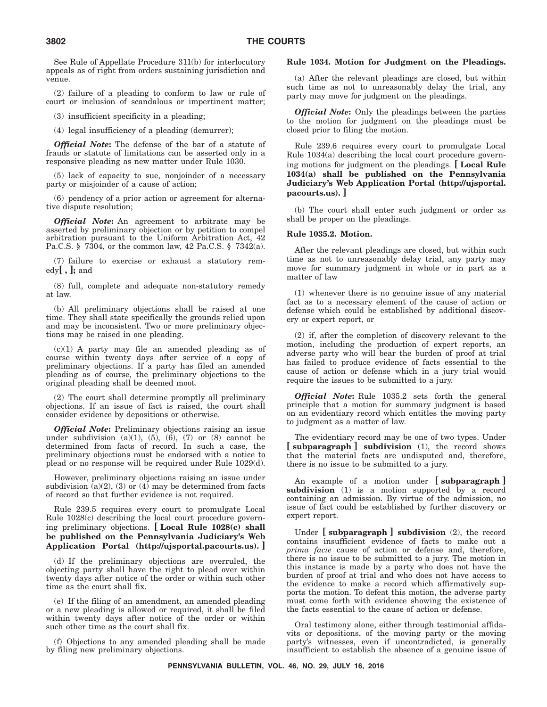See Rule of Appellate Procedure 311(b) for interlocutory appeals as of right from orders sustaining jurisdiction and venue.

(2) failure of a pleading to conform to law or rule of court or inclusion of scandalous or impertinent matter;

(3) insufficient specificity in a pleading;

(4) legal insufficiency of a pleading (demurrer);

*Official Note***:** The defense of the bar of a statute of frauds or statute of limitations can be asserted only in a responsive pleading as new matter under Rule 1030.

(5) lack of capacity to sue, nonjoinder of a necessary party or misjoinder of a cause of action;

(6) pendency of a prior action or agreement for alternative dispute resolution;

*Official Note***:** An agreement to arbitrate may be asserted by preliminary objection or by petition to compel arbitration pursuant to the Uniform Arbitration Act, 42 Pa.C.S. § 7304, or the common law, 42 Pa.C.S. § 7342(a).

(7) failure to exercise or exhaust a statutory remedy**[ , ];** and

(8) full, complete and adequate non-statutory remedy at law.

(b) All preliminary objections shall be raised at one time. They shall state specifically the grounds relied upon and may be inconsistent. Two or more preliminary objections may be raised in one pleading.

(c)(1) A party may file an amended pleading as of course within twenty days after service of a copy of preliminary objections. If a party has filed an amended pleading as of course, the preliminary objections to the original pleading shall be deemed moot.

(2) The court shall determine promptly all preliminary objections. If an issue of fact is raised, the court shall consider evidence by depositions or otherwise.

*Official Note***:** Preliminary objections raising an issue under subdivision  $(a)(1)$ ,  $(5)$ ,  $(6)$ ,  $(7)$  or  $(8)$  cannot be determined from facts of record. In such a case, the preliminary objections must be endorsed with a notice to plead or no response will be required under Rule 1029(d).

However, preliminary objections raising an issue under subdivision  $(a)(2)$ ,  $(3)$  or  $(4)$  may be determined from facts of record so that further evidence is not required.

Rule 239.5 requires every court to promulgate Local Rule 1028(c) describing the local court procedure governing preliminary objections. **[ Local Rule 1028(c) shall be published on the Pennsylvania Judiciary's Web Application Portal (http://ujsportal.pacourts.us). ]**

(d) If the preliminary objections are overruled, the objecting party shall have the right to plead over within twenty days after notice of the order or within such other time as the court shall fix.

(e) If the filing of an amendment, an amended pleading or a new pleading is allowed or required, it shall be filed within twenty days after notice of the order or within such other time as the court shall fix.

(f) Objections to any amended pleading shall be made by filing new preliminary objections.

#### **Rule 1034. Motion for Judgment on the Pleadings.**

(a) After the relevant pleadings are closed, but within such time as not to unreasonably delay the trial, any party may move for judgment on the pleadings.

*Official Note***:** Only the pleadings between the parties to the motion for judgment on the pleadings must be closed prior to filing the motion.

Rule 239.6 requires every court to promulgate Local Rule 1034(a) describing the local court procedure governing motions for judgment on the pleadings. **[ Local Rule 1034(a) shall be published on the Pennsylvania Judiciary's Web Application Portal (http://ujsportal. pacourts.us). ]**

(b) The court shall enter such judgment or order as shall be proper on the pleadings.

#### **Rule 1035.2. Motion.**

After the relevant pleadings are closed, but within such time as not to unreasonably delay trial, any party may move for summary judgment in whole or in part as a matter of law

(1) whenever there is no genuine issue of any material fact as to a necessary element of the cause of action or defense which could be established by additional discovery or expert report, or

(2) if, after the completion of discovery relevant to the motion, including the production of expert reports, an adverse party who will bear the burden of proof at trial has failed to produce evidence of facts essential to the cause of action or defense which in a jury trial would require the issues to be submitted to a jury.

*Official Note***:** Rule 1035.2 sets forth the general principle that a motion for summary judgment is based on an evidentiary record which entitles the moving party to judgment as a matter of law.

The evidentiary record may be one of two types. Under **[ subparagraph ] subdivision** (1), the record shows that the material facts are undisputed and, therefore, there is no issue to be submitted to a jury.

An example of a motion under **[ subparagraph ] subdivision** (1) is a motion supported by a record containing an admission. By virtue of the admission, no issue of fact could be established by further discovery or expert report.

Under **[ subparagraph ] subdivision** (2), the record contains insufficient evidence of facts to make out a *prima facie* cause of action or defense and, therefore, there is no issue to be submitted to a jury. The motion in this instance is made by a party who does not have the burden of proof at trial and who does not have access to the evidence to make a record which affirmatively supports the motion. To defeat this motion, the adverse party must come forth with evidence showing the existence of the facts essential to the cause of action or defense.

Oral testimony alone, either through testimonial affidavits or depositions, of the moving party or the moving party's witnesses, even if uncontradicted, is generally insufficient to establish the absence of a genuine issue of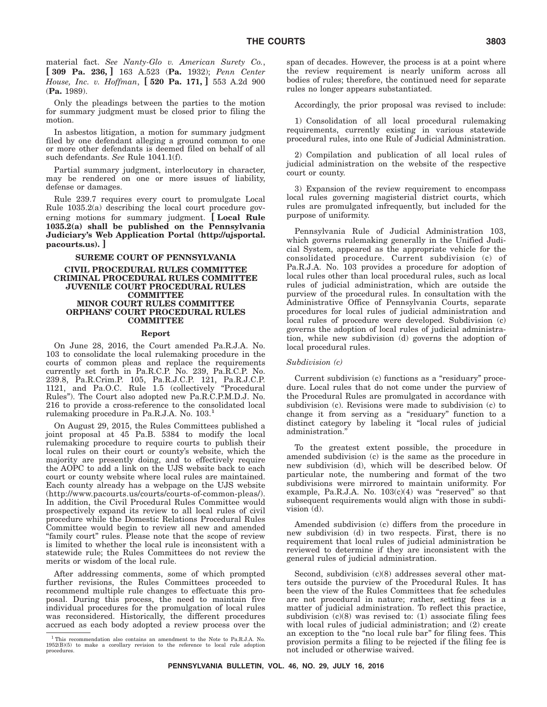material fact. *See Nanty-Glo v. American Surety Co.*, **[ 309 Pa. 236, ]** 163 A.523 (**Pa.** 1932); *Penn Center House, Inc. v. Hoffman*, **[ 520 Pa. 171, ]** 553 A.2d 900 (**Pa.** 1989).

Only the pleadings between the parties to the motion for summary judgment must be closed prior to filing the motion.

In asbestos litigation, a motion for summary judgment filed by one defendant alleging a ground common to one or more other defendants is deemed filed on behalf of all such defendants. *See* Rule 1041.1(f).

Partial summary judgment, interlocutory in character, may be rendered on one or more issues of liability, defense or damages.

Rule 239.7 requires every court to promulgate Local Rule 1035.2(a) describing the local court procedure governing motions for summary judgment. **[ Local Rule 1035.2(a) shall be published on the Pennsylvania Judiciary's Web Application Portal (http://ujsportal. pacourts.us). ]**

#### **SUREME COURT OF PENNSYLVANIA**

#### **CIVIL PROCEDURAL RULES COMMITTEE CRIMINAL PROCEDURAL RULES COMMITTEE JUVENILE COURT PROCEDURAL RULES COMMITTEE MINOR COURT RULES COMMITTEE ORPHANS' COURT PROCEDURAL RULES COMMITTEE**

#### **Report**

On June 28, 2016, the Court amended Pa.R.J.A. No. 103 to consolidate the local rulemaking procedure in the courts of common pleas and replace the requirements currently set forth in Pa.R.C.P. No. 239, Pa.R.C.P. No. 239.8, Pa.R.Crim.P. 105, Pa.R.J.C.P. 121, Pa.R.J.C.P. 1121, and Pa.O.C. Rule 1.5 (collectively "Procedural Rules''). The Court also adopted new Pa.R.C.P.M.D.J. No. 216 to provide a cross-reference to the consolidated local rulemaking procedure in Pa.R.J.A. No. 103.1

On August 29, 2015, the Rules Committees published a joint proposal at 45 Pa.B. 5384 to modify the local rulemaking procedure to require courts to publish their local rules on their court or county's website, which the majority are presently doing, and to effectively require the AOPC to add a link on the UJS website back to each court or county website where local rules are maintained. Each county already has a webpage on the UJS website (http://www.pacourts.us/courts/courts-of-common-pleas/). In addition, the Civil Procedural Rules Committee would prospectively expand its review to all local rules of civil procedure while the Domestic Relations Procedural Rules Committee would begin to review all new and amended "family court" rules. Please note that the scope of review is limited to whether the local rule is inconsistent with a statewide rule; the Rules Committees do not review the merits or wisdom of the local rule.

After addressing comments, some of which prompted further revisions, the Rules Committees proceeded to recommend multiple rule changes to effectuate this proposal. During this process, the need to maintain five individual procedures for the promulgation of local rules was reconsidered. Historically, the different procedures accrued as each body adopted a review process over the

<sup>1</sup> This recommendation also contains an amendment to the Note to Pa.R.J.A. No. 1952(B)(5) to make a corollary revision to the reference to local rule adoption procedures.

span of decades. However, the process is at a point where the review requirement is nearly uniform across all bodies of rules; therefore, the continued need for separate rules no longer appears substantiated.

Accordingly, the prior proposal was revised to include:

1) Consolidation of all local procedural rulemaking requirements, currently existing in various statewide procedural rules, into one Rule of Judicial Administration.

2) Compilation and publication of all local rules of judicial administration on the website of the respective court or county.

3) Expansion of the review requirement to encompass local rules governing magisterial district courts, which rules are promulgated infrequently, but included for the purpose of uniformity.

Pennsylvania Rule of Judicial Administration 103, which governs rulemaking generally in the Unified Judicial System, appeared as the appropriate vehicle for the consolidated procedure. Current subdivision (c) of Pa.R.J.A. No. 103 provides a procedure for adoption of local rules other than local procedural rules, such as local rules of judicial administration, which are outside the purview of the procedural rules. In consultation with the Administrative Office of Pennsylvania Courts, separate procedures for local rules of judicial administration and local rules of procedure were developed. Subdivision (c) governs the adoption of local rules of judicial administration, while new subdivision (d) governs the adoption of local procedural rules.

#### *Subdivision (c)*

Current subdivision (c) functions as a ''residuary'' procedure. Local rules that do not come under the purview of the Procedural Rules are promulgated in accordance with subdivision (c). Revisions were made to subdivision (c) to change it from serving as a "residuary" function to a distinct category by labeling it ''local rules of judicial administration.''

To the greatest extent possible, the procedure in amended subdivision (c) is the same as the procedure in new subdivision (d), which will be described below. Of particular note, the numbering and format of the two subdivisions were mirrored to maintain uniformity. For example, Pa.R.J.A. No.  $103(c)(4)$  was "reserved" so that subsequent requirements would align with those in subdivision (d).

Amended subdivision (c) differs from the procedure in new subdivision (d) in two respects. First, there is no requirement that local rules of judicial administration be reviewed to determine if they are inconsistent with the general rules of judicial administration.

Second, subdivision  $(c)(8)$  addresses several other matters outside the purview of the Procedural Rules. It has been the view of the Rules Committees that fee schedules are not procedural in nature; rather, setting fees is a matter of judicial administration. To reflect this practice, subdivision  $(c)(8)$  was revised to: (1) associate filing fees with local rules of judicial administration; and (2) create an exception to the "no local rule bar" for filing fees. This provision permits a filing to be rejected if the filing fee is not included or otherwise waived.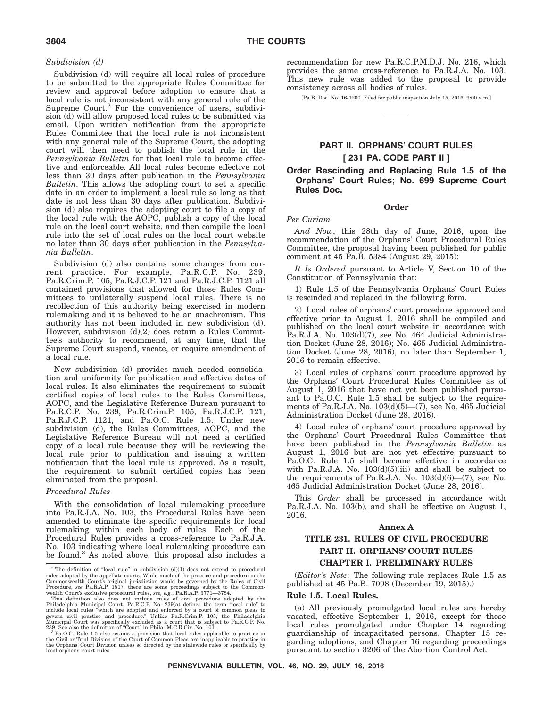#### *Subdivision (d)*

Subdivision (d) will require all local rules of procedure to be submitted to the appropriate Rules Committee for review and approval before adoption to ensure that a local rule is not inconsistent with any general rule of the Supreme Court.<sup>2</sup> For the convenience of users, subdivision (d) will allow proposed local rules to be submitted via email. Upon written notification from the appropriate Rules Committee that the local rule is not inconsistent with any general rule of the Supreme Court, the adopting court will then need to publish the local rule in the *Pennsylvania Bulletin* for that local rule to become effective and enforceable. All local rules become effective not less than 30 days after publication in the *Pennsylvania Bulletin*. This allows the adopting court to set a specific date in an order to implement a local rule so long as that date is not less than 30 days after publication. Subdivision (d) also requires the adopting court to file a copy of the local rule with the AOPC, publish a copy of the local rule on the local court website, and then compile the local rule into the set of local rules on the local court website no later than 30 days after publication in the *Pennsylvania Bulletin*.

Subdivision (d) also contains some changes from current practice. For example, Pa.R.C.P. No. 239, Pa.R.Crim.P. 105, Pa.R.J.C.P. 121 and Pa.R.J.C.P. 1121 all contained provisions that allowed for those Rules Committees to unilaterally suspend local rules. There is no recollection of this authority being exercised in modern rulemaking and it is believed to be an anachronism. This authority has not been included in new subdivision (d). However, subdivision (d)(2) does retain a Rules Committee's authority to recommend, at any time, that the Supreme Court suspend, vacate, or require amendment of a local rule.

New subdivision (d) provides much needed consolidation and uniformity for publication and effective dates of local rules. It also eliminates the requirement to submit certified copies of local rules to the Rules Committees, AOPC, and the Legislative Reference Bureau pursuant to Pa.R.C.P. No. 239, Pa.R.Crim.P. 105, Pa.R.J.C.P. 121, Pa.R.J.C.P. 1121, and Pa.O.C. Rule 1.5. Under new subdivision (d), the Rules Committees, AOPC, and the Legislative Reference Bureau will not need a certified copy of a local rule because they will be reviewing the local rule prior to publication and issuing a written notification that the local rule is approved. As a result, the requirement to submit certified copies has been eliminated from the proposal.

#### *Procedural Rules*

With the consolidation of local rulemaking procedure into Pa.R.J.A. No. 103, the Procedural Rules have been amended to eliminate the specific requirements for local rulemaking within each body of rules. Each of the Procedural Rules provides a cross-reference to Pa.R.J.A. No. 103 indicating where local rulemaking procedure can be found.<sup>3</sup> As noted above, this proposal also includes a

recommendation for new Pa.R.C.P.M.D.J. No. 216, which provides the same cross-reference to Pa.R.J.A. No. 103. This new rule was added to the proposal to provide consistency across all bodies of rules.

[Pa.B. Doc. No. 16-1200. Filed for public inspection July 15, 2016, 9:00 a.m.]

# **PART II. ORPHANS' COURT RULES**

# **[ 231 PA. CODE PART II ]**

# **Order Rescinding and Replacing Rule 1.5 of the Orphans' Court Rules; No. 699 Supreme Court Rules Doc.**

# **Order**

*Per Curiam*

*And Now*, this 28th day of June, 2016, upon the recommendation of the Orphans' Court Procedural Rules Committee, the proposal having been published for public comment at 45 Pa.B. 5384 (August 29, 2015):

*It Is Ordered* pursuant to Article V, Section 10 of the Constitution of Pennsylvania that:

1) Rule 1.5 of the Pennsylvania Orphans' Court Rules is rescinded and replaced in the following form.

2) Local rules of orphans' court procedure approved and effective prior to August 1, 2016 shall be compiled and published on the local court website in accordance with Pa.R.J.A. No. 103(d)(7), see No. 464 Judicial Administration Docket (June 28, 2016); No. 465 Judicial Administration Docket (June 28, 2016), no later than September 1, 2016 to remain effective.

3) Local rules of orphans' court procedure approved by the Orphans' Court Procedural Rules Committee as of August 1, 2016 that have not yet been published pursuant to Pa.O.C. Rule 1.5 shall be subject to the requirements of Pa.R.J.A. No. 103(d)(5)—(7), see No. 465 Judicial Administration Docket (June 28, 2016).

4) Local rules of orphans' court procedure approved by the Orphans' Court Procedural Rules Committee that have been published in the *Pennsylvania Bulletin* as August 1, 2016 but are not yet effective pursuant to Pa.O.C. Rule 1.5 shall become effective in accordance with Pa.R.J.A. No.  $103(d)(5)(iii)$  and shall be subject to the requirements of Pa.R.J.A. No.  $103(d)(6)$ — $(7)$ , see No. 465 Judicial Administration Docket (June 28, 2016).

This *Order* shall be processed in accordance with Pa.R.J.A. No. 103(b), and shall be effective on August 1, 2016.

#### **Annex A**

# **TITLE 231. RULES OF CIVIL PROCEDURE PART II. ORPHANS' COURT RULES CHAPTER I. PRELIMINARY RULES**

(*Editor's Note*: The following rule replaces Rule 1.5 as published at 45 Pa.B. 7098 (December 19, 2015).)

#### **Rule 1.5. Local Rules.**

(a) All previously promulgated local rules are hereby vacated, effective September 1, 2016, except for those local rules promulgated under Chapter 14 regarding guardianship of incapacitated persons, Chapter 15 regarding adoptions, and Chapter 16 regarding proceedings pursuant to section 3206 of the Abortion Control Act.

<sup>&</sup>lt;sup>2</sup> The definition of "local rule" in subdivision  $(d)(1)$  does not extend to procedural<br>rules adopted by the appellate courts. While much of the practice and procedure in the<br>Commonwealth Court's original jurisdiction woul

wealth Court's exclusive procedural rules, see, e.g., Pa.R.A.P. 3771—3784.<br>This definition also does not include rules of civil procedure adopted by the<br>Philadelphia Municipal Court. Pa.R.C.P. No. 239(a) defines the term

the Civil or Trial Division of the Court of Common Pleas are inapplicable to practice in the Orphans' Court Division unless so directed by the statewide rules or specifically by local orphans' court rules.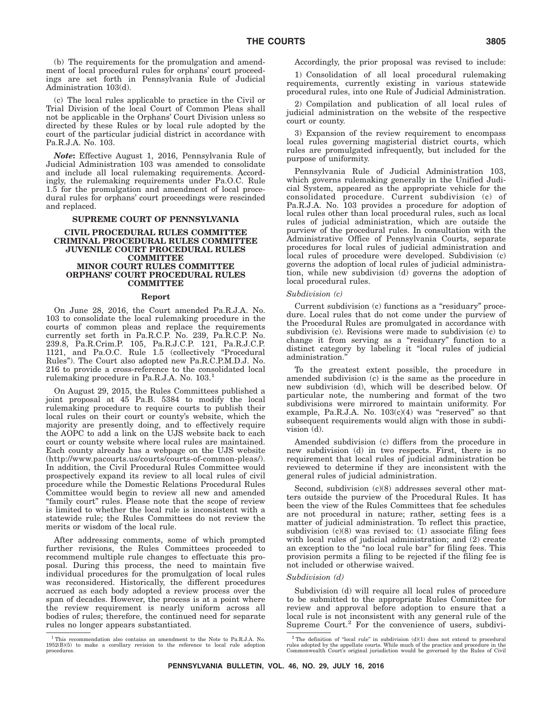(b) The requirements for the promulgation and amendment of local procedural rules for orphans' court proceedings are set forth in Pennsylvania Rule of Judicial Administration 103(d).

(c) The local rules applicable to practice in the Civil or Trial Division of the local Court of Common Pleas shall not be applicable in the Orphans' Court Division unless so directed by these Rules or by local rule adopted by the court of the particular judicial district in accordance with Pa.R.J.A. No. 103.

*Note***:** Effective August 1, 2016, Pennsylvania Rule of Judicial Administration 103 was amended to consolidate and include all local rulemaking requirements. Accordingly, the rulemaking requirements under Pa.O.C. Rule 1.5 for the promulgation and amendment of local procedural rules for orphans' court proceedings were rescinded and replaced.

#### **SUPREME COURT OF PENNSYLVANIA**

#### **CIVIL PROCEDURAL RULES COMMITTEE CRIMINAL PROCEDURAL RULES COMMITTEE JUVENILE COURT PROCEDURAL RULES COMMITTEE MINOR COURT RULES COMMITTEE ORPHANS' COURT PROCEDURAL RULES COMMITTEE**

#### **Report**

On June 28, 2016, the Court amended Pa.R.J.A. No. 103 to consolidate the local rulemaking procedure in the courts of common pleas and replace the requirements currently set forth in Pa.R.C.P. No. 239, Pa.R.C.P. No. 239.8, Pa.R.Crim.P. 105, Pa.R.J.C.P. 121, Pa.R.J.C.P. 1121, and Pa.O.C. Rule 1.5 (collectively "Procedural Rules''). The Court also adopted new Pa.R.C.P.M.D.J. No. 216 to provide a cross-reference to the consolidated local rulemaking procedure in Pa.R.J.A. No. 103.<sup>1</sup>

On August 29, 2015, the Rules Committees published a joint proposal at 45 Pa.B. 5384 to modify the local rulemaking procedure to require courts to publish their local rules on their court or county's website, which the majority are presently doing, and to effectively require the AOPC to add a link on the UJS website back to each court or county website where local rules are maintained. Each county already has a webpage on the UJS website (http://www.pacourts.us/courts/courts-of-common-pleas/). In addition, the Civil Procedural Rules Committee would prospectively expand its review to all local rules of civil procedure while the Domestic Relations Procedural Rules Committee would begin to review all new and amended "family court" rules. Please note that the scope of review is limited to whether the local rule is inconsistent with a statewide rule; the Rules Committees do not review the merits or wisdom of the local rule.

After addressing comments, some of which prompted further revisions, the Rules Committees proceeded to recommend multiple rule changes to effectuate this proposal. During this process, the need to maintain five individual procedures for the promulgation of local rules was reconsidered. Historically, the different procedures accrued as each body adopted a review process over the span of decades. However, the process is at a point where the review requirement is nearly uniform across all bodies of rules; therefore, the continued need for separate rules no longer appears substantiated.

<sup>1</sup> This recommendation also contains an amendment to the Note to Pa.R.J.A. No. 1952(B)(5) to make a corollary revision to the reference to local rule adoption procedures.

Accordingly, the prior proposal was revised to include:

1) Consolidation of all local procedural rulemaking requirements, currently existing in various statewide procedural rules, into one Rule of Judicial Administration.

2) Compilation and publication of all local rules of judicial administration on the website of the respective court or county.

3) Expansion of the review requirement to encompass local rules governing magisterial district courts, which rules are promulgated infrequently, but included for the purpose of uniformity.

Pennsylvania Rule of Judicial Administration 103, which governs rulemaking generally in the Unified Judicial System, appeared as the appropriate vehicle for the consolidated procedure. Current subdivision (c) of Pa.R.J.A. No. 103 provides a procedure for adoption of local rules other than local procedural rules, such as local rules of judicial administration, which are outside the purview of the procedural rules. In consultation with the Administrative Office of Pennsylvania Courts, separate procedures for local rules of judicial administration and local rules of procedure were developed. Subdivision (c) governs the adoption of local rules of judicial administration, while new subdivision (d) governs the adoption of local procedural rules.

#### *Subdivision (c)*

Current subdivision (c) functions as a ''residuary'' procedure. Local rules that do not come under the purview of the Procedural Rules are promulgated in accordance with subdivision (c). Revisions were made to subdivision (c) to change it from serving as a "residuary" function to a distinct category by labeling it ''local rules of judicial administration.''

To the greatest extent possible, the procedure in amended subdivision (c) is the same as the procedure in new subdivision (d), which will be described below. Of particular note, the numbering and format of the two subdivisions were mirrored to maintain uniformity. For example, Pa.R.J.A. No.  $103(c)(4)$  was "reserved" so that subsequent requirements would align with those in subdivision (d).

Amended subdivision (c) differs from the procedure in new subdivision (d) in two respects. First, there is no requirement that local rules of judicial administration be reviewed to determine if they are inconsistent with the general rules of judicial administration.

Second, subdivision (c)(8) addresses several other matters outside the purview of the Procedural Rules. It has been the view of the Rules Committees that fee schedules are not procedural in nature; rather, setting fees is a matter of judicial administration. To reflect this practice, subdivision  $(c)(8)$  was revised to: (1) associate filing fees with local rules of judicial administration; and (2) create an exception to the "no local rule bar" for filing fees. This provision permits a filing to be rejected if the filing fee is not included or otherwise waived.

#### *Subdivision (d)*

Subdivision (d) will require all local rules of procedure to be submitted to the appropriate Rules Committee for review and approval before adoption to ensure that a local rule is not inconsistent with any general rule of the Supreme Court.<sup>2</sup> For the convenience of users, subdivi-

<sup>&</sup>lt;sup>2</sup> The definition of "local rule" in subdivision  $(d)(1)$  does not extend to procedural values adopted by the appellate courts. While much of the practice and procedure in the commonwealth Court's original jurisdiction wou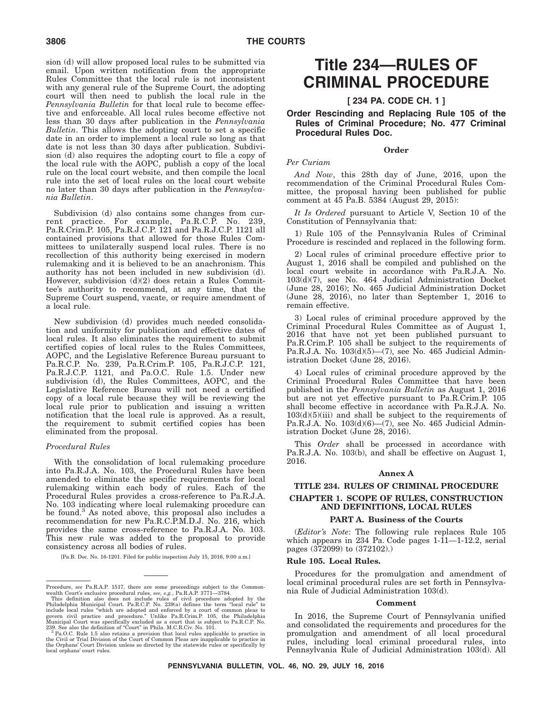sion (d) will allow proposed local rules to be submitted via email. Upon written notification from the appropriate Rules Committee that the local rule is not inconsistent with any general rule of the Supreme Court, the adopting court will then need to publish the local rule in the *Pennsylvania Bulletin* for that local rule to become effective and enforceable. All local rules become effective not less than 30 days after publication in the *Pennsylvania Bulletin*. This allows the adopting court to set a specific date in an order to implement a local rule so long as that date is not less than 30 days after publication. Subdivision (d) also requires the adopting court to file a copy of the local rule with the AOPC, publish a copy of the local rule on the local court website, and then compile the local rule into the set of local rules on the local court website no later than 30 days after publication in the *Pennsylvania Bulletin*.

Subdivision (d) also contains some changes from current practice. For example, Pa.R.C.P. No. 239, Pa.R.Crim.P. 105, Pa.R.J.C.P. 121 and Pa.R.J.C.P. 1121 all contained provisions that allowed for those Rules Committees to unilaterally suspend local rules. There is no recollection of this authority being exercised in modern rulemaking and it is believed to be an anachronism. This authority has not been included in new subdivision (d). However, subdivision (d)(2) does retain a Rules Committee's authority to recommend, at any time, that the Supreme Court suspend, vacate, or require amendment of a local rule.

New subdivision (d) provides much needed consolidation and uniformity for publication and effective dates of local rules. It also eliminates the requirement to submit certified copies of local rules to the Rules Committees, AOPC, and the Legislative Reference Bureau pursuant to Pa.R.C.P. No. 239, Pa.R.Crim.P. 105, Pa.R.J.C.P. 121, Pa.R.J.C.P. 1121, and Pa.O.C. Rule 1.5. Under new subdivision (d), the Rules Committees, AOPC, and the Legislative Reference Bureau will not need a certified copy of a local rule because they will be reviewing the local rule prior to publication and issuing a written notification that the local rule is approved. As a result, the requirement to submit certified copies has been eliminated from the proposal.

#### *Procedural Rules*

With the consolidation of local rulemaking procedure into Pa.R.J.A. No. 103, the Procedural Rules have been amended to eliminate the specific requirements for local rulemaking within each body of rules. Each of the Procedural Rules provides a cross-reference to Pa.R.J.A. No. 103 indicating where local rulemaking procedure can be found.<sup>3</sup> As noted above, this proposal also includes a recommendation for new Pa.R.C.P.M.D.J. No. 216, which provides the same cross-reference to Pa.R.J.A. No. 103. This new rule was added to the proposal to provide consistency across all bodies of rules.

[Pa.B. Doc. No. 16-1201. Filed for public inspection July 15, 2016, 9:00 a.m.]

# **Title 234—RULES OF CRIMINAL PROCEDURE**

# **[ 234 PA. CODE CH. 1 ]**

# **Order Rescinding and Replacing Rule 105 of the Rules of Criminal Procedure; No. 477 Criminal Procedural Rules Doc.**

# **Order**

#### *Per Curiam*

*And Now*, this 28th day of June, 2016, upon the recommendation of the Criminal Procedural Rules Committee, the proposal having been published for public comment at  $\overline{45}$  Pa.B. 5384 (August 29, 2015):

*It Is Ordered* pursuant to Article V, Section 10 of the Constitution of Pennsylvania that:

1) Rule 105 of the Pennsylvania Rules of Criminal Procedure is rescinded and replaced in the following form.

2) Local rules of criminal procedure effective prior to August 1, 2016 shall be compiled and published on the local court website in accordance with Pa.R.J.A. No. 103(d)(7), see No. 464 Judicial Administration Docket (June 28, 2016); No. 465 Judicial Administration Docket (June 28, 2016), no later than September 1, 2016 to remain effective.

3) Local rules of criminal procedure approved by the Criminal Procedural Rules Committee as of August 1, 2016 that have not yet been published pursuant to Pa.R.Crim.P. 105 shall be subject to the requirements of Pa.R.J.A. No. 103(d)(5)—(7), see No. 465 Judicial Administration Docket (June 28, 2016).

4) Local rules of criminal procedure approved by the Criminal Procedural Rules Committee that have been published in the *Pennsylvania Bulletin* as August 1, 2016 but are not yet effective pursuant to Pa.R.Crim.P. 105 shall become effective in accordance with Pa.R.J.A. No. 103(d)(5)(iii) and shall be subject to the requirements of Pa.R.J.A. No. 103(d)(6)—(7), see No. 465 Judicial Administration Docket (June 28, 2016).

This *Order* shall be processed in accordance with Pa.R.J.A. No. 103(b), and shall be effective on August 1, 2016.

#### **Annex A**

#### **TITLE 234. RULES OF CRIMINAL PROCEDURE**

#### **CHAPTER 1. SCOPE OF RULES, CONSTRUCTION AND DEFINITIONS, LOCAL RULES**

#### **PART A. Business of the Courts**

(*Editor's Note*: The following rule replaces Rule 105 which appears in 234 Pa. Code pages 1-11-1-12.2, serial pages (372099) to (372102).)

#### **Rule 105. Local Rules.**

Procedures for the promulgation and amendment of local criminal procedural rules are set forth in Pennsylvania Rule of Judicial Administration 103(d).

#### **Comment**

In 2016, the Supreme Court of Pennsylvania unified and consolidated the requirements and procedures for the promulgation and amendment of all local procedural rules, including local criminal procedural rules, into Pennsylvania Rule of Judicial Administration 103(d). All

Procedure, see Pa.R.A.P. 1517, there are some proceedings subject to the Common-<br>wealth Court's exclusive procedural rules, see, e.g., Pa.R.A.P. 3771—3784.<br>This definition also does not include rules of civil procedure ad

the Civil or Trial Division of the Court of Common Pleas are inapplicable to practice in the Orphans' Court Division unless so directed by the statewide rules or specifically by local orphans' court rules.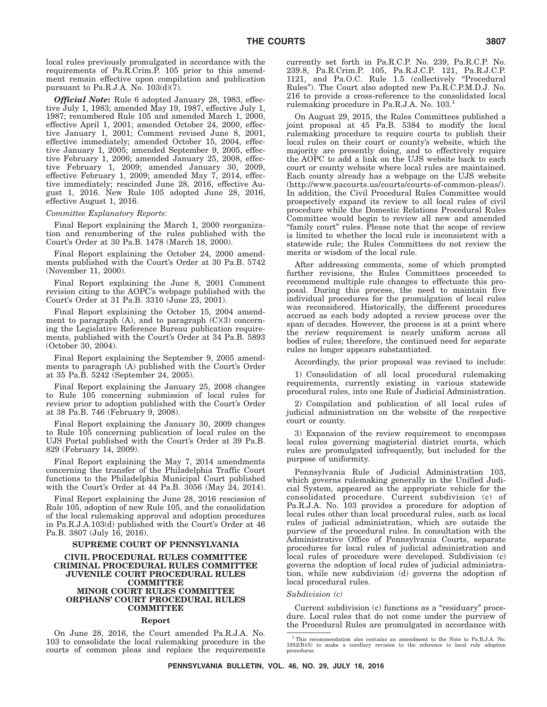local rules previously promulgated in accordance with the requirements of Pa.R.Crim.P. 105 prior to this amendment remain effective upon compilation and publication pursuant to Pa.R.J.A. No. 103(d)(7).

*Official Note***:** Rule 6 adopted January 28, 1983, effective July 1, 1983; amended May 19, 1987, effective July 1, 1987; renumbered Rule 105 and amended March 1, 2000, effective April 1, 2001; amended October 24, 2000, effective January 1, 2001; Comment revised June 8, 2001, effective immediately; amended October 15, 2004, effective January 1, 2005; amended September 9, 2005, effective February 1, 2006; amended January 25, 2008, effective February 1, 2009; amended January 30, 2009, effective February 1, 2009; amended May 7, 2014, effective immediately; rescinded June 28, 2016, effective August 1, 2016. New Rule 105 adopted June 28, 2016, effective August 1, 2016.

#### *Committee Explanatory Reports*:

Final Report explaining the March 1, 2000 reorganization and renumbering of the rules published with the Court's Order at 30 Pa.B. 1478 (March 18, 2000).

Final Report explaining the October 24, 2000 amendments published with the Court's Order at 30 Pa.B. 5742 (November 11, 2000).

Final Report explaining the June 8, 2001 Comment revision citing to the AOPC's webpage published with the Court's Order at 31 Pa.B. 3310 (June 23, 2001).

Final Report explaining the October 15, 2004 amendment to paragraph  $(A)$ , and to paragraph  $(C)(3)$  concerning the Legislative Reference Bureau publication requirements, published with the Court's Order at 34 Pa.B. 5893 (October 30, 2004).

Final Report explaining the September 9, 2005 amendments to paragraph (A) published with the Court's Order at 35 Pa.B. 5242 (September 24, 2005).

Final Report explaining the January 25, 2008 changes to Rule 105 concerning submission of local rules for review prior to adoption published with the Court's Order at 38 Pa.B. 746 (February 9, 2008).

Final Report explaining the January 30, 2009 changes to Rule 105 concerning publication of local rules on the UJS Portal published with the Court's Order at 39 Pa.B. 829 (February 14, 2009).

Final Report explaining the May 7, 2014 amendments concerning the transfer of the Philadelphia Traffic Court functions to the Philadelphia Municipal Court published with the Court's Order at 44 Pa.B. 3056 (May 24, 2014).

Final Report explaining the June 28, 2016 rescission of Rule 105, adoption of new Rule 105, and the consolidation of the local rulemaking approval and adoption procedures in Pa.R.J.A.103(d) published with the Court's Order at 46 Pa.B. 3807 (July 16, 2016).

#### **SUPREME COURT OF PENNSYLVANIA**

#### **CIVIL PROCEDURAL RULES COMMITTEE CRIMINAL PROCEDURAL RULES COMMITTEE JUVENILE COURT PROCEDURAL RULES COMMITTEE MINOR COURT RULES COMMITTEE ORPHANS' COURT PROCEDURAL RULES COMMITTEE**

#### **Report**

On June 28, 2016, the Court amended Pa.R.J.A. No. 103 to consolidate the local rulemaking procedure in the courts of common pleas and replace the requirements currently set forth in Pa.R.C.P. No. 239, Pa.R.C.P. No. 239.8, Pa.R.Crim.P. 105, Pa.R.J.C.P. 121, Pa.R.J.C.P. 1121, and Pa.O.C. Rule 1.5 (collectively "Procedural Rules''). The Court also adopted new Pa.R.C.P.M.D.J. No. 216 to provide a cross-reference to the consolidated local rulemaking procedure in Pa.R.J.A. No. 103.1

On August 29, 2015, the Rules Committees published a joint proposal at 45 Pa.B. 5384 to modify the local rulemaking procedure to require courts to publish their local rules on their court or county's website, which the majority are presently doing, and to effectively require the AOPC to add a link on the UJS website back to each court or county website where local rules are maintained. Each county already has a webpage on the UJS website (http://www.pacourts.us/courts/courts-of-common-pleas/). In addition, the Civil Procedural Rules Committee would prospectively expand its review to all local rules of civil procedure while the Domestic Relations Procedural Rules Committee would begin to review all new and amended "family court" rules. Please note that the scope of review is limited to whether the local rule is inconsistent with a statewide rule; the Rules Committees do not review the merits or wisdom of the local rule.

After addressing comments, some of which prompted further revisions, the Rules Committees proceeded to recommend multiple rule changes to effectuate this proposal. During this process, the need to maintain five individual procedures for the promulgation of local rules was reconsidered. Historically, the different procedures accrued as each body adopted a review process over the span of decades. However, the process is at a point where the review requirement is nearly uniform across all bodies of rules; therefore, the continued need for separate rules no longer appears substantiated.

Accordingly, the prior proposal was revised to include:

1) Consolidation of all local procedural rulemaking requirements, currently existing in various statewide procedural rules, into one Rule of Judicial Administration.

2) Compilation and publication of all local rules of judicial administration on the website of the respective court or county.

3) Expansion of the review requirement to encompass local rules governing magisterial district courts, which rules are promulgated infrequently, but included for the purpose of uniformity.

Pennsylvania Rule of Judicial Administration 103, which governs rulemaking generally in the Unified Judicial System, appeared as the appropriate vehicle for the consolidated procedure. Current subdivision (c) of Pa.R.J.A. No. 103 provides a procedure for adoption of local rules other than local procedural rules, such as local rules of judicial administration, which are outside the purview of the procedural rules. In consultation with the Administrative Office of Pennsylvania Courts, separate procedures for local rules of judicial administration and local rules of procedure were developed. Subdivision (c) governs the adoption of local rules of judicial administration, while new subdivision (d) governs the adoption of local procedural rules.

#### *Subdivision (c)*

Current subdivision (c) functions as a ''residuary'' procedure. Local rules that do not come under the purview of the Procedural Rules are promulgated in accordance with

<sup>1</sup> This recommendation also contains an amendment to the Note to Pa.R.J.A. No. 1952(B)(5) to make a corollary revision to the reference to local rule adoption procedures.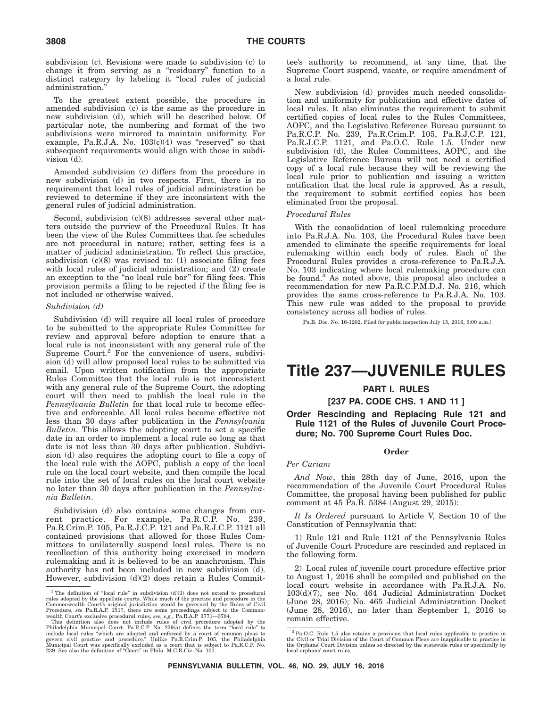subdivision (c). Revisions were made to subdivision (c) to change it from serving as a ''residuary'' function to a distinct category by labeling it ''local rules of judicial administration.''

To the greatest extent possible, the procedure in amended subdivision (c) is the same as the procedure in new subdivision (d), which will be described below. Of particular note, the numbering and format of the two subdivisions were mirrored to maintain uniformity. For example, Pa.R.J.A. No. 103(c)(4) was "reserved" so that subsequent requirements would align with those in subdivision (d).

Amended subdivision (c) differs from the procedure in new subdivision (d) in two respects. First, there is no requirement that local rules of judicial administration be reviewed to determine if they are inconsistent with the general rules of judicial administration.

Second, subdivision (c)(8) addresses several other matters outside the purview of the Procedural Rules. It has been the view of the Rules Committees that fee schedules are not procedural in nature; rather, setting fees is a matter of judicial administration. To reflect this practice, subdivision (c)(8) was revised to: (1) associate filing fees with local rules of judicial administration; and (2) create an exception to the ''no local rule bar'' for filing fees. This provision permits a filing to be rejected if the filing fee is not included or otherwise waived.

#### *Subdivision (d)*

Subdivision (d) will require all local rules of procedure to be submitted to the appropriate Rules Committee for review and approval before adoption to ensure that a local rule is not inconsistent with any general rule of the Supreme Court.<sup>2</sup> For the convenience of users, subdivision (d) will allow proposed local rules to be submitted via email. Upon written notification from the appropriate Rules Committee that the local rule is not inconsistent with any general rule of the Supreme Court, the adopting court will then need to publish the local rule in the *Pennsylvania Bulletin* for that local rule to become effective and enforceable. All local rules become effective not less than 30 days after publication in the *Pennsylvania Bulletin*. This allows the adopting court to set a specific date in an order to implement a local rule so long as that date is not less than 30 days after publication. Subdivision (d) also requires the adopting court to file a copy of the local rule with the AOPC, publish a copy of the local rule on the local court website, and then compile the local rule into the set of local rules on the local court website no later than 30 days after publication in the *Pennsylvania Bulletin*.

Subdivision (d) also contains some changes from current practice. For example, Pa.R.C.P. No. 239, Pa.R.Crim.P. 105, Pa.R.J.C.P. 121 and Pa.R.J.C.P. 1121 all contained provisions that allowed for those Rules Committees to unilaterally suspend local rules. There is no recollection of this authority being exercised in modern rulemaking and it is believed to be an anachronism. This authority has not been included in new subdivision (d). However, subdivision (d)(2) does retain a Rules Committee's authority to recommend, at any time, that the Supreme Court suspend, vacate, or require amendment of a local rule.

New subdivision (d) provides much needed consolidation and uniformity for publication and effective dates of local rules. It also eliminates the requirement to submit certified copies of local rules to the Rules Committees, AOPC, and the Legislative Reference Bureau pursuant to Pa.R.C.P. No. 239, Pa.R.Crim.P. 105, Pa.R.J.C.P. 121, Pa.R.J.C.P. 1121, and Pa.O.C. Rule 1.5. Under new subdivision (d), the Rules Committees, AOPC, and the Legislative Reference Bureau will not need a certified copy of a local rule because they will be reviewing the local rule prior to publication and issuing a written notification that the local rule is approved. As a result, the requirement to submit certified copies has been eliminated from the proposal.

#### *Procedural Rules*

With the consolidation of local rulemaking procedure into Pa.R.J.A. No. 103, the Procedural Rules have been amended to eliminate the specific requirements for local rulemaking within each body of rules. Each of the Procedural Rules provides a cross-reference to Pa.R.J.A. No. 103 indicating where local rulemaking procedure can be found.<sup>3</sup> As noted above, this proposal also includes a recommendation for new Pa.R.C.P.M.D.J. No. 216, which provides the same cross-reference to Pa.R.J.A. No. 103. This new rule was added to the proposal to provide consistency across all bodies of rules.

[Pa.B. Doc. No. 16-1202. Filed for public inspection July 15, 2016, 9:00 a.m.]

# **Title 237—JUVENILE RULES**

# **PART I. RULES**

**[237 PA. CODE CHS. 1 AND 11 ]**

### **Order Rescinding and Replacing Rule 121 and Rule 1121 of the Rules of Juvenile Court Procedure; No. 700 Supreme Court Rules Doc.**

#### **Order**

### *Per Curiam*

*And Now*, this 28th day of June, 2016, upon the recommendation of the Juvenile Court Procedural Rules Committee, the proposal having been published for public comment at 45 Pa.B. 5384 (August 29, 2015):

*It Is Ordered* pursuant to Article V, Section 10 of the Constitution of Pennsylvania that:

1) Rule 121 and Rule 1121 of the Pennsylvania Rules of Juvenile Court Procedure are rescinded and replaced in the following form.

2) Local rules of juvenile court procedure effective prior to August 1, 2016 shall be compiled and published on the local court website in accordance with Pa.R.J.A. No. 103(d)(7), see No. 464 Judicial Administration Docket (June 28, 2016); No. 465 Judicial Administration Docket (June 28, 2016), no later than September 1, 2016 to remain effective.

<sup>&</sup>lt;sup>2</sup> The definition of "local rule" in subdivision (d)(1) does not extend to procedural<br>rules adopted by the appellate courts. While much of the practice and procedure in the<br>Commonwealth Court's original jurisdiction woul

<sup>3</sup> Pa.O.C. Rule 1.5 also retains a provision that local rules applicable to practice in the Civil or Trial Division of the Court of Common Pleas are inapplicable to practice in the Orphans' Court Division unless so directed by the statewide rules or specifically by local orphans' court rules.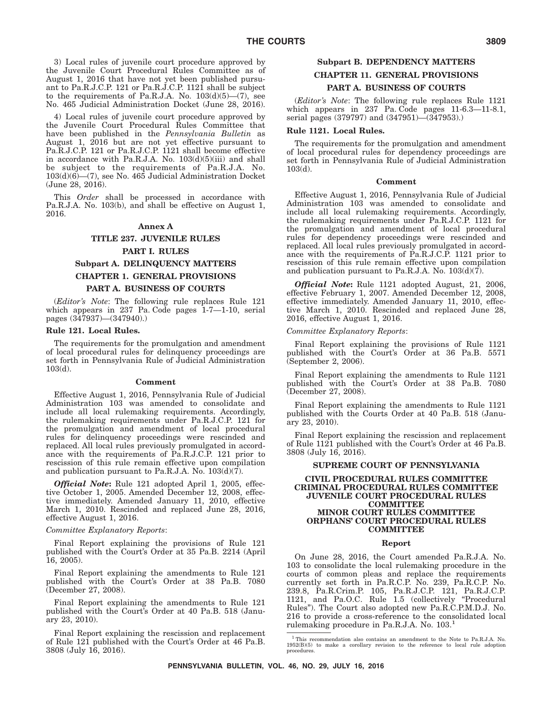3) Local rules of juvenile court procedure approved by the Juvenile Court Procedural Rules Committee as of August 1, 2016 that have not yet been published pursuant to Pa.R.J.C.P. 121 or Pa.R.J.C.P. 1121 shall be subject to the requirements of Pa.R.J.A. No.  $103(d)(5)$ — $(7)$ , see No. 465 Judicial Administration Docket (June 28, 2016).

4) Local rules of juvenile court procedure approved by the Juvenile Court Procedural Rules Committee that have been published in the *Pennsylvania Bulletin* as August 1, 2016 but are not yet effective pursuant to Pa.R.J.C.P. 121 or Pa.R.J.C.P. 1121 shall become effective in accordance with Pa.R.J.A. No.  $103(d)(5)(iii)$  and shall be subject to the requirements of Pa.R.J.A. No.  $103(d)(6)$ —(7), see No. 465 Judicial Administration Docket (June 28, 2016).

This *Order* shall be processed in accordance with Pa.R.J.A. No. 103(b), and shall be effective on August 1, 2016.

#### **Annex A**

#### **TITLE 237. JUVENILE RULES**

#### **PART I. RULES**

#### **Subpart A. DELINQUENCY MATTERS**

#### **CHAPTER 1. GENERAL PROVISIONS**

#### **PART A. BUSINESS OF COURTS**

(*Editor's Note*: The following rule replaces Rule 121 which appears in 237 Pa. Code pages 1-7-1-10, serial pages (347937)—(347940).)

#### **Rule 121. Local Rules.**

The requirements for the promulgation and amendment of local procedural rules for delinquency proceedings are set forth in Pennsylvania Rule of Judicial Administration 103(d).

#### **Comment**

Effective August 1, 2016, Pennsylvania Rule of Judicial Administration 103 was amended to consolidate and include all local rulemaking requirements. Accordingly, the rulemaking requirements under Pa.R.J.C.P. 121 for the promulgation and amendment of local procedural rules for delinquency proceedings were rescinded and replaced. All local rules previously promulgated in accordance with the requirements of Pa.R.J.C.P. 121 prior to rescission of this rule remain effective upon compilation and publication pursuant to Pa.R.J.A. No. 103(d)(7).

*Official Note***:** Rule 121 adopted April 1, 2005, effective October 1, 2005. Amended December 12, 2008, effective immediately. Amended January 11, 2010, effective March 1, 2010. Rescinded and replaced June 28, 2016, effective August 1, 2016.

#### *Committee Explanatory Reports*:

Final Report explaining the provisions of Rule 121 published with the Court's Order at 35 Pa.B. 2214 (April 16, 2005).

Final Report explaining the amendments to Rule 121 published with the Court's Order at 38 Pa.B. 7080 (December 27, 2008).

Final Report explaining the amendments to Rule 121 published with the Court's Order at 40 Pa.B. 518 (January 23, 2010).

Final Report explaining the rescission and replacement of Rule 121 published with the Court's Order at 46 Pa.B. 3808 (July 16, 2016).

#### **Subpart B. DEPENDENCY MATTERS**

# **CHAPTER 11. GENERAL PROVISIONS**

#### **PART A. BUSINESS OF COURTS**

(*Editor's Note*: The following rule replaces Rule 1121 which appears in 237 Pa. Code pages 11-6.3—11-8.1, serial pages (379797) and (347951)—(347953).)

#### **Rule 1121. Local Rules.**

The requirements for the promulgation and amendment of local procedural rules for dependency proceedings are set forth in Pennsylvania Rule of Judicial Administration 103(d).

#### **Comment**

Effective August 1, 2016, Pennsylvania Rule of Judicial Administration 103 was amended to consolidate and include all local rulemaking requirements. Accordingly, the rulemaking requirements under Pa.R.J.C.P. 1121 for the promulgation and amendment of local procedural rules for dependency proceedings were rescinded and replaced. All local rules previously promulgated in accordance with the requirements of Pa.R.J.C.P. 1121 prior to rescission of this rule remain effective upon compilation and publication pursuant to Pa.R.J.A. No. 103(d)(7).

*Official Note***:** Rule 1121 adopted August, 21, 2006, effective February 1, 2007. Amended December 12, 2008, effective immediately. Amended January 11, 2010, effective March 1, 2010. Rescinded and replaced June 28, 2016, effective August 1, 2016.

#### *Committee Explanatory Reports*:

Final Report explaining the provisions of Rule 1121 published with the Court's Order at 36 Pa.B. 5571 (September 2, 2006).

Final Report explaining the amendments to Rule 1121 published with the Court's Order at 38 Pa.B. 7080 (December 27, 2008).

Final Report explaining the amendments to Rule 1121 published with the Courts Order at 40 Pa.B. 518 (January 23, 2010).

Final Report explaining the rescission and replacement of Rule 1121 published with the Court's Order at 46 Pa.B. 3808 (July 16, 2016).

#### **SUPREME COURT OF PENNSYLVANIA**

#### **CIVIL PROCEDURAL RULES COMMITTEE CRIMINAL PROCEDURAL RULES COMMITTEE JUVENILE COURT PROCEDURAL RULES COMMITTEE MINOR COURT RULES COMMITTEE ORPHANS' COURT PROCEDURAL RULES COMMITTEE**

#### **Report**

On June 28, 2016, the Court amended Pa.R.J.A. No. 103 to consolidate the local rulemaking procedure in the courts of common pleas and replace the requirements currently set forth in Pa.R.C.P. No. 239, Pa.R.C.P. No. 239.8, Pa.R.Crim.P. 105, Pa.R.J.C.P. 121, Pa.R.J.C.P. 1121, and Pa.O.C. Rule 1.5 (collectively "Procedural Rules''). The Court also adopted new Pa.R.C.P.M.D.J. No. 216 to provide a cross-reference to the consolidated local rulemaking procedure in Pa.R.J.A. No. 103.1

 $1$  This recommendation also contains an amendment to the Note to Pa.R.J.A. No. 1952(B)(5) to make a corollary revision to the reference to local rule adoption procedures.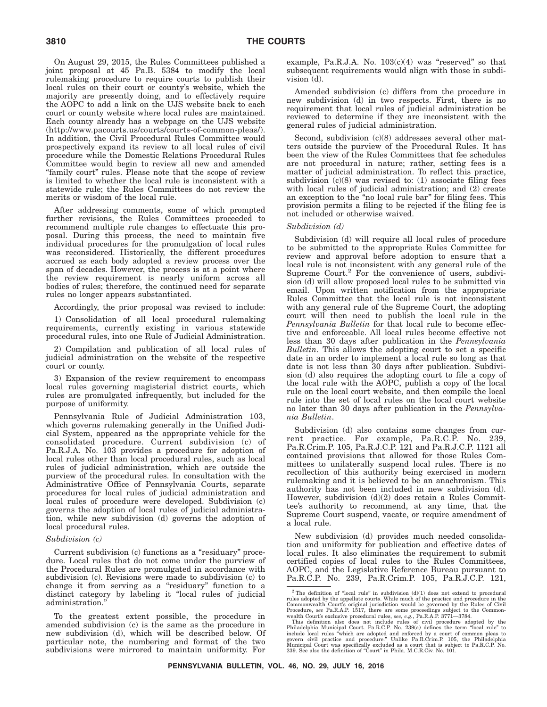On August 29, 2015, the Rules Committees published a joint proposal at 45 Pa.B. 5384 to modify the local rulemaking procedure to require courts to publish their local rules on their court or county's website, which the majority are presently doing, and to effectively require the AOPC to add a link on the UJS website back to each court or county website where local rules are maintained. Each county already has a webpage on the UJS website (http://www.pacourts.us/courts/courts-of-common-pleas/). In addition, the Civil Procedural Rules Committee would prospectively expand its review to all local rules of civil procedure while the Domestic Relations Procedural Rules Committee would begin to review all new and amended "family court" rules. Please note that the scope of review is limited to whether the local rule is inconsistent with a statewide rule; the Rules Committees do not review the merits or wisdom of the local rule.

After addressing comments, some of which prompted further revisions, the Rules Committees proceeded to recommend multiple rule changes to effectuate this proposal. During this process, the need to maintain five individual procedures for the promulgation of local rules was reconsidered. Historically, the different procedures accrued as each body adopted a review process over the span of decades. However, the process is at a point where the review requirement is nearly uniform across all bodies of rules; therefore, the continued need for separate rules no longer appears substantiated.

Accordingly, the prior proposal was revised to include:

1) Consolidation of all local procedural rulemaking requirements, currently existing in various statewide procedural rules, into one Rule of Judicial Administration.

2) Compilation and publication of all local rules of judicial administration on the website of the respective court or county.

3) Expansion of the review requirement to encompass local rules governing magisterial district courts, which rules are promulgated infrequently, but included for the purpose of uniformity.

Pennsylvania Rule of Judicial Administration 103, which governs rulemaking generally in the Unified Judicial System, appeared as the appropriate vehicle for the consolidated procedure. Current subdivision (c) of Pa.R.J.A. No. 103 provides a procedure for adoption of local rules other than local procedural rules, such as local rules of judicial administration, which are outside the purview of the procedural rules. In consultation with the Administrative Office of Pennsylvania Courts, separate procedures for local rules of judicial administration and local rules of procedure were developed. Subdivision (c) governs the adoption of local rules of judicial administration, while new subdivision (d) governs the adoption of local procedural rules.

#### *Subdivision (c)*

Current subdivision (c) functions as a ''residuary'' procedure. Local rules that do not come under the purview of the Procedural Rules are promulgated in accordance with subdivision (c). Revisions were made to subdivision (c) to change it from serving as a "residuary" function to a distinct category by labeling it ''local rules of judicial administration.''

To the greatest extent possible, the procedure in amended subdivision (c) is the same as the procedure in new subdivision (d), which will be described below. Of particular note, the numbering and format of the two subdivisions were mirrored to maintain uniformity. For

example, Pa.R.J.A. No.  $103(c)(4)$  was "reserved" so that subsequent requirements would align with those in subdivision (d).

Amended subdivision (c) differs from the procedure in new subdivision (d) in two respects. First, there is no requirement that local rules of judicial administration be reviewed to determine if they are inconsistent with the general rules of judicial administration.

Second, subdivision (c)(8) addresses several other matters outside the purview of the Procedural Rules. It has been the view of the Rules Committees that fee schedules are not procedural in nature; rather, setting fees is a matter of judicial administration. To reflect this practice, subdivision (c)(8) was revised to: (1) associate filing fees with local rules of judicial administration; and (2) create an exception to the "no local rule bar" for filing fees. This provision permits a filing to be rejected if the filing fee is not included or otherwise waived.

#### *Subdivision (d)*

Subdivision (d) will require all local rules of procedure to be submitted to the appropriate Rules Committee for review and approval before adoption to ensure that a local rule is not inconsistent with any general rule of the Supreme Court.<sup>2</sup> For the convenience of users, subdivision (d) will allow proposed local rules to be submitted via email. Upon written notification from the appropriate Rules Committee that the local rule is not inconsistent with any general rule of the Supreme Court, the adopting court will then need to publish the local rule in the *Pennsylvania Bulletin* for that local rule to become effective and enforceable. All local rules become effective not less than 30 days after publication in the *Pennsylvania Bulletin*. This allows the adopting court to set a specific date in an order to implement a local rule so long as that date is not less than 30 days after publication. Subdivision (d) also requires the adopting court to file a copy of the local rule with the AOPC, publish a copy of the local rule on the local court website, and then compile the local rule into the set of local rules on the local court website no later than 30 days after publication in the *Pennsylvania Bulletin*.

Subdivision (d) also contains some changes from current practice. For example, Pa.R.C.P. No. 239, Pa.R.Crim.P. 105, Pa.R.J.C.P. 121 and Pa.R.J.C.P. 1121 all contained provisions that allowed for those Rules Committees to unilaterally suspend local rules. There is no recollection of this authority being exercised in modern rulemaking and it is believed to be an anachronism. This authority has not been included in new subdivision (d). However, subdivision (d)(2) does retain a Rules Committee's authority to recommend, at any time, that the Supreme Court suspend, vacate, or require amendment of a local rule.

New subdivision (d) provides much needed consolidation and uniformity for publication and effective dates of local rules. It also eliminates the requirement to submit certified copies of local rules to the Rules Committees, AOPC, and the Legislative Reference Bureau pursuant to Pa.R.C.P. No. 239, Pa.R.Crim.P. 105, Pa.R.J.C.P. 121,

<sup>&</sup>lt;sup>2</sup> The definition of "local rule" in subdivision (d)(1) does not extend to procedural<br>rules adopted by the appellate courts. While much of the practice and procedure in the<br>Commonwealth Court's original jurisdiction woul

include local rules "which are adopted and enforced by a court of common pleas to<br>govern civil practice and procedure." Unlike Pa.R.Crim.P. 105, the Philadelphia<br>Municipal Court was specifically excluded as a court that is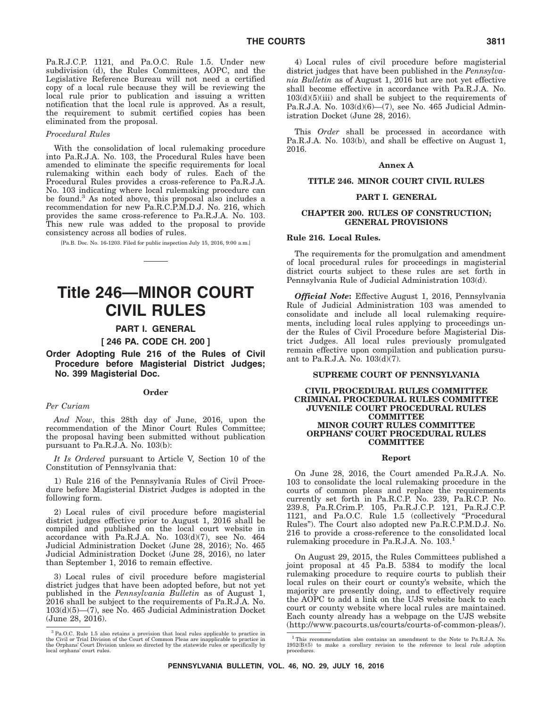Pa.R.J.C.P. 1121, and Pa.O.C. Rule 1.5. Under new subdivision (d), the Rules Committees, AOPC, and the Legislative Reference Bureau will not need a certified copy of a local rule because they will be reviewing the local rule prior to publication and issuing a written notification that the local rule is approved. As a result, the requirement to submit certified copies has been eliminated from the proposal.

#### *Procedural Rules*

With the consolidation of local rulemaking procedure into Pa.R.J.A. No. 103, the Procedural Rules have been amended to eliminate the specific requirements for local rulemaking within each body of rules. Each of the Procedural Rules provides a cross-reference to Pa.R.J.A. No. 103 indicating where local rulemaking procedure can be found.3 As noted above, this proposal also includes a recommendation for new Pa.R.C.P.M.D.J. No. 216, which provides the same cross-reference to Pa.R.J.A. No. 103. This new rule was added to the proposal to provide consistency across all bodies of rules.

[Pa.B. Doc. No. 16-1203. Filed for public inspection July 15, 2016, 9:00 a.m.]

# **Title 246—MINOR COURT CIVIL RULES**

# **PART I. GENERAL**

**[ 246 PA. CODE CH. 200 ]**

**Order Adopting Rule 216 of the Rules of Civil Procedure before Magisterial District Judges; No. 399 Magisterial Doc.**

#### **Order**

#### *Per Curiam*

*And Now*, this 28th day of June, 2016, upon the recommendation of the Minor Court Rules Committee; the proposal having been submitted without publication pursuant to Pa.R.J.A. No. 103(b):

*It Is Ordered* pursuant to Article V, Section 10 of the Constitution of Pennsylvania that:

1) Rule 216 of the Pennsylvania Rules of Civil Procedure before Magisterial District Judges is adopted in the following form.

2) Local rules of civil procedure before magisterial district judges effective prior to August 1, 2016 shall be compiled and published on the local court website in accordance with Pa.R.J.A. No. 103(d)(7), see No. 464 Judicial Administration Docket (June 28, 2016); No. 465 Judicial Administration Docket (June 28, 2016), no later than September 1, 2016 to remain effective.

3) Local rules of civil procedure before magisterial district judges that have been adopted before, but not yet published in the *Pennsylvania Bulletin* as of August 1, 2016 shall be subject to the requirements of Pa.R.J.A. No. 103(d)(5)—(7), see No. 465 Judicial Administration Docket (June 28, 2016).

4) Local rules of civil procedure before magisterial district judges that have been published in the *Pennsylvania Bulletin* as of August 1, 2016 but are not yet effective shall become effective in accordance with Pa.R.J.A. No.  $103(d)(5)(iii)$  and shall be subject to the requirements of Pa.R.J.A. No. 103(d)(6)—(7), see No. 465 Judicial Administration Docket (June 28, 2016).

This *Order* shall be processed in accordance with Pa.R.J.A. No. 103(b), and shall be effective on August 1, 2016.

#### **Annex A**

#### **TITLE 246. MINOR COURT CIVIL RULES**

#### **PART I. GENERAL**

#### **CHAPTER 200. RULES OF CONSTRUCTION; GENERAL PROVISIONS**

#### **Rule 216. Local Rules.**

The requirements for the promulgation and amendment of local procedural rules for proceedings in magisterial district courts subject to these rules are set forth in Pennsylvania Rule of Judicial Administration 103(d).

*Official Note***:** Effective August 1, 2016, Pennsylvania Rule of Judicial Administration 103 was amended to consolidate and include all local rulemaking requirements, including local rules applying to proceedings under the Rules of Civil Procedure before Magisterial District Judges. All local rules previously promulgated remain effective upon compilation and publication pursuant to Pa.R.J.A. No. 103(d)(7).

#### **SUPREME COURT OF PENNSYLVANIA**

#### **CIVIL PROCEDURAL RULES COMMITTEE CRIMINAL PROCEDURAL RULES COMMITTEE JUVENILE COURT PROCEDURAL RULES COMMITTEE MINOR COURT RULES COMMITTEE ORPHANS' COURT PROCEDURAL RULES COMMITTEE**

#### **Report**

On June 28, 2016, the Court amended Pa.R.J.A. No. 103 to consolidate the local rulemaking procedure in the courts of common pleas and replace the requirements currently set forth in Pa.R.C.P. No. 239, Pa.R.C.P. No. 239.8, Pa.R.Crim.P. 105, Pa.R.J.C.P. 121, Pa.R.J.C.P. 1121, and Pa.O.C. Rule 1.5 (collectively "Procedural Rules''). The Court also adopted new Pa.R.C.P.M.D.J. No. 216 to provide a cross-reference to the consolidated local rulemaking procedure in Pa.R.J.A. No. 103.<sup>1</sup>

On August 29, 2015, the Rules Committees published a joint proposal at 45 Pa.B. 5384 to modify the local rulemaking procedure to require courts to publish their local rules on their court or county's website, which the majority are presently doing, and to effectively require the AOPC to add a link on the UJS website back to each court or county website where local rules are maintained. Each county already has a webpage on the UJS website (http://www.pacourts.us/courts/courts-of-common-pleas/).

<sup>3</sup> Pa.O.C. Rule 1.5 also retains a provision that local rules applicable to practice in the Civil or Trial Division of the Court of Common Pleas are inapplicable to practice in the Orphans' Court Division unless so directed by the statewide rules or specifically by local orphans' court rules.

<sup>1</sup> This recommendation also contains an amendment to the Note to Pa.R.J.A. No. 1952(B)(5) to make a corollary revision to the reference to local rule adoption procedures.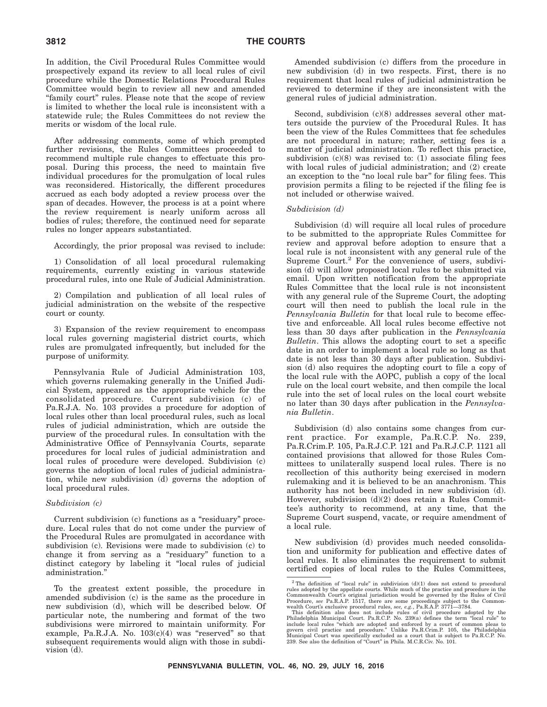In addition, the Civil Procedural Rules Committee would prospectively expand its review to all local rules of civil procedure while the Domestic Relations Procedural Rules Committee would begin to review all new and amended "family court" rules. Please note that the scope of review is limited to whether the local rule is inconsistent with a statewide rule; the Rules Committees do not review the merits or wisdom of the local rule.

After addressing comments, some of which prompted further revisions, the Rules Committees proceeded to recommend multiple rule changes to effectuate this proposal. During this process, the need to maintain five individual procedures for the promulgation of local rules was reconsidered. Historically, the different procedures accrued as each body adopted a review process over the span of decades. However, the process is at a point where the review requirement is nearly uniform across all bodies of rules; therefore, the continued need for separate rules no longer appears substantiated.

Accordingly, the prior proposal was revised to include:

1) Consolidation of all local procedural rulemaking requirements, currently existing in various statewide procedural rules, into one Rule of Judicial Administration.

2) Compilation and publication of all local rules of judicial administration on the website of the respective court or county.

3) Expansion of the review requirement to encompass local rules governing magisterial district courts, which rules are promulgated infrequently, but included for the purpose of uniformity.

Pennsylvania Rule of Judicial Administration 103, which governs rulemaking generally in the Unified Judicial System, appeared as the appropriate vehicle for the consolidated procedure. Current subdivision (c) of Pa.R.J.A. No. 103 provides a procedure for adoption of local rules other than local procedural rules, such as local rules of judicial administration, which are outside the purview of the procedural rules. In consultation with the Administrative Office of Pennsylvania Courts, separate procedures for local rules of judicial administration and local rules of procedure were developed. Subdivision (c) governs the adoption of local rules of judicial administration, while new subdivision (d) governs the adoption of local procedural rules.

#### *Subdivision (c)*

Current subdivision (c) functions as a ''residuary'' procedure. Local rules that do not come under the purview of the Procedural Rules are promulgated in accordance with subdivision (c). Revisions were made to subdivision (c) to change it from serving as a "residuary" function to a distinct category by labeling it ''local rules of judicial administration.''

To the greatest extent possible, the procedure in amended subdivision (c) is the same as the procedure in new subdivision (d), which will be described below. Of particular note, the numbering and format of the two subdivisions were mirrored to maintain uniformity. For example, Pa.R.J.A. No.  $103(c)(4)$  was "reserved" so that subsequent requirements would align with those in subdivision (d).

Amended subdivision (c) differs from the procedure in new subdivision (d) in two respects. First, there is no requirement that local rules of judicial administration be reviewed to determine if they are inconsistent with the general rules of judicial administration.

Second, subdivision (c)(8) addresses several other matters outside the purview of the Procedural Rules. It has been the view of the Rules Committees that fee schedules are not procedural in nature; rather, setting fees is a matter of judicial administration. To reflect this practice, subdivision  $(c)(8)$  was revised to: (1) associate filing fees with local rules of judicial administration; and (2) create an exception to the "no local rule bar" for filing fees. This provision permits a filing to be rejected if the filing fee is not included or otherwise waived.

#### *Subdivision (d)*

Subdivision (d) will require all local rules of procedure to be submitted to the appropriate Rules Committee for review and approval before adoption to ensure that a local rule is not inconsistent with any general rule of the Supreme Court.<sup>2</sup> For the convenience of users, subdivision (d) will allow proposed local rules to be submitted via email. Upon written notification from the appropriate Rules Committee that the local rule is not inconsistent with any general rule of the Supreme Court, the adopting court will then need to publish the local rule in the *Pennsylvania Bulletin* for that local rule to become effective and enforceable. All local rules become effective not less than 30 days after publication in the *Pennsylvania Bulletin*. This allows the adopting court to set a specific date in an order to implement a local rule so long as that date is not less than 30 days after publication. Subdivision (d) also requires the adopting court to file a copy of the local rule with the AOPC, publish a copy of the local rule on the local court website, and then compile the local rule into the set of local rules on the local court website no later than 30 days after publication in the *Pennsylvania Bulletin*.

Subdivision (d) also contains some changes from current practice. For example, Pa.R.C.P. No. 239, Pa.R.Crim.P. 105, Pa.R.J.C.P. 121 and Pa.R.J.C.P. 1121 all contained provisions that allowed for those Rules Committees to unilaterally suspend local rules. There is no recollection of this authority being exercised in modern rulemaking and it is believed to be an anachronism. This authority has not been included in new subdivision (d). However, subdivision (d)(2) does retain a Rules Committee's authority to recommend, at any time, that the Supreme Court suspend, vacate, or require amendment of a local rule.

New subdivision (d) provides much needed consolidation and uniformity for publication and effective dates of local rules. It also eliminates the requirement to submit certified copies of local rules to the Rules Committees,

<sup>&</sup>lt;sup>2</sup> The definition of "local rule" in subdivision (d)(1) does not extend to procedural<br>rules adopted by the appellate courts. While much of the practice and procedure in the<br>Commonwealth Court's original jurisdiction woul

include local rules "which are adopted and enforced by a court of common pleas to<br>govern civil practice and procedure." Unlike Pa.R.Crim.P. 105, the Philadelphia<br>Municipal Court was specifically excluded as a court that is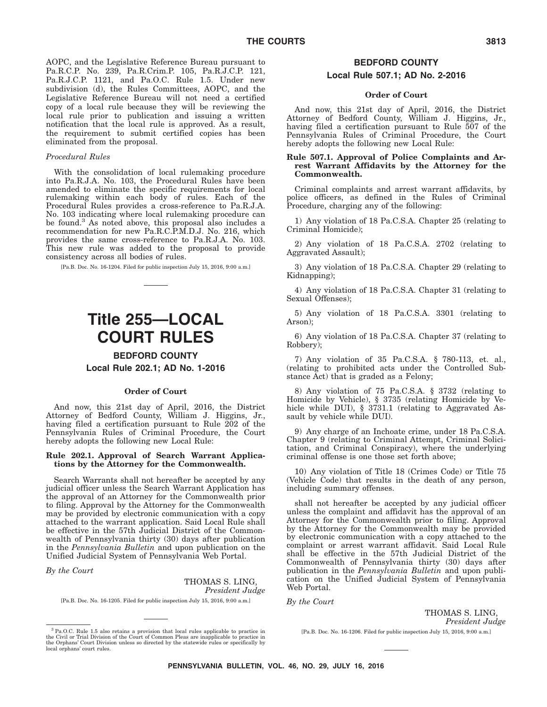AOPC, and the Legislative Reference Bureau pursuant to Pa.R.C.P. No. 239, Pa.R.Crim.P. 105, Pa.R.J.C.P. 121, Pa.R.J.C.P. 1121, and Pa.O.C. Rule 1.5. Under new subdivision (d), the Rules Committees, AOPC, and the Legislative Reference Bureau will not need a certified copy of a local rule because they will be reviewing the local rule prior to publication and issuing a written notification that the local rule is approved. As a result, the requirement to submit certified copies has been eliminated from the proposal.

#### *Procedural Rules*

With the consolidation of local rulemaking procedure into Pa.R.J.A. No. 103, the Procedural Rules have been amended to eliminate the specific requirements for local rulemaking within each body of rules. Each of the Procedural Rules provides a cross-reference to Pa.R.J.A. No. 103 indicating where local rulemaking procedure can be found.<sup>3</sup> As noted above, this proposal also includes a recommendation for new Pa.R.C.P.M.D.J. No. 216, which provides the same cross-reference to Pa.R.J.A. No. 103. This new rule was added to the proposal to provide consistency across all bodies of rules.

[Pa.B. Doc. No. 16-1204. Filed for public inspection July 15, 2016, 9:00 a.m.]

# **Title 255—LOCAL COURT RULES**

# **BEDFORD COUNTY Local Rule 202.1; AD No. 1-2016**

#### **Order of Court**

And now, this 21st day of April, 2016, the District Attorney of Bedford County, William J. Higgins, Jr., having filed a certification pursuant to Rule 202 of the Pennsylvania Rules of Criminal Procedure, the Court hereby adopts the following new Local Rule:

#### **Rule 202.1. Approval of Search Warrant Applications by the Attorney for the Commonwealth.**

Search Warrants shall not hereafter be accepted by any judicial officer unless the Search Warrant Application has the approval of an Attorney for the Commonwealth prior to filing. Approval by the Attorney for the Commonwealth may be provided by electronic communication with a copy attached to the warrant application. Said Local Rule shall be effective in the 57th Judicial District of the Commonwealth of Pennsylvania thirty (30) days after publication in the *Pennsylvania Bulletin* and upon publication on the Unified Judicial System of Pennsylvania Web Portal.

*By the Court*

THOMAS S. LING, *President Judge*

[Pa.B. Doc. No. 16-1205. Filed for public inspection July 15, 2016, 9:00 a.m.]

# **BEDFORD COUNTY Local Rule 507.1; AD No. 2-2016**

#### **Order of Court**

And now, this 21st day of April, 2016, the District Attorney of Bedford County, William J. Higgins, Jr., having filed a certification pursuant to Rule 507 of the Pennsylvania Rules of Criminal Procedure, the Court hereby adopts the following new Local Rule:

#### **Rule 507.1. Approval of Police Complaints and Arrest Warrant Affidavits by the Attorney for the Commonwealth.**

Criminal complaints and arrest warrant affidavits, by police officers, as defined in the Rules of Criminal Procedure, charging any of the following:

1) Any violation of 18 Pa.C.S.A. Chapter 25 (relating to Criminal Homicide);

2) Any violation of 18 Pa.C.S.A. 2702 (relating to Aggravated Assault);

3) Any violation of 18 Pa.C.S.A. Chapter 29 (relating to Kidnapping);

4) Any violation of 18 Pa.C.S.A. Chapter 31 (relating to Sexual Offenses);

5) Any violation of 18 Pa.C.S.A. 3301 (relating to Arson);

6) Any violation of 18 Pa.C.S.A. Chapter 37 (relating to Robbery);

7) Any violation of 35 Pa.C.S.A. § 780-113, et. al., (relating to prohibited acts under the Controlled Substance Act) that is graded as a Felony;

8) Any violation of 75 Pa.C.S.A. § 3732 (relating to Homicide by Vehicle), § 3735 (relating Homicide by Vehicle while DUI), § 3731.1 (relating to Aggravated Assault by vehicle while DUI).

9) Any charge of an Inchoate crime, under 18 Pa.C.S.A. Chapter 9 (relating to Criminal Attempt, Criminal Solicitation, and Criminal Conspiracy), where the underlying criminal offense is one those set forth above;

10) Any violation of Title 18 (Crimes Code) or Title 75 (Vehicle Code) that results in the death of any person, including summary offenses.

shall not hereafter be accepted by any judicial officer unless the complaint and affidavit has the approval of an Attorney for the Commonwealth prior to filing. Approval by the Attorney for the Commonwealth may be provided by electronic communication with a copy attached to the complaint or arrest warrant affidavit. Said Local Rule shall be effective in the 57th Judicial District of the Commonwealth of Pennsylvania thirty (30) days after publication in the *Pennsylvania Bulletin* and upon publication on the Unified Judicial System of Pennsylvania Web Portal.

*By the Court*

THOMAS S. LING, *President Judge*

<sup>&</sup>lt;sup>3</sup> Pa.O.C. Rule 1.5 also retains a provision that local rules applicable to practice in [Pa.B. Doc. No. 16-1206. Filed for public inspection July 15, 2016, 9:00 a.m.] the Civil or Trial Division of the Court of Common Ple the Orphans' Court Division unless so directed by the statewide rules or specifically by local orphans' court rules.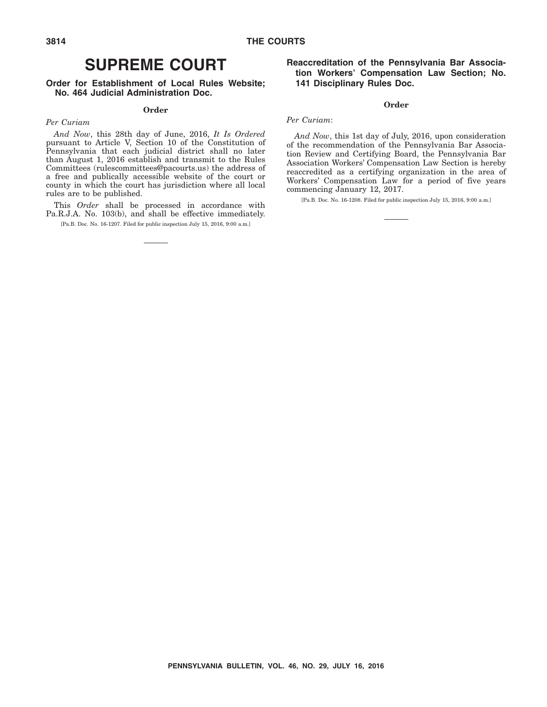# **SUPREME COURT**

### **Order for Establishment of Local Rules Website; No. 464 Judicial Administration Doc.**

#### **Order**

*Per Curiam*

*And Now*, this 28th day of June, 2016, *It Is Ordered* pursuant to Article V, Section 10 of the Constitution of Pennsylvania that each judicial district shall no later than August 1, 2016 establish and transmit to the Rules Committees (rulescommittees@pacourts.us) the address of a free and publically accessible website of the court or county in which the court has jurisdiction where all local rules are to be published.

This *Order* shall be processed in accordance with Pa.R.J.A. No. 103(b), and shall be effective immediately. [Pa.B. Doc. No. 16-1207. Filed for public inspection July 15, 2016, 9:00 a.m.]

# **Reaccreditation of the Pennsylvania Bar Association Workers' Compensation Law Section; No. 141 Disciplinary Rules Doc.**

**Order**

*Per Curiam*:

*And Now*, this 1st day of July, 2016, upon consideration of the recommendation of the Pennsylvania Bar Association Review and Certifying Board, the Pennsylvania Bar Association Workers' Compensation Law Section is hereby reaccredited as a certifying organization in the area of Workers' Compensation Law for a period of five years commencing January 12, 2017.

[Pa.B. Doc. No. 16-1208. Filed for public inspection July 15, 2016, 9:00 a.m.]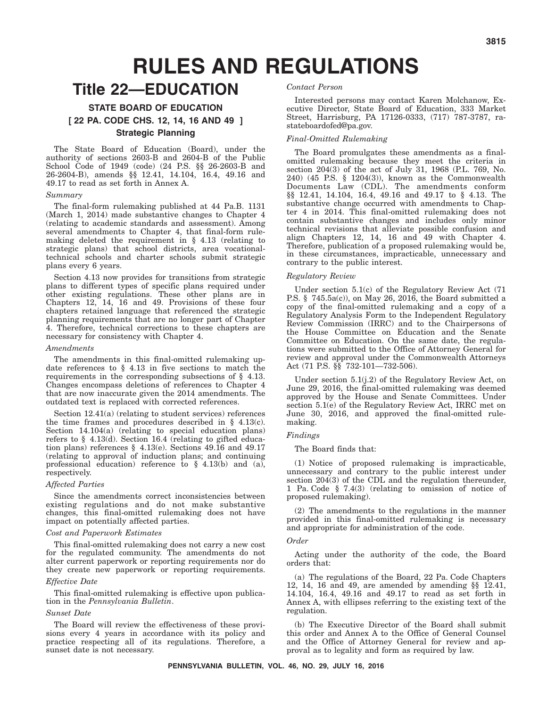# **RULES AND REGULATIONS**

# **Title 22—EDUCATION**

# **STATE BOARD OF EDUCATION [ 22 PA. CODE CHS. 12, 14, 16 AND 49 ] Strategic Planning**

The State Board of Education (Board), under the authority of sections 2603-B and 2604-B of the Public School Code of 1949 (code) (24 P.S. §§ 26-2603-B and 26-2604-B), amends §§ 12.41, 14.104, 16.4, 49.16 and 49.17 to read as set forth in Annex A.

### *Summary*

The final-form rulemaking published at 44 Pa.B. 1131 (March 1, 2014) made substantive changes to Chapter 4 (relating to academic standards and assessment). Among several amendments to Chapter 4, that final-form rulemaking deleted the requirement in § 4.13 (relating to strategic plans) that school districts, area vocationaltechnical schools and charter schools submit strategic plans every 6 years.

Section 4.13 now provides for transitions from strategic plans to different types of specific plans required under other existing regulations. These other plans are in Chapters 12, 14, 16 and 49. Provisions of these four chapters retained language that referenced the strategic planning requirements that are no longer part of Chapter 4. Therefore, technical corrections to these chapters are necessary for consistency with Chapter 4.

# *Amendments*

The amendments in this final-omitted rulemaking update references to § 4.13 in five sections to match the requirements in the corresponding subsections of § 4.13. Changes encompass deletions of references to Chapter 4 that are now inaccurate given the 2014 amendments. The outdated text is replaced with corrected references.

Section 12.41(a) (relating to student services) references the time frames and procedures described in § 4.13(c). Section 14.104(a) (relating to special education plans) refers to § 4.13(d). Section 16.4 (relating to gifted education plans) references § 4.13(e). Sections 49.16 and 49.17 (relating to approval of induction plans; and continuing professional education) reference to  $\S$  4.13(b) and (a), respectively.

# *Affected Parties*

Since the amendments correct inconsistencies between existing regulations and do not make substantive changes, this final-omitted rulemaking does not have impact on potentially affected parties.

# *Cost and Paperwork Estimates*

This final-omitted rulemaking does not carry a new cost for the regulated community. The amendments do not alter current paperwork or reporting requirements nor do they create new paperwork or reporting requirements.

# *Effective Date*

This final-omitted rulemaking is effective upon publication in the *Pennsylvania Bulletin*.

# *Sunset Date*

The Board will review the effectiveness of these provisions every 4 years in accordance with its policy and practice respecting all of its regulations. Therefore, a sunset date is not necessary.

## *Contact Person*

Interested persons may contact Karen Molchanow, Executive Director, State Board of Education, 333 Market Street, Harrisburg, PA 17126-0333, (717) 787-3787, rastateboardofed@pa.gov.

# *Final-Omitted Rulemaking*

The Board promulgates these amendments as a finalomitted rulemaking because they meet the criteria in section 204(3) of the act of July 31, 1968 (P.L. 769, No. 240) (45 P.S. § 1204(3)), known as the Commonwealth Documents Law (CDL). The amendments conform §§ 12.41, 14.104, 16.4, 49.16 and 49.17 to § 4.13. The substantive change occurred with amendments to Chapter 4 in 2014. This final-omitted rulemaking does not contain substantive changes and includes only minor technical revisions that alleviate possible confusion and align Chapters 12, 14, 16 and 49 with Chapter 4. Therefore, publication of a proposed rulemaking would be, in these circumstances, impracticable, unnecessary and contrary to the public interest.

# *Regulatory Review*

Under section 5.1(c) of the Regulatory Review Act (71 P.S. § 745.5a(c)), on May 26, 2016, the Board submitted a copy of the final-omitted rulemaking and a copy of a Regulatory Analysis Form to the Independent Regulatory Review Commission (IRRC) and to the Chairpersons of the House Committee on Education and the Senate Committee on Education. On the same date, the regulations were submitted to the Office of Attorney General for review and approval under the Commonwealth Attorneys Act (71 P.S. §§ 732-101—732-506).

Under section 5.1(j.2) of the Regulatory Review Act, on June 29, 2016, the final-omitted rulemaking was deemed approved by the House and Senate Committees. Under section 5.1(e) of the Regulatory Review Act, IRRC met on June 30, 2016, and approved the final-omitted rulemaking.

# *Findings*

The Board finds that:

(1) Notice of proposed rulemaking is impracticable, unnecessary and contrary to the public interest under section 204(3) of the CDL and the regulation thereunder, 1 Pa. Code § 7.4(3) (relating to omission of notice of proposed rulemaking).

(2) The amendments to the regulations in the manner provided in this final-omitted rulemaking is necessary and appropriate for administration of the code.

# *Order*

Acting under the authority of the code, the Board orders that:

(a) The regulations of the Board, 22 Pa. Code Chapters 12, 14, 16 and 49, are amended by amending §§ 12.41, 14.104, 16.4, 49.16 and 49.17 to read as set forth in Annex A, with ellipses referring to the existing text of the regulation.

(b) The Executive Director of the Board shall submit this order and Annex A to the Office of General Counsel and the Office of Attorney General for review and approval as to legality and form as required by law.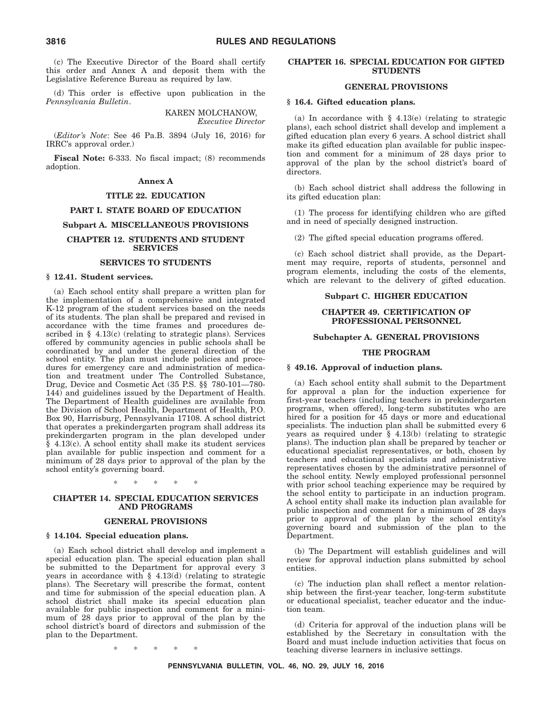(c) The Executive Director of the Board shall certify this order and Annex A and deposit them with the Legislative Reference Bureau as required by law.

(d) This order is effective upon publication in the *Pennsylvania Bulletin*.

> KAREN MOLCHANOW, *Executive Director*

(*Editor's Note*: See 46 Pa.B. 3894 (July 16, 2016) for IRRC's approval order.)

**Fiscal Note:** 6-333. No fiscal impact; (8) recommends adoption.

# **Annex A**

# **TITLE 22. EDUCATION**

# **PART I. STATE BOARD OF EDUCATION**

# **Subpart A. MISCELLANEOUS PROVISIONS**

# **CHAPTER 12. STUDENTS AND STUDENT SERVICES**

# **SERVICES TO STUDENTS**

### **§ 12.41. Student services.**

(a) Each school entity shall prepare a written plan for the implementation of a comprehensive and integrated K-12 program of the student services based on the needs of its students. The plan shall be prepared and revised in accordance with the time frames and procedures described in § 4.13(c) (relating to strategic plans). Services offered by community agencies in public schools shall be coordinated by and under the general direction of the school entity. The plan must include policies and procedures for emergency care and administration of medication and treatment under The Controlled Substance, Drug, Device and Cosmetic Act (35 P.S. §§ 780-101—780- 144) and guidelines issued by the Department of Health. The Department of Health guidelines are available from the Division of School Health, Department of Health, P.O. Box 90, Harrisburg, Pennsylvania 17108. A school district that operates a prekindergarten program shall address its prekindergarten program in the plan developed under § 4.13(c). A school entity shall make its student services plan available for public inspection and comment for a minimum of 28 days prior to approval of the plan by the school entity's governing board.

# \*\*\*\*\*

## **CHAPTER 14. SPECIAL EDUCATION SERVICES AND PROGRAMS**

#### **GENERAL PROVISIONS**

# **§ 14.104. Special education plans.**

(a) Each school district shall develop and implement a special education plan. The special education plan shall be submitted to the Department for approval every 3 years in accordance with  $\S$  4.13(d) (relating to strategic plans). The Secretary will prescribe the format, content and time for submission of the special education plan. A school district shall make its special education plan available for public inspection and comment for a minimum of 28 days prior to approval of the plan by the school district's board of directors and submission of the plan to the Department.

\*\*\*\*\*

## **CHAPTER 16. SPECIAL EDUCATION FOR GIFTED STUDENTS**

# **GENERAL PROVISIONS**

#### **§ 16.4. Gifted education plans.**

(a) In accordance with  $\S$  4.13(e) (relating to strategic plans), each school district shall develop and implement a gifted education plan every 6 years. A school district shall make its gifted education plan available for public inspection and comment for a minimum of 28 days prior to approval of the plan by the school district's board of directors.

(b) Each school district shall address the following in its gifted education plan:

(1) The process for identifying children who are gifted and in need of specially designed instruction.

(2) The gifted special education programs offered.

(c) Each school district shall provide, as the Department may require, reports of students, personnel and program elements, including the costs of the elements, which are relevant to the delivery of gifted education.

## **Subpart C. HIGHER EDUCATION**

#### **CHAPTER 49. CERTIFICATION OF PROFESSIONAL PERSONNEL**

# **Subchapter A. GENERAL PROVISIONS**

#### **THE PROGRAM**

# **§ 49.16. Approval of induction plans.**

(a) Each school entity shall submit to the Department for approval a plan for the induction experience for first-year teachers (including teachers in prekindergarten programs, when offered), long-term substitutes who are hired for a position for 45 days or more and educational specialists. The induction plan shall be submitted every 6 years as required under § 4.13(b) (relating to strategic plans). The induction plan shall be prepared by teacher or educational specialist representatives, or both, chosen by teachers and educational specialists and administrative representatives chosen by the administrative personnel of the school entity. Newly employed professional personnel with prior school teaching experience may be required by the school entity to participate in an induction program. A school entity shall make its induction plan available for public inspection and comment for a minimum of 28 days prior to approval of the plan by the school entity's governing board and submission of the plan to the Department.

(b) The Department will establish guidelines and will review for approval induction plans submitted by school entities.

(c) The induction plan shall reflect a mentor relationship between the first-year teacher, long-term substitute or educational specialist, teacher educator and the induction team.

(d) Criteria for approval of the induction plans will be established by the Secretary in consultation with the Board and must include induction activities that focus on teaching diverse learners in inclusive settings.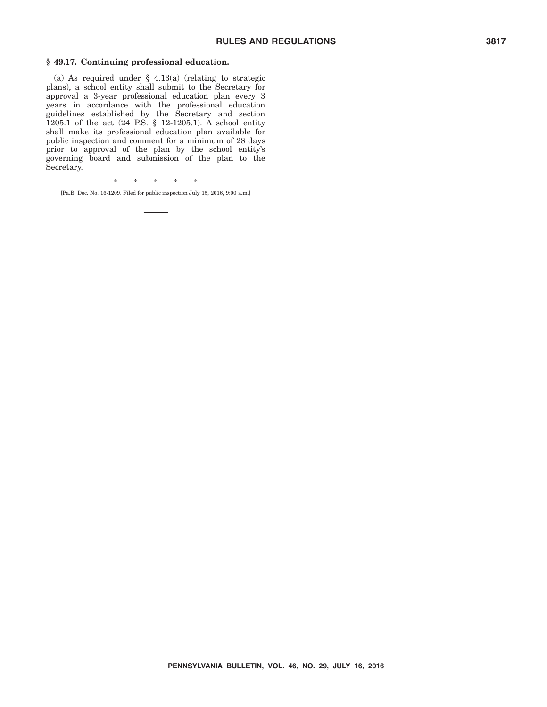# **§ 49.17. Continuing professional education.**

(a) As required under § 4.13(a) (relating to strategic plans), a school entity shall submit to the Secretary for approval a 3-year professional education plan every 3 years in accordance with the professional education guidelines established by the Secretary and section 1205.1 of the act (24 P.S. § 12-1205.1). A school entity shall make its professional education plan available for public inspection and comment for a minimum of 28 days prior to approval of the plan by the school entity's governing board and submission of the plan to the Secretary.

\*\*\*\*\*

[Pa.B. Doc. No. 16-1209. Filed for public inspection July 15, 2016, 9:00 a.m.]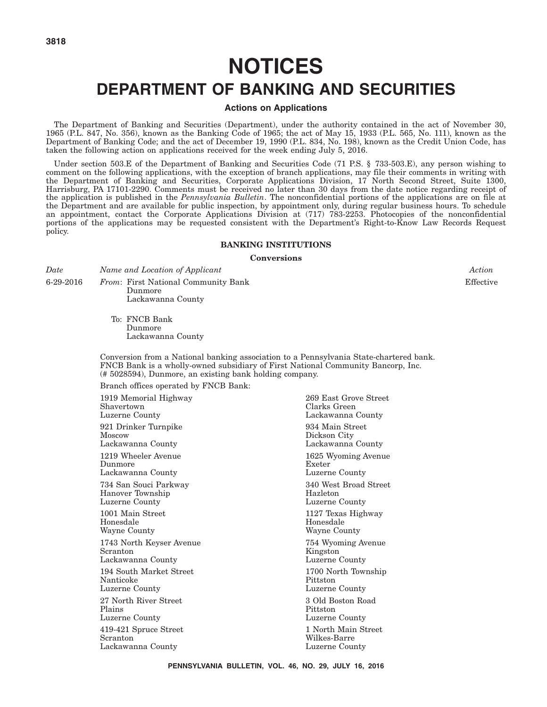# **NOTICES DEPARTMENT OF BANKING AND SECURITIES**

# **Actions on Applications**

The Department of Banking and Securities (Department), under the authority contained in the act of November 30, 1965 (P.L. 847, No. 356), known as the Banking Code of 1965; the act of May 15, 1933 (P.L. 565, No. 111), known as the Department of Banking Code; and the act of December 19, 1990 (P.L. 834, No. 198), known as the Credit Union Code, has taken the following action on applications received for the week ending July 5, 2016.

Under section 503.E of the Department of Banking and Securities Code (71 P.S. § 733-503.E), any person wishing to comment on the following applications, with the exception of branch applications, may file their comments in writing with the Department of Banking and Securities, Corporate Applications Division, 17 North Second Street, Suite 1300, Harrisburg, PA 17101-2290. Comments must be received no later than 30 days from the date notice regarding receipt of the application is published in the *Pennsylvania Bulletin*. The nonconfidential portions of the applications are on file at the Department and are available for public inspection, by appointment only, during regular business hours. To schedule an appointment, contact the Corporate Applications Division at (717) 783-2253. Photocopies of the nonconfidential portions of the applications may be requested consistent with the Department's Right-to-Know Law Records Request policy.

# **BANKING INSTITUTIONS**

**Conversions**

*Date Name and Location of Applicant Action*

6-29-2016 *From*: First National Community Bank Dunmore Lackawanna County

> To: FNCB Bank Dunmore Lackawanna County

Conversion from a National banking association to a Pennsylvania State-chartered bank. FNCB Bank is a wholly-owned subsidiary of First National Community Bancorp, Inc. (# 5028594), Dunmore, an existing bank holding company.

Branch offices operated by FNCB Bank:

1919 Memorial Highway Shavertown Luzerne County 921 Drinker Turnpike Moscow Lackawanna County 1219 Wheeler Avenue Dunmore Lackawanna County 734 San Souci Parkway Hanover Township Luzerne County 1001 Main Street Honesdale Wayne County 1743 North Keyser Avenue Scranton Lackawanna County 194 South Market Street Nanticoke Luzerne County 27 North River Street Plains Luzerne County 419-421 Spruce Street Scranton Lackawanna County

269 East Grove Street Clarks Green Lackawanna County 934 Main Street Dickson City Lackawanna County 1625 Wyoming Avenue Exeter Luzerne County 340 West Broad Street Hazleton Luzerne County 1127 Texas Highway Honesdale Wayne County 754 Wyoming Avenue Kingston Luzerne County 1700 North Township Pittston Luzerne County 3 Old Boston Road Pittston Luzerne County 1 North Main Street Wilkes-Barre Luzerne County

Effective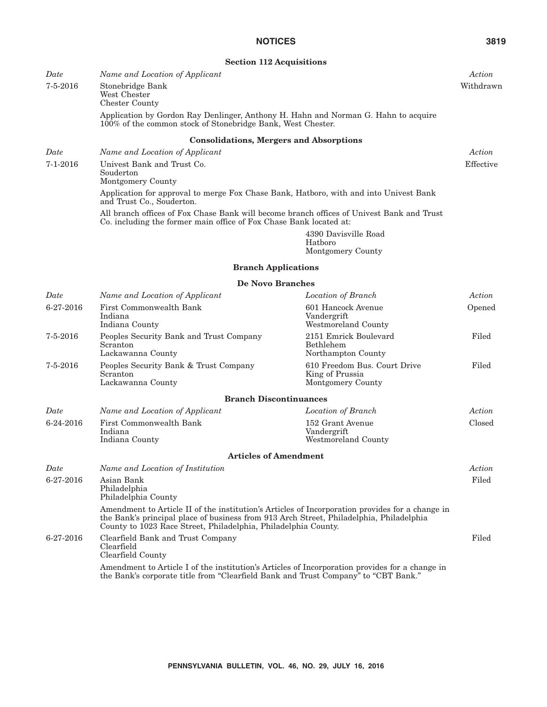# **Section 112 Acquisitions**

| Date           | Name and Location of Applicant                                                                                                                                                                                                                               |                                                                      | Action    |
|----------------|--------------------------------------------------------------------------------------------------------------------------------------------------------------------------------------------------------------------------------------------------------------|----------------------------------------------------------------------|-----------|
| $7 - 5 - 2016$ | Stonebridge Bank                                                                                                                                                                                                                                             |                                                                      | Withdrawn |
|                | West Chester<br><b>Chester County</b>                                                                                                                                                                                                                        |                                                                      |           |
|                | Application by Gordon Ray Denlinger, Anthony H. Hahn and Norman G. Hahn to acquire<br>100% of the common stock of Stonebridge Bank, West Chester.                                                                                                            |                                                                      |           |
|                | <b>Consolidations, Mergers and Absorptions</b>                                                                                                                                                                                                               |                                                                      |           |
| Date           | Name and Location of Applicant                                                                                                                                                                                                                               |                                                                      | Action    |
| $7 - 1 - 2016$ | Univest Bank and Trust Co.<br>Souderton<br>Montgomery County                                                                                                                                                                                                 |                                                                      | Effective |
|                | Application for approval to merge Fox Chase Bank, Hatboro, with and into Univest Bank<br>and Trust Co., Souderton.                                                                                                                                           |                                                                      |           |
|                | All branch offices of Fox Chase Bank will become branch offices of Univest Bank and Trust<br>Co. including the former main office of Fox Chase Bank located at:                                                                                              |                                                                      |           |
|                |                                                                                                                                                                                                                                                              | 4390 Davisville Road<br>Hatboro<br>Montgomery County                 |           |
|                | <b>Branch Applications</b>                                                                                                                                                                                                                                   |                                                                      |           |
|                | <b>De Novo Branches</b>                                                                                                                                                                                                                                      |                                                                      |           |
| Date           | Name and Location of Applicant                                                                                                                                                                                                                               | Location of Branch                                                   | Action    |
| 6-27-2016      | First Commonwealth Bank<br>Indiana<br>Indiana County                                                                                                                                                                                                         | 601 Hancock Avenue<br>Vandergrift<br>Westmoreland County             | Opened    |
| $7 - 5 - 2016$ | Peoples Security Bank and Trust Company<br>Scranton<br>Lackawanna County                                                                                                                                                                                     | 2151 Emrick Boulevard<br>Bethlehem<br>Northampton County             | Filed     |
| $7 - 5 - 2016$ | Peoples Security Bank & Trust Company<br>Scranton<br>Lackawanna County                                                                                                                                                                                       | 610 Freedom Bus. Court Drive<br>King of Prussia<br>Montgomery County | Filed     |
|                | <b>Branch Discontinuances</b>                                                                                                                                                                                                                                |                                                                      |           |
| Date           | Name and Location of Applicant                                                                                                                                                                                                                               | Location of Branch                                                   | Action    |
| 6-24-2016      | First Commonwealth Bank<br>Indiana<br>Indiana County                                                                                                                                                                                                         | 152 Grant Avenue<br>Vandergrift<br>Westmoreland County               | Closed    |
|                | <b>Articles of Amendment</b>                                                                                                                                                                                                                                 |                                                                      |           |
| Date           | Name and Location of Institution                                                                                                                                                                                                                             |                                                                      | Action    |
| 6-27-2016      | Asian Bank<br>Philadelphia<br>Philadelphia County                                                                                                                                                                                                            |                                                                      | Filed     |
|                | Amendment to Article II of the institution's Articles of Incorporation provides for a change in<br>the Bank's principal place of business from 913 Arch Street, Philadelphia, Philadelphia<br>County to 1023 Race Street, Philadelphia, Philadelphia County. |                                                                      |           |
| 6-27-2016      | Clearfield Bank and Trust Company<br>Clearfield<br>Clearfield County                                                                                                                                                                                         |                                                                      | Filed     |
|                | Amendment to Article I of the institution's Articles of Incorporation provides for a change in                                                                                                                                                               |                                                                      |           |

the Bank's corporate title from ''Clearfield Bank and Trust Company'' to ''CBT Bank.''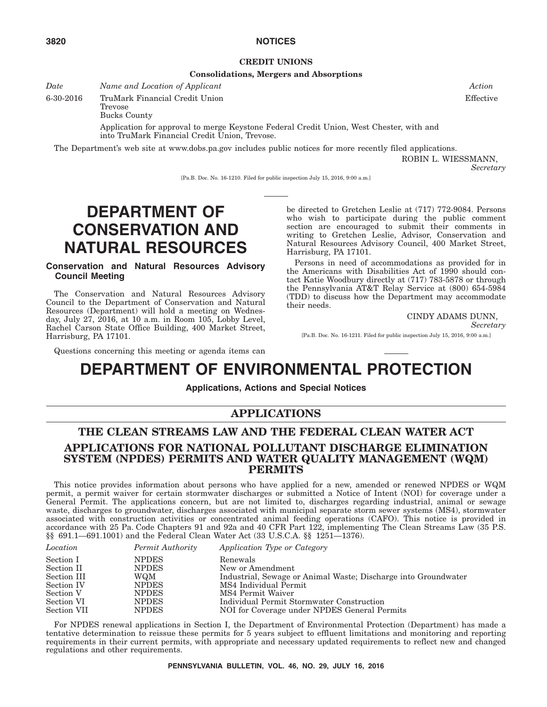# **CREDIT UNIONS**

# **Consolidations, Mergers and Absorptions**

*Date Name and Location of Applicant Action Action* 

6-30-2016 TruMark Financial Credit Union

Trevose Bucks County

Application for approval to merge Keystone Federal Credit Union, West Chester, with and into TruMark Financial Credit Union, Trevose.

The Department's web site at www.dobs.pa.gov includes public notices for more recently filed applications.

ROBIN L. WIESSMANN, *Secretary*

[Pa.B. Doc. No. 16-1210. Filed for public inspection July 15, 2016, 9:00 a.m.]

# **DEPARTMENT OF CONSERVATION AND NATURAL RESOURCES**

# **Conservation and Natural Resources Advisory Council Meeting**

The Conservation and Natural Resources Advisory Council to the Department of Conservation and Natural Resources (Department) will hold a meeting on Wednesday, July 27, 2016, at 10 a.m. in Room 105, Lobby Level, Rachel Carson State Office Building, 400 Market Street, Harrisburg, PA 17101.

Questions concerning this meeting or agenda items can

be directed to Gretchen Leslie at (717) 772-9084. Persons who wish to participate during the public comment section are encouraged to submit their comments in writing to Gretchen Leslie, Advisor, Conservation and Natural Resources Advisory Council, 400 Market Street, Harrisburg, PA 17101.

Persons in need of accommodations as provided for in the Americans with Disabilities Act of 1990 should contact Katie Woodbury directly at (717) 783-5878 or through the Pennsylvania AT&T Relay Service at (800) 654-5984 (TDD) to discuss how the Department may accommodate their needs.

> CINDY ADAMS DUNN, *Secretary*

[Pa.B. Doc. No. 16-1211. Filed for public inspection July 15, 2016, 9:00 a.m.]

# **DEPARTMENT OF ENVIRONMENTAL PROTECTION**

**Applications, Actions and Special Notices**

# **APPLICATIONS**

# **THE CLEAN STREAMS LAW AND THE FEDERAL CLEAN WATER ACT APPLICATIONS FOR NATIONAL POLLUTANT DISCHARGE ELIMINATION SYSTEM (NPDES) PERMITS AND WATER QUALITY MANAGEMENT (WQM) PERMITS**

This notice provides information about persons who have applied for a new, amended or renewed NPDES or WQM permit, a permit waiver for certain stormwater discharges or submitted a Notice of Intent (NOI) for coverage under a General Permit. The applications concern, but are not limited to, discharges regarding industrial, animal or sewage waste, discharges to groundwater, discharges associated with municipal separate storm sewer systems (MS4), stormwater associated with construction activities or concentrated animal feeding operations (CAFO). This notice is provided in accordance with 25 Pa. Code Chapters 91 and 92a and 40 CFR Part 122, implementing The Clean Streams Law (35 P.S. §§ 691.1—691.1001) and the Federal Clean Water Act (33 U.S.C.A. §§ 1251—1376).

| Location    | Permit Authority | Application Type or Category                                   |
|-------------|------------------|----------------------------------------------------------------|
| Section I   | <b>NPDES</b>     | Renewals                                                       |
| Section II  | <b>NPDES</b>     | New or Amendment                                               |
| Section III | WQM              | Industrial, Sewage or Animal Waste; Discharge into Groundwater |
| Section IV  | <b>NPDES</b>     | MS4 Individual Permit                                          |
| Section V   | <b>NPDES</b>     | MS4 Permit Waiver                                              |
| Section VI  | <b>NPDES</b>     | Individual Permit Stormwater Construction                      |
| Section VII | <b>NPDES</b>     | NOI for Coverage under NPDES General Permits                   |

For NPDES renewal applications in Section I, the Department of Environmental Protection (Department) has made a tentative determination to reissue these permits for 5 years subject to effluent limitations and monitoring and reporting requirements in their current permits, with appropriate and necessary updated requirements to reflect new and changed regulations and other requirements.

Effective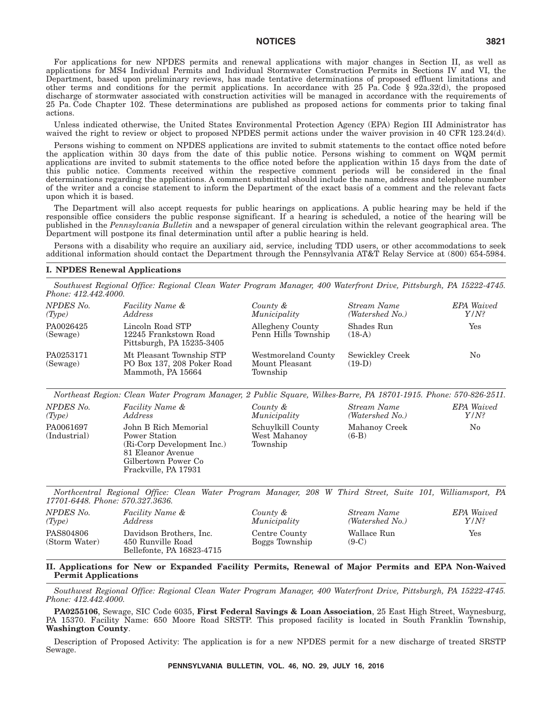For applications for new NPDES permits and renewal applications with major changes in Section II, as well as applications for MS4 Individual Permits and Individual Stormwater Construction Permits in Sections IV and VI, the Department, based upon preliminary reviews, has made tentative determinations of proposed effluent limitations and other terms and conditions for the permit applications. In accordance with 25 Pa. Code § 92a.32(d), the proposed discharge of stormwater associated with construction activities will be managed in accordance with the requirements of 25 Pa. Code Chapter 102. These determinations are published as proposed actions for comments prior to taking final actions.

Unless indicated otherwise, the United States Environmental Protection Agency (EPA) Region III Administrator has waived the right to review or object to proposed NPDES permit actions under the waiver provision in 40 CFR 123.24(d).

Persons wishing to comment on NPDES applications are invited to submit statements to the contact office noted before the application within 30 days from the date of this public notice. Persons wishing to comment on WQM permit applications are invited to submit statements to the office noted before the application within 15 days from the date of this public notice. Comments received within the respective comment periods will be considered in the final determinations regarding the applications. A comment submittal should include the name, address and telephone number of the writer and a concise statement to inform the Department of the exact basis of a comment and the relevant facts upon which it is based.

The Department will also accept requests for public hearings on applications. A public hearing may be held if the responsible office considers the public response significant. If a hearing is scheduled, a notice of the hearing will be published in the *Pennsylvania Bulletin* and a newspaper of general circulation within the relevant geographical area. The Department will postpone its final determination until after a public hearing is held.

Persons with a disability who require an auxiliary aid, service, including TDD users, or other accommodations to seek additional information should contact the Department through the Pennsylvania AT&T Relay Service at (800) 654-5984.

#### **I. NPDES Renewal Applications**

*Southwest Regional Office: Regional Clean Water Program Manager, 400 Waterfront Drive, Pittsburgh, PA 15222-4745. Phone: 412.442.4000.*

| 1 IWIK. T12.TT2.TVVV.     |                                                                                                                                         |                                                   |                                |                              |
|---------------------------|-----------------------------------------------------------------------------------------------------------------------------------------|---------------------------------------------------|--------------------------------|------------------------------|
| NPDES No.<br>(Type)       | Facility Name &<br>Address                                                                                                              | County &<br>Municipality                          | Stream Name<br>(Watershed No.) | <b>EPA</b> Waived<br>$Y/N$ ? |
| PA0026425<br>(Sewage)     | Lincoln Road STP<br>12245 Frankstown Road<br>Pittsburgh, PA 15235-3405                                                                  | Allegheny County<br>Penn Hills Township           | Shades Run<br>$(18-A)$         | Yes                          |
| PA0253171<br>(Sewage)     | Mt Pleasant Township STP<br>PO Box 137, 208 Poker Road<br>Mammoth, PA 15664                                                             | Westmoreland County<br>Mount Pleasant<br>Township | Sewickley Creek<br>$(19-D)$    | $\rm No$                     |
|                           | Northeast Region: Clean Water Program Manager, 2 Public Square, Wilkes-Barre, PA 18701-1915. Phone: 570-826-2511.                       |                                                   |                                |                              |
| NPDES No.<br>(Type)       | <i>Facility Name &amp;</i><br>Address                                                                                                   | County &<br>Municipality                          | Stream Name<br>(Watershed No.) | <b>EPA</b> Waived<br>$Y/N$ ? |
| PA0061697<br>(Industrial) | John B Rich Memorial<br>Power Station<br>(Ri-Corp Development Inc.)<br>81 Eleanor Avenue<br>Gilbertown Power Co<br>Frackville, PA 17931 | Schuylkill County<br>West Mahanov<br>Township     | Mahanoy Creek<br>$(6-B)$       | $\rm No$                     |
|                           |                                                                                                                                         |                                                   |                                |                              |

*Northcentral Regional Office: Clean Water Program Manager, 208 W Third Street, Suite 101, Williamsport, PA 17701-6448. Phone: 570.327.3636.*

| NPDES No.                  | <i>Facility Name &amp;</i>                                                | County &                        | Stream Name            | <b>EPA</b> Waived |
|----------------------------|---------------------------------------------------------------------------|---------------------------------|------------------------|-------------------|
| (Tvpe)                     | Address                                                                   | Municipality                    | (Watershed No.)        | Y/N?              |
| PAS804806<br>(Storm Water) | Davidson Brothers, Inc.<br>450 Runville Road<br>Bellefonte, PA 16823-4715 | Centre County<br>Boggs Township | Wallace Run<br>$(9-C)$ | Yes               |

# **II. Applications for New or Expanded Facility Permits, Renewal of Major Permits and EPA Non-Waived Permit Applications**

*Southwest Regional Office: Regional Clean Water Program Manager, 400 Waterfront Drive, Pittsburgh, PA 15222-4745. Phone: 412.442.4000.*

**PA0255106**, Sewage, SIC Code 6035, **First Federal Savings & Loan Association**, 25 East High Street, Waynesburg, PA 15370. Facility Name: 650 Moore Road SRSTP. This proposed facility is located in South Franklin Township, **Washington County**.

Description of Proposed Activity: The application is for a new NPDES permit for a new discharge of treated SRSTP Sewage.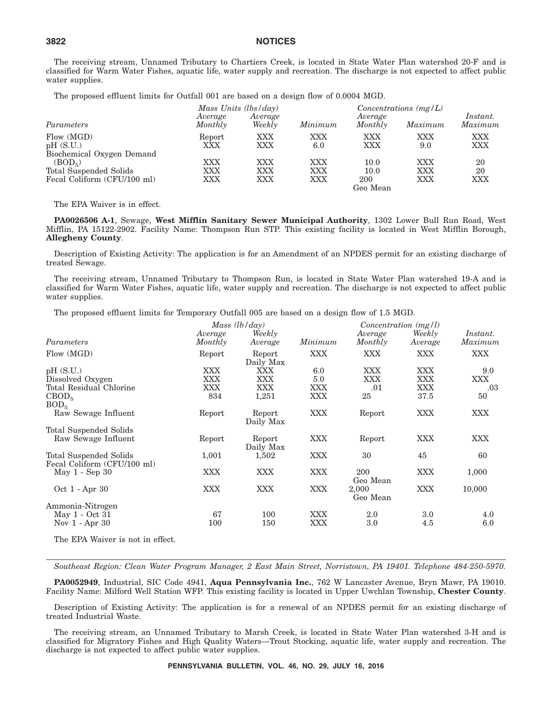The receiving stream, Unnamed Tributary to Chartiers Creek, is located in State Water Plan watershed 20-F and is classified for Warm Water Fishes, aquatic life, water supply and recreation. The discharge is not expected to affect public water supplies.

The proposed effluent limits for Outfall 001 are based on a design flow of 0.0004 MGD.

|                             | Mass Units (lbs/day) |         |            | Concentrations $(mg/L)$ |            |                     |
|-----------------------------|----------------------|---------|------------|-------------------------|------------|---------------------|
| Parameters                  | Average              | Average | Minimum    | Average                 |            | Instant.<br>Maximum |
|                             | Monthly              | Weekly  |            | Monthly                 | Maximum    |                     |
| Flow (MGD)                  | Report               | XXX     | <b>XXX</b> | <b>XXX</b>              | XXX        | <b>XXX</b>          |
| pH(S.U.)                    | <b>XXX</b>           | XXX     | 6.0        | <b>XXX</b>              | 9.0        | XXX                 |
| Biochemical Oxygen Demand   |                      |         |            |                         |            |                     |
| $(BOD_{\kappa})$            | XXX                  | XXX     | <b>XXX</b> | 10.0                    | <b>XXX</b> | 20                  |
| Total Suspended Solids      | <b>XXX</b>           | XXX     | XXX        | 10.0                    | <b>XXX</b> | 20                  |
| Fecal Coliform (CFU/100 ml) | XXX                  | XXX     | XXX        | 200                     | XXX        | XXX                 |
|                             |                      |         |            | Geo Mean                |            |                     |

The EPA Waiver is in effect.

**PA0026506 A-1**, Sewage, **West Mifflin Sanitary Sewer Municipal Authority**, 1302 Lower Bull Run Road, West Mifflin, PA 15122-2902. Facility Name: Thompson Run STP. This existing facility is located in West Mifflin Borough, **Allegheny County**.

Description of Existing Activity: The application is for an Amendment of an NPDES permit for an existing discharge of treated Sewage.

The receiving stream, Unnamed Tributary to Thompson Run, is located in State Water Plan watershed 19-A and is classified for Warm Water Fishes, aquatic life, water supply and recreation. The discharge is not expected to affect public water supplies.

The proposed effluent limits for Temporary Outfall 005 are based on a design flow of 1.5 MGD.

|                                  | Mass (lb/day) |            |            | Concentration $(mg/l)$ |            |                 |  |
|----------------------------------|---------------|------------|------------|------------------------|------------|-----------------|--|
|                                  | Average       | Weekly     |            | Average                | Weekly     | <i>Instant.</i> |  |
| Parameters                       | Monthly       | Average    | Minimum    | Monthly                | Average    | Maximum         |  |
| Flow (MGD)                       | Report        | Report     | XXX        | XXX                    | XXX        | <b>XXX</b>      |  |
|                                  |               | Daily Max  |            |                        |            |                 |  |
| pH(S.U.)                         | XXX           | XXX        | 6.0        | XXX                    | <b>XXX</b> | 9.0             |  |
| Dissolved Oxygen                 | XXX           | XXX        | 5.0        | <b>XXX</b>             | XXX        | XXX             |  |
| Total Residual Chlorine          | XXX           | XXX        | XXX        | .01                    | XXX        | .03             |  |
| CBOD <sub>5</sub>                | 834           | 1,251      | XXX        | 25                     | 37.5       | 50              |  |
| BOD <sub>5</sub>                 |               |            |            |                        |            |                 |  |
| Raw Sewage Influent              | Report        | Report     | XXX        | Report                 | <b>XXX</b> | XXX             |  |
|                                  |               | Daily Max  |            |                        |            |                 |  |
| Total Suspended Solids           |               |            |            |                        |            |                 |  |
| Raw Sewage Influent              | Report        | Report     | XXX        | Report                 | <b>XXX</b> | XXX             |  |
|                                  |               | Daily Max  |            |                        |            |                 |  |
| Total Suspended Solids           | 1,001         | 1,502      | XXX        | 30                     | 45         | 60              |  |
| Fecal Coliform (CFU/100 ml)      |               |            |            |                        |            |                 |  |
| May 1 - Sep 30                   | XXX           | <b>XXX</b> | <b>XXX</b> | 200                    | <b>XXX</b> | 1,000           |  |
|                                  |               |            |            | Geo Mean               |            |                 |  |
| Oct 1 - Apr 30                   | <b>XXX</b>    | XXX        | XXX        | 2,000                  | XXX        | 10,000          |  |
|                                  |               |            |            | Geo Mean               |            |                 |  |
| Ammonia-Nitrogen                 |               |            |            |                        |            |                 |  |
| May 1 - Oct 31                   | 67            | 100        | XXX        | 2.0                    | $3.0\,$    | 4.0             |  |
| Nov $1 -$ Apr $30$               | 100           | 150        | XXX        | 3.0                    | 4.5        | 6.0             |  |
|                                  |               |            |            |                        |            |                 |  |
| The EPA Waiver is not in effect. |               |            |            |                        |            |                 |  |

*Southeast Region: Clean Water Program Manager, 2 East Main Street, Norristown, PA 19401. Telephone 484-250-5970.*

**PA0052949**, Industrial, SIC Code 4941, **Aqua Pennsylvania Inc.**, 762 W Lancaster Avenue, Bryn Mawr, PA 19010. Facility Name: Milford Well Station WFP. This existing facility is located in Upper Uwchlan Township, **Chester County**.

Description of Existing Activity: The application is for a renewal of an NPDES permit for an existing discharge of treated Industrial Waste.

The receiving stream, an Unnamed Tributary to Marsh Creek, is located in State Water Plan watershed 3-H and is classified for Migratory Fishes and High Quality Waters—Trout Stocking, aquatic life, water supply and recreation. The discharge is not expected to affect public water supplies.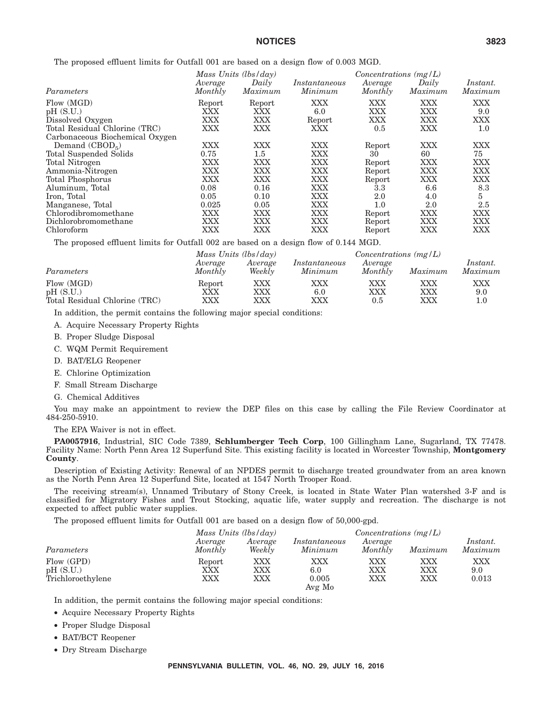The proposed effluent limits for Outfall 001 are based on a design flow of 0.003 MGD.

|                                 | Mass Units (lbs/day) |            |                      | Concentrations $(mg/L)$ |            |                 |
|---------------------------------|----------------------|------------|----------------------|-------------------------|------------|-----------------|
|                                 | Average              | Daily      | <i>Instantaneous</i> | Average                 | Daily      | <i>Instant.</i> |
| Parameters                      | Monthly              | Maximum    | Minimum              | Monthly                 | Maximum    | Maximum         |
| Flow (MGD)                      | Report               | Report     | XXX                  | XXX                     | <b>XXX</b> | XXX             |
| pH(S.U.)                        | XXX                  | <b>XXX</b> | 6.0                  | XXX                     | XXX        | 9.0             |
| Dissolved Oxygen                | XXX                  | <b>XXX</b> | Report               | XXX                     | <b>XXX</b> | XXX             |
| Total Residual Chlorine (TRC)   | XXX                  | <b>XXX</b> | XXX                  | 0.5                     | <b>XXX</b> | 1.0             |
| Carbonaceous Biochemical Oxygen |                      |            |                      |                         |            |                 |
| Demand $(CBOD5)$                | XXX                  | <b>XXX</b> | XXX                  | Report                  | <b>XXX</b> | <b>XXX</b>      |
| Total Suspended Solids          | 0.75                 | $1.5\,$    | <b>XXX</b>           | 30                      | 60         | 75              |
| <b>Total Nitrogen</b>           | XXX                  | <b>XXX</b> | <b>XXX</b>           | Report                  | <b>XXX</b> | <b>XXX</b>      |
| Ammonia-Nitrogen                | XXX                  | <b>XXX</b> | <b>XXX</b>           | Report                  | <b>XXX</b> | <b>XXX</b>      |
| Total Phosphorus                | XXX                  | <b>XXX</b> | XXX                  | Report                  | XXX        | XXX             |
| Aluminum, Total                 | 0.08                 | 0.16       | XXX                  | 3.3                     | 6.6        | 8.3             |
| Iron, Total                     | 0.05                 | 0.10       | XXX                  | 2.0                     | 4.0        | 5               |
| Manganese, Total                | 0.025                | 0.05       | <b>XXX</b>           | $1.0\,$                 | 2.0        | 2.5             |
| Chlorodibromomethane            | <b>XXX</b>           | <b>XXX</b> | XXX                  | Report                  | XXX        | <b>XXX</b>      |
| Dichlorobromomethane            | XXX                  | <b>XXX</b> | XXX                  | Report                  | XXX        | XXX             |
| Chloroform                      | XXX                  | XXX        | XXX                  | Report                  | XXX        | XXX             |

The proposed effluent limits for Outfall 002 are based on a design flow of 0.144 MGD.

|                                                         | Mass Units $(lbs/day)$ |                               |                                 | Concentrations $(mg/L)$  |                           |                         |
|---------------------------------------------------------|------------------------|-------------------------------|---------------------------------|--------------------------|---------------------------|-------------------------|
| Parameters                                              | Average<br>Monthly     | Average<br>Weekly             | <i>Instantaneous</i><br>Minimum | Average<br>Monthly       | Maximum                   | Instant.<br>Maximum     |
| Flow (MGD)<br>pH(S.U.)<br>Total Residual Chlorine (TRC) | Report<br>XXX<br>XXX   | $\rm XXX$<br>$\rm XXX$<br>XXX | XXX<br>6.0<br>XXX               | XXX<br><b>XXX</b><br>0.5 | ${\rm XXX}$<br>XXX<br>XXX | $\rm XXX$<br>9.0<br>1.0 |

In addition, the permit contains the following major special conditions:

A. Acquire Necessary Property Rights

- B. Proper Sludge Disposal
- C. WQM Permit Requirement
- D. BAT/ELG Reopener
- E. Chlorine Optimization
- F. Small Stream Discharge
- G. Chemical Additives

You may make an appointment to review the DEP files on this case by calling the File Review Coordinator at 484-250-5910.

The EPA Waiver is not in effect.

**PA0057916**, Industrial, SIC Code 7389, **Schlumberger Tech Corp**, 100 Gillingham Lane, Sugarland, TX 77478. Facility Name: North Penn Area 12 Superfund Site. This existing facility is located in Worcester Township, **Montgomery County**.

Description of Existing Activity: Renewal of an NPDES permit to discharge treated groundwater from an area known as the North Penn Area 12 Superfund Site, located at 1547 North Trooper Road.

The receiving stream(s), Unnamed Tributary of Stony Creek, is located in State Water Plan watershed 3-F and is classified for Migratory Fishes and Trout Stocking, aquatic life, water supply and recreation. The discharge is not expected to affect public water supplies.

The proposed effluent limits for Outfall 001 are based on a design flow of 50,000-gpd.

|                                             | Mass Units $(lbs/day)$ |                   |                                 | Concentrations $(mg/L)$         |                   |                     |
|---------------------------------------------|------------------------|-------------------|---------------------------------|---------------------------------|-------------------|---------------------|
| Parameters                                  | Average<br>Monthly     | Average<br>Weekly | <i>Instantaneous</i><br>Minimum | Average<br>Monthly              | Maximum           | Instant.<br>Maximum |
| Flow (GPD)<br>pH(S.U.)<br>Trichloroethylene | Report<br>XXX<br>XXX   | XXX<br>XXX<br>XXX | <b>XXX</b><br>6.0<br>0.005      | XXX<br><b>XXX</b><br><b>XXX</b> | XXX<br>XXX<br>XXX | XXX<br>9.0<br>0.013 |
|                                             |                        |                   | Avg Mo                          |                                 |                   |                     |

In addition, the permit contains the following major special conditions:

- Acquire Necessary Property Rights
- Proper Sludge Disposal
- BAT/BCT Reopener
- Dry Stream Discharge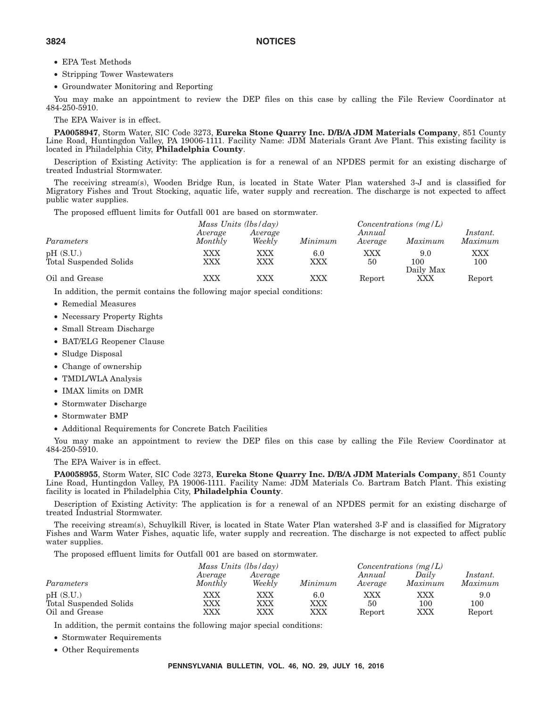- - EPA Test Methods
	- Stripping Tower Wastewaters
	- Groundwater Monitoring and Reporting

You may make an appointment to review the DEP files on this case by calling the File Review Coordinator at 484-250-5910.

The EPA Waiver is in effect.

**PA0058947**, Storm Water, SIC Code 3273, **Eureka Stone Quarry Inc. D/B/A JDM Materials Company**, 851 County Line Road, Huntingdon Valley, PA 19006-1111. Facility Name: JDM Materials Grant Ave Plant. This existing facility is located in Philadelphia City, **Philadelphia County**.

Description of Existing Activity: The application is for a renewal of an NPDES permit for an existing discharge of treated Industrial Stormwater.

The receiving stream(s), Wooden Bridge Run, is located in State Water Plan watershed 3-J and is classified for Migratory Fishes and Trout Stocking, aquatic life, water supply and recreation. The discharge is not expected to affect public water supplies.

The proposed effluent limits for Outfall 001 are based on stormwater.

| Parameters                                | Mass Units (lbs/day)<br>Average<br>Average |            |            | Concentrations $(mg/L)$<br>Annual | Instant.                |            |
|-------------------------------------------|--------------------------------------------|------------|------------|-----------------------------------|-------------------------|------------|
|                                           | Monthly                                    | Weekly     | Minimum    | Average                           | Maximum                 | Maximum    |
| pH(S.U.)<br><b>Total Suspended Solids</b> | XXX<br>XXX                                 | XXX<br>XXX | 6.0<br>XXX | XXX<br>50                         | 9.0<br>100<br>Daily Max | XXX<br>100 |
| Oil and Grease                            | XXX                                        | XXX        | XXX        | Report                            | XXX                     | Report     |

In addition, the permit contains the following major special conditions:

- Remedial Measures
- Necessary Property Rights
- Small Stream Discharge
- BAT/ELG Reopener Clause
- Sludge Disposal
- Change of ownership
- TMDL/WLA Analysis
- IMAX limits on DMR
- Stormwater Discharge
- Stormwater BMP
- Additional Requirements for Concrete Batch Facilities

You may make an appointment to review the DEP files on this case by calling the File Review Coordinator at 484-250-5910.

The EPA Waiver is in effect.

**PA0058955**, Storm Water, SIC Code 3273, **Eureka Stone Quarry Inc. D/B/A JDM Materials Company**, 851 County Line Road, Huntingdon Valley, PA 19006-1111. Facility Name: JDM Materials Co. Bartram Batch Plant. This existing facility is located in Philadelphia City, **Philadelphia County**.

Description of Existing Activity: The application is for a renewal of an NPDES permit for an existing discharge of treated Industrial Stormwater.

The receiving stream(s), Schuylkill River, is located in State Water Plan watershed 3-F and is classified for Migratory Fishes and Warm Water Fishes, aquatic life, water supply and recreation. The discharge is not expected to affect public water supplies.

The proposed effluent limits for Outfall 001 are based on stormwater.

|                        | Mass Units $(lbs/day)$ |                   |         | Concentrations $(mg/L)$ |                  |                     |
|------------------------|------------------------|-------------------|---------|-------------------------|------------------|---------------------|
| Parameters             | Average<br>Monthly     | Average<br>Weekly | Minimum | Annual<br>Average       | Daily<br>Maximum | Instant.<br>Maximum |
| pH(S.U.)               | XXX                    | XXX               | $6.0\,$ | XXX                     | XXX              | 9.0                 |
| Total Suspended Solids | XXX                    | XXX               | XXX     | 50                      | $100\,$          | $100\,$             |
| Oil and Grease         | XXX                    | XXX               | XXX     | Report                  | XXX              | Report              |

In addition, the permit contains the following major special conditions:

- Stormwater Requirements
- Other Requirements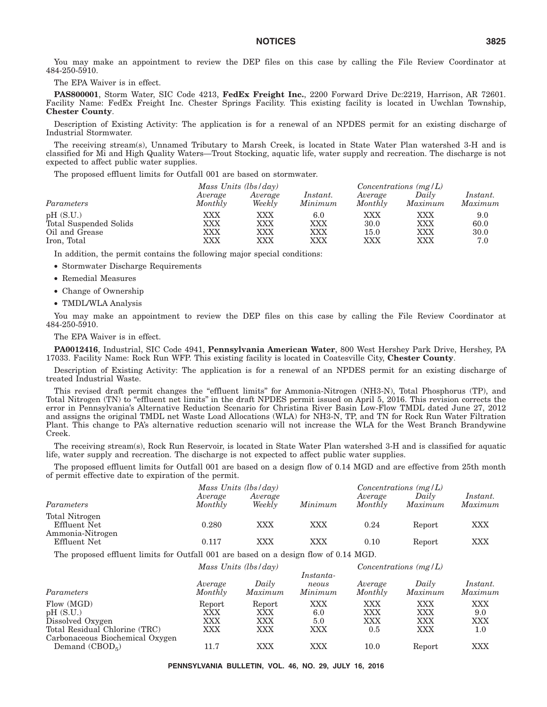You may make an appointment to review the DEP files on this case by calling the File Review Coordinator at 484-250-5910.

The EPA Waiver is in effect.

**PAS800001**, Storm Water, SIC Code 4213, **FedEx Freight Inc.**, 2200 Forward Drive Dc:2219, Harrison, AR 72601. Facility Name: FedEx Freight Inc. Chester Springs Facility. This existing facility is located in Uwchlan Township, **Chester County**.

Description of Existing Activity: The application is for a renewal of an NPDES permit for an existing discharge of Industrial Stormwater.

The receiving stream(s), Unnamed Tributary to Marsh Creek, is located in State Water Plan watershed 3-H and is classified for Mi and High Quality Waters—Trout Stocking, aquatic life, water supply and recreation. The discharge is not expected to affect public water supplies.

The proposed effluent limits for Outfall 001 are based on stormwater.

|                        | Mass Units (lbs/day) |         |            | Concentrations $(mg/L)$ |            |                 |
|------------------------|----------------------|---------|------------|-------------------------|------------|-----------------|
|                        | Average              | Average | Instant.   | Average                 | Daily      | <i>Instant.</i> |
| Parameters             | Monthly              | Weekly  | Minimum    | Monthly                 | Maximum    | Maximum         |
| pH(S.U.)               | XXX                  | XXX     | 6.0        | XXX                     | XXX        | 9.0             |
| Total Suspended Solids | XXX                  | XXX     | <b>XXX</b> | 30.0                    | XXX        | 60.0            |
| Oil and Grease         | XXX                  | XXX     | XXX        | $15.0\,$                | <b>XXX</b> | 30.0            |
| Iron, Total            | XXX                  | XXX     | XXX        | XXX                     | XXX        | 7.0             |

In addition, the permit contains the following major special conditions:

- Stormwater Discharge Requirements
- Remedial Measures
- Change of Ownership
- TMDL/WLA Analysis

You may make an appointment to review the DEP files on this case by calling the File Review Coordinator at 484-250-5910.

The EPA Waiver is in effect.

**PA0012416**, Industrial, SIC Code 4941, **Pennsylvania American Water**, 800 West Hershey Park Drive, Hershey, PA 17033. Facility Name: Rock Run WFP. This existing facility is located in Coatesville City, **Chester County**.

Description of Existing Activity: The application is for a renewal of an NPDES permit for an existing discharge of treated Industrial Waste.

This revised draft permit changes the "effluent limits" for Ammonia-Nitrogen (NH3-N), Total Phosphorus (TP), and Total Nitrogen (TN) to "effluent net limits" in the draft NPDES permit issued on April 5, 2016. This revision corrects the error in Pennsylvania's Alternative Reduction Scenario for Christina River Basin Low-Flow TMDL dated June 27, 2012 and assigns the original TMDL net Waste Load Allocations (WLA) for NH3-N, TP, and TN for Rock Run Water Filtration Plant. This change to PA's alternative reduction scenario will not increase the WLA for the West Branch Brandywine Creek.

The receiving stream(s), Rock Run Reservoir, is located in State Water Plan watershed 3-H and is classified for aquatic life, water supply and recreation. The discharge is not expected to affect public water supplies.

The proposed effluent limits for Outfall 001 are based on a design flow of 0.14 MGD and are effective from 25th month of permit effective date to expiration of the permit.

|                                  |                    | Mass Units $(lbs/day)$ |         |                    | Concentrations $(mg/L)$ |                     |  |
|----------------------------------|--------------------|------------------------|---------|--------------------|-------------------------|---------------------|--|
| Parameters                       | Average<br>Monthly | Average<br>Weeklv      | Minimum | Average<br>Monthly | Daily<br>Maximum        | Instant.<br>Maximum |  |
| Total Nitrogen<br>Effluent Net   | 0.280              | XXX                    | XXX     | 0.24               | Report                  | XXX                 |  |
| Ammonia-Nitrogen<br>Effluent Net | 0.117              | XXX                    | XXX     | 0.10               | Report                  | XXX                 |  |

The proposed effluent limits for Outfall 001 are based on a design flow of 0.14 MGD.

|                                                                  | Mass Units $(lbs/day)$ |                  |                               | Concentrations $(mg/L)$ |                  |                     |
|------------------------------------------------------------------|------------------------|------------------|-------------------------------|-------------------------|------------------|---------------------|
| Parameters                                                       | Average<br>Monthly     | Daily<br>Maximum | Instanta-<br>neous<br>Minimum | Average<br>Monthly      | Daily<br>Maximum | Instant.<br>Maximum |
| Flow (MGD)                                                       | Report                 | Report           | XXX                           | XXX                     | XXX              | XXX                 |
| pH(S.U.)                                                         | XXX                    | XXX              | 6.0                           | XXX                     | XXX              | 9.0                 |
| Dissolved Oxygen                                                 | XXX                    | XXX              | 5.0                           | XXX                     | XXX              | XXX                 |
| Total Residual Chlorine (TRC)<br>Carbonaceous Biochemical Oxygen | XXX                    | XXX              | XXX                           | 0.5                     | XXX              | $1.0\,$             |
| Demand $(CBOD5)$                                                 | 11.7                   | XXX              | XXX                           | 10.0                    | Report           | XXX                 |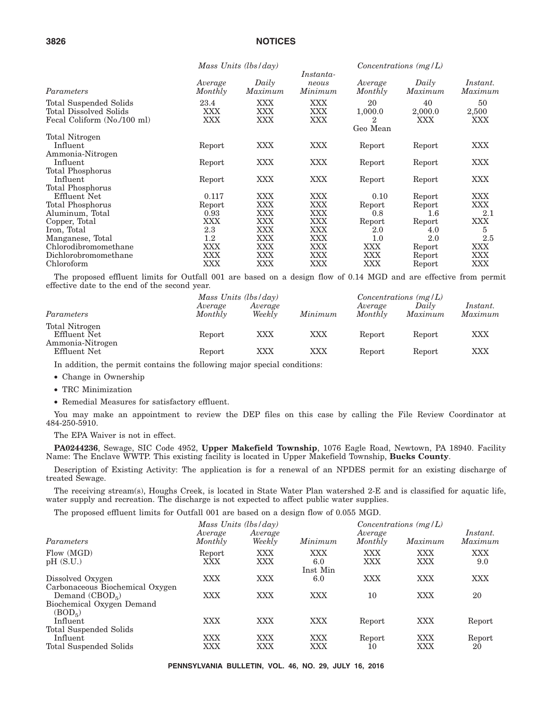|                                                                                        | Mass Units $(lbs/day)$ |                                 | Concentrations $(mg/L)$         |                                |                      |                          |
|----------------------------------------------------------------------------------------|------------------------|---------------------------------|---------------------------------|--------------------------------|----------------------|--------------------------|
| Parameters                                                                             | Average<br>Monthly     | Daily<br>Maximum                | Instanta-<br>neous<br>Minimum   | Average<br>Monthly             | Daily<br>Maximum     | Instant.<br>Maximum      |
| <b>Total Suspended Solids</b><br>Total Dissolved Solids<br>Fecal Coliform (No./100 ml) | 23.4<br>XXX<br>XXX     | <b>XXX</b><br>XXX<br><b>XXX</b> | XXX<br>XXX<br>XXX               | 20<br>1,000.0<br>2<br>Geo Mean | 40<br>2,000.0<br>XXX | 50<br>2,500<br>$\rm XXX$ |
| Total Nitrogen<br>Influent<br>Ammonia-Nitrogen                                         | Report                 | <b>XXX</b>                      | XXX                             | Report                         | Report               | XXX                      |
| Influent<br>Total Phosphorus                                                           | Report                 | <b>XXX</b>                      | XXX                             | Report                         | Report               | <b>XXX</b>               |
| Influent<br>Total Phosphorus                                                           | Report                 | <b>XXX</b>                      | XXX                             | Report                         | Report               | <b>XXX</b>               |
| Effluent Net<br>Total Phosphorus                                                       | 0.117<br>Report        | <b>XXX</b><br><b>XXX</b>        | XXX<br>XXX                      | 0.10<br>Report                 | Report<br>Report     | XXX<br>XXX               |
| Aluminum, Total<br>Copper, Total                                                       | 0.93<br>XXX<br>2.3     | XXX<br><b>XXX</b><br>XXX        | <b>XXX</b><br><b>XXX</b><br>XXX | 0.8<br>Report<br>2.0           | 1.6<br>Report<br>4.0 | 2.1<br>XXX<br>5          |
| Iron, Total<br>Manganese, Total<br>Chlorodibromomethane                                | $1.2\,$<br>XXX         | XXX<br>XXX                      | XXX<br>XXX                      | 1.0<br>XXX                     | 2.0<br>Report        | 2.5<br><b>XXX</b>        |
| Dichlorobromomethane<br>Chloroform                                                     | <b>XXX</b><br>XXX      | <b>XXX</b><br>XXX               | <b>XXX</b><br><b>XXX</b>        | <b>XXX</b><br>XXX              | Report<br>Report     | XXX<br><b>XXX</b>        |

The proposed effluent limits for Outfall 001 are based on a design flow of 0.14 MGD and are effective from permit effective date to the end of the second year.

|                                  |                    | Mass Units $(lbs/day)$ |         |                    | Concentrations $(mg/L)$ |                     |  |
|----------------------------------|--------------------|------------------------|---------|--------------------|-------------------------|---------------------|--|
| Parameters                       | Average<br>Monthly | Average<br>Weekly      | Minimum | Average<br>Monthly | Daily<br>Maximum        | Instant.<br>Maximum |  |
| Total Nitrogen<br>Effluent Net   | Report             | XXX                    | XXX     | Report             | Report                  | XXX                 |  |
| Ammonia-Nitrogen<br>Effluent Net | Report             | XXX                    | XXX     | Report             | Report                  | XXX                 |  |

In addition, the permit contains the following major special conditions:

- Change in Ownership
- TRC Minimization
- Remedial Measures for satisfactory effluent.

You may make an appointment to review the DEP files on this case by calling the File Review Coordinator at 484-250-5910.

The EPA Waiver is not in effect.

**PA0244236**, Sewage, SIC Code 4952, **Upper Makefield Township**, 1076 Eagle Road, Newtown, PA 18940. Facility Name: The Enclave WWTP. This existing facility is located in Upper Makefield Township, **Bucks County**.

Description of Existing Activity: The application is for a renewal of an NPDES permit for an existing discharge of treated Sewage.

The receiving stream(s), Houghs Creek, is located in State Water Plan watershed 2-E and is classified for aquatic life, water supply and recreation. The discharge is not expected to affect public water supplies.

The proposed effluent limits for Outfall 001 are based on a design flow of 0.055 MGD.

|                                                              | Mass Units $(lbs/day)$<br>Average<br>Average |            |                 | Concentrations $(mg/L)$<br>Average |                   | Instant.     |
|--------------------------------------------------------------|----------------------------------------------|------------|-----------------|------------------------------------|-------------------|--------------|
| Parameters                                                   | Monthly                                      | Weekly     | Minimum         | Monthly                            | Maximum           | Maximum      |
| Flow (MGD)                                                   | Report                                       | XXX        | XXX             | <b>XXX</b>                         | XXX               | XXX          |
| pH(S.U.)                                                     | XXX                                          | XXX        | 6.0<br>Inst Min | <b>XXX</b>                         | XXX               | 9.0          |
| Dissolved Oxygen                                             | <b>XXX</b>                                   | <b>XXX</b> | 6.0             | <b>XXX</b>                         | XXX               | XXX          |
| Carbonaceous Biochemical Oxygen                              |                                              |            |                 |                                    |                   |              |
| Demand $(CBOD5)$                                             | <b>XXX</b>                                   | XXX        | XXX             | 10                                 | XXX               | 20           |
| Biochemical Oxygen Demand<br>(BOD <sub>5</sub> )             |                                              |            |                 |                                    |                   |              |
| Influent                                                     | <b>XXX</b>                                   | XXX        | XXX             | Report                             | XXX               | Report       |
| Total Suspended Solids<br>Influent<br>Total Suspended Solids | <b>XXX</b><br>XXX                            | XXX<br>XXX | XXX<br>XXX      | Report<br>10                       | <b>XXX</b><br>XXX | Report<br>20 |
|                                                              |                                              |            |                 |                                    |                   |              |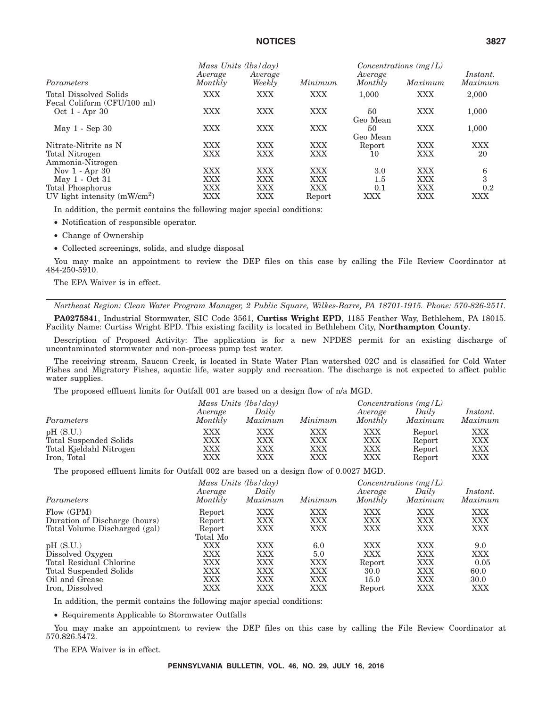|                                                       |            | Mass Units (lbs/day) | Concentrations $(mg/L)$ |                |         |          |
|-------------------------------------------------------|------------|----------------------|-------------------------|----------------|---------|----------|
|                                                       | Average    | Average              |                         | Average        |         | Instant. |
| Parameters                                            | Monthly    | Weekly               | Minimum                 | Monthly        | Maximum | Maximum  |
| Total Dissolved Solids<br>Fecal Coliform (CFU/100 ml) | XXX        | XXX                  | <b>XXX</b>              | 1,000          | XXX     | 2,000    |
| Oct 1 - Apr 30                                        | XXX        | XXX                  | XXX                     | 50<br>Geo Mean | XXX     | 1,000    |
| $May 1 - Sep 30$                                      | <b>XXX</b> | XXX                  | XXX                     | 50<br>Geo Mean | XXX     | 1,000    |
| Nitrate-Nitrite as N                                  | XXX        | XXX                  | XXX                     | Report         | XXX     | XXX      |
| Total Nitrogen<br>Ammonia-Nitrogen                    | XXX        | XXX                  | <b>XXX</b>              | 10             | XXX     | 20       |
| Nov $1 -$ Apr 30                                      | XXX        | XXX                  | XXX                     | 3.0            | XXX     | 6        |
| May 1 - Oct 31                                        | XXX        | XXX                  | <b>XXX</b>              | 1.5            | XXX     | 3        |
| Total Phosphorus                                      | XXX        | XXX                  | XXX                     | 0.1            | XXX     | 0.2      |
| UV light intensity $(mW/cm2)$                         | XXX        | XXX                  | Report                  | <b>XXX</b>     | XXX     | XXX      |

In addition, the permit contains the following major special conditions:

• Notification of responsible operator.

• Change of Ownership

• Collected screenings, solids, and sludge disposal

You may make an appointment to review the DEP files on this case by calling the File Review Coordinator at 484-250-5910.

The EPA Waiver is in effect.

*Northeast Region: Clean Water Program Manager, 2 Public Square, Wilkes-Barre, PA 18701-1915. Phone: 570-826-2511.*

**PA0275841**, Industrial Stormwater, SIC Code 3561, **Curtiss Wright EPD**, 1185 Feather Way, Bethlehem, PA 18015. Facility Name: Curtiss Wright EPD. This existing facility is located in Bethlehem City, **Northampton County**.

Description of Proposed Activity: The application is for a new NPDES permit for an existing discharge of uncontaminated stormwater and non-process pump test water.

The receiving stream, Saucon Creek, is located in State Water Plan watershed 02C and is classified for Cold Water Fishes and Migratory Fishes, aquatic life, water supply and recreation. The discharge is not expected to affect public water supplies.

The proposed effluent limits for Outfall 001 are based on a design flow of n/a MGD.

|                                        | Mass Units (lbs/day) |            |            | Concentrations $(mg/L)$ |                  |            |
|----------------------------------------|----------------------|------------|------------|-------------------------|------------------|------------|
|                                        | Average              | Dailv      |            | Average                 | Daily            | Instant.   |
| Parameters                             | Monthly              | Maximum    | Minimum    | Monthly                 | Maximum          | Maximum    |
| pH(S.U.)                               | XXX                  | XXX        | XXX        | XXX                     | Report           | XXX        |
| Total Suspended Solids                 | <b>XXX</b>           | XXX        | XXX        | XXX                     | Report           | XXX        |
| Total Kjeldahl Nitrogen<br>Iron, Total | XXX<br>XXX           | XXX<br>XXX | XXX<br>XXX | XXX<br>XXX              | Report<br>Report | XXX<br>XXX |
|                                        |                      |            |            |                         |                  |            |

The proposed effluent limits for Outfall 002 are based on a design flow of 0.0027 MGD.

|                               | Mass Units (lbs/day) |            |            | Concentrations $(mg/L)$ |            |                 |
|-------------------------------|----------------------|------------|------------|-------------------------|------------|-----------------|
|                               | Average              | Daily      |            | Average                 | Daily      | <i>Instant.</i> |
| Parameters                    | Monthly              | Maximum    | Minimum    | Monthly                 | Maximum    | Maximum         |
| Flow (GPM)                    | Report               | XXX        | XXX        | XXX                     | XXX        | XXX             |
| Duration of Discharge (hours) | Report               | XXX        | XXX        | XXX                     | <b>XXX</b> | XXX             |
| Total Volume Discharged (gal) | Report               | <b>XXX</b> | XXX        | XXX                     | XXX        | XXX             |
|                               | Total Mo             |            |            |                         |            |                 |
| pH(S.U.)                      | <b>XXX</b>           | XXX        | 6.0        | <b>XXX</b>              | <b>XXX</b> | 9.0             |
| Dissolved Oxygen              | XXX                  | XXX        | 5.0        | <b>XXX</b>              | <b>XXX</b> | XXX             |
| Total Residual Chlorine       | <b>XXX</b>           | <b>XXX</b> | XXX        | Report                  | XXX        | 0.05            |
| Total Suspended Solids        | <b>XXX</b>           | <b>XXX</b> | <b>XXX</b> | 30.0                    | <b>XXX</b> | 60.0            |
| Oil and Grease                | <b>XXX</b>           | XXX        | XXX        | 15.0                    | XXX        | 30.0            |
| Iron, Dissolved               | XXX                  | XXX        | XXX        | Report                  | XXX        | XXX             |

In addition, the permit contains the following major special conditions:

• Requirements Applicable to Stormwater Outfalls

You may make an appointment to review the DEP files on this case by calling the File Review Coordinator at 570.826.5472.

The EPA Waiver is in effect.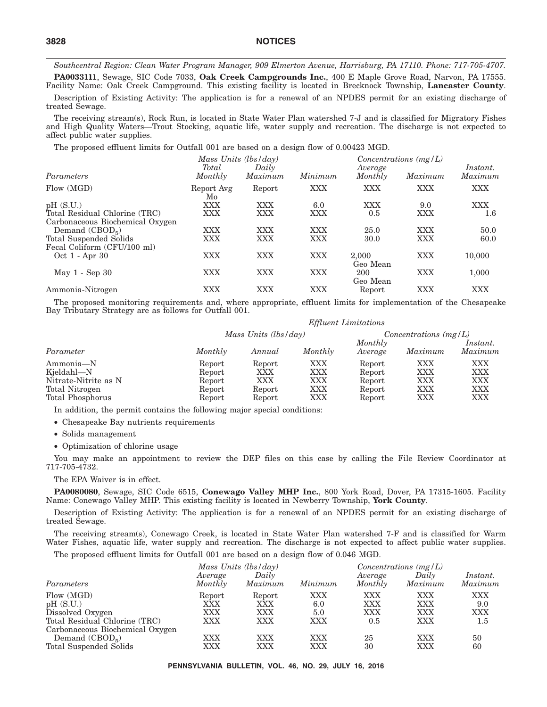*Southcentral Region: Clean Water Program Manager, 909 Elmerton Avenue, Harrisburg, PA 17110. Phone: 717-705-4707.*

**PA0033111**, Sewage, SIC Code 7033, **Oak Creek Campgrounds Inc.**, 400 E Maple Grove Road, Narvon, PA 17555. Facility Name: Oak Creek Campground. This existing facility is located in Brecknock Township, **Lancaster County**.

Description of Existing Activity: The application is for a renewal of an NPDES permit for an existing discharge of treated Sewage.

The receiving stream(s), Rock Run, is located in State Water Plan watershed 7-J and is classified for Migratory Fishes and High Quality Waters—Trout Stocking, aquatic life, water supply and recreation. The discharge is not expected to affect public water supplies.

The proposed effluent limits for Outfall 001 are based on a design flow of 0.00423 MGD.

|                                 | Mass Units (lbs/day)<br>Total<br>Daily |         |            | Concentrations $(mg/L)$<br>Average | Instant.   |            |
|---------------------------------|----------------------------------------|---------|------------|------------------------------------|------------|------------|
| Parameters                      | Monthly                                | Maximum | Minimum    | Monthly                            | Maximum    | Maximum    |
| Flow (MGD)                      | Report Avg<br>Mo                       | Report  | <b>XXX</b> | XXX                                | <b>XXX</b> | <b>XXX</b> |
| pH(S.U.)                        | XXX                                    | XXX     | 6.0        | XXX                                | 9.0        | <b>XXX</b> |
| Total Residual Chlorine (TRC)   | XXX                                    | XXX     | <b>XXX</b> | 0.5                                | <b>XXX</b> | $1.6\,$    |
| Carbonaceous Biochemical Oxygen |                                        |         |            |                                    |            |            |
| Demand $(CBOD5)$                | XXX                                    | XXX     | <b>XXX</b> | 25.0                               | XXX        | 50.0       |
| <b>Total Suspended Solids</b>   | XXX                                    | XXX     | XXX        | 30.0                               | XXX        | 60.0       |
| Fecal Coliform (CFU/100 ml)     |                                        |         |            |                                    |            |            |
| Oct 1 - Apr 30                  | <b>XXX</b>                             | XXX     | <b>XXX</b> | 2.000<br>Geo Mean                  | XXX        | 10,000     |
| May 1 - Sep 30                  | XXX                                    | XXX     | XXX        | 200<br>Geo Mean                    | XXX        | 1,000      |
| Ammonia-Nitrogen                | XXX                                    | XXX     | XXX        | Report                             | XXX        | XXX        |

The proposed monitoring requirements and, where appropriate, effluent limits for implementation of the Chesapeake Bay Tributary Strategy are as follows for Outfall 001.

#### *Effluent Limitations*

|                                    |                  | Mass Units $(lbs/day)$ |                   |                    | $Concentrations$ (mg/L) |                     |  |
|------------------------------------|------------------|------------------------|-------------------|--------------------|-------------------------|---------------------|--|
| Parameter                          | Monthly          | Annual                 | Monthly           | Monthly<br>Average | Maximum                 | Instant.<br>Maximum |  |
| Ammonia—N<br>Kjeldahl-N            | Report<br>Report | Report<br>XXX          | XXX<br>XXX        | Report<br>Report   | XXX<br>XXX              | XXX<br>XXX          |  |
| Nitrate-Nitrite as N               | Report           | XXX                    | XXX               | Report             | XXX                     | XXX                 |  |
| Total Nitrogen<br>Total Phosphorus | Report<br>Report | Report<br>Report       | <b>XXX</b><br>XXX | Report<br>Report   | XXX<br>XXX              | XXX<br>XXX          |  |
|                                    |                  |                        |                   |                    |                         |                     |  |

In addition, the permit contains the following major special conditions:

• Chesapeake Bay nutrients requirements

• Solids management

• Optimization of chlorine usage

You may make an appointment to review the DEP files on this case by calling the File Review Coordinator at 717-705-4732.

The EPA Waiver is in effect.

**PA0080080**, Sewage, SIC Code 6515, **Conewago Valley MHP Inc.**, 800 York Road, Dover, PA 17315-1605. Facility Name: Conewago Valley MHP. This existing facility is located in Newberry Township, **York County**.

Description of Existing Activity: The application is for a renewal of an NPDES permit for an existing discharge of treated Sewage.

The receiving stream(s), Conewago Creek, is located in State Water Plan watershed 7-F and is classified for Warm Water Fishes, aquatic life, water supply and recreation. The discharge is not expected to affect public water supplies.

The proposed effluent limits for Outfall 001 are based on a design flow of 0.046 MGD.

|                                                                  | Mass Units (lbs/day) |                  |                   | Concentrations $(mg/L)$ |                  |                     |
|------------------------------------------------------------------|----------------------|------------------|-------------------|-------------------------|------------------|---------------------|
| Parameters                                                       | Average<br>Monthly   | Daily<br>Maximum | Minimum           | Average<br>Monthly      | Daily<br>Maximum | Instant.<br>Maximum |
| Flow (MGD)<br>pH(S.U.)                                           | Report<br>XXX        | Report<br>XXX    | <b>XXX</b><br>6.0 | XXX<br>XXX              | XXX<br>XXX       | XXX<br>9.0          |
| Dissolved Oxygen                                                 | XXX                  | XXX              | 5.0               | XXX                     | XXX              | XXX                 |
| Total Residual Chlorine (TRC)<br>Carbonaceous Biochemical Oxygen | <b>XXX</b>           | XXX              | XXX               | 0.5                     | XXX              | 1.5                 |
| Demand $(CBOD5)$<br>Total Suspended Solids                       | XXX<br>XXX           | XXX<br>XXX       | <b>XXX</b><br>XXX | 25<br>30                | XXX<br>XXX       | 50<br>60            |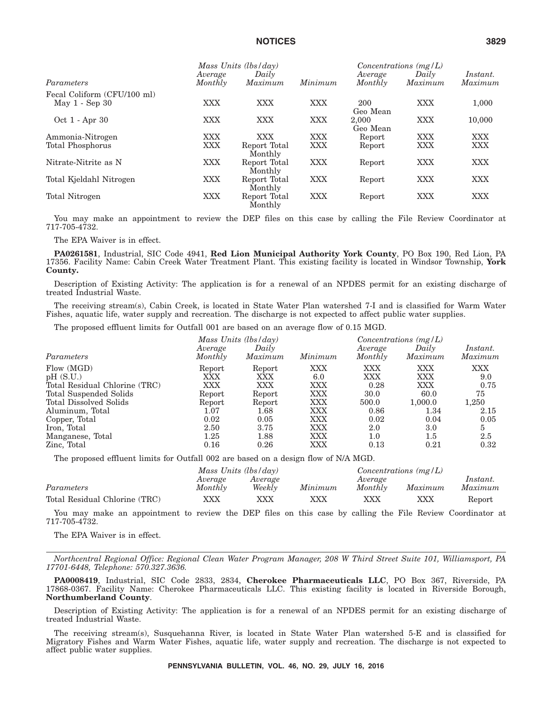|                             | Mass Units $(lbs/day)$ |              |            | Concentrations $(mg/L)$ |            |            |
|-----------------------------|------------------------|--------------|------------|-------------------------|------------|------------|
|                             | Average                | Daily        |            | Average                 | Daily      | Instant.   |
| Parameters                  | Monthly                | Maximum      | Minimum    | Monthly                 | Maximum    | Maximum    |
| Fecal Coliform (CFU/100 ml) |                        |              |            |                         |            |            |
| May 1 - Sep 30              | XXX                    | XXX          | <b>XXX</b> | 200                     | <b>XXX</b> | 1,000      |
|                             |                        |              |            | Geo Mean                |            |            |
| Oct 1 - Apr 30              | <b>XXX</b>             | <b>XXX</b>   | XXX        | 2.000                   | <b>XXX</b> | 10,000     |
|                             |                        |              |            | Geo Mean                |            |            |
| Ammonia-Nitrogen            | <b>XXX</b>             | <b>XXX</b>   | <b>XXX</b> | Report                  | <b>XXX</b> | <b>XXX</b> |
| Total Phosphorus            | <b>XXX</b>             | Report Total | <b>XXX</b> | Report                  | <b>XXX</b> | <b>XXX</b> |
|                             |                        | Monthly      |            |                         |            |            |
| Nitrate-Nitrite as N        | <b>XXX</b>             | Report Total | <b>XXX</b> | Report                  | <b>XXX</b> | <b>XXX</b> |
|                             |                        | Monthly      |            |                         |            |            |
| Total Kjeldahl Nitrogen     | <b>XXX</b>             | Report Total | <b>XXX</b> | Report                  | <b>XXX</b> | <b>XXX</b> |
|                             |                        | Monthly      |            |                         |            |            |
| Total Nitrogen              | XXX                    | Report Total | <b>XXX</b> | Report                  | <b>XXX</b> | <b>XXX</b> |
|                             |                        | Monthly      |            |                         |            |            |

You may make an appointment to review the DEP files on this case by calling the File Review Coordinator at 717-705-4732.

The EPA Waiver is in effect.

**PA0261581**, Industrial, SIC Code 4941, **Red Lion Municipal Authority York County**, PO Box 190, Red Lion, PA 17356. Facility Name: Cabin Creek Water Treatment Plant. This existing facility is located in Windsor Township, **York County.**

Description of Existing Activity: The application is for a renewal of an NPDES permit for an existing discharge of treated Industrial Waste.

The receiving stream(s), Cabin Creek, is located in State Water Plan watershed 7-I and is classified for Warm Water Fishes, aquatic life, water supply and recreation. The discharge is not expected to affect public water supplies.

The proposed effluent limits for Outfall 001 are based on an average flow of 0.15 MGD.

|                               | Mass Units $(lbs/day)$ |         |         | Concentrations $(mg/L)$ |         |                 |
|-------------------------------|------------------------|---------|---------|-------------------------|---------|-----------------|
|                               | Average                | Daily   |         | Average                 | Daily   | <i>Instant.</i> |
| Parameters                    | Monthly                | Maximum | Minimum | Monthly                 | Maximum | Maximum         |
| Flow (MGD)                    | Report                 | Report  | XXX     | XXX                     | XXX     | <b>XXX</b>      |
| pH(S.U.)                      | XXX                    | XXX     | 6.0     | <b>XXX</b>              | XXX     | 9.0             |
| Total Residual Chlorine (TRC) | XXX                    | XXX     | XXX     | 0.28                    | XXX     | 0.75            |
| Total Suspended Solids        | Report                 | Report  | XXX     | 30.0                    | 60.0    | 75              |
| Total Dissolved Solids        | Report                 | Report  | XXX     | 500.0                   | 1,000.0 | 1,250           |
| Aluminum, Total               | 1.07                   | 1.68    | XXX     | 0.86                    | 1.34    | 2.15            |
| Copper, Total                 | 0.02                   | 0.05    | XXX     | 0.02                    | 0.04    | 0.05            |
| Iron, Total                   | 2.50                   | 3.75    | XXX     | 2.0                     | 3.0     | 5               |
| Manganese, Total              | 1.25                   | 1.88    | XXX     | $1.0\,$                 | $1.5\,$ | 2.5             |
| Zinc, Total                   | 0.16                   | 0.26    | XXX     | 0.13                    | 0.21    | 0.32            |

The proposed effluent limits for Outfall 002 are based on a design flow of N/A MGD.

|                               |         | Mass Units $(lbs/day)$ | Concentrations $(mg/L)$ |         |         |          |
|-------------------------------|---------|------------------------|-------------------------|---------|---------|----------|
|                               | Average | Average                |                         | Average |         | Instant. |
| Parameters                    | Monthly | Weekly                 | Minimum                 | Monthly | Maximum | Maximum  |
| Total Residual Chlorine (TRC) | XXX     | XXX                    | XXX                     | XXX     | XXX     | Report   |

You may make an appointment to review the DEP files on this case by calling the File Review Coordinator at 717-705-4732.

The EPA Waiver is in effect.

*Northcentral Regional Office: Regional Clean Water Program Manager, 208 W Third Street Suite 101, Williamsport, PA 17701-6448, Telephone: 570.327.3636.*

**PA0008419**, Industrial, SIC Code 2833, 2834, **Cherokee Pharmaceuticals LLC**, PO Box 367, Riverside, PA 17868-0367. Facility Name: Cherokee Pharmaceuticals LLC. This existing facility is located in Riverside Borough, **Northumberland County**.

Description of Existing Activity: The application is for a renewal of an NPDES permit for an existing discharge of treated Industrial Waste.

The receiving stream(s), Susquehanna River, is located in State Water Plan watershed 5-E and is classified for Migratory Fishes and Warm Water Fishes, aquatic life, water supply and recreation. The discharge is not expected to affect public water supplies.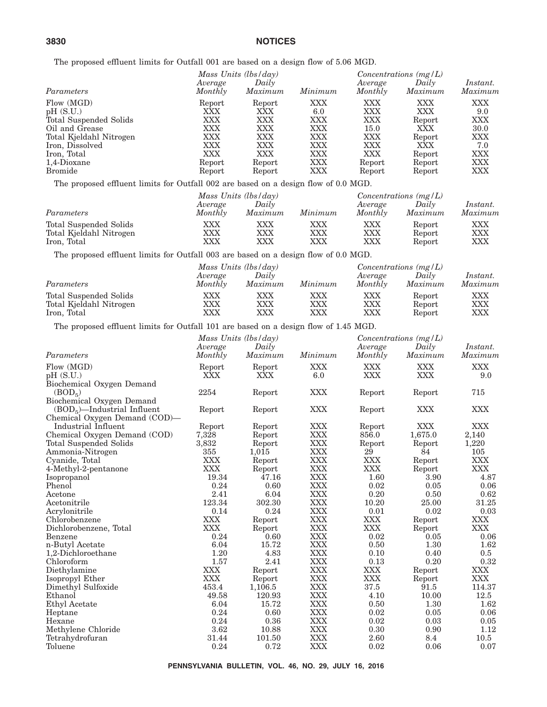The proposed effluent limits for Outfall 001 are based on a design flow of 5.06 MGD.

|                         |                    | Mass Units $(lbs/day)$ |         |                    | Concentrations $(mg/L)$ |                     |  |
|-------------------------|--------------------|------------------------|---------|--------------------|-------------------------|---------------------|--|
| Parameters              | Average<br>Monthly | Daily<br>Maximum       | Minimum | Average<br>Monthly | Daily<br>Maximum        | Instant.<br>Maximum |  |
| Flow (MGD)              | Report             | Report                 | XXX     | XXX                | XXX                     | XXX                 |  |
| pH(S.U.)                | XXX                | XXX                    | 6.0     | XXX                | XXX                     | 9.0                 |  |
| Total Suspended Solids  | XXX                | XXX                    | XXX     | XXX                | Report                  | XXX                 |  |
| Oil and Grease          | XXX                | XXX                    | XXX     | 15.0               | XXX                     | 30.0                |  |
| Total Kjeldahl Nitrogen | XXX                | XXX                    | XXX     | XXX                | Report                  | XXX                 |  |
| Iron, Dissolved         | XXX                | XXX                    | XXX     | XXX                | XXX                     | 7.0                 |  |
| Iron, Total             | XXX                | XXX                    | XXX     | XXX                | Report                  | <b>XXX</b>          |  |
| 1,4-Dioxane             | Report             | Report                 | XXX     | Report             | Report                  | <b>XXX</b>          |  |
| <b>Bromide</b>          | Report             | Report                 | XXX     | Report             | Report                  | XXX                 |  |

The proposed effluent limits for Outfall 002 are based on a design flow of 0.0 MGD.

|                                                                  | Mass Units $(lbs/day)$ |                   |                   | Concentrations $(mg/L)$             |                            |                     |
|------------------------------------------------------------------|------------------------|-------------------|-------------------|-------------------------------------|----------------------------|---------------------|
| Parameters                                                       | Average<br>Monthly     | Daily<br>Maximum  | Minimum           | Average<br>Monthly                  | Daily<br>Maximum           | Instant.<br>Maximum |
| Total Suspended Solids<br>Total Kjeldahl Nitrogen<br>Iron, Total | XXX<br>XXX<br>XXX      | XXX<br>XXX<br>XXX | XXX<br>XXX<br>XXX | $\rm XXX$<br>$\rm XXX$<br>$\rm XXX$ | Report<br>Report<br>Report | XXX<br>XXX<br>XXX   |

The proposed effluent limits for Outfall 003 are based on a design flow of 0.0 MGD.

|                         |                    | Mass Units $(lbs/day)$ |         | Concentrations $(mg/L)$ |                  |                     |
|-------------------------|--------------------|------------------------|---------|-------------------------|------------------|---------------------|
| Parameters              | Average<br>Monthly | Dailv<br>Maximum       | Minimum | Average<br>Monthly      | Daily<br>Maximum | Instant.<br>Maximum |
| Total Suspended Solids  | XXX                | XXX                    | XXX     | XXX                     | Report           | XXX                 |
| Total Kjeldahl Nitrogen | XXX                | XXX                    | XXX     | $\rm XXX$               | Report           | XXX                 |
| Iron, Total             | XXX                | XXX                    | XXX     | $\rm XXX$               | Report           | XXX                 |

The proposed effluent limits for Outfall 101 are based on a design flow of 1.45 MGD.

|                               | Mass Units (lbs/day) |            |            | Concentrations $(mg/L)$ |            |                 |
|-------------------------------|----------------------|------------|------------|-------------------------|------------|-----------------|
|                               | Average              | Daily      |            | Average                 | Daily      | <i>Instant.</i> |
| Parameters                    | Monthly              | Maximum    | Minimum    | Monthly                 | Maximum    | Maximum         |
| Flow (MGD)                    | Report               | Report     | XXX        | <b>XXX</b>              | <b>XXX</b> | <b>XXX</b>      |
| pH(S.U.)                      | <b>XXX</b>           | <b>XXX</b> | 6.0        | <b>XXX</b>              | <b>XXX</b> | 9.0             |
| Biochemical Oxygen Demand     |                      |            |            |                         |            |                 |
| (BOD <sub>5</sub> )           | 2254                 | Report     | <b>XXX</b> | Report                  | Report     | 715             |
| Biochemical Oxygen Demand     |                      |            |            |                         |            |                 |
| $(BOD5)$ —Industrial Influent | Report               | Report     | <b>XXX</b> | Report                  | <b>XXX</b> | <b>XXX</b>      |
| Chemical Oxygen Demand (COD)- |                      |            |            |                         |            |                 |
| Industrial Influent           | Report               | Report     | <b>XXX</b> | Report                  | <b>XXX</b> | <b>XXX</b>      |
| Chemical Oxygen Demand (COD)  | 7,328                | Report     | <b>XXX</b> | 856.0                   | 1,675.0    | 2,140           |
| Total Suspended Solids        | 3,832                | Report     | <b>XXX</b> | Report                  | Report     | 1,220           |
| Ammonia-Nitrogen              | 355                  | 1,015      | <b>XXX</b> | 29                      | 84         | 105             |
| Cyanide, Total                | XXX                  | Report     | <b>XXX</b> | <b>XXX</b>              | Report     | XXX             |
| 4-Methyl-2-pentanone          | <b>XXX</b>           | Report     | <b>XXX</b> | <b>XXX</b>              | Report     | <b>XXX</b>      |
| Isopropanol                   | 19.34                | 47.16      | <b>XXX</b> | 1.60                    | 3.90       | 4.87            |
| Phenol                        | 0.24                 | 0.60       | <b>XXX</b> | 0.02                    | 0.05       | 0.06            |
| Acetone                       | 2.41                 | 6.04       | <b>XXX</b> | 0.20                    | 0.50       | 0.62            |
| Acetonitrile                  | 123.34               | 302.30     | <b>XXX</b> | 10.20                   | 25.00      | 31.25           |
| Acrylonitrile                 | 0.14                 | 0.24       | <b>XXX</b> | 0.01                    | 0.02       | 0.03            |
| Chlorobenzene                 | XXX                  | Report     | <b>XXX</b> | <b>XXX</b>              | Report     | <b>XXX</b>      |
| Dichlorobenzene, Total        | <b>XXX</b>           | Report     | <b>XXX</b> | <b>XXX</b>              | Report     | <b>XXX</b>      |
| Benzene                       | 0.24                 | 0.60       | <b>XXX</b> | 0.02                    | 0.05       | 0.06            |
| n-Butyl Acetate               | 6.04                 | 15.72      | <b>XXX</b> | 0.50                    | 1.30       | 1.62            |
| 1,2-Dichloroethane            | 1.20                 | 4.83       | <b>XXX</b> | 0.10                    | 0.40       | $0.5\,$         |
| Chloroform                    | 1.57                 | 2.41       | <b>XXX</b> | 0.13                    | 0.20       | 0.32            |
| Diethylamine                  | <b>XXX</b>           | Report     | <b>XXX</b> | <b>XXX</b>              | Report     | <b>XXX</b>      |
| Isopropyl Ether               | <b>XXX</b>           | Report     | <b>XXX</b> | <b>XXX</b>              | Report     | <b>XXX</b>      |
| Dimethyl Sulfoxide            | 453.4                | 1,106.5    | <b>XXX</b> | 37.5                    | 91.5       | 114.37          |
| Ethanol                       | 49.58                | 120.93     | <b>XXX</b> | 4.10                    | 10.00      | 12.5            |
| Ethyl Acetate                 | 6.04                 | 15.72      | <b>XXX</b> | 0.50                    | 1.30       | 1.62            |
| Heptane                       | 0.24                 | 0.60       | <b>XXX</b> | 0.02                    | 0.05       | 0.06            |
| Hexane                        | 0.24                 | 0.36       | <b>XXX</b> | 0.02                    | 0.03       | 0.05            |
| Methylene Chloride            | 3.62                 | 10.88      | <b>XXX</b> | 0.30                    | 0.90       | 1.12            |
| Tetrahydrofuran               | 31.44                | 101.50     | <b>XXX</b> | 2.60                    | 8.4        | 10.5            |
| Toluene                       | 0.24                 | 0.72       | <b>XXX</b> | 0.02                    | 0.06       | 0.07            |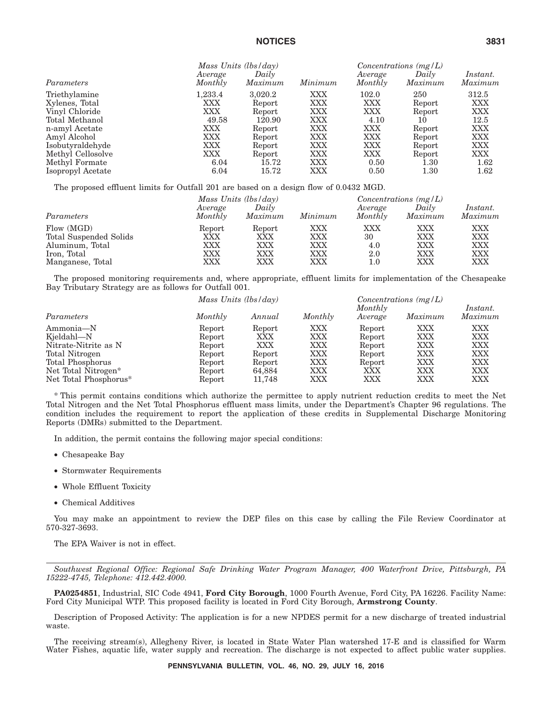|                   | Mass Units (lbs/day) |         |            | Concentrations $(mg/L)$ |         |                 |
|-------------------|----------------------|---------|------------|-------------------------|---------|-----------------|
|                   | Average              | Daily   |            | Average                 | Daily   | <i>Instant.</i> |
| Parameters        | Monthly              | Maximum | Minimum    | Monthly                 | Maximum | Maximum         |
| Triethylamine     | 1,233.4              | 3.020.2 | XXX        | 102.0                   | 250     | 312.5           |
| Xylenes, Total    | XXX                  | Report  | XXX        | <b>XXX</b>              | Report  | <b>XXX</b>      |
| Vinyl Chloride    | XXX                  | Report  | XXX        | <b>XXX</b>              | Report  | <b>XXX</b>      |
| Total Methanol    | 49.58                | 120.90  | XXX        | 4.10                    | 10      | 12.5            |
| n-amyl Acetate    | <b>XXX</b>           | Report  | XXX        | <b>XXX</b>              | Report  | <b>XXX</b>      |
| Amyl Alcohol      | <b>XXX</b>           | Report  | <b>XXX</b> | XXX                     | Report  | <b>XXX</b>      |
| Isobutyraldehyde  | <b>XXX</b>           | Report  | <b>XXX</b> | <b>XXX</b>              | Report  | <b>XXX</b>      |
| Methyl Cellosolve | XXX                  | Report  | XXX        | <b>XXX</b>              | Report  | XXX             |
| Methyl Formate    | 6.04                 | 15.72   | XXX        | 0.50                    | 1.30    | 1.62            |
| Isopropyl Acetate | 6.04                 | 15.72   | XXX        | 0.50                    | 1.30    | 1.62            |

The proposed effluent limits for Outfall 201 are based on a design flow of 0.0432 MGD.

|                        | Mass Units $(lbs/day)$ |         |            | Concentrations $(mg/L)$ |            |          |
|------------------------|------------------------|---------|------------|-------------------------|------------|----------|
|                        | Average                | Daily   |            | Average                 | Daily      | Instant. |
| Parameters             | Monthly                | Maximum | Minimum    | Monthly                 | Maximum    | Maximum  |
| Flow (MGD)             | Report                 | Report  | XXX        | XXX                     | XXX        | XXX      |
| Total Suspended Solids | XXX                    | XXX     | <b>XXX</b> | 30                      | <b>XXX</b> | XXX      |
| Aluminum, Total        | XXX                    | XXX     | XXX        | 4.0                     | XXX        | XXX      |
| Iron, Total            | XXX                    | XXX     | XXX        | 2.0                     | XXX        | XXX      |
| Manganese, Total       | $\rm XXX$              | XXX     | XXX        | $1.0\,$                 | XXX        | XXX      |

The proposed monitoring requirements and, where appropriate, effluent limits for implementation of the Chesapeake Bay Tributary Strategy are as follows for Outfall 001.

|                       | Mass Units $(lbs/day)$ |        |            | Concentrations $(mg/L)$<br>Monthly |            | Instant.   |  |
|-----------------------|------------------------|--------|------------|------------------------------------|------------|------------|--|
| Parameters            | Monthly                | Annual | Monthly    | Average                            | Maximum    | Maximum    |  |
| Ammonia-N             | Report                 | Report | <b>XXX</b> | Report                             | XXX        | XXX        |  |
| Kjeldahl-N            | Report                 | XXX    | XXX        | Report                             | XXX        | <b>XXX</b> |  |
| Nitrate-Nitrite as N  | Report                 | XXX    | XXX        | Report                             | XXX        | XXX        |  |
| Total Nitrogen        | Report                 | Report | XXX        | Report                             | XXX        | <b>XXX</b> |  |
| Total Phosphorus      | Report                 | Report | XXX        | Report                             | XXX        | XXX        |  |
| Net Total Nitrogen*   | Report                 | 64,884 | XXX        | XXX                                | <b>XXX</b> | XXX        |  |
| Net Total Phosphorus* | Report                 | 11,748 | XXX        | XXX                                | XXX        | XXX        |  |

\* This permit contains conditions which authorize the permittee to apply nutrient reduction credits to meet the Net Total Nitrogen and the Net Total Phosphorus effluent mass limits, under the Department's Chapter 96 regulations. The condition includes the requirement to report the application of these credits in Supplemental Discharge Monitoring Reports (DMRs) submitted to the Department.

In addition, the permit contains the following major special conditions:

- Chesapeake Bay
- Stormwater Requirements
- Whole Effluent Toxicity
- Chemical Additives

You may make an appointment to review the DEP files on this case by calling the File Review Coordinator at 570-327-3693.

The EPA Waiver is not in effect.

*Southwest Regional Office: Regional Safe Drinking Water Program Manager, 400 Waterfront Drive, Pittsburgh, PA 15222-4745, Telephone: 412.442.4000.*

**PA0254851**, Industrial, SIC Code 4941, **Ford City Borough**, 1000 Fourth Avenue, Ford City, PA 16226. Facility Name: Ford City Municipal WTP. This proposed facility is located in Ford City Borough, **Armstrong County**.

Description of Proposed Activity: The application is for a new NPDES permit for a new discharge of treated industrial waste.

The receiving stream(s), Allegheny River, is located in State Water Plan watershed 17-E and is classified for Warm Water Fishes, aquatic life, water supply and recreation. The discharge is not expected to affect public water supplies.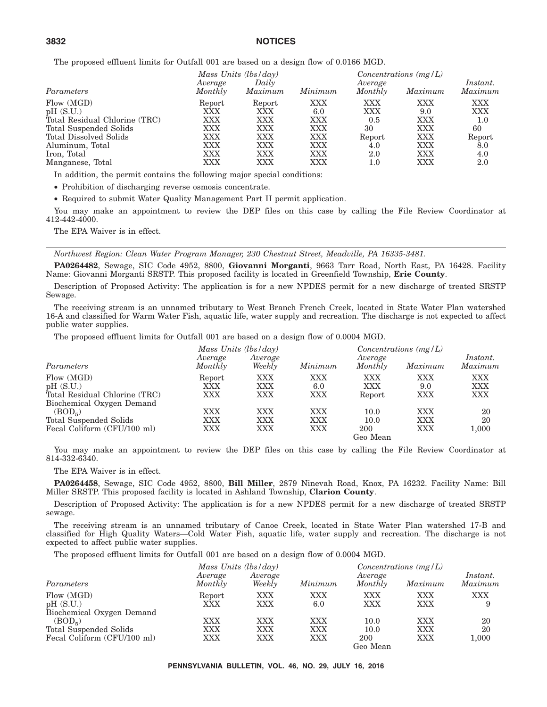The proposed effluent limits for Outfall 001 are based on a design flow of 0.0166 MGD.

|                               | Mass Units $(lbs/day)$<br>Daily<br>Average |         |            | Concentrations $(mg/L)$<br>Average |         | Instant. |  |
|-------------------------------|--------------------------------------------|---------|------------|------------------------------------|---------|----------|--|
| Parameters                    | Monthly                                    | Maximum | Minimum    | Monthly                            | Maximum | Maximum  |  |
| Flow(MGD)                     | Report                                     | Report  | <b>XXX</b> | XXX                                | XXX     | XXX      |  |
| pH(S.U.)                      | XXX                                        | XXX     | 6.0        | XXX                                | 9.0     | XXX      |  |
| Total Residual Chlorine (TRC) | <b>XXX</b>                                 | XXX     | XXX        | 0.5                                | XXX     | 1.0      |  |
| Total Suspended Solids        | XXX                                        | XXX     | XXX        | 30                                 | XXX     | 60       |  |
| Total Dissolved Solids        | XXX                                        | XXX     | XXX        | Report                             | XXX     | Report   |  |
| Aluminum, Total               | XXX                                        | XXX     | XXX        | 4.0                                | XXX     | 8.0      |  |
| Iron, Total                   | XXX                                        | XXX     | XXX        | 2.0                                | XXX     | 4.0      |  |
| Manganese, Total              | XXX                                        | XXX     | XXX        | $1.0\,$                            | XXX     | 2.0      |  |

In addition, the permit contains the following major special conditions:

• Prohibition of discharging reverse osmosis concentrate.

• Required to submit Water Quality Management Part II permit application.

You may make an appointment to review the DEP files on this case by calling the File Review Coordinator at 412-442-4000.

The EPA Waiver is in effect.

*Northwest Region: Clean Water Program Manager, 230 Chestnut Street, Meadville, PA 16335-3481.*

**PA0264482**, Sewage, SIC Code 4952, 8800, **Giovanni Morganti**, 9663 Tarr Road, North East, PA 16428. Facility Name: Giovanni Morganti SRSTP. This proposed facility is located in Greenfield Township, **Erie County**.

Description of Proposed Activity: The application is for a new NPDES permit for a new discharge of treated SRSTP Sewage.

The receiving stream is an unnamed tributary to West Branch French Creek, located in State Water Plan watershed 16-A and classified for Warm Water Fish, aquatic life, water supply and recreation. The discharge is not expected to affect public water supplies.

The proposed effluent limits for Outfall 001 are based on a design flow of 0.0004 MGD.

|                               | Mass Units $(lbs/day)$ |         |            | Concentrations $(mg/L)$ |            |           |
|-------------------------------|------------------------|---------|------------|-------------------------|------------|-----------|
|                               | Average                | Average |            | Average                 |            | Instant.  |
| Parameters                    | Monthly                | Weekly  | Minimum    | Monthly                 | Maximum    | Maximum   |
| Flow(MGD)                     | Report                 | XXX     | XXX        | XXX                     | XXX        | XXX       |
| pH(S.U.)                      | XXX                    | XXX     | 6.0        | XXX                     | 9.0        | XXX       |
| Total Residual Chlorine (TRC) | XXX                    | XXX     | <b>XXX</b> | Report                  | XXX        | XXX       |
| Biochemical Oxygen Demand     |                        |         |            |                         |            |           |
| $(BOD_{\kappa})$              | XXX                    | XXX     | XXX        | 10.0                    | <b>XXX</b> | 20        |
| Total Suspended Solids        | <b>XXX</b>             | XXX     | <b>XXX</b> | 10.0                    | XXX        | 20        |
| Fecal Coliform (CFU/100 ml)   | XXX                    | XXX     | XXX        | 200                     | XXX        | $1{,}000$ |
|                               |                        |         |            | Geo Mean                |            |           |

You may make an appointment to review the DEP files on this case by calling the File Review Coordinator at 814-332-6340.

The EPA Waiver is in effect.

**PA0264458**, Sewage, SIC Code 4952, 8800, **Bill Miller**, 2879 Ninevah Road, Knox, PA 16232. Facility Name: Bill Miller SRSTP. This proposed facility is located in Ashland Township, **Clarion County**.

Description of Proposed Activity: The application is for a new NPDES permit for a new discharge of treated SRSTP sewage.

The receiving stream is an unnamed tributary of Canoe Creek, located in State Water Plan watershed 17-B and classified for High Quality Waters—Cold Water Fish, aquatic life, water supply and recreation. The discharge is not expected to affect public water supplies.

The proposed effluent limits for Outfall 001 are based on a design flow of 0.0004 MGD.

|                             | Mass Units $(lbs/day)$ |                   |            | Concentrations $(mg/L)$ |            |                     |  |
|-----------------------------|------------------------|-------------------|------------|-------------------------|------------|---------------------|--|
| Parameters                  | Average<br>Monthly     | Average<br>Weekly | Minimum    | Average<br>Monthly      | Maximum    | Instant.<br>Maximum |  |
| Flow (MGD)                  | Report                 | XXX               | XXX        | <b>XXX</b>              | XXX        | XXX                 |  |
| pH(S.U.)                    | XXX                    | XXX               | 6.0        | XXX                     | XXX        |                     |  |
| Biochemical Oxygen Demand   |                        |                   |            |                         |            |                     |  |
| $(BOD_{\kappa})$            | XXX                    | <b>XXX</b>        | <b>XXX</b> | 10.0                    | <b>XXX</b> | 20                  |  |
| Total Suspended Solids      | XXX                    | XXX               | XXX        | 10.0                    | <b>XXX</b> | 20                  |  |
| Fecal Coliform (CFU/100 ml) | XXX                    | XXX               | XXX        | 200                     | XXX        | 1,000               |  |
|                             |                        |                   |            | Geo Mean                |            |                     |  |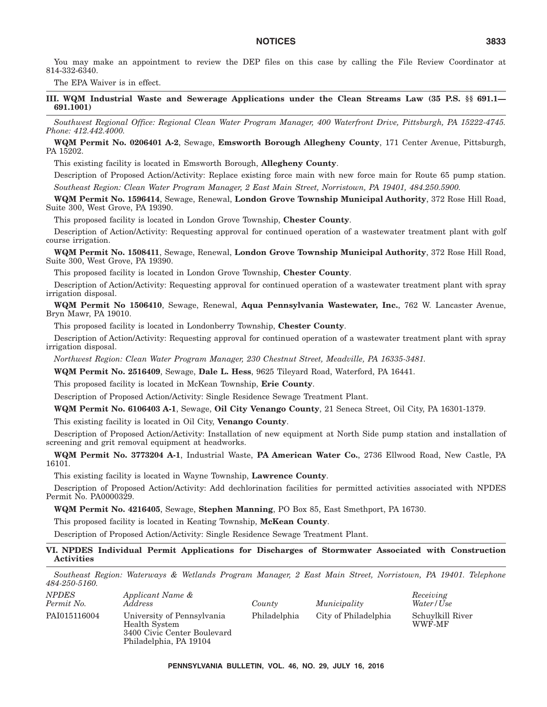You may make an appointment to review the DEP files on this case by calling the File Review Coordinator at 814-332-6340.

The EPA Waiver is in effect.

**III. WQM Industrial Waste and Sewerage Applications under the Clean Streams Law (35 P.S. §§ 691.1— 691.1001)**

*Southwest Regional Office: Regional Clean Water Program Manager, 400 Waterfront Drive, Pittsburgh, PA 15222-4745. Phone: 412.442.4000.*

**WQM Permit No. 0206401 A-2**, Sewage, **Emsworth Borough Allegheny County**, 171 Center Avenue, Pittsburgh, PA 15202.

This existing facility is located in Emsworth Borough, **Allegheny County**.

Description of Proposed Action/Activity: Replace existing force main with new force main for Route 65 pump station. *Southeast Region: Clean Water Program Manager, 2 East Main Street, Norristown, PA 19401, 484.250.5900.*

**WQM Permit No. 1596414**, Sewage, Renewal, **London Grove Township Municipal Authority**, 372 Rose Hill Road, Suite 300, West Grove, PA 19390.

This proposed facility is located in London Grove Township, **Chester County**.

Description of Action/Activity: Requesting approval for continued operation of a wastewater treatment plant with golf course irrigation.

**WQM Permit No. 1508411**, Sewage, Renewal, **London Grove Township Municipal Authority**, 372 Rose Hill Road, Suite 300, West Grove, PA 19390.

This proposed facility is located in London Grove Township, **Chester County**.

Description of Action/Activity: Requesting approval for continued operation of a wastewater treatment plant with spray irrigation disposal.

**WQM Permit No 1506410**, Sewage, Renewal, **Aqua Pennsylvania Wastewater, Inc.**, 762 W. Lancaster Avenue, Bryn Mawr, PA 19010.

This proposed facility is located in Londonberry Township, **Chester County**.

Description of Action/Activity: Requesting approval for continued operation of a wastewater treatment plant with spray irrigation disposal.

*Northwest Region: Clean Water Program Manager, 230 Chestnut Street, Meadville, PA 16335-3481.*

**WQM Permit No. 2516409**, Sewage, **Dale L. Hess**, 9625 Tileyard Road, Waterford, PA 16441.

This proposed facility is located in McKean Township, **Erie County**.

Description of Proposed Action/Activity: Single Residence Sewage Treatment Plant.

**WQM Permit No. 6106403 A-1**, Sewage, **Oil City Venango County**, 21 Seneca Street, Oil City, PA 16301-1379.

This existing facility is located in Oil City, **Venango County**.

Description of Proposed Action/Activity: Installation of new equipment at North Side pump station and installation of screening and grit removal equipment at headworks.

**WQM Permit No. 3773204 A-1**, Industrial Waste, **PA American Water Co.**, 2736 Ellwood Road, New Castle, PA 16101.

This existing facility is located in Wayne Township, **Lawrence County**.

Description of Proposed Action/Activity: Add dechlorination facilities for permitted activities associated with NPDES Permit No. PA0000329.

**WQM Permit No. 4216405**, Sewage, **Stephen Manning**, PO Box 85, East Smethport, PA 16730.

This proposed facility is located in Keating Township, **McKean County**.

Description of Proposed Action/Activity: Single Residence Sewage Treatment Plant.

**VI. NPDES Individual Permit Applications for Discharges of Stormwater Associated with Construction Activities**

*Southeast Region: Waterways & Wetlands Program Manager, 2 East Main Street, Norristown, PA 19401. Telephone 484-250-5160.*

| <i>NPDES</i><br>Permit No. | Applicant Name &<br><i>Address</i>                                                                   | County       | Municipality         | Receiving<br>Water/Use     |
|----------------------------|------------------------------------------------------------------------------------------------------|--------------|----------------------|----------------------------|
| PAI015116004               | University of Pennsylvania<br>Health System<br>3400 Civic Center Boulevard<br>Philadelphia, PA 19104 | Philadelphia | City of Philadelphia | Schuylkill River<br>WWF-MF |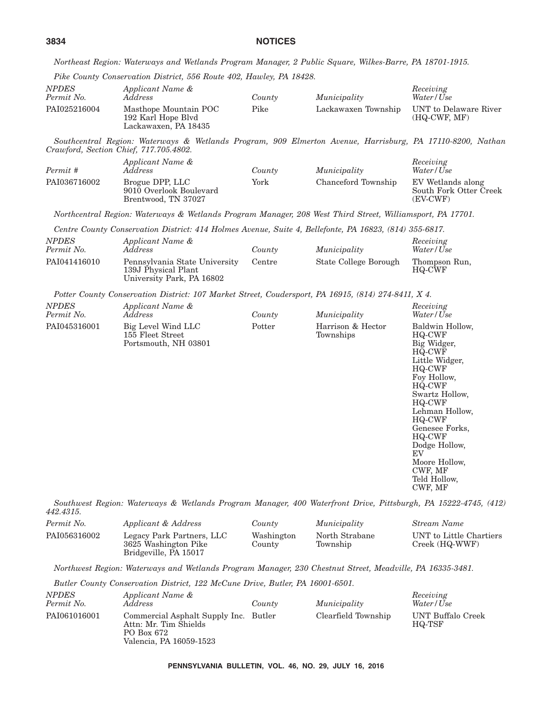*Northeast Region: Waterways and Wetlands Program Manager, 2 Public Square, Wilkes-Barre, PA 18701-1915.*

*Pike County Conservation District, 556 Route 402, Hawley, PA 18428.*

| <i>NPDES</i><br>Permit No. | Applicant Name &<br>Address                                         | County | Municipality        | Receiving<br>Water/Use                  |
|----------------------------|---------------------------------------------------------------------|--------|---------------------|-----------------------------------------|
| PAI025216004               | Masthope Mountain POC<br>192 Karl Hope Blyd<br>Lackawaxen, PA 18435 | Pike   | Lackawaxen Township | UNT to Delaware River<br>$(HQ-CWF, MF)$ |

*Southcentral Region: Waterways & Wetlands Program, 909 Elmerton Avenue, Harrisburg, PA 17110-8200, Nathan Crawford, Section Chief, 717.705.4802.*

| Permit #     | Applicant Name &<br><i>Address</i>                                | County | Municipality        | Receiving<br>Water / Use                                |
|--------------|-------------------------------------------------------------------|--------|---------------------|---------------------------------------------------------|
| PAI036716002 | Brogue DPP, LLC<br>9010 Overlook Boulevard<br>Brentwood, TN 37027 | York   | Chanceford Township | EV Wetlands along<br>South Fork Otter Creek<br>(EV-CWF) |

*Northcentral Region: Waterways & Wetlands Program Manager, 208 West Third Street, Williamsport, PA 17701.*

*Centre County Conservation District: 414 Holmes Avenue, Suite 4, Bellefonte, PA 16823, (814) 355-6817.*

| <b>NPDES</b><br>Permit No. | Applicant Name &<br>Address                                                       | County | Municipality          | Receiving<br>Water/Use  |
|----------------------------|-----------------------------------------------------------------------------------|--------|-----------------------|-------------------------|
| PAI041416010               | Pennsylvania State University<br>139J Physical Plant<br>University Park, PA 16802 | Centre | State College Borough | Thompson Run,<br>HQ-CWF |

*Potter County Conservation District: 107 Market Street, Coudersport, PA 16915, (814) 274-8411, X 4.*

| <b>NPDES</b><br>Permit No. | Applicant Name &<br>Address                                    | County | Municipality                   | Receiving<br>Water / Use                                                                                                                   |
|----------------------------|----------------------------------------------------------------|--------|--------------------------------|--------------------------------------------------------------------------------------------------------------------------------------------|
| PAI045316001               | Big Level Wind LLC<br>155 Fleet Street<br>Portsmouth, NH 03801 | Potter | Harrison & Hector<br>Townships | Baldwin Hollow,<br>HQ-CWF<br>Big Widger.<br>HQ-CWF<br>Little Widger,<br>HQ-CWF<br>Foy Hollow,<br>HQ-CWF<br>Swartz Hollow,<br><b>HQ-CWF</b> |

Lehman Hollow, HQ-CWF Genesee Forks, HQ-CWF Dodge Hollow,

Moore Hollow, CWF, MF Teld Hollow,

EV

CWF, MF *Southwest Region: Waterways & Wetlands Program Manager, 400 Waterfront Drive, Pittsburgh, PA 15222-4745, (412) 442.4315.*

| Permit No.   | Applicant & Address                                                        | County               | Municipality               | Stream Name                                   |
|--------------|----------------------------------------------------------------------------|----------------------|----------------------------|-----------------------------------------------|
| PAI056316002 | Legacy Park Partners, LLC<br>3625 Washington Pike<br>Bridgeville, PA 15017 | Washington<br>County | North Strabane<br>Township | UNT to Little Chartiers<br>$Creek$ $(HQ-WWF)$ |

*Northwest Region: Waterways and Wetlands Program Manager, 230 Chestnut Street, Meadville, PA 16335-3481.*

*Butler County Conservation District, 122 McCune Drive, Butler, PA 16001-6501.*

| <b>NPDES</b><br>Permit No. | Applicant Name &<br>Address                                                                             | County | Municipality        | Receiving<br>Water / Use    |
|----------------------------|---------------------------------------------------------------------------------------------------------|--------|---------------------|-----------------------------|
| PAI061016001               | Commercial Asphalt Supply Inc. Butler<br>Attn: Mr. Tim Shields<br>PO Box 672<br>Valencia, PA 16059-1523 |        | Clearfield Township | UNT Buffalo Creek<br>HQ-TSF |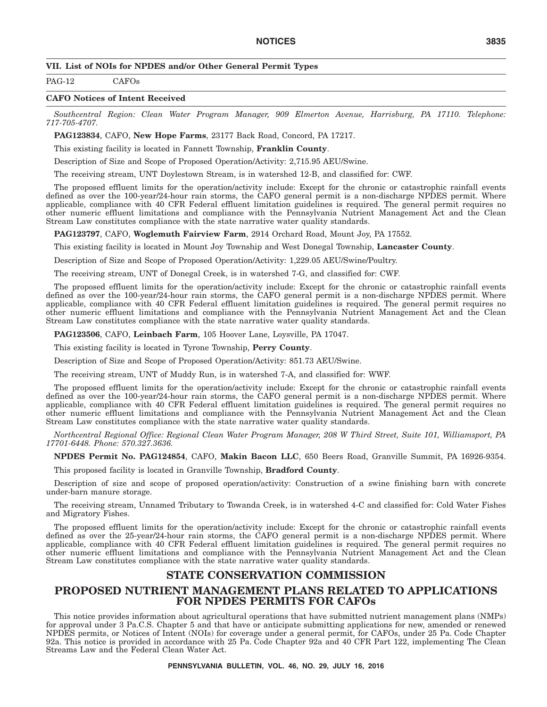# **VII. List of NOIs for NPDES and/or Other General Permit Types**

# PAG-12 CAFOs

#### **CAFO Notices of Intent Received**

*Southcentral Region: Clean Water Program Manager, 909 Elmerton Avenue, Harrisburg, PA 17110. Telephone: 717-705-4707.*

**PAG123834**, CAFO, **New Hope Farms**, 23177 Back Road, Concord, PA 17217.

This existing facility is located in Fannett Township, **Franklin County**.

Description of Size and Scope of Proposed Operation/Activity: 2,715.95 AEU/Swine.

The receiving stream, UNT Doylestown Stream, is in watershed 12-B, and classified for: CWF.

The proposed effluent limits for the operation/activity include: Except for the chronic or catastrophic rainfall events defined as over the 100-year/24-hour rain storms, the CAFO general permit is a non-discharge NPDES permit. Where applicable, compliance with 40 CFR Federal effluent limitation guidelines is required. The general permit requires no other numeric effluent limitations and compliance with the Pennsylvania Nutrient Management Act and the Clean Stream Law constitutes compliance with the state narrative water quality standards.

**PAG123797**, CAFO, **Woglemuth Fairview Farm**, 2914 Orchard Road, Mount Joy, PA 17552.

This existing facility is located in Mount Joy Township and West Donegal Township, **Lancaster County**.

Description of Size and Scope of Proposed Operation/Activity: 1,229.05 AEU/Swine/Poultry.

The receiving stream, UNT of Donegal Creek, is in watershed 7-G, and classified for: CWF.

The proposed effluent limits for the operation/activity include: Except for the chronic or catastrophic rainfall events defined as over the 100-year/24-hour rain storms, the CAFO general permit is a non-discharge NPDES permit. Where applicable, compliance with 40 CFR Federal effluent limitation guidelines is required. The general permit requires no other numeric effluent limitations and compliance with the Pennsylvania Nutrient Management Act and the Clean Stream Law constitutes compliance with the state narrative water quality standards.

**PAG123506**, CAFO, **Leinbach Farm**, 105 Hoover Lane, Loysville, PA 17047.

This existing facility is located in Tyrone Township, **Perry County**.

Description of Size and Scope of Proposed Operation/Activity: 851.73 AEU/Swine.

The receiving stream, UNT of Muddy Run, is in watershed 7-A, and classified for: WWF.

The proposed effluent limits for the operation/activity include: Except for the chronic or catastrophic rainfall events defined as over the 100-year/24-hour rain storms, the CAFO general permit is a non-discharge NPDES permit. Where applicable, compliance with 40 CFR Federal effluent limitation guidelines is required. The general permit requires no other numeric effluent limitations and compliance with the Pennsylvania Nutrient Management Act and the Clean Stream Law constitutes compliance with the state narrative water quality standards.

*Northcentral Regional Office: Regional Clean Water Program Manager, 208 W Third Street, Suite 101, Williamsport, PA 17701-6448. Phone: 570.327.3636.*

**NPDES Permit No. PAG124854**, CAFO, **Makin Bacon LLC**, 650 Beers Road, Granville Summit, PA 16926-9354.

This proposed facility is located in Granville Township, **Bradford County**.

Description of size and scope of proposed operation/activity: Construction of a swine finishing barn with concrete under-barn manure storage.

The receiving stream, Unnamed Tributary to Towanda Creek, is in watershed 4-C and classified for: Cold Water Fishes and Migratory Fishes.

The proposed effluent limits for the operation/activity include: Except for the chronic or catastrophic rainfall events defined as over the 25-year/24-hour rain storms, the CAFO general permit is a non-discharge NPDES permit. Where applicable, compliance with 40 CFR Federal effluent limitation guidelines is required. The general permit requires no other numeric effluent limitations and compliance with the Pennsylvania Nutrient Management Act and the Clean Stream Law constitutes compliance with the state narrative water quality standards.

# **STATE CONSERVATION COMMISSION**

# **PROPOSED NUTRIENT MANAGEMENT PLANS RELATED TO APPLICATIONS FOR NPDES PERMITS FOR CAFOs**

This notice provides information about agricultural operations that have submitted nutrient management plans (NMPs) for approval under 3 Pa.C.S. Chapter 5 and that have or anticipate submitting applications for new, amended or renewed NPDES permits, or Notices of Intent (NOIs) for coverage under a general permit, for CAFOs, under 25 Pa. Code Chapter 92a. This notice is provided in accordance with 25 Pa. Code Chapter 92a and 40 CFR Part 122, implementing The Clean Streams Law and the Federal Clean Water Act.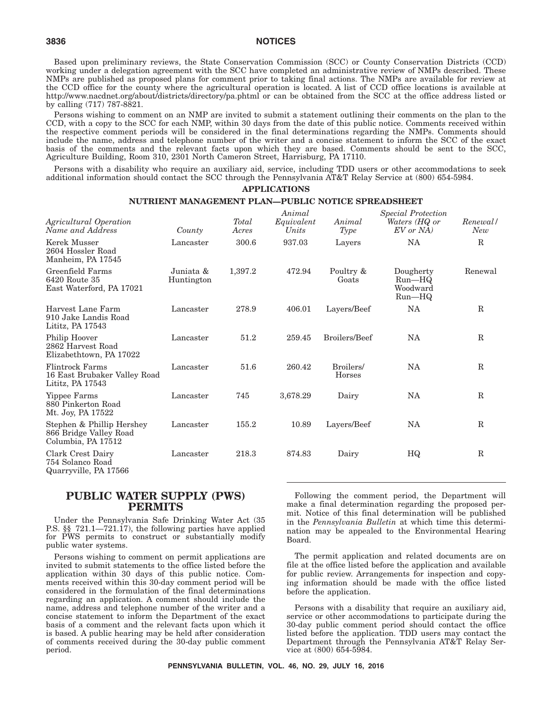Based upon preliminary reviews, the State Conservation Commission (SCC) or County Conservation Districts (CCD) working under a delegation agreement with the SCC have completed an administrative review of NMPs described. These NMPs are published as proposed plans for comment prior to taking final actions. The NMPs are available for review at the CCD office for the county where the agricultural operation is located. A list of CCD office locations is available at http://www.nacdnet.org/about/districts/directory/pa.phtml or can be obtained from the SCC at the office address listed or by calling (717) 787-8821.

Persons wishing to comment on an NMP are invited to submit a statement outlining their comments on the plan to the CCD, with a copy to the SCC for each NMP, within 30 days from the date of this public notice. Comments received within the respective comment periods will be considered in the final determinations regarding the NMPs. Comments should include the name, address and telephone number of the writer and a concise statement to inform the SCC of the exact basis of the comments and the relevant facts upon which they are based. Comments should be sent to the SCC, Agriculture Building, Room 310, 2301 North Cameron Street, Harrisburg, PA 17110.

Persons with a disability who require an auxiliary aid, service, including TDD users or other accommodations to seek additional information should contact the SCC through the Pennsylvania AT&T Relay Service at (800) 654-5984. **APPLICATIONS**

|                                                                            | NUTRIENT MANAGEMENT PLAN—PUBLIC NOTICE SPREADSHEET |                |                               |                            |                                                              |                 |
|----------------------------------------------------------------------------|----------------------------------------------------|----------------|-------------------------------|----------------------------|--------------------------------------------------------------|-----------------|
| Agricultural Operation<br>Name and Address                                 | County                                             | Total<br>Acres | Animal<br>Equivalent<br>Units | Animal<br><i>Type</i>      | <i>Special Protection</i><br>Waters (HQ or<br>$EV$ or $NA$ ) | Renewal/<br>New |
| Kerek Musser<br>2604 Hossler Road<br>Manheim, PA 17545                     | Lancaster                                          | 300.6          | 937.03                        | Layers                     | <b>NA</b>                                                    | $\mathbb{R}$    |
| Greenfield Farms<br>6420 Route 35<br>East Waterford, PA 17021              | Juniata &<br>Huntington                            | 1,397.2        | 472.94                        | Poultry &<br>Goats         | Dougherty<br>$Run-HQ$<br>Woodward<br>$Run-HQ$                | Renewal         |
| Harvest Lane Farm<br>910 Jake Landis Road<br>Lititz, PA 17543              | Lancaster                                          | 278.9          | 406.01                        | Layers/Beef                | <b>NA</b>                                                    | $\mathbf R$     |
| Philip Hoover<br>2862 Harvest Road<br>Elizabethtown, PA 17022              | Lancaster                                          | 51.2           | 259.45                        | Broilers/Beef              | <b>NA</b>                                                    | $\mathbf R$     |
| <b>Flintrock Farms</b><br>16 East Brubaker Valley Road<br>Lititz, PA 17543 | Lancaster                                          | 51.6           | 260.42                        | Broilers/<br><b>Horses</b> | <b>NA</b>                                                    | $\mathbb{R}$    |
| Yippee Farms<br>880 Pinkerton Road<br>Mt. Joy, PA 17522                    | Lancaster                                          | 745            | 3,678.29                      | Dairy                      | <b>NA</b>                                                    | $\mathbf R$     |
| Stephen & Phillip Hershey<br>866 Bridge Valley Road<br>Columbia, PA 17512  | Lancaster                                          | 155.2          | 10.89                         | Layers/Beef                | <b>NA</b>                                                    | $\mathbf R$     |
| Clark Crest Dairy<br>754 Solanco Road<br>Quarryville, PA 17566             | Lancaster                                          | 218.3          | 874.83                        | Dairy                      | HQ                                                           | $\mathbb{R}$    |

# **PUBLIC WATER SUPPLY (PWS) PERMITS**

Under the Pennsylvania Safe Drinking Water Act (35 P.S. §§ 721.1—721.17), the following parties have applied for PWS permits to construct or substantially modify public water systems.

Persons wishing to comment on permit applications are invited to submit statements to the office listed before the application within 30 days of this public notice. Comments received within this 30-day comment period will be considered in the formulation of the final determinations regarding an application. A comment should include the name, address and telephone number of the writer and a concise statement to inform the Department of the exact basis of a comment and the relevant facts upon which it is based. A public hearing may be held after consideration of comments received during the 30-day public comment period.

Following the comment period, the Department will make a final determination regarding the proposed permit. Notice of this final determination will be published in the *Pennsylvania Bulletin* at which time this determination may be appealed to the Environmental Hearing Board.

The permit application and related documents are on file at the office listed before the application and available for public review. Arrangements for inspection and copying information should be made with the office listed before the application.

Persons with a disability that require an auxiliary aid, service or other accommodations to participate during the 30-day public comment period should contact the office listed before the application. TDD users may contact the Department through the Pennsylvania AT&T Relay Service at (800) 654-5984.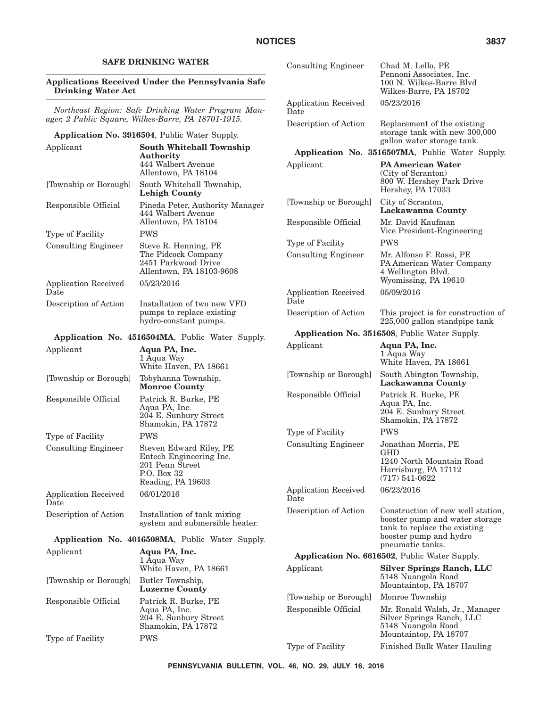Consulting Engineer Chad M. Lello, PE

Application Received

Date

Pennoni Associates, Inc. 100 N. Wilkes-Barre Blvd Wilkes-Barre, PA 18702

05/23/2016

Description of Action Replacement of the existing

# **SAFE DRINKING WATER**

# **Applications Received Under the Pennsylvania Safe Drinking Water Act**

*Northeast Region: Safe Drinking Water Program Manager, 2 Public Square, Wilkes-Barre, PA 18701-1915.*

|                                     | Application No. 3916504, Public Water Supply.                                                             |                                     | storage tank with new 300,000                                                                               |
|-------------------------------------|-----------------------------------------------------------------------------------------------------------|-------------------------------------|-------------------------------------------------------------------------------------------------------------|
| Applicant                           | South Whitehall Township                                                                                  |                                     | gallon water storage tank.<br>Application No. 3516507MA, Public Water Supply.                               |
|                                     | <b>Authority</b><br>444 Walbert Avenue<br>Allentown, PA 18104                                             | Applicant                           | <b>PA American Water</b><br>(City of Scranton)                                                              |
| [Township or Borough]               | South Whitehall Township,<br><b>Lehigh County</b>                                                         |                                     | 800 W. Hershey Park Drive<br>Hershey, PA 17033                                                              |
| Responsible Official                | Pineda Peter, Authority Manager<br>444 Walbert Avenue                                                     | [Township or Borough]               | City of Scranton,<br>Lackawanna County                                                                      |
| Type of Facility                    | Allentown, PA 18104<br><b>PWS</b>                                                                         | Responsible Official                | Mr. David Kaufman<br>Vice President-Engineering                                                             |
| <b>Consulting Engineer</b>          | Steve R. Henning, PE                                                                                      | Type of Facility                    | <b>PWS</b>                                                                                                  |
|                                     | The Pidcock Company<br>2451 Parkwood Drive<br>Allentown, PA 18103-9608                                    | <b>Consulting Engineer</b>          | Mr. Alfonso F. Rossi, PE<br>PA American Water Company<br>4 Wellington Blvd.                                 |
| <b>Application Received</b><br>Date | 05/23/2016                                                                                                | <b>Application Received</b>         | Wyomissing, PA 19610<br>05/09/2016                                                                          |
| Description of Action               | Installation of two new VFD                                                                               | Date                                |                                                                                                             |
|                                     | pumps to replace existing<br>hydro-constant pumps.                                                        | Description of Action               | This project is for construction of<br>225,000 gallon standpipe tank                                        |
|                                     | Application No. 4516504MA, Public Water Supply.                                                           |                                     | <b>Application No. 3516508</b> , Public Water Supply.                                                       |
| Applicant                           | Aqua PA, Inc.<br>1 Aqua Way                                                                               | Applicant                           | Aqua PA, Inc.<br>1 Aqua Way<br>White Haven, PA 18661                                                        |
|                                     | White Haven, PA 18661                                                                                     | [Township or Borough]               | South Abington Township,                                                                                    |
| [Township or Borough]               | Tobyhanna Township,<br><b>Monroe County</b>                                                               |                                     | Lackawanna County                                                                                           |
| Responsible Official                | Patrick R. Burke, PE<br>Aqua PA, Inc.<br>204 E. Sunbury Street<br>Shamokin, PA 17872                      | Responsible Official                | Patrick R. Burke, PE<br>Aqua PA, Inc.<br>204 E. Sunbury Street<br>Shamokin, PA 17872                        |
| Type of Facility                    | <b>PWS</b>                                                                                                | Type of Facility                    | <b>PWS</b>                                                                                                  |
| <b>Consulting Engineer</b>          | Steven Edward Riley, PE<br>Entech Engineering Inc.<br>201 Penn Street<br>P.O. Box 32<br>Reading, PA 19603 | <b>Consulting Engineer</b>          | Jonathan Morris, PE<br><b>GHD</b><br>1240 North Mountain Road<br>Harrisburg, PA 17112<br>$(717) 541 - 0622$ |
| <b>Application Received</b><br>Date | 06/01/2016                                                                                                | <b>Application Received</b><br>Date | 06/23/2016                                                                                                  |
| Description of Action               | Installation of tank mixing<br>system and submersible heater.                                             | Description of Action               | Construction of new well station,<br>booster pump and water storage<br>tank to replace the existing         |
|                                     | Application No. 4016508MA, Public Water Supply.                                                           |                                     | booster pump and hydro<br>pneumatic tanks.                                                                  |
| Applicant                           | Aqua PA, Inc.                                                                                             |                                     | Application No. 6616502, Public Water Supply.                                                               |
|                                     | 1 Aqua Way<br>White Haven, PA 18661                                                                       | Applicant                           | <b>Silver Springs Ranch, LLC</b>                                                                            |
| [Township or Borough]               | Butler Township,<br><b>Luzerne County</b>                                                                 |                                     | 5148 Nuangola Road<br>Mountaintop, PA 18707                                                                 |
| Responsible Official                | Patrick R. Burke, PE                                                                                      | [Township or Borough]               | Monroe Township                                                                                             |
|                                     | Aqua PA, Inc.<br>204 E. Sunbury Street<br>Shamokin, PA 17872                                              | Responsible Official                | Mr. Ronald Walsh, Jr., Manager<br>Silver Springs Ranch, LLC<br>5148 Nuangola Road                           |
| Type of Facility                    | PWS                                                                                                       | Type of Facility                    | Mountaintop, PA 18707<br>Finished Bulk Water Hauling                                                        |
|                                     |                                                                                                           |                                     |                                                                                                             |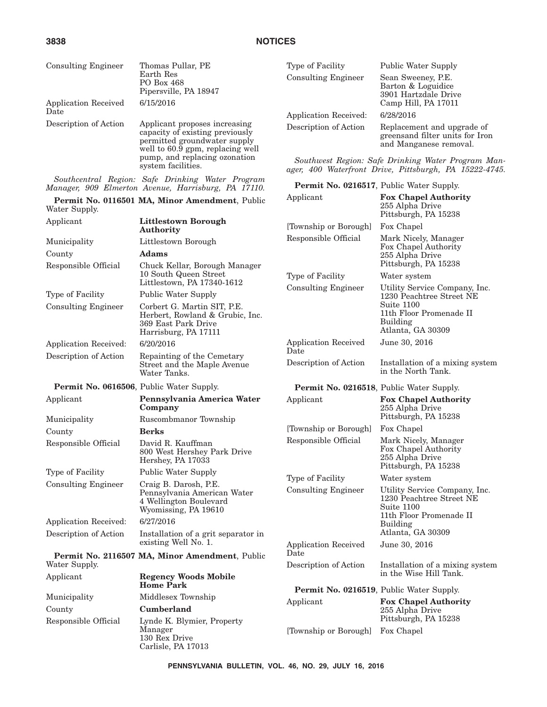| <b>Consulting Engineer</b>               | Thomas Pullar, PE                                                                                                                    | Type of Facility                               | <b>Public Water Supply</b>                                                                                   |
|------------------------------------------|--------------------------------------------------------------------------------------------------------------------------------------|------------------------------------------------|--------------------------------------------------------------------------------------------------------------|
|                                          | Earth Res<br>PO Box 468                                                                                                              | <b>Consulting Engineer</b>                     | Sean Sweeney, P.E.                                                                                           |
|                                          | Pipersville, PA 18947                                                                                                                |                                                | Barton & Loguidice<br>3901 Hartzdale Drive                                                                   |
| <b>Application Received</b>              | 6/15/2016                                                                                                                            |                                                | Camp Hill, PA 17011                                                                                          |
| Date                                     |                                                                                                                                      | Application Received:                          | 6/28/2016                                                                                                    |
| Description of Action                    | Applicant proposes increasing<br>capacity of existing previously<br>permitted groundwater supply<br>well to 60.9 gpm, replacing well | Description of Action                          | Replacement and upgrade of<br>greensand filter units for Iron<br>and Manganese removal.                      |
|                                          | pump, and replacing ozonation<br>system facilities.                                                                                  |                                                | Southwest Region: Safe Drinking Water Program Man-<br>ager, 400 Waterfront Drive, Pittsburgh, PA 15222-4745. |
|                                          | Southcentral Region: Safe Drinking Water Program<br>Manager, 909 Elmerton Avenue, Harrisburg, PA 17110.                              | Permit No. 0216517, Public Water Supply.       |                                                                                                              |
| Water Supply.                            | Permit No. 0116501 MA, Minor Amendment, Public                                                                                       | Applicant                                      | <b>Fox Chapel Authority</b><br>255 Alpha Drive<br>Pittsburgh, PA 15238                                       |
| Applicant                                | <b>Littlestown Borough</b><br>Authority                                                                                              | [Township or Borough]                          | Fox Chapel                                                                                                   |
| Municipality                             | Littlestown Borough                                                                                                                  | Responsible Official                           | Mark Nicely, Manager                                                                                         |
| County                                   | Adams                                                                                                                                |                                                | Fox Chapel Authority<br>255 Alpha Drive                                                                      |
| Responsible Official                     | Chuck Kellar, Borough Manager<br>10 South Queen Street                                                                               |                                                | Pittsburgh, PA 15238                                                                                         |
|                                          | Littlestown, PA 17340-1612                                                                                                           | Type of Facility<br><b>Consulting Engineer</b> | Water system<br>Utility Service Company, Inc.                                                                |
| Type of Facility                         | <b>Public Water Supply</b>                                                                                                           |                                                | 1230 Peachtree Street NE                                                                                     |
| <b>Consulting Engineer</b>               | Corbert G. Martin SIT, P.E.<br>Herbert, Rowland & Grubic, Inc.<br>369 East Park Drive<br>Harrisburg, PA 17111                        |                                                | Suite 1100<br>11th Floor Promenade II<br><b>Building</b><br>Atlanta, GA 30309                                |
| Application Received:                    | 6/20/2016                                                                                                                            | <b>Application Received</b>                    | June 30, 2016                                                                                                |
| Description of Action                    | Repainting of the Cemetary<br>Street and the Maple Avenue<br>Water Tanks.                                                            | Date<br>Description of Action                  | Installation of a mixing system<br>in the North Tank.                                                        |
| Permit No. 0616506, Public Water Supply. |                                                                                                                                      | Permit No. 0216518, Public Water Supply.       |                                                                                                              |
| Applicant                                | Pennsylvania America Water<br>Company                                                                                                | Applicant                                      | <b>Fox Chapel Authority</b><br>255 Alpha Drive                                                               |
| Municipality                             | Ruscombmanor Township                                                                                                                |                                                | Pittsburgh, PA 15238                                                                                         |
| County                                   | <b>Berks</b>                                                                                                                         | [Township or Borough]                          | Fox Chapel                                                                                                   |
| Responsible Official                     | David R. Kauffman<br>800 West Hershey Park Drive<br>Hershey, PA 17033                                                                | Responsible Official                           | Mark Nicely, Manager<br>Fox Chapel Authority<br>255 Alpha Drive<br>Pittsburgh, PA 15238                      |
| Type of Facility                         | <b>Public Water Supply</b>                                                                                                           | Type of Facility                               | Water system                                                                                                 |
| <b>Consulting Engineer</b>               | Craig B. Darosh, P.E.<br>Pennsylvania American Water<br>4 Wellington Boulevard<br>Wyomissing, PA 19610                               | <b>Consulting Engineer</b>                     | Utility Service Company, Inc.<br>1230 Peachtree Street NE<br>Suite 1100<br>11th Floor Promenade II           |
| Application Received:                    | 6/27/2016                                                                                                                            |                                                | <b>Building</b>                                                                                              |
| Description of Action                    | Installation of a grit separator in<br>existing Well No. 1.                                                                          | <b>Application Received</b>                    | Atlanta, GA 30309<br>June 30, 2016                                                                           |
| Water Supply.                            | Permit No. 2116507 MA, Minor Amendment, Public                                                                                       | Date<br>Description of Action                  | Installation of a mixing system                                                                              |
| Applicant                                | <b>Regency Woods Mobile</b><br><b>Home Park</b>                                                                                      |                                                | in the Wise Hill Tank.                                                                                       |
| Municipality                             | Middlesex Township                                                                                                                   | Permit No. 0216519, Public Water Supply.       |                                                                                                              |
| County                                   | Cumberland                                                                                                                           | Applicant                                      | <b>Fox Chapel Authority</b><br>255 Alpha Drive                                                               |
| Responsible Official                     | Lynde K. Blymier, Property                                                                                                           |                                                | Pittsburgh, PA 15238                                                                                         |
|                                          | Manager<br>130 Rex Drive<br>Carlisle, PA 17013                                                                                       | [Township or Borough]                          | Fox Chapel                                                                                                   |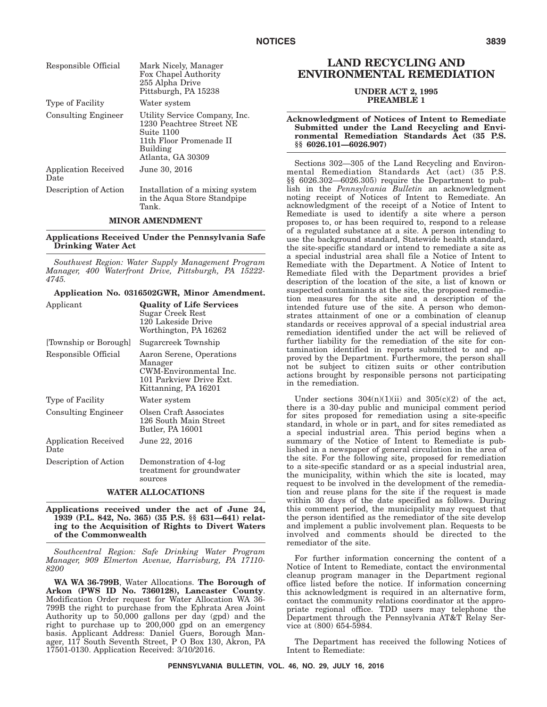| Responsible Official         | Mark Nicely, Manager<br>Fox Chapel Authority<br>255 Alpha Drive<br>Pittsburgh, PA 15238                                             |
|------------------------------|-------------------------------------------------------------------------------------------------------------------------------------|
| <b>Type of Facility</b>      | Water system                                                                                                                        |
| <b>Consulting Engineer</b>   | Utility Service Company, Inc.<br>1230 Peachtree Street NE<br>Suite 1100<br>11th Floor Promenade II<br>Building<br>Atlanta, GA 30309 |
| Application Received<br>Date | June 30, 2016                                                                                                                       |
| Description of Action        | Installation of a mixing system<br>in the Aqua Store Standpipe<br>Tank.                                                             |

## **MINOR AMENDMENT**

# **Applications Received Under the Pennsylvania Safe Drinking Water Act**

*Southwest Region: Water Supply Management Program Manager, 400 Waterfront Drive, Pittsburgh, PA 15222- 4745.*

| Application No. 0316502GWR, Minor Amendment. |  |  |  |
|----------------------------------------------|--|--|--|
|----------------------------------------------|--|--|--|

| Applicant                           | <b>Quality of Life Services</b><br>Sugar Creek Rest<br>120 Lakeside Drive<br>Worthington, PA 16262               |
|-------------------------------------|------------------------------------------------------------------------------------------------------------------|
| [Township or Borough]               | Sugarcreek Township                                                                                              |
| Responsible Official                | Aaron Serene, Operations<br>Manager<br>CWM-Environmental Inc.<br>101 Parkview Drive Ext.<br>Kittanning, PA 16201 |
| Type of Facility                    | Water system                                                                                                     |
| <b>Consulting Engineer</b>          | Olsen Craft Associates<br>126 South Main Street<br>Butler, PA 16001                                              |
| <b>Application Received</b><br>Date | June 22, 2016                                                                                                    |
| Description of Action               | Demonstration of 4-log<br>treatment for groundwater<br>sources                                                   |

# **WATER ALLOCATIONS**

**Applications received under the act of June 24, 1939 (P.L. 842, No. 365) (35 P.S. §§ 631—641) relating to the Acquisition of Rights to Divert Waters of the Commonwealth**

*Southcentral Region: Safe Drinking Water Program Manager, 909 Elmerton Avenue, Harrisburg, PA 17110- 8200*

**WA WA 36-799B**, Water Allocations. **The Borough of Arkon (PWS ID No. 7360128), Lancaster County**. Modification Order request for Water Allocation WA 36- 799B the right to purchase from the Ephrata Area Joint Authority up to 50,000 gallons per day (gpd) and the right to purchase up to 200,000 gpd on an emergency basis. Applicant Address: Daniel Guers, Borough Manager, 117 South Seventh Street, P O Box 130, Akron, PA 17501-0130. Application Received: 3/10/2016.

# **LAND RECYCLING AND ENVIRONMENTAL REMEDIATION**

### **UNDER ACT 2, 1995 PREAMBLE 1**

#### **Acknowledgment of Notices of Intent to Remediate Submitted under the Land Recycling and Environmental Remediation Standards Act (35 P.S. §§ 6026.101—6026.907)**

Sections 302—305 of the Land Recycling and Environmental Remediation Standards Act (act) (35 P.S. §§ 6026.302—6026.305) require the Department to publish in the *Pennsylvania Bulletin* an acknowledgment noting receipt of Notices of Intent to Remediate. An acknowledgment of the receipt of a Notice of Intent to Remediate is used to identify a site where a person proposes to, or has been required to, respond to a release of a regulated substance at a site. A person intending to use the background standard, Statewide health standard, the site-specific standard or intend to remediate a site as a special industrial area shall file a Notice of Intent to Remediate with the Department. A Notice of Intent to Remediate filed with the Department provides a brief description of the location of the site, a list of known or suspected contaminants at the site, the proposed remediation measures for the site and a description of the intended future use of the site. A person who demonstrates attainment of one or a combination of cleanup standards or receives approval of a special industrial area remediation identified under the act will be relieved of further liability for the remediation of the site for contamination identified in reports submitted to and approved by the Department. Furthermore, the person shall not be subject to citizen suits or other contribution actions brought by responsible persons not participating in the remediation.

Under sections  $304(n)(1)(ii)$  and  $305(c)(2)$  of the act, there is a 30-day public and municipal comment period for sites proposed for remediation using a site-specific standard, in whole or in part, and for sites remediated as a special industrial area. This period begins when a summary of the Notice of Intent to Remediate is published in a newspaper of general circulation in the area of the site. For the following site, proposed for remediation to a site-specific standard or as a special industrial area, the municipality, within which the site is located, may request to be involved in the development of the remediation and reuse plans for the site if the request is made within 30 days of the date specified as follows. During this comment period, the municipality may request that the person identified as the remediator of the site develop and implement a public involvement plan. Requests to be involved and comments should be directed to the remediator of the site.

For further information concerning the content of a Notice of Intent to Remediate, contact the environmental cleanup program manager in the Department regional office listed before the notice. If information concerning this acknowledgment is required in an alternative form, contact the community relations coordinator at the appropriate regional office. TDD users may telephone the Department through the Pennsylvania AT&T Relay Service at (800) 654-5984.

The Department has received the following Notices of Intent to Remediate: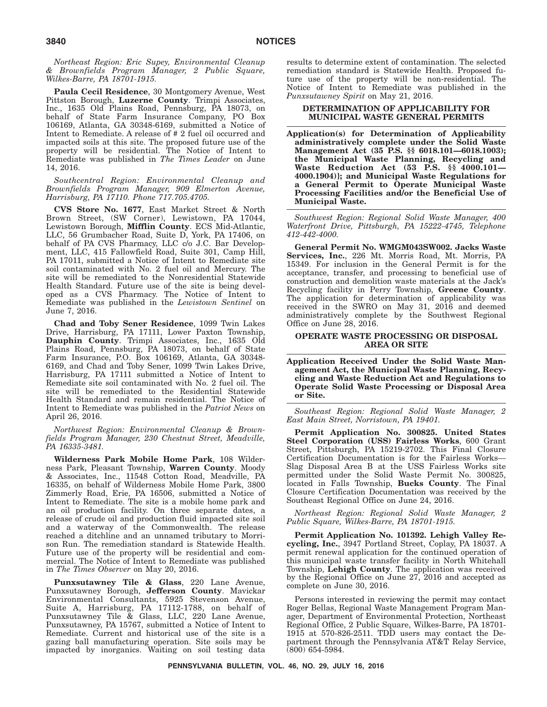*Northeast Region: Eric Supey, Environmental Cleanup & Brownfields Program Manager, 2 Public Square, Wilkes-Barre, PA 18701-1915.*

**Paula Cecil Residence**, 30 Montgomery Avenue, West Pittston Borough, **Luzerne County**. Trimpi Associates, Inc., 1635 Old Plains Road, Pennsburg, PA 18073, on behalf of State Farm Insurance Company, PO Box 106169, Atlanta, GA 30348-6169, submitted a Notice of Intent to Remediate. A release of # 2 fuel oil occurred and impacted soils at this site. The proposed future use of the property will be residential. The Notice of Intent to Remediate was published in *The Times Leader* on June 14, 2016.

*Southcentral Region: Environmental Cleanup and Brownfields Program Manager, 909 Elmerton Avenue, Harrisburg, PA 17110. Phone 717.705.4705.*

**CVS Store No. 1677**, East Market Street & North Brown Street, (SW Corner), Lewistown, PA 17044, Lewistown Borough, **Mifflin County**. ECS Mid-Atlantic, LLC, 56 Grumbacher Road, Suite D, York, PA 17406, on behalf of PA CVS Pharmacy, LLC c/o J.C. Bar Development, LLC, 415 Fallowfield Road, Suite 301, Camp Hill, PA 17011, submitted a Notice of Intent to Remediate site soil contaminated with No. 2 fuel oil and Mercury. The site will be remediated to the Nonresidential Statewide Health Standard. Future use of the site is being developed as a CVS Pharmacy. The Notice of Intent to Remediate was published in the *Lewistown Sentinel* on June 7, 2016.

**Chad and Toby Sener Residence**, 1099 Twin Lakes Drive, Harrisburg, PA 17111, Lower Paxton Township, **Dauphin County**. Trimpi Associates, Inc., 1635 Old Plains Road, Pennsburg, PA 18073, on behalf of State Farm Insurance, P.O. Box 106169, Atlanta, GA 30348- 6169, and Chad and Toby Sener, 1099 Twin Lakes Drive, Harrisburg, PA 17111 submitted a Notice of Intent to Remediate site soil contaminated with No. 2 fuel oil. The site will be remediated to the Residential Statewide Health Standard and remain residential. The Notice of Intent to Remediate was published in the *Patriot News* on April 26, 2016.

*Northwest Region: Environmental Cleanup & Brownfields Program Manager, 230 Chestnut Street, Meadville, PA 16335-3481.*

**Wilderness Park Mobile Home Park**, 108 Wilderness Park, Pleasant Township, **Warren County**. Moody & Associates, Inc., 11548 Cotton Road, Meadville, PA 16335, on behalf of Wilderness Mobile Home Park, 3800 Zimmerly Road, Erie, PA 16506, submitted a Notice of Intent to Remediate. The site is a mobile home park and an oil production facility. On three separate dates, a release of crude oil and production fluid impacted site soil and a waterway of the Commonwealth. The release reached a ditchline and an unnamed tributary to Morrison Run. The remediation standard is Statewide Health. Future use of the property will be residential and commercial. The Notice of Intent to Remediate was published in *The Times Observer* on May 20, 2016.

**Punxsutawney Tile & Glass**, 220 Lane Avenue, Punxsutawney Borough, **Jefferson County**. Mavickar Environmental Consultants, 5925 Stevenson Avenue, Suite A, Harrisburg, PA 17112-1788, on behalf of Punxsutawney Tile & Glass, LLC, 220 Lane Avenue, Punxsutawney, PA 15767, submitted a Notice of Intent to Remediate. Current and historical use of the site is a gazing ball manufacturing operation. Site soils may be impacted by inorganics. Waiting on soil testing data results to determine extent of contamination. The selected remediation standard is Statewide Health. Proposed future use of the property will be non-residential. The Notice of Intent to Remediate was published in the *Punxsutawney Spirit* on May 21, 2016.

#### **DETERMINATION OF APPLICABILITY FOR MUNICIPAL WASTE GENERAL PERMITS**

**Application(s) for Determination of Applicability administratively complete under the Solid Waste Management Act (35 P.S. §§ 6018.101—6018.1003); the Municipal Waste Planning, Recycling and Waste Reduction Act (53 P.S. §§ 4000.101— 4000.1904)}; and Municipal Waste Regulations for a General Permit to Operate Municipal Waste Processing Facilities and/or the Beneficial Use of Municipal Waste.**

*Southwest Region: Regional Solid Waste Manager, 400 Waterfront Drive, Pittsburgh, PA 15222-4745, Telephone 412-442-4000.*

**General Permit No. WMGM043SW002. Jacks Waste Services, Inc.**, 226 Mt. Morris Road, Mt. Morris, PA 15349. For inclusion in the General Permit is for the acceptance, transfer, and processing to beneficial use of construction and demolition waste materials at the Jack's Recycling facility in Perry Township, **Greene County**. The application for determination of applicability was received in the SWRO on May 31, 2016 and deemed administratively complete by the Southwest Regional Office on June 28, 2016.

#### **OPERATE WASTE PROCESSING OR DISPOSAL AREA OR SITE**

**Application Received Under the Solid Waste Management Act, the Municipal Waste Planning, Recycling and Waste Reduction Act and Regulations to Operate Solid Waste Processing or Disposal Area or Site.**

*Southeast Region: Regional Solid Waste Manager, 2 East Main Street, Norristown, PA 19401.*

**Permit Application No. 300825. United States Steel Corporation (USS) Fairless Works**, 600 Grant Street, Pittsburgh, PA 15219-2702. This Final Closure Certification Documentation is for the Fairless Works— Slag Disposal Area B at the USS Fairless Works site permitted under the Solid Waste Permit No. 300825, located in Falls Township, **Bucks County**. The Final Closure Certification Documentation was received by the Southeast Regional Office on June 24, 2016.

*Northeast Region: Regional Solid Waste Manager, 2 Public Square, Wilkes-Barre, PA 18701-1915.*

**Permit Application No. 101392. Lehigh Valley Recycling, Inc.**, 3947 Portland Street, Coplay, PA 18037. A permit renewal application for the continued operation of this municipal waste transfer facility in North Whitehall Township, **Lehigh County**. The application was received by the Regional Office on June 27, 2016 and accepted as complete on June 30, 2016.

Persons interested in reviewing the permit may contact Roger Bellas, Regional Waste Management Program Manager, Department of Environmental Protection, Northeast Regional Office, 2 Public Square, Wilkes-Barre, PA 18701- 1915 at 570-826-2511. TDD users may contact the Department through the Pennsylvania AT&T Relay Service, (800) 654-5984.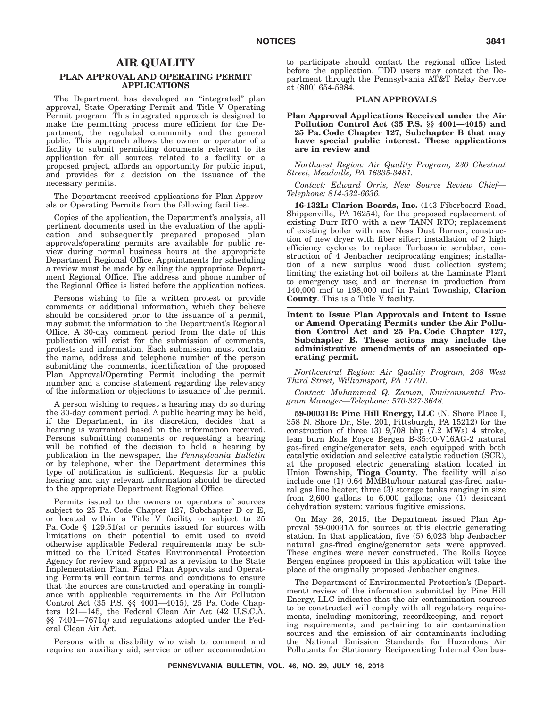# **AIR QUALITY**

# **PLAN APPROVAL AND OPERATING PERMIT APPLICATIONS**

The Department has developed an "integrated" plan approval, State Operating Permit and Title V Operating Permit program. This integrated approach is designed to make the permitting process more efficient for the Department, the regulated community and the general public. This approach allows the owner or operator of a facility to submit permitting documents relevant to its application for all sources related to a facility or a proposed project, affords an opportunity for public input, and provides for a decision on the issuance of the necessary permits.

The Department received applications for Plan Approvals or Operating Permits from the following facilities.

Copies of the application, the Department's analysis, all pertinent documents used in the evaluation of the application and subsequently prepared proposed plan approvals/operating permits are available for public review during normal business hours at the appropriate Department Regional Office. Appointments for scheduling a review must be made by calling the appropriate Department Regional Office. The address and phone number of the Regional Office is listed before the application notices.

Persons wishing to file a written protest or provide comments or additional information, which they believe should be considered prior to the issuance of a permit, may submit the information to the Department's Regional Office. A 30-day comment period from the date of this publication will exist for the submission of comments, protests and information. Each submission must contain the name, address and telephone number of the person submitting the comments, identification of the proposed Plan Approval/Operating Permit including the permit number and a concise statement regarding the relevancy of the information or objections to issuance of the permit.

A person wishing to request a hearing may do so during the 30-day comment period. A public hearing may be held, if the Department, in its discretion, decides that a hearing is warranted based on the information received. Persons submitting comments or requesting a hearing will be notified of the decision to hold a hearing by publication in the newspaper, the *Pennsylvania Bulletin* or by telephone, when the Department determines this type of notification is sufficient. Requests for a public hearing and any relevant information should be directed to the appropriate Department Regional Office.

Permits issued to the owners or operators of sources subject to 25 Pa. Code Chapter 127, Subchapter D or E, or located within a Title V facility or subject to 25 Pa. Code § 129.51(a) or permits issued for sources with limitations on their potential to emit used to avoid otherwise applicable Federal requirements may be submitted to the United States Environmental Protection Agency for review and approval as a revision to the State Implementation Plan. Final Plan Approvals and Operating Permits will contain terms and conditions to ensure that the sources are constructed and operating in compliance with applicable requirements in the Air Pollution Control Act (35 P.S. §§ 4001—4015), 25 Pa. Code Chapters 121—145, the Federal Clean Air Act (42 U.S.C.A. §§ 7401—7671q) and regulations adopted under the Federal Clean Air Act.

Persons with a disability who wish to comment and require an auxiliary aid, service or other accommodation to participate should contact the regional office listed before the application. TDD users may contact the Department through the Pennsylvania AT&T Relay Service at (800) 654-5984.

## **PLAN APPROVALS**

**Plan Approval Applications Received under the Air Pollution Control Act (35 P.S. §§ 4001—4015) and 25 Pa. Code Chapter 127, Subchapter B that may have special public interest. These applications are in review and**

*Northwest Region: Air Quality Program, 230 Chestnut Street, Meadville, PA 16335-3481.*

*Contact: Edward Orris, New Source Review Chief— Telephone: 814-332-6636.*

**16-132L: Clarion Boards, Inc.** (143 Fiberboard Road, Shippenville, PA 16254), for the proposed replacement of existing Durr RTO with a new TANN RTO; replacement of existing boiler with new Ness Dust Burner; construction of new dryer with fiber sifter; installation of 2 high efficiency cyclones to replace Turbosonic scrubber; construction of 4 Jenbacher reciprocating engines; installation of a new surplus wood dust collection system; limiting the existing hot oil boilers at the Laminate Plant to emergency use; and an increase in production from 140,000 mcf to 198,000 mcf in Paint Township, **Clarion County**. This is a Title V facility.

**Intent to Issue Plan Approvals and Intent to Issue or Amend Operating Permits under the Air Pollution Control Act and 25 Pa. Code Chapter 127, Subchapter B. These actions may include the administrative amendments of an associated operating permit.**

*Northcentral Region: Air Quality Program, 208 West Third Street, Williamsport, PA 17701.*

*Contact: Muhammad Q. Zaman, Environmental Program Manager—Telephone: 570-327-3648.*

**59-00031B: Pine Hill Energy, LLC** (N. Shore Place I, 358 N. Shore Dr., Ste. 201, Pittsburgh, PA 15212) for the construction of three (3) 9,708 bhp (7.2 MWs) 4 stroke, lean burn Rolls Royce Bergen B-35:40-V16AG-2 natural gas-fired engine/generator sets, each equipped with both catalytic oxidation and selective catalytic reduction (SCR), at the proposed electric generating station located in Union Township, **Tioga County**. The facility will also include one (1) 0.64 MMBtu/hour natural gas-fired natural gas line heater; three (3) storage tanks ranging in size from  $2,600$  gallons to  $6,000$  gallons; one  $(1)$  desiccant dehydration system; various fugitive emissions.

On May 26, 2015, the Department issued Plan Approval 59-00031A for sources at this electric generating station. In that application, five (5) 6,023 bhp Jenbacher natural gas-fired engine/generator sets were approved. These engines were never constructed. The Rolls Royce Bergen engines proposed in this application will take the place of the originally proposed Jenbacher engines.

The Department of Environmental Protection's (Department) review of the information submitted by Pine Hill Energy, LLC indicates that the air contamination sources to be constructed will comply with all regulatory requirements, including monitoring, recordkeeping, and reporting requirements, and pertaining to air contamination sources and the emission of air contaminants including the National Emission Standards for Hazardous Air Pollutants for Stationary Reciprocating Internal Combus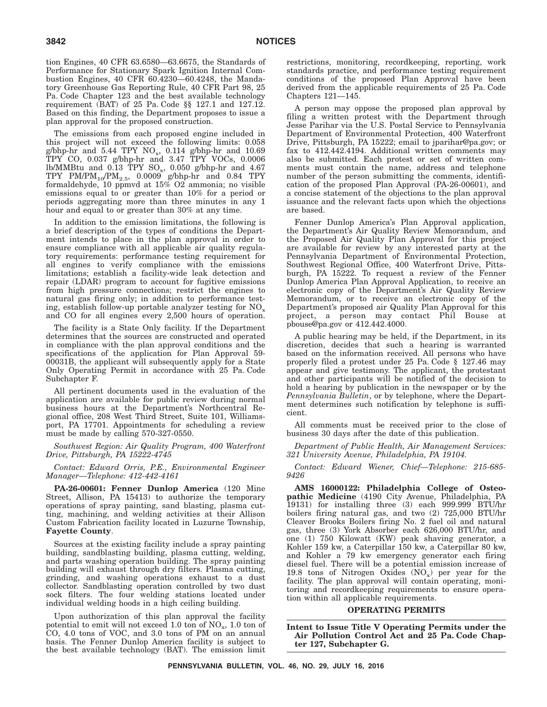tion Engines, 40 CFR 63.6580—63.6675, the Standards of Performance for Stationary Spark Ignition Internal Combustion Engines, 40 CFR 60.4230—60.4248, the Mandatory Greenhouse Gas Reporting Rule, 40 CFR Part 98, 25 Pa. Code Chapter 123 and the best available technology requirement (BAT) of 25 Pa. Code  $\S$  127.1 and 127.12. Based on this finding, the Department proposes to issue a plan approval for the proposed construction.

The emissions from each proposed engine included in this project will not exceed the following limits: 0.058 g/bhp-hr and 5.44 TPY NO<sub>x</sub>, 0.114 g/bhp-hr and 10.69<br>TPY CO, 0.037 g/bhp-hr and 3.47 TPY VOCs, 0.0006 lb/MMBtu and  $0.13$  TPY SO<sub>x</sub>,  $0.050$  g/bhp-hr and  $4.67$ TPY  $PM/PM_{10}/PM_{2.5}$ , 0.0009 g/bhp-hr and 0.84 TPY formaldehyde, 10 ppmvd at 15% O2 ammonia; no visible emissions equal to or greater than 10% for a period or periods aggregating more than three minutes in any 1 hour and equal to or greater than 30% at any time.

In addition to the emission limitations, the following is a brief description of the types of conditions the Department intends to place in the plan approval in order to ensure compliance with all applicable air quality regulatory requirements: performance testing requirement for all engines to verify compliance with the emissions limitations; establish a facility-wide leak detection and repair (LDAR) program to account for fugitive emissions from high pressure connections; restrict the engines to natural gas firing only; in addition to performance testing, establish follow-up portable analyzer testing for  $\rm NO_{\rm v}$ and CO for all engines every 2,500 hours of operation.

The facility is a State Only facility. If the Department determines that the sources are constructed and operated in compliance with the plan approval conditions and the specifications of the application for Plan Approval 59- 00031B, the applicant will subsequently apply for a State Only Operating Permit in accordance with 25 Pa. Code Subchapter F.

All pertinent documents used in the evaluation of the application are available for public review during normal business hours at the Department's Northcentral Regional office, 208 West Third Street, Suite 101, Williamsport, PA 17701. Appointments for scheduling a review must be made by calling 570-327-0550.

*Southwest Region: Air Quality Program, 400 Waterfront Drive, Pittsburgh, PA 15222-4745*

*Contact: Edward Orris, P.E., Environmental Engineer Manager—Telephone: 412-442-4161*

**PA-26-00601: Fenner Dunlop America** (120 Mine Street, Allison, PA 15413) to authorize the temporary operations of spray painting, sand blasting, plasma cutting, machining, and welding activities at their Allison Custom Fabrication facility located in Luzurne Township, **Fayette County**.

Sources at the existing facility include a spray painting building, sandblasting building, plasma cutting, welding, and parts washing operation building. The spray painting building will exhaust through dry filters. Plasma cutting, grinding, and washing operations exhaust to a dust collector. Sandblasting operation controlled by two dust sock filters. The four welding stations located under individual welding hoods in a high ceiling building.

Upon authorization of this plan approval the facility potential to emit will not exceed 1.0 ton of  $NO<sub>x</sub>$ , 1.0 ton of CO, 4.0 tons of VOC, and 3.0 tons of PM on an annual basis. The Fenner Dunlop America facility is subject to the best available technology (BAT). The emission limit

restrictions, monitoring, recordkeeping, reporting, work standards practice, and performance testing requirement conditions of the proposed Plan Approval have been derived from the applicable requirements of 25 Pa. Code Chapters 121—145.

A person may oppose the proposed plan approval by filing a written protest with the Department through Jesse Parihar via the U.S. Postal Service to Pennsylvania Department of Environmental Protection, 400 Waterfront Drive, Pittsburgh, PA 15222; email to jparihar@pa.gov; or fax to 412.442.4194. Additional written comments may also be submitted. Each protest or set of written comments must contain the name, address and telephone number of the person submitting the comments, identification of the proposed Plan Approval (PA-26-00601), and a concise statement of the objections to the plan approval issuance and the relevant facts upon which the objections are based.

Fenner Dunlop America's Plan Approval application, the Department's Air Quality Review Memorandum, and the Proposed Air Quality Plan Approval for this project are available for review by any interested party at the Pennsylvania Department of Environmental Protection, Southwest Regional Office, 400 Waterfront Drive, Pittsburgh, PA 15222. To request a review of the Fenner Dunlop America Plan Approval Application, to receive an electronic copy of the Department's Air Quality Review Memorandum, or to receive an electronic copy of the Department's proposed air Quality Plan Approval for this project, a person may contact Phil Bouse at pbouse@pa.gov or 412.442.4000.

A public hearing may be held, if the Department, in its discretion, decides that such a hearing is warranted based on the information received. All persons who have properly filed a protest under 25 Pa. Code § 127.46 may appear and give testimony. The applicant, the protestant and other participants will be notified of the decision to hold a hearing by publication in the newspaper or by the *Pennsylvania Bulletin*, or by telephone, where the Department determines such notification by telephone is sufficient.

All comments must be received prior to the close of business 30 days after the date of this publication.

*Department of Public Health, Air Management Services: 321 University Avenue, Philadelphia, PA 19104.*

*Contact: Edward Wiener, Chief—Telephone: 215-685- 9426*

**AMS 16000122: Philadelphia College of Osteopathic Medicine** (4190 City Avenue, Philadelphia, PA 19131) for installing three (3) each 999.999 BTU/hr boilers firing natural gas, and two (2) 725,000 BTU/hr Cleaver Brooks Boilers firing No. 2 fuel oil and natural gas, three (3) York Absorber each 626,000 BTU/hr, and one (1) 750 Kilowatt (KW) peak shaving generator, a Kohler 159 kw, a Caterpillar 150 kw, a Caterpillar 80 kw, and Kohler a 79 kw emergency generator each firing diesel fuel. There will be a potential emission increase of 19.8 tons of Nitrogen Oxides  $(NO_x)$  per year for the facility. The plan approval will contain operating, monitoring and recordkeeping requirements to ensure operation within all applicable requirements.

#### **OPERATING PERMITS**

**Intent to Issue Title V Operating Permits under the Air Pollution Control Act and 25 Pa. Code Chapter 127, Subchapter G.**

**PENNSYLVANIA BULLETIN, VOL. 46, NO. 29, JULY 16, 2016**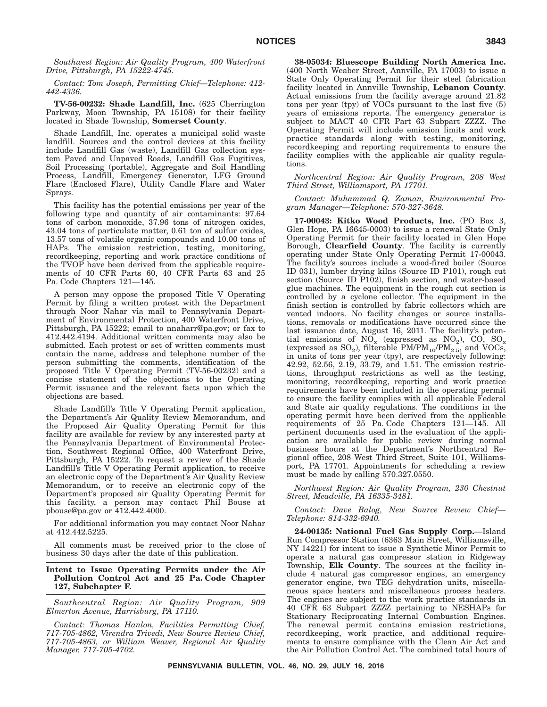*Southwest Region: Air Quality Program, 400 Waterfront Drive, Pittsburgh, PA 15222-4745.*

*Contact: Tom Joseph, Permitting Chief—Telephone: 412- 442-4336.*

**TV-56-00232: Shade Landfill, Inc.** (625 Cherrington Parkway, Moon Township, PA 15108) for their facility located in Shade Township, **Somerset County**.

Shade Landfill, Inc. operates a municipal solid waste landfill. Sources and the control devices at this facility include Landfill Gas (waste), Landfill Gas collection system Paved and Unpaved Roads, Landfill Gas Fugitives, Soil Processing (portable), Aggregate and Soil Handling Process, Landfill, Emergency Generator, LFG Ground Flare (Enclosed Flare), Utility Candle Flare and Water Sprays.

This facility has the potential emissions per year of the following type and quantity of air contaminants: 97.64 tons of carbon monoxide, 37.96 tons of nitrogen oxides, 43.04 tons of particulate matter, 0.61 ton of sulfur oxides, 13.57 tons of volatile organic compounds and 10.00 tons of HAPs. The emission restriction, testing, monitoring, recordkeeping, reporting and work practice conditions of the TVOP have been derived from the applicable requirements of 40 CFR Parts 60, 40 CFR Parts 63 and 25 Pa. Code Chapters 121—145.

A person may oppose the proposed Title V Operating Permit by filing a written protest with the Department through Noor Nahar via mail to Pennsylvania Department of Environmental Protection, 400 Waterfront Drive, Pittsburgh, PA 15222; email to nnaharr@pa.gov; or fax to 412.442.4194. Additional written comments may also be submitted. Each protest or set of written comments must contain the name, address and telephone number of the person submitting the comments, identification of the proposed Title V Operating Permit (TV-56-00232) and a concise statement of the objections to the Operating Permit issuance and the relevant facts upon which the objections are based.

Shade Landfill's Title V Operating Permit application, the Department's Air Quality Review Memorandum, and the Proposed Air Quality Operating Permit for this facility are available for review by any interested party at the Pennsylvania Department of Environmental Protection, Southwest Regional Office, 400 Waterfront Drive, Pittsburgh, PA 15222. To request a review of the Shade Landfill's Title V Operating Permit application, to receive an electronic copy of the Department's Air Quality Review Memorandum, or to receive an electronic copy of the Department's proposed air Quality Operating Permit for this facility, a person may contact Phil Bouse at pbouse@pa.gov or 412.442.4000.

For additional information you may contact Noor Nahar at 412.442.5225.

All comments must be received prior to the close of business 30 days after the date of this publication.

# **Intent to Issue Operating Permits under the Air Pollution Control Act and 25 Pa. Code Chapter 127, Subchapter F.**

*Southcentral Region: Air Quality Program, 909 Elmerton Avenue, Harrisburg, PA 17110.*

*Contact: Thomas Hanlon, Facilities Permitting Chief, 717-705-4862, Virendra Trivedi, New Source Review Chief, 717-705-4863, or William Weaver, Regional Air Quality Manager, 717-705-4702.*

**38-05034: Bluescope Building North America Inc.** (400 North Weaber Street, Annville, PA 17003) to issue a State Only Operating Permit for their steel fabrication facility located in Annville Township, **Lebanon County**. Actual emissions from the facility average around 21.82 tons per year (tpy) of VOCs pursuant to the last five (5) years of emissions reports. The emergency generator is subject to MACT 40 CFR Part 63 Subpart ZZZZ. The Operating Permit will include emission limits and work practice standards along with testing, monitoring, recordkeeping and reporting requirements to ensure the facility complies with the applicable air quality regulations.

*Northcentral Region: Air Quality Program, 208 West Third Street, Williamsport, PA 17701.*

*Contact: Muhammad Q. Zaman, Environmental Program Manager—Telephone: 570-327-3648.*

**17-00043: Kitko Wood Products, Inc.** (PO Box 3, Glen Hope, PA 16645-0003) to issue a renewal State Only Operating Permit for their facility located in Glen Hope Borough, **Clearfield County**. The facility is currently operating under State Only Operating Permit 17-00043. The facility's sources include a wood-fired boiler (Source ID 031), lumber drying kilns (Source ID P101), rough cut section (Source ID P102), finish section, and water-based glue machines. The equipment in the rough cut section is controlled by a cyclone collector. The equipment in the finish section is controlled by fabric collectors which are vented indoors. No facility changes or source installations, removals or modifications have occurred since the last issuance date, August 16, 2011. The facility's potential emissions of  $NO_x$  (expressed as  $NO_2$ ),  $CO$ ,  $SO_x$ (expressed as  $SO_2$ ), filterable PM/PM<sub>10</sub>/PM<sub>2.5</sub>, and VOCs, in units of tons per year (tpy), are respectively following: 42.92, 52.56, 2.19, 33.79, and 1.51. The emission restrictions, throughput restrictions as well as the testing, monitoring, recordkeeping, reporting and work practice requirements have been included in the operating permit to ensure the facility complies with all applicable Federal and State air quality regulations. The conditions in the operating permit have been derived from the applicable requirements of 25 Pa. Code Chapters 121—145. All pertinent documents used in the evaluation of the application are available for public review during normal business hours at the Department's Northcentral Regional office, 208 West Third Street, Suite 101, Williamsport, PA 17701. Appointments for scheduling a review must be made by calling 570.327.0550.

*Northwest Region: Air Quality Program, 230 Chestnut Street, Meadville, PA 16335-3481.*

*Contact: Dave Balog, New Source Review Chief— Telephone: 814-332-6940.*

**24-00135: National Fuel Gas Supply Corp.**—Island Run Compressor Station (6363 Main Street, Williamsville, NY 14221) for intent to issue a Synthetic Minor Permit to operate a natural gas compressor station in Ridgeway Township, **Elk County**. The sources at the facility include 4 natural gas compressor engines, an emergency generator engine, two TEG dehydration units, miscellaneous space heaters and miscellaneous process heaters. The engines are subject to the work practice standards in 40 CFR 63 Subpart ZZZZ pertaining to NESHAPs for Stationary Reciprocating Internal Combustion Engines. The renewal permit contains emission restrictions, recordkeeping, work practice, and additional requirements to ensure compliance with the Clean Air Act and the Air Pollution Control Act. The combined total hours of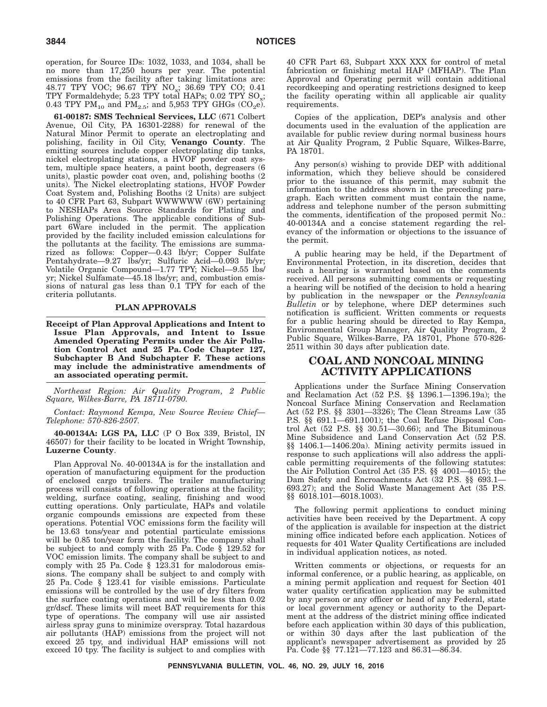operation, for Source IDs: 1032, 1033, and 1034, shall be no more than 17,250 hours per year. The potential emissions from the facility after taking limitations are: 48.77 TPY VOC; 96.67 TPY NOx; 36.69 TPY CO; 0.41 TPY Formaldehyde; 5.23 TPY total HAPs;  $0.02$  TPY SO<sub>x</sub>; 0.43 TPY PM<sub>10</sub> and PM<sub>2.5</sub>; and 5,953 TPY GHGs  $(CO_2e)$ .

**61-00187: SMS Technical Services, LLC** (671 Colbert Avenue, Oil City, PA 16301-2288) for renewal of the Natural Minor Permit to operate an electroplating and polishing, facility in Oil City, **Venango County**. The emitting sources include copper electroplating dip tanks, nickel electroplating stations, a HVOF powder coat system, multiple space heaters, a paint booth, degreasers (6 units), plastic powder coat oven, and, polishing booths (2 units). The Nickel electroplating stations, HVOF Powder Coat System and, Polishing Booths (2 Units) are subject to 40 CFR Part 63, Subpart WWWWWW (6W) pertaining to NESHAPs Area Source Standards for Plating and Polishing Operations. The applicable conditions of Subpart 6Ware included in the permit. The application provided by the facility included emission calculations for the pollutants at the facility. The emissions are summarized as follows: Copper—0.43 lb/yr; Copper Sulfate Pentahydrate—9.27 lbs/yr; Sulfuric Acid—0.093 lb/yr; Volatile Organic Compound—1.77 TPY; Nickel—9.55 lbs/ yr; Nickel Sulfamate—45.18 lbs/yr; and, combustion emissions of natural gas less than 0.1 TPY for each of the criteria pollutants.

#### **PLAN APPROVALS**

**Receipt of Plan Approval Applications and Intent to Issue Plan Approvals, and Intent to Issue Amended Operating Permits under the Air Pollution Control Act and 25 Pa. Code Chapter 127, Subchapter B And Subchapter F. These actions may include the administrative amendments of an associated operating permit.**

*Northeast Region: Air Quality Program, 2 Public Square, Wilkes-Barre, PA 18711-0790.*

*Contact: Raymond Kempa, New Source Review Chief— Telephone: 570-826-2507.*

**40-00134A: LGS PA, LLC** (P O Box 339, Bristol, IN 46507) for their facility to be located in Wright Township, **Luzerne County**.

Plan Approval No. 40-00134A is for the installation and operation of manufacturing equipment for the production of enclosed cargo trailers. The trailer manufacturing process will consists of following operations at the facility; welding, surface coating, sealing, finishing and wood cutting operations. Only particulate, HAPs and volatile organic compounds emissions are expected from these operations. Potential VOC emissions form the facility will be 13.63 tons/year and potential particulate emissions will be 0.85 ton/year form the facility. The company shall be subject to and comply with 25 Pa. Code § 129.52 for VOC emission limits. The company shall be subject to and comply with 25 Pa. Code § 123.31 for malodorous emissions. The company shall be subject to and comply with 25 Pa. Code § 123.41 for visible emissions. Particulate emissions will be controlled by the use of dry filters from the surface coating operations and will be less than 0.02 gr/dscf. These limits will meet BAT requirements for this type of operations. The company will use air assisted airless spray guns to minimize overspray. Total hazardous air pollutants (HAP) emissions from the project will not exceed 25 tpy, and individual HAP emissions will not exceed 10 tpy. The facility is subject to and complies with 40 CFR Part 63, Subpart XXX XXX for control of metal fabrication or finishing metal HAP (MFHAP). The Plan Approval and Operating permit will contain additional recordkeeping and operating restrictions designed to keep the facility operating within all applicable air quality requirements.

Copies of the application, DEP's analysis and other documents used in the evaluation of the application are available for public review during normal business hours at Air Quality Program, 2 Public Square, Wilkes-Barre, PA 18701.

Any person(s) wishing to provide DEP with additional information, which they believe should be considered prior to the issuance of this permit, may submit the information to the address shown in the preceding paragraph. Each written comment must contain the name, address and telephone number of the person submitting the comments, identification of the proposed permit No.: 40-00134A and a concise statement regarding the relevancy of the information or objections to the issuance of the permit.

A public hearing may be held, if the Department of Environmental Protection, in its discretion, decides that such a hearing is warranted based on the comments received. All persons submitting comments or requesting a hearing will be notified of the decision to hold a hearing by publication in the newspaper or the *Pennsylvania Bulletin* or by telephone, where DEP determines such notification is sufficient. Written comments or requests for a public hearing should be directed to Ray Kempa, Environmental Group Manager, Air Quality Program, 2 Public Square, Wilkes-Barre, PA 18701, Phone 570-826- 2511 within 30 days after publication date.

# **COAL AND NONCOAL MINING ACTIVITY APPLICATIONS**

Applications under the Surface Mining Conservation and Reclamation Act (52 P.S. §§ 1396.1—1396.19a); the Noncoal Surface Mining Conservation and Reclamation Act (52 P.S. §§ 3301—3326); The Clean Streams Law (35 P.S. §§ 691.1—691.1001); the Coal Refuse Disposal Control Act (52 P.S. §§ 30.51—30.66); and The Bituminous Mine Subsidence and Land Conservation Act (52 P.S. §§ 1406.1—1406.20a). Mining activity permits issued in response to such applications will also address the applicable permitting requirements of the following statutes: the Air Pollution Control Act (35 P.S. §§ 4001—4015); the Dam Safety and Encroachments Act (32 P.S. §§ 693.1— 693.27); and the Solid Waste Management Act (35 P.S. §§ 6018.101—6018.1003).

The following permit applications to conduct mining activities have been received by the Department. A copy of the application is available for inspection at the district mining office indicated before each application. Notices of requests for 401 Water Quality Certifications are included in individual application notices, as noted.

Written comments or objections, or requests for an informal conference, or a public hearing, as applicable, on a mining permit application and request for Section 401 water quality certification application may be submitted by any person or any officer or head of any Federal, state or local government agency or authority to the Department at the address of the district mining office indicated before each application within 30 days of this publication, or within 30 days after the last publication of the applicant's newspaper advertisement as provided by 25 Pa. Code §§ 77.121—77.123 and 86.31—86.34.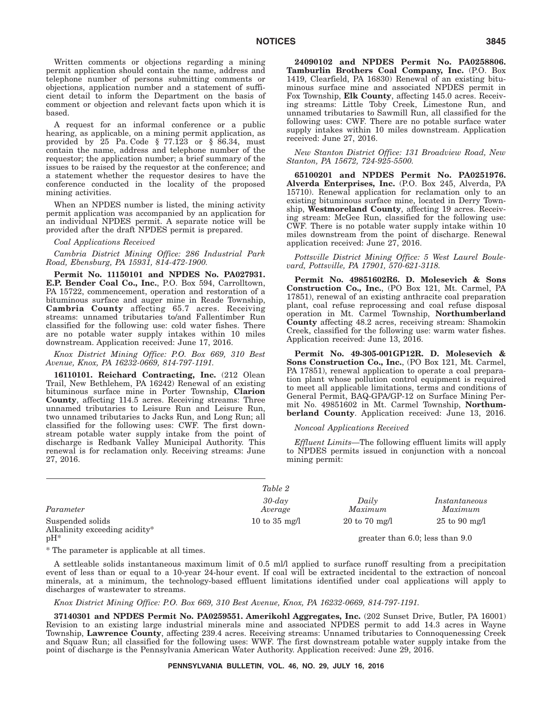Written comments or objections regarding a mining permit application should contain the name, address and telephone number of persons submitting comments or objections, application number and a statement of sufficient detail to inform the Department on the basis of comment or objection and relevant facts upon which it is based.

A request for an informal conference or a public hearing, as applicable, on a mining permit application, as provided by  $25$  Pa. Code  $\S$  77.123 or  $\S$  86.34, must contain the name, address and telephone number of the requestor; the application number; a brief summary of the issues to be raised by the requestor at the conference; and a statement whether the requestor desires to have the conference conducted in the locality of the proposed mining activities.

When an NPDES number is listed, the mining activity permit application was accompanied by an application for an individual NPDES permit. A separate notice will be provided after the draft NPDES permit is prepared.

#### *Coal Applications Received*

*Cambria District Mining Office: 286 Industrial Park Road, Ebensburg, PA 15931, 814-472-1900.*

**Permit No. 11150101 and NPDES No. PA027931. E.P. Bender Coal Co., Inc.**, P.O. Box 594, Carrolltown, PA 15722, commencement, operation and restoration of a bituminous surface and auger mine in Reade Township, **Cambria County** affecting 65.7 acres. Receiving streams: unnamed tributaries to/and Fallentimber Run classified for the following use: cold water fishes. There are no potable water supply intakes within 10 miles downstream. Application received: June 17, 2016.

*Knox District Mining Office: P.O. Box 669, 310 Best Avenue, Knox, PA 16232-0669, 814-797-1191.*

**16110101. Reichard Contracting, Inc.** (212 Olean Trail, New Bethlehem, PA 16242) Renewal of an existing bituminous surface mine in Porter Township, **Clarion County**, affecting 114.5 acres. Receiving streams: Three unnamed tributaries to Leisure Run and Leisure Run, two unnamed tributaries to Jacks Run, and Long Run; all classified for the following uses: CWF. The first downstream potable water supply intake from the point of discharge is Redbank Valley Municipal Authority. This renewal is for reclamation only. Receiving streams: June 27, 2016.

**24090102 and NPDES Permit No. PA0258806. Tamburlin Brothers Coal Company, Inc.** (P.O. Box 1419, Clearfield, PA 16830) Renewal of an existing bituminous surface mine and associated NPDES permit in Fox Township, **Elk County**, affecting 145.0 acres. Receiving streams: Little Toby Creek, Limestone Run, and unnamed tributaries to Sawmill Run, all classified for the following uses: CWF. There are no potable surface water supply intakes within 10 miles downstream. Application received: June 27, 2016.

*New Stanton District Office: 131 Broadview Road, New Stanton, PA 15672, 724-925-5500.*

**65100201 and NPDES Permit No. PA0251976. Alverda Enterprises, Inc.** (P.O. Box 245, Alverda, PA 15710). Renewal application for reclamation only to an existing bituminous surface mine, located in Derry Township, **Westmoreland County**, affecting 19 acres. Receiving stream: McGee Run, classified for the following use: CWF. There is no potable water supply intake within 10 miles downstream from the point of discharge. Renewal application received: June 27, 2016.

*Pottsville District Mining Office: 5 West Laurel Boulevard, Pottsville, PA 17901, 570-621-3118.*

**Permit No. 49851602R6. D. Molesevich & Sons Construction Co., Inc.**, (PO Box 121, Mt. Carmel, PA 17851), renewal of an existing anthracite coal preparation plant, coal refuse reprocessing and coal refuse disposal operation in Mt. Carmel Township, **Northumberland County** affecting 48.2 acres, receiving stream: Shamokin Creek, classified for the following use: warm water fishes. Application received: June 13, 2016.

**Permit No. 49-305-001GP12R. D. Molesevich & Sons Construction Co., Inc.**, (PO Box 121, Mt. Carmel, PA 17851), renewal application to operate a coal preparation plant whose pollution control equipment is required to meet all applicable limitations, terms and conditions of General Permit, BAQ-GPA/GP-12 on Surface Mining Permit No. 49851602 in Mt. Carmel Township, **Northumberland County**. Application received: June 13, 2016.

#### *Noncoal Applications Received*

*Effluent Limits*—The following effluent limits will apply to NPDES permits issued in conjunction with a noncoal mining permit:

|                                                          | Table 2                 |                                  |                                                                          |
|----------------------------------------------------------|-------------------------|----------------------------------|--------------------------------------------------------------------------|
| Parameter                                                | $30$ -day<br>Average    | Daily<br>Maximum                 | Instantaneous<br>Maximum                                                 |
| Suspended solids<br>Alkalinity exceeding acidity*<br>nH* | 10 to $35 \text{ mg/l}$ | $20 \text{ to } 70 \text{ mg/l}$ | $25 \text{ to } 90 \text{ mg/l}$<br>greater than $6.0$ ; less than $9.0$ |

\* The parameter is applicable at all times.

A settleable solids instantaneous maximum limit of 0.5 ml/l applied to surface runoff resulting from a precipitation event of less than or equal to a 10-year 24-hour event. If coal will be extracted incidental to the extraction of noncoal minerals, at a minimum, the technology-based effluent limitations identified under coal applications will apply to discharges of wastewater to streams.

*Knox District Mining Office: P.O. Box 669, 310 Best Avenue, Knox, PA 16232-0669, 814-797-1191.*

**37140301 and NPDES Permit No. PA0259551. Amerikohl Aggregates, Inc.** (202 Sunset Drive, Butler, PA 16001) Revision to an existing large industrial minerals mine and associated NPDES permit to add 14.3 acres in Wayne Township, **Lawrence County**, affecting 239.4 acres. Receiving streams: Unnamed tributaries to Connoquenessing Creek and Squaw Run; all classified for the following uses: WWF. The first downstream potable water supply intake from the point of discharge is the Pennsylvania American Water Authority. Application received: June 29, 2016.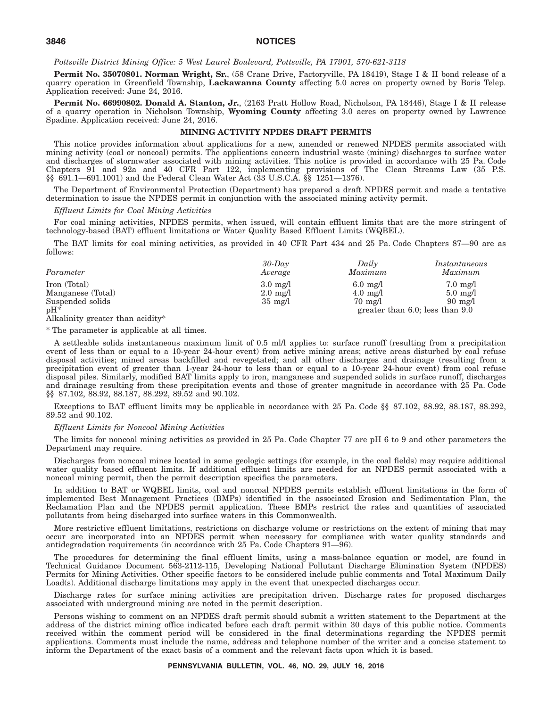#### *Pottsville District Mining Office: 5 West Laurel Boulevard, Pottsville, PA 17901, 570-621-3118*

**Permit No. 35070801. Norman Wright, Sr.**, (58 Crane Drive, Factoryville, PA 18419), Stage I & II bond release of a quarry operation in Greenfield Township, **Lackawanna County** affecting 5.0 acres on property owned by Boris Telep. Application received: June 24, 2016.

**Permit No. 66990802. Donald A. Stanton, Jr.**, (2163 Pratt Hollow Road, Nicholson, PA 18446), Stage I & II release of a quarry operation in Nicholson Township, **Wyoming County** affecting 3.0 acres on property owned by Lawrence Spadine. Application received: June 24, 2016.

# **MINING ACTIVITY NPDES DRAFT PERMITS**

This notice provides information about applications for a new, amended or renewed NPDES permits associated with mining activity (coal or noncoal) permits. The applications concern industrial waste (mining) discharges to surface water and discharges of stormwater associated with mining activities. This notice is provided in accordance with 25 Pa. Code Chapters 91 and 92a and 40 CFR Part 122, implementing provisions of The Clean Streams Law (35 P.S. §§ 691.1—691.1001) and the Federal Clean Water Act (33 U.S.C.A. §§ 1251—1376).

The Department of Environmental Protection (Department) has prepared a draft NPDES permit and made a tentative determination to issue the NPDES permit in conjunction with the associated mining activity permit.

*Effluent Limits for Coal Mining Activities*

For coal mining activities, NPDES permits, when issued, will contain effluent limits that are the more stringent of technology-based (BAT) effluent limitations or Water Quality Based Effluent Limits (WQBEL).

The BAT limits for coal mining activities, as provided in 40 CFR Part 434 and 25 Pa. Code Chapters 87—90 are as follows:

| Parameter         | $30$ -Dav<br>Average | Daily<br>Maximum   | Instantaneous<br>Maximum             |
|-------------------|----------------------|--------------------|--------------------------------------|
| Iron (Total)      | $3.0 \text{ mg}/1$   | $6.0 \text{ mg}/1$ | $7.0 \text{ mg}/1$                   |
| Manganese (Total) | $2.0 \text{ mg}/1$   | $4.0 \text{ mg}/1$ | $5.0 \text{ mg}/l$                   |
| Suspended solids  | $35 \text{ mg/l}$    | $70 \text{ mg}/1$  | $90 \text{ mg}/1$                    |
| $pH^*$            |                      |                    | greater than $6.0$ ; less than $9.0$ |

Alkalinity greater than acidity\*

\* The parameter is applicable at all times.

A settleable solids instantaneous maximum limit of 0.5 ml/l applies to: surface runoff (resulting from a precipitation event of less than or equal to a 10-year 24-hour event) from active mining areas; active areas disturbed by coal refuse disposal activities; mined areas backfilled and revegetated; and all other discharges and drainage (resulting from a precipitation event of greater than 1-year 24-hour to less than or equal to a 10-year 24-hour event) from coal refuse disposal piles. Similarly, modified BAT limits apply to iron, manganese and suspended solids in surface runoff, discharges and drainage resulting from these precipitation events and those of greater magnitude in accordance with 25 Pa. Code §§ 87.102, 88.92, 88.187, 88.292, 89.52 and 90.102.

Exceptions to BAT effluent limits may be applicable in accordance with 25 Pa. Code §§ 87.102, 88.92, 88.187, 88.292, 89.52 and 90.102.

### *Effluent Limits for Noncoal Mining Activities*

The limits for noncoal mining activities as provided in 25 Pa. Code Chapter 77 are pH 6 to 9 and other parameters the Department may require.

Discharges from noncoal mines located in some geologic settings (for example, in the coal fields) may require additional water quality based effluent limits. If additional effluent limits are needed for an NPDES permit associated with a noncoal mining permit, then the permit description specifies the parameters.

In addition to BAT or WQBEL limits, coal and noncoal NPDES permits establish effluent limitations in the form of implemented Best Management Practices (BMPs) identified in the associated Erosion and Sedimentation Plan, the Reclamation Plan and the NPDES permit application. These BMPs restrict the rates and quantities of associated pollutants from being discharged into surface waters in this Commonwealth.

More restrictive effluent limitations, restrictions on discharge volume or restrictions on the extent of mining that may occur are incorporated into an NPDES permit when necessary for compliance with water quality standards and antidegradation requirements (in accordance with 25 Pa. Code Chapters 91—96).

The procedures for determining the final effluent limits, using a mass-balance equation or model, are found in Technical Guidance Document 563-2112-115, Developing National Pollutant Discharge Elimination System (NPDES) Permits for Mining Activities. Other specific factors to be considered include public comments and Total Maximum Daily Load(s). Additional discharge limitations may apply in the event that unexpected discharges occur.

Discharge rates for surface mining activities are precipitation driven. Discharge rates for proposed discharges associated with underground mining are noted in the permit description.

Persons wishing to comment on an NPDES draft permit should submit a written statement to the Department at the address of the district mining office indicated before each draft permit within 30 days of this public notice. Comments received within the comment period will be considered in the final determinations regarding the NPDES permit applications. Comments must include the name, address and telephone number of the writer and a concise statement to inform the Department of the exact basis of a comment and the relevant facts upon which it is based.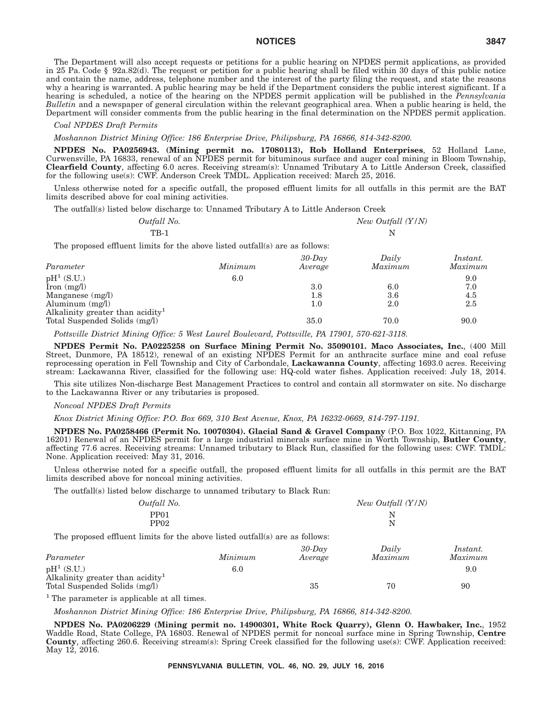The Department will also accept requests or petitions for a public hearing on NPDES permit applications, as provided in 25 Pa. Code § 92a.82(d). The request or petition for a public hearing shall be filed within 30 days of this public notice and contain the name, address, telephone number and the interest of the party filing the request, and state the reasons why a hearing is warranted. A public hearing may be held if the Department considers the public interest significant. If a hearing is scheduled, a notice of the hearing on the NPDES permit application will be published in the *Pennsylvania Bulletin* and a newspaper of general circulation within the relevant geographical area. When a public hearing is held, the Department will consider comments from the public hearing in the final determination on the NPDES permit application.

# *Coal NPDES Draft Permits*

### *Moshannon District Mining Office: 186 Enterprise Drive, Philipsburg, PA 16866, 814-342-8200.*

**NPDES No. PA0256943. (Mining permit no. 17080113), Rob Holland Enterprises**, 52 Holland Lane, Curwensville, PA 16833, renewal of an NPDES permit for bituminous surface and auger coal mining in Bloom Township, **Clearfield County**, affecting 6.0 acres. Receiving stream(s): Unnamed Tributary A to Little Anderson Creek, classified for the following use(s): CWF. Anderson Creek TMDL. Application received: March 25, 2016.

Unless otherwise noted for a specific outfall, the proposed effluent limits for all outfalls in this permit are the BAT limits described above for coal mining activities.

The outfall(s) listed below discharge to: Unnamed Tributary A to Little Anderson Creek

| Outfall No.                                                                  |         |                      | New Outfall $(Y/N)$ |                     |
|------------------------------------------------------------------------------|---------|----------------------|---------------------|---------------------|
| $TB-1$                                                                       |         |                      | N                   |                     |
| The proposed effluent limits for the above listed outfall(s) are as follows: |         |                      |                     |                     |
| Parameter                                                                    | Minimum | $30$ -Day<br>Average | Daily<br>Maximum    | Instant.<br>Maximum |
| $pH^1$ (S.U.)                                                                | 6.0     |                      |                     | 9.0                 |
| $\text{Iron} \ (\text{mg/l})$                                                |         | 3.0                  | 6.0                 | 7.0                 |
| Manganese (mg/l)                                                             |         | 1.8                  | 3.6                 | 4.5                 |
| Aluminum $(mg/l)$                                                            |         | $1.0\,$              | 2.0                 | 2.5                 |
| Alkalinity greater than acidity <sup>1</sup>                                 |         |                      |                     |                     |
| Total Suspended Solids (mg/l)                                                |         | 35.0                 | 70.0                | 90.0                |

*Pottsville District Mining Office: 5 West Laurel Boulevard, Pottsville, PA 17901, 570-621-3118.*

**NPDES Permit No. PA0225258 on Surface Mining Permit No. 35090101. Maco Associates, Inc.**, (400 Mill Street, Dunmore, PA 18512), renewal of an existing NPDES Permit for an anthracite surface mine and coal refuse reprocessing operation in Fell Township and City of Carbondale, **Lackawanna County**, affecting 1693.0 acres. Receiving stream: Lackawanna River, classified for the following use: HQ-cold water fishes. Application received: July 18, 2014.

This site utilizes Non-discharge Best Management Practices to control and contain all stormwater on site. No discharge to the Lackawanna River or any tributaries is proposed.

#### *Noncoal NPDES Draft Permits*

#### *Knox District Mining Office: P.O. Box 669, 310 Best Avenue, Knox, PA 16232-0669, 814-797-1191.*

**NPDES No. PA0258466 (Permit No. 10070304). Glacial Sand & Gravel Company** (P.O. Box 1022, Kittanning, PA 16201) Renewal of an NPDES permit for a large industrial minerals surface mine in Worth Township, **Butler County**, affecting 77.6 acres. Receiving streams: Unnamed tributary to Black Run, classified for the following uses: CWF. TMDL: None. Application received: May 31, 2016.

Unless otherwise noted for a specific outfall, the proposed effluent limits for all outfalls in this permit are the BAT limits described above for noncoal mining activities.

The outfall(s) listed below discharge to unnamed tributary to Black Run:

| Outfall No.                                                                  |         |           | New Outfall $(Y/N)$ |          |
|------------------------------------------------------------------------------|---------|-----------|---------------------|----------|
| PP <sub>01</sub>                                                             |         |           | N                   |          |
| PP02                                                                         |         |           | N                   |          |
| The proposed effluent limits for the above listed outfall(s) are as follows: |         |           |                     |          |
|                                                                              |         | $30$ -Day | Daily               | Instant. |
| Parameter                                                                    | Minimum | Average   | Maximum             | Maximum  |
| $pH^1(S.U.)$                                                                 | 6.0     |           |                     | 9.0      |
| Alkalinity greater than acidity <sup>1</sup>                                 |         |           |                     |          |
| Total Suspended Solids (mg/l)                                                |         | 35        | 70                  | 90       |

<sup>1</sup> The parameter is applicable at all times.

*Moshannon District Mining Office: 186 Enterprise Drive, Philipsburg, PA 16866, 814-342-8200.*

**NPDES No. PA0206229 (Mining permit no. 14900301, White Rock Quarry), Glenn O. Hawbaker, Inc.**, 1952 Waddle Road, State College, PA 16803. Renewal of NPDES permit for noncoal surface mine in Spring Township, **Centre County**, affecting 260.6. Receiving stream(s): Spring Creek classified for the following use(s): CWF. Application received: May 12, 2016.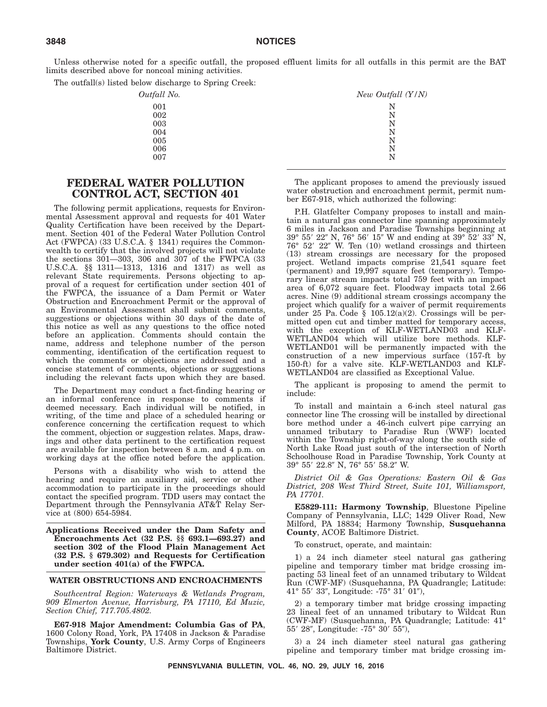Unless otherwise noted for a specific outfall, the proposed effluent limits for all outfalls in this permit are the BAT limits described above for noncoal mining activities.

The outfall(s) listed below discharge to Spring Creek:

| Outfall No. | New Outfall $(Y/N)$ |
|-------------|---------------------|
| 001         | N                   |
| 002         | N                   |
| 003         | N                   |
| 004         | N                   |
| 005         | N                   |
| 006         | N                   |
| 007         | N                   |

# **FEDERAL WATER POLLUTION CONTROL ACT, SECTION 401**

The following permit applications, requests for Environmental Assessment approval and requests for 401 Water Quality Certification have been received by the Department. Section 401 of the Federal Water Pollution Control Act (FWPCA) (33 U.S.C.A. § 1341) requires the Commonwealth to certify that the involved projects will not violate the sections 301—303, 306 and 307 of the FWPCA (33 U.S.C.A. §§ 1311—1313, 1316 and 1317) as well as relevant State requirements. Persons objecting to approval of a request for certification under section 401 of the FWPCA, the issuance of a Dam Permit or Water Obstruction and Encroachment Permit or the approval of an Environmental Assessment shall submit comments, suggestions or objections within 30 days of the date of this notice as well as any questions to the office noted before an application. Comments should contain the name, address and telephone number of the person commenting, identification of the certification request to which the comments or objections are addressed and a concise statement of comments, objections or suggestions including the relevant facts upon which they are based.

The Department may conduct a fact-finding hearing or an informal conference in response to comments if deemed necessary. Each individual will be notified, in writing, of the time and place of a scheduled hearing or conference concerning the certification request to which the comment, objection or suggestion relates. Maps, drawings and other data pertinent to the certification request are available for inspection between 8 a.m. and 4 p.m. on working days at the office noted before the application.

Persons with a disability who wish to attend the hearing and require an auxiliary aid, service or other accommodation to participate in the proceedings should contact the specified program. TDD users may contact the Department through the Pennsylvania AT&T Relay Service at (800) 654-5984.

**Applications Received under the Dam Safety and Encroachments Act (32 P.S. §§ 693.1—693.27) and section 302 of the Flood Plain Management Act (32 P.S. § 679.302) and Requests for Certification under section 401(a) of the FWPCA.**

# **WATER OBSTRUCTIONS AND ENCROACHMENTS**

*Southcentral Region: Waterways & Wetlands Program, 909 Elmerton Avenue, Harrisburg, PA 17110, Ed Muzic, Section Chief, 717.705.4802.*

**E67-918 Major Amendment: Columbia Gas of PA**, 1600 Colony Road, York, PA 17408 in Jackson & Paradise Townships, **York County**, U.S. Army Corps of Engineers Baltimore District.

The applicant proposes to amend the previously issued water obstruction and encroachment permit, permit number E67-918, which authorized the following:

P.H. Glatfelter Company proposes to install and maintain a natural gas connector line spanning approximately 6 miles in Jackson and Paradise Townships beginning at  $39^{\circ}$   $55'$   $22''$  N,  $76^{\circ}$   $56'$   $15''$  W and ending at  $39^{\circ}$   $52'$   $33''$  N,  $76^{\circ}$  52' 22" W. Ten  $(10)$  wetland crossings and thirteen (13) stream crossings are necessary for the proposed project. Wetland impacts comprise 21,541 square feet (permanent) and 19,997 square feet (temporary). Temporary linear stream impacts total 759 feet with an impact area of 6,072 square feet. Floodway impacts total 2.66 acres. Nine (9) additional stream crossings accompany the project which qualify for a waiver of permit requirements under 25 Pa. Code  $\S$  105.12(a)(2). Crossings will be permitted open cut and timber matted for temporary access, with the exception of KLF-WETLAND03 and KLF-WETLAND04 which will utilize bore methods. KLF-WETLAND01 will be permanently impacted with the construction of a new impervious surface (157-ft by 150-ft) for a valve site. KLF-WETLAND03 and KLF-WETLAND04 are classified as Exceptional Value.

The applicant is proposing to amend the permit to include:

To install and maintain a 6-inch steel natural gas connector line The crossing will be installed by directional bore method under a 46-inch culvert pipe carrying an unnamed tributary to Paradise Run (WWF) located within the Township right-of-way along the south side of North Lake Road just south of the intersection of North Schoolhouse Road in Paradise Township, York County at  $39^{\circ}$   $55'$   $22.8''$  N,  $76^{\circ}$   $55'$   $58.2''$  W.

*District Oil & Gas Operations: Eastern Oil & Gas District, 208 West Third Street, Suite 101, Williamsport, PA 17701.*

**E5829-111: Harmony Township**, Bluestone Pipeline Company of Pennsylvania, LLC; 1429 Oliver Road, New Milford, PA 18834; Harmony Township, **Susquehanna County**, ACOE Baltimore District.

To construct, operate, and maintain:

1) a 24 inch diameter steel natural gas gathering pipeline and temporary timber mat bridge crossing impacting 53 lineal feet of an unnamed tributary to Wildcat Run (CWF-MF) (Susquehanna, PA Quadrangle; Latitude: 41° 55′ 33″, Longitude: -75° 31′ 01″),

2) a temporary timber mat bridge crossing impacting 23 lineal feet of an unnamed tributary to Wildcat Run (CWF-MF) (Susquehanna, PA Quadrangle; Latitude: 41° 55' 28", Longitude: -75° 30' 55"),

3) a 24 inch diameter steel natural gas gathering pipeline and temporary timber mat bridge crossing im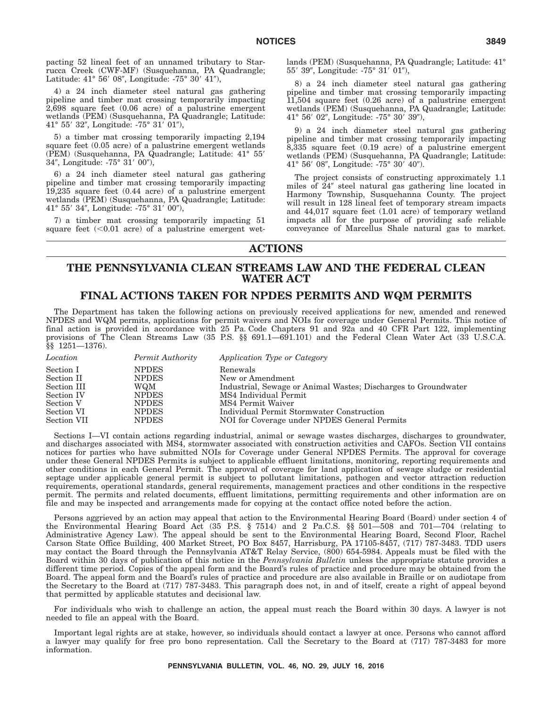pacting 52 lineal feet of an unnamed tributary to Starrucca Creek (CWF-MF) (Susquehanna, PA Quadrangle; Latitude: 41° 56′ 08″, Longitude: -75° 30′ 41″),

4) a 24 inch diameter steel natural gas gathering pipeline and timber mat crossing temporarily impacting 2,698 square feet (0.06 acre) of a palustrine emergent wetlands (PEM) (Susquehanna, PA Quadrangle; Latitude: 41° 55′ 32″, Longitude: -75° 31′ 01″),

5) a timber mat crossing temporarily impacting 2,194 square feet (0.05 acre) of a palustrine emergent wetlands (PEM) (Susquehanna, PA Quadrangle; Latitude: 41° 55- 34″, Longitude: -75° 31′ 00″),

6) a 24 inch diameter steel natural gas gathering pipeline and timber mat crossing temporarily impacting 19,235 square feet (0.44 acre) of a palustrine emergent wetlands (PEM) (Susquehanna, PA Quadrangle; Latitude: 41° 55′ 34″, Longitude: -75° 31′ 00″),

7) a timber mat crossing temporarily impacting 51 square feet  $(<0.01$  acre) of a palustrine emergent wetlands (PEM) (Susquehanna, PA Quadrangle; Latitude: 41° 55′ 39″, Longitude: -75° 31′ 01″),

8) a 24 inch diameter steel natural gas gathering pipeline and timber mat crossing temporarily impacting 11,504 square feet (0.26 acre) of a palustrine emergent wetlands (PEM) (Susquehanna, PA Quadrangle; Latitude: 41° 56′ 02″, Longitude: -75° 30′ 39″),

9) a 24 inch diameter steel natural gas gathering pipeline and timber mat crossing temporarily impacting 8,335 square feet (0.19 acre) of a palustrine emergent wetlands (PEM) (Susquehanna, PA Quadrangle; Latitude: 41° 56' 08", Longitude: -75° 30' 40").

The project consists of constructing approximately 1.1 miles of 24" steel natural gas gathering line located in Harmony Township, Susquehanna County. The project will result in 128 lineal feet of temporary stream impacts and 44,017 square feet (1.01 acre) of temporary wetland impacts all for the purpose of providing safe reliable conveyance of Marcellus Shale natural gas to market.

# **ACTIONS**

# **THE PENNSYLVANIA CLEAN STREAMS LAW AND THE FEDERAL CLEAN WATER ACT**

# **FINAL ACTIONS TAKEN FOR NPDES PERMITS AND WQM PERMITS**

The Department has taken the following actions on previously received applications for new, amended and renewed NPDES and WQM permits, applications for permit waivers and NOIs for coverage under General Permits. This notice of final action is provided in accordance with 25 Pa. Code Chapters 91 and 92a and 40 CFR Part 122, implementing provisions of The Clean Streams Law (35 P.S. §§ 691.1—691.101) and the Federal Clean Water Act (33 U.S.C.A. §§ 1251—1376).

| Location    | Permit Authority | Application Type or Category                                   |
|-------------|------------------|----------------------------------------------------------------|
| Section I   | <b>NPDES</b>     | Renewals                                                       |
| Section II  | <b>NPDES</b>     | New or Amendment                                               |
| Section III | WQM              | Industrial, Sewage or Animal Wastes; Discharges to Groundwater |
| Section IV  | <b>NPDES</b>     | MS4 Individual Permit                                          |
| Section V   | <b>NPDES</b>     | MS4 Permit Waiver                                              |
| Section VI  | <b>NPDES</b>     | Individual Permit Stormwater Construction                      |
| Section VII | <b>NPDES</b>     | NOI for Coverage under NPDES General Permits                   |

Sections I—VI contain actions regarding industrial, animal or sewage wastes discharges, discharges to groundwater, and discharges associated with MS4, stormwater associated with construction activities and CAFOs. Section VII contains notices for parties who have submitted NOIs for Coverage under General NPDES Permits. The approval for coverage under these General NPDES Permits is subject to applicable effluent limitations, monitoring, reporting requirements and other conditions in each General Permit. The approval of coverage for land application of sewage sludge or residential septage under applicable general permit is subject to pollutant limitations, pathogen and vector attraction reduction requirements, operational standards, general requirements, management practices and other conditions in the respective permit. The permits and related documents, effluent limitations, permitting requirements and other information are on file and may be inspected and arrangements made for copying at the contact office noted before the action.

Persons aggrieved by an action may appeal that action to the Environmental Hearing Board (Board) under section 4 of the Environmental Hearing Board Act (35 P.S. § 7514) and 2 Pa.C.S. §§ 501—508 and 701—704 (relating to Administrative Agency Law). The appeal should be sent to the Environmental Hearing Board, Second Floor, Rachel Carson State Office Building, 400 Market Street, PO Box 8457, Harrisburg, PA 17105-8457, (717) 787-3483. TDD users may contact the Board through the Pennsylvania AT&T Relay Service, (800) 654-5984. Appeals must be filed with the Board within 30 days of publication of this notice in the *Pennsylvania Bulletin* unless the appropriate statute provides a different time period. Copies of the appeal form and the Board's rules of practice and procedure may be obtained from the Board. The appeal form and the Board's rules of practice and procedure are also available in Braille or on audiotape from the Secretary to the Board at (717) 787-3483. This paragraph does not, in and of itself, create a right of appeal beyond that permitted by applicable statutes and decisional law.

For individuals who wish to challenge an action, the appeal must reach the Board within 30 days. A lawyer is not needed to file an appeal with the Board.

Important legal rights are at stake, however, so individuals should contact a lawyer at once. Persons who cannot afford a lawyer may qualify for free pro bono representation. Call the Secretary to the Board at (717) 787-3483 for more information.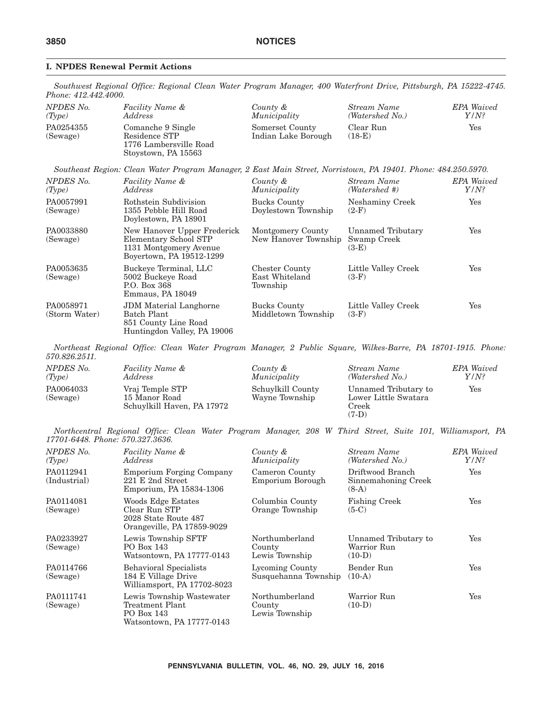# **I. NPDES Renewal Permit Actions**

*Southwest Regional Office: Regional Clean Water Program Manager, 400 Waterfront Drive, Pittsburgh, PA 15222-4745. Phone: 412.442.4000.*

| NPDES No.<br>(Type)        | Facility Name &<br>Address                                                                                    | County &<br>Municipality                            | Stream Name<br>(Watershed No.)              | <b>EPA</b> Waived<br>$Y/N$ ? |
|----------------------------|---------------------------------------------------------------------------------------------------------------|-----------------------------------------------------|---------------------------------------------|------------------------------|
| PA0254355<br>(Sewage)      | Comanche 9 Single<br>Residence STP<br>1776 Lambersville Road<br>Stoystown, PA 15563                           | Somerset County<br>Indian Lake Borough              | Clear Run<br>$(18-E)$                       | Yes                          |
|                            | Southeast Region: Clean Water Program Manager, 2 East Main Street, Norristown, PA 19401. Phone: 484.250.5970. |                                                     |                                             |                              |
| NPDES No.<br>(Type)        | <i>Facility Name &amp;</i><br>Address                                                                         | County &<br>Municipality                            | Stream Name<br>(Watershed #)                | <b>EPA</b> Waived<br>$Y/N$ ? |
| PA0057991<br>(Sewage)      | Rothstein Subdivision<br>1355 Pebble Hill Road<br>Doylestown, PA 18901                                        | Bucks County<br>Doylestown Township                 | Neshaminy Creek<br>$(2-F)$                  | Yes                          |
| PA0033880<br>(Sewage)      | New Hanover Upper Frederick<br>Elementary School STP<br>1131 Montgomery Avenue<br>Boyertown, PA 19512-1299    | Montgomery County<br>New Hanover Township           | Unnamed Tributary<br>Swamp Creek<br>$(3-E)$ | Yes                          |
| PA0053635<br>(Sewage)      | Buckeye Terminal, LLC<br>5002 Buckeye Road<br>P.O. Box 368<br>Emmaus, PA 18049                                | <b>Chester County</b><br>East Whiteland<br>Township | Little Valley Creek<br>$(3-F)$              | Yes                          |
| PA0058971<br>(Storm Water) | <b>JDM</b> Material Langhorne<br><b>Batch Plant</b><br>851 County Line Road<br>Huntingdon Valley, PA 19006    | <b>Bucks County</b><br>Middletown Township          | Little Valley Creek<br>$(3-F)$              | Yes                          |

*Northeast Regional Office: Clean Water Program Manager, 2 Public Square, Wilkes-Barre, PA 18701-1915. Phone: 570.826.2511.*

| NPDES No. | Facility Name &            | County &          | Stream Name            | <b>EPA</b> Waived |
|-----------|----------------------------|-------------------|------------------------|-------------------|
| (Tvpe)    | Address                    | Municipality      | (Watershed No.)        | $Y/N$ ?           |
| PA0064033 | Vraj Temple STP            | Schuylkill County | Unnamed Tributary to   | Yes               |
| (Sewage)  | 15 Manor Road              | Wayne Township    | Lower Little Swatara   |                   |
|           | Schuylkill Haven, PA 17972 |                   | $\operatorname{Creek}$ |                   |
|           |                            |                   | $(7-D)$                |                   |

*Northcentral Regional Office: Clean Water Program Manager, 208 W Third Street, Suite 101, Williamsport, PA 17701-6448. Phone: 570.327.3636.*

| NPDES No.<br>(Type)       | Facility Name &<br>Address                                                                | County &<br>Municipality                   | Stream Name<br>(Watershed No.)                     | <b>EPA</b> Waived<br>$Y/N$ ? |
|---------------------------|-------------------------------------------------------------------------------------------|--------------------------------------------|----------------------------------------------------|------------------------------|
| PA0112941<br>(Industrial) | <b>Emporium Forging Company</b><br>221 E 2nd Street<br>Emporium, PA 15834-1306            | Cameron County<br>Emporium Borough         | Driftwood Branch<br>Sinnemahoning Creek<br>$(8-A)$ | Yes                          |
| PA0114081<br>(Sewage)     | Woods Edge Estates<br>Clear Run STP<br>2028 State Route 487<br>Orangeville, PA 17859-9029 | Columbia County<br>Orange Township         | <b>Fishing Creek</b><br>$(5-C)$                    | Yes                          |
| PA0233927<br>(Sewage)     | Lewis Township SFTF<br>PO Box 143<br>Watsontown, PA 17777-0143                            | Northumberland<br>County<br>Lewis Township | Unnamed Tributary to<br>Warrior Run<br>$(10-D)$    | Yes                          |
| PA0114766<br>(Sewage)     | <b>Behavioral Specialists</b><br>184 E Village Drive<br>Williamsport, PA 17702-8023       | Lycoming County<br>Susquehanna Township    | Bender Run<br>$(10-A)$                             | Yes                          |
| PA0111741<br>(Sewage)     | Lewis Township Wastewater<br>Treatment Plant<br>PO Box 143<br>Watsontown, PA 17777-0143   | Northumberland<br>County<br>Lewis Township | Warrior Run<br>$(10-D)$                            | Yes                          |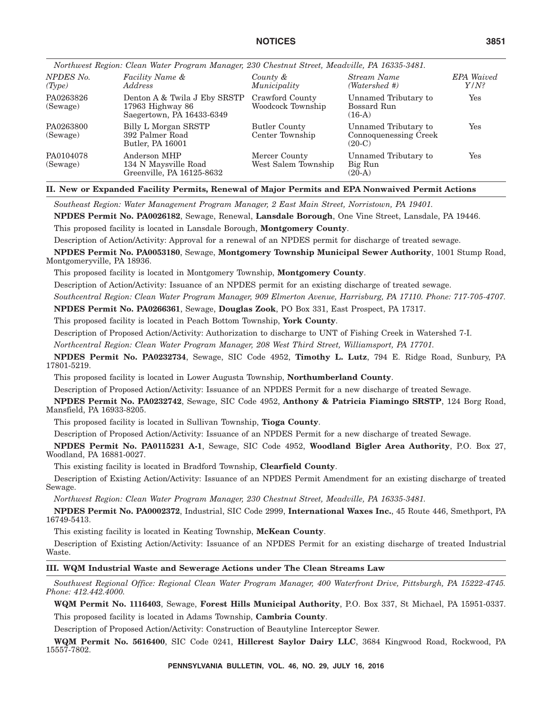| Northwest Region: Clean Water Program Manager, 230 Chestnut Street, Meadville, PA 16335-3481. |                                                                               |                                         |                                                           |                              |  |
|-----------------------------------------------------------------------------------------------|-------------------------------------------------------------------------------|-----------------------------------------|-----------------------------------------------------------|------------------------------|--|
| NPDES No.<br>(Type)                                                                           | Facility Name &<br><i>Address</i>                                             | County &<br>Municipality                | Stream Name<br>(Watershed #)                              | <b>EPA</b> Waived<br>$Y/N$ ? |  |
| PA0263826<br>(Sewage)                                                                         | Denton A & Twila J Eby SRSTP<br>17963 Highway 86<br>Saegertown, PA 16433-6349 | Crawford County<br>Woodcock Township    | Unnamed Tributary to<br>Bossard Run<br>$(16-A)$           | $\operatorname{Yes}$         |  |
| PA0263800<br>(Sewage)                                                                         | Billy L Morgan SRSTP<br>392 Palmer Road<br>Butler, PA 16001                   | <b>Butler County</b><br>Center Township | Unnamed Tributary to<br>Connoquenessing Creek<br>$(20-C)$ | Yes                          |  |
| PA0104078<br>(Sewage)                                                                         | Anderson MHP<br>134 N Maysville Road<br>Greenville, PA 16125-8632             | Mercer County<br>West Salem Township    | Unnamed Tributary to<br>Big Run<br>$(20-A)$               | $\operatorname{Yes}$         |  |

## **II. New or Expanded Facility Permits, Renewal of Major Permits and EPA Nonwaived Permit Actions**

*Southeast Region: Water Management Program Manager, 2 East Main Street, Norristown, PA 19401.*

**NPDES Permit No. PA0026182**, Sewage, Renewal, **Lansdale Borough**, One Vine Street, Lansdale, PA 19446. This proposed facility is located in Lansdale Borough, **Montgomery County**.

Description of Action/Activity: Approval for a renewal of an NPDES permit for discharge of treated sewage.

**NPDES Permit No. PA0053180**, Sewage, **Montgomery Township Municipal Sewer Authority**, 1001 Stump Road, Montgomeryville, PA 18936.

This proposed facility is located in Montgomery Township, **Montgomery County**.

Description of Action/Activity: Issuance of an NPDES permit for an existing discharge of treated sewage.

*Southcentral Region: Clean Water Program Manager, 909 Elmerton Avenue, Harrisburg, PA 17110. Phone: 717-705-4707.*

**NPDES Permit No. PA0266361**, Sewage, **Douglas Zook**, PO Box 331, East Prospect, PA 17317.

### This proposed facility is located in Peach Bottom Township, **York County**.

Description of Proposed Action/Activity: Authorization to discharge to UNT of Fishing Creek in Watershed 7-I.

*Northcentral Region: Clean Water Program Manager, 208 West Third Street, Williamsport, PA 17701.*

**NPDES Permit No. PA0232734**, Sewage, SIC Code 4952, **Timothy L. Lutz**, 794 E. Ridge Road, Sunbury, PA 17801-5219.

This proposed facility is located in Lower Augusta Township, **Northumberland County**.

Description of Proposed Action/Activity: Issuance of an NPDES Permit for a new discharge of treated Sewage.

**NPDES Permit No. PA0232742**, Sewage, SIC Code 4952, **Anthony & Patricia Fiamingo SRSTP**, 124 Borg Road, Mansfield, PA 16933-8205.

This proposed facility is located in Sullivan Township, **Tioga County**.

Description of Proposed Action/Activity: Issuance of an NPDES Permit for a new discharge of treated Sewage.

**NPDES Permit No. PA0115231 A-1**, Sewage, SIC Code 4952, **Woodland Bigler Area Authority**, P.O. Box 27, Woodland, PA 16881-0027.

This existing facility is located in Bradford Township, **Clearfield County**.

Description of Existing Action/Activity: Issuance of an NPDES Permit Amendment for an existing discharge of treated Sewage.

*Northwest Region: Clean Water Program Manager, 230 Chestnut Street, Meadville, PA 16335-3481.*

**NPDES Permit No. PA0002372**, Industrial, SIC Code 2999, **International Waxes Inc.**, 45 Route 446, Smethport, PA 16749-5413.

This existing facility is located in Keating Township, **McKean County**.

Description of Existing Action/Activity: Issuance of an NPDES Permit for an existing discharge of treated Industrial Waste.

**III. WQM Industrial Waste and Sewerage Actions under The Clean Streams Law**

*Southwest Regional Office: Regional Clean Water Program Manager, 400 Waterfront Drive, Pittsburgh, PA 15222-4745. Phone: 412.442.4000.*

**WQM Permit No. 1116403**, Sewage, **Forest Hills Municipal Authority**, P.O. Box 337, St Michael, PA 15951-0337. This proposed facility is located in Adams Township, **Cambria County**.

Description of Proposed Action/Activity: Construction of Beautyline Interceptor Sewer.

**WQM Permit No. 5616400**, SIC Code 0241, **Hillcrest Saylor Dairy LLC**, 3684 Kingwood Road, Rockwood, PA 15557-7802.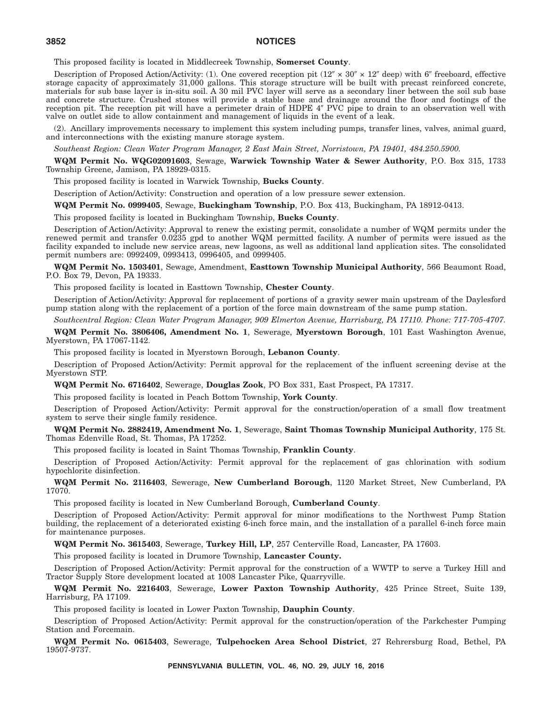This proposed facility is located in Middlecreek Township, **Somerset County**.

Description of Proposed Action/Activity: (1). One covered reception pit  $(12'' \times 30'' \times 12''$  deep) with 6" freeboard, effective storage capacity of approximately 31,000 gallons. This storage structure will be built with precast reinforced concrete, materials for sub base layer is in-situ soil. A 30 mil PVC layer will serve as a secondary liner between the soil sub base and concrete structure. Crushed stones will provide a stable base and drainage around the floor and footings of the reception pit. The reception pit will have a perimeter drain of HDPE 4" PVC pipe to drain to an observation well with valve on outlet side to allow containment and management of liquids in the event of a leak.

(2). Ancillary improvements necessary to implement this system including pumps, transfer lines, valves, animal guard, and interconnections with the existing manure storage system.

*Southeast Region: Clean Water Program Manager, 2 East Main Street, Norristown, PA 19401, 484.250.5900.*

**WQM Permit No. WQG02091603**, Sewage, **Warwick Township Water & Sewer Authority**, P.O. Box 315, 1733 Township Greene, Jamison, PA 18929-0315.

This proposed facility is located in Warwick Township, **Bucks County**.

Description of Action/Activity: Construction and operation of a low pressure sewer extension.

**WQM Permit No. 0999405**, Sewage, **Buckingham Township**, P.O. Box 413, Buckingham, PA 18912-0413.

This proposed facility is located in Buckingham Township, **Bucks County**.

Description of Action/Activity: Approval to renew the existing permit, consolidate a number of WQM permits under the renewed permit and transfer 0.0235 gpd to another WQM permitted facility. A number of permits were issued as the facility expanded to include new service areas, new lagoons, as well as additional land application sites. The consolidated permit numbers are: 0992409, 0993413, 0996405, and 0999405.

**WQM Permit No. 1503401**, Sewage, Amendment, **Easttown Township Municipal Authority**, 566 Beaumont Road, P.O. Box 79, Devon, PA 19333.

This proposed facility is located in Easttown Township, **Chester County**.

Description of Action/Activity: Approval for replacement of portions of a gravity sewer main upstream of the Daylesford pump station along with the replacement of a portion of the force main downstream of the same pump station.

*Southcentral Region: Clean Water Program Manager, 909 Elmerton Avenue, Harrisburg, PA 17110. Phone: 717-705-4707.*

**WQM Permit No. 3806406, Amendment No. 1**, Sewerage, **Myerstown Borough**, 101 East Washington Avenue, Myerstown, PA 17067-1142.

This proposed facility is located in Myerstown Borough, **Lebanon County**.

Description of Proposed Action/Activity: Permit approval for the replacement of the influent screening devise at the Myerstown STP.

**WQM Permit No. 6716402**, Sewerage, **Douglas Zook**, PO Box 331, East Prospect, PA 17317.

This proposed facility is located in Peach Bottom Township, **York County**.

Description of Proposed Action/Activity: Permit approval for the construction/operation of a small flow treatment system to serve their single family residence.

**WQM Permit No. 2882419, Amendment No. 1**, Sewerage, **Saint Thomas Township Municipal Authority**, 175 St. Thomas Edenville Road, St. Thomas, PA 17252.

This proposed facility is located in Saint Thomas Township, **Franklin County**.

Description of Proposed Action/Activity: Permit approval for the replacement of gas chlorination with sodium hypochlorite disinfection.

**WQM Permit No. 2116403**, Sewerage, **New Cumberland Borough**, 1120 Market Street, New Cumberland, PA 17070.

This proposed facility is located in New Cumberland Borough, **Cumberland County**.

Description of Proposed Action/Activity: Permit approval for minor modifications to the Northwest Pump Station building, the replacement of a deteriorated existing 6-inch force main, and the installation of a parallel 6-inch force main for maintenance purposes.

**WQM Permit No. 3615403**, Sewerage, **Turkey Hill, LP**, 257 Centerville Road, Lancaster, PA 17603.

This proposed facility is located in Drumore Township, **Lancaster County.**

Description of Proposed Action/Activity: Permit approval for the construction of a WWTP to serve a Turkey Hill and Tractor Supply Store development located at 1008 Lancaster Pike, Quarryville.

**WQM Permit No. 2216403**, Sewerage, **Lower Paxton Township Authority**, 425 Prince Street, Suite 139, Harrisburg, PA 17109.

This proposed facility is located in Lower Paxton Township, **Dauphin County**.

Description of Proposed Action/Activity: Permit approval for the construction/operation of the Parkchester Pumping Station and Forcemain.

**WQM Permit No. 0615403**, Sewerage, **Tulpehocken Area School District**, 27 Rehrersburg Road, Bethel, PA 19507-9737.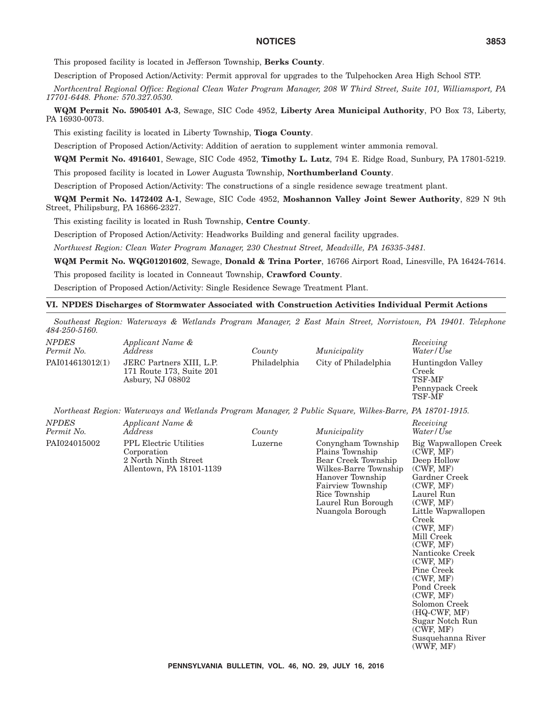This proposed facility is located in Jefferson Township, **Berks County**.

Description of Proposed Action/Activity: Permit approval for upgrades to the Tulpehocken Area High School STP.

*Northcentral Regional Office: Regional Clean Water Program Manager, 208 W Third Street, Suite 101, Williamsport, PA 17701-6448. Phone: 570.327.0530.*

**WQM Permit No. 5905401 A-3**, Sewage, SIC Code 4952, **Liberty Area Municipal Authority**, PO Box 73, Liberty, PA 16930-0073.

This existing facility is located in Liberty Township, **Tioga County**.

Description of Proposed Action/Activity: Addition of aeration to supplement winter ammonia removal.

**WQM Permit No. 4916401**, Sewage, SIC Code 4952, **Timothy L. Lutz**, 794 E. Ridge Road, Sunbury, PA 17801-5219.

This proposed facility is located in Lower Augusta Township, **Northumberland County**.

Description of Proposed Action/Activity: The constructions of a single residence sewage treatment plant.

**WQM Permit No. 1472402 A-1**, Sewage, SIC Code 4952, **Moshannon Valley Joint Sewer Authority**, 829 N 9th Street, Philipsburg, PA 16866-2327.

This existing facility is located in Rush Township, **Centre County**.

Description of Proposed Action/Activity: Headworks Building and general facility upgrades.

*Northwest Region: Clean Water Program Manager, 230 Chestnut Street, Meadville, PA 16335-3481.*

**WQM Permit No. WQG01201602**, Sewage, **Donald & Trina Porter**, 16766 Airport Road, Linesville, PA 16424-7614.

This proposed facility is located in Conneaut Township, **Crawford County**.

Description of Proposed Action/Activity: Single Residence Sewage Treatment Plant.

**VI. NPDES Discharges of Stormwater Associated with Construction Activities Individual Permit Actions**

*Southeast Region: Waterways & Wetlands Program Manager, 2 East Main Street, Norristown, PA 19401. Telephone 484-250-5160.*

| <b>NPDES</b><br>Permit No. | Applicant Name &<br><i>Address</i>                                                                     | County       | Municipality         | Receiving<br>Water/Use                                            |
|----------------------------|--------------------------------------------------------------------------------------------------------|--------------|----------------------|-------------------------------------------------------------------|
| PAI014613012(1)            | JERC Partners XIII, L.P.<br>171 Route 173, Suite 201<br>Asbury, NJ 08802                               | Philadelphia | City of Philadelphia | Huntingdon Valley<br>Creek<br>TSF-MF<br>Pennypack Creek<br>TSF-MF |
|                            | Northeast Region: Waterways and Wetlands Program Manager 2 Public Square, Wilkes-Barre, PA 18701-1915. |              |                      |                                                                   |

*Northeast Region: Waterways and Wetlands Program Manager, 2 Public Square, Wilkes-Barre, PA 18701-1915.*

| <b>NPDES</b><br>Permit No. | Applicant Name &<br><i>Address</i>                                                               | County  | Municipality                                                                                                                                                                              | Receiving<br>Water / Use                                                                                                                                                                                                                                                                                                                                                                  |
|----------------------------|--------------------------------------------------------------------------------------------------|---------|-------------------------------------------------------------------------------------------------------------------------------------------------------------------------------------------|-------------------------------------------------------------------------------------------------------------------------------------------------------------------------------------------------------------------------------------------------------------------------------------------------------------------------------------------------------------------------------------------|
| PAI024015002               | <b>PPL Electric Utilities</b><br>Corporation<br>2 North Ninth Street<br>Allentown, PA 18101-1139 | Luzerne | Conyngham Township<br>Plains Township<br>Bear Creek Township<br>Wilkes-Barre Township<br>Hanover Township<br>Fairview Township<br>Rice Township<br>Laurel Run Borough<br>Nuangola Borough | Big Wapwallopen Creek<br>(CWF, MF)<br>Deep Hollow<br>(CWF, MF)<br>Gardner Creek<br>(CWF, MF)<br>Laurel Run<br>(CWF, MF)<br>Little Wapwallopen<br>Creek<br>(CWF, MF)<br>Mill Creek<br>(CWF, MF)<br>Nanticoke Creek<br>(CWF, MF)<br>Pine Creek<br>(CWF, MF)<br>Pond Creek<br>(CWF, MF)<br>Solomon Creek<br>$(HQ-CWF, MF)$<br>Sugar Notch Run<br>(CWF, MF)<br>Susquehanna River<br>(WWF, MF) |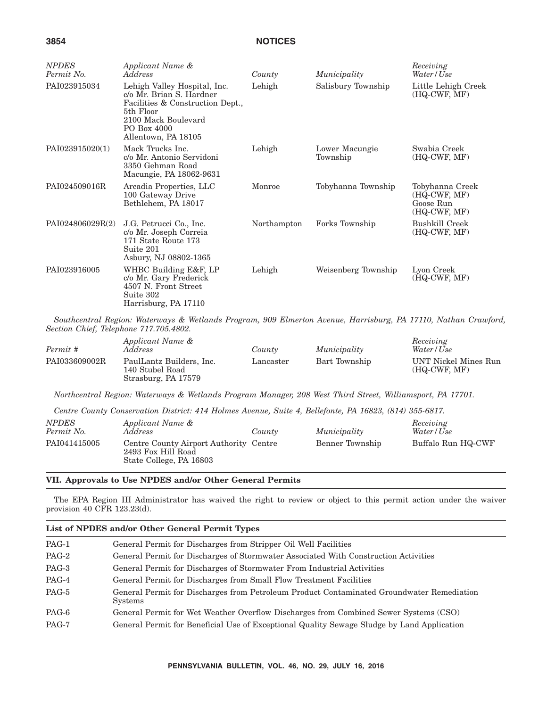| <b>NPDES</b><br>Permit No. | Applicant Name &<br>Address                                                                                                                                            | County      | Municipality               | Receiving<br>Water / Use                                         |
|----------------------------|------------------------------------------------------------------------------------------------------------------------------------------------------------------------|-------------|----------------------------|------------------------------------------------------------------|
| PAI023915034               | Lehigh Valley Hospital, Inc.<br>c/o Mr. Brian S. Hardner<br>Facilities & Construction Dept.,<br>5th Floor<br>2100 Mack Boulevard<br>PO Box 4000<br>Allentown, PA 18105 | Lehigh      | Salisbury Township         | Little Lehigh Creek<br>$(HQ-CWF, MF)$                            |
| PAI023915020(1)            | Mack Trucks Inc.<br>c/o Mr. Antonio Servidoni<br>3350 Gehman Road<br>Macungie, PA 18062-9631                                                                           | Lehigh      | Lower Macungie<br>Township | Swabia Creek<br>$(HQ-CWF, MF)$                                   |
| PAI024509016R              | Arcadia Properties, LLC<br>100 Gateway Drive<br>Bethlehem, PA 18017                                                                                                    | Monroe      | Tobyhanna Township         | Tobyhanna Creek<br>$(HQ-CWF, MF)$<br>Goose Run<br>$(HQ-CWF, MF)$ |
| PAI024806029R(2)           | J.G. Petrucci Co., Inc.<br>c/o Mr. Joseph Correia<br>171 State Route 173<br>Suite 201<br>Asbury, NJ 08802-1365                                                         | Northampton | Forks Township             | <b>Bushkill Creek</b><br>$(HQ-CWF, MF)$                          |
| PAI023916005               | WHBC Building E&F, LP<br>c/o Mr. Gary Frederick<br>4507 N. Front Street<br>Suite 302<br>Harrisburg, PA 17110                                                           | Lehigh      | Weisenberg Township        | Lyon Creek<br>$(HQ-CWF, MF)$                                     |

*Southcentral Region: Waterways & Wetlands Program, 909 Elmerton Avenue, Harrisburg, PA 17110, Nathan Crawford, Section Chief, Telephone 717.705.4802.*

| Permit #      | Applicant Name &<br>Address                                        | County    | Municipality  | Receiving<br>Water/Use               |
|---------------|--------------------------------------------------------------------|-----------|---------------|--------------------------------------|
| PAI033609002R | PaulLantz Builders, Inc.<br>140 Stubel Road<br>Strasburg, PA 17579 | Lancaster | Bart Township | UNT Nickel Mines Run<br>(HQ-CWF, MF) |

*Northcentral Region: Waterways & Wetlands Program Manager, 208 West Third Street, Williamsport, PA 17701.*

*Centre County Conservation District: 414 Holmes Avenue, Suite 4, Bellefonte, PA 16823, (814) 355-6817.*

| <b>NPDES</b><br>Permit No. | Applicant Name &<br>Address                                                             | County | Municipality    | Receiving<br>Water/Use |
|----------------------------|-----------------------------------------------------------------------------------------|--------|-----------------|------------------------|
| PAI041415005               | Centre County Airport Authority Centre<br>2493 Fox Hill Road<br>State College, PA 16803 |        | Benner Township | Buffalo Run HQ-CWF     |

# **VII. Approvals to Use NPDES and/or Other General Permits**

The EPA Region III Administrator has waived the right to review or object to this permit action under the waiver provision 40 CFR 123.23(d).

|         | List of NPDES and/or Other General Permit Types                                                             |
|---------|-------------------------------------------------------------------------------------------------------------|
| PAG-1   | General Permit for Discharges from Stripper Oil Well Facilities                                             |
| PAG-2   | General Permit for Discharges of Stormwater Associated With Construction Activities                         |
| $PAG-3$ | General Permit for Discharges of Stormwater From Industrial Activities                                      |
| PAG-4   | General Permit for Discharges from Small Flow Treatment Facilities                                          |
| $PAG-5$ | General Permit for Discharges from Petroleum Product Contaminated Groundwater Remediation<br><b>Systems</b> |
| PAG-6   | General Permit for Wet Weather Overflow Discharges from Combined Sewer Systems (CSO)                        |
| PAG-7   | General Permit for Beneficial Use of Exceptional Quality Sewage Sludge by Land Application                  |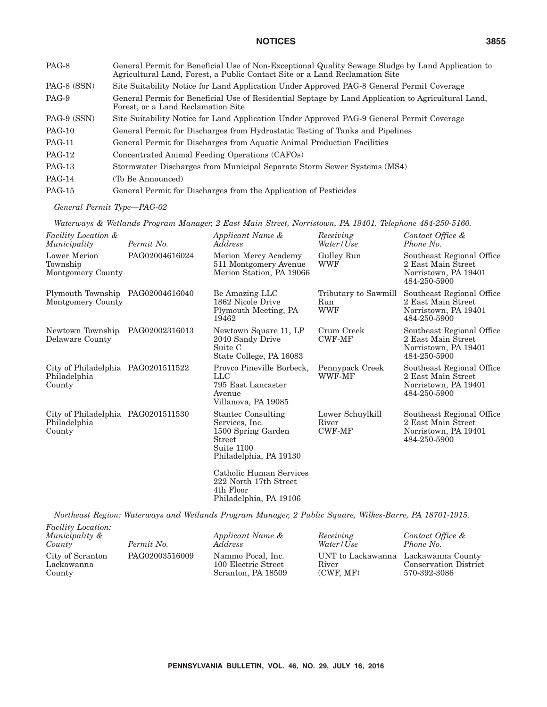| PAG-8         | General Permit for Beneficial Use of Non-Exceptional Quality Sewage Sludge by Land Application to<br>Agricultural Land, Forest, a Public Contact Site or a Land Reclamation Site |
|---------------|----------------------------------------------------------------------------------------------------------------------------------------------------------------------------------|
| PAG-8 (SSN)   | Site Suitability Notice for Land Application Under Approved PAG-8 General Permit Coverage                                                                                        |
| PAG-9         | General Permit for Beneficial Use of Residential Septage by Land Application to Agricultural Land,<br>Forest, or a Land Reclamation Site                                         |
| PAG-9 (SSN)   | Site Suitability Notice for Land Application Under Approved PAG-9 General Permit Coverage                                                                                        |
| $PAG-10$      | General Permit for Discharges from Hydrostatic Testing of Tanks and Pipelines                                                                                                    |
| <b>PAG-11</b> | General Permit for Discharges from Aquatic Animal Production Facilities                                                                                                          |
| $PAG-12$      | Concentrated Animal Feeding Operations (CAFOs)                                                                                                                                   |
| PAG-13        | Stormwater Discharges from Municipal Separate Storm Sewer Systems (MS4)                                                                                                          |
| <b>PAG-14</b> | (To Be Announced)                                                                                                                                                                |
| <b>PAG-15</b> | General Permit for Discharges from the Application of Pesticides                                                                                                                 |

*General Permit Type—PAG-02*

*Waterways & Wetlands Program Manager, 2 East Main Street, Norristown, PA 19401. Telephone 484-250-5160.*

| <i>Facility Location &amp;</i>                               |                | Applicant Name &                                                                                                           | Receiving                                  | Contact Office &                                                                        |
|--------------------------------------------------------------|----------------|----------------------------------------------------------------------------------------------------------------------------|--------------------------------------------|-----------------------------------------------------------------------------------------|
| Municipality                                                 | Permit No.     | Address                                                                                                                    | Water / Use                                | Phone No.                                                                               |
| <b>Lower Merion</b><br>Township<br>Montgomery County         | PAG02004616024 | Merion Mercy Academy<br>511 Montgomery Avenue<br>Merion Station, PA 19066                                                  | Gulley Run<br><b>WWF</b>                   | Southeast Regional Office<br>2 East Main Street<br>Norristown, PA 19401<br>484-250-5900 |
| Plymouth Township PAG02004616040<br>Montgomery County        |                | Be Amazing LLC<br>1862 Nicole Drive<br>Plymouth Meeting, PA<br>19462                                                       | Tributary to Sawmill<br>Run<br><b>WWF</b>  | Southeast Regional Office<br>2 East Main Street<br>Norristown, PA 19401<br>484-250-5900 |
| Newtown Township<br>Delaware County                          | PAG02002316013 | Newtown Square 11, LP<br>2040 Sandy Drive<br>Suite C<br>State College, PA 16083                                            | Crum Creek<br><b>CWF-MF</b>                | Southeast Regional Office<br>2 East Main Street<br>Norristown, PA 19401<br>484-250-5900 |
| City of Philadelphia PAG0201511522<br>Philadelphia<br>County |                | Provco Pineville Borbeck,<br><b>LLC</b><br>795 East Lancaster<br>Avenue<br>Villanova, PA 19085                             | Pennypack Creek<br>WWF-MF                  | Southeast Regional Office<br>2 East Main Street<br>Norristown, PA 19401<br>484-250-5900 |
| City of Philadelphia PAG0201511530<br>Philadelphia<br>County |                | <b>Stantec Consulting</b><br>Services, Inc.<br>1500 Spring Garden<br><b>Street</b><br>Suite 1100<br>Philadelphia, PA 19130 | Lower Schuylkill<br>River<br><b>CWF-MF</b> | Southeast Regional Office<br>2 East Main Street<br>Norristown, PA 19401<br>484-250-5900 |
|                                                              |                | Catholic Human Services<br>222 North 17th Street<br>4th Floor                                                              |                                            |                                                                                         |

Philadelphia, PA 19106

*Northeast Region: Waterways and Wetlands Program Manager, 2 Public Square, Wilkes-Barre, PA 18701-1915.*

| <i>Facility Location:</i><br>Municipality &<br>County | Permit No.     | Applicant Name &<br><i>Address</i>                             | Receiving<br>Water/Use                                    | Contact Office &<br>Phone No.                |
|-------------------------------------------------------|----------------|----------------------------------------------------------------|-----------------------------------------------------------|----------------------------------------------|
| City of Scranton<br>Lackawanna<br>County              | PAG02003516009 | Nammo Pocal, Inc.<br>100 Electric Street<br>Scranton, PA 18509 | UNT to Lackawanna Lackawanna County<br>River<br>(CWF, MF) | <b>Conservation District</b><br>570-392-3086 |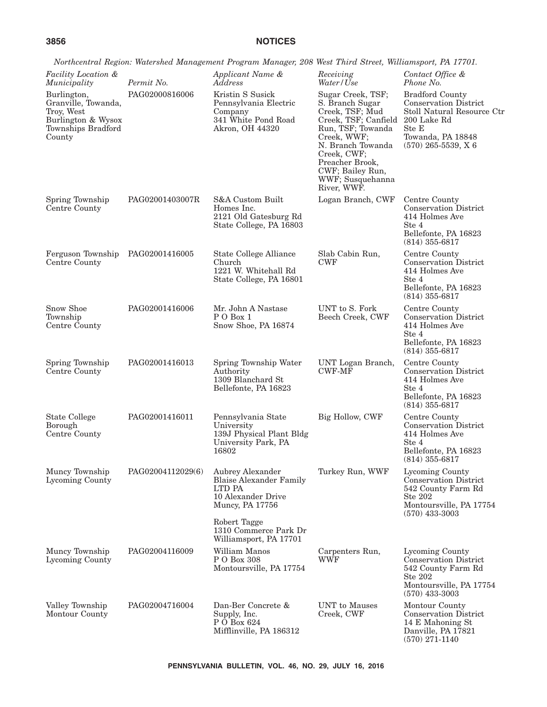| Northcentral Region: Watershed Management Program Manager, 208 West Third Street, Williamsport, PA 17701. |  |  |  |  |  |  |
|-----------------------------------------------------------------------------------------------------------|--|--|--|--|--|--|
|-----------------------------------------------------------------------------------------------------------|--|--|--|--|--|--|

|                                                                                                        |                   | Two meeting an Inglone. Have once intendigencem I rogi and intendiger, 200 meet There Bercel, memoritoport, 111 ITTOL |                                                                                                                                                                                                                                               |                                                                                                                                        |
|--------------------------------------------------------------------------------------------------------|-------------------|-----------------------------------------------------------------------------------------------------------------------|-----------------------------------------------------------------------------------------------------------------------------------------------------------------------------------------------------------------------------------------------|----------------------------------------------------------------------------------------------------------------------------------------|
| <i>Facility Location &amp;</i><br>Municipality                                                         | Permit No.        | Applicant Name &<br>Address                                                                                           | Receiving<br>Water / Use                                                                                                                                                                                                                      | Contact Office &<br>Phone No.                                                                                                          |
| Burlington,<br>Granville, Towanda,<br>Troy, West<br>Burlington & Wysox<br>Townships Bradford<br>County | PAG02000816006    | Kristin S Susick<br>Pennsylvania Electric<br>Company<br>341 White Pond Road<br>Akron, OH 44320                        | Sugar Creek, TSF;<br>S. Branch Sugar<br>Creek, TSF; Mud<br>Creek, TSF; Canfield 200 Lake Rd<br>Run, TSF; Towanda<br>Creek, WWF;<br>N. Branch Towanda<br>Creek, CWF;<br>Preacher Brook,<br>CWF; Bailey Run,<br>WWF; Susquehanna<br>River, WWF. | <b>Bradford County</b><br>Conservation District<br>Stoll Natural Resource Ctr<br>Ste E<br>Towanda, PA 18848<br>$(570)$ 265-5539, X 6   |
| Spring Township<br>Centre County                                                                       | PAG02001403007R   | S&A Custom Built<br>Homes Inc.<br>2121 Old Gatesburg Rd<br>State College, PA 16803                                    | Logan Branch, CWF                                                                                                                                                                                                                             | Centre County<br>Conservation District<br>414 Holmes Ave<br>Ste 4<br>Bellefonte, PA 16823<br>$(814)$ 355-6817                          |
| Ferguson Township PAG02001416005<br><b>Centre County</b>                                               |                   | State College Alliance<br>Church<br>1221 W. Whitehall Rd<br>State College, PA 16801                                   | Slab Cabin Run,<br><b>CWF</b>                                                                                                                                                                                                                 | Centre County<br><b>Conservation District</b><br>414 Holmes Ave<br>Ste 4<br>Bellefonte, PA 16823<br>$(814)$ 355-6817                   |
| Snow Shoe<br>Township<br>Centre County                                                                 | PAG02001416006    | Mr. John A Nastase<br>P O Box 1<br>Snow Shoe, PA 16874                                                                | UNT to S. Fork<br>Beech Creek, CWF                                                                                                                                                                                                            | Centre County<br><b>Conservation District</b><br>414 Holmes Ave<br>Ste 4<br>Bellefonte, PA 16823<br>$(814)$ 355-6817                   |
| Spring Township<br>Centre County                                                                       | PAG02001416013    | Spring Township Water<br>Authority<br>1309 Blanchard St<br>Bellefonte, PA 16823                                       | UNT Logan Branch,<br><b>CWF-MF</b>                                                                                                                                                                                                            | Centre County<br><b>Conservation District</b><br>414 Holmes Ave<br>Ste 4<br>Bellefonte, PA 16823<br>$(814)$ 355-6817                   |
| <b>State College</b><br>Borough<br>Centre County                                                       | PAG02001416011    | Pennsylvania State<br>University<br>139J Physical Plant Bldg<br>University Park, PA<br>16802                          | Big Hollow, CWF                                                                                                                                                                                                                               | Centre County<br><b>Conservation District</b><br>414 Holmes Ave<br>Ste 4<br>Bellefonte, PA 16823<br>$(814)$ 355-6817                   |
| Muncy Township<br>Lycoming County                                                                      | PAG02004112029(6) | Aubrey Alexander<br><b>Blaise Alexander Family</b><br>LTD PA<br>10 Alexander Drive<br>Muncy, PA 17756                 | Turkey Run, WWF                                                                                                                                                                                                                               | Lycoming County<br>Conservation District<br>542 County Farm Rd<br>Ste 202<br>Montoursville, PA 17754<br>$(570)$ 433-3003               |
|                                                                                                        |                   | Robert Tagge<br>1310 Commerce Park Dr<br>Williamsport, PA 17701                                                       |                                                                                                                                                                                                                                               |                                                                                                                                        |
| Muncy Township<br>Lycoming County                                                                      | PAG02004116009    | William Manos<br>P O Box 308<br>Montoursville, PA 17754                                                               | Carpenters Run,<br>WWF                                                                                                                                                                                                                        | Lycoming County<br><b>Conservation District</b><br>542 County Farm Rd<br><b>Ste 202</b><br>Montoursville, PA 17754<br>$(570)$ 433-3003 |
| Valley Township<br>Montour County                                                                      | PAG02004716004    | Dan-Ber Concrete &<br>Supply, Inc.<br>P O Box 624<br>Mifflinville, PA 186312                                          | UNT to Mauses<br>Creek, CWF                                                                                                                                                                                                                   | Montour County<br><b>Conservation District</b><br>14 E Mahoning St<br>Danville, PA 17821<br>$(570)$ 271-1140                           |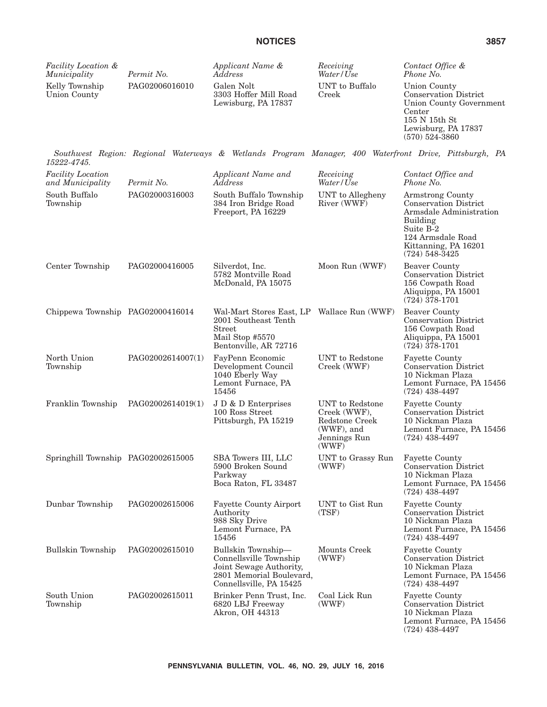| Facility Location &<br>Municipality          | Permit No.        | Applicant Name &<br>Address                                                                                                    | Receiving<br>Water / Use                                                                 | Contact Office &<br>Phone No.                                                                                                                                           |
|----------------------------------------------|-------------------|--------------------------------------------------------------------------------------------------------------------------------|------------------------------------------------------------------------------------------|-------------------------------------------------------------------------------------------------------------------------------------------------------------------------|
| Kelly Township<br>Union County               | PAG02006016010    | Galen Nolt<br>3303 Hoffer Mill Road<br>Lewisburg, PA 17837                                                                     | UNT to Buffalo<br>Creek                                                                  | Union County<br>Conservation District<br>Union County Government<br>Center<br>155 N 15th St<br>Lewisburg, PA 17837<br>$(570) 524 - 3860$                                |
| 15222-4745.                                  |                   |                                                                                                                                |                                                                                          | Southwest Region: Regional Waterways & Wetlands Program Manager, 400 Waterfront Drive, Pittsburgh, PA                                                                   |
| <b>Facility Location</b><br>and Municipality | Permit No.        | Applicant Name and<br>Address                                                                                                  | Receiving<br>Water/Use                                                                   | Contact Office and<br>Phone No.                                                                                                                                         |
| South Buffalo<br>Township                    | PAG02000316003    | South Buffalo Township<br>384 Iron Bridge Road<br>Freeport, PA 16229                                                           | UNT to Allegheny<br>River (WWF)                                                          | Armstrong County<br>Conservation District<br>Armsdale Administration<br><b>Building</b><br>Suite B-2<br>124 Armsdale Road<br>Kittanning, PA 16201<br>$(724) 548 - 3425$ |
| Center Township                              | PAG02000416005    | Silverdot, Inc.<br>5782 Montville Road<br>McDonald, PA 15075                                                                   | Moon Run (WWF)                                                                           | <b>Beaver County</b><br><b>Conservation District</b><br>156 Cowpath Road<br>Aliquippa, PA 15001<br>$(724)$ 378-1701                                                     |
| Chippewa Township PAG02000416014             |                   | Wal-Mart Stores East, LP Wallace Run (WWF)<br>2001 Southeast Tenth<br>Street<br>Mail Stop #5570<br>Bentonville, AR 72716       |                                                                                          | <b>Beaver County</b><br>Conservation District<br>156 Cowpath Road<br>Aliquippa, PA 15001<br>$(724)$ 378-1701                                                            |
| North Union<br>Township                      | PAG02002614007(1) | FayPenn Economic<br>Development Council<br>1040 Eberly Way<br>Lemont Furnace, PA<br>15456                                      | UNT to Redstone<br>Creek (WWF)                                                           | <b>Fayette County</b><br><b>Conservation District</b><br>10 Nickman Plaza<br>Lemont Furnace, PA 15456<br>$(724)$ 438-4497                                               |
| Franklin Township                            | PAG02002614019(1) | J D & D Enterprises<br>100 Ross Street<br>Pittsburgh, PA 15219                                                                 | UNT to Redstone<br>Creek (WWF),<br>Redstone Creek<br>(WWF), and<br>Jennings Run<br>(WWF) | <b>Fayette County</b><br><b>Conservation District</b><br>10 Nickman Plaza<br>Lemont Furnace, PA 15456<br>$(724)$ 438-4497                                               |
| Springhill Township PAG02002615005           |                   | SBA Towers III, LLC<br>5900 Broken Sound<br>Parkway<br>Boca Raton, FL 33487                                                    | UNT to Grassy Run Fayette County<br>(WWF)                                                | Conservation District<br>10 Nickman Plaza<br>Lemont Furnace, PA 15456<br>(724) 438-4497                                                                                 |
| Dunbar Township                              | PAG02002615006    | <b>Fayette County Airport</b><br>Authority<br>988 Sky Drive<br>Lemont Furnace, PA<br>15456                                     | UNT to Gist Run<br>(TSF)                                                                 | <b>Fayette County</b><br><b>Conservation District</b><br>10 Nickman Plaza<br>Lemont Furnace, PA 15456<br>$(724)$ 438-4497                                               |
| <b>Bullskin Township</b>                     | PAG02002615010    | Bullskin Township-<br>Connellsville Township<br>Joint Sewage Authority,<br>2801 Memorial Boulevard,<br>Connellsville, PA 15425 | Mounts Creek<br>(WWF)                                                                    | <b>Fayette County</b><br><b>Conservation District</b><br>10 Nickman Plaza<br>Lemont Furnace, PA 15456<br>$(724)$ 438-4497                                               |
| South Union<br>Township                      | PAG02002615011    | Brinker Penn Trust, Inc.<br>6820 LBJ Freeway<br>Akron, OH 44313                                                                | Coal Lick Run<br>(WWF)                                                                   | <b>Fayette County</b><br><b>Conservation District</b><br>10 Nickman Plaza<br>Lemont Furnace, PA 15456<br>$(724)$ 438-4497                                               |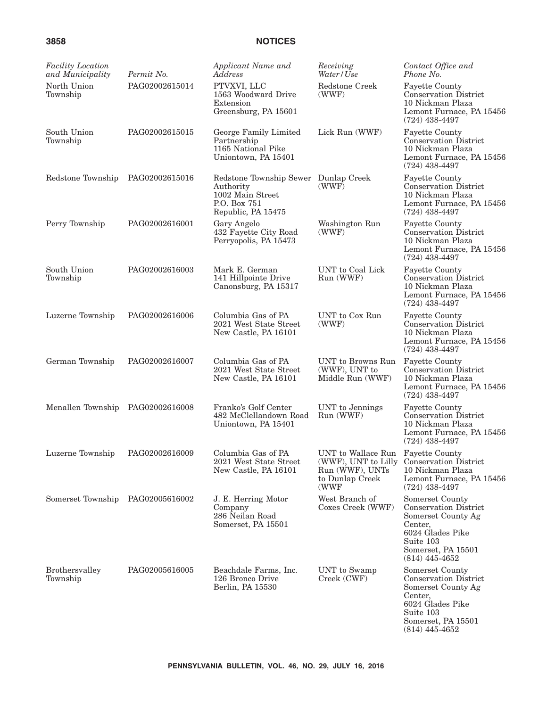| <b>Facility Location</b><br>and Municipality | Permit No.     | Applicant Name and<br>Address                                                                               | Receiving<br>Water / Use                                                                               | Contact Office and<br>Phone No.                                                                                                                             |
|----------------------------------------------|----------------|-------------------------------------------------------------------------------------------------------------|--------------------------------------------------------------------------------------------------------|-------------------------------------------------------------------------------------------------------------------------------------------------------------|
| North Union<br>Township                      | PAG02002615014 | PTVXVI, LLC<br>1563 Woodward Drive<br>Extension<br>Greensburg, PA 15601                                     | Redstone Creek<br>(WWF)                                                                                | <b>Fayette County</b><br>Conservation District<br>10 Nickman Plaza<br>Lemont Furnace, PA 15456<br>$(724)$ 438-4497                                          |
| South Union<br>Township                      | PAG02002615015 | George Family Limited<br>Partnership<br>1165 National Pike<br>Uniontown, PA 15401                           | Lick Run (WWF)                                                                                         | <b>Fayette County</b><br><b>Conservation District</b><br>10 Nickman Plaza<br>Lemont Furnace, PA 15456<br>$(724)$ 438-4497                                   |
| Redstone Township                            | PAG02002615016 | Redstone Township Sewer Dunlap Creek<br>Authority<br>1002 Main Street<br>P.O. Box 751<br>Republic, PA 15475 | (WWF)                                                                                                  | <b>Fayette County</b><br><b>Conservation District</b><br>10 Nickman Plaza<br>Lemont Furnace, PA 15456<br>$(724)$ 438-4497                                   |
| Perry Township                               | PAG02002616001 | Gary Angelo<br>432 Fayette City Road<br>Perryopolis, PA 15473                                               | Washington Run<br>(WWF)                                                                                | <b>Fayette County</b><br>Conservation District<br>10 Nickman Plaza<br>Lemont Furnace, PA 15456<br>$(724)$ 438-4497                                          |
| South Union<br>Township                      | PAG02002616003 | Mark E. German<br>141 Hillpointe Drive<br>Canonsburg, PA 15317                                              | UNT to Coal Lick<br>Run (WWF)                                                                          | <b>Fayette County</b><br><b>Conservation District</b><br>10 Nickman Plaza<br>Lemont Furnace, PA 15456<br>$(724)$ 438-4497                                   |
| Luzerne Township                             | PAG02002616006 | Columbia Gas of PA<br>2021 West State Street<br>New Castle, PA 16101                                        | UNT to Cox Run<br>(WWF)                                                                                | <b>Fayette County</b><br><b>Conservation District</b><br>10 Nickman Plaza<br>Lemont Furnace, PA 15456<br>$(724)$ 438-4497                                   |
| German Township                              | PAG02002616007 | Columbia Gas of PA<br>2021 West State Street<br>New Castle, PA 16101                                        | UNT to Browns Run<br>(WWF), UNT to<br>Middle Run (WWF)                                                 | <b>Fayette County</b><br>Conservation District<br>10 Nickman Plaza<br>Lemont Furnace, PA 15456<br>$(724)$ 438-4497                                          |
| Menallen Township                            | PAG02002616008 | Franko's Golf Center<br>482 McClellandown Road<br>Uniontown, PA 15401                                       | UNT to Jennings<br>Run (WWF)                                                                           | <b>Fayette County</b><br><b>Conservation District</b><br>10 Nickman Plaza<br>Lemont Furnace, PA 15456<br>$(724)$ 438-4497                                   |
| Luzerne Township                             | PAG02002616009 | Columbia Gas of PA<br>2021 West State Street<br>New Castle, PA 16101                                        | UNT to Wallace Run Fayette County<br>(WWF), UNT to Lilly<br>Run (WWF), UNTs<br>to Dunlap Creek<br>(WWF | Conservation District<br>10 Nickman Plaza<br>Lemont Furnace, PA 15456<br>$(724)$ 438-4497                                                                   |
| Somerset Township PAG02005616002             |                | J. E. Herring Motor<br>Company<br>286 Neilan Road<br>Somerset, PA 15501                                     | West Branch of<br>Coxes Creek (WWF)                                                                    | Somerset County<br>Conservation District<br>Somerset County Ag<br>Center,<br>6024 Glades Pike<br>Suite 103<br>Somerset, PA 15501<br>$(814)$ 445-4652        |
| <b>Brothersvalley</b><br>Township            | PAG02005616005 | Beachdale Farms, Inc.<br>126 Bronco Drive<br>Berlin, PA 15530                                               | UNT to Swamp<br>Creek (CWF)                                                                            | Somerset County<br><b>Conservation District</b><br>Somerset County Ag<br>Center,<br>6024 Glades Pike<br>Suite 103<br>Somerset, PA 15501<br>$(814)$ 445-4652 |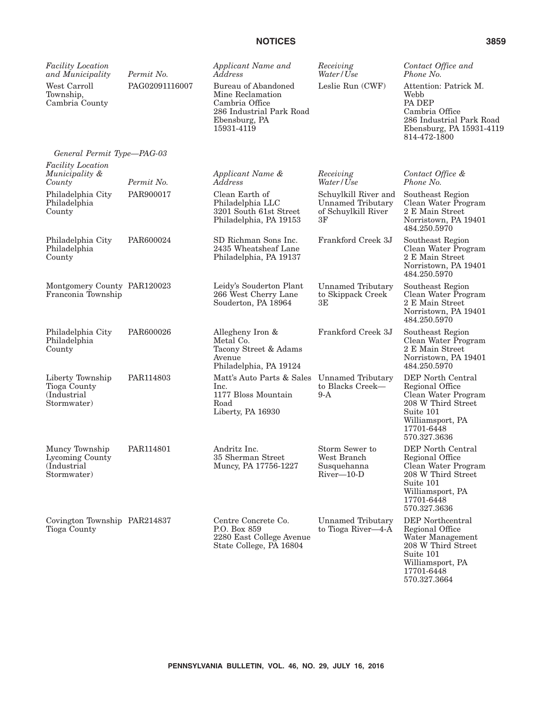| <i>Facility Location</i><br>and Municipality                     | Permit No.     | Applicant Name and<br>Address                                                                                        | Receiving<br>Water/Use                                                        | Contact Office and<br>Phone No.                                                                                                                  |
|------------------------------------------------------------------|----------------|----------------------------------------------------------------------------------------------------------------------|-------------------------------------------------------------------------------|--------------------------------------------------------------------------------------------------------------------------------------------------|
| West Carroll<br>Township,<br>Cambria County                      | PAG02091116007 | Bureau of Abandoned<br>Mine Reclamation<br>Cambria Office<br>286 Industrial Park Road<br>Ebensburg, PA<br>15931-4119 | Leslie Run (CWF)                                                              | Attention: Patrick M.<br>Webb<br>PA DEP<br>Cambria Office<br>286 Industrial Park Road<br>Ebensburg, PA 15931-4119<br>814-472-1800                |
| General Permit Type-PAG-03                                       |                |                                                                                                                      |                                                                               |                                                                                                                                                  |
| <b>Facility Location</b><br>Municipality &<br>County             | Permit No.     | Applicant Name &<br>Address                                                                                          | Receiving<br>Water / Use                                                      | Contact Office &<br>Phone No.                                                                                                                    |
| Philadelphia City<br>Philadelphia<br>County                      | PAR900017      | Clean Earth of<br>Philadelphia LLC<br>3201 South 61st Street<br>Philadelphia, PA 19153                               | Schuylkill River and<br><b>Unnamed Tributary</b><br>of Schuylkill River<br>3F | Southeast Region<br>Clean Water Program<br>2 E Main Street<br>Norristown, PA 19401<br>484.250.5970                                               |
| Philadelphia City<br>Philadelphia<br>County                      | PAR600024      | SD Richman Sons Inc.<br>2435 Wheatsheaf Lane<br>Philadelphia, PA 19137                                               | Frankford Creek 3J                                                            | Southeast Region<br>Clean Water Program<br>2 E Main Street<br>Norristown, PA 19401<br>484.250.5970                                               |
| Montgomery County PAR120023<br>Franconia Township                |                | Leidy's Souderton Plant<br>266 West Cherry Lane<br>Souderton, PA 18964                                               | Unnamed Tributary<br>to Skippack Creek<br>3E                                  | Southeast Region<br>Clean Water Program<br>2 E Main Street<br>Norristown, PA 19401<br>484.250.5970                                               |
| Philadelphia City<br>Philadelphia<br>County                      | PAR600026      | Allegheny Iron &<br>Metal Co.<br>Tacony Street & Adams<br>Avenue<br>Philadelphia, PA 19124                           | Frankford Creek 3J                                                            | Southeast Region<br>Clean Water Program<br>2 E Main Street<br>Norristown, PA 19401<br>484.250.5970                                               |
| Liberty Township<br>Tioga County<br>(Industrial)<br>Stormwater)  | PAR114803      | Matt's Auto Parts & Sales<br>Inc.<br>1177 Bloss Mountain<br>Road<br>Liberty, PA 16930                                | Unnamed Tributary<br>to Blacks Creek-<br>$9-A$                                | DEP North Central<br>Regional Office<br>Clean Water Program<br>208 W Third Street<br>Suite 101<br>Williamsport, PA<br>17701-6448<br>570.327.3636 |
| Muncy Township<br>Lycoming County<br>(Industrial)<br>Stormwater) | PAR114801      | Andritz Inc.<br>35 Sherman Street<br>Muncy, PA 17756-1227                                                            | Storm Sewer to<br>West Branch<br>Susquehanna<br>$River=10-D$                  | DEP North Central<br>Regional Office<br>Clean Water Program<br>208 W Third Street<br>Suite 101<br>Williamsport, PA<br>17701-6448<br>570.327.3636 |
| Covington Township PAR214837<br>Tioga County                     |                | Centre Concrete Co.<br>P.O. Box 859<br>2280 East College Avenue<br>State College, PA 16804                           | Unnamed Tributary<br>to Tioga River—4-A                                       | DEP Northcentral<br>Regional Office<br>Water Management<br>208 W Third Street<br>Suite 101<br>Williamsport, PA<br>17701-6448<br>570.327.3664     |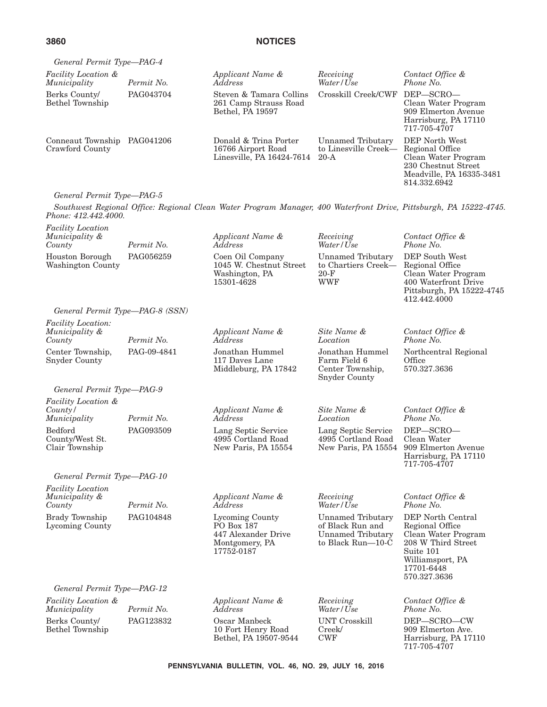| General Permit Type—PAG-4                      |            |                                                                          |                                                     |                                                                                                                             |
|------------------------------------------------|------------|--------------------------------------------------------------------------|-----------------------------------------------------|-----------------------------------------------------------------------------------------------------------------------------|
| <i>Facility Location &amp;</i><br>Municipality | Permit No. | Applicant Name &<br>Address                                              | Receiving<br>Water/Use                              | Contact Office &<br>Phone No.                                                                                               |
| Berks County/<br>Bethel Township               | PAG043704  | Steven & Tamara Collins<br>261 Camp Strauss Road<br>Bethel, PA 19597     | Crosskill Creek/CWF                                 | DEP-SCRO-<br>Clean Water Program<br>909 Elmerton Avenue<br>Harrisburg, PA 17110<br>717-705-4707                             |
| Conneaut Township PAG041206<br>Crawford County |            | Donald & Trina Porter<br>16766 Airport Road<br>Linesville, PA 16424-7614 | Unnamed Tributary<br>to Linesville Creek-<br>$20-A$ | DEP North West<br>Regional Office<br>Clean Water Program<br>230 Chestnut Street<br>Meadville, PA 16335-3481<br>814.332.6942 |

# *General Permit Type—PAG-5*

*Southwest Regional Office: Regional Clean Water Program Manager, 400 Waterfront Drive, Pittsburgh, PA 15222-4745. Phone: 412.442.4000.*

| <b>Facility Location</b><br>Municipality &<br>County      | Permit No.  | Applicant Name &<br>Address                                                              | Receiving<br>Water/Use                                                                        | Contact Office &<br>Phone No.                                                                                                                    |
|-----------------------------------------------------------|-------------|------------------------------------------------------------------------------------------|-----------------------------------------------------------------------------------------------|--------------------------------------------------------------------------------------------------------------------------------------------------|
| Houston Borough<br>Washington County                      | PAG056259   | Coen Oil Company<br>1045 W. Chestnut Street<br>Washington, PA<br>15301-4628              | <b>Unnamed Tributary</b><br>to Chartiers Creek—<br>$20-F$<br><b>WWF</b>                       | DEP South West<br>Regional Office<br>Clean Water Program<br>400 Waterfront Drive<br>Pittsburgh, PA 15222-4745<br>412.442.4000                    |
| General Permit Type-PAG-8 (SSN)                           |             |                                                                                          |                                                                                               |                                                                                                                                                  |
| <i>Facility Location:</i><br>Municipality &<br>County     | Permit No.  | Applicant Name &<br>Address                                                              | Site Name &<br>Location                                                                       | Contact Office &<br>Phone No.                                                                                                                    |
| Center Township,<br><b>Snyder County</b>                  | PAG-09-4841 | Jonathan Hummel<br>117 Daves Lane<br>Middleburg, PA 17842                                | Jonathan Hummel<br>Farm Field 6<br>Center Township,<br><b>Snyder County</b>                   | Northcentral Regional<br>Office<br>570.327.3636                                                                                                  |
| General Permit Type-PAG-9                                 |             |                                                                                          |                                                                                               |                                                                                                                                                  |
| <b>Facility Location &amp;</b><br>County/<br>Municipality | Permit No.  | Applicant Name &<br>Address                                                              | Site Name &<br>Location                                                                       | Contact Office &<br>Phone No.                                                                                                                    |
| Bedford<br>County/West St.<br>Clair Township              | PAG093509   | Lang Septic Service<br>4995 Cortland Road<br>New Paris, PA 15554                         | Lang Septic Service<br>4995 Cortland Road                                                     | DEP-SCRO-<br>Clean Water<br>New Paris, PA 15554 909 Elmerton Avenue<br>Harrisburg, PA 17110<br>717-705-4707                                      |
| General Permit Type-PAG-10                                |             |                                                                                          |                                                                                               |                                                                                                                                                  |
| <b>Facility Location</b><br>Municipality &<br>County      | Permit No.  | Applicant Name &<br>Address                                                              | Receiving<br>Water/Use                                                                        | Contact Office &<br>Phone No.                                                                                                                    |
| <b>Brady Township</b><br>Lycoming County                  | PAG104848   | Lycoming County<br>$PO$ Box $187$<br>447 Alexander Drive<br>Montgomery, PA<br>17752-0187 | <b>Unnamed Tributary</b><br>of Black Run and<br><b>Unnamed Tributary</b><br>to Black Run—10-C | DEP North Central<br>Regional Office<br>Clean Water Program<br>208 W Third Street<br>Suite 101<br>Williamsport, PA<br>17701-6448<br>570.327.3636 |
| General Permit Type-PAG-12                                |             |                                                                                          |                                                                                               |                                                                                                                                                  |
| Facility Location &<br>Municipality                       | Permit No.  | Applicant Name &<br><b>Address</b>                                                       | Receiving<br>Water / Use                                                                      | Contact Office &<br>Phone No.                                                                                                                    |
| Berks County/<br><b>Bethel Township</b>                   | PAG123832   | Oscar Manbeck<br>10 Fort Henry Road<br>Bethel, PA 19507-9544                             | <b>UNT Crosskill</b><br>Creek/<br><b>CWF</b>                                                  | DEP-SCRO-CW<br>909 Elmerton Ave.<br>Harrisburg, PA 17110                                                                                         |

# **PENNSYLVANIA BULLETIN, VOL. 46, NO. 29, JULY 16, 2016**

717-705-4707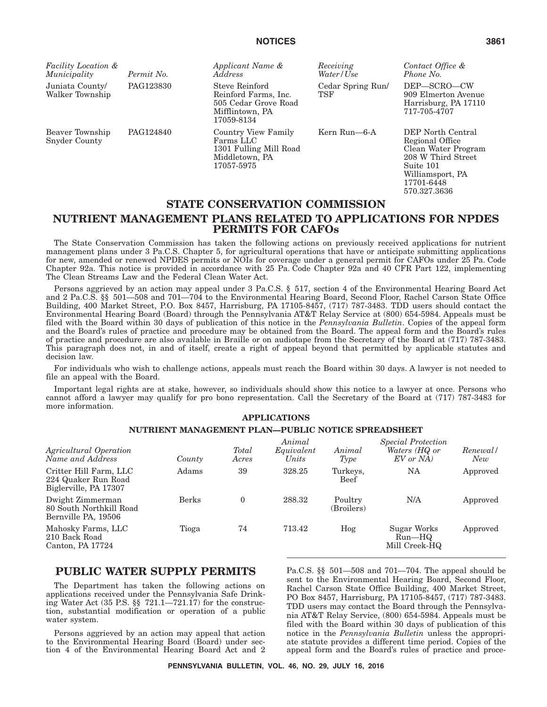| <b>Facility Location &amp;</b><br>Municipality | Permit No. | Applicant Name &<br>Address                                                                     | Receiving<br>Water/Use         | Contact Office &<br>Phone No.                                                                                                                    |
|------------------------------------------------|------------|-------------------------------------------------------------------------------------------------|--------------------------------|--------------------------------------------------------------------------------------------------------------------------------------------------|
| Juniata County/<br>Walker Township             | PAG123830  | Steve Reinford<br>Reinford Farms, Inc.<br>505 Cedar Grove Road<br>Mifflintown, PA<br>17059-8134 | Cedar Spring Run<br><b>TSF</b> | DEP-SCRO-CW<br>909 Elmerton Avenue<br>Harrisburg, PA 17110<br>717-705-4707                                                                       |
| Beaver Township<br><b>Snyder County</b>        | PAG124840  | Country View Family<br>Farms LLC<br>1301 Fulling Mill Road<br>Middletown, PA<br>17057-5975      | Kern Run—6-A                   | DEP North Central<br>Regional Office<br>Clean Water Program<br>208 W Third Street<br>Suite 101<br>Williamsport, PA<br>17701-6448<br>570.327.3636 |

# **STATE CONSERVATION COMMISSION**

# **NUTRIENT MANAGEMENT PLANS RELATED TO APPLICATIONS FOR NPDES PERMITS FOR CAFOs**

The State Conservation Commission has taken the following actions on previously received applications for nutrient management plans under 3 Pa.C.S. Chapter 5, for agricultural operations that have or anticipate submitting applications for new, amended or renewed NPDES permits or NOIs for coverage under a general permit for CAFOs under 25 Pa. Code Chapter 92a. This notice is provided in accordance with 25 Pa. Code Chapter 92a and 40 CFR Part 122, implementing The Clean Streams Law and the Federal Clean Water Act.

Persons aggrieved by an action may appeal under 3 Pa.C.S. § 517, section 4 of the Environmental Hearing Board Act and 2 Pa.C.S. §§ 501—508 and 701—704 to the Environmental Hearing Board, Second Floor, Rachel Carson State Office Building, 400 Market Street, P.O. Box 8457, Harrisburg, PA 17105-8457, (717) 787-3483. TDD users should contact the Environmental Hearing Board (Board) through the Pennsylvania AT&T Relay Service at (800) 654-5984. Appeals must be filed with the Board within 30 days of publication of this notice in the *Pennsylvania Bulletin*. Copies of the appeal form and the Board's rules of practice and procedure may be obtained from the Board. The appeal form and the Board's rules of practice and procedure are also available in Braille or on audiotape from the Secretary of the Board at (717) 787-3483. This paragraph does not, in and of itself, create a right of appeal beyond that permitted by applicable statutes and decision law.

For individuals who wish to challenge actions, appeals must reach the Board within 30 days. A lawyer is not needed to file an appeal with the Board.

Important legal rights are at stake, however, so individuals should show this notice to a lawyer at once. Persons who cannot afford a lawyer may qualify for pro bono representation. Call the Secretary of the Board at (717) 787-3483 for more information.

| Agricultural Operation<br>Name and Address                             | County       | Total<br>Acres   | Animal<br>Equivalent<br>Units | Animal<br>Type        | Special Protection<br>Waters (HQ or<br>EV or NA | Renewal/<br>New |
|------------------------------------------------------------------------|--------------|------------------|-------------------------------|-----------------------|-------------------------------------------------|-----------------|
| Critter Hill Farm, LLC<br>224 Quaker Run Road<br>Biglerville, PA 17307 | Adams        | 39               | 328.25                        | Turkeys,<br>Beef      | NA                                              | Approved        |
| Dwight Zimmerman<br>80 South Northkill Road<br>Bernville PA, 19506     | <b>Berks</b> | $\boldsymbol{0}$ | 288.32                        | Poultry<br>(Broilers) | N/A                                             | Approved        |
| Mahosky Farms, LLC<br>210 Back Road<br>Canton, PA 17724                | Tioga        | 74               | 713.42                        | Hog                   | Sugar Works<br>Run—HQ<br>Mill Creek-HQ          | Approved        |

# **APPLICATIONS NUTRIENT MANAGEMENT PLAN—PUBLIC NOTICE SPREADSHEET**

# **PUBLIC WATER SUPPLY PERMITS**

The Department has taken the following actions on applications received under the Pennsylvania Safe Drinking Water Act (35 P.S. §§ 721.1—721.17) for the construction, substantial modification or operation of a public water system.

Persons aggrieved by an action may appeal that action to the Environmental Hearing Board (Board) under section 4 of the Environmental Hearing Board Act and 2 Pa.C.S. §§ 501—508 and 701—704. The appeal should be sent to the Environmental Hearing Board, Second Floor, Rachel Carson State Office Building, 400 Market Street, PO Box 8457, Harrisburg, PA 17105-8457, (717) 787-3483. TDD users may contact the Board through the Pennsylvania AT&T Relay Service, (800) 654-5984. Appeals must be filed with the Board within 30 days of publication of this notice in the *Pennsylvania Bulletin* unless the appropriate statute provides a different time period. Copies of the appeal form and the Board's rules of practice and proce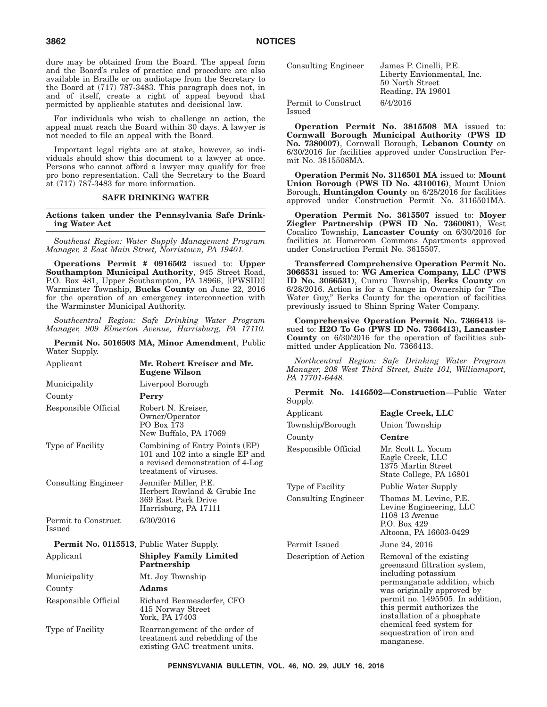dure may be obtained from the Board. The appeal form and the Board's rules of practice and procedure are also available in Braille or on audiotape from the Secretary to the Board at (717) 787-3483. This paragraph does not, in and of itself, create a right of appeal beyond that permitted by applicable statutes and decisional law.

For individuals who wish to challenge an action, the appeal must reach the Board within 30 days. A lawyer is not needed to file an appeal with the Board.

Important legal rights are at stake, however, so individuals should show this document to a lawyer at once. Persons who cannot afford a lawyer may qualify for free pro bono representation. Call the Secretary to the Board at (717) 787-3483 for more information.

#### **SAFE DRINKING WATER**

**Actions taken under the Pennsylvania Safe Drinking Water Act**

*Southeast Region: Water Supply Management Program Manager, 2 East Main Street, Norristown, PA 19401.*

**Operations Permit # 0916502** issued to: **Upper Southampton Municipal Authority**, 945 Street Road, P.O. Box 481, Upper Southampton, PA 18966, [(PWSID)] Warminster Township, **Bucks County** on June 22, 2016 for the operation of an emergency interconnection with the Warminster Municipal Authority.

*Southcentral Region: Safe Drinking Water Program Manager, 909 Elmerton Avenue, Harrisburg, PA 17110.*

**Permit No. 5016503 MA, Minor Amendment**, Public Water Supply.

| Applicant                                        | Mr. Robert Kreiser and Mr.<br><b>Eugene Wilson</b>                                                                              | <i>ivortnce</i><br>Manager,<br>PA 17701- |
|--------------------------------------------------|---------------------------------------------------------------------------------------------------------------------------------|------------------------------------------|
| Municipality                                     | Liverpool Borough                                                                                                               |                                          |
| County                                           | Perry                                                                                                                           | Permit<br>Supply.                        |
| Responsible Official                             | Robert N. Kreiser,<br>Owner/Operator<br>PO Box 173<br>New Buffalo, PA 17069                                                     | Applicant<br>Township/<br>County         |
| Type of Facility                                 | Combining of Entry Points (EP)<br>101 and 102 into a single EP and<br>a revised demonstration of 4-Log<br>treatment of viruses. | Responsib                                |
| <b>Consulting Engineer</b>                       | Jennifer Miller, P.E.<br>Herbert Rowland & Grubic Inc<br>369 East Park Drive<br>Harrisburg, PA 17111                            | Type of Fa<br>Consultin                  |
| Permit to Construct<br>Issued                    | 6/30/2016                                                                                                                       |                                          |
| <b>Permit No. 0115513</b> , Public Water Supply. |                                                                                                                                 | Permit Iss                               |
| Applicant                                        | <b>Shipley Family Limited</b><br>Partnership                                                                                    | Descriptio                               |
| Municipality                                     | Mt. Joy Township                                                                                                                |                                          |
| County                                           | Adams                                                                                                                           |                                          |
| Responsible Official                             | Richard Beamesderfer, CFO<br>415 Norway Street<br>York, PA 17403                                                                |                                          |
| Type of Facility                                 | Rearrangement of the order of<br>treatment and rebedding of the<br>existing GAC treatment units.                                |                                          |
|                                                  |                                                                                                                                 |                                          |

| Consulting Engineer                    | James P. Cinelli, P.E.<br>Liberty Envionmental, Inc.<br>50 North Street<br>Reading, PA 19601 |
|----------------------------------------|----------------------------------------------------------------------------------------------|
| Permit to Construct<br>$_{\rm Issued}$ | 6/4/2016                                                                                     |

**Operation Permit No. 3815508 MA** issued to: **Cornwall Borough Municipal Authority (PWS ID No. 7380007)**, Cornwall Borough, **Lebanon County** on 6/30/2016 for facilities approved under Construction Permit No. 3815508MA.

**Operation Permit No. 3116501 MA** issued to: **Mount Union Borough (PWS ID No. 4310016)**, Mount Union Borough, **Huntingdon County** on 6/28/2016 for facilities approved under Construction Permit No. 3116501MA.

**Operation Permit No. 3615507** issued to: **Moyer Ziegler Partnership (PWS ID No. 7360081)**, West Cocalico Township, **Lancaster County** on 6/30/2016 for facilities at Homeroom Commons Apartments approved under Construction Permit No. 3615507.

**Transferred Comprehensive Operation Permit No. 3066531** issued to: **WG America Company, LLC (PWS ID No. 3066531)**, Cumru Township, **Berks County** on 6/28/2016. Action is for a Change in Ownership for ''The Water Guy," Berks County for the operation of facilities previously issued to Shinn Spring Water Company.

**Comprehensive Operation Permit No. 7366413** issued to: **H2O To Go (PWS ID No. 7366413), Lancaster County** on 6/30/2016 for the operation of facilities submitted under Application No. 7366413.

*Northcentral Region: Safe Drinking Water Program Manager, 208 West Third Street, Suite 101, Williamsport, PA 17701-6448.*

**No. 1416502—Construction—Public Water** Eagle Creek, LLC Borough Union Township County **Centre** le Official Mr. Scott L. Yocum Eagle Creek, LLC 1375 Martin Street State College, PA 16801 acility Public Water Supply g Engineer Thomas M. Levine, P.E. Levine Engineering, LLC 1108 13 Avenue P.O. Box 429 Altoona, PA 16603-0429  $Sued$  June 24, 2016 n of Action Removal of the existing greensand filtration system, including potassium permanganate addition, which was originally approved by permit no. 1495505. In addition, this permit authorizes the installation of a phosphate chemical feed system for sequestration of iron and manganese.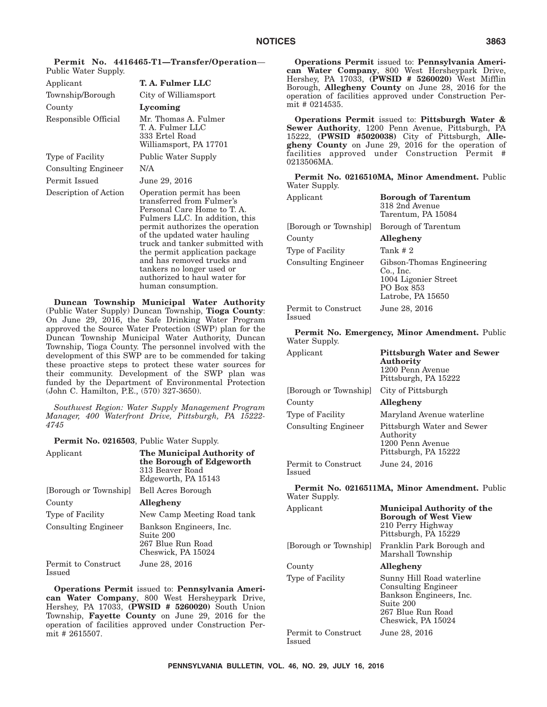|                      | Permit No. 4416465-T1-Transfer/Operation- |
|----------------------|-------------------------------------------|
| Public Water Supply. |                                           |

| Applicant                  | T. A. Fulmer LLC                                                                                                                                                                                                                                                                                                                                           |
|----------------------------|------------------------------------------------------------------------------------------------------------------------------------------------------------------------------------------------------------------------------------------------------------------------------------------------------------------------------------------------------------|
| Township/Borough           | City of Williamsport                                                                                                                                                                                                                                                                                                                                       |
| County                     | Lycoming                                                                                                                                                                                                                                                                                                                                                   |
| Responsible Official       | Mr. Thomas A. Fulmer<br>T. A. Fulmer LLC<br>333 Ertel Road<br>Williamsport, PA 17701                                                                                                                                                                                                                                                                       |
| Type of Facility           | Public Water Supply                                                                                                                                                                                                                                                                                                                                        |
| <b>Consulting Engineer</b> | N/A                                                                                                                                                                                                                                                                                                                                                        |
| Permit Issued              | June 29, 2016                                                                                                                                                                                                                                                                                                                                              |
| Description of Action      | Operation permit has been<br>transferred from Fulmer's<br>Personal Care Home to T. A.<br>Fulmers LLC. In addition, this<br>permit authorizes the operation<br>of the updated water hauling<br>truck and tanker submitted with<br>the permit application package<br>and has removed trucks and<br>tankers no longer used or<br>authorized to haul water for |

**Duncan Township Municipal Water Authority** (Public Water Supply) Duncan Township, **Tioga County**: On June 29, 2016, the Safe Drinking Water Program approved the Source Water Protection (SWP) plan for the Duncan Township Municipal Water Authority, Duncan Township, Tioga County. The personnel involved with the development of this SWP are to be commended for taking these proactive steps to protect these water sources for their community. Development of the SWP plan was funded by the Department of Environmental Protection (John C. Hamilton, P.E., (570) 327-3650).

human consumption.

*Southwest Region: Water Supply Management Program Manager, 400 Waterfront Drive, Pittsburgh, PA 15222- 4745*

**Permit No. 0216503**, Public Water Supply.

| Applicant                     | The Municipal Authority of<br>the Borough of Edgeworth<br>313 Beaver Road<br>Edgeworth, PA 15143 |
|-------------------------------|--------------------------------------------------------------------------------------------------|
| [Borough or Township]         | <b>Bell Acres Borough</b>                                                                        |
| County                        | Allegheny                                                                                        |
| <b>Type of Facility</b>       | New Camp Meeting Road tank                                                                       |
| <b>Consulting Engineer</b>    | Bankson Engineers, Inc.<br>Suite 200<br>267 Blue Run Road<br>Cheswick, PA 15024                  |
| Permit to Construct<br>Issued | June 28, 2016                                                                                    |

**Operations Permit** issued to: **Pennsylvania American Water Company**, 800 West Hersheypark Drive, Hershey, PA 17033, **(PWSID # 5260020)** South Union Township, **Fayette County** on June 29, 2016 for the operation of facilities approved under Construction Permit # 2615507.

**Operations Permit** issued to: **Pennsylvania American Water Company**, 800 West Hersheypark Drive, Hershey, PA 17033, **(PWSID # 5260020)** West Mifflin Borough, **Allegheny County** on June 28, 2016 for the operation of facilities approved under Construction Permit # 0214535.

**Operations Permit** issued to: **Pittsburgh Water & Sewer Authority**, 1200 Penn Avenue, Pittsburgh, PA 15222, **(PWSID #5020038)** City of Pittsburgh, **Allegheny County** on June 29, 2016 for the operation of facilities approved under Construction Permit # 0213506MA.

**Permit No. 0216510MA, Minor Amendment.** Public Water Supply.

| Applicant                     | <b>Borough of Tarentum</b><br>318 2nd Avenue<br>Tarentum, PA 15084                                |
|-------------------------------|---------------------------------------------------------------------------------------------------|
| [Borough or Township]         | Borough of Tarentum                                                                               |
| County                        | Allegheny                                                                                         |
| Type of Facility              | Tank # 2                                                                                          |
| <b>Consulting Engineer</b>    | Gibson-Thomas Engineering<br>Co., Inc.<br>1004 Ligonier Street<br>PO Box 853<br>Latrobe, PA 15650 |
| Permit to Construct<br>Issued | June 28, 2016                                                                                     |

#### **Permit No. Emergency, Minor Amendment.** Public Water Supply.

| Applicant                     | <b>Pittsburgh Water and Sewer</b><br><b>Authority</b><br>1200 Penn Avenue<br>Pittsburgh, PA 15222 |
|-------------------------------|---------------------------------------------------------------------------------------------------|
| Borough or Township           | City of Pittsburgh                                                                                |
| County                        | Allegheny                                                                                         |
| Type of Facility              | Maryland Avenue waterline                                                                         |
| <b>Consulting Engineer</b>    | Pittsburgh Water and Sewer<br>Authority<br>1200 Penn Avenue<br>Pittsburgh, PA 15222               |
| Permit to Construct<br>Issued | June 24, 2016                                                                                     |

**Permit No. 0216511MA, Minor Amendment.** Public Water Supply.

| Applicant             | <b>Municipal Authority of the</b><br><b>Borough of West View</b><br>210 Perry Highway<br>Pittsburgh, PA 15229                              |
|-----------------------|--------------------------------------------------------------------------------------------------------------------------------------------|
| [Borough or Township] | Franklin Park Borough and<br>Marshall Township                                                                                             |
| County                | Allegheny                                                                                                                                  |
| Type of Facility      | Sunny Hill Road waterline<br><b>Consulting Engineer</b><br>Bankson Engineers, Inc.<br>Suite 200<br>267 Blue Run Road<br>Cheswick, PA 15024 |
| Permit to Construct   | June 28, 2016                                                                                                                              |

Issued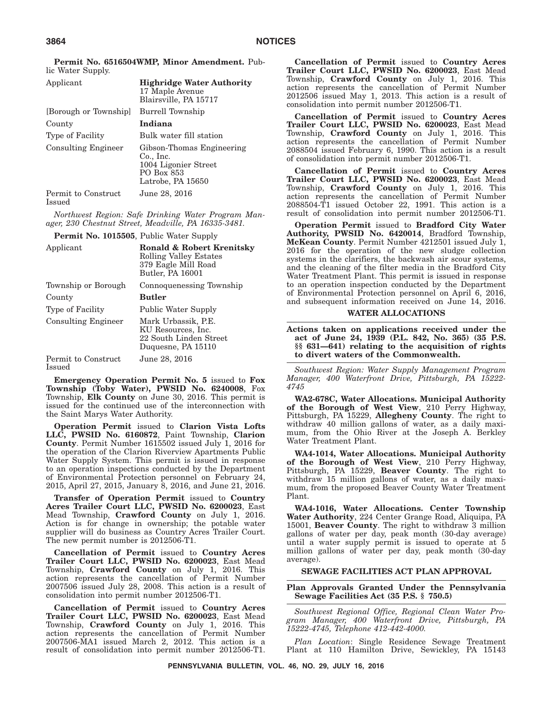| Applicant                     | <b>Highridge Water Authority</b><br>17 Maple Avenue<br>Blairsville, PA 15717                      |
|-------------------------------|---------------------------------------------------------------------------------------------------|
| [Borough or Township]         | Burrell Township                                                                                  |
| County                        | Indiana                                                                                           |
| Type of Facility              | Bulk water fill station                                                                           |
| <b>Consulting Engineer</b>    | Gibson-Thomas Engineering<br>Co., Inc.<br>1004 Ligonier Street<br>PO Box 853<br>Latrobe, PA 15650 |
| Permit to Construct<br>Issued | June 28, 2016                                                                                     |

**Permit No. 6516504WMP, Minor Amendment.** Public Water Supply.

*Northwest Region: Safe Drinking Water Program Manager, 230 Chestnut Street, Meadville, PA 16335-3481.*

**Permit No. 1015505**, Public Water Supply

| Applicant                     | Ronald & Robert Krenitsky<br>Rolling Valley Estates<br>379 Eagle Mill Road<br>Butler, PA 16001 |
|-------------------------------|------------------------------------------------------------------------------------------------|
| Township or Borough           | Connoquenessing Township                                                                       |
| County                        | <b>Butler</b>                                                                                  |
| <b>Type of Facility</b>       | Public Water Supply                                                                            |
| <b>Consulting Engineer</b>    | Mark Urbassik, P.E.<br>KU Resources, Inc.<br>22 South Linden Street<br>Duquesne, PA 15110      |
| Permit to Construct<br>Issued | June 28, 2016                                                                                  |

**Emergency Operation Permit No. 5** issued to **Fox Township (Toby Water), PWSID No. 6240008**, Fox Township, **Elk County** on June 30, 2016. This permit is issued for the continued use of the interconnection with the Saint Marys Water Authority.

**Operation Permit** issued to **Clarion Vista Lofts LLC, PWSID No. 6160872**, Paint Township, **Clarion County**. Permit Number 1615502 issued July 1, 2016 for the operation of the Clarion Riverview Apartments Public Water Supply System. This permit is issued in response to an operation inspections conducted by the Department of Environmental Protection personnel on February 24, 2015, April 27, 2015, January 8, 2016, and June 21, 2016.

**Transfer of Operation Permit** issued to **Country Acres Trailer Court LLC, PWSID No. 6200023**, East Mead Township, **Crawford County** on July 1, 2016. Action is for change in ownership; the potable water supplier will do business as Country Acres Trailer Court. The new permit number is 2012506-T1.

**Cancellation of Permit** issued to **Country Acres Trailer Court LLC, PWSID No. 6200023**, East Mead Township, **Crawford County** on July 1, 2016. This action represents the cancellation of Permit Number 2007506 issued July 28, 2008. This action is a result of consolidation into permit number 2012506-T1.

**Cancellation of Permit** issued to **Country Acres Trailer Court LLC, PWSID No. 6200023**, East Mead Township, **Crawford County** on July 1, 2016. This action represents the cancellation of Permit Number 2007506-MA1 issued March 2, 2012. This action is a result of consolidation into permit number 2012506-T1.

**Cancellation of Permit** issued to **Country Acres Trailer Court LLC, PWSID No. 6200023**, East Mead Township, **Crawford County** on July 1, 2016. This action represents the cancellation of Permit Number 2012506 issued May 1, 2013. This action is a result of consolidation into permit number 2012506-T1.

**Cancellation of Permit** issued to **Country Acres Trailer Court LLC, PWSID No. 6200023**, East Mead Township, **Crawford County** on July 1, 2016. This action represents the cancellation of Permit Number 2088504 issued February 6, 1990. This action is a result of consolidation into permit number 2012506-T1.

**Cancellation of Permit** issued to **Country Acres Trailer Court LLC, PWSID No. 6200023**, East Mead Township, **Crawford County** on July 1, 2016. This action represents the cancellation of Permit Number 2088504-T1 issued October 22, 1991. This action is a result of consolidation into permit number 2012506-T1.

**Operation Permit** issued to **Bradford City Water Authority, PWSID No. 6420014**, Bradford Township, **McKean County**. Permit Number 4212501 issued July 1, 2016 for the operation of the new sludge collection systems in the clarifiers, the backwash air scour systems, and the cleaning of the filter media in the Bradford City Water Treatment Plant. This permit is issued in response to an operation inspection conducted by the Department of Environmental Protection personnel on April 6, 2016, and subsequent information received on June 14, 2016.

#### **WATER ALLOCATIONS**

**Actions taken on applications received under the act of June 24, 1939 (P.L. 842, No. 365) (35 P.S. §§ 631—641) relating to the acquisition of rights to divert waters of the Commonwealth.**

*Southwest Region: Water Supply Management Program Manager, 400 Waterfront Drive, Pittsburgh, PA 15222- 4745*

**WA2-678C, Water Allocations. Municipal Authority of the Borough of West View**, 210 Perry Highway, Pittsburgh, PA 15229, **Allegheny County**. The right to withdraw 40 million gallons of water, as a daily maximum, from the Ohio River at the Joseph A. Berkley Water Treatment Plant.

**WA4-1014, Water Allocations. Municipal Authority of the Borough of West View**, 210 Perry Highway, Pittsburgh, PA 15229, **Beaver County**. The right to withdraw 15 million gallons of water, as a daily maximum, from the proposed Beaver County Water Treatment Plant.

**WA4-1016, Water Allocations. Center Township Water Authority**, 224 Center Grange Road, Aliquipa, PA 15001, **Beaver County**. The right to withdraw 3 million gallons of water per day, peak month (30-day average) until a water supply permit is issued to operate at 5 million gallons of water per day, peak month (30-day average).

#### **SEWAGE FACILITIES ACT PLAN APPROVAL**

#### **Plan Approvals Granted Under the Pennsylvania Sewage Facilities Act (35 P.S. § 750.5)**

*Southwest Regional Office, Regional Clean Water Program Manager, 400 Waterfront Drive, Pittsburgh, PA 15222-4745, Telephone 412-442-4000.*

*Plan Location*: Single Residence Sewage Treatment Plant at 110 Hamilton Drive, Sewickley, PA 15143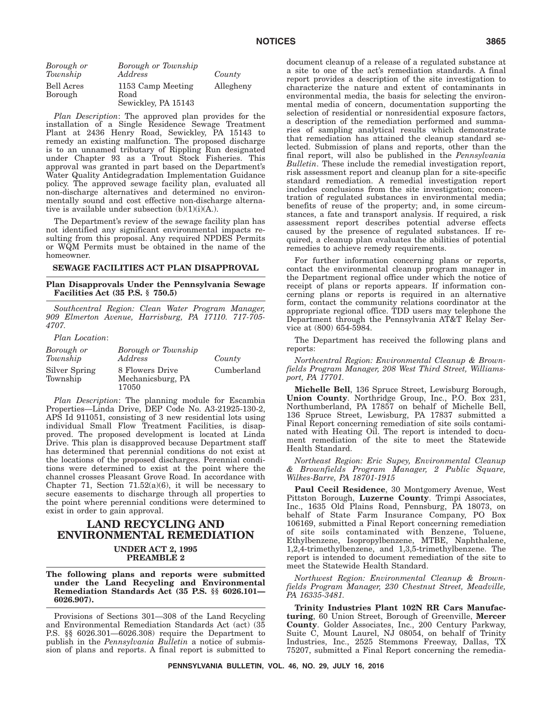| Borough or<br>Township       | Borough or Township<br>Address                   | County    |
|------------------------------|--------------------------------------------------|-----------|
| <b>Bell Acres</b><br>Borough | 1153 Camp Meeting<br>Road<br>Sewickley, PA 15143 | Allegheny |

*Plan Description*: The approved plan provides for the installation of a Single Residence Sewage Treatment Plant at 2436 Henry Road, Sewickley, PA 15143 to remedy an existing malfunction. The proposed discharge is to an unnamed tributary of Rippling Run designated under Chapter 93 as a Trout Stock Fisheries. This approval was granted in part based on the Department's Water Quality Antidegradation Implementation Guidance policy. The approved sewage facility plan, evaluated all non-discharge alternatives and determined no environmentally sound and cost effective non-discharge alternative is available under subsection  $(b)(1)(i)(A)$ .

The Department's review of the sewage facility plan has not identified any significant environmental impacts resulting from this proposal. Any required NPDES Permits or WQM Permits must be obtained in the name of the homeowner.

#### **SEWAGE FACILITIES ACT PLAN DISAPPROVAL**

#### **Plan Disapprovals Under the Pennsylvania Sewage Facilities Act (35 P.S. § 750.5)**

*Southcentral Region: Clean Water Program Manager, 909 Elmerton Avenue, Harrisburg, PA 17110. 717-705- 4707.*

*Plan Location*:

| Borough or                | Borough or Township                           |            |
|---------------------------|-----------------------------------------------|------------|
| Township                  | Address                                       | County     |
| Silver Spring<br>Township | 8 Flowers Drive<br>Mechanicsburg, PA<br>17050 | Cumberland |

*Plan Description*: The planning module for Escambia Properties—Linda Drive, DEP Code No. A3-21925-130-2, APS Id 911051, consisting of 3 new residential lots using individual Small Flow Treatment Facilities, is disapproved. The proposed development is located at Linda Drive. This plan is disapproved because Department staff has determined that perennial conditions do not exist at the locations of the proposed discharges. Perennial conditions were determined to exist at the point where the channel crosses Pleasant Grove Road. In accordance with Chapter 71, Section 71.52(a)(6), it will be necessary to secure easements to discharge through all properties to the point where perennial conditions were determined to exist in order to gain approval.

# **LAND RECYCLING AND ENVIRONMENTAL REMEDIATION UNDER ACT 2, 1995**

**PREAMBLE 2**

**The following plans and reports were submitted under the Land Recycling and Environmental Remediation Standards Act (35 P.S. §§ 6026.101— 6026.907).**

Provisions of Sections 301—308 of the Land Recycling and Environmental Remediation Standards Act (act) (35 P.S. §§ 6026.301—6026.308) require the Department to publish in the *Pennsylvania Bulletin* a notice of submission of plans and reports. A final report is submitted to document cleanup of a release of a regulated substance at a site to one of the act's remediation standards. A final report provides a description of the site investigation to characterize the nature and extent of contaminants in environmental media, the basis for selecting the environmental media of concern, documentation supporting the selection of residential or nonresidential exposure factors, a description of the remediation performed and summaries of sampling analytical results which demonstrate that remediation has attained the cleanup standard selected. Submission of plans and reports, other than the final report, will also be published in the *Pennsylvania Bulletin*. These include the remedial investigation report, risk assessment report and cleanup plan for a site-specific standard remediation. A remedial investigation report includes conclusions from the site investigation; concentration of regulated substances in environmental media; benefits of reuse of the property; and, in some circumstances, a fate and transport analysis. If required, a risk assessment report describes potential adverse effects caused by the presence of regulated substances. If required, a cleanup plan evaluates the abilities of potential remedies to achieve remedy requirements.

For further information concerning plans or reports, contact the environmental cleanup program manager in the Department regional office under which the notice of receipt of plans or reports appears. If information concerning plans or reports is required in an alternative form, contact the community relations coordinator at the appropriate regional office. TDD users may telephone the Department through the Pennsylvania AT&T Relay Service at (800) 654-5984.

The Department has received the following plans and reports:

*Northcentral Region: Environmental Cleanup & Brownfields Program Manager, 208 West Third Street, Williamsport, PA 17701.*

**Michelle Bell**, 136 Spruce Street, Lewisburg Borough, **Union County**. Northridge Group, Inc., P.O. Box 231, Northumberland, PA 17857 on behalf of Michelle Bell, 136 Spruce Street, Lewisburg, PA 17837 submitted a Final Report concerning remediation of site soils contaminated with Heating Oil. The report is intended to document remediation of the site to meet the Statewide Health Standard.

*Northeast Region: Eric Supey, Environmental Cleanup & Brownfields Program Manager, 2 Public Square, Wilkes-Barre, PA 18701-1915*

**Paul Cecil Residence**, 30 Montgomery Avenue, West Pittston Borough, **Luzerne County**. Trimpi Associates, Inc., 1635 Old Plains Road, Pennsburg, PA 18073, on behalf of State Farm Insurance Company, PO Box 106169, submitted a Final Report concerning remediation of site soils contaminated with Benzene, Toluene, Ethylbenzene, Isopropylbenzene, MTBE, Naphthalene, 1,2,4-trimethylbenzene, and 1,3,5-trimethylbenzene. The report is intended to document remediation of the site to meet the Statewide Health Standard.

*Northwest Region: Environmental Cleanup & Brownfields Program Manager, 230 Chestnut Street, Meadville, PA 16335-3481.*

**Trinity Industries Plant 102N RR Cars Manufacturing**, 60 Union Street, Borough of Greenville, **Mercer County**. Golder Associates, Inc., 200 Century Parkway, Suite C, Mount Laurel, NJ 08054, on behalf of Trinity Industries, Inc., 2525 Stemmons Freeway, Dallas, TX 75207, submitted a Final Report concerning the remedia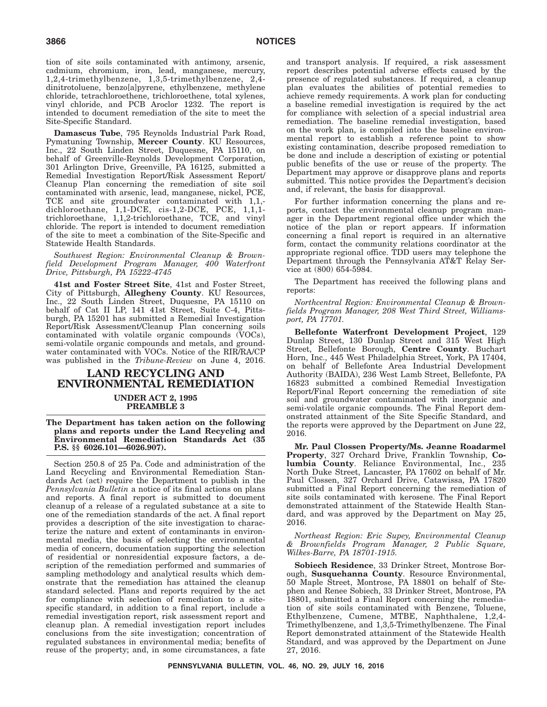tion of site soils contaminated with antimony, arsenic, cadmium, chromium, iron, lead, manganese, mercury, 1,2,4-trimethylbenzene, 1,3,5-trimethylbenzene, 2,4 dinitrotoluene, benzo[a]pyrene, ethylbenzene, methylene chloride, tetrachloroethene, trichloroethene, total xylenes, vinyl chloride, and PCB Aroclor 1232. The report is intended to document remediation of the site to meet the Site-Specific Standard.

**Damascus Tube**, 795 Reynolds Industrial Park Road, Pymatuning Township, **Mercer County**. KU Resources, Inc., 22 South Linden Street, Duquesne, PA 15110, on behalf of Greenville-Reynolds Development Corporation, 301 Arlington Drive, Greenville, PA 16125, submitted a Remedial Investigation Report/Risk Assessment Report/ Cleanup Plan concerning the remediation of site soil contaminated with arsenic, lead, manganese, nickel, PCE, TCE and site groundwater contaminated with 1,1, dichloroethane, 1,1-DCE, cis-1,2-DCE, PCE, 1,1,1 trichloroethane, 1,1,2-trichloroethane, TCE, and vinyl chloride. The report is intended to document remediation of the site to meet a combination of the Site-Specific and Statewide Health Standards.

*Southwest Region: Environmental Cleanup & Brownfield Development Program Manager, 400 Waterfront Drive, Pittsburgh, PA 15222-4745*

**41st and Foster Street Site**, 41st and Foster Street, City of Pittsburgh, **Allegheny County**. KU Resources, Inc., 22 South Linden Street, Duquesne, PA 15110 on behalf of Cat II LP, 141 41st Street, Suite C-4, Pittsburgh, PA 15201 has submitted a Remedial Investigation Report/Risk Assessment/Cleanup Plan concerning soils contaminated with volatile organic compounds (VOCs), semi-volatile organic compounds and metals, and groundwater contaminated with VOCs. Notice of the RIR/RA/CP was published in the *Tribune-Review* on June 4, 2016.

# **LAND RECYCLING AND ENVIRONMENTAL REMEDIATION**

**UNDER ACT 2, 1995 PREAMBLE 3**

**The Department has taken action on the following plans and reports under the Land Recycling and Environmental Remediation Standards Act (35 P.S. §§ 6026.101—6026.907).**

Section 250.8 of 25 Pa. Code and administration of the Land Recycling and Environmental Remediation Standards Act (act) require the Department to publish in the *Pennsylvania Bulletin* a notice of its final actions on plans and reports. A final report is submitted to document cleanup of a release of a regulated substance at a site to one of the remediation standards of the act. A final report provides a description of the site investigation to characterize the nature and extent of contaminants in environmental media, the basis of selecting the environmental media of concern, documentation supporting the selection of residential or nonresidential exposure factors, a description of the remediation performed and summaries of sampling methodology and analytical results which demonstrate that the remediation has attained the cleanup standard selected. Plans and reports required by the act for compliance with selection of remediation to a sitespecific standard, in addition to a final report, include a remedial investigation report, risk assessment report and cleanup plan. A remedial investigation report includes conclusions from the site investigation; concentration of regulated substances in environmental media; benefits of reuse of the property; and, in some circumstances, a fate

and transport analysis. If required, a risk assessment report describes potential adverse effects caused by the presence of regulated substances. If required, a cleanup plan evaluates the abilities of potential remedies to achieve remedy requirements. A work plan for conducting a baseline remedial investigation is required by the act for compliance with selection of a special industrial area remediation. The baseline remedial investigation, based on the work plan, is compiled into the baseline environmental report to establish a reference point to show existing contamination, describe proposed remediation to be done and include a description of existing or potential public benefits of the use or reuse of the property. The Department may approve or disapprove plans and reports submitted. This notice provides the Department's decision and, if relevant, the basis for disapproval.

For further information concerning the plans and reports, contact the environmental cleanup program manager in the Department regional office under which the notice of the plan or report appears. If information concerning a final report is required in an alternative form, contact the community relations coordinator at the appropriate regional office. TDD users may telephone the Department through the Pennsylvania AT&T Relay Service at (800) 654-5984.

The Department has received the following plans and reports:

*Northcentral Region: Environmental Cleanup & Brownfields Program Manager, 208 West Third Street, Williamsport, PA 17701.*

**Bellefonte Waterfront Development Project**, 129 Dunlap Street, 130 Dunlap Street and 315 West High Street, Bellefonte Borough, **Centre County**. Buchart Horn, Inc., 445 West Philadelphia Street, York, PA 17404, on behalf of Bellefonte Area Industrial Development Authority (BAIDA), 236 West Lamb Street, Bellefonte, PA 16823 submitted a combined Remedial Investigation Report/Final Report concerning the remediation of site soil and groundwater contaminated with inorganic and semi-volatile organic compounds. The Final Report demonstrated attainment of the Site Specific Standard, and the reports were approved by the Department on June 22, 2016.

**Mr. Paul Clossen Property/Ms. Jeanne Roadarmel Property**, 327 Orchard Drive, Franklin Township, **Columbia County**. Reliance Environmental, Inc., 235 North Duke Street, Lancaster, PA 17602 on behalf of Mr. Paul Clossen, 327 Orchard Drive, Catawissa, PA 17820 submitted a Final Report concerning the remediation of site soils contaminated with kerosene. The Final Report demonstrated attainment of the Statewide Health Standard, and was approved by the Department on May 25, 2016.

*Northeast Region: Eric Supey, Environmental Cleanup & Brownfields Program Manager, 2 Public Square, Wilkes-Barre, PA 18701-1915.*

**Sobiech Residence**, 33 Drinker Street, Montrose Borough, **Susquehanna County**. Resource Environmental, 50 Maple Street, Montrose, PA 18801 on behalf of Stephen and Renee Sobiech, 33 Drinker Street, Montrose, PA 18801, submitted a Final Report concerning the remediation of site soils contaminated with Benzene, Toluene, Ethylbenzene, Cumene, MTBE, Naphthalene, 1,2,4- Trimethylbenzene, and 1,3,5-Trimethylbenzene. The Final Report demonstrated attainment of the Statewide Health Standard, and was approved by the Department on June 27, 2016.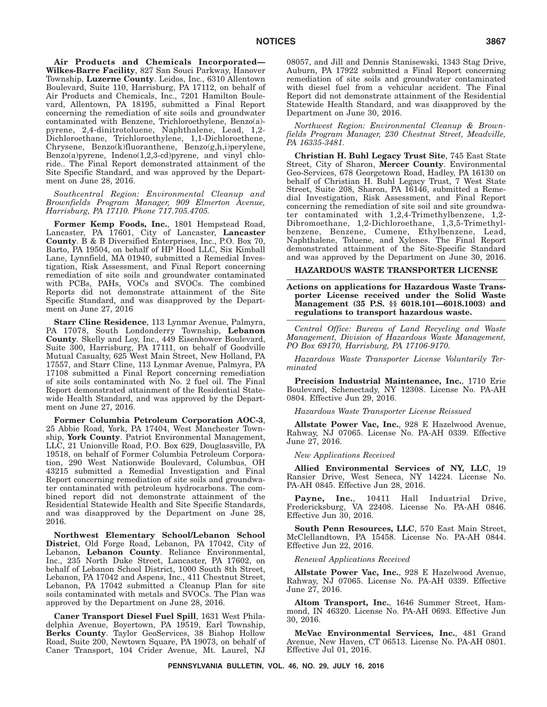**Air Products and Chemicals Incorporated— Wilkes-Barre Facility**, 827 San Souci Parkway, Hanover Township, **Luzerne County**. Leidos, Inc., 6310 Allentown Boulevard, Suite 110, Harrisburg, PA 17112, on behalf of Air Products and Chemicals, Inc., 7201 Hamilton Boulevard, Allentown, PA 18195, submitted a Final Report concerning the remediation of site soils and groundwater contaminated with Benzene, Trichloroethylene, Benzo(a)pyrene, 2,4-dinitrotoluene, Naphthalene, Lead, 1,2- Dichloroethane, Trichloroethylene, 1,1-Dichloroethene, Chrysene, Benzo(k)fluoranthene, Benzo(g,h,i)perylene, Benzo(a)pyrene, Indeno(1,2,3-cd)pyrene, and vinyl chloride.. The Final Report demonstrated attainment of the Site Specific Standard, and was approved by the Department on June 28, 2016.

*Southcentral Region: Environmental Cleanup and Brownfields Program Manager, 909 Elmerton Avenue, Harrisburg, PA 17110. Phone 717.705.4705.*

**Former Kemp Foods, Inc.**, 1801 Hempstead Road, Lancaster, PA 17601, City of Lancaster, **Lancaster County**.B&B Diversified Enterprises, Inc., P.O. Box 70, Barto, PA 19504, on behalf of HP Hood LLC, Six Kimball Lane, Lynnfield, MA 01940, submitted a Remedial Investigation, Risk Assessment, and Final Report concerning remediation of site soils and groundwater contaminated with PCBs, PAHs, VOCs and SVOCs. The combined Reports did not demonstrate attainment of the Site Specific Standard, and was disapproved by the Department on June 27, 2016

**Starr Cline Residence**, 113 Lynmar Avenue, Palmyra, PA 17078, South Londonderry Township, **Lebanon County**. Skelly and Loy, Inc., 449 Eisenhower Boulevard, Suite 300, Harrisburg, PA 17111, on behalf of Goodville Mutual Casualty, 625 West Main Street, New Holland, PA 17557, and Starr Cline, 113 Lynmar Avenue, Palmyra, PA 17108 submitted a Final Report concerning remediation of site soils contaminated with No. 2 fuel oil. The Final Report demonstrated attainment of the Residential Statewide Health Standard, and was approved by the Department on June 27, 2016.

**Former Columbia Petroleum Corporation AOC-3**, 25 Abbie Road, York, PA 17404, West Manchester Township, **York County**. Patriot Environmental Management, LLC, 21 Unionville Road, P.O. Box 629, Douglassville, PA 19518, on behalf of Former Columbia Petroleum Corporation, 290 West Nationwide Boulevard, Columbus, OH 43215 submitted a Remedial Investigation and Final Report concerning remediation of site soils and groundwater contaminated with petroleum hydrocarbons. The combined report did not demonstrate attainment of the Residential Statewide Health and Site Specific Standards, and was disapproved by the Department on June 28, 2016.

**Northwest Elementary School/Lebanon School District**, Old Forge Road, Lebanon, PA 17042, City of Lebanon, **Lebanon County**. Reliance Environmental, Inc., 235 North Duke Street, Lancaster, PA 17602, on behalf of Lebanon School District, 1000 South 8th Street, Lebanon, PA 17042 and Aspens, Inc., 411 Chestnut Street, Lebanon, PA 17042 submitted a Cleanup Plan for site soils contaminated with metals and SVOCs. The Plan was approved by the Department on June 28, 2016.

**Caner Transport Diesel Fuel Spill**, 1631 West Philadelphia Avenue, Boyertown, PA 19519, Earl Township, **Berks County**. Taylor GeoServices, 38 Bishop Hollow Road, Suite 200, Newtown Square, PA 19073, on behalf of Caner Transport, 104 Crider Avenue, Mt. Laurel, NJ

08057, and Jill and Dennis Stanisewski, 1343 Stag Drive, Auburn, PA 17922 submitted a Final Report concerning remediation of site soils and groundwater contaminated with diesel fuel from a vehicular accident. The Final Report did not demonstrate attainment of the Residential Statewide Health Standard, and was disapproved by the Department on June 30, 2016.

*Northwest Region: Environmental Cleanup & Brownfields Program Manager, 230 Chestnut Street, Meadville, PA 16335-3481.*

**Christian H. Buhl Legacy Trust Site**, 745 East State Street, City of Sharon, **Mercer County**. Environmental Geo-Services, 678 Georgetown Road, Hadley, PA 16130 on behalf of Christian H. Buhl Legacy Trust, 7 West State Street, Suite 208, Sharon, PA 16146, submitted a Remedial Investigation, Risk Assessment, and Final Report concerning the remediation of site soil and site groundwater contaminated with 1,2,4-Trimethylbenzene, 1,2- Dibromoethane, 1,2-Dichloroethane, 1,3,5-Trimethylbenzene, Benzene, Cumene, Ethylbenzene, Lead, Naphthalene, Toluene, and Xylenes. The Final Report demonstrated attainment of the Site-Specific Standard and was approved by the Department on June 30, 2016.

#### **HAZARDOUS WASTE TRANSPORTER LICENSE**

**Actions on applications for Hazardous Waste Transporter License received under the Solid Waste Management (35 P.S. §§ 6018.101—6018.1003) and regulations to transport hazardous waste.**

*Central Office: Bureau of Land Recycling and Waste Management, Division of Hazardous Waste Management, PO Box 69170, Harrisburg, PA 17106-9170.*

*Hazardous Waste Transporter License Voluntarily Terminated*

**Precision Industrial Maintenance, Inc.**, 1710 Erie Boulevard, Schenectady, NY 12308. License No. PA-AH 0804. Effective Jun 29, 2016.

*Hazardous Waste Transporter License Reissued*

**Allstate Power Vac, Inc.**, 928 E Hazelwood Avenue, Rahway, NJ 07065. License No. PA-AH 0339. Effective June 27, 2016.

*New Applications Received*

**Allied Environmental Services of NY, LLC**, 19 Ransier Drive, West Seneca, NY 14224. License No. PA-AH 0845. Effective Jun 28, 2016.

**Payne, Inc.**, 10411 Hall Industrial Drive, Fredericksburg, VA 22408. License No. PA-AH 0846. Effective Jun 30, 2016.

**South Penn Resources, LLC**, 570 East Main Street, McClellandtown, PA 15458. License No. PA-AH 0844. Effective Jun 22, 2016.

*Renewal Applications Received*

**Allstate Power Vac, Inc.**, 928 E Hazelwood Avenue, Rahway, NJ 07065. License No. PA-AH 0339. Effective June 27, 2016.

**Altom Transport, Inc.**, 1646 Summer Street, Hammond, IN 46320. License No. PA-AH 0693. Effective Jun 30, 2016.

**McVac Environmental Services, Inc.**, 481 Grand Avenue, New Haven, CT 06513. License No. PA-AH 0801. Effective Jul 01, 2016.

**PENNSYLVANIA BULLETIN, VOL. 46, NO. 29, JULY 16, 2016**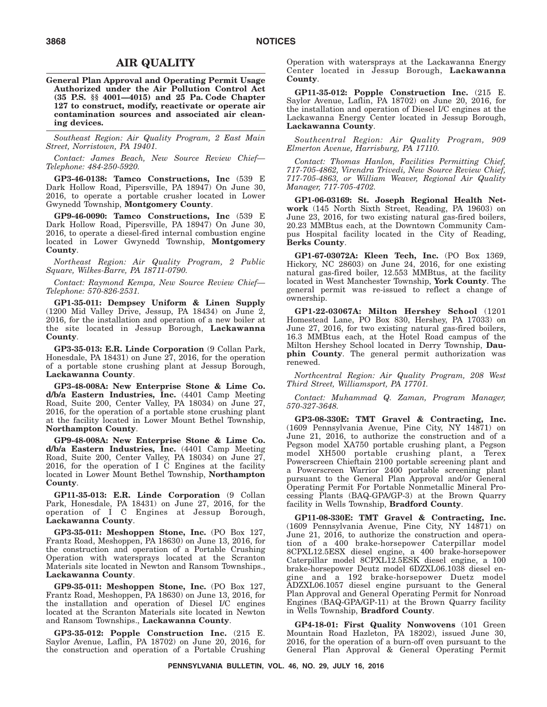# **AIR QUALITY**

**General Plan Approval and Operating Permit Usage Authorized under the Air Pollution Control Act (35 P.S. §§ 4001—4015) and 25 Pa. Code Chapter 127 to construct, modify, reactivate or operate air contamination sources and associated air cleaning devices.**

*Southeast Region: Air Quality Program, 2 East Main Street, Norristown, PA 19401.*

*Contact: James Beach, New Source Review Chief— Telephone: 484-250-5920.*

**GP3-46-0138: Tamco Constructions, Inc** (539 E Dark Hollow Road, Pipersville, PA 18947) On June 30, 2016, to operate a portable crusher located in Lower Gwynedd Township, **Montgomery County**.

**GP9-46-0090: Tamco Constructions, Inc** (539 E Dark Hollow Road, Pipersville, PA 18947) On June 30, 2016, to operate a diesel-fired internal combustion engine located in Lower Gwynedd Township, **Montgomery County**.

*Northeast Region: Air Quality Program, 2 Public Square, Wilkes-Barre, PA 18711-0790.*

*Contact: Raymond Kempa, New Source Review Chief— Telephone: 570-826-2531.*

**GP1-35-011: Dempsey Uniform & Linen Supply** (1200 Mid Valley Drive, Jessup, PA 18434) on June 2, 2016, for the installation and operation of a new boiler at the site located in Jessup Borough, **Lackawanna County**.

**GP3-35-013: E.R. Linde Corporation** (9 Collan Park, Honesdale, PA 18431) on June 27, 2016, for the operation of a portable stone crushing plant at Jessup Borough, **Lackawanna County**.

**GP3-48-008A: New Enterprise Stone & Lime Co. d/b/a Eastern Industries, Inc.** (4401 Camp Meeting Road, Suite 200, Center Valley, PA 18034) on June 27, 2016, for the operation of a portable stone crushing plant at the facility located in Lower Mount Bethel Township, **Northampton County**.

**GP9-48-008A: New Enterprise Stone & Lime Co. d/b/a Eastern Industries, Inc.** (4401 Camp Meeting Road, Suite 200, Center Valley, PA 18034) on June 27, 2016, for the operation of I C Engines at the facility located in Lower Mount Bethel Township, **Northampton County**.

**GP11-35-013: E.R. Linde Corporation** (9 Collan Park, Honesdale, PA 18431) on June 27, 2016, for the operation of I C Engines at Jessup Borough, **Lackawanna County**.

**GP3-35-011: Meshoppen Stone, Inc.** (PO Box 127, Frantz Road, Meshoppen, PA 18630) on June 13, 2016, for the construction and operation of a Portable Crushing Operation with watersprays located at the Scranton Materials site located in Newton and Ransom Townships., **Lackawanna County**.

**GP9-35-011: Meshoppen Stone, Inc.** (PO Box 127, Frantz Road, Meshoppen, PA 18630) on June 13, 2016, for the installation and operation of Diesel I/C engines located at the Scranton Materials site located in Newton and Ransom Townships., **Lackawanna County**.

**GP3-35-012: Popple Construction Inc.** (215 E. Saylor Avenue, Laflin, PA 18702) on June 20, 2016, for the construction and operation of a Portable Crushing

Operation with watersprays at the Lackawanna Energy Center located in Jessup Borough, **Lackawanna County**.

**GP11-35-012: Popple Construction Inc.** (215 E. Saylor Avenue, Laflin, PA 18702) on June 20, 2016, for the installation and operation of Diesel I/C engines at the Lackawanna Energy Center located in Jessup Borough, **Lackawanna County**.

*Southcentral Region: Air Quality Program, 909 Elmerton Avenue, Harrisburg, PA 17110.*

*Contact: Thomas Hanlon, Facilities Permitting Chief, 717-705-4862, Virendra Trivedi, New Source Review Chief, 717-705-4863, or William Weaver, Regional Air Quality Manager, 717-705-4702.*

**GP1-06-03169: St. Joseph Regional Health Network** (145 North Sixth Street, Reading, PA 19603) on June 23, 2016, for two existing natural gas-fired boilers, 20.23 MMBtus each, at the Downtown Community Campus Hospital facility located in the City of Reading, **Berks County**.

**GP1-67-03072A: Kleen Tech, Inc.** (PO Box 1369, Hickory, NC 28603) on June 24, 2016, for one existing natural gas-fired boiler, 12.553 MMBtus, at the facility located in West Manchester Township, **York County**. The general permit was re-issued to reflect a change of ownership.

**GP1-22-03067A: Milton Hershey School** (1201 Homestead Lane, PO Box 830, Hershey, PA 17033) on June 27, 2016, for two existing natural gas-fired boilers, 16.3 MMBtus each, at the Hotel Road campus of the Milton Hershey School located in Derry Township, **Dauphin County**. The general permit authorization was renewed.

*Northcentral Region: Air Quality Program, 208 West Third Street, Williamsport, PA 17701.*

*Contact: Muhammad Q. Zaman, Program Manager, 570-327-3648.*

**GP3-08-330E: TMT Gravel & Contracting, Inc.** (1609 Pennsylvania Avenue, Pine City, NY 14871) on June 21, 2016, to authorize the construction and of a Pegson model XA750 portable crushing plant, a Pegson model XH500 portable crushing plant, a Terex Powerscreen Chieftain 2100 portable screening plant and a Powerscreen Warrior 2400 portable screening plant pursuant to the General Plan Approval and/or General Operating Permit For Portable Nonmetallic Mineral Processing Plants (BAQ-GPA/GP-3) at the Brown Quarry facility in Wells Township, **Bradford County**.

**GP11-08-330E: TMT Gravel & Contracting, Inc.** (1609 Pennsylvania Avenue, Pine City, NY 14871) on June 21, 2016, to authorize the construction and operation of a 400 brake-horsepower Caterpillar model 8CPXL12.5ESX diesel engine, a 400 brake-horsepower Caterpillar model 8CPXL12.5ESK diesel engine, a 100 brake-horsepower Deutz model 6DZXL06.1038 diesel engine and a 192 brake-horsepower Duetz model ADZXL06.1057 diesel engine pursuant to the General Plan Approval and General Operating Permit for Nonroad Engines (BAQ-GPA/GP-11) at the Brown Quarry facility in Wells Township, **Bradford County**.

**GP4-18-01: First Quality Nonwovens** (101 Green Mountain Road Hazleton, PA 18202), issued June 30, 2016, for the operation of a burn-off oven pursuant to the General Plan Approval & General Operating Permit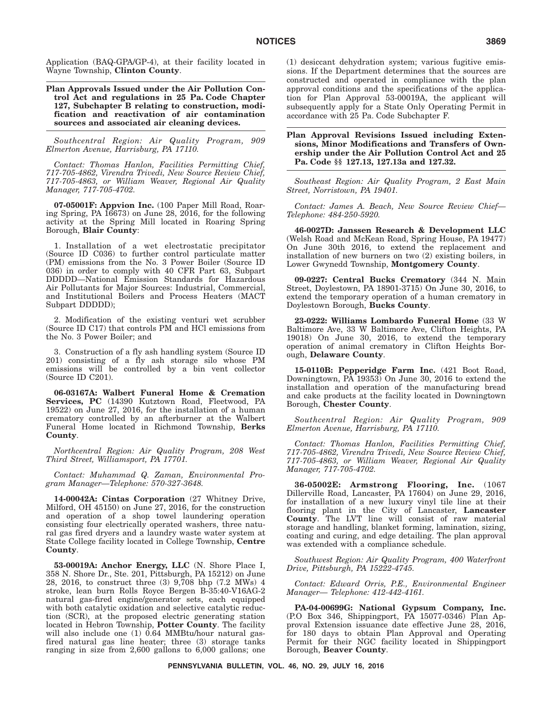Application (BAQ-GPA/GP-4), at their facility located in Wayne Township, **Clinton County**.

#### **Plan Approvals Issued under the Air Pollution Control Act and regulations in 25 Pa. Code Chapter 127, Subchapter B relating to construction, modification and reactivation of air contamination sources and associated air cleaning devices.**

*Southcentral Region: Air Quality Program, 909 Elmerton Avenue, Harrisburg, PA 17110.*

*Contact: Thomas Hanlon, Facilities Permitting Chief, 717-705-4862, Virendra Trivedi, New Source Review Chief, 717-705-4863, or William Weaver, Regional Air Quality Manager, 717-705-4702.*

**07-05001F: Appvion Inc.** (100 Paper Mill Road, Roaring Spring, PA 16673) on June 28, 2016, for the following activity at the Spring Mill located in Roaring Spring Borough, **Blair County**:

1. Installation of a wet electrostatic precipitator (Source ID C036) to further control particulate matter (PM) emissions from the No. 3 Power Boiler (Source ID 036) in order to comply with 40 CFR Part 63, Subpart DDDDD—National Emission Standards for Hazardous Air Pollutants for Major Sources: Industrial, Commercial, and Institutional Boilers and Process Heaters (MACT Subpart DDDDD);

2. Modification of the existing venturi wet scrubber (Source ID C17) that controls PM and HCl emissions from the No. 3 Power Boiler; and

3. Construction of a fly ash handling system (Source ID 201) consisting of a fly ash storage silo whose PM emissions will be controlled by a bin vent collector (Source ID C201).

**06-03167A: Walbert Funeral Home & Cremation Services, PC** (14390 Kutztown Road, Fleetwood, PA 19522) on June 27, 2016, for the installation of a human crematory controlled by an afterburner at the Walbert Funeral Home located in Richmond Township, **Berks County**.

*Northcentral Region: Air Quality Program, 208 West Third Street, Williamsport, PA 17701.*

*Contact: Muhammad Q. Zaman, Environmental Program Manager—Telephone: 570-327-3648.*

**14-00042A: Cintas Corporation** (27 Whitney Drive, Milford, OH 45150) on June 27, 2016, for the construction and operation of a shop towel laundering operation consisting four electrically operated washers, three natural gas fired dryers and a laundry waste water system at State College facility located in College Township, **Centre County**.

**53-00019A: Anchor Energy, LLC** (N. Shore Place I, 358 N. Shore Dr., Ste. 201, Pittsburgh, PA 15212) on June 28, 2016, to construct three (3) 9,708 bhp (7.2 MWs) 4 stroke, lean burn Rolls Royce Bergen B-35:40-V16AG-2 natural gas-fired engine/generator sets, each equipped with both catalytic oxidation and selective catalytic reduction (SCR), at the proposed electric generating station located in Hebron Township, **Potter County**. The facility will also include one (1) 0.64 MMBtu/hour natural gasfired natural gas line heater; three (3) storage tanks ranging in size from 2,600 gallons to 6,000 gallons; one

(1) desiccant dehydration system; various fugitive emissions. If the Department determines that the sources are constructed and operated in compliance with the plan approval conditions and the specifications of the application for Plan Approval 53-00019A, the applicant will subsequently apply for a State Only Operating Permit in accordance with 25 Pa. Code Subchapter F.

**Plan Approval Revisions Issued including Extensions, Minor Modifications and Transfers of Ownership under the Air Pollution Control Act and 25 Pa. Code §§ 127.13, 127.13a and 127.32.**

*Southeast Region: Air Quality Program, 2 East Main Street, Norristown, PA 19401.*

*Contact: James A. Beach, New Source Review Chief— Telephone: 484-250-5920.*

**46-0027D: Janssen Research & Development LLC** (Welsh Road and McKean Road, Spring House, PA 19477) On June 30th 2016, to extend the replacement and installation of new burners on two (2) existing boilers, in Lower Gwynedd Township, **Montgomery County**.

**09-0227: Central Bucks Crematory** (344 N. Main Street, Doylestown, PA 18901-3715) On June 30, 2016, to extend the temporary operation of a human crematory in Doylestown Borough, **Bucks County**.

**23-0222: Williams Lombardo Funeral Home** (33 W Baltimore Ave, 33 W Baltimore Ave, Clifton Heights, PA 19018) On June 30, 2016, to extend the temporary operation of animal crematory in Clifton Heights Borough, **Delaware County**.

**15-0110B: Pepperidge Farm Inc.** (421 Boot Road, Downingtown, PA 19353) On June 30, 2016 to extend the installation and operation of the manufacturing bread and cake products at the facility located in Downingtown Borough, **Chester County**.

*Southcentral Region: Air Quality Program, 909 Elmerton Avenue, Harrisburg, PA 17110.*

*Contact: Thomas Hanlon, Facilities Permitting Chief, 717-705-4862, Virendra Trivedi, New Source Review Chief, 717-705-4863, or William Weaver, Regional Air Quality Manager, 717-705-4702.*

**36-05002E: Armstrong Flooring, Inc.** (1067 Dillerville Road, Lancaster, PA 17604) on June 29, 2016, for installation of a new luxury vinyl tile line at their flooring plant in the City of Lancaster, **Lancaster County**. The LVT line will consist of raw material storage and handling, blanket forming, lamination, sizing, coating and curing, and edge detailing. The plan approval was extended with a compliance schedule.

*Southwest Region: Air Quality Program, 400 Waterfront Drive, Pittsburgh, PA 15222-4745.*

*Contact: Edward Orris, P.E., Environmental Engineer Manager— Telephone: 412-442-4161.*

**PA-04-00699G: National Gypsum Company, Inc.** (P.O Box 346, Shippingport, PA 15077-0346) Plan Approval Extension issuance date effective June 28, 2016, for 180 days to obtain Plan Approval and Operating Permit for their NGC facility located in Shippingport Borough, **Beaver County**.

**PENNSYLVANIA BULLETIN, VOL. 46, NO. 29, JULY 16, 2016**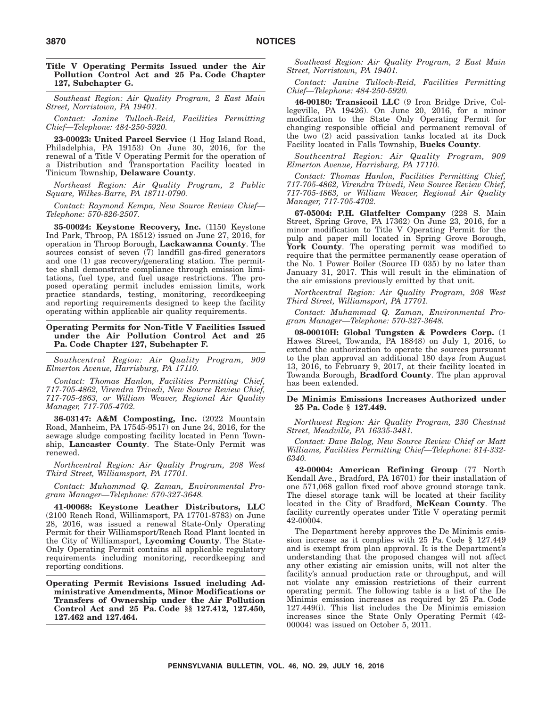**Title V Operating Permits Issued under the Air Pollution Control Act and 25 Pa. Code Chapter 127, Subchapter G.**

*Southeast Region: Air Quality Program, 2 East Main Street, Norristown, PA 19401.*

*Contact: Janine Tulloch-Reid, Facilities Permitting Chief—Telephone: 484-250-5920.*

**23-00023: United Parcel Service** (1 Hog Island Road, Philadelphia, PA 19153) On June 30, 2016, for the renewal of a Title V Operating Permit for the operation of a Distribution and Transportation Facility located in Tinicum Township, **Delaware County**.

*Northeast Region: Air Quality Program, 2 Public Square, Wilkes-Barre, PA 18711-0790.*

*Contact: Raymond Kempa, New Source Review Chief— Telephone: 570-826-2507.*

**35-00024: Keystone Recovery, Inc.** (1150 Keystone Ind Park, Throop, PA 18512) issued on June 27, 2016, for operation in Throop Borough, **Lackawanna County**. The sources consist of seven (7) landfill gas-fired generators and one (1) gas recovery/generating station. The permittee shall demonstrate compliance through emission limitations, fuel type, and fuel usage restrictions. The proposed operating permit includes emission limits, work practice standards, testing, monitoring, recordkeeping and reporting requirements designed to keep the facility operating within applicable air quality requirements.

### **Operating Permits for Non-Title V Facilities Issued under the Air Pollution Control Act and 25 Pa. Code Chapter 127, Subchapter F.**

*Southcentral Region: Air Quality Program, 909 Elmerton Avenue, Harrisburg, PA 17110.*

*Contact: Thomas Hanlon, Facilities Permitting Chief, 717-705-4862, Virendra Trivedi, New Source Review Chief, 717-705-4863, or William Weaver, Regional Air Quality Manager, 717-705-4702.*

**36-03147: A&M Composting, Inc.** (2022 Mountain Road, Manheim, PA 17545-9517) on June 24, 2016, for the sewage sludge composting facility located in Penn Township, **Lancaster County**. The State-Only Permit was renewed.

*Northcentral Region: Air Quality Program, 208 West Third Street, Williamsport, PA 17701.*

*Contact: Muhammad Q. Zaman, Environmental Program Manager—Telephone: 570-327-3648.*

**41-00068: Keystone Leather Distributors, LLC** (2100 Reach Road, Williamsport, PA 17701-8783) on June 28, 2016, was issued a renewal State-Only Operating Permit for their Williamsport/Reach Road Plant located in the City of Williamsport, **Lycoming County**. The State-Only Operating Permit contains all applicable regulatory requirements including monitoring, recordkeeping and reporting conditions.

**Operating Permit Revisions Issued including Administrative Amendments, Minor Modifications or Transfers of Ownership under the Air Pollution Control Act and 25 Pa. Code §§ 127.412, 127.450, 127.462 and 127.464.**

*Southeast Region: Air Quality Program, 2 East Main Street, Norristown, PA 19401.*

*Contact: Janine Tulloch-Reid, Facilities Permitting Chief—Telephone: 484-250-5920.*

**46-00180: Transicoil LLC** (9 Iron Bridge Drive, Collegeville, PA 19426). On June 20, 2016, for a minor modification to the State Only Operating Permit for changing responsible official and permanent removal of the two (2) acid passivation tanks located at its Dock Facility located in Falls Township, **Bucks County**.

*Southcentral Region: Air Quality Program, 909 Elmerton Avenue, Harrisburg, PA 17110.*

*Contact: Thomas Hanlon, Facilities Permitting Chief, 717-705-4862, Virendra Trivedi, New Source Review Chief, 717-705-4863, or William Weaver, Regional Air Quality Manager, 717-705-4702.*

**67-05004: P.H. Glatfelter Company** (228 S. Main Street, Spring Grove, PA 17362) On June 23, 2016, for a minor modification to Title V Operating Permit for the pulp and paper mill located in Spring Grove Borough, York County. The operating permit was modified to require that the permittee permanently cease operation of the No. 1 Power Boiler (Source ID 035) by no later than January 31, 2017. This will result in the elimination of the air emissions previously emitted by that unit.

*Northcentral Region: Air Quality Program, 208 West Third Street, Williamsport, PA 17701.*

*Contact: Muhammad Q. Zaman, Environmental Program Manager—Telephone: 570-327-3648.*

**08-00010H: Global Tungsten & Powders Corp.** (1 Hawes Street, Towanda, PA 18848) on July 1, 2016, to extend the authorization to operate the sources pursuant to the plan approval an additional 180 days from August 13, 2016, to February 9, 2017, at their facility located in Towanda Borough, **Bradford County**. The plan approval has been extended.

## **De Minimis Emissions Increases Authorized under 25 Pa. Code § 127.449.**

*Northwest Region: Air Quality Program, 230 Chestnut Street, Meadville, PA 16335-3481.*

*Contact: Dave Balog, New Source Review Chief or Matt Williams, Facilities Permitting Chief—Telephone: 814-332- 6340.*

**42-00004: American Refining Group** (77 North Kendall Ave., Bradford, PA 16701) for their installation of one 571,068 gallon fixed roof above ground storage tank. The diesel storage tank will be located at their facility located in the City of Bradford, **McKean County**. The facility currently operates under Title V operating permit 42-00004.

The Department hereby approves the De Minimis emission increase as it complies with 25 Pa. Code § 127.449 and is exempt from plan approval. It is the Department's understanding that the proposed changes will not affect any other existing air emission units, will not alter the facility's annual production rate or throughput, and will not violate any emission restrictions of their current operating permit. The following table is a list of the De Minimis emission increases as required by 25 Pa. Code 127.449(i). This list includes the De Minimis emission increases since the State Only Operating Permit (42- 00004) was issued on October 5, 2011.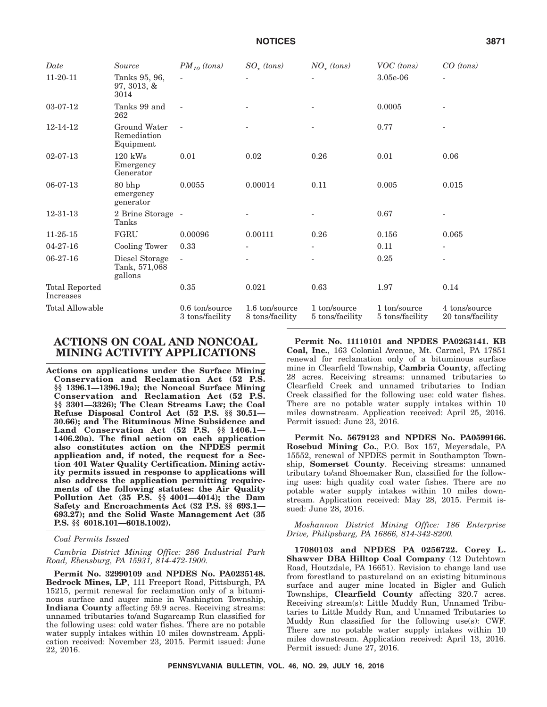| Date                               | Source                                      | $PM_{10}$ (tons)                  | $SO_x$ (tons)                     | $NO_x$ (tons)                   | VOC (tons)                      | $CO$ (tons)                       |
|------------------------------------|---------------------------------------------|-----------------------------------|-----------------------------------|---------------------------------|---------------------------------|-----------------------------------|
| $11-20-11$                         | Tanks 95, 96,<br>$97, 3013, \&$<br>3014     | $\overline{\phantom{a}}$          |                                   |                                 | 3.05e-06                        |                                   |
| 03-07-12                           | Tanks 99 and<br>262                         | $\overline{a}$                    |                                   |                                 | 0.0005                          |                                   |
| 12-14-12                           | Ground Water<br>Remediation<br>Equipment    |                                   |                                   |                                 | 0.77                            |                                   |
| 02-07-13                           | $120 \text{ kWs}$<br>Emergency<br>Generator | 0.01                              | 0.02                              | 0.26                            | 0.01                            | 0.06                              |
| 06-07-13                           | 80 bhp<br>emergency<br>generator            | 0.0055                            | 0.00014                           | 0.11                            | 0.005                           | 0.015                             |
| 12-31-13                           | 2 Brine Storage -<br>Tanks                  |                                   |                                   |                                 | 0.67                            |                                   |
| $11 - 25 - 15$                     | FGRU                                        | 0.00096                           | 0.00111                           | 0.26                            | 0.156                           | 0.065                             |
| 04-27-16                           | Cooling Tower                               | 0.33                              |                                   |                                 | 0.11                            |                                   |
| 06-27-16                           | Diesel Storage<br>Tank, 571,068<br>gallons  | $\qquad \qquad \blacksquare$      |                                   |                                 | 0.25                            |                                   |
| <b>Total Reported</b><br>Increases |                                             | 0.35                              | 0.021                             | 0.63                            | 1.97                            | 0.14                              |
| <b>Total Allowable</b>             |                                             | 0.6 ton/source<br>3 tons/facility | 1.6 ton/source<br>8 tons/facility | 1 ton/source<br>5 tons/facility | 1 ton/source<br>5 tons/facility | 4 tons/source<br>20 tons/facility |

# **ACTIONS ON COAL AND NONCOAL MINING ACTIVITY APPLICATIONS**

**Actions on applications under the Surface Mining Conservation and Reclamation Act (52 P.S. §§ 1396.1—1396.19a); the Noncoal Surface Mining Conservation and Reclamation Act (52 P.S. §§ 3301—3326); The Clean Streams Law; the Coal Refuse Disposal Control Act (52 P.S. §§ 30.51— 30.66); and The Bituminous Mine Subsidence and Land Conservation Act (52 P.S. §§ 1406.1— 1406.20a). The final action on each application also constitutes action on the NPDES permit application and, if noted, the request for a Section 401 Water Quality Certification. Mining activity permits issued in response to applications will also address the application permitting requirements of the following statutes: the Air Quality Pollution Act (35 P.S. §§ 4001—4014); the Dam Safety and Encroachments Act (32 P.S. §§ 693.1— 693.27); and the Solid Waste Management Act (35 P.S. §§ 6018.101—6018.1002).**

*Cambria District Mining Office: 286 Industrial Park Road, Ebensburg, PA 15931, 814-472-1900.*

**Permit No. 32990109 and NPDES No. PA0235148. Bedrock Mines, LP**, 111 Freeport Road, Pittsburgh, PA 15215, permit renewal for reclamation only of a bituminous surface and auger mine in Washington Township, **Indiana County** affecting 59.9 acres. Receiving streams: unnamed tributaries to/and Sugarcamp Run classified for the following uses: cold water fishes. There are no potable water supply intakes within 10 miles downstream. Application received: November 23, 2015. Permit issued: June 22, 2016.

**Permit No. 11110101 and NPDES PA0263141. KB Coal, Inc.**, 163 Colonial Avenue, Mt. Carmel, PA 17851 renewal for reclamation only of a bituminous surface mine in Clearfield Township, **Cambria County**, affecting 28 acres. Receiving streams: unnamed tributaries to Clearfield Creek and unnamed tributaries to Indian Creek classified for the following use: cold water fishes. There are no potable water supply intakes within 10 miles downstream. Application received: April 25, 2016. Permit issued: June 23, 2016.

**Permit No. 5679123 and NPDES No. PA0599166. Rosebud Mining Co.**, P.O. Box 157, Meyersdale, PA 15552, renewal of NPDES permit in Southampton Township, **Somerset County**. Receiving streams: unnamed tributary to/and Shoemaker Run, classified for the following uses: high quality coal water fishes. There are no potable water supply intakes within 10 miles downstream. Application received: May 28, 2015. Permit issued: June 28, 2016.

#### *Moshannon District Mining Office: 186 Enterprise Drive, Philipsburg, PA 16866, 814-342-8200.*

**17080103 and NPDES PA 0256722. Corey L. Shawver DBA Hilltop Coal Company** (12 Dutchtown Road, Houtzdale, PA 16651). Revision to change land use from forestland to pastureland on an existing bituminous surface and auger mine located in Bigler and Gulich Townships, **Clearfield County** affecting 320.7 acres. Receiving stream(s): Little Muddy Run, Unnamed Tributaries to Little Muddy Run, and Unnamed Tributaries to Muddy Run classified for the following use(s): CWF. There are no potable water supply intakes within 10 miles downstream. Application received: April 13, 2016. Permit issued: June 27, 2016.

*Coal Permits Issued*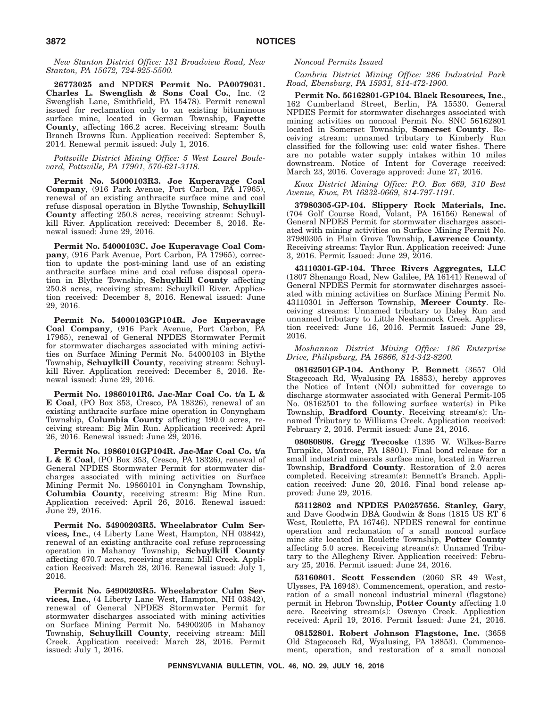*New Stanton District Office: 131 Broadview Road, New Stanton, PA 15672, 724-925-5500.*

**26773025 and NPDES Permit No. PA0079031. Charles L. Swenglish & Sons Coal Co.**, Inc. (2 Swenglish Lane, Smithfield, PA 15478). Permit renewal issued for reclamation only to an existing bituminous surface mine, located in German Township, **Fayette County**, affecting 166.2 acres. Receiving stream: South Branch Browns Run. Application received: September 8, 2014. Renewal permit issued: July 1, 2016.

*Pottsville District Mining Office: 5 West Laurel Boulevard, Pottsville, PA 17901, 570-621-3118.*

**Permit No. 54000103R3. Joe Kuperavage Coal Company**, (916 Park Avenue, Port Carbon, PA 17965), renewal of an existing anthracite surface mine and coal refuse disposal operation in Blythe Township, **Schuylkill County** affecting 250.8 acres, receiving stream: Schuylkill River. Application received: December 8, 2016. Renewal issued: June 29, 2016.

**Permit No. 54000103C. Joe Kuperavage Coal Company**, (916 Park Avenue, Port Carbon, PA 17965), correction to update the post-mining land use of an existing anthracite surface mine and coal refuse disposal operation in Blythe Township, **Schuylkill County** affecting 250.8 acres, receiving stream: Schuylkill River. Application received: December 8, 2016. Renewal issued: June 29, 2016.

**Permit No. 54000103GP104R. Joe Kuperavage Coal Company**, (916 Park Avenue, Port Carbon, PA 17965), renewal of General NPDES Stormwater Permit for stormwater discharges associated with mining activities on Surface Mining Permit No. 54000103 in Blythe Township, **Schuylkill County**, receiving stream: Schuylkill River. Application received: December 8, 2016. Renewal issued: June 29, 2016.

**Permit No. 19860101R6. Jac-Mar Coal Co. t/a L & E Coal**, (PO Box 353, Cresco, PA 18326), renewal of an existing anthracite surface mine operation in Conyngham Township, **Columbia County** affecting 190.0 acres, receiving stream: Big Min Run. Application received: April 26, 2016. Renewal issued: June 29, 2016.

**Permit No. 19860101GP104R. Jac-Mar Coal Co. t/a L & E Coal**, (PO Box 353, Cresco, PA 18326), renewal of General NPDES Stormwater Permit for stormwater discharges associated with mining activities on Surface Mining Permit No. 19860101 in Conyngham Township, **Columbia County**, receiving stream: Big Mine Run. Application received: April 26, 2016. Renewal issued: June 29, 2016.

**Permit No. 54900203R5. Wheelabrator Culm Services, Inc.**, (4 Liberty Lane West, Hampton, NH 03842), renewal of an existing anthracite coal refuse reprocessing operation in Mahanoy Township, **Schuylkill County** affecting 670.7 acres, receiving stream: Mill Creek. Application Received: March 28, 2016. Renewal issued: July 1, 2016.

**Permit No. 54900203R5. Wheelabrator Culm Services, Inc.**, (4 Liberty Lane West, Hampton, NH 03842), renewal of General NPDES Stormwater Permit for stormwater discharges associated with mining activities on Surface Mining Permit No. 54900205 in Mahanoy Township, **Schuylkill County**, receiving stream: Mill Creek. Application received: March 28, 2016. Permit issued: July 1, 2016.

#### *Noncoal Permits Issued*

*Cambria District Mining Office: 286 Industrial Park Road, Ebensburg, PA 15931, 814-472-1900.*

**Permit No. 56162801-GP104. Black Resources, Inc.**, 162 Cumberland Street, Berlin, PA 15530. General NPDES Permit for stormwater discharges associated with mining activities on noncoal Permit No. SNC 56162801 located in Somerset Township, **Somerset County**. Receiving stream: unnamed tributary to Kimberly Run classified for the following use: cold water fishes. There are no potable water supply intakes within 10 miles downstream. Notice of Intent for Coverage received: March 23, 2016. Coverage approved: June 27, 2016.

*Knox District Mining Office: P.O. Box 669, 310 Best Avenue, Knox, PA 16232-0669, 814-797-1191.*

**37980305-GP-104. Slippery Rock Materials, Inc.** (704 Golf Course Road, Volant, PA 16156) Renewal of General NPDES Permit for stormwater discharges associated with mining activities on Surface Mining Permit No. 37980305 in Plain Grove Township, **Lawrence County**. Receiving streams: Taylor Run. Application received: June 3, 2016. Permit Issued: June 29, 2016.

**43110301-GP-104. Three Rivers Aggregates, LLC** (1807 Shenango Road, New Galilee, PA 16141) Renewal of General NPDES Permit for stormwater discharges associated with mining activities on Surface Mining Permit No. 43110301 in Jefferson Township, **Mercer County**. Receiving streams: Unnamed tributary to Daley Run and unnamed tributary to Little Neshannock Creek. Application received: June 16, 2016. Permit Issued: June 29, 2016.

*Moshannon District Mining Office: 186 Enterprise Drive, Philipsburg, PA 16866, 814-342-8200.*

**08162501GP-104. Anthony P. Bennett** (3657 Old Stagecoach Rd, Wyalusing PA 18853), hereby approves the Notice of Intent (NOI) submitted for coverage to discharge stormwater associated with General Permit-105 No. 08162501 to the following surface water(s) in Pike Township, **Bradford County**. Receiving stream(s): Unnamed Tributary to Williams Creek. Application received: February 2, 2016. Permit issued: June 24, 2016.

**08080808. Gregg Trecoske** (1395 W. Wilkes-Barre Turnpike, Montrose, PA 18801). Final bond release for a small industrial minerals surface mine, located in Warren Township, **Bradford County**. Restoration of 2.0 acres completed. Receiving stream(s): Bennett's Branch. Application received: June 20, 2016. Final bond release approved: June 29, 2016.

**53112802 and NPDES PA0257656. Stanley, Gary**, and Dave Goodwin DBA Goodwin & Sons (1815 US RT 6 West, Roulette, PA 16746). NPDES renewal for continue operation and reclamation of a small noncoal surface mine site located in Roulette Township, **Potter County** affecting 5.0 acres. Receiving stream(s): Unnamed Tributary to the Allegheny River. Application received: February 25, 2016. Permit issued: June 24, 2016.

**53160801. Scott Fessenden** (2060 SR 49 West, Ulysses, PA 16948). Commencement, operation, and restoration of a small noncoal industrial mineral (flagstone) permit in Hebron Township, **Potter County** affecting 1.0 acre. Receiving stream(s): Oswayo Creek. Application received: April 19, 2016. Permit Issued: June 24, 2016.

**08152801. Robert Johnson Flagstone, Inc.** (3658 Old Stagecoach Rd, Wyalusing, PA 18853). Commencement, operation, and restoration of a small noncoal

**PENNSYLVANIA BULLETIN, VOL. 46, NO. 29, JULY 16, 2016**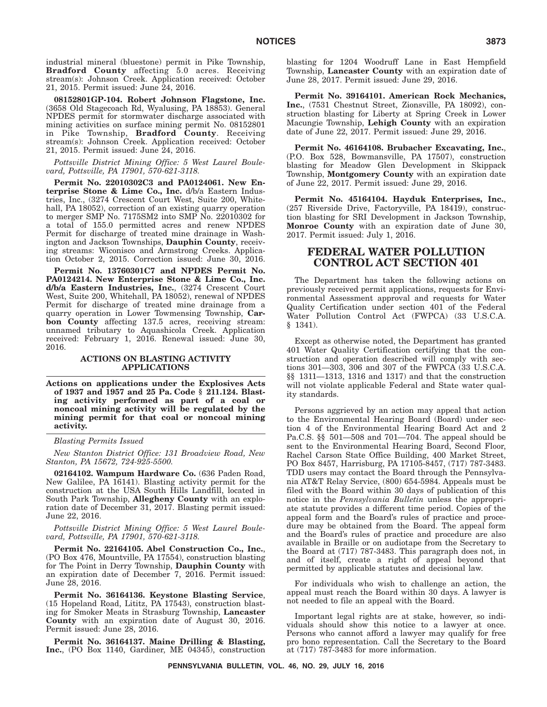industrial mineral (bluestone) permit in Pike Township, **Bradford County** affecting 5.0 acres. Receiving stream(s): Johnson Creek. Application received: October 21, 2015. Permit issued: June 24, 2016.

**08152801GP-104. Robert Johnson Flagstone, Inc.** (3658 Old Stagecoach Rd, Wyalusing, PA 18853). General NPDES permit for stormwater discharge associated with mining activities on surface mining permit No. 08152801 in Pike Township, **Bradford County**. Receiving stream(s): Johnson Creek. Application received: October 21, 2015. Permit issued: June 24, 2016.

*Pottsville District Mining Office: 5 West Laurel Boulevard, Pottsville, PA 17901, 570-621-3118.*

**Permit No. 22010302C3 and PA0124061. New Enterprise Stone & Lime Co., Inc.** d/b/a Eastern Industries, Inc., (3274 Crescent Court West, Suite 200, Whitehall, PA 18052), correction of an existing quarry operation to merger SMP No. 7175SM2 into SMP No. 22010302 for a total of 155.0 permitted acres and renew NPDES Permit for discharge of treated mine drainage in Washington and Jackson Townships, **Dauphin County**, receiving streams: Wiconisco and Armstrong Creeks. Application October 2, 2015. Correction issued: June 30, 2016.

**Permit No. 13760301C7 and NPDES Permit No. PA0124214. New Enterprise Stone & Lime Co., Inc. d/b/a Eastern Industries, Inc.**, (3274 Crescent Court West, Suite 200, Whitehall, PA 18052), renewal of NPDES Permit for discharge of treated mine drainage from a quarry operation in Lower Towmensing Township, **Carbon County** affecting 137.5 acres, receiving stream: unnamed tributary to Aquashicola Creek. Application received: February 1, 2016. Renewal issued: June 30, 2016.

#### **ACTIONS ON BLASTING ACTIVITY APPLICATIONS**

**Actions on applications under the Explosives Acts of 1937 and 1957 and 25 Pa. Code § 211.124. Blasting activity performed as part of a coal or noncoal mining activity will be regulated by the mining permit for that coal or noncoal mining activity.**

*Blasting Permits Issued*

*New Stanton District Office: 131 Broadview Road, New Stanton, PA 15672, 724-925-5500.*

**02164102. Wampum Hardware Co.** (636 Paden Road, New Galilee, PA 16141). Blasting activity permit for the construction at the USA South Hills Landfill, located in South Park Township, **Allegheny County** with an exploration date of December 31, 2017. Blasting permit issued: June 22, 2016.

*Pottsville District Mining Office: 5 West Laurel Boulevard, Pottsville, PA 17901, 570-621-3118.*

**Permit No. 22164105. Abel Construction Co., Inc.**, (PO Box 476, Mountville, PA 17554), construction blasting for The Point in Derry Township, **Dauphin County** with an expiration date of December 7, 2016. Permit issued: June 28, 2016.

**Permit No. 36164136. Keystone Blasting Service**, (15 Hopeland Road, Lititz, PA 17543), construction blasting for Smoker Meats in Strasburg Township, **Lancaster County** with an expiration date of August 30, 2016. Permit issued: June 28, 2016.

**Permit No. 36164137. Maine Drilling & Blasting, Inc.**, (PO Box 1140, Gardiner, ME 04345), construction blasting for 1204 Woodruff Lane in East Hempfield Township, **Lancaster County** with an expiration date of June 28, 2017. Permit issued: June 29, 2016.

**Permit No. 39164101. American Rock Mechanics, Inc.**, (7531 Chestnut Street, Zionsville, PA 18092), construction blasting for Liberty at Spring Creek in Lower Macungie Township, **Lehigh County** with an expiration date of June 22, 2017. Permit issued: June 29, 2016.

**Permit No. 46164108. Brubacher Excavating, Inc.**, (P.O. Box 528, Bowmansville, PA 17507), construction blasting for Meadow Glen Development in Skippack Township, **Montgomery County** with an expiration date of June 22, 2017. Permit issued: June 29, 2016.

**Permit No. 45164104. Hayduk Enterprises, Inc.**, (257 Riverside Drive, Factoryville, PA 18419), construction blasting for SRI Development in Jackson Township, **Monroe County** with an expiration date of June 30, 2017. Permit issued: July 1, 2016.

# **FEDERAL WATER POLLUTION CONTROL ACT SECTION 401**

The Department has taken the following actions on previously received permit applications, requests for Environmental Assessment approval and requests for Water Quality Certification under section 401 of the Federal Water Pollution Control Act (FWPCA) (33 U.S.C.A. § 1341).

Except as otherwise noted, the Department has granted 401 Water Quality Certification certifying that the construction and operation described will comply with sections 301—303, 306 and 307 of the FWPCA (33 U.S.C.A. §§ 1311—1313, 1316 and 1317) and that the construction will not violate applicable Federal and State water quality standards.

Persons aggrieved by an action may appeal that action to the Environmental Hearing Board (Board) under section 4 of the Environmental Hearing Board Act and 2 Pa.C.S. §§ 501—508 and 701—704. The appeal should be sent to the Environmental Hearing Board, Second Floor, Rachel Carson State Office Building, 400 Market Street, PO Box 8457, Harrisburg, PA 17105-8457, (717) 787-3483. TDD users may contact the Board through the Pennsylvania AT&T Relay Service, (800) 654-5984. Appeals must be filed with the Board within 30 days of publication of this notice in the *Pennsylvania Bulletin* unless the appropriate statute provides a different time period. Copies of the appeal form and the Board's rules of practice and procedure may be obtained from the Board. The appeal form and the Board's rules of practice and procedure are also available in Braille or on audiotape from the Secretary to the Board at (717) 787-3483. This paragraph does not, in and of itself, create a right of appeal beyond that permitted by applicable statutes and decisional law.

For individuals who wish to challenge an action, the appeal must reach the Board within 30 days. A lawyer is not needed to file an appeal with the Board.

Important legal rights are at stake, however, so individuals should show this notice to a lawyer at once. Persons who cannot afford a lawyer may qualify for free pro bono representation. Call the Secretary to the Board at (717) 787-3483 for more information.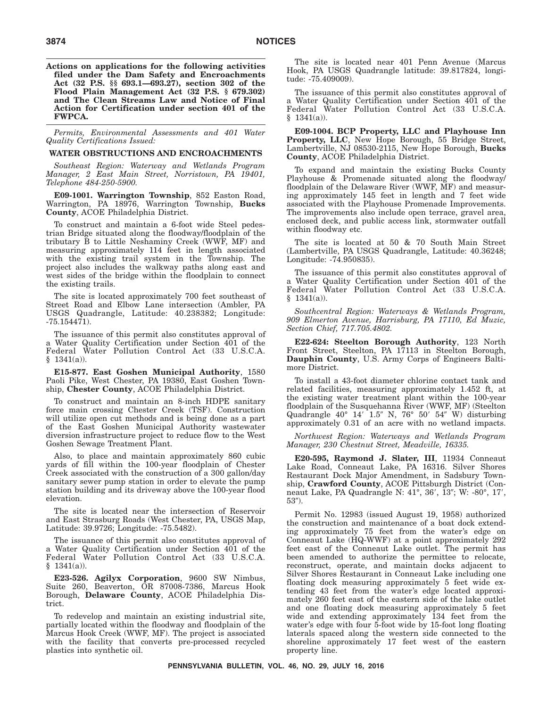**Actions on applications for the following activities filed under the Dam Safety and Encroachments Act (32 P.S. §§ 693.1—693.27), section 302 of the Flood Plain Management Act (32 P.S. § 679.302) and The Clean Streams Law and Notice of Final Action for Certification under section 401 of the FWPCA.**

*Permits, Environmental Assessments and 401 Water Quality Certifications Issued:*

### **WATER OBSTRUCTIONS AND ENCROACHMENTS**

*Southeast Region: Waterway and Wetlands Program Manager, 2 East Main Street, Norristown, PA 19401, Telephone 484-250-5900.*

**E09-1001. Warrington Township**, 852 Easton Road, Warrington, PA 18976, Warrington Township, **Bucks County**, ACOE Philadelphia District.

To construct and maintain a 6-foot wide Steel pedestrian Bridge situated along the floodway/floodplain of the tributary B to Little Neshaminy Creek (WWF, MF) and measuring approximately 114 feet in length associated with the existing trail system in the Township. The project also includes the walkway paths along east and west sides of the bridge within the floodplain to connect the existing trails.

The site is located approximately 700 feet southeast of Street Road and Elbow Lane intersection (Ambler, PA USGS Quadrangle, Latitude: 40.238382; Longitude: -75.154471).

The issuance of this permit also constitutes approval of a Water Quality Certification under Section 401 of the Federal Water Pollution Control Act (33 U.S.C.A.  $§$  1341(a)).

**E15-877. East Goshen Municipal Authority**, 1580 Paoli Pike, West Chester, PA 19380, East Goshen Township, **Chester County**, ACOE Philadelphia District.

To construct and maintain an 8-inch HDPE sanitary force main crossing Chester Creek (TSF). Construction will utilize open cut methods and is being done as a part of the East Goshen Municipal Authority wastewater diversion infrastructure project to reduce flow to the West Goshen Sewage Treatment Plant.

Also, to place and maintain approximately 860 cubic yards of fill within the 100-year floodplain of Chester Creek associated with the construction of a 300 gallon/day sanitary sewer pump station in order to elevate the pump station building and its driveway above the 100-year flood elevation.

The site is located near the intersection of Reservoir and East Strasburg Roads (West Chester, PA, USGS Map, Latitude: 39.9726; Longitude: -75.5482).

The issuance of this permit also constitutes approval of a Water Quality Certification under Section 401 of the Federal Water Pollution Control Act (33 U.S.C.A.  $§$  1341(a)).

**E23-526. Agilyx Corporation**, 9600 SW Nimbus, Suite 260, Beaverton, OR 87008-7386, Marcus Hook Borough, **Delaware County**, ACOE Philadelphia District.

To redevelop and maintain an existing industrial site, partially located within the floodway and floodplain of the Marcus Hook Creek (WWF, MF). The project is associated with the facility that converts pre-processed recycled plastics into synthetic oil.

The site is located near 401 Penn Avenue (Marcus Hook, PA USGS Quadrangle latitude: 39.817824, longitude: -75.409009).

The issuance of this permit also constitutes approval of a Water Quality Certification under Section 401 of the Federal Water Pollution Control Act (33 U.S.C.A.  $§$  1341(a)).

**E09-1004. BCP Property, LLC and Playhouse Inn Property, LLC**, New Hope Borough, 55 Bridge Street, Lambertville, NJ 08530-2115, New Hope Borough, **Bucks County**, ACOE Philadelphia District.

To expand and maintain the existing Bucks County Playhouse & Promenade situated along the floodway/ floodplain of the Delaware River (WWF, MF) and measuring approximately 145 feet in length and 7 feet wide associated with the Playhouse Promenade Improvements. The improvements also include open terrace, gravel area, enclosed deck, and public access link, stormwater outfall within floodway etc.

The site is located at 50 & 70 South Main Street (Lambertville, PA USGS Quadrangle, Latitude: 40.36248; Longitude: -74.950835).

The issuance of this permit also constitutes approval of a Water Quality Certification under Section 401 of the Federal Water Pollution Control Act (33 U.S.C.A.  $§$  1341(a)).

*Southcentral Region: Waterways & Wetlands Program, 909 Elmerton Avenue, Harrisburg, PA 17110, Ed Muzic, Section Chief, 717.705.4802.*

**E22-624: Steelton Borough Authority**, 123 North Front Street, Steelton, PA 17113 in Steelton Borough, **Dauphin County**, U.S. Army Corps of Engineers Baltimore District.

To install a 43-foot diameter chlorine contact tank and related facilities, measuring approximately 1.452 ft, at the existing water treatment plant within the 100-year floodplain of the Susquehanna River (WWF, MF) (Steelton Quadrangle  $40^{\circ}$  14'  $1.5''$  N,  $76^{\circ}$   $50'$   $54''$  W) disturbing approximately 0.31 of an acre with no wetland impacts.

*Northwest Region: Waterways and Wetlands Program Manager, 230 Chestnut Street, Meadville, 16335.*

**E20-595, Raymond J. Slater, III**, 11934 Conneaut Lake Road, Conneaut Lake, PA 16316. Silver Shores Restaurant Dock Major Amendment, in Sadsbury Township, **Crawford County**, ACOE Pittsburgh District (Conneaut Lake, PA Quadrangle N: 41°, 36′, 13″; W: -80°, 17′,  $53$ ").

Permit No. 12983 (issued August 19, 1958) authorized the construction and maintenance of a boat dock extending approximately 75 feet from the water's edge on Conneaut Lake (HQ-WWF) at a point approximately 292 feet east of the Conneaut Lake outlet. The permit has been amended to authorize the permittee to relocate, reconstruct, operate, and maintain docks adjacent to Silver Shores Restaurant in Conneaut Lake including one floating dock measuring approximately 5 feet wide extending 43 feet from the water's edge located approximately 260 feet east of the eastern side of the lake outlet and one floating dock measuring approximately 5 feet wide and extending approximately 134 feet from the water's edge with four 5-foot wide by 15-foot long floating laterals spaced along the western side connected to the shoreline approximately 17 feet west of the eastern property line.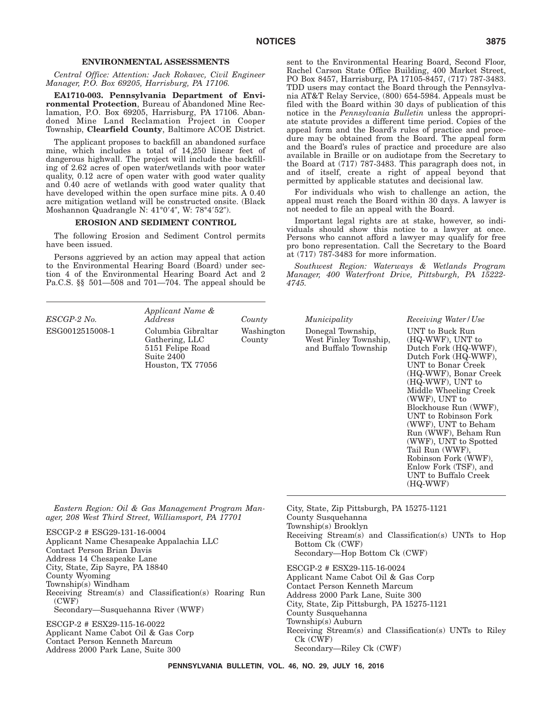# **ENVIRONMENTAL ASSESSMENTS**

*Central Office: Attention: Jack Rokavec, Civil Engineer Manager, P.O. Box 69205, Harrisburg, PA 17106.*

**EA1710-003. Pennsylvania Department of Environmental Protection**, Bureau of Abandoned Mine Reclamation, P.O. Box 69205, Harrisburg, PA 17106. Abandoned Mine Land Reclamation Project in Cooper Township, **Clearfield County**, Baltimore ACOE District.

The applicant proposes to backfill an abandoned surface mine, which includes a total of 14,250 linear feet of dangerous highwall. The project will include the backfilling of 2.62 acres of open water/wetlands with poor water quality, 0.12 acre of open water with good water quality and 0.40 acre of wetlands with good water quality that have developed within the open surface mine pits. A 0.40 acre mitigation wetland will be constructed onsite. (Black Moshannon Quadrangle N: 41°0'4", W: 78°4'52").

#### **EROSION AND SEDIMENT CONTROL**

The following Erosion and Sediment Control permits have been issued.

Persons aggrieved by an action may appeal that action to the Environmental Hearing Board (Board) under section 4 of the Environmental Hearing Board Act and 2 Pa.C.S. §§ 501—508 and 701—704. The appeal should be

sent to the Environmental Hearing Board, Second Floor, Rachel Carson State Office Building, 400 Market Street, PO Box 8457, Harrisburg, PA 17105-8457, (717) 787-3483. TDD users may contact the Board through the Pennsylvania AT&T Relay Service, (800) 654-5984. Appeals must be filed with the Board within 30 days of publication of this notice in the *Pennsylvania Bulletin* unless the appropriate statute provides a different time period. Copies of the appeal form and the Board's rules of practice and procedure may be obtained from the Board. The appeal form and the Board's rules of practice and procedure are also available in Braille or on audiotape from the Secretary to the Board at (717) 787-3483. This paragraph does not, in and of itself, create a right of appeal beyond that permitted by applicable statutes and decisional law.

For individuals who wish to challenge an action, the appeal must reach the Board within 30 days. A lawyer is not needed to file an appeal with the Board.

Important legal rights are at stake, however, so individuals should show this notice to a lawyer at once. Persons who cannot afford a lawyer may qualify for free pro bono representation. Call the Secretary to the Board at (717) 787-3483 for more information.

*Southwest Region: Waterways & Wetlands Program Manager, 400 Waterfront Drive, Pittsburgh, PA 15222- 4745.*

| ESCGP-2 No.     | Applicant Name &<br><i>Address</i>                                                          | County               | Municipality                                                       | Receiving Water/Use                                                                                                                                                                                                                                                                                                                                                                                                               |
|-----------------|---------------------------------------------------------------------------------------------|----------------------|--------------------------------------------------------------------|-----------------------------------------------------------------------------------------------------------------------------------------------------------------------------------------------------------------------------------------------------------------------------------------------------------------------------------------------------------------------------------------------------------------------------------|
| ESG0012515008-1 | Columbia Gibraltar<br>Gathering, LLC<br>5151 Felipe Road<br>Suite 2400<br>Houston, TX 77056 | Washington<br>County | Donegal Township.<br>West Finley Township,<br>and Buffalo Township | UNT to Buck Run<br>(HQ-WWF), UNT to<br>Dutch Fork (HQ-WWF),<br>Dutch Fork (HQ-WWF),<br>UNT to Bonar Creek<br>(HQ-WWF), Bonar Creek<br>(HQ-WWF), UNT to<br>Middle Wheeling Creek<br>(WWF), UNT to<br>Blockhouse Run (WWF),<br>UNT to Robinson Fork<br>(WWF), UNT to Beham<br>Run (WWF), Beham Run<br>(WWF), UNT to Spotted<br>Tail Run (WWF),<br>Robinson Fork (WWF),<br>Enlow Fork (TSF), and<br>UNT to Buffalo Creek<br>(HQ-WWF) |

*Eastern Region: Oil & Gas Management Program Manager, 208 West Third Street, Williamsport, PA 17701*

ESCGP-2 # ESG29-131-16-0004 Applicant Name Chesapeake Appalachia LLC

Contact Person Brian Davis

Address 14 Chesapeake Lane

City, State, Zip Sayre, PA 18840

County Wyoming Township(s) Windham

Receiving Stream(s) and Classification(s) Roaring Run (CWF)

Secondary—Susquehanna River (WWF)

ESCGP-2 # ESX29-115-16-0022 Applicant Name Cabot Oil & Gas Corp Contact Person Kenneth Marcum Address 2000 Park Lane, Suite 300

City, State, Zip Pittsburgh, PA 15275-1121 County Susquehanna Township(s) Brooklyn Receiving Stream(s) and Classification(s) UNTs to Hop Bottom Ck (CWF) Secondary—Hop Bottom Ck (CWF) ESCGP-2 # ESX29-115-16-0024 Applicant Name Cabot Oil & Gas Corp Contact Person Kenneth Marcum Address 2000 Park Lane, Suite 300 City, State, Zip Pittsburgh, PA 15275-1121 County Susquehanna Township(s) Auburn Receiving Stream(s) and Classification(s) UNTs to Riley Ck (CWF) Secondary—Riley Ck (CWF)

**PENNSYLVANIA BULLETIN, VOL. 46, NO. 29, JULY 16, 2016**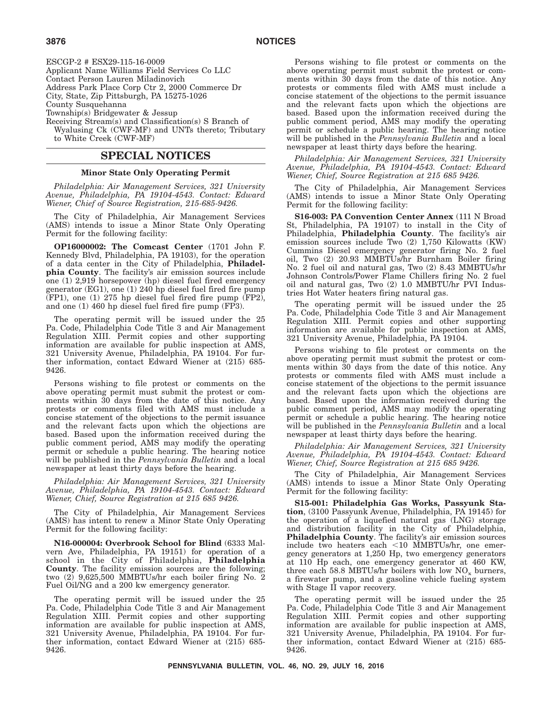ESCGP-2 # ESX29-115-16-0009

Applicant Name Williams Field Services Co LLC

Contact Person Lauren Miladinovich Address Park Place Corp Ctr 2, 2000 Commerce Dr

City, State, Zip Pittsburgh, PA 15275-1026

County Susquehanna

Township(s) Bridgewater & Jessup

Receiving Stream(s) and Classification(s) S Branch of Wyalusing Ck (CWF-MF) and UNTs thereto; Tributary to White Creek (CWF-MF)

# **SPECIAL NOTICES**

# **Minor State Only Operating Permit**

*Philadelphia: Air Management Services, 321 University Avenue, Philadelphia, PA 19104-4543. Contact: Edward Wiener, Chief of Source Registration, 215-685-9426.*

The City of Philadelphia, Air Management Services (AMS) intends to issue a Minor State Only Operating Permit for the following facility:

**OP16000002: The Comcast Center** (1701 John F. Kennedy Blvd, Philadelphia, PA 19103), for the operation of a data center in the City of Philadelphia, **Philadelphia County**. The facility's air emission sources include one (1) 2,919 horsepower (hp) diesel fuel fired emergency generator (EG1), one (1) 240 hp diesel fuel fired fire pump  $(FP1)$ , one (1) 275 hp diesel fuel fired fire pump  $(FP2)$ , and one (1) 460 hp diesel fuel fired fire pump (FP3).

The operating permit will be issued under the 25 Pa. Code, Philadelphia Code Title 3 and Air Management Regulation XIII. Permit copies and other supporting information are available for public inspection at AMS, 321 University Avenue, Philadelphia, PA 19104. For further information, contact Edward Wiener at (215) 685- 9426.

Persons wishing to file protest or comments on the above operating permit must submit the protest or comments within 30 days from the date of this notice. Any protests or comments filed with AMS must include a concise statement of the objections to the permit issuance and the relevant facts upon which the objections are based. Based upon the information received during the public comment period, AMS may modify the operating permit or schedule a public hearing. The hearing notice will be published in the *Pennsylvania Bulletin* and a local newspaper at least thirty days before the hearing.

*Philadelphia: Air Management Services, 321 University Avenue, Philadelphia, PA 19104-4543. Contact: Edward Wiener, Chief, Source Registration at 215 685 9426.*

The City of Philadelphia, Air Management Services (AMS) has intent to renew a Minor State Only Operating Permit for the following facility:

**N16-000004: Overbrook School for Blind** (6333 Malvern Ave, Philadelphia, PA 19151) for operation of a school in the City of Philadelphia, **Philadelphia County**. The facility emission sources are the following; two (2) 9,625,500 MMBTUs/hr each boiler firing No. 2 Fuel Oil/NG and a 200 kw emergency generator.

The operating permit will be issued under the 25 Pa. Code, Philadelphia Code Title 3 and Air Management Regulation XIII. Permit copies and other supporting information are available for public inspection at AMS, 321 University Avenue, Philadelphia, PA 19104. For further information, contact Edward Wiener at (215) 685- 9426.

Persons wishing to file protest or comments on the above operating permit must submit the protest or comments within 30 days from the date of this notice. Any protests or comments filed with AMS must include a concise statement of the objections to the permit issuance and the relevant facts upon which the objections are based. Based upon the information received during the public comment period, AMS may modify the operating permit or schedule a public hearing. The hearing notice will be published in the *Pennsylvania Bulletin* and a local newspaper at least thirty days before the hearing.

*Philadelphia: Air Management Services, 321 University Avenue, Philadelphia, PA 19104-4543. Contact: Edward Wiener, Chief, Source Registration at 215 685 9426.*

The City of Philadelphia, Air Management Services (AMS) intends to issue a Minor State Only Operating Permit for the following facility:

**S16-003: PA Convention Center Annex** (111 N Broad St, Philadelphia, PA 19107) to install in the City of Philadelphia, **Philadelphia County**. The facility's air emission sources include Two (2) 1,750 Kilowatts (KW) Cummins Diesel emergency generator firing No. 2 fuel oil, Two (2) 20.93 MMBTUs/hr Burnham Boiler firing No. 2 fuel oil and natural gas, Two (2) 8.43 MMBTUs/hr Johnson Controls/Power Flame Chillers firing No. 2 fuel oil and natural gas, Two (2) 1.0 MMBTU/hr PVI Industries Hot Water heaters firing natural gas.

The operating permit will be issued under the 25 Pa. Code, Philadelphia Code Title 3 and Air Management Regulation XIII. Permit copies and other supporting information are available for public inspection at AMS, 321 University Avenue, Philadelphia, PA 19104.

Persons wishing to file protest or comments on the above operating permit must submit the protest or comments within 30 days from the date of this notice. Any protests or comments filed with AMS must include a concise statement of the objections to the permit issuance and the relevant facts upon which the objections are based. Based upon the information received during the public comment period, AMS may modify the operating permit or schedule a public hearing. The hearing notice will be published in the *Pennsylvania Bulletin* and a local newspaper at least thirty days before the hearing.

*Philadelphia: Air Management Services, 321 University Avenue, Philadelphia, PA 19104-4543. Contact: Edward Wiener, Chief, Source Registration at 215 685 9426.*

The City of Philadelphia, Air Management Services (AMS) intends to issue a Minor State Only Operating Permit for the following facility:

**S15-001: Philadelphia Gas Works, Passyunk Station**, (3100 Passyunk Avenue, Philadelphia, PA 19145) for the operation of a liquefied natural gas (LNG) storage and distribution facility in the City of Philadelphia, **Philadelphia County**. The facility's air emission sources include two heaters each <10 MMBTUs/hr, one emergency generators at 1,250 Hp, two emergency generators at 110 Hp each, one emergency generator at 460 KW, three each  $58.8$  MBTUs/hr boilers with low NO<sub>x</sub> burners, a firewater pump, and a gasoline vehicle fueling system with Stage II vapor recovery.

The operating permit will be issued under the 25 Pa. Code, Philadelphia Code Title 3 and Air Management Regulation XIII. Permit copies and other supporting information are available for public inspection at AMS, 321 University Avenue, Philadelphia, PA 19104. For further information, contact Edward Wiener at (215) 685- 9426.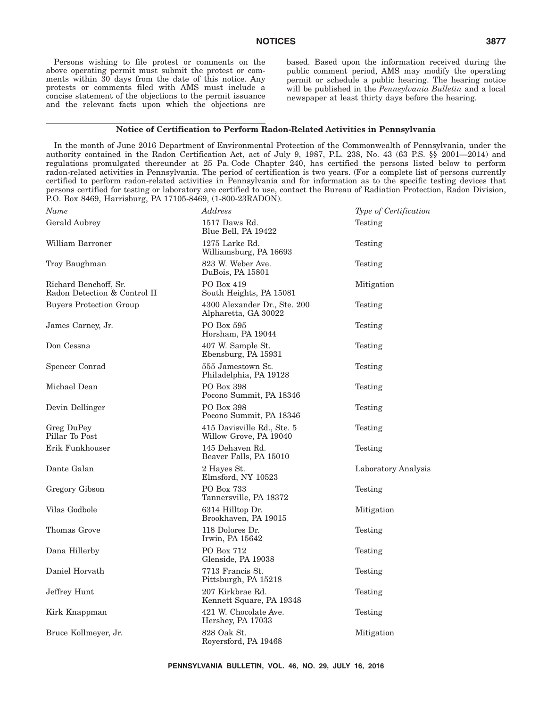Persons wishing to file protest or comments on the above operating permit must submit the protest or comments within 30 days from the date of this notice. Any protests or comments filed with AMS must include a concise statement of the objections to the permit issuance and the relevant facts upon which the objections are

based. Based upon the information received during the public comment period, AMS may modify the operating permit or schedule a public hearing. The hearing notice will be published in the *Pennsylvania Bulletin* and a local newspaper at least thirty days before the hearing.

#### **Notice of Certification to Perform Radon-Related Activities in Pennsylvania**

In the month of June 2016 Department of Environmental Protection of the Commonwealth of Pennsylvania, under the authority contained in the Radon Certification Act, act of July 9, 1987, P.L. 238, No. 43 (63 P.S. §§ 2001—2014) and regulations promulgated thereunder at 25 Pa. Code Chapter 240, has certified the persons listed below to perform radon-related activities in Pennsylvania. The period of certification is two years. (For a complete list of persons currently certified to perform radon-related activities in Pennsylvania and for information as to the specific testing devices that persons certified for testing or laboratory are certified to use, contact the Bureau of Radiation Protection, Radon Division, P.O. Box 8469, Harrisburg, PA 17105-8469, (1-800-23RADON).

| Name                                                  | Address                                              | Type of Certification |
|-------------------------------------------------------|------------------------------------------------------|-----------------------|
| Gerald Aubrey                                         | 1517 Daws Rd.<br>Blue Bell, PA 19422                 | Testing               |
| William Barroner                                      | 1275 Larke Rd.<br>Williamsburg, PA 16693             | Testing               |
| Troy Baughman                                         | 823 W. Weber Ave.<br>DuBois, PA 15801                | Testing               |
| Richard Benchoff, Sr.<br>Radon Detection & Control II | PO Box 419<br>South Heights, PA 15081                | Mitigation            |
| <b>Buyers Protection Group</b>                        | 4300 Alexander Dr., Ste. 200<br>Alpharetta, GA 30022 | Testing               |
| James Carney, Jr.                                     | PO Box 595<br>Horsham, PA 19044                      | Testing               |
| Don Cessna                                            | 407 W. Sample St.<br>Ebensburg, PA 15931             | Testing               |
| Spencer Conrad                                        | 555 Jamestown St.<br>Philadelphia, PA 19128          | Testing               |
| Michael Dean                                          | PO Box 398<br>Pocono Summit, PA 18346                | Testing               |
| Devin Dellinger                                       | PO Box 398<br>Pocono Summit, PA 18346                | Testing               |
| Greg DuPey<br>Pillar To Post                          | 415 Davisville Rd., Ste. 5<br>Willow Grove, PA 19040 | Testing               |
| Erik Funkhouser                                       | 145 Dehaven Rd.<br>Beaver Falls, PA 15010            | Testing               |
| Dante Galan                                           | 2 Hayes St.<br>Elmsford, NY 10523                    | Laboratory Analysis   |
| Gregory Gibson                                        | PO Box 733<br>Tannersville, PA 18372                 | Testing               |
| Vilas Godbole                                         | 6314 Hilltop Dr.<br>Brookhaven, PA 19015             | Mitigation            |
| Thomas Grove                                          | 118 Dolores Dr.<br>Irwin, PA 15642                   | Testing               |
| Dana Hillerby                                         | PO Box 712<br>Glenside, PA 19038                     | Testing               |
| Daniel Horvath                                        | 7713 Francis St.<br>Pittsburgh, PA 15218             | Testing               |
| Jeffrey Hunt                                          | 207 Kirkbrae Rd.<br>Kennett Square, PA 19348         | Testing               |
| Kirk Knappman                                         | 421 W. Chocolate Ave.<br>Hershey, PA 17033           | Testing               |
| Bruce Kollmeyer, Jr.                                  | 828 Oak St.<br>Royersford, PA 19468                  | Mitigation            |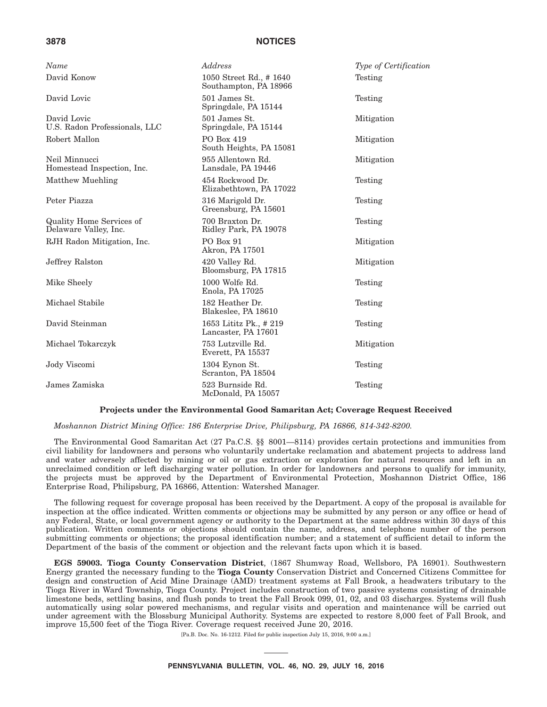| Name                                                     | Address                                         | Type of Certification |
|----------------------------------------------------------|-------------------------------------------------|-----------------------|
| David Konow                                              | 1050 Street Rd., #1640<br>Southampton, PA 18966 | Testing               |
| David Lovic                                              | 501 James St.<br>Springdale, PA 15144           | Testing               |
| David Lovic<br>U.S. Radon Professionals, LLC             | 501 James St.<br>Springdale, PA 15144           | Mitigation            |
| Robert Mallon                                            | PO Box 419<br>South Heights, PA 15081           | Mitigation            |
| Neil Minnucci<br>Homestead Inspection, Inc.              | 955 Allentown Rd.<br>Lansdale, PA 19446         | Mitigation            |
| Matthew Muehling                                         | 454 Rockwood Dr.<br>Elizabethtown, PA 17022     | Testing               |
| Peter Piazza                                             | 316 Marigold Dr.<br>Greensburg, PA 15601        | Testing               |
| <b>Quality Home Services of</b><br>Delaware Valley, Inc. | 700 Braxton Dr.<br>Ridley Park, PA 19078        | Testing               |
| RJH Radon Mitigation, Inc.                               | PO Box 91<br>Akron, PA 17501                    | Mitigation            |
| Jeffrey Ralston                                          | 420 Valley Rd.<br>Bloomsburg, PA 17815          | Mitigation            |
| Mike Sheely                                              | $1000$ Wolfe Rd.<br>Enola, PA 17025             | Testing               |
| Michael Stabile                                          | 182 Heather Dr.<br>Blakeslee, PA 18610          | Testing               |
| David Steinman                                           | 1653 Lititz Pk., # 219<br>Lancaster, PA 17601   | Testing               |
| Michael Tokarczyk                                        | 753 Lutzville Rd.<br>Everett, PA 15537          | Mitigation            |
| Jody Viscomi                                             | 1304 Eynon St.<br>Scranton, PA 18504            | Testing               |
| James Zamiska                                            | 523 Burnside Rd.<br>McDonald, PA 15057          | Testing               |

## **Projects under the Environmental Good Samaritan Act; Coverage Request Received**

*Moshannon District Mining Office: 186 Enterprise Drive, Philipsburg, PA 16866, 814-342-8200.*

The Environmental Good Samaritan Act (27 Pa.C.S. §§ 8001—8114) provides certain protections and immunities from civil liability for landowners and persons who voluntarily undertake reclamation and abatement projects to address land and water adversely affected by mining or oil or gas extraction or exploration for natural resources and left in an unreclaimed condition or left discharging water pollution. In order for landowners and persons to qualify for immunity, the projects must be approved by the Department of Environmental Protection, Moshannon District Office, 186 Enterprise Road, Philipsburg, PA 16866, Attention: Watershed Manager.

The following request for coverage proposal has been received by the Department. A copy of the proposal is available for inspection at the office indicated. Written comments or objections may be submitted by any person or any office or head of any Federal, State, or local government agency or authority to the Department at the same address within 30 days of this publication. Written comments or objections should contain the name, address, and telephone number of the person submitting comments or objections; the proposal identification number; and a statement of sufficient detail to inform the Department of the basis of the comment or objection and the relevant facts upon which it is based.

**EGS 59003. Tioga County Conservation District**, (1867 Shumway Road, Wellsboro, PA 16901). Southwestern Energy granted the necessary funding to the **Tioga County** Conservation District and Concerned Citizens Committee for design and construction of Acid Mine Drainage (AMD) treatment systems at Fall Brook, a headwaters tributary to the Tioga River in Ward Township, Tioga County. Project includes construction of two passive systems consisting of drainable limestone beds, settling basins, and flush ponds to treat the Fall Brook 099, 01, 02, and 03 discharges. Systems will flush automatically using solar powered mechanisms, and regular visits and operation and maintenance will be carried out under agreement with the Blossburg Municipal Authority. Systems are expected to restore 8,000 feet of Fall Brook, and improve 15,500 feet of the Tioga River. Coverage request received June 20, 2016.

[Pa.B. Doc. No. 16-1212. Filed for public inspection July 15, 2016, 9:00 a.m.]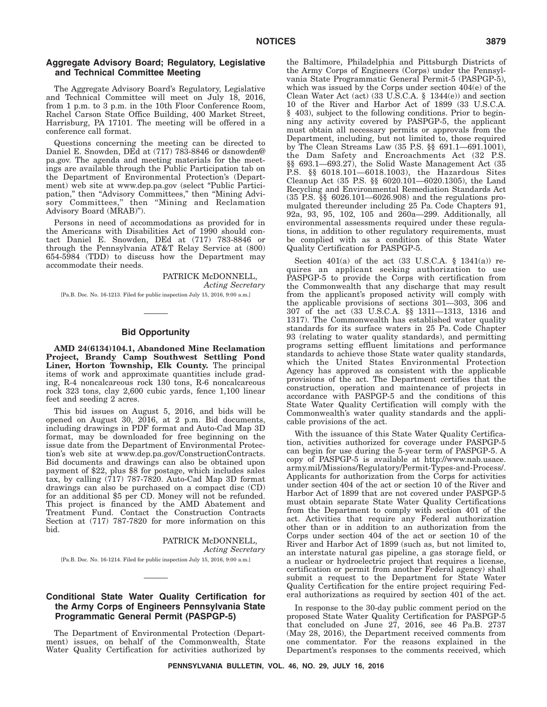# **Aggregate Advisory Board; Regulatory, Legislative and Technical Committee Meeting**

The Aggregate Advisory Board's Regulatory, Legislative and Technical Committee will meet on July 18, 2016, from 1 p.m. to 3 p.m. in the 10th Floor Conference Room, Rachel Carson State Office Building, 400 Market Street, Harrisburg, PA 17101. The meeting will be offered in a conference call format.

Questions concerning the meeting can be directed to Daniel E. Snowden, DEd at (717) 783-8846 or dsnowden@ pa.gov. The agenda and meeting materials for the meetings are available through the Public Participation tab on the Department of Environmental Protection's (Department) web site at www.dep.pa.gov (select "Public Participation," then "Advisory Committees," then "Mining Advisory Committees,'' then ''Mining and Reclamation Advisory Board (MRAB)'').

Persons in need of accommodations as provided for in the Americans with Disabilities Act of 1990 should contact Daniel E. Snowden, DEd at (717) 783-8846 or through the Pennsylvania AT&T Relay Service at (800) 654-5984 (TDD) to discuss how the Department may accommodate their needs.

> PATRICK McDONNELL, *Acting Secretary*

[Pa.B. Doc. No. 16-1213. Filed for public inspection July 15, 2016, 9:00 a.m.]

### **Bid Opportunity**

**AMD 24(6134)104.1, Abandoned Mine Reclamation Project, Brandy Camp Southwest Settling Pond Liner, Horton Township, Elk County.** The principal items of work and approximate quantities include grading, R-4 noncalcareous rock 130 tons, R-6 noncalcareous rock 323 tons, clay 2,600 cubic yards, fence 1,100 linear feet and seeding 2 acres.

This bid issues on August 5, 2016, and bids will be opened on August 30, 2016, at 2 p.m. Bid documents, including drawings in PDF format and Auto-Cad Map 3D format, may be downloaded for free beginning on the issue date from the Department of Environmental Protection's web site at www.dep.pa.gov/ConstructionContracts. Bid documents and drawings can also be obtained upon payment of \$22, plus \$8 for postage, which includes sales tax, by calling (717) 787-7820. Auto-Cad Map 3D format drawings can also be purchased on a compact disc (CD) for an additional \$5 per CD. Money will not be refunded. This project is financed by the AMD Abatement and Treatment Fund. Contact the Construction Contracts Section at (717) 787-7820 for more information on this bid.

> PATRICK McDONNELL, *Acting Secretary*

[Pa.B. Doc. No. 16-1214. Filed for public inspection July 15, 2016, 9:00 a.m.]

# **Conditional State Water Quality Certification for the Army Corps of Engineers Pennsylvania State Programmatic General Permit (PASPGP-5)**

The Department of Environmental Protection (Department) issues, on behalf of the Commonwealth, State Water Quality Certification for activities authorized by the Baltimore, Philadelphia and Pittsburgh Districts of the Army Corps of Engineers (Corps) under the Pennsylvania State Programmatic General Permit-5 (PASPGP-5), which was issued by the Corps under section 404(e) of the Clean Water Act (act) (33 U.S.C.A. § 1344(e)) and section 10 of the River and Harbor Act of 1899 (33 U.S.C.A. § 403), subject to the following conditions. Prior to beginning any activity covered by PASPGP-5, the applicant must obtain all necessary permits or approvals from the Department, including, but not limited to, those required by The Clean Streams Law (35 P.S. §§ 691.1—691.1001), the Dam Safety and Encroachments Act (32 P.S. §§ 693.1—693.27), the Solid Waste Management Act (35 P.S. §§ 6018.101—6018.1003), the Hazardous Sites Cleanup Act (35 P.S. §§ 6020.101—6020.1305), the Land Recycling and Environmental Remediation Standards Act (35 P.S. §§ 6026.101—6026.908) and the regulations promulgated thereunder including 25 Pa. Code Chapters 91, 92a, 93, 95, 102, 105 and 260a—299. Additionally, all environmental assessments required under these regulations, in addition to other regulatory requirements, must be complied with as a condition of this State Water Quality Certification for PASPGP-5.

Section 401(a) of the act  $(33 \text{ U.S.C.A. } § 1341(a))$  requires an applicant seeking authorization to use PASPGP-5 to provide the Corps with certification from the Commonwealth that any discharge that may result from the applicant's proposed activity will comply with the applicable provisions of sections 301—303, 306 and 307 of the act (33 U.S.C.A. §§ 1311—1313, 1316 and 1317). The Commonwealth has established water quality standards for its surface waters in 25 Pa. Code Chapter 93 (relating to water quality standards), and permitting programs setting effluent limitations and performance standards to achieve those State water quality standards, which the United States Environmental Protection Agency has approved as consistent with the applicable provisions of the act. The Department certifies that the construction, operation and maintenance of projects in accordance with PASPGP-5 and the conditions of this State Water Quality Certification will comply with the Commonwealth's water quality standards and the applicable provisions of the act.

With the issuance of this State Water Quality Certification, activities authorized for coverage under PASPGP-5 can begin for use during the 5-year term of PASPGP-5. A copy of PASPGP-5 is available at http://www.nab.usace. army.mil/Missions/Regulatory/Permit-Types-and-Process/. Applicants for authorization from the Corps for activities under section 404 of the act or section 10 of the River and Harbor Act of 1899 that are not covered under PASPGP-5 must obtain separate State Water Quality Certifications from the Department to comply with section 401 of the act. Activities that require any Federal authorization other than or in addition to an authorization from the Corps under section 404 of the act or section 10 of the River and Harbor Act of 1899 (such as, but not limited to, an interstate natural gas pipeline, a gas storage field, or a nuclear or hydroelectric project that requires a license, certification or permit from another Federal agency) shall submit a request to the Department for State Water Quality Certification for the entire project requiring Federal authorizations as required by section 401 of the act.

In response to the 30-day public comment period on the proposed State Water Quality Certification for PASPGP-5 that concluded on June  $27, 2016$ , see  $46$  Pa.B.  $2737$ (May 28, 2016), the Department received comments from one commentator. For the reasons explained in the Department's responses to the comments received, which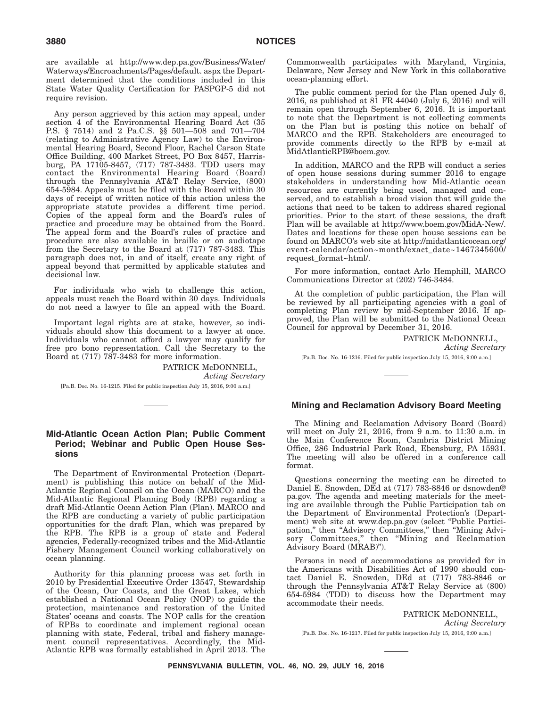are available at http://www.dep.pa.gov/Business/Water/ Waterways/Encroachments/Pages/default. aspx the Department determined that the conditions included in this State Water Quality Certification for PASPGP-5 did not require revision.

Any person aggrieved by this action may appeal, under section 4 of the Environmental Hearing Board Act (35 P.S. § 7514) and 2 Pa.C.S. §§ 501—508 and 701—704 (relating to Administrative Agency Law) to the Environmental Hearing Board, Second Floor, Rachel Carson State Office Building, 400 Market Street, PO Box 8457, Harrisburg, PA 17105-8457, (717) 787-3483. TDD users may contact the Environmental Hearing Board (Board) through the Pennsylvania AT&T Relay Service, (800) 654-5984. Appeals must be filed with the Board within 30 days of receipt of written notice of this action unless the appropriate statute provides a different time period. Copies of the appeal form and the Board's rules of practice and procedure may be obtained from the Board. The appeal form and the Board's rules of practice and procedure are also available in braille or on audiotape from the Secretary to the Board at (717) 787-3483. This paragraph does not, in and of itself, create any right of appeal beyond that permitted by applicable statutes and decisional law.

For individuals who wish to challenge this action, appeals must reach the Board within 30 days. Individuals do not need a lawyer to file an appeal with the Board.

Important legal rights are at stake, however, so individuals should show this document to a lawyer at once. Individuals who cannot afford a lawyer may qualify for free pro bono representation. Call the Secretary to the Board at (717) 787-3483 for more information.

> PATRICK McDONNELL, *Acting Secretary*

[Pa.B. Doc. No. 16-1215. Filed for public inspection July 15, 2016, 9:00 a.m.]

# **Mid-Atlantic Ocean Action Plan; Public Comment Period; Webinar and Public Open House Sessions**

The Department of Environmental Protection (Department) is publishing this notice on behalf of the Mid-Atlantic Regional Council on the Ocean (MARCO) and the Mid-Atlantic Regional Planning Body (RPB) regarding a draft Mid-Atlantic Ocean Action Plan (Plan). MARCO and the RPB are conducting a variety of public participation opportunities for the draft Plan, which was prepared by the RPB. The RPB is a group of state and Federal agencies, Federally-recognized tribes and the Mid-Atlantic Fishery Management Council working collaboratively on ocean planning.

Authority for this planning process was set forth in 2010 by Presidential Executive Order 13547, Stewardship of the Ocean, Our Coasts, and the Great Lakes, which established a National Ocean Policy (NOP) to guide the protection, maintenance and restoration of the United States' oceans and coasts. The NOP calls for the creation of RPBs to coordinate and implement regional ocean planning with state, Federal, tribal and fishery management council representatives. Accordingly, the Mid-Atlantic RPB was formally established in April 2013. The

Commonwealth participates with Maryland, Virginia, Delaware, New Jersey and New York in this collaborative ocean-planning effort.

The public comment period for the Plan opened July 6, 2016, as published at 81 FR 44040 (July 6, 2016) and will remain open through September 6, 2016. It is important to note that the Department is not collecting comments on the Plan but is posting this notice on behalf of MARCO and the RPB. Stakeholders are encouraged to provide comments directly to the RPB by e-mail at MidAtlanticRPB@boem.gov.

In addition, MARCO and the RPB will conduct a series of open house sessions during summer 2016 to engage stakeholders in understanding how Mid-Atlantic ocean resources are currently being used, managed and conserved, and to establish a broad vision that will guide the actions that need to be taken to address shared regional priorities. Prior to the start of these sessions, the draft Plan will be available at http://www.boem.gov/MidA-New/. Dates and locations for these open house sessions can be found on MARCO's web site at http://midatlanticocean.org/ event-calendar/action~month/exact\_date~1467345600/ request\_format~html/.

For more information, contact Arlo Hemphill, MARCO Communications Director at (202) 746-3484.

At the completion of public participation, the Plan will be reviewed by all participating agencies with a goal of completing Plan review by mid-September 2016. If approved, the Plan will be submitted to the National Ocean Council for approval by December 31, 2016.

> PATRICK McDONNELL, *Acting Secretary*

[Pa.B. Doc. No. 16-1216. Filed for public inspection July 15, 2016, 9:00 a.m.]

## **Mining and Reclamation Advisory Board Meeting**

The Mining and Reclamation Advisory Board (Board) will meet on July 21, 2016, from 9 a.m. to 11:30 a.m. in the Main Conference Room, Cambria District Mining Office, 286 Industrial Park Road, Ebensburg, PA 15931. The meeting will also be offered in a conference call format.

Questions concerning the meeting can be directed to Daniel E. Snowden, DEd at (717) 783-8846 or dsnowden@ pa.gov. The agenda and meeting materials for the meeting are available through the Public Participation tab on the Department of Environmental Protection's (Department) web site at www.dep.pa.gov (select "Public Participation," then "Advisory Committees," then "Mining Advisory Committees,'' then ''Mining and Reclamation Advisory Board (MRAB)'').

Persons in need of accommodations as provided for in the Americans with Disabilities Act of 1990 should contact Daniel E. Snowden, DEd at (717) 783-8846 or through the Pennsylvania AT&T Relay Service at (800) 654-5984 (TDD) to discuss how the Department may accommodate their needs.

> PATRICK McDONNELL, *Acting Secretary*

[Pa.B. Doc. No. 16-1217. Filed for public inspection July 15, 2016, 9:00 a.m.]

**PENNSYLVANIA BULLETIN, VOL. 46, NO. 29, JULY 16, 2016**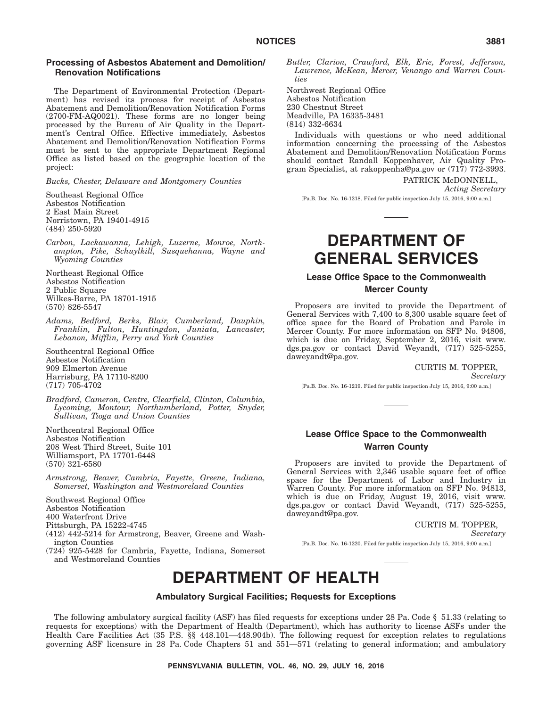# **Processing of Asbestos Abatement and Demolition/ Renovation Notifications**

The Department of Environmental Protection (Department) has revised its process for receipt of Asbestos Abatement and Demolition/Renovation Notification Forms (2700-FM-AQ0021). These forms are no longer being processed by the Bureau of Air Quality in the Department's Central Office. Effective immediately, Asbestos Abatement and Demolition/Renovation Notification Forms must be sent to the appropriate Department Regional Office as listed based on the geographic location of the project:

*Bucks, Chester, Delaware and Montgomery Counties*

Southeast Regional Office Asbestos Notification 2 East Main Street Norristown, PA 19401-4915 (484) 250-5920

*Carbon, Lackawanna, Lehigh, Luzerne, Monroe, Northampton, Pike, Schuylkill, Susquehanna, Wayne and Wyoming Counties*

Northeast Regional Office Asbestos Notification 2 Public Square Wilkes-Barre, PA 18701-1915 (570) 826-5547

*Adams, Bedford, Berks, Blair, Cumberland, Dauphin, Franklin, Fulton, Huntingdon, Juniata, Lancaster, Lebanon, Mifflin, Perry and York Counties*

Southcentral Regional Office Asbestos Notification 909 Elmerton Avenue Harrisburg, PA 17110-8200 (717) 705-4702

*Bradford, Cameron, Centre, Clearfield, Clinton, Columbia, Lycoming, Montour, Northumberland, Potter, Snyder, Sullivan, Tioga and Union Counties*

Northcentral Regional Office Asbestos Notification 208 West Third Street, Suite 101 Williamsport, PA 17701-6448 (570) 321-6580

*Armstrong, Beaver, Cambria, Fayette, Greene, Indiana, Somerset, Washington and Westmoreland Counties*

Southwest Regional Office Asbestos Notification

400 Waterfront Drive

Pittsburgh, PA 15222-4745

(412) 442-5214 for Armstrong, Beaver, Greene and Washington Counties

(724) 925-5428 for Cambria, Fayette, Indiana, Somerset and Westmoreland Counties

*Butler, Clarion, Crawford, Elk, Erie, Forest, Jefferson, Lawrence, McKean, Mercer, Venango and Warren Counties*

Northwest Regional Office Asbestos Notification 230 Chestnut Street Meadville, PA 16335-3481 (814) 332-6634

Individuals with questions or who need additional information concerning the processing of the Asbestos Abatement and Demolition/Renovation Notification Forms should contact Randall Koppenhaver, Air Quality Program Specialist, at rakoppenha@pa.gov or (717) 772-3993.

> PATRICK McDONNELL, *Acting Secretary*

[Pa.B. Doc. No. 16-1218. Filed for public inspection July 15, 2016, 9:00 a.m.]

# **DEPARTMENT OF GENERAL SERVICES**

# **Lease Office Space to the Commonwealth**

**Mercer County**

Proposers are invited to provide the Department of General Services with 7,400 to 8,300 usable square feet of office space for the Board of Probation and Parole in Mercer County. For more information on SFP No. 94806, which is due on Friday, September 2, 2016, visit www. dgs.pa.gov or contact David Weyandt, (717) 525-5255, daweyandt@pa.gov.

CURTIS M. TOPPER,

*Secretary*

[Pa.B. Doc. No. 16-1219. Filed for public inspection July 15, 2016, 9:00 a.m.]

# **Lease Office Space to the Commonwealth Warren County**

Proposers are invited to provide the Department of General Services with 2,346 usable square feet of office space for the Department of Labor and Industry in Warren County. For more information on SFP No. 94813, which is due on Friday, August 19, 2016, visit www. dgs.pa.gov or contact David Weyandt, (717) 525-5255, daweyandt@pa.gov.

> CURTIS M. TOPPER, *Secretary*

[Pa.B. Doc. No. 16-1220. Filed for public inspection July 15, 2016, 9:00 a.m.]

# **DEPARTMENT OF HEALTH**

**Ambulatory Surgical Facilities; Requests for Exceptions**

The following ambulatory surgical facility (ASF) has filed requests for exceptions under 28 Pa. Code § 51.33 (relating to requests for exceptions) with the Department of Health (Department), which has authority to license ASFs under the Health Care Facilities Act (35 P.S. §§ 448.101—448.904b). The following request for exception relates to regulations governing ASF licensure in 28 Pa. Code Chapters 51 and 551—571 (relating to general information; and ambulatory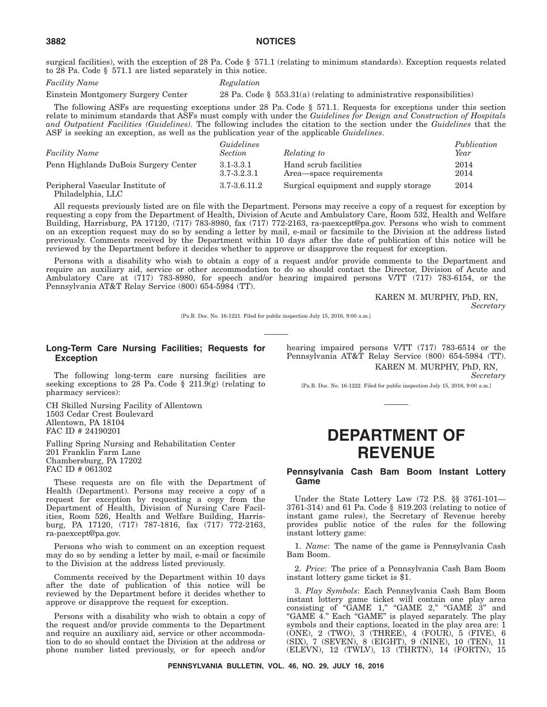surgical facilities), with the exception of 28 Pa. Code § 571.1 (relating to minimum standards). Exception requests related to 28 Pa. Code § 571.1 are listed separately in this notice.

*Facility Name* Regulation

Einstein Montgomery Surgery Center 28 Pa. Code § 553.31(a) (relating to administrative responsibilities)

The following ASFs are requesting exceptions under 28 Pa. Code § 571.1. Requests for exceptions under this section relate to minimum standards that ASFs must comply with under the *Guidelines for Design and Construction of Hospitals and Outpatient Facilities (Guidelines)*. The following includes the citation to the section under the *Guidelines* that the ASF is seeking an exception, as well as the publication year of the applicable *Guidelines*.

| Facility Name                                         | Guidelines<br><b>Section</b>     | Relating to                                      | Publication<br>Year |
|-------------------------------------------------------|----------------------------------|--------------------------------------------------|---------------------|
| Penn Highlands DuBois Surgery Center                  | $3.1 - 3.3.1$<br>$3.7 - 3.2.3.1$ | Hand scrub facilities<br>Area—space requirements | 2014<br>2014        |
| Peripheral Vascular Institute of<br>Philadelphia, LLC | $3.7 - 3.6.11.2$                 | Surgical equipment and supply storage            | 2014                |

All requests previously listed are on file with the Department. Persons may receive a copy of a request for exception by requesting a copy from the Department of Health, Division of Acute and Ambulatory Care, Room 532, Health and Welfare Building, Harrisburg, PA 17120, (717) 783-8980, fax (717) 772-2163, ra-paexcept@pa.gov. Persons who wish to comment on an exception request may do so by sending a letter by mail, e-mail or facsimile to the Division at the address listed previously. Comments received by the Department within 10 days after the date of publication of this notice will be reviewed by the Department before it decides whether to approve or disapprove the request for exception.

Persons with a disability who wish to obtain a copy of a request and/or provide comments to the Department and require an auxiliary aid, service or other accommodation to do so should contact the Director, Division of Acute and Ambulatory Care at (717) 783-8980, for speech and/or hearing impaired persons V/TT (717) 783-6154, or the Pennsylvania AT&T Relay Service (800) 654-5984 (TT).

> KAREN M. MURPHY, PhD, RN, *Secretary*

[Pa.B. Doc. No. 16-1221. Filed for public inspection July 15, 2016, 9:00 a.m.]

# **Long-Term Care Nursing Facilities; Requests for Exception**

The following long-term care nursing facilities are seeking exceptions to 28 Pa. Code  $\S$  211.9(g) (relating to pharmacy services):

CH Skilled Nursing Facility of Allentown 1503 Cedar Crest Boulevard Allentown, PA 18104 FAC ID # 24190201

Falling Spring Nursing and Rehabilitation Center 201 Franklin Farm Lane Chambersburg, PA 17202 FAC ID # 061302

These requests are on file with the Department of Health (Department). Persons may receive a copy of a request for exception by requesting a copy from the Department of Health, Division of Nursing Care Facilities, Room 526, Health and Welfare Building, Harrisburg, PA 17120, (717) 787-1816, fax (717) 772-2163, ra-paexcept@pa.gov.

Persons who wish to comment on an exception request may do so by sending a letter by mail, e-mail or facsimile to the Division at the address listed previously.

Comments received by the Department within 10 days after the date of publication of this notice will be reviewed by the Department before it decides whether to approve or disapprove the request for exception.

Persons with a disability who wish to obtain a copy of the request and/or provide comments to the Department and require an auxiliary aid, service or other accommodation to do so should contact the Division at the address or phone number listed previously, or for speech and/or

hearing impaired persons V/TT (717) 783-6514 or the Pennsylvania AT&T Relay Service (800) 654-5984 (TT). KAREN M. MURPHY, PhD, RN,

*Secretary*

[Pa.B. Doc. No. 16-1222. Filed for public inspection July 15, 2016, 9:00 a.m.]

# **DEPARTMENT OF REVENUE**

# **Pennsylvania Cash Bam Boom Instant Lottery Game**

Under the State Lottery Law (72 P.S. §§ 3761-101— 3761-314) and 61 Pa. Code § 819.203 (relating to notice of instant game rules), the Secretary of Revenue hereby provides public notice of the rules for the following instant lottery game:

1. *Name*: The name of the game is Pennsylvania Cash Bam Boom.

2. *Price*: The price of a Pennsylvania Cash Bam Boom instant lottery game ticket is \$1.

3. *Play Symbols*: Each Pennsylvania Cash Bam Boom instant lottery game ticket will contain one play area consisting of "GAME 1," "GAME 2," "GAME 3" and "GAME 4." Each "GAME" is played separately. The play symbols and their captions, located in the play area are: 1 (ONE), 2 (TWO), 3 (THREE), 4 (FOUR), 5 (FIVE), 6 (SIX), 7 (SEVEN), 8 (EIGHT), 9 (NINE), 10 (TEN), 11 (ELEVN), 12 (TWLV), 13 (THRTN), 14 (FORTN), 15

**PENNSYLVANIA BULLETIN, VOL. 46, NO. 29, JULY 16, 2016**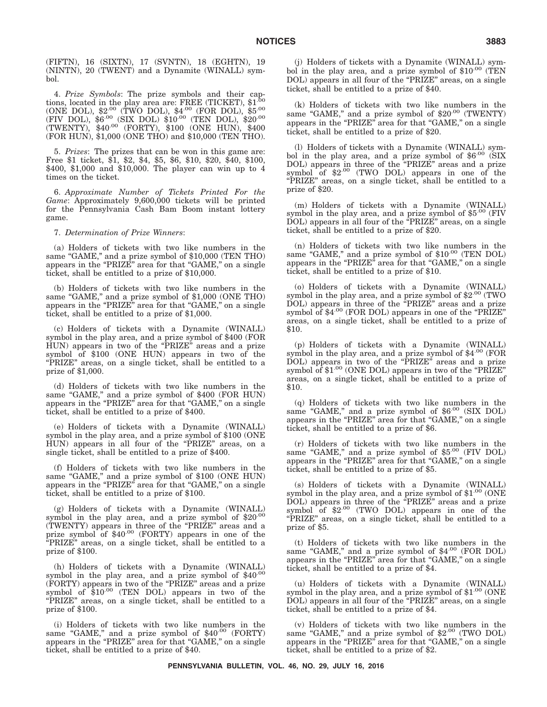(FIFTN), 16 (SIXTN), 17 (SVNTN), 18 (EGHTN), 19 (NINTN), 20 (TWENT) and a Dynamite (WINALL) symbol.

4. *Prize Symbols*: The prize symbols and their cap-tions, located in the play area are: FREE (TICKET), \$1.00 (ONE DOL), \$2.00 (TWO DOL), \$4.00 (FOR DOL), \$5.00 (FIV DOL), \$6.00 (SIX DOL) \$10.00 (TEN DOL), \$20.00 (TWENTY), \$40.00 (FORTY), \$100 (ONE HUN), \$400 (FOR HUN), \$1,000 (ONE THO) and \$10,000 (TEN THO).

5. *Prizes*: The prizes that can be won in this game are: Free \$1 ticket, \$1, \$2, \$4, \$5, \$6, \$10, \$20, \$40, \$100, \$400, \$1,000 and \$10,000. The player can win up to 4 times on the ticket.

6. *Approximate Number of Tickets Printed For the Game*: Approximately 9,600,000 tickets will be printed for the Pennsylvania Cash Bam Boom instant lottery game.

7. *Determination of Prize Winners*:

(a) Holders of tickets with two like numbers in the same "GAME," and a prize symbol of \$10,000 (TEN THO) appears in the "PRIZE" area for that "GAME," on a single ticket, shall be entitled to a prize of \$10,000.

(b) Holders of tickets with two like numbers in the same "GAME," and a prize symbol of \$1,000 (ONE THO) appears in the "PRIZE" area for that "GAME," on a single ticket, shall be entitled to a prize of \$1,000.

(c) Holders of tickets with a Dynamite (WINALL) symbol in the play area, and a prize symbol of \$400 (FOR HUN) appears in two of the "PRIZE" areas and a prize symbol of \$100 (ONE HUN) appears in two of the ''PRIZE'' areas, on a single ticket, shall be entitled to a prize of \$1,000.

(d) Holders of tickets with two like numbers in the same "GAME," and a prize symbol of \$400 (FOR HUN) appears in the "PRIZE" area for that "GAME," on a single ticket, shall be entitled to a prize of \$400.

(e) Holders of tickets with a Dynamite (WINALL) symbol in the play area, and a prize symbol of \$100 (ONE HUN) appears in all four of the "PRIZE" areas, on a single ticket, shall be entitled to a prize of \$400.

(f) Holders of tickets with two like numbers in the same "GAME," and a prize symbol of \$100 (ONE HUN) appears in the "PRIZE" area for that "GAME," on a single ticket, shall be entitled to a prize of \$100.

(g) Holders of tickets with a Dynamite (WINALL) symbol in the play area, and a prize symbol of \$20.00 (TWENTY) appears in three of the ''PRIZE'' areas and a prize symbol of  $$40^{.00}$  (FORTY) appears in one of the ''PRIZE'' areas, on a single ticket, shall be entitled to a prize of \$100.

(h) Holders of tickets with a Dynamite (WINALL) symbol in the play area, and a prize symbol of \$40<sup>.00</sup> (FORTY) appears in two of the "PRIZE" areas and a prize symbol of \$10.00 (TEN DOL) appears in two of the ''PRIZE'' areas, on a single ticket, shall be entitled to a prize of \$100.

(i) Holders of tickets with two like numbers in the same "GAME," and a prize symbol of \$40.00 (FORTY) appears in the "PRIZE" area for that "GAME," on a single ticket, shall be entitled to a prize of \$40.

(j) Holders of tickets with a Dynamite (WINALL) symbol in the play area, and a prize symbol of  $$10^{.00}$  (TEN DOL) appears in all four of the "PRIZE" areas, on a single ticket, shall be entitled to a prize of \$40.

(k) Holders of tickets with two like numbers in the same "GAME," and a prize symbol of \$20.00 (TWENTY) appears in the "PRIZE" area for that "GAME," on a single ticket, shall be entitled to a prize of \$20.

(l) Holders of tickets with a Dynamite (WINALL) symbol in the play area, and a prize symbol of \$6.00 (SIX DOL) appears in three of the "PRIZE" areas and a prize symbol of \$2.00 (TWO DOL) appears in one of the ''PRIZE'' areas, on a single ticket, shall be entitled to a prize of \$20.

(m) Holders of tickets with a Dynamite (WINALL) symbol in the play area, and a prize symbol of \$5.00 (FIV DOL) appears in all four of the "PRIZE" areas, on a single ticket, shall be entitled to a prize of \$20.

(n) Holders of tickets with two like numbers in the same "GAME," and a prize symbol of  $$10^{.00}$  (TEN DOL) appears in the "PRIZE" area for that "GAME," on a single ticket, shall be entitled to a prize of \$10.

(o) Holders of tickets with a Dynamite (WINALL) symbol in the play area, and a prize symbol of  $2^{.00}$  (TWO DOL) appears in three of the "PRIZE" areas and a prize symbol of \$4.00 (FOR DOL) appears in one of the "PRIZE" areas, on a single ticket, shall be entitled to a prize of \$10.

(p) Holders of tickets with a Dynamite (WINALL) symbol in the play area, and a prize symbol of \$4.00 (FOR DOL) appears in two of the "PRIZE" areas and a prize symbol of \$1<sup>.00</sup> (ONE DOL) appears in two of the "PRIZE" areas, on a single ticket, shall be entitled to a prize of \$10.

(q) Holders of tickets with two like numbers in the same "GAME," and a prize symbol of \$6.00 (SIX DOL) appears in the "PRIZE" area for that "GAME," on a single ticket, shall be entitled to a prize of \$6.

(r) Holders of tickets with two like numbers in the same "GAME," and a prize symbol of \$5.00 (FIV DOL) appears in the "PRIZE" area for that "GAME," on a single ticket, shall be entitled to a prize of \$5.

(s) Holders of tickets with a Dynamite (WINALL) symbol in the play area, and a prize symbol of \$1.00 (ONE DOL) appears in three of the "PRIZE" areas and a prize<br>symbol of \$2<sup>.00</sup> (TWO DOL) appears in one of the ''PRIZE'' areas, on a single ticket, shall be entitled to a prize of \$5.

(t) Holders of tickets with two like numbers in the same ''GAME,'' and a prize symbol of \$4.00 (FOR DOL) appears in the "PRIZE" area for that "GAME," on a single ticket, shall be entitled to a prize of \$4.

(u) Holders of tickets with a Dynamite (WINALL) symbol in the play area, and a prize symbol of  $$1^{.00}$  (ONE)  $\rm \overline{D}OL$ ) appears in all four of the "PRIZE" areas, on a single ticket, shall be entitled to a prize of \$4.

(v) Holders of tickets with two like numbers in the same "GAME," and a prize symbol of \$2.00 (TWO DOL) appears in the "PRIZE" area for that "GAME," on a single ticket, shall be entitled to a prize of \$2.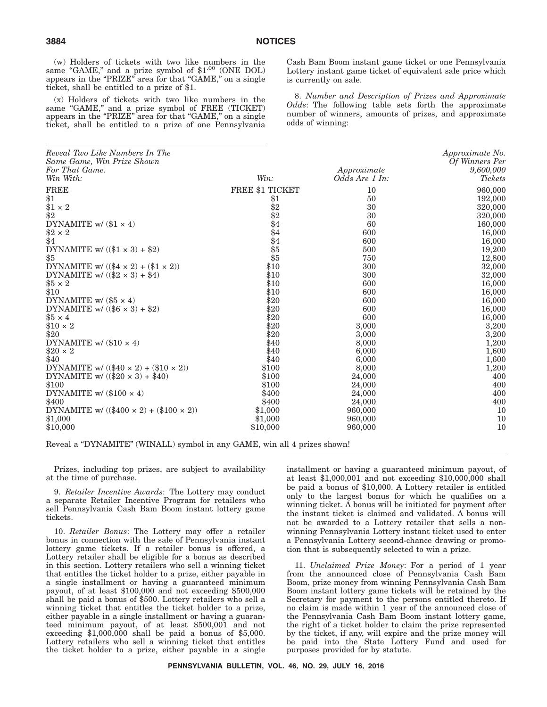(w) Holders of tickets with two like numbers in the same "GAME," and a prize symbol of \$1.00 (ONE DOL) appears in the "PRIZE" area for that "GAME," on a single ticket, shall be entitled to a prize of \$1.

(x) Holders of tickets with two like numbers in the same "GAME," and a prize symbol of FREE (TICKET) appears in the "PRIZE" area for that "GAME," on a single ticket, shall be entitled to a prize of one Pennsylvania Cash Bam Boom instant game ticket or one Pennsylvania Lottery instant game ticket of equivalent sale price which is currently on sale.

8. *Number and Description of Prizes and Approximate Odds*: The following table sets forth the approximate number of winners, amounts of prizes, and approximate odds of winning:

| Same Game, Win Prize Shown<br>Of Winners Per<br>9,600,000<br>For That Game.<br>Approximate<br>Win With:<br>Win:<br>Odds Are 1 In:<br><i>Tickets</i><br><b>FREE</b><br>FREE \$1 TICKET<br>960,000<br>10<br>\$1<br>50<br>\$1<br>192,000<br>$\$1 \times 2$<br>\$2<br>30<br>320,000<br>$\frac{1}{3}$<br>\$4<br>\$2<br>30<br>320,000<br>DYNAMITE w/ $(\$1 \times 4)$<br>60<br>160,000<br>$\dot{\$}4$<br>$$2 \times 2$<br>600<br>16,000<br>$\overline{$4}$<br>$\dot{\$}4$<br>600<br>16,000<br>\$5<br>DYNAMITE $w/((\$1 \times 3) + \$2)$<br>500<br>19,200<br>\$5<br>\$5<br>750<br>12,800<br>DYNAMITE w/ $((\$4 \times 2) + (\$1 \times 2))$<br>\$10<br>300<br>32,000<br>DYNAMITE w/ $((\$2 \times 3) + \$4)$<br>\$10<br>300<br>32,000<br>$$5 \times 2$<br>\$10<br>600<br>16,000<br>\$10<br>\$10<br>16,000<br>600<br>\$20<br>DYNAMITE w/ $(\$5 \times 4)$<br>600<br>16,000<br>DYNAMITE w/ $((\$6 \times 3) + \$2)$<br>\$20<br>600<br>16,000<br>\$20<br>$$5 \times 4$<br>600<br>16,000<br>$$10 \times 2$<br>\$20<br>3,000<br>3,200<br>\$20<br>\$20<br>3,000<br>3,200<br>DYNAMITE w/ $(\$10 \times 4)$<br>\$40<br>8,000<br>1,200<br>$$20 \times 2$<br>\$40<br>6,000<br>1,600<br>\$40<br>\$40<br>6,000<br>1,600<br>DYNAMITE w/ $((\$40 \times 2) + (\$10 \times 2))$<br>8,000<br>\$100<br>1,200<br>\$100<br>DYNAMITE w/ $((\$20 \times 3) + \$40)$<br>24,000<br>400<br>\$100<br>\$100<br>24,000<br>400<br>DYNAMITE w/ $(\$100 \times 4)$<br>\$400<br>24,000<br>400<br>\$400<br>\$400<br>400<br>24,000<br>DYNAMITE w/ $((\$400 \times 2) + (\$100 \times 2))$<br>10<br>\$1,000<br>960,000<br>\$1,000<br>\$1,000<br>10<br>960,000<br>10<br>\$10,000<br>\$10,000<br>960,000 | Reveal Two Like Numbers In The |  | Approximate No. |
|----------------------------------------------------------------------------------------------------------------------------------------------------------------------------------------------------------------------------------------------------------------------------------------------------------------------------------------------------------------------------------------------------------------------------------------------------------------------------------------------------------------------------------------------------------------------------------------------------------------------------------------------------------------------------------------------------------------------------------------------------------------------------------------------------------------------------------------------------------------------------------------------------------------------------------------------------------------------------------------------------------------------------------------------------------------------------------------------------------------------------------------------------------------------------------------------------------------------------------------------------------------------------------------------------------------------------------------------------------------------------------------------------------------------------------------------------------------------------------------------------------------------------------------------------------------------------------------------------------------------------------------------------------------|--------------------------------|--|-----------------|
|                                                                                                                                                                                                                                                                                                                                                                                                                                                                                                                                                                                                                                                                                                                                                                                                                                                                                                                                                                                                                                                                                                                                                                                                                                                                                                                                                                                                                                                                                                                                                                                                                                                                |                                |  |                 |
|                                                                                                                                                                                                                                                                                                                                                                                                                                                                                                                                                                                                                                                                                                                                                                                                                                                                                                                                                                                                                                                                                                                                                                                                                                                                                                                                                                                                                                                                                                                                                                                                                                                                |                                |  |                 |
|                                                                                                                                                                                                                                                                                                                                                                                                                                                                                                                                                                                                                                                                                                                                                                                                                                                                                                                                                                                                                                                                                                                                                                                                                                                                                                                                                                                                                                                                                                                                                                                                                                                                |                                |  |                 |
|                                                                                                                                                                                                                                                                                                                                                                                                                                                                                                                                                                                                                                                                                                                                                                                                                                                                                                                                                                                                                                                                                                                                                                                                                                                                                                                                                                                                                                                                                                                                                                                                                                                                |                                |  |                 |
|                                                                                                                                                                                                                                                                                                                                                                                                                                                                                                                                                                                                                                                                                                                                                                                                                                                                                                                                                                                                                                                                                                                                                                                                                                                                                                                                                                                                                                                                                                                                                                                                                                                                |                                |  |                 |
|                                                                                                                                                                                                                                                                                                                                                                                                                                                                                                                                                                                                                                                                                                                                                                                                                                                                                                                                                                                                                                                                                                                                                                                                                                                                                                                                                                                                                                                                                                                                                                                                                                                                |                                |  |                 |
|                                                                                                                                                                                                                                                                                                                                                                                                                                                                                                                                                                                                                                                                                                                                                                                                                                                                                                                                                                                                                                                                                                                                                                                                                                                                                                                                                                                                                                                                                                                                                                                                                                                                |                                |  |                 |
|                                                                                                                                                                                                                                                                                                                                                                                                                                                                                                                                                                                                                                                                                                                                                                                                                                                                                                                                                                                                                                                                                                                                                                                                                                                                                                                                                                                                                                                                                                                                                                                                                                                                |                                |  |                 |
|                                                                                                                                                                                                                                                                                                                                                                                                                                                                                                                                                                                                                                                                                                                                                                                                                                                                                                                                                                                                                                                                                                                                                                                                                                                                                                                                                                                                                                                                                                                                                                                                                                                                |                                |  |                 |
|                                                                                                                                                                                                                                                                                                                                                                                                                                                                                                                                                                                                                                                                                                                                                                                                                                                                                                                                                                                                                                                                                                                                                                                                                                                                                                                                                                                                                                                                                                                                                                                                                                                                |                                |  |                 |
|                                                                                                                                                                                                                                                                                                                                                                                                                                                                                                                                                                                                                                                                                                                                                                                                                                                                                                                                                                                                                                                                                                                                                                                                                                                                                                                                                                                                                                                                                                                                                                                                                                                                |                                |  |                 |
|                                                                                                                                                                                                                                                                                                                                                                                                                                                                                                                                                                                                                                                                                                                                                                                                                                                                                                                                                                                                                                                                                                                                                                                                                                                                                                                                                                                                                                                                                                                                                                                                                                                                |                                |  |                 |
|                                                                                                                                                                                                                                                                                                                                                                                                                                                                                                                                                                                                                                                                                                                                                                                                                                                                                                                                                                                                                                                                                                                                                                                                                                                                                                                                                                                                                                                                                                                                                                                                                                                                |                                |  |                 |
|                                                                                                                                                                                                                                                                                                                                                                                                                                                                                                                                                                                                                                                                                                                                                                                                                                                                                                                                                                                                                                                                                                                                                                                                                                                                                                                                                                                                                                                                                                                                                                                                                                                                |                                |  |                 |
|                                                                                                                                                                                                                                                                                                                                                                                                                                                                                                                                                                                                                                                                                                                                                                                                                                                                                                                                                                                                                                                                                                                                                                                                                                                                                                                                                                                                                                                                                                                                                                                                                                                                |                                |  |                 |
|                                                                                                                                                                                                                                                                                                                                                                                                                                                                                                                                                                                                                                                                                                                                                                                                                                                                                                                                                                                                                                                                                                                                                                                                                                                                                                                                                                                                                                                                                                                                                                                                                                                                |                                |  |                 |
|                                                                                                                                                                                                                                                                                                                                                                                                                                                                                                                                                                                                                                                                                                                                                                                                                                                                                                                                                                                                                                                                                                                                                                                                                                                                                                                                                                                                                                                                                                                                                                                                                                                                |                                |  |                 |
|                                                                                                                                                                                                                                                                                                                                                                                                                                                                                                                                                                                                                                                                                                                                                                                                                                                                                                                                                                                                                                                                                                                                                                                                                                                                                                                                                                                                                                                                                                                                                                                                                                                                |                                |  |                 |
|                                                                                                                                                                                                                                                                                                                                                                                                                                                                                                                                                                                                                                                                                                                                                                                                                                                                                                                                                                                                                                                                                                                                                                                                                                                                                                                                                                                                                                                                                                                                                                                                                                                                |                                |  |                 |
|                                                                                                                                                                                                                                                                                                                                                                                                                                                                                                                                                                                                                                                                                                                                                                                                                                                                                                                                                                                                                                                                                                                                                                                                                                                                                                                                                                                                                                                                                                                                                                                                                                                                |                                |  |                 |
|                                                                                                                                                                                                                                                                                                                                                                                                                                                                                                                                                                                                                                                                                                                                                                                                                                                                                                                                                                                                                                                                                                                                                                                                                                                                                                                                                                                                                                                                                                                                                                                                                                                                |                                |  |                 |
|                                                                                                                                                                                                                                                                                                                                                                                                                                                                                                                                                                                                                                                                                                                                                                                                                                                                                                                                                                                                                                                                                                                                                                                                                                                                                                                                                                                                                                                                                                                                                                                                                                                                |                                |  |                 |
|                                                                                                                                                                                                                                                                                                                                                                                                                                                                                                                                                                                                                                                                                                                                                                                                                                                                                                                                                                                                                                                                                                                                                                                                                                                                                                                                                                                                                                                                                                                                                                                                                                                                |                                |  |                 |
|                                                                                                                                                                                                                                                                                                                                                                                                                                                                                                                                                                                                                                                                                                                                                                                                                                                                                                                                                                                                                                                                                                                                                                                                                                                                                                                                                                                                                                                                                                                                                                                                                                                                |                                |  |                 |
|                                                                                                                                                                                                                                                                                                                                                                                                                                                                                                                                                                                                                                                                                                                                                                                                                                                                                                                                                                                                                                                                                                                                                                                                                                                                                                                                                                                                                                                                                                                                                                                                                                                                |                                |  |                 |
|                                                                                                                                                                                                                                                                                                                                                                                                                                                                                                                                                                                                                                                                                                                                                                                                                                                                                                                                                                                                                                                                                                                                                                                                                                                                                                                                                                                                                                                                                                                                                                                                                                                                |                                |  |                 |
|                                                                                                                                                                                                                                                                                                                                                                                                                                                                                                                                                                                                                                                                                                                                                                                                                                                                                                                                                                                                                                                                                                                                                                                                                                                                                                                                                                                                                                                                                                                                                                                                                                                                |                                |  |                 |
|                                                                                                                                                                                                                                                                                                                                                                                                                                                                                                                                                                                                                                                                                                                                                                                                                                                                                                                                                                                                                                                                                                                                                                                                                                                                                                                                                                                                                                                                                                                                                                                                                                                                |                                |  |                 |
|                                                                                                                                                                                                                                                                                                                                                                                                                                                                                                                                                                                                                                                                                                                                                                                                                                                                                                                                                                                                                                                                                                                                                                                                                                                                                                                                                                                                                                                                                                                                                                                                                                                                |                                |  |                 |
|                                                                                                                                                                                                                                                                                                                                                                                                                                                                                                                                                                                                                                                                                                                                                                                                                                                                                                                                                                                                                                                                                                                                                                                                                                                                                                                                                                                                                                                                                                                                                                                                                                                                |                                |  |                 |
|                                                                                                                                                                                                                                                                                                                                                                                                                                                                                                                                                                                                                                                                                                                                                                                                                                                                                                                                                                                                                                                                                                                                                                                                                                                                                                                                                                                                                                                                                                                                                                                                                                                                |                                |  |                 |
|                                                                                                                                                                                                                                                                                                                                                                                                                                                                                                                                                                                                                                                                                                                                                                                                                                                                                                                                                                                                                                                                                                                                                                                                                                                                                                                                                                                                                                                                                                                                                                                                                                                                |                                |  |                 |

Reveal a "DYNAMITE" (WINALL) symbol in any GAME, win all 4 prizes shown!

Prizes, including top prizes, are subject to availability at the time of purchase.

9. *Retailer Incentive Awards*: The Lottery may conduct a separate Retailer Incentive Program for retailers who sell Pennsylvania Cash Bam Boom instant lottery game tickets.

10. *Retailer Bonus*: The Lottery may offer a retailer bonus in connection with the sale of Pennsylvania instant lottery game tickets. If a retailer bonus is offered, a Lottery retailer shall be eligible for a bonus as described in this section. Lottery retailers who sell a winning ticket that entitles the ticket holder to a prize, either payable in a single installment or having a guaranteed minimum payout, of at least \$100,000 and not exceeding \$500,000 shall be paid a bonus of \$500. Lottery retailers who sell a winning ticket that entitles the ticket holder to a prize, either payable in a single installment or having a guaranteed minimum payout, of at least \$500,001 and not exceeding \$1,000,000 shall be paid a bonus of \$5,000. Lottery retailers who sell a winning ticket that entitles the ticket holder to a prize, either payable in a single

installment or having a guaranteed minimum payout, of at least \$1,000,001 and not exceeding \$10,000,000 shall be paid a bonus of \$10,000. A Lottery retailer is entitled only to the largest bonus for which he qualifies on a winning ticket. A bonus will be initiated for payment after the instant ticket is claimed and validated. A bonus will not be awarded to a Lottery retailer that sells a nonwinning Pennsylvania Lottery instant ticket used to enter a Pennsylvania Lottery second-chance drawing or promotion that is subsequently selected to win a prize.

11. *Unclaimed Prize Money*: For a period of 1 year from the announced close of Pennsylvania Cash Bam Boom, prize money from winning Pennsylvania Cash Bam Boom instant lottery game tickets will be retained by the Secretary for payment to the persons entitled thereto. If no claim is made within 1 year of the announced close of the Pennsylvania Cash Bam Boom instant lottery game, the right of a ticket holder to claim the prize represented by the ticket, if any, will expire and the prize money will be paid into the State Lottery Fund and used for purposes provided for by statute.

**PENNSYLVANIA BULLETIN, VOL. 46, NO. 29, JULY 16, 2016**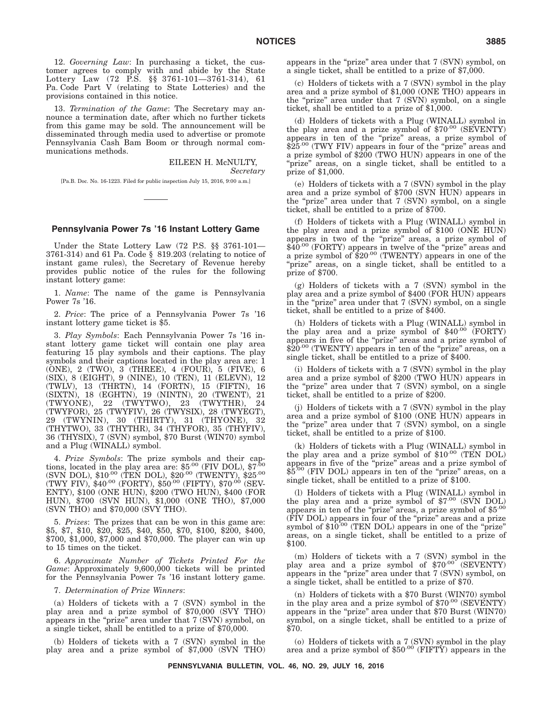12. *Governing Law*: In purchasing a ticket, the customer agrees to comply with and abide by the State Lottery Law (72 P.S. §§ 3761-101—3761-314), 61 Pa. Code Part V (relating to State Lotteries) and the provisions contained in this notice.

13. *Termination of the Game*: The Secretary may announce a termination date, after which no further tickets from this game may be sold. The announcement will be disseminated through media used to advertise or promote Pennsylvania Cash Bam Boom or through normal communications methods.

> EILEEN H. McNULTY, *Secretary*

[Pa.B. Doc. No. 16-1223. Filed for public inspection July 15, 2016, 9:00 a.m.]

### **Pennsylvania Power 7s '16 Instant Lottery Game**

Under the State Lottery Law (72 P.S. §§ 3761-101— 3761-314) and 61 Pa. Code § 819.203 (relating to notice of instant game rules), the Secretary of Revenue hereby provides public notice of the rules for the following instant lottery game:

1. *Name*: The name of the game is Pennsylvania Power 7s '16.

2. *Price*: The price of a Pennsylvania Power 7s '16 instant lottery game ticket is \$5.

3. *Play Symbols*: Each Pennsylvania Power 7s '16 instant lottery game ticket will contain one play area featuring 15 play symbols and their captions. The play symbols and their captions located in the play area are: 1 (ONE), 2 (TWO), 3 (THREE), 4 (FOUR), 5 (FIVE), 6 (SIX), 8 (EIGHT), 9 (NINE), 10 (TEN), 11 (ELEVN), 12 (TWLV), 13 (THRTN), 14 (FORTN), 15 (FIFTN), 16 (SIXTN), 18 (EGHTN), 19 (NINTN), 20 (TWENT), 21 (TWYONE), 22 (TWYTWO), 23 (TWYTHR), 24 (TWYFOR), 25 (TWYFIV), 26 (TWYSIX), 28 (TWYEGT), 29 (TWYNIN), 30 (THIRTY), 31 (THYONE), 32 (THYTWO), 33 (THYTHR), 34 (THYFOR), 35 (THYFIV), 36 (THYSIX), 7 (SVN) symbol, \$70 Burst (WIN70) symbol and a Plug (WINALL) symbol.

4. *Prize Symbols*: The prize symbols and their captions, located in the play area are:  $$5^{.00}$  (FIV DOL),  $$7^{.00}$ (SVN DOL), \$10.00 (TEN DOL), \$20.00 (TWENTY), \$25.00 (TWY FIV), \$40.00 (FORTY), \$50.00 (FIFTY), \$70.00 (SEV-ENTY), \$100 (ONE HUN), \$200 (TWO HUN), \$400 (FOR HUN), \$700 (SVN HUN), \$1,000 (ONE THO), \$7,000 (SVN THO) and \$70,000 (SVY THO).

5. *Prizes*: The prizes that can be won in this game are: \$5, \$7, \$10, \$20, \$25, \$40, \$50, \$70, \$100, \$200, \$400, \$700, \$1,000, \$7,000 and \$70,000. The player can win up to 15 times on the ticket.

6. *Approximate Number of Tickets Printed For the Game*: Approximately 9,600,000 tickets will be printed for the Pennsylvania Power 7s '16 instant lottery game.

#### 7. *Determination of Prize Winners*:

(a) Holders of tickets with a 7 (SVN) symbol in the play area and a prize symbol of \$70,000 (SVY THO) appears in the "prize" area under that 7 (SVN) symbol, on a single ticket, shall be entitled to a prize of \$70,000.

(b) Holders of tickets with a 7 (SVN) symbol in the play area and a prize symbol of \$7,000 (SVN THO) appears in the "prize" area under that 7 (SVN) symbol, on a single ticket, shall be entitled to a prize of \$7,000.

(c) Holders of tickets with a 7 (SVN) symbol in the play area and a prize symbol of \$1,000 (ONE THO) appears in the "prize" area under that  $7 \text{ (SVN)}$  symbol, on a single ticket, shall be entitled to a prize of \$1,000.

(d) Holders of tickets with a Plug (WINALL) symbol in the play area and a prize symbol of  $$70^{.00}$  (SEVENTY) appears in ten of the ''prize'' areas, a prize symbol of  $$25^{.00}$  (TWY FIV) appears in four of the "prize" areas and a prize symbol of \$200 (TWO HUN) appears in one of the "prize" areas, on a single ticket, shall be entitled to a prize of \$1,000.

(e) Holders of tickets with a 7 (SVN) symbol in the play area and a prize symbol of \$700 (SVN HUN) appears in the "prize" area under that 7 (SVN) symbol, on a single ticket, shall be entitled to a prize of \$700.

(f) Holders of tickets with a Plug (WINALL) symbol in the play area and a prize symbol of \$100 (ONE HUN) appears in two of the ''prize'' areas, a prize symbol of  $$40^{.00}$  (FORTY) appears in twelve of the "prize" areas and a prize symbol of \$20.00 (TWENTY) appears in one of the "prize" areas, on a single ticket, shall be entitled to a prize of \$700.

(g) Holders of tickets with a 7 (SVN) symbol in the play area and a prize symbol of \$400 (FOR HUN) appears in the "prize" area under that 7 (SVN) symbol, on a single ticket, shall be entitled to a prize of \$400.

(h) Holders of tickets with a Plug (WINALL) symbol in the play area and a prize symbol of  $$40^{00}$  (FORTY) appears in five of the ''prize'' areas and a prize symbol of  $$20^{00}$  (TWENTY) appears in ten of the "prize" areas, on a single ticket, shall be entitled to a prize of \$400.

(i) Holders of tickets with a 7 (SVN) symbol in the play area and a prize symbol of \$200 (TWO HUN) appears in the "prize" area under that 7 (SVN) symbol, on a single ticket, shall be entitled to a prize of \$200.

(j) Holders of tickets with a 7 (SVN) symbol in the play area and a prize symbol of \$100 (ONE HUN) appears in the "prize" area under that 7 (SVN) symbol, on a single ticket, shall be entitled to a prize of \$100.

(k) Holders of tickets with a Plug (WINALL) symbol in the play area and a prize symbol of  $$10^{.00}$  (TEN DOL) appears in five of the "prize" areas and a prize symbol of \$5<sup>.00</sup> (FIV DOL) appears in ten of the "prize" areas, on a single ticket, shall be entitled to a prize of \$100.

(l) Holders of tickets with a Plug (WINALL) symbol in the play area and a prize symbol of \$7.00 (SVN DOL) appears in ten of the "prize" areas, a prize symbol of \$5.00 (FIV DOL) appears in four of the ''prize'' areas and a prize symbol of \$10.00 (TEN DOL) appears in one of the "prize" areas, on a single ticket, shall be entitled to a prize of \$100.

(m) Holders of tickets with a 7 (SVN) symbol in the play area and a prize symbol of \$70.00 (SEVENTY) appears in the "prize" area under that 7 (SVN) symbol, on a single ticket, shall be entitled to a prize of \$70.

(n) Holders of tickets with a \$70 Burst (WIN70) symbol in the play area and a prize symbol of \$70 $^{00}$  (SEVENTY) appears in the "prize" area under that \$70 Burst (WIN70) symbol, on a single ticket, shall be entitled to a prize of \$70.

(o) Holders of tickets with a 7 (SVN) symbol in the play area and a prize symbol of  $$50^{.00}$  (FIFTY) appears in the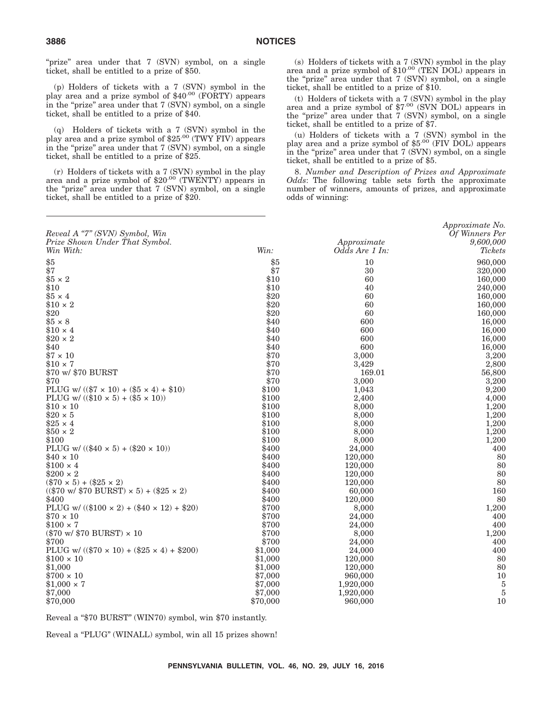"prize" area under that 7 (SVN) symbol, on a single ticket, shall be entitled to a prize of \$50.

(p) Holders of tickets with a 7 (SVN) symbol in the play area and a prize symbol of  $$40^{.00}$  (FORTY) appears in the "prize" area under that 7 (SVN) symbol, on a single ticket, shall be entitled to a prize of \$40.

(q) Holders of tickets with a 7 (SVN) symbol in the play area and a prize symbol of  $$25^{.00}$  (TWY FIV) appears in the "prize" area under that 7 (SVN) symbol, on a single ticket, shall be entitled to a prize of \$25.

(r) Holders of tickets with a 7 (SVN) symbol in the play area and a prize symbol of  $$20<sup>00</sup>$  (TWENTY) appears in the "prize" area under that 7 (SVN) symbol, on a single ticket, shall be entitled to a prize of \$20.

(s) Holders of tickets with a 7 (SVN) symbol in the play area and a prize symbol of  $$10^{.00}$  (TEN DOL) appears in the "prize" area under that 7 (SVN) symbol, on a single ticket, shall be entitled to a prize of \$10.

(t) Holders of tickets with a 7 (SVN) symbol in the play area and a prize symbol of  $$7^{.00}$  (SVN DOL) appears in the "prize" area under that 7 (SVN) symbol, on a single ticket, shall be entitled to a prize of \$7.

(u) Holders of tickets with a  $7$  (SVN) symbol in the play area and a prize symbol of  $$5^{\cdot 00}$  (FIV DOL) appears in the "prize" area under that 7 (SVN) symbol, on a single ticket, shall be entitled to a prize of \$5.

8. *Number and Description of Prizes and Approximate Odds*: The following table sets forth the approximate number of winners, amounts of prizes, and approximate odds of winning:

|                                                                      |          |                               | Approximate No.             |
|----------------------------------------------------------------------|----------|-------------------------------|-----------------------------|
| Reveal A "7" (SVN) Symbol, Win                                       |          |                               | Of Winners Per              |
| Prize Shown Under That Symbol.<br>Win With:                          | Win:     | Approximate<br>Odds Are 1 In: | 9,600,000<br><b>Tickets</b> |
|                                                                      |          |                               |                             |
| \$5                                                                  | \$5      | 10                            | 960,000                     |
| \$7                                                                  | \$7      | 30                            | 320,000                     |
| $$5 \times 2$                                                        | \$10     | 60                            | 160,000                     |
| \$10                                                                 | \$10     | 40                            | 240,000                     |
| $$5 \times 4$                                                        | \$20     | 60                            | 160,000                     |
| $$10 \times 2$                                                       | \$20     | 60                            | 160,000                     |
| \$20                                                                 | \$20     | 60                            | 160,000                     |
| $$5 \times 8$                                                        | \$40     | 600                           | 16,000                      |
| $$10 \times 4$                                                       | \$40     | 600                           | 16,000                      |
| $$20 \times 2$                                                       | \$40     | 600                           | 16,000                      |
| \$40                                                                 | \$40     | 600                           | 16,000                      |
| $$7 \times 10$                                                       | \$70     | 3,000                         | 3,200                       |
| $$10 \times 7$                                                       | \$70     | 3,429                         | 2,800                       |
| \$70 w/ \$70 BURST                                                   | \$70     | 169.01                        | 56,800                      |
| \$70                                                                 | \$70     | 3,000                         | 3,200                       |
| PLUG w/ $((\$7 \times 10) + (\$5 \times 4) + \$10)$                  | \$100    | 1,043                         | 9,200                       |
| PLUG w/ $((\$10 \times 5) + (\$5 \times 10))$                        | \$100    | 2,400                         | 4,000                       |
| $$10 \times 10$                                                      | \$100    | 8,000                         | 1,200                       |
| $$20 \times 5$                                                       | \$100    | 8,000                         | 1,200                       |
| $$25 \times 4$                                                       | \$100    | 8,000                         | 1,200                       |
| $$50 \times 2$                                                       | \$100    | 8,000                         | 1,200                       |
| \$100                                                                | \$100    | 8,000                         | 1,200                       |
| PLUG w/ $((\$40 \times 5) + (\$20 \times 10))$                       | \$400    | 24,000                        | 400                         |
| $$40 \times 10$                                                      | \$400    | 120,000                       | 80                          |
| $$100 \times 4$                                                      | \$400    | 120,000                       | 80                          |
| $$200 \times 2$                                                      | \$400    | 120,000                       | 80                          |
| $(\$70 \times 5) + (\$25 \times 2)$                                  | \$400    | 120,000                       | 80                          |
| $((\$70 \text{ w} / \$70 \text{ BURST}) \times 5) + (\$25 \times 2)$ | \$400    | 60,000                        | 160                         |
| \$400                                                                | \$400    | 120,000                       | 80                          |
| PLUG w/ $((\$100 \times 2) + (\$40 \times 12) + \$20)$               | \$700    | 8,000                         | 1,200                       |
| $$70 \times 10$                                                      | \$700    | 24,000                        | 400                         |
| $$100 \times 7$                                                      | \$700    | 24,000                        | 400                         |
| $(\$70 \text{ w}$ / $\$70 \text{ BURST}$ ) × 10                      | \$700    | 8,000                         | 1,200                       |
| \$700                                                                | \$700    | 24,000                        | 400                         |
| PLUG w/ $((\$70 \times 10) + (\$25 \times 4) + \$200)$               | \$1,000  | 24,000                        | 400                         |
| $$100 \times 10$                                                     | \$1,000  | 120,000                       | 80                          |
| \$1,000                                                              | \$1,000  | 120,000                       | 80                          |
| $$700 \times 10$                                                     | \$7,000  | 960,000                       | 10                          |
| $$1,000 \times 7$                                                    | \$7,000  | 1,920,000                     | $\overline{5}$              |
| \$7,000                                                              | \$7,000  | 1,920,000                     | 5                           |
| \$70,000                                                             | \$70,000 | 960,000                       | 10                          |

Reveal a "\$70 BURST" (WIN70) symbol, win \$70 instantly.

Reveal a "PLUG" (WINALL) symbol, win all 15 prizes shown!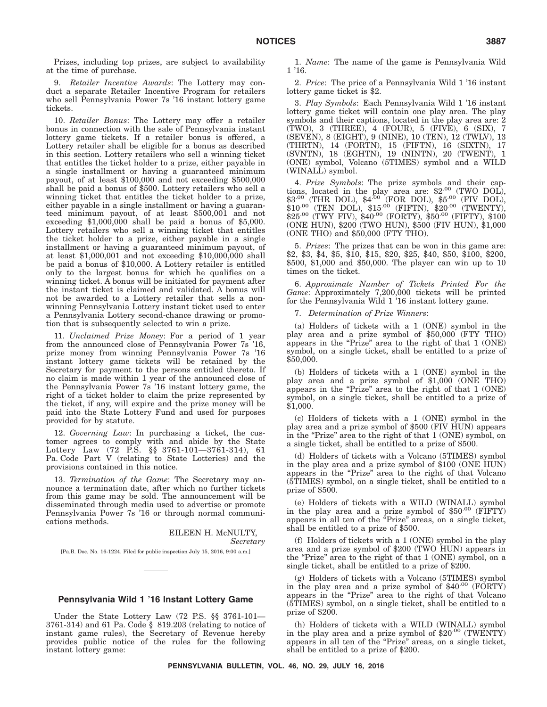Prizes, including top prizes, are subject to availability at the time of purchase.

9. *Retailer Incentive Awards*: The Lottery may conduct a separate Retailer Incentive Program for retailers who sell Pennsylvania Power 7s '16 instant lottery game tickets.

10. *Retailer Bonus*: The Lottery may offer a retailer bonus in connection with the sale of Pennsylvania instant lottery game tickets. If a retailer bonus is offered, a Lottery retailer shall be eligible for a bonus as described in this section. Lottery retailers who sell a winning ticket that entitles the ticket holder to a prize, either payable in a single installment or having a guaranteed minimum payout, of at least \$100,000 and not exceeding \$500,000 shall be paid a bonus of \$500. Lottery retailers who sell a winning ticket that entitles the ticket holder to a prize, either payable in a single installment or having a guaranteed minimum payout, of at least \$500,001 and not exceeding \$1,000,000 shall be paid a bonus of \$5,000. Lottery retailers who sell a winning ticket that entitles the ticket holder to a prize, either payable in a single installment or having a guaranteed minimum payout, of at least \$1,000,001 and not exceeding \$10,000,000 shall be paid a bonus of \$10,000. A Lottery retailer is entitled only to the largest bonus for which he qualifies on a winning ticket. A bonus will be initiated for payment after the instant ticket is claimed and validated. A bonus will not be awarded to a Lottery retailer that sells a nonwinning Pennsylvania Lottery instant ticket used to enter a Pennsylvania Lottery second-chance drawing or promotion that is subsequently selected to win a prize.

11. *Unclaimed Prize Money*: For a period of 1 year from the announced close of Pennsylvania Power 7s '16, prize money from winning Pennsylvania Power 7s '16 instant lottery game tickets will be retained by the Secretary for payment to the persons entitled thereto. If no claim is made within 1 year of the announced close of the Pennsylvania Power 7s '16 instant lottery game, the right of a ticket holder to claim the prize represented by the ticket, if any, will expire and the prize money will be paid into the State Lottery Fund and used for purposes provided for by statute.

12. *Governing Law*: In purchasing a ticket, the customer agrees to comply with and abide by the State Lottery Law (72 P.S. §§ 3761-101—3761-314), 61 Pa. Code Part V (relating to State Lotteries) and the provisions contained in this notice.

13. *Termination of the Game*: The Secretary may announce a termination date, after which no further tickets from this game may be sold. The announcement will be disseminated through media used to advertise or promote Pennsylvania Power 7s '16 or through normal communications methods.

> EILEEN H. McNULTY, *Secretary*

[Pa.B. Doc. No. 16-1224. Filed for public inspection July 15, 2016, 9:00 a.m.]

# **Pennsylvania Wild 1 '16 Instant Lottery Game**

Under the State Lottery Law (72 P.S. §§ 3761-101— 3761-314) and 61 Pa. Code § 819.203 (relating to notice of instant game rules), the Secretary of Revenue hereby provides public notice of the rules for the following instant lottery game:

1. *Name*: The name of the game is Pennsylvania Wild 1 '16.

2. *Price*: The price of a Pennsylvania Wild 1 '16 instant lottery game ticket is \$2.

3. *Play Symbols*: Each Pennsylvania Wild 1 '16 instant lottery game ticket will contain one play area. The play symbols and their captions, located in the play area are: 2 (TWO), 3 (THREE), 4 (FOUR), 5 (FIVE), 6 (SIX), 7 (SEVEN), 8 (EIGHT), 9 (NINE), 10 (TEN), 12 (TWLV), 13 (THRTN), 14 (FORTN), 15 (FIFTN), 16 (SIXTN), 17 (SVNTN), 18 (EGHTN), 19 (NINTN), 20 (TWENT), 1 (ONE) symbol, Volcano (5TIMES) symbol and a WILD (WINALL) symbol.

4. *Prize Symbols*: The prize symbols and their captions, located in the play area are:  $$2^{.00}$  (TWO DOL),  $$3^{.00}$  (THR DOL),  $$4^{.00}$  (FOR DOL),  $$5^{.00}$  (FIV DOL),  $$10^{.00}$  (TEN DOL), \$15.00 (FIFTN), \$20.00 (TWENTY), \$25.00 (TWY FIV), \$40.00 (FORTY), \$50.00 (FIFTY), \$100 (ONE HUN), \$200 (TWO HUN), \$500 (FIV HUN), \$1,000 (ONE THO) and \$50,000 (FTY THO).

5. *Prizes*: The prizes that can be won in this game are: \$2, \$3, \$4, \$5, \$10, \$15, \$20, \$25, \$40, \$50, \$100, \$200, \$500, \$1,000 and \$50,000. The player can win up to 10 times on the ticket.

6. *Approximate Number of Tickets Printed For the Game*: Approximately 7,200,000 tickets will be printed for the Pennsylvania Wild 1 '16 instant lottery game.

7. *Determination of Prize Winners*:

(a) Holders of tickets with a 1 (ONE) symbol in the play area and a prize symbol of \$50,000 (FTY THO) appears in the "Prize" area to the right of that 1 (ONE) symbol, on a single ticket, shall be entitled to a prize of \$50,000.

(b) Holders of tickets with a 1 (ONE) symbol in the play area and a prize symbol of \$1,000 (ONE THO) appears in the "Prize" area to the right of that 1 (ONE) symbol, on a single ticket, shall be entitled to a prize of  $$1,000$ 

(c) Holders of tickets with a 1 (ONE) symbol in the play area and a prize symbol of \$500 (FIV HUN) appears in the "Prize" area to the right of that 1 (ONE) symbol, on a single ticket, shall be entitled to a prize of \$500.

(d) Holders of tickets with a Volcano (5TIMES) symbol in the play area and a prize symbol of \$100 (ONE HUN) appears in the "Prize" area to the right of that Volcano (5TIMES) symbol, on a single ticket, shall be entitled to a prize of \$500.

(e) Holders of tickets with a WILD (WINALL) symbol in the play area and a prize symbol of  $$50^{.00}$  (FIFTY) appears in all ten of the "Prize" areas, on a single ticket, shall be entitled to a prize of \$500.

(f) Holders of tickets with a 1 (ONE) symbol in the play area and a prize symbol of \$200 (TWO HUN) appears in the "Prize" area to the right of that  $1$  (ONE) symbol, on a single ticket, shall be entitled to a prize of \$200.

(g) Holders of tickets with a Volcano (5TIMES) symbol in the play area and a prize symbol of  $$40^{.00}$  (FORTY) appears in the "Prize" area to the right of that Volcano (5TIMES) symbol, on a single ticket, shall be entitled to a prize of \$200.

(h) Holders of tickets with a WILD (WINALL) symbol in the play area and a prize symbol of  $$20<sup>00</sup> (TWENTY)$ appears in all ten of the "Prize" areas, on a single ticket, shall be entitled to a prize of \$200.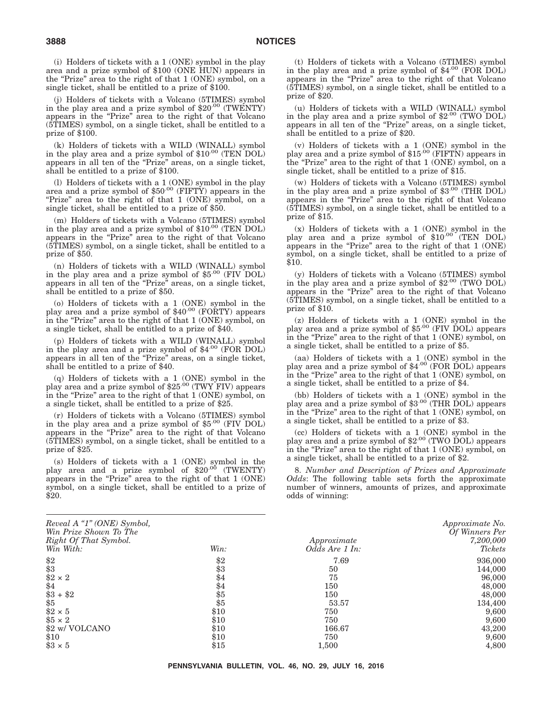(i) Holders of tickets with a 1 (ONE) symbol in the play area and a prize symbol of \$100 (ONE HUN) appears in the "Prize" area to the right of that 1 (ONE) symbol, on a single ticket, shall be entitled to a prize of \$100.

(j) Holders of tickets with a Volcano (5TIMES) symbol<br>in the play area and a prize symbol of \$20<sup>.00</sup> (TWENTY) appears in the ''Prize'' area to the right of that Volcano (5TIMES) symbol, on a single ticket, shall be entitled to a prize of \$100.

(k) Holders of tickets with a WILD (WINALL) symbol in the play area and a prize symbol of \$10.00 (TEN DOL) appears in all ten of the "Prize" areas, on a single ticket, shall be entitled to a prize of \$100.

(l) Holders of tickets with a  $1 \text{ (ONE)}$  symbol in the play area and a prize symbol of  $$50\text{ }^{\,00}$  (FIFTY) appears in the "Prize" area to the right of that 1 (ONE) symbol, on a single ticket, shall be entitled to a prize of \$50.

(m) Holders of tickets with a Volcano (5TIMES) symbol in the play area and a prize symbol of  $$10^{.00}$  (TEN DOL) appears in the "Prize" area to the right of that Volcano (5TIMES) symbol, on a single ticket, shall be entitled to a prize of \$50.

(n) Holders of tickets with a WILD (WINALL) symbol in the play area and a prize symbol of  $$5^{.00}$  (FIV DOL) appears in all ten of the "Prize" areas, on a single ticket, shall be entitled to a prize of \$50.

(o) Holders of tickets with a 1 (ONE) symbol in the play area and a prize symbol of \$40.00 (FORTY) appears in the "Prize" area to the right of that 1 (ONE) symbol, on a single ticket, shall be entitled to a prize of \$40.

(p) Holders of tickets with a WILD (WINALL) symbol in the play area and a prize symbol of \$4.00 (FOR DOL) appears in all ten of the ''Prize'' areas, on a single ticket, shall be entitled to a prize of \$40.

(q) Holders of tickets with a 1 (ONE) symbol in the play area and a prize symbol of \$25.00 (TWY FIV) appears in the "Prize" area to the right of that 1 (ONE) symbol, on a single ticket, shall be entitled to a prize of \$25.

(r) Holders of tickets with a Volcano (5TIMES) symbol in the play area and a prize symbol of  $$5^{.00}$  (FIV DOL) appears in the "Prize" area to the right of that Volcano (5TIMES) symbol, on a single ticket, shall be entitled to a prize of \$25.

(s) Holders of tickets with a 1 (ONE) symbol in the play area and a prize symbol of  $$20^{.00}$  (TWENTY) appears in the "Prize" area to the right of that 1 (ONE) symbol, on a single ticket, shall be entitled to a prize of \$20.

(t) Holders of tickets with a Volcano (5TIMES) symbol in the play area and a prize symbol of \$4.00 (FOR DOL) appears in the "Prize" area to the right of that Volcano (5TIMES) symbol, on a single ticket, shall be entitled to a prize of \$20.

(u) Holders of tickets with a WILD (WINALL) symbol in the play area and a prize symbol of  $$2^{.00}$  (TWO DOL) appears in all ten of the "Prize" areas, on a single ticket, shall be entitled to a prize of \$20.

(v) Holders of tickets with a 1 (ONE) symbol in the play area and a prize symbol of \$15.00 (FIFTN) appears in the "Prize" area to the right of that 1 (ONE) symbol, on a single ticket, shall be entitled to a prize of \$15.

(w) Holders of tickets with a Volcano (5TIMES) symbol in the play area and a prize symbol of \$3.00 (THR DOL) appears in the "Prize" area to the right of that Volcano (5TIMES) symbol, on a single ticket, shall be entitled to a prize of \$15.

(x) Holders of tickets with a 1 (ONE) symbol in the play area and a prize symbol of  $$10^{00}$  (TEN DOL) appears in the "Prize" area to the right of that 1 (ONE) symbol, on a single ticket, shall be entitled to a prize of  $$10.$ 

(y) Holders of tickets with a Volcano (5TIMES) symbol in the play area and a prize symbol of  $$2^{.00}$  (TWO DOL) appears in the "Prize" area to the right of that Volcano  $(5\text{TIMES})$  symbol, on a single ticket, shall be entitled to a prize of \$10.

(z) Holders of tickets with a 1 (ONE) symbol in the play area and a prize symbol of  $$5^{.00}$  (FIV DOL) appears in the "Prize" area to the right of that 1 (ONE) symbol, on a single ticket, shall be entitled to a prize of \$5.

(aa) Holders of tickets with a 1 (ONE) symbol in the play area and a prize symbol of  $$4^{.00}$  (FOR DOL) appears in the "Prize" area to the right of that 1 (ONE) symbol, on a single ticket, shall be entitled to a prize of \$4.

(bb) Holders of tickets with a  $1$  (ONE) symbol in the play area and a prize symbol of  $$3^{.00}$  (THR DOL) appears in the "Prize" area to the right of that 1 (ONE) symbol, on a single ticket, shall be entitled to a prize of \$3.

(cc) Holders of tickets with a 1 (ONE) symbol in the play area and a prize symbol of  $$2^{.00}$  (TWO DOL) appears in the "Prize" area to the right of that 1 (ONE) symbol, on a single ticket, shall be entitled to a prize of \$2.

8. *Number and Description of Prizes and Approximate Odds*: The following table sets forth the approximate number of winners, amounts of prizes, and approximate odds of winning:

| Reveal A "1" (ONE) Symbol,<br>Win Prize Shown To The |      |                | Approximate No.<br>Of Winners Per |
|------------------------------------------------------|------|----------------|-----------------------------------|
| Right Of That Symbol.                                |      | Approximate    | 7,200,000                         |
| Win With:                                            | Win: | Odds Are 1 In: | <b>Tickets</b>                    |
| \$2                                                  | \$2  | 7.69           | 936,000                           |
| \$3                                                  | \$3  | 50             | 144,000                           |
| $$2 \times 2$                                        | \$4  | 75             | 96,000                            |
| $\frac{$4}{$3} + $2$<br>\$3 + \$2                    | \$4  | 150            | 48,000                            |
|                                                      | \$5  | 150            | 48,000                            |
|                                                      | \$5  | 53.57          | 134,400                           |
| $$2 \times 5$                                        | \$10 | 750            | 9,600                             |
| $$5 \times 2$                                        | \$10 | 750            | 9,600                             |
| \$2 w/ VOLCANO                                       | \$10 | 166.67         | 43,200                            |
| \$10                                                 | \$10 | 750            | 9,600                             |
| $$3 \times 5$                                        | \$15 | 1,500          | 4,800                             |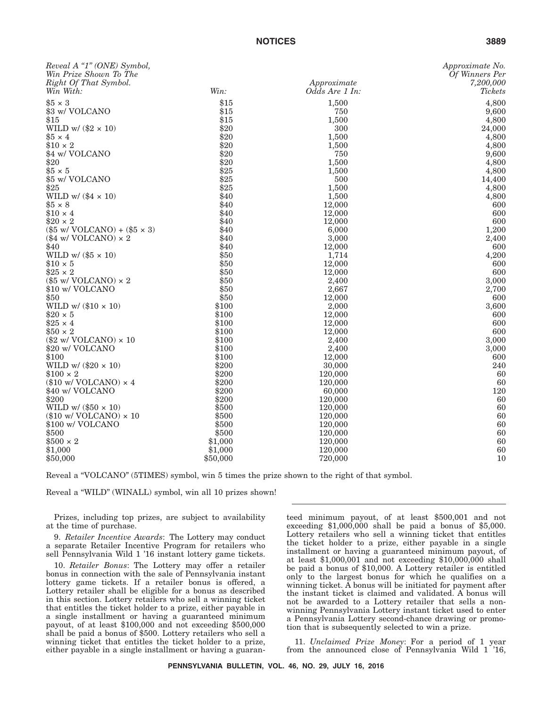| Reveal A "1" (ONE) Symbol,<br>Win Prize Shown To The |                  |                    | Approximate No.<br>Of Winners Per |
|------------------------------------------------------|------------------|--------------------|-----------------------------------|
| Right Of That Symbol.                                |                  | Approximate        | 7,200,000                         |
| Win With:                                            | Win:             | Odds Are 1 In:     | Tickets                           |
| $$5 \times 3$                                        | \$15             | 1,500              | 4,800                             |
| \$3 w/ VOLCANO                                       | \$15             | 750                | 9,600                             |
| \$15                                                 | \$15             | 1,500              | 4,800                             |
| WILD w/ $(\$2 \times 10)$                            | \$20             | 300                | 24,000                            |
| $$5 \times 4$                                        | \$20             | 1,500              | 4,800                             |
| $$10 \times 2$                                       | \$20             | 1,500              | 4,800                             |
| \$4 w/ VOLCANO                                       | \$20             | 750                | 9,600                             |
| \$20                                                 | \$20             | 1,500              | 4,800                             |
| $$5 \times 5$                                        | \$25             | 1,500              | 4,800                             |
| \$5 w/ VOLCANO                                       | \$25             | 500                | 14,400                            |
| \$25                                                 | \$25             | 1,500              | 4,800                             |
| WILD w/ $(\$4 \times 10)$                            | \$40             | 1,500              | 4,800                             |
| $$5 \times 8$                                        | \$40             | 12,000             | 600                               |
| $$10 \times 4$                                       | \$40             | 12,000             | 600                               |
| $$20 \times 2$                                       | \$40             | 12,000             | 600                               |
| $(\$5 \text{ w/ VOLCANO}) + (\$5 \times 3)$          | \$40             | 6,000              | 1,200                             |
| $(\$4 \text{ w/ VOLCANO}) \times 2$                  | \$40             | 3,000              | 2,400                             |
| \$40                                                 | \$40             | 12,000             | 600                               |
| WILD w/ $(\$5 \times 10)$                            | \$50             | 1,714              | 4,200                             |
| $$10 \times 5$                                       | \$50             | 12,000             | 600                               |
| $$25 \times 2$                                       | \$50             | 12,000             | 600                               |
| $(\$5$ w/ VOLCANO) $\times$ 2                        | \$50             | 2,400              | 3,000                             |
| \$10 w/ VOLCANO                                      | \$50             | 2,667              | 2,700                             |
| \$50                                                 | \$50             | 12,000             | 600                               |
| WILD w/ $(\$10 \times 10)$                           | \$100            | 2,000              | 3,600                             |
| $$20 \times 5$                                       | \$100            | 12,000             | 600                               |
| $$25 \times 4$                                       | \$100            | 12,000             | 600                               |
| $$50 \times 2$                                       | \$100            | 12,000             | 600                               |
| $(\$2$ w/ VOLCANO) $\times$ 10                       | \$100            | 2,400              | 3,000                             |
| \$20 w/ VOLCANO                                      | \$100            | 2,400              | 3,000                             |
| \$100                                                | \$100            | 12,000             | 600                               |
| WILD w/ $(\$20 \times 10)$                           | \$200            | 30,000             | 240                               |
| $$100 \times 2$                                      | \$200            | 120,000            | 60                                |
| $(\$10$ w/ VOLCANO) $\times$ 4                       | \$200            | 120,000            | 60                                |
| \$40 w/ VOLCANO                                      | \$200            | 60,000             | 120                               |
| \$200                                                | \$200            | 120,000            | 60                                |
| WILD w/ $(\$50 \times 10)$                           | \$500            | 120,000            | 60                                |
| $(\$10 \text{ w} / \text{VOLCANO}) \times 10$        | \$500            | 120,000            | 60                                |
| \$100 w/ VOLCANO                                     | \$500            | 120,000            | 60                                |
| \$500<br>$\$500 \times 2$                            | \$500<br>\$1,000 | 120,000<br>120,000 | 60<br>60                          |
| \$1,000                                              | \$1,000          | 120,000            | 60                                |
| \$50,000                                             | \$50,000         | 720,000            | 10                                |
|                                                      |                  |                    |                                   |

Reveal a ''VOLCANO'' (5TIMES) symbol, win 5 times the prize shown to the right of that symbol.

Reveal a "WILD" (WINALL) symbol, win all 10 prizes shown!

Prizes, including top prizes, are subject to availability at the time of purchase.

9. *Retailer Incentive Awards*: The Lottery may conduct a separate Retailer Incentive Program for retailers who sell Pennsylvania Wild 1 '16 instant lottery game tickets.

10. *Retailer Bonus*: The Lottery may offer a retailer bonus in connection with the sale of Pennsylvania instant lottery game tickets. If a retailer bonus is offered, a Lottery retailer shall be eligible for a bonus as described in this section. Lottery retailers who sell a winning ticket that entitles the ticket holder to a prize, either payable in a single installment or having a guaranteed minimum payout, of at least \$100,000 and not exceeding \$500,000 shall be paid a bonus of \$500. Lottery retailers who sell a winning ticket that entitles the ticket holder to a prize, either payable in a single installment or having a guaranteed minimum payout, of at least \$500,001 and not exceeding  $$1,000,000$  shall be paid a bonus of  $$5,000$ . Lottery retailers who sell a winning ticket that entitles the ticket holder to a prize, either payable in a single installment or having a guaranteed minimum payout, of at least \$1,000,001 and not exceeding \$10,000,000 shall be paid a bonus of \$10,000. A Lottery retailer is entitled only to the largest bonus for which he qualifies on a winning ticket. A bonus will be initiated for payment after the instant ticket is claimed and validated. A bonus will not be awarded to a Lottery retailer that sells a nonwinning Pennsylvania Lottery instant ticket used to enter a Pennsylvania Lottery second-chance drawing or promotion that is subsequently selected to win a prize.

11. *Unclaimed Prize Money*: For a period of 1 year from the announced close of Pennsylvania Wild 1 '16,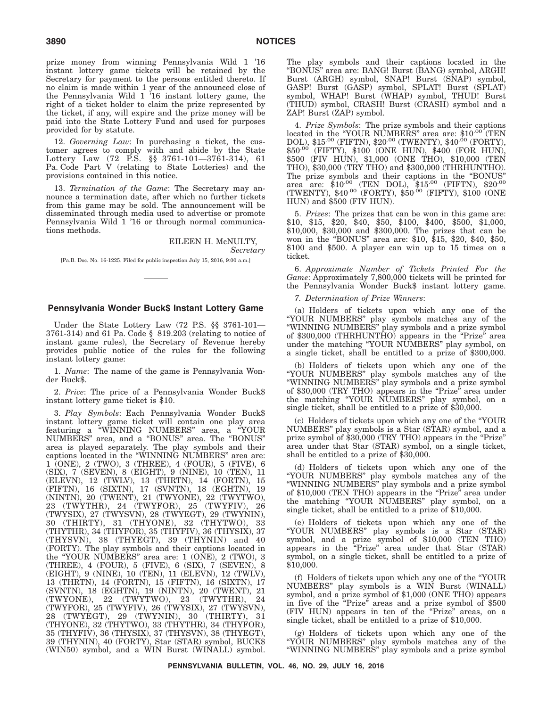prize money from winning Pennsylvania Wild 1 '16 instant lottery game tickets will be retained by the Secretary for payment to the persons entitled thereto. If no claim is made within 1 year of the announced close of the Pennsylvania Wild 1 '16 instant lottery game, the right of a ticket holder to claim the prize represented by the ticket, if any, will expire and the prize money will be paid into the State Lottery Fund and used for purposes provided for by statute.

12. *Governing Law*: In purchasing a ticket, the customer agrees to comply with and abide by the State Lottery Law (72 P.S. §§ 3761-101—3761-314), 61 Pa. Code Part V (relating to State Lotteries) and the provisions contained in this notice.

13. *Termination of the Game*: The Secretary may announce a termination date, after which no further tickets from this game may be sold. The announcement will be disseminated through media used to advertise or promote Pennsylvania Wild 1 '16 or through normal communications methods.

# EILEEN H. McNULTY,

*Secretary*

[Pa.B. Doc. No. 16-1225. Filed for public inspection July 15, 2016, 9:00 a.m.]

# **Pennsylvania Wonder Buck\$ Instant Lottery Game**

Under the State Lottery Law (72 P.S. §§ 3761-101— 3761-314) and 61 Pa. Code § 819.203 (relating to notice of instant game rules), the Secretary of Revenue hereby provides public notice of the rules for the following instant lottery game:

1. *Name*: The name of the game is Pennsylvania Wonder Buck\$.

2. *Price*: The price of a Pennsylvania Wonder Buck\$ instant lottery game ticket is \$10.

3. *Play Symbols*: Each Pennsylvania Wonder Buck\$ instant lottery game ticket will contain one play area featuring a ''WINNING NUMBERS'' area, a ''YOUR NUMBERS'' area, and a ''BONUS'' area. The ''BONUS'' area is played separately. The play symbols and their captions located in the "WINNING NUMBERS" area are: 1 (ONE), 2 (TWO), 3 (THREE), 4 (FOUR), 5 (FIVE), 6 (SIX), 7 (SEVEN), 8 (EIGHT), 9 (NINE), 10 (TEN), 11 (ELEVN), 12 (TWLV), 13 (THRTN), 14 (FORTN), 15 (FIFTN), 16 (SIXTN), 17 (SVNTN), 18 (EGHTN), 19 (NINTN), 20 (TWENT), 21 (TWYONE), 22 (TWYTWO), 23 (TWYTHR), 24 (TWYFOR), 25 (TWYFIV), 26 (TWYSIX), 27 (TWYSVN), 28 (TWYEGT), 29 (TWYNIN), 30 (THIRTY), 31 (THYONE), 32 (THYTWO), 33 (THYTHR), 34 (THYFOR), 35 (THYFIV), 36 (THYSIX), 37 (THYSVN), 38 (THYEGT), 39 (THYNIN) and 40 (FORTY). The play symbols and their captions located in the "YOUR NUMBERS" area are: 1 (ONE), 2 (TWO), 3 (THREE), 4 (FOUR), 5 (FIVE), 6 (SIX), 7 (SEVEN), 8 (EIGHT), 9 (NINE), 10 (TEN), 11 (ELEVN), 12 (TWLV), 13 (THRTN), 14 (FORTN), 15 (FIFTN), 16 (SIXTN), 17 (SVNTN), 18 (EGHTN), 19 (NINTN), 20 (TWENT), 21 (TWYONE), 22 (TWYTWO), 23 (TWYTHR), 24 (TWYFOR), 25 (TWYFIV), 26 (TWYSIX), 27 (TWYSVN), 28 (TWYEGT), 29 (TWYNIN), 30 (THIRTY), 31 (THYONE), 32 (THYTWO), 33 (THYTHR), 34 (THYFOR), 35 (THYFIV), 36 (THYSIX), 37 (THYSVN), 38 (THYEGT), 39 (THYNIN), 40 (FORTY), Star (STAR) symbol, BUCK\$ (WIN50) symbol, and a WIN Burst (WINALL) symbol. The play symbols and their captions located in the ''BONUS'' area are: BANG! Burst (BANG) symbol, ARGH! Burst (ARGH) symbol, SNAP! Burst (SNAP) symbol, GASP! Burst (GASP) symbol, SPLAT! Burst (SPLAT) symbol, WHAP! Burst (WHAP) symbol, THUD! Burst (THUD) symbol, CRASH! Burst (CRASH) symbol and a ZAP! Burst (ZAP) symbol.

4. *Prize Symbols*: The prize symbols and their captions located in the "YOUR NUMBERS" area are: \$10.00 (TEN DOL), \$15.00 (FIFTN), \$20.00 (TWENTY), \$40.00 (FORTY), \$50.00 (FIFTY), \$100 (ONE HUN), \$400 (FOR HUN), \$500 (FIV HUN), \$1,000 (ONE THO), \$10,000 (TEN THO), \$30,000 (TRY THO) and \$300,000 (THRHUNTHO). The prize symbols and their captions in the "BONUS" area are:  $$10^{.00}$  (TEN DOL),  $$15^{.00}$  (FIFTN),  $$20^{.00}$ (TWENTY), \$40.00 (FORTY), \$50.00 (FIFTY), \$100 (ONE HUN) and \$500 (FIV HUN).

5. *Prizes*: The prizes that can be won in this game are: \$10, \$15, \$20, \$40, \$50, \$100, \$400, \$500, \$1,000, \$10,000, \$30,000 and \$300,000. The prizes that can be won in the ''BONUS'' area are: \$10, \$15, \$20, \$40, \$50, \$100 and \$500. A player can win up to 15 times on a ticket.

6. *Approximate Number of Tickets Printed For the Game*: Approximately 7,800,000 tickets will be printed for the Pennsylvania Wonder Buck\$ instant lottery game.

*7. Determination of Prize Winners*:

(a) Holders of tickets upon which any one of the ''YOUR NUMBERS'' play symbols matches any of the ''WINNING NUMBERS'' play symbols and a prize symbol of \$300,000 (THRHUNTHO) appears in the ''Prize'' area under the matching ''YOUR NUMBERS'' play symbol, on a single ticket, shall be entitled to a prize of \$300,000.

(b) Holders of tickets upon which any one of the ''YOUR NUMBERS'' play symbols matches any of the ''WINNING NUMBERS'' play symbols and a prize symbol of \$30,000 (TRY THO) appears in the "Prize" area under the matching ''YOUR NUMBERS'' play symbol, on a single ticket, shall be entitled to a prize of \$30,000.

(c) Holders of tickets upon which any one of the ''YOUR NUMBERS'' play symbols is a Star (STAR) symbol, and a prize symbol of \$30,000 (TRY THO) appears in the "Prize" area under that Star (STAR) symbol, on a single ticket, shall be entitled to a prize of \$30,000.

(d) Holders of tickets upon which any one of the ''YOUR NUMBERS'' play symbols matches any of the ''WINNING NUMBERS'' play symbols and a prize symbol of \$10,000 (TEN THO) appears in the "Prize" area under the matching ''YOUR NUMBERS'' play symbol, on a single ticket, shall be entitled to a prize of \$10,000.

(e) Holders of tickets upon which any one of the "YOUR NUMBERS" play symbols is a Star (STAR) symbol, and a prize symbol of \$10,000 (TEN THO) appears in the "Prize" area under that Star (STAR) symbol, on a single ticket, shall be entitled to a prize of \$10,000.

(f) Holders of tickets upon which any one of the ''YOUR NUMBERS'' play symbols is a WIN Burst (WINALL) symbol, and a prize symbol of \$1,000 (ONE THO) appears in five of the "Prize" areas and a prize symbol of \$500 (FIV HUN) appears in ten of the "Prize" areas, on a single ticket, shall be entitled to a prize of \$10,000.

(g) Holders of tickets upon which any one of the ''YOUR NUMBERS'' play symbols matches any of the ''WINNING NUMBERS'' play symbols and a prize symbol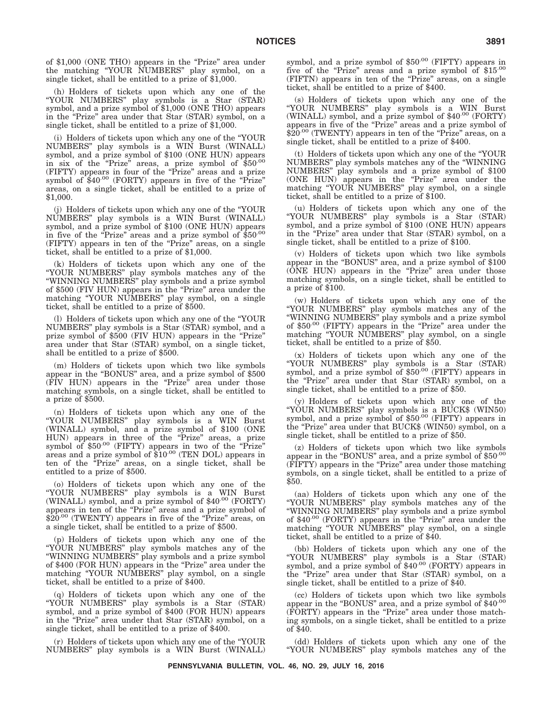of \$1,000 (ONE THO) appears in the "Prize" area under the matching ''YOUR NUMBERS'' play symbol, on a single ticket, shall be entitled to a prize of \$1,000.

(h) Holders of tickets upon which any one of the ''YOUR NUMBERS'' play symbols is a Star (STAR) symbol, and a prize symbol of \$1,000 (ONE THO) appears in the "Prize" area under that Star (STAR) symbol, on a single ticket, shall be entitled to a prize of \$1,000.

(i) Holders of tickets upon which any one of the ''YOUR NUMBERS'' play symbols is a WIN Burst (WINALL) symbol, and a prize symbol of \$100 (ONE HUN) appears in six of the "Prize" areas, a prize symbol of \$50.00 (FIFTY) appears in four of the "Prize" areas and a prize symbol of \$40.00 (FORTY) appears in five of the "Prize" areas, on a single ticket, shall be entitled to a prize of \$1,000.

(j) Holders of tickets upon which any one of the ''YOUR NUMBERS'' play symbols is a WIN Burst (WINALL) symbol, and a prize symbol of \$100 (ONE HUN) appears in five of the ''Prize'' areas and a prize symbol of \$50.00 (FIFTY) appears in ten of the "Prize" areas, on a single ticket, shall be entitled to a prize of \$1,000.

(k) Holders of tickets upon which any one of the ''YOUR NUMBERS'' play symbols matches any of the ''WINNING NUMBERS'' play symbols and a prize symbol of \$500 (FIV HUN) appears in the "Prize" area under the matching ''YOUR NUMBERS'' play symbol, on a single ticket, shall be entitled to a prize of \$500.

(l) Holders of tickets upon which any one of the ''YOUR NUMBERS'' play symbols is a Star (STAR) symbol, and a prize symbol of \$500 (FIV HUN) appears in the "Prize" area under that Star (STAR) symbol, on a single ticket, shall be entitled to a prize of \$500.

(m) Holders of tickets upon which two like symbols appear in the ''BONUS'' area, and a prize symbol of \$500 (FIV HUN) appears in the "Prize" area under those matching symbols, on a single ticket, shall be entitled to a prize of \$500.

(n) Holders of tickets upon which any one of the ''YOUR NUMBERS'' play symbols is a WIN Burst (WINALL) symbol, and a prize symbol of \$100 (ONE HUN) appears in three of the "Prize" areas, a prize<br>symbol of \$50<sup>.00</sup> (FIFTY) appears in two of the "Prize" areas and a prize symbol of  $$10^{.00}$  (TEN DOL) appears in ten of the ''Prize'' areas, on a single ticket, shall be entitled to a prize of \$500.

(o) Holders of tickets upon which any one of the ''YOUR NUMBERS'' play symbols is a WIN Burst (WINALL) symbol, and a prize symbol of \$40.00 (FORTY) appears in ten of the "Prize" areas and a prize symbol of  $$20^{00}$  (TWENTY) appears in five of the "Prize" areas, on a single ticket, shall be entitled to a prize of \$500.

(p) Holders of tickets upon which any one of the ''YOUR NUMBERS'' play symbols matches any of the ''WINNING NUMBERS'' play symbols and a prize symbol of \$400 (FOR HUN) appears in the "Prize" area under the matching ''YOUR NUMBERS'' play symbol, on a single ticket, shall be entitled to a prize of \$400.

(q) Holders of tickets upon which any one of the ''YOUR NUMBERS'' play symbols is a Star (STAR) symbol, and a prize symbol of \$400 (FOR HUN) appears in the "Prize" area under that Star (STAR) symbol, on a single ticket, shall be entitled to a prize of \$400.

(r) Holders of tickets upon which any one of the ''YOUR NUMBERS'' play symbols is a WIN Burst (WINALL)

symbol, and a prize symbol of \$50.00 (FIFTY) appears in five of the "Prize" areas and a prize symbol of \$15.00 (FIFTN) appears in ten of the ''Prize'' areas, on a single ticket, shall be entitled to a prize of \$400.

(s) Holders of tickets upon which any one of the "YOUR NUMBERS" play symbols is a WIN Burst<br>(WINALL) symbol, and a prize symbol of \$40.00 (FORTY) appears in five of the "Prize" areas and a prize symbol of  $$20^{00}$  (TWENTY) appears in ten of the "Prize" areas, on a single ticket, shall be entitled to a prize of \$400.

(t) Holders of tickets upon which any one of the ''YOUR NUMBERS'' play symbols matches any of the ''WINNING NUMBERS'' play symbols and a prize symbol of \$100 (ONE HUN) appears in the "Prize" area under the matching ''YOUR NUMBERS'' play symbol, on a single ticket, shall be entitled to a prize of \$100.

(u) Holders of tickets upon which any one of the ''YOUR NUMBERS'' play symbols is a Star (STAR) symbol, and a prize symbol of \$100 (ONE HUN) appears in the "Prize" area under that Star (STAR) symbol, on a single ticket, shall be entitled to a prize of \$100.

(v) Holders of tickets upon which two like symbols appear in the "BONUS" area, and a prize symbol of \$100 (ONE HUN) appears in the "Prize" area under those matching symbols, on a single ticket, shall be entitled to a prize of \$100.

(w) Holders of tickets upon which any one of the ''YOUR NUMBERS'' play symbols matches any of the ''WINNING NUMBERS'' play symbols and a prize symbol of \$50.00 (FIFTY) appears in the "Prize" area under the matching ''YOUR NUMBERS'' play symbol, on a single ticket, shall be entitled to a prize of \$50.

(x) Holders of tickets upon which any one of the "YOUR NUMBERS" play symbols is a Star (STAR) symbol, and a prize symbol of \$50<sup>.00</sup> (FIFTY) appears in the "Prize" area under that Star (STAR) symbol, on a single ticket, shall be entitled to a prize of \$50.

(y) Holders of tickets upon which any one of the ''YOUR NUMBERS'' play symbols is a BUCK\$ (WIN50) symbol, and a prize symbol of \$50.00 (FIFTY) appears in the "Prize" area under that BUCK\$ (WIN50) symbol, on a single ticket, shall be entitled to a prize of \$50.

(z) Holders of tickets upon which two like symbols appear in the "BONUS" area, and a prize symbol of \$50.00 (FIFTY) appears in the "Prize" area under those matching symbols, on a single ticket, shall be entitled to a prize of \$50.

(aa) Holders of tickets upon which any one of the ''YOUR NUMBERS'' play symbols matches any of the ''WINNING NUMBERS'' play symbols and a prize symbol of \$40.00 (FORTY) appears in the "Prize" area under the matching ''YOUR NUMBERS'' play symbol, on a single ticket, shall be entitled to a prize of \$40.

(bb) Holders of tickets upon which any one of the "YOUR NUMBERS" play symbols is a Star (STAR)<br>symbol, and a prize symbol of \$40<sup>.00</sup> (FORTY) appears in the "Prize" area under that Star (STAR) symbol, on a single ticket, shall be entitled to a prize of \$40.

(cc) Holders of tickets upon which two like symbols appear in the "BONUS" area, and a prize symbol of \$40.00 (FORTY) appears in the ''Prize'' area under those matching symbols, on a single ticket, shall be entitled to a prize of \$40.

(dd) Holders of tickets upon which any one of the ''YOUR NUMBERS'' play symbols matches any of the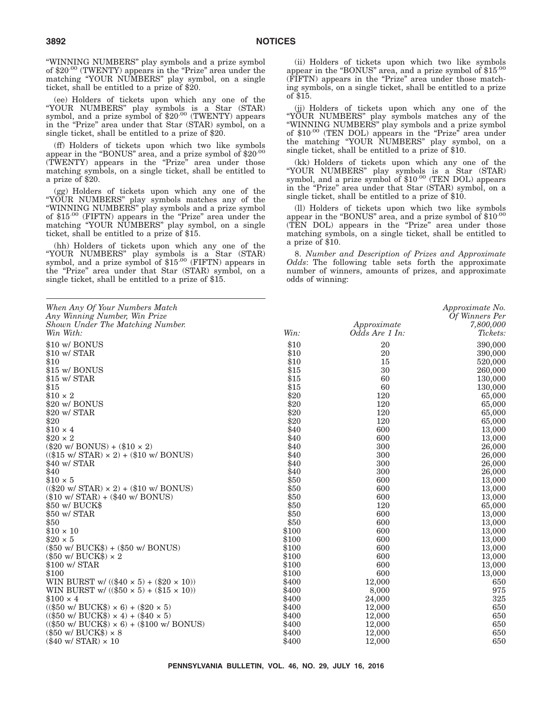''WINNING NUMBERS'' play symbols and a prize symbol of \$20.00 (TWENTY) appears in the "Prize" area under the matching ''YOUR NUMBERS'' play symbol, on a single ticket, shall be entitled to a prize of \$20.

(ee) Holders of tickets upon which any one of the ''YOUR NUMBERS'' play symbols is a Star (STAR) symbol, and a prize symbol of \$20.00 (TWENTY) appears in the "Prize" area under that Star (STAR) symbol, on a single ticket, shall be entitled to a prize of \$20.

(ff) Holders of tickets upon which two like symbols appear in the "BONUS" area, and a prize symbol of \$20.00 (TWENTY) appears in the "Prize" area under those matching symbols, on a single ticket, shall be entitled to a prize of \$20.

(gg) Holders of tickets upon which any one of the ''YOUR NUMBERS'' play symbols matches any of the ''WINNING NUMBERS'' play symbols and a prize symbol of \$15.00 (FIFTN) appears in the "Prize" area under the matching ''YOUR NUMBERS'' play symbol, on a single ticket, shall be entitled to a prize of \$15.

(hh) Holders of tickets upon which any one of the "YOUR NUMBERS" play symbols is a Star (STAR)<br>symbol, and a prize symbol of \$15<sup>.00</sup> (FIFTN) appears in the "Prize" area under that Star (STAR) symbol, on a single ticket, shall be entitled to a prize of \$15.

(ii) Holders of tickets upon which two like symbols appear in the "BONUS" area, and a prize symbol of \$15.00 (FIFTN) appears in the "Prize" area under those matching symbols, on a single ticket, shall be entitled to a prize of \$15.

(jj) Holders of tickets upon which any one of the ''YOUR NUMBERS'' play symbols matches any of the ''WINNING NUMBERS'' play symbols and a prize symbol of  $$10^{.00}$  (TEN DOL) appears in the "Prize" area under the matching "YOUR NUMBERS" play symbol, on a single ticket, shall be entitled to a prize of \$10.

(kk) Holders of tickets upon which any one of the "YOUR NUMBERS" play symbols is a Star (STAR) symbol, and a prize symbol of \$10<sup>.00</sup> (TEN DOL) appears in the "Prize" area under that Star (STAR) symbol, on a single ticket, shall be entitled to a prize of \$10.

(ll) Holders of tickets upon which two like symbols appear in the "BONUS" area, and a prize symbol of \$10.00 (TEN DOL) appears in the "Prize" area under those matching symbols, on a single ticket, shall be entitled to a prize of \$10.

8. *Number and Description of Prizes and Approximate Odds*: The following table sets forth the approximate number of winners, amounts of prizes, and approximate odds of winning:

| When Any Of Your Numbers Match<br>Any Winning Number, Win Prize                |       |                               | Approximate No.<br>Of Winners Per |
|--------------------------------------------------------------------------------|-------|-------------------------------|-----------------------------------|
|                                                                                |       |                               |                                   |
| Shown Under The Matching Number.<br>Win With:                                  | Win:  | Approximate<br>Odds Are 1 In: | 7,800,000<br>Tickets:             |
| \$10 w/ BONUS                                                                  | \$10  | 20                            | 390,000                           |
| \$10 w/ STAR                                                                   | \$10  | 20                            | 390,000                           |
| \$10                                                                           | \$10  | 15                            | 520,000                           |
| \$15 w/ BONUS                                                                  | \$15  | 30                            | 260,000                           |
| \$15 w/ STAR                                                                   | \$15  | 60                            | 130,000                           |
| \$15                                                                           | \$15  | 60                            | 130,000                           |
| $$10 \times 2$                                                                 | \$20  | 120                           | 65,000                            |
| \$20 w/ BONUS                                                                  | \$20  | 120                           | 65,000                            |
| \$20 w/ STAR                                                                   | \$20  | 120                           | 65,000                            |
| \$20                                                                           | \$20  | 120                           | 65,000                            |
| $$10 \times 4$                                                                 | \$40  | 600                           | 13,000                            |
| $$20 \times 2$                                                                 | \$40  | 600                           | 13,000                            |
| $(\$20 \text{ w} / \text{BONUS}) + (\$10 \times 2)$                            | \$40  | 300                           | 26,000                            |
| $((\$15 \text{ w} / \text{STAR}) \times 2) + (\$10 \text{ w} / \text{BONUS})$  | \$40  | 300                           | 26,000                            |
| \$40 w/ STAR                                                                   | \$40  | 300                           | 26,000                            |
| \$40                                                                           | \$40  | 300                           | 26,000                            |
| $$10 \times 5$                                                                 | \$50  | 600                           | 13,000                            |
| $((\$20 \text{ w} / \text{STAR}) \times 2) + (\$10 \text{ w} / \text{BONUS})$  | \$50  | 600                           | 13,000                            |
| $(\$10 \text{ w} / \text{STAR}) + (\$40 \text{ w} / \text{BONUS})$             | \$50  | 600                           | 13,000                            |
| \$50 w/ BUCK\$                                                                 | \$50  | 120                           | 65,000                            |
| \$50 w/ STAR                                                                   | \$50  | 600                           | 13,000                            |
| \$50                                                                           | \$50  | 600                           | 13,000                            |
| $$10 \times 10$                                                                | \$100 | 600                           | 13,000                            |
| $$20 \times 5$                                                                 | \$100 | 600                           | 13,000                            |
| $(\$50 \text{ w} / \text{BUCK$}) + ($50 \text{ w} / \text{BONUS})$             | \$100 | 600                           | 13,000                            |
| $(\$50 \text{ w}$ / BUCK\$) × 2                                                | \$100 | 600                           | 13,000                            |
| \$100 w/ STAR                                                                  | \$100 | 600                           | 13,000                            |
| \$100                                                                          | \$100 | 600                           | 13,000                            |
| WIN BURST w/ $((\$40 \times 5) + (\$20 \times 10))$                            | \$400 | 12,000                        | 650                               |
| WIN BURST w/ $((\$50 \times 5) + (\$15 \times 10))$                            | \$400 | 8,000                         | 975                               |
| $$100 \times 4$                                                                | \$400 | 24,000                        | 325                               |
| $((\$50 \text{ w} / \text{BUCK}) \times 6) + (\$20 \times 5)$                  | \$400 | 12,000                        | 650                               |
| $((\$50 \text{ w} / \text{BUCK}) \times 4) + (\$40 \times 5)$                  | \$400 | 12,000                        | 650                               |
| $((\$50 \text{ w} / \text{BUCK}) \times 6) + (\$100 \text{ w} / \text{BONUS})$ | \$400 | 12,000                        | 650                               |
| $(\$50 \text{ w}$ / BUCK\$) × 8                                                | \$400 | 12,000                        | 650                               |
| $(\$40 \text{ w} / \text{STAR}) \times 10$                                     | \$400 | 12,000                        | 650                               |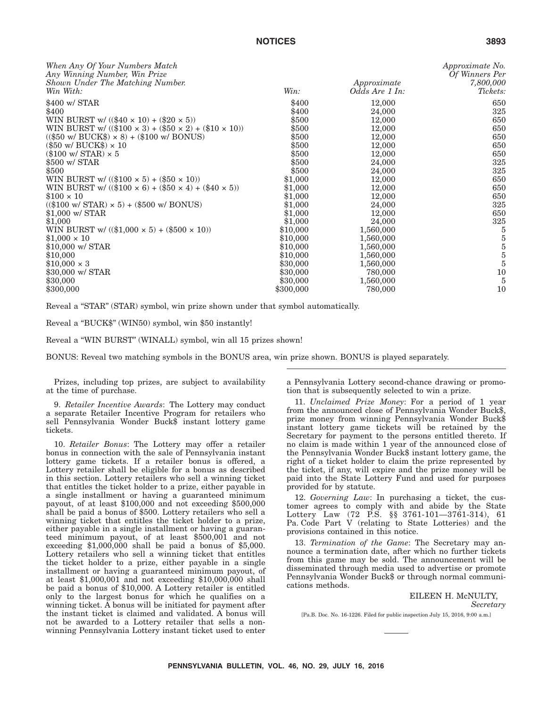| When Any Of Your Numbers Match<br>Any Winning Number, Win Prize<br>Shown Under The Matching Number.<br>Win With: | Win:      | Approximate<br>Odds Are 1 In: | Approximate No.<br>Of Winners Per<br>7,800,000<br>Tickets: |
|------------------------------------------------------------------------------------------------------------------|-----------|-------------------------------|------------------------------------------------------------|
| \$400 w/ STAR                                                                                                    | \$400     | 12,000                        | 650                                                        |
| \$400                                                                                                            | \$400     | 24,000                        | 325                                                        |
| WIN BURST w/ $((40 \times 10) + (20 \times 5))$                                                                  | \$500     | 12,000                        | 650                                                        |
| WIN BURST w/ $((\$100 \times 3) + (\$50 \times 2) + (\$10 \times 10))$                                           | \$500     | 12,000                        | 650                                                        |
| $(($50 w/ BUCK$) \times 8) + ($100 w/ BONUS)$                                                                    | \$500     | 12,000                        | 650                                                        |
| $(\$50 \text{ w} / \text{BUCK$}) \times 10$                                                                      | \$500     | 12,000                        | 650                                                        |
| $(\$100 \text{ w} / \text{STAR}) \times 5$                                                                       | \$500     | 12,000                        | 650                                                        |
| \$500 w/ STAR                                                                                                    | \$500     | 24,000                        | 325                                                        |
| \$500                                                                                                            | \$500     | 24,000                        | 325                                                        |
| WIN BURST w/ $((\$100 \times 5) + (\$50 \times 10))$                                                             | \$1,000   | 12,000                        | 650                                                        |
| WIN BURST w/ $((\$100 \times 6) + (\$50 \times 4) + (\$40 \times 5))$                                            | \$1,000   | 12,000                        | 650                                                        |
| $$100 \times 10$                                                                                                 | \$1,000   | 12,000                        | 650                                                        |
| $((\$100 \text{ w} / \text{STAR}) \times 5) + (\$500 \text{ w} / \text{BONUS})$                                  | \$1,000   | 24,000                        | 325                                                        |
| \$1,000 w/ STAR                                                                                                  | \$1,000   | 12,000                        | 650                                                        |
| \$1,000                                                                                                          | \$1,000   | 24,000                        | 325                                                        |
| WIN BURST w/ $((\$1,000 \times 5) + (\$500 \times 10))$                                                          | \$10,000  | 1,560,000                     | 5                                                          |
| $$1,000 \times 10$                                                                                               | \$10,000  | 1,560,000                     | $\overline{5}$                                             |
| $$10,000 \text{ w}$ STAR                                                                                         | \$10,000  | 1,560,000                     | $\overline{5}$                                             |
| \$10,000                                                                                                         | \$10,000  | 1,560,000                     | $\overline{5}$                                             |
| $$10,000 \times 3$                                                                                               | \$30,000  | 1,560,000                     | $\overline{5}$                                             |
| \$30,000 w/ STAR                                                                                                 | \$30,000  | 780,000                       | 10                                                         |
| \$30,000                                                                                                         | \$30,000  | 1,560,000                     | $\overline{5}$                                             |
| \$300,000                                                                                                        | \$300,000 | 780,000                       | 10                                                         |

Reveal a "STAR" (STAR) symbol, win prize shown under that symbol automatically.

Reveal a "BUCK\$" (WIN50) symbol, win \$50 instantly!

Reveal a ''WIN BURST'' (WINALL) symbol, win all 15 prizes shown!

BONUS: Reveal two matching symbols in the BONUS area, win prize shown. BONUS is played separately.

Prizes, including top prizes, are subject to availability at the time of purchase.

9. *Retailer Incentive Awards*: The Lottery may conduct a separate Retailer Incentive Program for retailers who sell Pennsylvania Wonder Buck\$ instant lottery game tickets.

10. *Retailer Bonus*: The Lottery may offer a retailer bonus in connection with the sale of Pennsylvania instant lottery game tickets. If a retailer bonus is offered, a Lottery retailer shall be eligible for a bonus as described in this section. Lottery retailers who sell a winning ticket that entitles the ticket holder to a prize, either payable in a single installment or having a guaranteed minimum payout, of at least \$100,000 and not exceeding \$500,000 shall be paid a bonus of \$500. Lottery retailers who sell a winning ticket that entitles the ticket holder to a prize, either payable in a single installment or having a guaranteed minimum payout, of at least \$500,001 and not exceeding \$1,000,000 shall be paid a bonus of \$5,000. Lottery retailers who sell a winning ticket that entitles the ticket holder to a prize, either payable in a single installment or having a guaranteed minimum payout, of at least \$1,000,001 and not exceeding \$10,000,000 shall be paid a bonus of \$10,000. A Lottery retailer is entitled only to the largest bonus for which he qualifies on a winning ticket. A bonus will be initiated for payment after the instant ticket is claimed and validated. A bonus will not be awarded to a Lottery retailer that sells a nonwinning Pennsylvania Lottery instant ticket used to enter

a Pennsylvania Lottery second-chance drawing or promotion that is subsequently selected to win a prize.

11. *Unclaimed Prize Money*: For a period of 1 year from the announced close of Pennsylvania Wonder Buck\$, prize money from winning Pennsylvania Wonder Buck\$ instant lottery game tickets will be retained by the Secretary for payment to the persons entitled thereto. If no claim is made within 1 year of the announced close of the Pennsylvania Wonder Buck\$ instant lottery game, the right of a ticket holder to claim the prize represented by the ticket, if any, will expire and the prize money will be paid into the State Lottery Fund and used for purposes provided for by statute.

12. *Governing Law*: In purchasing a ticket, the customer agrees to comply with and abide by the State Lottery Law (72 P.S. §§ 3761-101—3761-314), 61 Pa. Code Part V (relating to State Lotteries) and the provisions contained in this notice.

13. *Termination of the Game*: The Secretary may announce a termination date, after which no further tickets from this game may be sold. The announcement will be disseminated through media used to advertise or promote Pennsylvania Wonder Buck\$ or through normal communications methods.

#### EILEEN H. McNULTY,

*Secretary*

[Pa.B. Doc. No. 16-1226. Filed for public inspection July 15, 2016, 9:00 a.m.]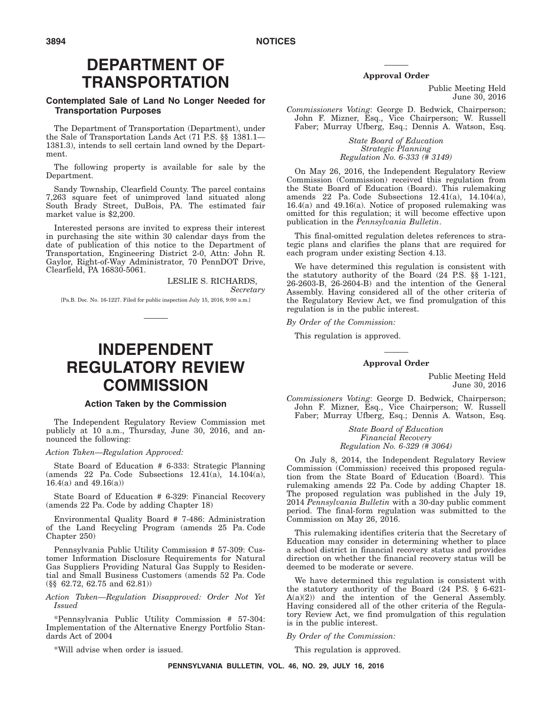# **DEPARTMENT OF TRANSPORTATION**

# **Contemplated Sale of Land No Longer Needed for Transportation Purposes**

The Department of Transportation (Department), under the Sale of Transportation Lands Act (71 P.S. §§ 1381.1— 1381.3), intends to sell certain land owned by the Department.

The following property is available for sale by the Department.

Sandy Township, Clearfield County. The parcel contains 7,263 square feet of unimproved land situated along South Brady Street, DuBois, PA. The estimated fair market value is \$2,200.

Interested persons are invited to express their interest in purchasing the site within 30 calendar days from the date of publication of this notice to the Department of Transportation, Engineering District 2-0, Attn: John R. Gaylor, Right-of-Way Administrator, 70 PennDOT Drive, Clearfield, PA 16830-5061.

> LESLIE S. RICHARDS, *Secretary*

[Pa.B. Doc. No. 16-1227. Filed for public inspection July 15, 2016, 9:00 a.m.]

# **INDEPENDENT REGULATORY REVIEW COMMISSION**

# **Action Taken by the Commission**

The Independent Regulatory Review Commission met publicly at 10 a.m., Thursday, June 30, 2016, and announced the following:

#### *Action Taken—Regulation Approved:*

State Board of Education # 6-333: Strategic Planning (amends 22 Pa. Code Subsections  $12.41(a)$ ,  $14.104(a)$ , 16.4(a) and 49.16(a))

State Board of Education # 6-329: Financial Recovery (amends 22 Pa. Code by adding Chapter 18)

Environmental Quality Board # 7-486: Administration of the Land Recycling Program (amends 25 Pa. Code Chapter 250)

Pennsylvania Public Utility Commission # 57-309: Customer Information Disclosure Requirements for Natural Gas Suppliers Providing Natural Gas Supply to Residential and Small Business Customers (amends 52 Pa. Code (§§ 62.72, 62.75 and 62.81))

*Action Taken—Regulation Disapproved: Order Not Yet Issued*

\*Pennsylvania Public Utility Commission # 57-304: Implementation of the Alternative Energy Portfolio Standards Act of 2004

\*Will advise when order is issued.

#### **Approval Order**

Public Meeting Held June 30, 2016

*Commissioners Voting*: George D. Bedwick, Chairperson; John F. Mizner, Esq., Vice Chairperson; W. Russell Faber; Murray Ufberg, Esq.; Dennis A. Watson, Esq.

> *State Board of Education Strategic Planning Regulation No. 6-333 (# 3149)*

On May 26, 2016, the Independent Regulatory Review Commission (Commission) received this regulation from the State Board of Education (Board). This rulemaking amends 22 Pa. Code Subsections 12.41(a), 14.104(a), 16.4(a) and 49.16(a). Notice of proposed rulemaking was omitted for this regulation; it will become effective upon publication in the *Pennsylvania Bulletin*.

This final-omitted regulation deletes references to strategic plans and clarifies the plans that are required for each program under existing Section 4.13.

We have determined this regulation is consistent with the statutory authority of the Board (24 P.S. §§ 1-121, 26-2603-B, 26-2604-B) and the intention of the General Assembly. Having considered all of the other criteria of the Regulatory Review Act, we find promulgation of this regulation is in the public interest.

*By Order of the Commission:*

This regulation is approved.

### **Approval Order**

Public Meeting Held June 30, 2016

*Commissioners Voting*: George D. Bedwick, Chairperson; John F. Mizner, Esq., Vice Chairperson; W. Russell Faber; Murray Ufberg, Esq.; Dennis A. Watson, Esq.

> *State Board of Education Financial Recovery Regulation No. 6-329 (# 3064)*

On July 8, 2014, the Independent Regulatory Review Commission (Commission) received this proposed regulation from the State Board of Education (Board). This rulemaking amends 22 Pa. Code by adding Chapter 18. The proposed regulation was published in the July 19, 2014 *Pennsylvania Bulletin* with a 30-day public comment period. The final-form regulation was submitted to the Commission on May 26, 2016.

This rulemaking identifies criteria that the Secretary of Education may consider in determining whether to place a school district in financial recovery status and provides direction on whether the financial recovery status will be deemed to be moderate or severe.

We have determined this regulation is consistent with the statutory authority of the Board (24 P.S. § 6-621- A(a)(2)) and the intention of the General Assembly. Having considered all of the other criteria of the Regulatory Review Act, we find promulgation of this regulation is in the public interest.

#### *By Order of the Commission:*

This regulation is approved.

**PENNSYLVANIA BULLETIN, VOL. 46, NO. 29, JULY 16, 2016**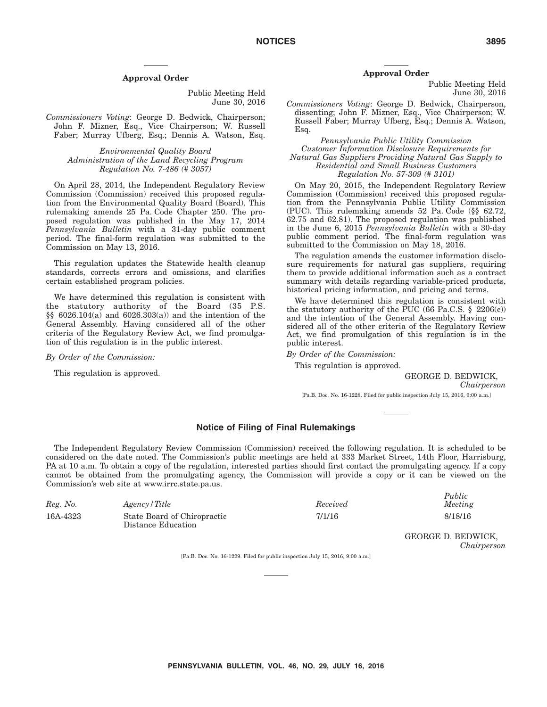# **Approval Order**

Public Meeting Held June 30, 2016

*Commissioners Voting*: George D. Bedwick, Chairperson; John F. Mizner, Esq., Vice Chairperson; W. Russell Faber; Murray Ufberg, Esq.; Dennis A. Watson, Esq.

*Environmental Quality Board Administration of the Land Recycling Program Regulation No. 7-486 (# 3057)*

On April 28, 2014, the Independent Regulatory Review Commission (Commission) received this proposed regulation from the Environmental Quality Board (Board). This rulemaking amends 25 Pa. Code Chapter 250. The proposed regulation was published in the May 17, 2014 *Pennsylvania Bulletin* with a 31-day public comment period. The final-form regulation was submitted to the Commission on May 13, 2016.

This regulation updates the Statewide health cleanup standards, corrects errors and omissions, and clarifies certain established program policies.

We have determined this regulation is consistent with the statutory authority of the Board (35 P.S. §§ 6026.104(a) and 6026.303(a)) and the intention of the General Assembly. Having considered all of the other criteria of the Regulatory Review Act, we find promulgation of this regulation is in the public interest.

*By Order of the Commission:*

This regulation is approved.

# **Approval Order**

Public Meeting Held June 30, 2016

*Commissioners Voting*: George D. Bedwick, Chairperson, dissenting; John F. Mizner, Esq., Vice Chairperson; W. Russell Faber; Murray Ufberg, Esq.; Dennis A. Watson, Esq.

*Pennsylvania Public Utility Commission Customer Information Disclosure Requirements for Natural Gas Suppliers Providing Natural Gas Supply to Residential and Small Business Customers Regulation No. 57-309 (# 3101)*

On May 20, 2015, the Independent Regulatory Review Commission (Commission) received this proposed regulation from the Pennsylvania Public Utility Commission (PUC). This rulemaking amends 52 Pa. Code (§§ 62.72, 62.75 and 62.81). The proposed regulation was published in the June 6, 2015 *Pennsylvania Bulletin* with a 30-day public comment period. The final-form regulation was submitted to the Commission on May 18, 2016.

The regulation amends the customer information disclosure requirements for natural gas suppliers, requiring them to provide additional information such as a contract summary with details regarding variable-priced products, historical pricing information, and pricing and terms.

We have determined this regulation is consistent with the statutory authority of the PUC (66 Pa.C.S.  $\S$  2206(c)) and the intention of the General Assembly. Having considered all of the other criteria of the Regulatory Review Act, we find promulgation of this regulation is in the public interest.

*By Order of the Commission:*

This regulation is approved. GEORGE D. BEDWICK,

*Chairperson*

[Pa.B. Doc. No. 16-1228. Filed for public inspection July 15, 2016, 9:00 a.m.]

# **Notice of Filing of Final Rulemakings**

The Independent Regulatory Review Commission (Commission) received the following regulation. It is scheduled to be considered on the date noted. The Commission's public meetings are held at 333 Market Street, 14th Floor, Harrisburg, PA at 10 a.m. To obtain a copy of the regulation, interested parties should first contact the promulgating agency. If a copy cannot be obtained from the promulgating agency, the Commission will provide a copy or it can be viewed on the Commission's web site at www.irrc.state.pa.us.

| Reg. No. | Agency/Title                                      | Received | Meeting |
|----------|---------------------------------------------------|----------|---------|
| 16A-4323 | State Board of Chiropractic<br>Distance Education | 7/1/16   | 8/18/16 |

GEORGE D. BEDWICK, *Chairperson*

*Public*

[Pa.B. Doc. No. 16-1229. Filed for public inspection July 15, 2016, 9:00 a.m.]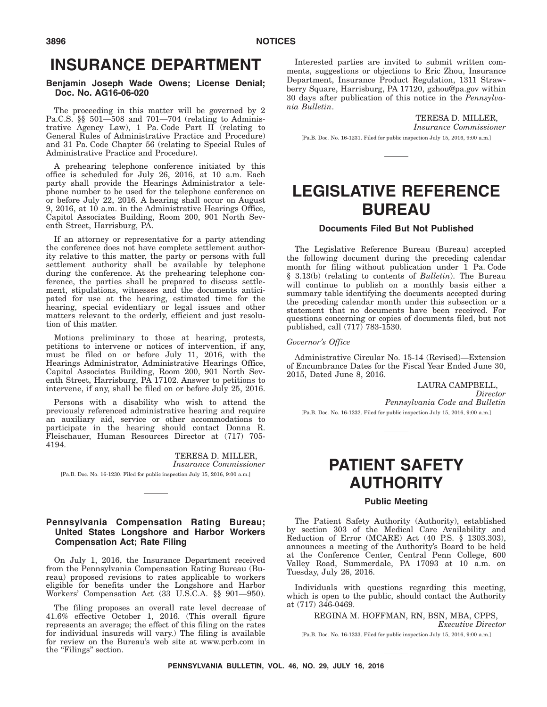# **INSURANCE DEPARTMENT**

# **Benjamin Joseph Wade Owens; License Denial; Doc. No. AG16-06-020**

The proceeding in this matter will be governed by 2 Pa.C.S. §§ 501—508 and 701—704 (relating to Administrative Agency Law), 1 Pa. Code Part II (relating to General Rules of Administrative Practice and Procedure) and 31 Pa. Code Chapter 56 (relating to Special Rules of Administrative Practice and Procedure).

A prehearing telephone conference initiated by this office is scheduled for July 26, 2016, at 10 a.m. Each party shall provide the Hearings Administrator a telephone number to be used for the telephone conference on or before July 22, 2016. A hearing shall occur on August 9, 2016, at 10 a.m. in the Administrative Hearings Office, Capitol Associates Building, Room 200, 901 North Seventh Street, Harrisburg, PA.

If an attorney or representative for a party attending the conference does not have complete settlement authority relative to this matter, the party or persons with full settlement authority shall be available by telephone during the conference. At the prehearing telephone conference, the parties shall be prepared to discuss settlement, stipulations, witnesses and the documents anticipated for use at the hearing, estimated time for the hearing, special evidentiary or legal issues and other matters relevant to the orderly, efficient and just resolution of this matter.

Motions preliminary to those at hearing, protests, petitions to intervene or notices of intervention, if any, must be filed on or before July 11, 2016, with the Hearings Administrator, Administrative Hearings Office, Capitol Associates Building, Room 200, 901 North Seventh Street, Harrisburg, PA 17102. Answer to petitions to intervene, if any, shall be filed on or before July 25, 2016.

Persons with a disability who wish to attend the previously referenced administrative hearing and require an auxiliary aid, service or other accommodations to participate in the hearing should contact Donna R. Fleischauer, Human Resources Director at (717) 705- 4194.

> TERESA D. MILLER, *Insurance Commissioner*

[Pa.B. Doc. No. 16-1230. Filed for public inspection July 15, 2016, 9:00 a.m.]

# **Pennsylvania Compensation Rating Bureau; United States Longshore and Harbor Workers Compensation Act; Rate Filing**

On July 1, 2016, the Insurance Department received from the Pennsylvania Compensation Rating Bureau (Bureau) proposed revisions to rates applicable to workers eligible for benefits under the Longshore and Harbor Workers' Compensation Act (33 U.S.C.A. §§ 901—950).

The filing proposes an overall rate level decrease of 41.6% effective October 1, 2016. (This overall figure represents an average; the effect of this filing on the rates for individual insureds will vary.) The filing is available for review on the Bureau's web site at www.pcrb.com in the "Filings" section.

Interested parties are invited to submit written comments, suggestions or objections to Eric Zhou, Insurance Department, Insurance Product Regulation, 1311 Strawberry Square, Harrisburg, PA 17120, gzhou@pa.gov within 30 days after publication of this notice in the *Pennsylvania Bulletin*.

> TERESA D. MILLER, *Insurance Commissioner*

[Pa.B. Doc. No. 16-1231. Filed for public inspection July 15, 2016, 9:00 a.m.]

# **LEGISLATIVE REFERENCE BUREAU**

# **Documents Filed But Not Published**

The Legislative Reference Bureau (Bureau) accepted the following document during the preceding calendar month for filing without publication under 1 Pa. Code § 3.13(b) (relating to contents of *Bulletin*). The Bureau will continue to publish on a monthly basis either a summary table identifying the documents accepted during the preceding calendar month under this subsection or a statement that no documents have been received. For questions concerning or copies of documents filed, but not published, call (717) 783-1530.

*Governor's Office*

Administrative Circular No. 15-14 (Revised)—Extension of Encumbrance Dates for the Fiscal Year Ended June 30, 2015, Dated June 8, 2016.

LAURA CAMPBELL, *Director Pennsylvania Code and Bulletin* [Pa.B. Doc. No. 16-1232. Filed for public inspection July 15, 2016, 9:00 a.m.]

# **PATIENT SAFETY AUTHORITY**

#### **Public Meeting**

The Patient Safety Authority (Authority), established by section 303 of the Medical Care Availability and Reduction of Error (MCARE) Act (40 P.S. § 1303.303), announces a meeting of the Authority's Board to be held at the Conference Center, Central Penn College, 600 Valley Road, Summerdale, PA 17093 at 10 a.m. on Tuesday, July 26, 2016.

Individuals with questions regarding this meeting, which is open to the public, should contact the Authority at (717) 346-0469.

REGINA M. HOFFMAN, RN, BSN, MBA, CPPS, *Executive Director*

[Pa.B. Doc. No. 16-1233. Filed for public inspection July 15, 2016, 9:00 a.m.]

**PENNSYLVANIA BULLETIN, VOL. 46, NO. 29, JULY 16, 2016**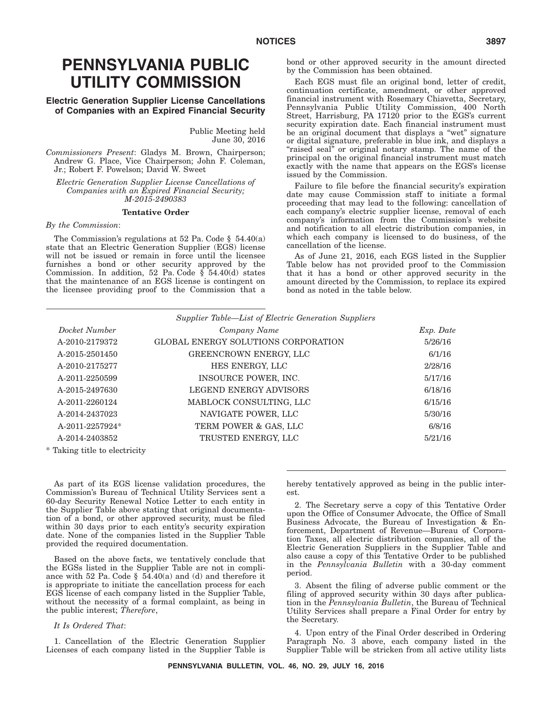# **PENNSYLVANIA PUBLIC UTILITY COMMISSION**

# **Electric Generation Supplier License Cancellations of Companies with an Expired Financial Security**

Public Meeting held June 30, 2016

*Commissioners Present*: Gladys M. Brown, Chairperson; Andrew G. Place, Vice Chairperson; John F. Coleman, Jr.; Robert F. Powelson; David W. Sweet

*Electric Generation Supplier License Cancellations of Companies with an Expired Financial Security; M-2015-2490383*

#### **Tentative Order**

### *By the Commission*:

The Commission's regulations at 52 Pa. Code  $\S$  54.40(a) state that an Electric Generation Supplier (EGS) license will not be issued or remain in force until the licensee furnishes a bond or other security approved by the Commission. In addition, 52 Pa. Code § 54.40(d) states that the maintenance of an EGS license is contingent on the licensee providing proof to the Commission that a bond or other approved security in the amount directed by the Commission has been obtained.

Each EGS must file an original bond, letter of credit, continuation certificate, amendment, or other approved financial instrument with Rosemary Chiavetta, Secretary, Pennsylvania Public Utility Commission, 400 North Street, Harrisburg, PA 17120 prior to the EGS's current security expiration date. Each financial instrument must be an original document that displays a ''wet'' signature or digital signature, preferable in blue ink, and displays a "raised seal" or original notary stamp. The name of the principal on the original financial instrument must match exactly with the name that appears on the EGS's license issued by the Commission.

Failure to file before the financial security's expiration date may cause Commission staff to initiate a formal proceeding that may lead to the following: cancellation of each company's electric supplier license, removal of each company's information from the Commission's website and notification to all electric distribution companies, in which each company is licensed to do business, of the cancellation of the license.

As of June 21, 2016, each EGS listed in the Supplier Table below has not provided proof to the Commission that it has a bond or other approved security in the amount directed by the Commission, to replace its expired bond as noted in the table below.

| Docket Number   | Company Name                        | Exp. Date |
|-----------------|-------------------------------------|-----------|
| A-2010-2179372  | GLOBAL ENERGY SOLUTIONS CORPORATION | 5/26/16   |
| A-2015-2501450  | GREENCROWN ENERGY, LLC              | 6/1/16    |
| A-2010-2175277  | HES ENERGY, LLC                     | 2/28/16   |
| A-2011-2250599  | INSOURCE POWER, INC.                | 5/17/16   |
| A-2015-2497630  | <b>LEGEND ENERGY ADVISORS</b>       | 6/18/16   |
| A-2011-2260124  | MABLOCK CONSULTING, LLC             | 6/15/16   |
| A-2014-2437023  | NAVIGATE POWER, LLC                 | 5/30/16   |
| A-2011-2257924* | TERM POWER & GAS, LLC               | 6/8/16    |
| A-2014-2403852  | TRUSTED ENERGY, LLC                 | 5/21/16   |
|                 |                                     |           |

*Supplier Table—List of Electric Generation Suppliers*

\* Taking title to electricity

As part of its EGS license validation procedures, the Commission's Bureau of Technical Utility Services sent a 60-day Security Renewal Notice Letter to each entity in the Supplier Table above stating that original documentation of a bond, or other approved security, must be filed within 30 days prior to each entity's security expiration date. None of the companies listed in the Supplier Table provided the required documentation.

Based on the above facts, we tentatively conclude that the EGSs listed in the Supplier Table are not in compliance with 52 Pa. Code  $\S$  54.40(a) and (d) and therefore it is appropriate to initiate the cancellation process for each EGS license of each company listed in the Supplier Table, without the necessity of a formal complaint, as being in the public interest; *Therefore*,

#### *It Is Ordered That*:

1. Cancellation of the Electric Generation Supplier Licenses of each company listed in the Supplier Table is hereby tentatively approved as being in the public interest.

2. The Secretary serve a copy of this Tentative Order upon the Office of Consumer Advocate, the Office of Small Business Advocate, the Bureau of Investigation & Enforcement, Department of Revenue—Bureau of Corporation Taxes, all electric distribution companies, all of the Electric Generation Suppliers in the Supplier Table and also cause a copy of this Tentative Order to be published in the *Pennsylvania Bulletin* with a 30-day comment period.

3. Absent the filing of adverse public comment or the filing of approved security within 30 days after publication in the *Pennsylvania Bulletin*, the Bureau of Technical Utility Services shall prepare a Final Order for entry by the Secretary.

4. Upon entry of the Final Order described in Ordering Paragraph No. 3 above, each company listed in the Supplier Table will be stricken from all active utility lists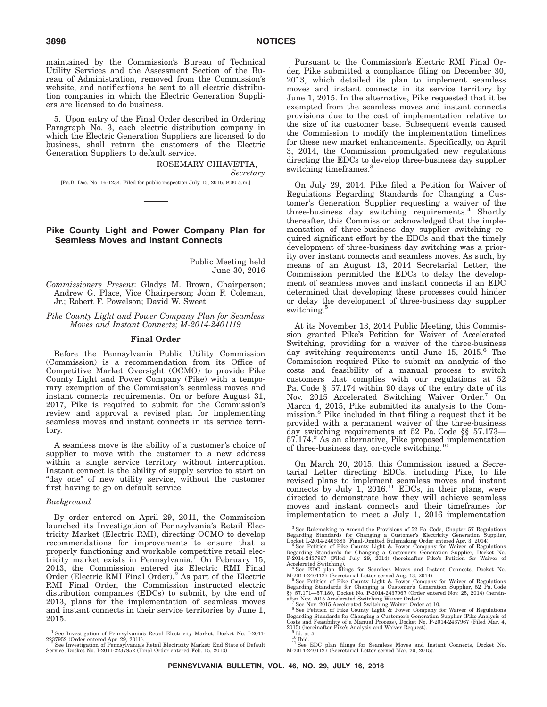maintained by the Commission's Bureau of Technical Utility Services and the Assessment Section of the Bureau of Administration, removed from the Commission's website, and notifications be sent to all electric distribution companies in which the Electric Generation Suppliers are licensed to do business.

5. Upon entry of the Final Order described in Ordering Paragraph No. 3, each electric distribution company in which the Electric Generation Suppliers are licensed to do business, shall return the customers of the Electric Generation Suppliers to default service.

ROSEMARY CHIAVETTA,

*Secretary*

[Pa.B. Doc. No. 16-1234. Filed for public inspection July 15, 2016, 9:00 a.m.]

# **Pike County Light and Power Company Plan for Seamless Moves and Instant Connects**

Public Meeting held June 30, 2016

*Commissioners Present*: Gladys M. Brown, Chairperson; Andrew G. Place, Vice Chairperson; John F. Coleman, Jr.; Robert F. Powelson; David W. Sweet

*Pike County Light and Power Company Plan for Seamless Moves and Instant Connects; M-2014-2401119*

#### **Final Order**

Before the Pennsylvania Public Utility Commission (Commission) is a recommendation from its Office of Competitive Market Oversight (OCMO) to provide Pike County Light and Power Company (Pike) with a temporary exemption of the Commission's seamless moves and instant connects requirements. On or before August 31, 2017, Pike is required to submit for the Commission's review and approval a revised plan for implementing seamless moves and instant connects in its service territory.

A seamless move is the ability of a customer's choice of supplier to move with the customer to a new address within a single service territory without interruption. Instant connect is the ability of supply service to start on "day one" of new utility service, without the customer first having to go on default service.

#### *Background*

By order entered on April 29, 2011, the Commission launched its Investigation of Pennsylvania's Retail Electricity Market (Electric RMI), directing OCMO to develop recommendations for improvements to ensure that a properly functioning and workable competitive retail electricity market exists in Pennsylvania.<sup>1</sup> On February 15, 2013, the Commission entered its Electric RMI Final Order (Electric RMI Final Order).<sup>2</sup> As part of the Electric RMI Final Order, the Commission instructed electric distribution companies (EDCs) to submit, by the end of 2013, plans for the implementation of seamless moves and instant connects in their service territories by June 1, 2015.

Pursuant to the Commission's Electric RMI Final Order, Pike submitted a compliance filing on December 30, 2013, which detailed its plan to implement seamless moves and instant connects in its service territory by June 1, 2015. In the alternative, Pike requested that it be exempted from the seamless moves and instant connects provisions due to the cost of implementation relative to the size of its customer base. Subsequent events caused the Commission to modify the implementation timelines for these new market enhancements. Specifically, on April 3, 2014, the Commission promulgated new regulations directing the EDCs to develop three-business day supplier switching timeframes.<sup>3</sup>

On July 29, 2014, Pike filed a Petition for Waiver of Regulations Regarding Standards for Changing a Customer's Generation Supplier requesting a waiver of the three-business day switching requirements.<sup>4</sup> Shortly thereafter, this Commission acknowledged that the implementation of three-business day supplier switching required significant effort by the EDCs and that the timely development of three-business day switching was a priority over instant connects and seamless moves. As such, by means of an August 13, 2014 Secretarial Letter, the Commission permitted the EDCs to delay the development of seamless moves and instant connects if an EDC determined that developing these processes could hinder or delay the development of three-business day supplier switching.<sup>5</sup>

At its November 13, 2014 Public Meeting, this Commission granted Pike's Petition for Waiver of Accelerated Switching, providing for a waiver of the three-business day switching requirements until June 15, 2015.6 The Commission required Pike to submit an analysis of the costs and feasibility of a manual process to switch customers that complies with our regulations at 52 Pa. Code § 57.174 within 90 days of the entry date of its Nov. 2015 Accelerated Switching Waiver Order.<sup>7</sup> On March 4, 2015, Pike submitted its analysis to the Com-<br>mission.<sup>8</sup> Pike included in that filing a request that it be provided with a permanent waiver of the three-business day switching requirements at 52 Pa. Code §§ 57.173— 57.174.9 As an alternative, Pike proposed implementation of three-business day, on-cycle switching.10

On March 20, 2015, this Commission issued a Secretarial Letter directing EDCs, including Pike, to file revised plans to implement seamless moves and instant connects by July 1, 2016.<sup>11</sup> EDCs, in their plans, were directed to demonstrate how they will achieve seamless moves and instant connects and their timeframes for implementation to meet a July 1, 2016 implementation

 $^{\rm 1}$  See Investigation of Pennsylvania's Retail Electricity Market, Docket No. I-2011-

<sup>2237952 (</sup>Order entered Apr. 29, 2011).<br><sup>2</sup> See Investigation of Pennsylvania's Retail Electricity Market: End State of Default<br>Service, Docket No. I-2011-2237952 (Final Order entered Feb. 15, 2013).

<sup>3</sup> See Rulemaking to Amend the Provisions of 52 Pa. Code, Chapter 57 Regulations Regarding Standards for Changing a Customer's Electricity Generation Supplier,

Docket L-2014-2409383 (Final-Omitted Rulemaking Order entered Apr. 3, 2014).<br><sup>4</sup> See Petition of Pike County Light & Power Company for Waiver of Regulations<br>Regarding Standards for Changing a Customer's Generation Supplier

M-2014-2401127 (Secretarial Letter served Aug. 13, 2014).<br><sup>6</sup> See Petition of Pike County Light & Power Company for Waiver of Regulations<br>Regarding Standards for Changing a Customer's Generation Supplier, 52 Pa. Code Ses 57.171—57.180, Docket No. P-2014-2437967 (Order entered Nov. 25, 2014) (hereinalter Nov. 2015 Accelerated Switching Waiver Order).

<sup>&</sup>lt;sup>7</sup> See Nov. 2015 Accelerated Switching Waiver Order at 10. 8 See Petition of Pike County Light & Power Company for Waiver of Regulations Regarding Standards for Changing a Customer's Generation Supplier (Pike Analysis of Costs and Feasibility of a Manual Process), Docket No. P-2014-2437967 (Filed Mar. 4,

<sup>2015) (</sup>hereinafter Pike's Analysis and Waiver Request).<br>
<sup>9</sup> Id. at 5.<br>
<sup>10</sup> Ibid.<br>
<sup>11</sup> See EDC plan filings for Seamless Moves and Instant Connects, Docket No.<br>M-2014-2401127 (Secretarial Letter served Mar. 20, 2015).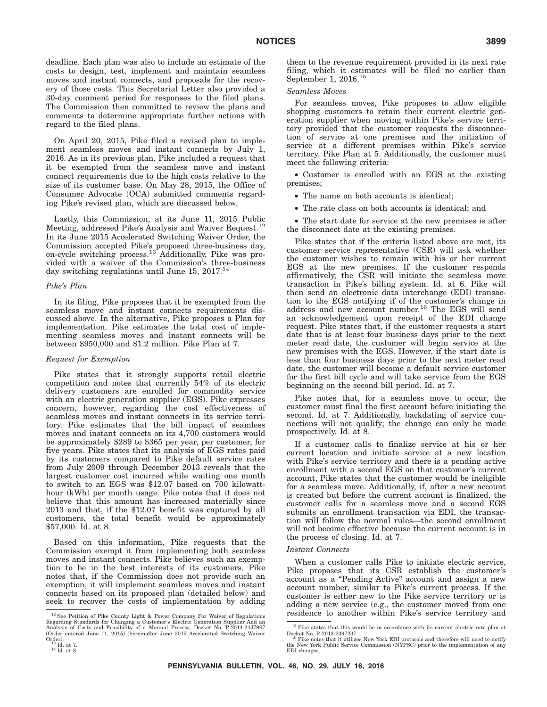deadline. Each plan was also to include an estimate of the costs to design, test, implement and maintain seamless moves and instant connects, and proposals for the recovery of those costs. This Secretarial Letter also provided a 30-day comment period for responses to the filed plans. The Commission then committed to review the plans and comments to determine appropriate further actions with regard to the filed plans.

On April 20, 2015, Pike filed a revised plan to implement seamless moves and instant connects by July 1, 2016. As in its previous plan, Pike included a request that it be exempted from the seamless move and instant connect requirements due to the high costs relative to the size of its customer base. On May 28, 2015, the Office of Consumer Advocate (OCA) submitted comments regarding Pike's revised plan, which are discussed below.

Lastly, this Commission, at its June 11, 2015 Public Meeting, addressed Pike's Analysis and Waiver Request.<sup>12</sup> In its June 2015 Accelerated Switching Waiver Order, the Commission accepted Pike's proposed three-business day, on-cycle switching process.<sup>13</sup> Additionally, Pike was provided with a waiver of the Commission's three-business day switching regulations until June 15, 2017.<sup>14</sup>

#### *Pike's Plan*

In its filing, Pike proposes that it be exempted from the seamless move and instant connects requirements discussed above. In the alternative, Pike proposes a Plan for implementation. Pike estimates the total cost of implementing seamless moves and instant connects will be between \$950,000 and \$1.2 million. Pike Plan at 7.

#### *Request for Exemption*

Pike states that it strongly supports retail electric competition and notes that currently 54% of its electric delivery customers are enrolled for commodity service with an electric generation supplier (EGS). Pike expresses concern, however, regarding the cost effectiveness of seamless moves and instant connects in its service territory. Pike estimates that the bill impact of seamless moves and instant connects on its 4,700 customers would be approximately \$289 to \$365 per year, per customer, for five years. Pike states that its analysis of EGS rates paid by its customers compared to Pike default service rates from July 2009 through December 2013 reveals that the largest customer cost incurred while waiting one month to switch to an EGS was \$12.07 based on 700 kilowatthour (kWh) per month usage. Pike notes that it does not believe that this amount has increased materially since 2013 and that, if the \$12.07 benefit was captured by all customers, the total benefit would be approximately \$57,000. Id. at 8.

Based on this information, Pike requests that the Commission exempt it from implementing both seamless moves and instant connects. Pike believes such an exemption to be in the best interests of its customers. Pike notes that, if the Commission does not provide such an exemption, it will implement seamless moves and instant connects based on its proposed plan (detailed below) and seek to recover the costs of implementation by adding

<sup>12</sup> See Petition of Pike County Light & Power Company For Waiver of Regulations<br>Regarding Standards for Changing a Customer's Electric Generation Supplier And an<br>Analysis of Costs and Feasibility of a Manual Process, Dock (Order entered June 11, 2015) (hereinafter June 2015 Accelerated Switching Waiver

them to the revenue requirement provided in its next rate filing, which it estimates will be filed no earlier than September 1, 2016.15

#### *Seamless Moves*

For seamless moves, Pike proposes to allow eligible shopping customers to retain their current electric generation supplier when moving within Pike's service territory provided that the customer requests the disconnection of service at one premises and the initiation of service at a different premises within Pike's service territory. Pike Plan at 5. Additionally, the customer must meet the following criteria:

• Customer is enrolled with an EGS at the existing premises;

- The name on both accounts is identical;
- The rate class on both accounts is identical; and

• The start date for service at the new premises is after the disconnect date at the existing premises.

Pike states that if the criteria listed above are met, its customer service representative (CSR) will ask whether the customer wishes to remain with his or her current EGS at the new premises. If the customer responds affirmatively, the CSR will initiate the seamless move transaction in Pike's billing system. Id. at 6. Pike will then send an electronic data interchange (EDI) transaction to the EGS notifying if of the customer's change in address and new account number.16 The EGS will send an acknowledgement upon receipt of the EDI change request. Pike states that, if the customer requests a start date that is at least four business days prior to the next meter read date, the customer will begin service at the new premises with the EGS. However, if the start date is less than four business days prior to the next meter read date, the customer will become a default service customer for the first bill cycle and will take service from the EGS beginning on the second bill period. Id. at 7.

Pike notes that, for a seamless move to occur, the customer must final the first account before initiating the second. Id. at 7. Additionally, backdating of service connections will not qualify; the change can only be made prospectively. Id. at 8.

If a customer calls to finalize service at his or her current location and initiate service at a new location with Pike's service territory and there is a pending active enrollment with a second EGS on that customer's current account, Pike states that the customer would be ineligible for a seamless move. Additionally, if, after a new account is created but before the current account is finalized, the customer calls for a seamless move and a second EGS submits an enrollment transaction via EDI, the transaction will follow the normal rules—the second enrollment will not become effective because the current account is in the process of closing. Id. at 7.

#### *Instant Connects*

When a customer calls Pike to initiate electric service, Pike proposes that its CSR establish the customer's account as a ''Pending Active'' account and assign a new account number, similar to Pike's current process. If the customer is either new to the Pike service territory or is adding a new service (e.g., the customer moved from one residence to another within Pike's service territory and

Order).  $\begin{array}{c} \text{13} \\ \text{14} \\ \text{14} \end{array}$  at 7. 14 Id. at 8.

<sup>&</sup>lt;sup>15</sup> Pike states that this would be in accordance with its current electric rate plan at  $\frac{16}{16}$  Pike notes that it utilizes  $\frac{N_{\text{cm}}}{N_{\text{cm}}}$  be DIA protocol at the state of the state of the state of the state of

Docket No. R-2013-2397237.<br><sup>16</sup> Pike notes that it utilizes New York EDI protocols and therefore will need to notify<br><sup>16</sup> Pike New York Public Service Commission (NYPSC) prior to the implementation of any EDI changes.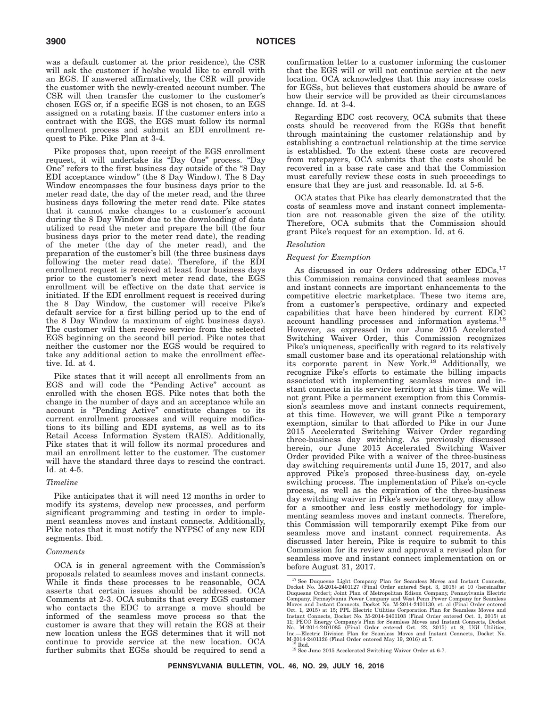was a default customer at the prior residence), the CSR will ask the customer if he/she would like to enroll with an EGS. If answered affirmatively, the CSR will provide the customer with the newly-created account number. The CSR will then transfer the customer to the customer's chosen EGS or, if a specific EGS is not chosen, to an EGS assigned on a rotating basis. If the customer enters into a contract with the EGS, the EGS must follow its normal enrollment process and submit an EDI enrollment request to Pike. Pike Plan at 3-4.

Pike proposes that, upon receipt of the EGS enrollment request, it will undertake its ''Day One'' process. ''Day One" refers to the first business day outside of the "8 Day" EDI acceptance window'' (the 8 Day Window). The 8 Day Window encompasses the four business days prior to the meter read date, the day of the meter read, and the three business days following the meter read date. Pike states that it cannot make changes to a customer's account during the 8 Day Window due to the downloading of data utilized to read the meter and prepare the bill (the four business days prior to the meter read date), the reading of the meter (the day of the meter read), and the preparation of the customer's bill (the three business days following the meter read date). Therefore, if the EDI enrollment request is received at least four business days prior to the customer's next meter read date, the EGS enrollment will be effective on the date that service is initiated. If the EDI enrollment request is received during the 8 Day Window, the customer will receive Pike's default service for a first billing period up to the end of the 8 Day Window (a maximum of eight business days). The customer will then receive service from the selected EGS beginning on the second bill period. Pike notes that neither the customer nor the EGS would be required to take any additional action to make the enrollment effective. Id. at 4.

Pike states that it will accept all enrollments from an EGS and will code the "Pending Active" account as enrolled with the chosen EGS. Pike notes that both the change in the number of days and an acceptance while an account is "Pending Active" constitute changes to its current enrollment processes and will require modifications to its billing and EDI systems, as well as to its Retail Access Information System (RAIS). Additionally, Pike states that it will follow its normal procedures and mail an enrollment letter to the customer. The customer will have the standard three days to rescind the contract. Id. at 4-5.

#### *Timeline*

Pike anticipates that it will need 12 months in order to modify its systems, develop new processes, and perform significant programming and testing in order to implement seamless moves and instant connects. Additionally, Pike notes that it must notify the NYPSC of any new EDI segments. Ibid.

#### *Comments*

OCA is in general agreement with the Commission's proposals related to seamless moves and instant connects. While it finds these processes to be reasonable, OCA asserts that certain issues should be addressed. OCA Comments at 2-3. OCA submits that every EGS customer who contacts the EDC to arrange a move should be informed of the seamless move process so that the customer is aware that they will retain the EGS at their new location unless the EGS determines that it will not continue to provide service at the new location. OCA further submits that EGSs should be required to send a

confirmation letter to a customer informing the customer that the EGS will or will not continue service at the new location. OCA acknowledges that this may increase costs for EGSs, but believes that customers should be aware of how their service will be provided as their circumstances change. Id. at 3-4.

Regarding EDC cost recovery, OCA submits that these costs should be recovered from the EGSs that benefit through maintaining the customer relationship and by establishing a contractual relationship at the time service is established. To the extent these costs are recovered from ratepayers, OCA submits that the costs should be recovered in a base rate case and that the Commission must carefully review these costs in such proceedings to ensure that they are just and reasonable. Id. at 5-6.

OCA states that Pike has clearly demonstrated that the costs of seamless move and instant connect implementation are not reasonable given the size of the utility. Therefore, OCA submits that the Commission should grant Pike's request for an exemption. Id. at 6.

#### *Resolution*

#### *Request for Exemption*

As discussed in our Orders addressing other  $EDCs$ ,  $^{17}$ this Commission remains convinced that seamless moves and instant connects are important enhancements to the competitive electric marketplace. These two items are, from a customer's perspective, ordinary and expected capabilities that have been hindered by current EDC account handling processes and information systems.<sup>18</sup> However, as expressed in our June 2015 Accelerated Switching Waiver Order, this Commission recognizes Pike's uniqueness, specifically with regard to its relatively small customer base and its operational relationship with<br>its corporate parent in New York.<sup>19</sup> Additionally, we recognize Pike's efforts to estimate the billing impacts associated with implementing seamless moves and instant connects in its service territory at this time. We will not grant Pike a permanent exemption from this Commission's seamless move and instant connects requirement, at this time. However, we will grant Pike a temporary exemption, similar to that afforded to Pike in our June 2015 Accelerated Switching Waiver Order regarding three-business day switching. As previously discussed herein, our June 2015 Accelerated Switching Waiver Order provided Pike with a waiver of the three-business day switching requirements until June 15, 2017, and also approved Pike's proposed three-business day, on-cycle switching process. The implementation of Pike's on-cycle process, as well as the expiration of the three-business day switching waiver in Pike's service territory, may allow for a smoother and less costly methodology for implementing seamless moves and instant connects. Therefore, this Commission will temporarily exempt Pike from our seamless move and instant connect requirements. As discussed later herein, Pike is require to submit to this Commission for its review and approval a revised plan for seamless move and instant connect implementation on or before August 31, 2017.

<sup>&</sup>lt;sup>17</sup> See Duquesne Light Company Plan for Seamless Moves and Instant Connects, Docket No. M-2014-2401127 (Final Order entered Sept. 3, 2015) at 10 (hereinafter Duquesne Order); Joint Plan of Metropolitan Edison Company, Pennsylvania Electric<br>Company, Pennsylvania Power Company and West Penn Power Company for Seamless<br>Moves and Instant Connects, Docket No. M-2014-2401130, et. al ( Inc.—Electric Division Plan for Seamless Moves and Instant Connects, Docket No.<br>M-2014-2401126 (Final Order entered May 19, 2016) at 7.<br><sup>18</sup> Bid.<br>See June 2015 Accelerated Switching Waiver Order at 6-7.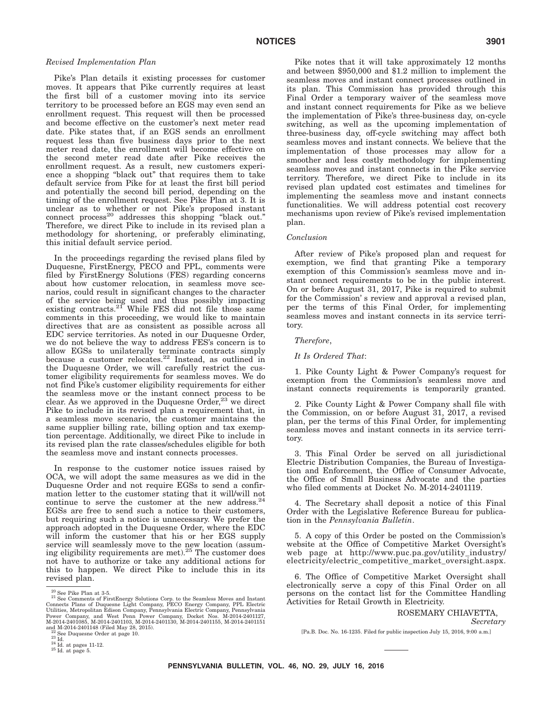#### *Revised Implementation Plan*

Pike's Plan details it existing processes for customer moves. It appears that Pike currently requires at least the first bill of a customer moving into its service territory to be processed before an EGS may even send an enrollment request. This request will then be processed and become effective on the customer's next meter read date. Pike states that, if an EGS sends an enrollment request less than five business days prior to the next meter read date, the enrollment will become effective on the second meter read date after Pike receives the enrollment request. As a result, new customers experience a shopping ''black out'' that requires them to take default service from Pike for at least the first bill period and potentially the second bill period, depending on the timing of the enrollment request. See Pike Plan at 3. It is unclear as to whether or not Pike's proposed instant connect process<sup>20</sup> addresses this shopping "black out." Therefore, we direct Pike to include in its revised plan a methodology for shortening, or preferably eliminating, this initial default service period.

In the proceedings regarding the revised plans filed by Duquesne, FirstEnergy, PECO and PPL, comments were filed by FirstEnergy Solutions (FES) regarding concerns about how customer relocation, in seamless move scenarios, could result in significant changes to the character of the service being used and thus possibly impacting existing contracts.<sup>21</sup> While FES did not file those same comments in this proceeding, we would like to maintain directives that are as consistent as possible across all EDC service territories. As noted in our Duquesne Order, we do not believe the way to address FES's concern is to allow EGSs to unilaterally terminate contracts simply because a customer relocates.<sup>22</sup> Instead, as outlined in the Duquesne Order, we will carefully restrict the customer eligibility requirements for seamless moves. We do not find Pike's customer eligibility requirements for either the seamless move or the instant connect process to be clear. As we approved in the Duquesne Order,<sup>23</sup> we direct Pike to include in its revised plan a requirement that, in a seamless move scenario, the customer maintains the same supplier billing rate, billing option and tax exemption percentage. Additionally, we direct Pike to include in its revised plan the rate classes/schedules eligible for both the seamless move and instant connects processes.

In response to the customer notice issues raised by OCA, we will adopt the same measures as we did in the Duquesne Order and not require EGSs to send a confirmation letter to the customer stating that it will/will not continue to serve the customer at the new address.<sup>24</sup> EGSs are free to send such a notice to their customers, but requiring such a notice is unnecessary. We prefer the approach adopted in the Duquesne Order, where the EDC will inform the customer that his or her EGS supply service will seamlessly move to the new location (assuming eligibility requirements are met).25 The customer does not have to authorize or take any additional actions for this to happen. We direct Pike to include this in its revised plan.

Pike notes that it will take approximately 12 months and between \$950,000 and \$1.2 million to implement the seamless moves and instant connect processes outlined in its plan. This Commission has provided through this Final Order a temporary waiver of the seamless move and instant connect requirements for Pike as we believe the implementation of Pike's three-business day, on-cycle switching, as well as the upcoming implementation of three-business day, off-cycle switching may affect both seamless moves and instant connects. We believe that the implementation of those processes may allow for a smoother and less costly methodology for implementing seamless moves and instant connects in the Pike service territory. Therefore, we direct Pike to include in its revised plan updated cost estimates and timelines for implementing the seamless move and instant connects functionalities. We will address potential cost recovery mechanisms upon review of Pike's revised implementation plan.

#### *Conclusion*

After review of Pike's proposed plan and request for exemption, we find that granting Pike a temporary exemption of this Commission's seamless move and instant connect requirements to be in the public interest. On or before August 31, 2017, Pike is required to submit for the Commission' s review and approval a revised plan, per the terms of this Final Order, for implementing seamless moves and instant connects in its service territory.

#### *Therefore*,

*It Is Ordered That*:

1. Pike County Light & Power Company's request for exemption from the Commission's seamless move and instant connects requirements is temporarily granted.

2. Pike County Light & Power Company shall file with the Commission, on or before August 31, 2017, a revised plan, per the terms of this Final Order, for implementing seamless moves and instant connects in its service territory.

3. This Final Order be served on all jurisdictional Electric Distribution Companies, the Bureau of Investigation and Enforcement, the Office of Consumer Advocate, the Office of Small Business Advocate and the parties who filed comments at Docket No. M-2014-2401119.

4. The Secretary shall deposit a notice of this Final Order with the Legislative Reference Bureau for publication in the *Pennsylvania Bulletin*.

5. A copy of this Order be posted on the Commission's website at the Office of Competitive Market Oversight's web page at http://www.puc.pa.gov/utility\_industry/ electricity/electric\_competitive\_market\_oversight.aspx.

6. The Office of Competitive Market Oversight shall electronically serve a copy of this Final Order on all persons on the contact list for the Committee Handling Activities for Retail Growth in Electricity.

ROSEMARY CHIAVETTA,

<sup>&</sup>lt;sup>20</sup> See Pike Plan at 3-5. <sup>21</sup> See Comments of FirstEnergy Solutions Corp. to the Seamless Moves and Instant <sup>21</sup> See Comments of FirstEnergy Solutions Corp. PECO Energy Company, PPL Electric Connects Plans of Duquesne Light Company, PECO Energy Company, PPL Electric<br>Utilities, Metropolitan Edison Company, Pennsylvania Electric Company, Pennsylvania<br>Power Company, and West Penn Power Company, Docket Nos. M-201

*Secretary*

<sup>[</sup>Pa.B. Doc. No. 16-1235. Filed for public inspection July 15, 2016, 9:00 a.m.]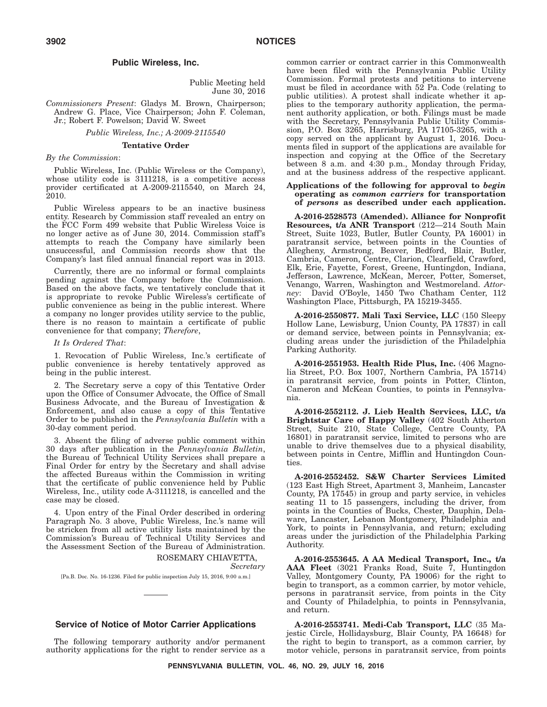#### **Public Wireless, Inc.**

Public Meeting held June 30, 2016

*Commissioners Present*: Gladys M. Brown, Chairperson; Andrew G. Place, Vice Chairperson; John F. Coleman, Jr.; Robert F. Powelson; David W. Sweet

*Public Wireless, Inc.; A-2009-2115540*

#### **Tentative Order**

*By the Commission*:

Public Wireless, Inc. (Public Wireless or the Company), whose utility code is 3111218, is a competitive access provider certificated at A-2009-2115540, on March 24, 2010.

Public Wireless appears to be an inactive business entity. Research by Commission staff revealed an entry on the FCC Form 499 website that Public Wireless Voice is no longer active as of June 30, 2014. Commission staff 's attempts to reach the Company have similarly been unsuccessful, and Commission records show that the Company's last filed annual financial report was in 2013.

Currently, there are no informal or formal complaints pending against the Company before the Commission. Based on the above facts, we tentatively conclude that it is appropriate to revoke Public Wireless's certificate of public convenience as being in the public interest. Where a company no longer provides utility service to the public, there is no reason to maintain a certificate of public convenience for that company; *Therefore*,

#### *It Is Ordered That*:

1. Revocation of Public Wireless, Inc.'s certificate of public convenience is hereby tentatively approved as being in the public interest.

2. The Secretary serve a copy of this Tentative Order upon the Office of Consumer Advocate, the Office of Small Business Advocate, and the Bureau of Investigation & Enforcement, and also cause a copy of this Tentative Order to be published in the *Pennsylvania Bulletin* with a 30-day comment period.

3. Absent the filing of adverse public comment within 30 days after publication in the *Pennsylvania Bulletin*, the Bureau of Technical Utility Services shall prepare a Final Order for entry by the Secretary and shall advise the affected Bureaus within the Commission in writing that the certificate of public convenience held by Public Wireless, Inc., utility code A-3111218, is cancelled and the case may be closed.

4. Upon entry of the Final Order described in ordering Paragraph No. 3 above, Public Wireless, Inc.'s name will be stricken from all active utility lists maintained by the Commission's Bureau of Technical Utility Services and the Assessment Section of the Bureau of Administration.

#### ROSEMARY CHIAVETTA, *Secretary*

[Pa.B. Doc. No. 16-1236. Filed for public inspection July 15, 2016, 9:00 a.m.]

#### **Service of Notice of Motor Carrier Applications**

The following temporary authority and/or permanent authority applications for the right to render service as a common carrier or contract carrier in this Commonwealth have been filed with the Pennsylvania Public Utility Commission. Formal protests and petitions to intervene must be filed in accordance with 52 Pa. Code (relating to public utilities). A protest shall indicate whether it applies to the temporary authority application, the permanent authority application, or both. Filings must be made with the Secretary, Pennsylvania Public Utility Commission, P.O. Box 3265, Harrisburg, PA 17105-3265, with a copy served on the applicant by August 1, 2016. Documents filed in support of the applications are available for inspection and copying at the Office of the Secretary between 8 a.m. and 4:30 p.m., Monday through Friday, and at the business address of the respective applicant.

#### **Applications of the following for approval to** *begin* **operating as** *common carriers* **for transportation of** *persons* **as described under each application.**

**A-2016-2528573 (Amended). Alliance for Nonprofit Resources, t/a ANR Transport** (212—214 South Main Street, Suite 1023, Butler, Butler County, PA 16001) in paratransit service, between points in the Counties of Allegheny, Armstrong, Beaver, Bedford, Blair, Butler, Cambria, Cameron, Centre, Clarion, Clearfield, Crawford, Elk, Erie, Fayette, Forest, Greene, Huntingdon, Indiana, Jefferson, Lawrence, McKean, Mercer, Potter, Somerset, Venango, Warren, Washington and Westmoreland. *Attorney*: David O'Boyle, 1450 Two Chatham Center, 112 Washington Place, Pittsburgh, PA 15219-3455.

**A-2016-2550877. Mali Taxi Service, LLC** (150 Sleepy Hollow Lane, Lewisburg, Union County, PA 17837) in call or demand service, between points in Pennsylvania; excluding areas under the jurisdiction of the Philadelphia Parking Authority.

**A-2016-2551953. Health Ride Plus, Inc.** (406 Magnolia Street, P.O. Box 1007, Northern Cambria, PA 15714) in paratransit service, from points in Potter, Clinton, Cameron and McKean Counties, to points in Pennsylvania.

**A-2016-2552112. J. Lieb Health Services, LLC, t/a Brightstar Care of Happy Valley** (402 South Atherton Street, Suite 210, State College, Centre County, PA 16801) in paratransit service, limited to persons who are unable to drive themselves due to a physical disability, between points in Centre, Mifflin and Huntingdon Counties.

**A-2016-2552452. S&W Charter Services Limited** (123 East High Street, Apartment 3, Manheim, Lancaster County, PA 17545) in group and party service, in vehicles seating 11 to 15 passengers, including the driver, from points in the Counties of Bucks, Chester, Dauphin, Delaware, Lancaster, Lebanon Montgomery, Philadelphia and York, to points in Pennsylvania, and return; excluding areas under the jurisdiction of the Philadelphia Parking Authority.

**A-2016-2553645. A AA Medical Transport, Inc., t/a AAA Fleet** (3021 Franks Road, Suite 7, Huntingdon Valley, Montgomery County, PA 19006) for the right to begin to transport, as a common carrier, by motor vehicle, persons in paratransit service, from points in the City and County of Philadelphia, to points in Pennsylvania, and return.

**A-2016-2553741. Medi-Cab Transport, LLC** (35 Majestic Circle, Hollidaysburg, Blair County, PA 16648) for the right to begin to transport, as a common carrier, by motor vehicle, persons in paratransit service, from points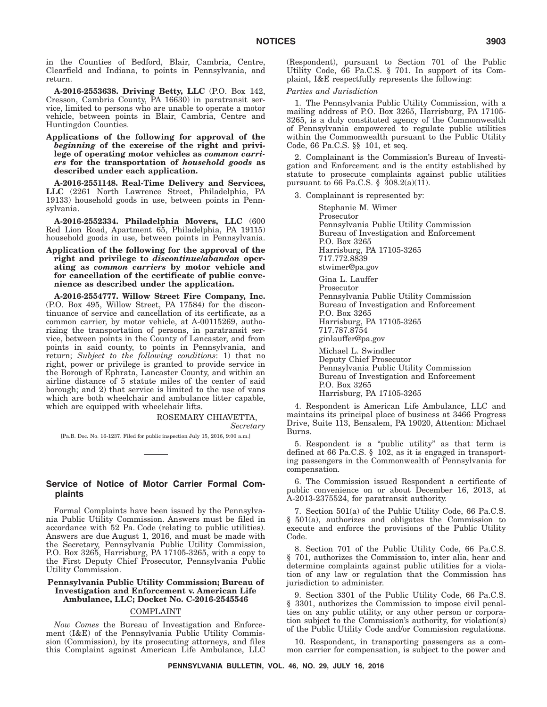in the Counties of Bedford, Blair, Cambria, Centre, Clearfield and Indiana, to points in Pennsylvania, and return.

**A-2016-2553638. Driving Betty, LLC** (P.O. Box 142, Cresson, Cambria County, PA 16630) in paratransit service, limited to persons who are unable to operate a motor vehicle, between points in Blair, Cambria, Centre and Huntingdon Counties.

**Applications of the following for approval of the** *beginning* **of the exercise of the right and privilege of operating motor vehicles as** *common carriers* **for the transportation of** *household goods* **as described under each application.**

**A-2016-2551148. Real-Time Delivery and Services, LLC** (2261 North Lawrence Street, Philadelphia, PA 19133) household goods in use, between points in Pennsylvania.

**A-2016-2552334. Philadelphia Movers, LLC** (600 Red Lion Road, Apartment 65, Philadelphia, PA 19115) household goods in use, between points in Pennsylvania.

#### **Application of the following for the approval of the right and privilege to** *discontinue/abandon* **operating as** *common carriers* **by motor vehicle and for cancellation of the certificate of public convenience as described under the application.**

**A-2016-2554777. Willow Street Fire Company, Inc.** (P.O. Box 495, Willow Street, PA 17584) for the discontinuance of service and cancellation of its certificate, as a common carrier, by motor vehicle, at A-00115269, authorizing the transportation of persons, in paratransit service, between points in the County of Lancaster, and from points in said county, to points in Pennsylvania, and return; *Subject to the following conditions*: 1) that no right, power or privilege is granted to provide service in the Borough of Ephrata, Lancaster County, and within an airline distance of 5 statute miles of the center of said borough; and 2) that service is limited to the use of vans which are both wheelchair and ambulance litter capable, which are equipped with wheelchair lifts.

> ROSEMARY CHIAVETTA, *Secretary*

[Pa.B. Doc. No. 16-1237. Filed for public inspection July 15, 2016, 9:00 a.m.]

# **Service of Notice of Motor Carrier Formal Complaints**

Formal Complaints have been issued by the Pennsylvania Public Utility Commission. Answers must be filed in accordance with 52 Pa. Code (relating to public utilities). Answers are due August 1, 2016, and must be made with the Secretary, Pennsylvania Public Utility Commission, P.O. Box 3265, Harrisburg, PA 17105-3265, with a copy to the First Deputy Chief Prosecutor, Pennsylvania Public Utility Commission.

#### **Pennsylvania Public Utility Commission; Bureau of Investigation and Enforcement v. American Life Ambulance, LLC; Docket No. C-2016-2545546**

#### COMPLAINT

*Now Comes* the Bureau of Investigation and Enforcement (I&E) of the Pennsylvania Public Utility Commission (Commission), by its prosecuting attorneys, and files this Complaint against American Life Ambulance, LLC (Respondent), pursuant to Section 701 of the Public Utility Code, 66 Pa.C.S. § 701. In support of its Complaint, I&E respectfully represents the following:

#### *Parties and Jurisdiction*

1. The Pennsylvania Public Utility Commission, with a mailing address of P.O. Box 3265, Harrisburg, PA 17105- 3265, is a duly constituted agency of the Commonwealth of Pennsylvania empowered to regulate public utilities within the Commonwealth pursuant to the Public Utility Code, 66 Pa.C.S. §§ 101, et seq.

2. Complainant is the Commission's Bureau of Investigation and Enforcement and is the entity established by statute to prosecute complaints against public utilities pursuant to 66 Pa.C.S. § 308.2(a)(11).

3. Complainant is represented by:

Stephanie M. Wimer Prosecutor Pennsylvania Public Utility Commission Bureau of Investigation and Enforcement P.O. Box 3265 Harrisburg, PA 17105-3265 717.772.8839 stwimer@pa.gov Gina L. Lauffer Prosecutor Pennsylvania Public Utility Commission Bureau of Investigation and Enforcement P.O. Box 3265 Harrisburg, PA 17105-3265 717.787.8754

ginlauffer@pa.gov

Michael L. Swindler Deputy Chief Prosecutor Pennsylvania Public Utility Commission Bureau of Investigation and Enforcement P.O. Box 3265 Harrisburg, PA 17105-3265

4. Respondent is American Life Ambulance, LLC and maintains its principal place of business at 3466 Progress Drive, Suite 113, Bensalem, PA 19020, Attention: Michael Burns.

5. Respondent is a ''public utility'' as that term is defined at 66 Pa.C.S. § 102, as it is engaged in transporting passengers in the Commonwealth of Pennsylvania for compensation.

6. The Commission issued Respondent a certificate of public convenience on or about December 16, 2013, at A-2013-2375524, for paratransit authority.

7. Section 501(a) of the Public Utility Code, 66 Pa.C.S. § 501(a), authorizes and obligates the Commission to execute and enforce the provisions of the Public Utility Code.

8. Section 701 of the Public Utility Code, 66 Pa.C.S. § 701, authorizes the Commission to, inter alia, hear and determine complaints against public utilities for a violation of any law or regulation that the Commission has jurisdiction to administer.

9. Section 3301 of the Public Utility Code, 66 Pa.C.S. § 3301, authorizes the Commission to impose civil penalties on any public utility, or any other person or corporation subject to the Commission's authority, for violation(s) of the Public Utility Code and/or Commission regulations.

10. Respondent, in transporting passengers as a common carrier for compensation, is subject to the power and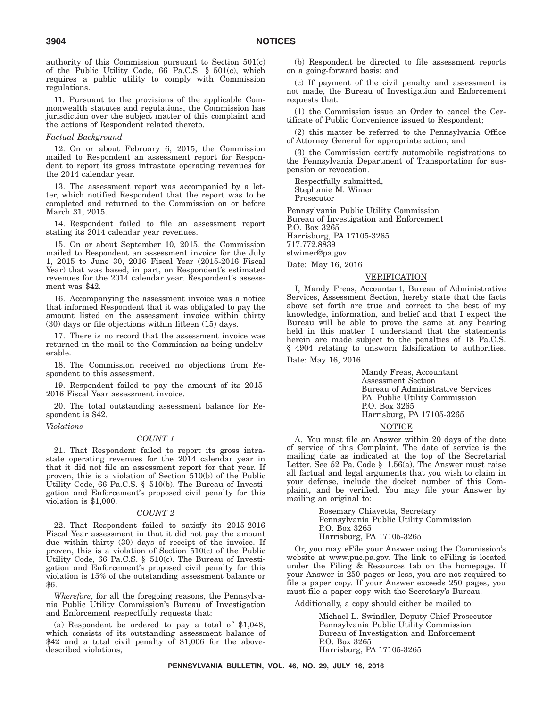authority of this Commission pursuant to Section 501(c) of the Public Utility Code, 66 Pa.C.S. § 501(c), which requires a public utility to comply with Commission regulations.

11. Pursuant to the provisions of the applicable Commonwealth statutes and regulations, the Commission has jurisdiction over the subject matter of this complaint and the actions of Respondent related thereto.

#### *Factual Background*

12. On or about February 6, 2015, the Commission mailed to Respondent an assessment report for Respondent to report its gross intrastate operating revenues for the 2014 calendar year.

13. The assessment report was accompanied by a letter, which notified Respondent that the report was to be completed and returned to the Commission on or before March 31, 2015.

14. Respondent failed to file an assessment report stating its 2014 calendar year revenues.

15. On or about September 10, 2015, the Commission mailed to Respondent an assessment invoice for the July 1, 2015 to June 30, 2016 Fiscal Year (2015-2016 Fiscal Year) that was based, in part, on Respondent's estimated revenues for the 2014 calendar year. Respondent's assessment was \$42.

16. Accompanying the assessment invoice was a notice that informed Respondent that it was obligated to pay the amount listed on the assessment invoice within thirty (30) days or file objections within fifteen (15) days.

17. There is no record that the assessment invoice was returned in the mail to the Commission as being undeliverable.

18. The Commission received no objections from Respondent to this assessment.

19. Respondent failed to pay the amount of its 2015- 2016 Fiscal Year assessment invoice.

20. The total outstanding assessment balance for Respondent is \$42.

### *Violations*

# *COUNT 1*

21. That Respondent failed to report its gross intrastate operating revenues for the 2014 calendar year in that it did not file an assessment report for that year. If proven, this is a violation of Section 510(b) of the Public Utility Code, 66 Pa.C.S. § 510(b). The Bureau of Investigation and Enforcement's proposed civil penalty for this violation is \$1,000.

#### *COUNT 2*

22. That Respondent failed to satisfy its 2015-2016 Fiscal Year assessment in that it did not pay the amount due within thirty (30) days of receipt of the invoice. If proven, this is a violation of Section 510(c) of the Public Utility Code, 66 Pa.C.S. § 510(c). The Bureau of Investigation and Enforcement's proposed civil penalty for this violation is 15% of the outstanding assessment balance or \$6.

*Wherefore*, for all the foregoing reasons, the Pennsylvania Public Utility Commission's Bureau of Investigation and Enforcement respectfully requests that:

(a) Respondent be ordered to pay a total of \$1,048, which consists of its outstanding assessment balance of \$42 and a total civil penalty of \$1,006 for the abovedescribed violations;

(b) Respondent be directed to file assessment reports on a going-forward basis; and

(c) If payment of the civil penalty and assessment is not made, the Bureau of Investigation and Enforcement requests that:

(1) the Commission issue an Order to cancel the Certificate of Public Convenience issued to Respondent;

(2) this matter be referred to the Pennsylvania Office of Attorney General for appropriate action; and

(3) the Commission certify automobile registrations to the Pennsylvania Department of Transportation for suspension or revocation.

Respectfully submitted, Stephanie M. Wimer Prosecutor

Pennsylvania Public Utility Commission Bureau of Investigation and Enforcement P.O. Box 3265 Harrisburg, PA 17105-3265 717.772.8839 stwimer@pa.gov

# VERIFICATION

I, Mandy Freas, Accountant, Bureau of Administrative Services, Assessment Section, hereby state that the facts above set forth are true and correct to the best of my knowledge, information, and belief and that I expect the Bureau will be able to prove the same at any hearing held in this matter. I understand that the statements herein are made subject to the penalties of 18 Pa.C.S. § 4904 relating to unsworn falsification to authorities.

Date: May 16, 2016

Date: May 16, 2016

Mandy Freas, Accountant Assessment Section Bureau of Administrative Services PA. Public Utility Commission P.O. Box 3265 Harrisburg, PA 17105-3265

# NOTICE

A. You must file an Answer within 20 days of the date of service of this Complaint. The date of service is the mailing date as indicated at the top of the Secretarial Letter. See 52 Pa. Code § 1.56(a). The Answer must raise all factual and legal arguments that you wish to claim in your defense, include the docket number of this Complaint, and be verified. You may file your Answer by mailing an original to:

> Rosemary Chiavetta, Secretary Pennsylvania Public Utility Commission P.O. Box 3265 Harrisburg, PA 17105-3265

Or, you may eFile your Answer using the Commission's website at www.puc.pa.gov. The link to eFiling is located under the Filing & Resources tab on the homepage. If your Answer is 250 pages or less, you are not required to file a paper copy. If your Answer exceeds 250 pages, you must file a paper copy with the Secretary's Bureau.

Additionally, a copy should either be mailed to:

Michael L. Swindler, Deputy Chief Prosecutor Pennsylvania Public Utility Commission Bureau of Investigation and Enforcement P.O. Box 3265 Harrisburg, PA 17105-3265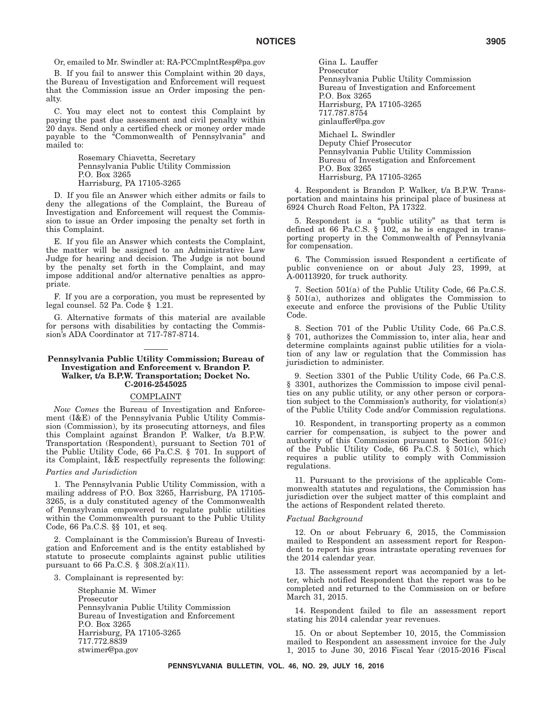Or, emailed to Mr. Swindler at: RA-PCCmplntResp@pa.gov

B. If you fail to answer this Complaint within 20 days, the Bureau of Investigation and Enforcement will request that the Commission issue an Order imposing the penalty.

C. You may elect not to contest this Complaint by paying the past due assessment and civil penalty within 20 days. Send only a certified check or money order made payable to the ''Commonwealth of Pennsylvania'' and mailed to:

> Rosemary Chiavetta, Secretary Pennsylvania Public Utility Commission P.O. Box 3265 Harrisburg, PA 17105-3265

D. If you file an Answer which either admits or fails to deny the allegations of the Complaint, the Bureau of Investigation and Enforcement will request the Commission to issue an Order imposing the penalty set forth in this Complaint.

E. If you file an Answer which contests the Complaint, the matter will be assigned to an Administrative Law Judge for hearing and decision. The Judge is not bound by the penalty set forth in the Complaint, and may impose additional and/or alternative penalties as appropriate.

F. If you are a corporation, you must be represented by legal counsel. 52 Pa. Code § 1.21.

G. Alternative formats of this material are available for persons with disabilities by contacting the Commission's ADA Coordinator at 717-787-8714.

### **Pennsylvania Public Utility Commission; Bureau of Investigation and Enforcement v. Brandon P. Walker, t/a B.P.W. Transportation; Docket No. C-2016-2545025**

### COMPLAINT

*Now Comes* the Bureau of Investigation and Enforcement (I&E) of the Pennsylvania Public Utility Commission (Commission), by its prosecuting attorneys, and files this Complaint against Brandon P. Walker, t/a B.P.W. Transportation (Respondent), pursuant to Section 701 of the Public Utility Code, 66 Pa.C.S. § 701. In support of its Complaint, I&E respectfully represents the following:

#### *Parties and Jurisdiction*

1. The Pennsylvania Public Utility Commission, with a mailing address of P.O. Box 3265, Harrisburg, PA 17105- 3265, is a duly constituted agency of the Commonwealth of Pennsylvania empowered to regulate public utilities within the Commonwealth pursuant to the Public Utility Code, 66 Pa.C.S. §§ 101, et seq.

2. Complainant is the Commission's Bureau of Investigation and Enforcement and is the entity established by statute to prosecute complaints against public utilities pursuant to 66 Pa.C.S. § 308.2(a)(11).

3. Complainant is represented by:

Stephanie M. Wimer Prosecutor Pennsylvania Public Utility Commission Bureau of Investigation and Enforcement P.O. Box 3265 Harrisburg, PA 17105-3265 717.772.8839 stwimer@pa.gov

Gina L. Lauffer Prosecutor Pennsylvania Public Utility Commission Bureau of Investigation and Enforcement P.O. Box 3265 Harrisburg, PA 17105-3265 717.787.8754 ginlauffer@pa.gov

Michael L. Swindler Deputy Chief Prosecutor Pennsylvania Public Utility Commission Bureau of Investigation and Enforcement P.O. Box 3265 Harrisburg, PA 17105-3265

4. Respondent is Brandon P. Walker, t/a B.P.W. Transportation and maintains his principal place of business at 6924 Church Road Felton, PA 17322.

5. Respondent is a ''public utility'' as that term is defined at 66 Pa.C.S. § 102, as he is engaged in transporting property in the Commonwealth of Pennsylvania for compensation.

6. The Commission issued Respondent a certificate of public convenience on or about July 23, 1999, at A-00113920, for truck authority.

7. Section 501(a) of the Public Utility Code, 66 Pa.C.S. § 501(a), authorizes and obligates the Commission to execute and enforce the provisions of the Public Utility Code.

8. Section 701 of the Public Utility Code, 66 Pa.C.S. § 701, authorizes the Commission to, inter alia, hear and determine complaints against public utilities for a violation of any law or regulation that the Commission has jurisdiction to administer.

9. Section 3301 of the Public Utility Code, 66 Pa.C.S. § 3301, authorizes the Commission to impose civil penalties on any public utility, or any other person or corporation subject to the Commission's authority, for violation(s) of the Public Utility Code and/or Commission regulations.

10. Respondent, in transporting property as a common carrier for compensation, is subject to the power and authority of this Commission pursuant to Section 501(c) of the Public Utility Code, 66 Pa.C.S. § 501(c), which requires a public utility to comply with Commission regulations.

11. Pursuant to the provisions of the applicable Commonwealth statutes and regulations, the Commission has jurisdiction over the subject matter of this complaint and the actions of Respondent related thereto.

#### *Factual Background*

12. On or about February 6, 2015, the Commission mailed to Respondent an assessment report for Respondent to report his gross intrastate operating revenues for the 2014 calendar year.

13. The assessment report was accompanied by a letter, which notified Respondent that the report was to be completed and returned to the Commission on or before March 31, 2015.

14. Respondent failed to file an assessment report stating his 2014 calendar year revenues.

15. On or about September 10, 2015, the Commission mailed to Respondent an assessment invoice for the July 1, 2015 to June 30, 2016 Fiscal Year (2015-2016 Fiscal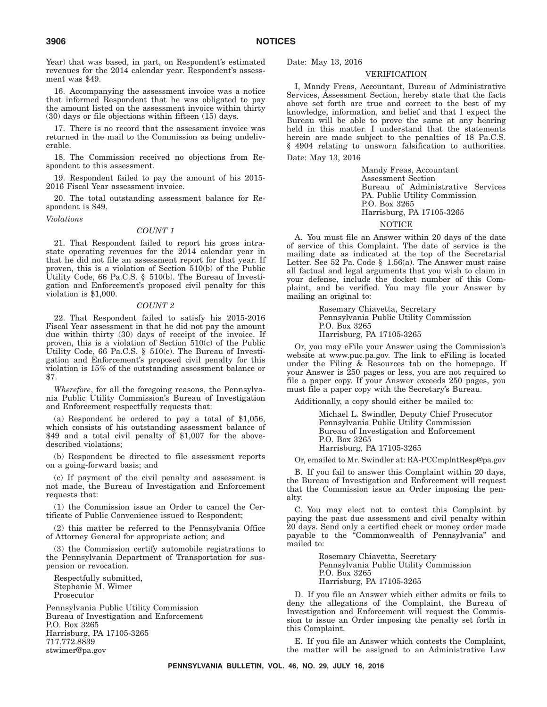Year) that was based, in part, on Respondent's estimated revenues for the 2014 calendar year. Respondent's assessment was \$49.

16. Accompanying the assessment invoice was a notice that informed Respondent that he was obligated to pay the amount listed on the assessment invoice within thirty (30) days or file objections within fifteen (15) days.

17. There is no record that the assessment invoice was returned in the mail to the Commission as being undeliverable.

18. The Commission received no objections from Respondent to this assessment.

19. Respondent failed to pay the amount of his 2015- 2016 Fiscal Year assessment invoice.

20. The total outstanding assessment balance for Respondent is \$49.

#### *Violations*

# *COUNT 1*

21. That Respondent failed to report his gross intrastate operating revenues for the 2014 calendar year in that he did not file an assessment report for that year. If proven, this is a violation of Section 510(b) of the Public Utility Code, 66 Pa.C.S. § 510(b). The Bureau of Investigation and Enforcement's proposed civil penalty for this violation is \$1,000.

#### *COUNT 2*

22. That Respondent failed to satisfy his 2015-2016 Fiscal Year assessment in that he did not pay the amount due within thirty (30) days of receipt of the invoice. If proven, this is a violation of Section 510(c) of the Public Utility Code, 66 Pa.C.S. § 510(c). The Bureau of Investigation and Enforcement's proposed civil penalty for this violation is 15% of the outstanding assessment balance or \$7.

*Wherefore*, for all the foregoing reasons, the Pennsylvania Public Utility Commission's Bureau of Investigation and Enforcement respectfully requests that:

(a) Respondent be ordered to pay a total of \$1,056, which consists of his outstanding assessment balance of \$49 and a total civil penalty of \$1,007 for the abovedescribed violations;

(b) Respondent be directed to file assessment reports on a going-forward basis; and

(c) If payment of the civil penalty and assessment is not made, the Bureau of Investigation and Enforcement requests that:

(1) the Commission issue an Order to cancel the Certificate of Public Convenience issued to Respondent;

(2) this matter be referred to the Pennsylvania Office of Attorney General for appropriate action; and

(3) the Commission certify automobile registrations to the Pennsylvania Department of Transportation for suspension or revocation.

Respectfully submitted, Stephanie M. Wimer Prosecutor

Pennsylvania Public Utility Commission Bureau of Investigation and Enforcement P.O. Box 3265 Harrisburg, PA 17105-3265 717.772.8839 stwimer@pa.gov

Date: May 13, 2016

# VERIFICATION

I, Mandy Freas, Accountant, Bureau of Administrative Services, Assessment Section, hereby state that the facts above set forth are true and correct to the best of my knowledge, information, and belief and that I expect the Bureau will be able to prove the same at any hearing held in this matter. I understand that the statements herein are made subject to the penalties of 18 Pa.C.S. § 4904 relating to unsworn falsification to authorities.

Date: May 13, 2016

Mandy Freas, Accountant Assessment Section Bureau of Administrative Services PA. Public Utility Commission P.O. Box 3265 Harrisburg, PA 17105-3265

# NOTICE

A. You must file an Answer within 20 days of the date of service of this Complaint. The date of service is the mailing date as indicated at the top of the Secretarial Letter. See 52 Pa. Code § 1.56(a). The Answer must raise all factual and legal arguments that you wish to claim in your defense, include the docket number of this Complaint, and be verified. You may file your Answer by mailing an original to:

> Rosemary Chiavetta, Secretary Pennsylvania Public Utility Commission P.O. Box 3265 Harrisburg, PA 17105-3265

Or, you may eFile your Answer using the Commission's website at www.puc.pa.gov. The link to eFiling is located under the Filing & Resources tab on the homepage. If your Answer is 250 pages or less, you are not required to file a paper copy. If your Answer exceeds 250 pages, you must file a paper copy with the Secretary's Bureau.

Additionally, a copy should either be mailed to:

Michael L. Swindler, Deputy Chief Prosecutor Pennsylvania Public Utility Commission Bureau of Investigation and Enforcement P.O. Box 3265 Harrisburg, PA 17105-3265

Or, emailed to Mr. Swindler at: RA-PCCmplntResp@pa.gov

B. If you fail to answer this Complaint within 20 days, the Bureau of Investigation and Enforcement will request that the Commission issue an Order imposing the penalty.

C. You may elect not to contest this Complaint by paying the past due assessment and civil penalty within 20 days. Send only a certified check or money order made payable to the "Commonwealth of Pennsylvania" and mailed to:

> Rosemary Chiavetta, Secretary Pennsylvania Public Utility Commission P.O. Box 3265 Harrisburg, PA 17105-3265

D. If you file an Answer which either admits or fails to deny the allegations of the Complaint, the Bureau of Investigation and Enforcement will request the Commission to issue an Order imposing the penalty set forth in this Complaint.

E. If you file an Answer which contests the Complaint, the matter will be assigned to an Administrative Law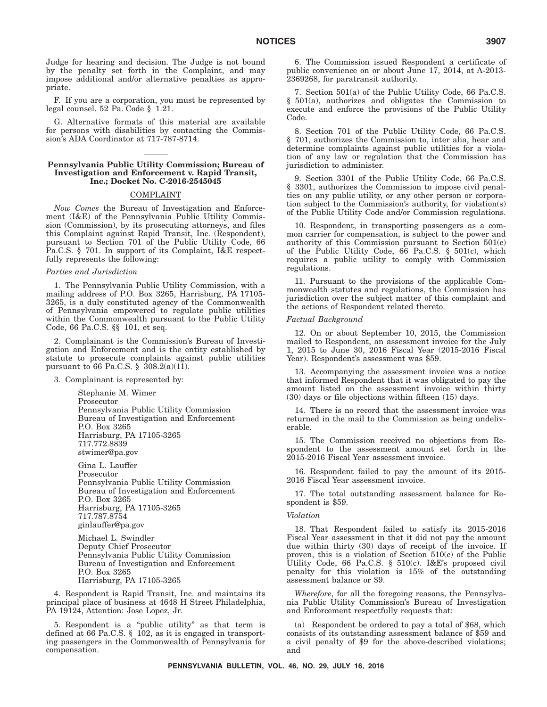Judge for hearing and decision. The Judge is not bound by the penalty set forth in the Complaint, and may impose additional and/or alternative penalties as appropriate.

F. If you are a corporation, you must be represented by legal counsel. 52 Pa. Code § 1.21.

G. Alternative formats of this material are available for persons with disabilities by contacting the Commission's ADA Coordinator at 717-787-8714.

#### **Pennsylvania Public Utility Commission; Bureau of Investigation and Enforcement v. Rapid Transit, Inc.; Docket No. C-2016-2545045**

#### COMPLAINT

*Now Comes* the Bureau of Investigation and Enforcement (I&E) of the Pennsylvania Public Utility Commission (Commission), by its prosecuting attorneys, and files this Complaint against Rapid Transit, Inc. (Respondent), pursuant to Section 701 of the Public Utility Code, 66 Pa.C.S. § 701. In support of its Complaint, I&E respectfully represents the following:

#### *Parties and Jurisdiction*

1. The Pennsylvania Public Utility Commission, with a mailing address of P.O. Box 3265, Harrisburg, PA 17105- 3265, is a duly constituted agency of the Commonwealth of Pennsylvania empowered to regulate public utilities within the Commonwealth pursuant to the Public Utility Code, 66 Pa.C.S. §§ 101, et seq.

2. Complainant is the Commission's Bureau of Investigation and Enforcement and is the entity established by statute to prosecute complaints against public utilities pursuant to 66 Pa.C.S.  $\S$  308.2(a)(11).

3. Complainant is represented by:

Stephanie M. Wimer Prosecutor Pennsylvania Public Utility Commission Bureau of Investigation and Enforcement P.O. Box 3265 Harrisburg, PA 17105-3265 717.772.8839 stwimer@pa.gov

Gina L. Lauffer Prosecutor Pennsylvania Public Utility Commission Bureau of Investigation and Enforcement P.O. Box 3265 Harrisburg, PA 17105-3265 717.787.8754 ginlauffer@pa.gov

Michael L. Swindler Deputy Chief Prosecutor Pennsylvania Public Utility Commission Bureau of Investigation and Enforcement P.O. Box 3265 Harrisburg, PA 17105-3265

4. Respondent is Rapid Transit, Inc. and maintains its principal place of business at 4648 H Street Philadelphia, PA 19124, Attention: Jose Lopez, Jr.

5. Respondent is a ''public utility'' as that term is defined at 66 Pa.C.S. § 102, as it is engaged in transporting passengers in the Commonwealth of Pennsylvania for compensation.

6. The Commission issued Respondent a certificate of public convenience on or about June 17, 2014, at A-2013- 2369268, for paratransit authority.

7. Section 501(a) of the Public Utility Code, 66 Pa.C.S. § 501(a), authorizes and obligates the Commission to execute and enforce the provisions of the Public Utility Code.

8. Section 701 of the Public Utility Code, 66 Pa.C.S. § 701, authorizes the Commission to, inter alia, hear and determine complaints against public utilities for a violation of any law or regulation that the Commission has jurisdiction to administer.

9. Section 3301 of the Public Utility Code, 66 Pa.C.S. § 3301, authorizes the Commission to impose civil penalties on any public utility, or any other person or corporation subject to the Commission's authority, for violation(s) of the Public Utility Code and/or Commission regulations.

10. Respondent, in transporting passengers as a common carrier for compensation, is subject to the power and authority of this Commission pursuant to Section 501(c) of the Public Utility Code, 66 Pa.C.S. § 501(c), which requires a public utility to comply with Commission regulations.

11. Pursuant to the provisions of the applicable Commonwealth statutes and regulations, the Commission has jurisdiction over the subject matter of this complaint and the actions of Respondent related thereto.

#### *Factual Background*

12. On or about September 10, 2015, the Commission mailed to Respondent, an assessment invoice for the July 1, 2015 to June 30, 2016 Fiscal Year (2015-2016 Fiscal Year). Respondent's assessment was \$59.

13. Accompanying the assessment invoice was a notice that informed Respondent that it was obligated to pay the amount listed on the assessment invoice within thirty (30) days or file objections within fifteen (15) days.

14. There is no record that the assessment invoice was returned in the mail to the Commission as being undeliverable.

15. The Commission received no objections from Respondent to the assessment amount set forth in the 2015-2016 Fiscal Year assessment invoice.

16. Respondent failed to pay the amount of its 2015- 2016 Fiscal Year assessment invoice.

17. The total outstanding assessment balance for Respondent is \$59.

#### *Violation*

18. That Respondent failed to satisfy its 2015-2016 Fiscal Year assessment in that it did not pay the amount due within thirty (30) days of receipt of the invoice. If proven, this is a violation of Section 510(c) of the Public Utility Code, 66 Pa.C.S. § 510(c). I&E's proposed civil penalty for this violation is 15% of the outstanding assessment balance or \$9.

*Wherefore*, for all the foregoing reasons, the Pennsylvania Public Utility Commission's Bureau of Investigation and Enforcement respectfully requests that:

(a) Respondent be ordered to pay a total of \$68, which consists of its outstanding assessment balance of \$59 and a civil penalty of \$9 for the above-described violations; and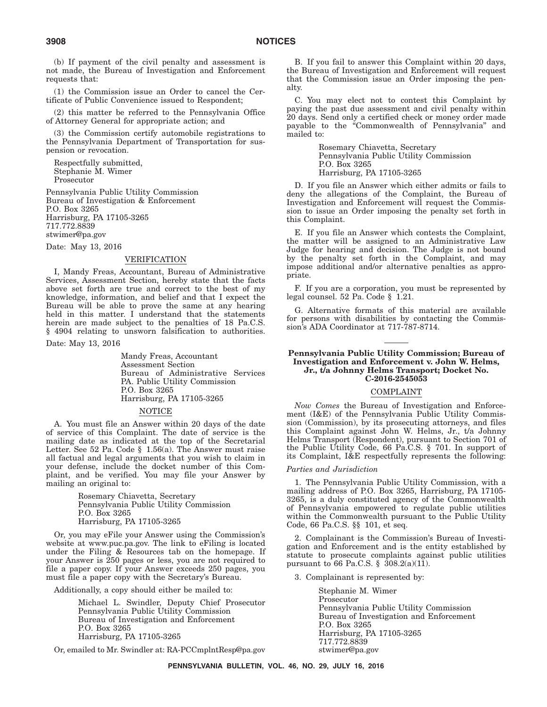(b) If payment of the civil penalty and assessment is not made, the Bureau of Investigation and Enforcement requests that:

(1) the Commission issue an Order to cancel the Certificate of Public Convenience issued to Respondent;

(2) this matter be referred to the Pennsylvania Office of Attorney General for appropriate action; and

(3) the Commission certify automobile registrations to the Pennsylvania Department of Transportation for suspension or revocation.

Respectfully submitted, Stephanie M. Wimer Prosecutor

Pennsylvania Public Utility Commission Bureau of Investigation & Enforcement P.O. Box 3265 Harrisburg, PA 17105-3265 717.772.8839 stwimer@pa.gov

Date: May 13, 2016

#### VERIFICATION

I, Mandy Freas, Accountant, Bureau of Administrative Services, Assessment Section, hereby state that the facts above set forth are true and correct to the best of my knowledge, information, and belief and that I expect the Bureau will be able to prove the same at any hearing held in this matter. I understand that the statements herein are made subject to the penalties of 18 Pa.C.S. § 4904 relating to unsworn falsification to authorities. Date: May 13, 2016

> Mandy Freas, Accountant Assessment Section Bureau of Administrative Services PA. Public Utility Commission P.O. Box 3265 Harrisburg, PA 17105-3265

# **NOTICE**

A. You must file an Answer within 20 days of the date of service of this Complaint. The date of service is the mailing date as indicated at the top of the Secretarial Letter. See 52 Pa. Code  $\S$  1.56(a). The Answer must raise all factual and legal arguments that you wish to claim in your defense, include the docket number of this Complaint, and be verified. You may file your Answer by mailing an original to:

> Rosemary Chiavetta, Secretary Pennsylvania Public Utility Commission P.O. Box 3265 Harrisburg, PA 17105-3265

Or, you may eFile your Answer using the Commission's website at www.puc.pa.gov. The link to eFiling is located under the Filing & Resources tab on the homepage. If your Answer is 250 pages or less, you are not required to file a paper copy. If your Answer exceeds 250 pages, you must file a paper copy with the Secretary's Bureau.

Additionally, a copy should either be mailed to:

Michael L. Swindler, Deputy Chief Prosecutor Pennsylvania Public Utility Commission Bureau of Investigation and Enforcement P.O. Box 3265 Harrisburg, PA 17105-3265

Or, emailed to Mr. Swindler at: RA-PCCmplntResp@pa.gov

B. If you fail to answer this Complaint within 20 days, the Bureau of Investigation and Enforcement will request that the Commission issue an Order imposing the penalty.

C. You may elect not to contest this Complaint by paying the past due assessment and civil penalty within 20 days. Send only a certified check or money order made payable to the "Commonwealth of Pennsylvania" and mailed to:

> Rosemary Chiavetta, Secretary Pennsylvania Public Utility Commission P.O. Box 3265 Harrisburg, PA 17105-3265

D. If you file an Answer which either admits or fails to deny the allegations of the Complaint, the Bureau of Investigation and Enforcement will request the Commission to issue an Order imposing the penalty set forth in this Complaint.

E. If you file an Answer which contests the Complaint, the matter will be assigned to an Administrative Law Judge for hearing and decision. The Judge is not bound by the penalty set forth in the Complaint, and may impose additional and/or alternative penalties as appropriate.

F. If you are a corporation, you must be represented by legal counsel. 52 Pa. Code § 1.21.

G. Alternative formats of this material are available for persons with disabilities by contacting the Commission's ADA Coordinator at 717-787-8714.

#### **Pennsylvania Public Utility Commission; Bureau of Investigation and Enforcement v. John W. Helms, Jr., t/a Johnny Helms Transport; Docket No. C-2016-2545053**

### COMPLAINT

*Now Comes* the Bureau of Investigation and Enforcement (I&E) of the Pennsylvania Public Utility Commission (Commission), by its prosecuting attorneys, and files this Complaint against John W. Helms, Jr., t/a Johnny Helms Transport (Respondent), pursuant to Section 701 of the Public Utility Code, 66 Pa.C.S. § 701. In support of its Complaint, I&E respectfully represents the following:

#### *Parties and Jurisdiction*

1. The Pennsylvania Public Utility Commission, with a mailing address of P.O. Box 3265, Harrisburg, PA 17105- 3265, is a duly constituted agency of the Commonwealth of Pennsylvania empowered to regulate public utilities within the Commonwealth pursuant to the Public Utility Code, 66 Pa.C.S. §§ 101, et seq.

2. Complainant is the Commission's Bureau of Investigation and Enforcement and is the entity established by statute to prosecute complaints against public utilities pursuant to 66 Pa.C.S.  $\S$  308.2(a)(11).

3. Complainant is represented by:

Stephanie M. Wimer Prosecutor Pennsylvania Public Utility Commission Bureau of Investigation and Enforcement P.O. Box 3265 Harrisburg, PA 17105-3265 717.772.8839 stwimer@pa.gov

**PENNSYLVANIA BULLETIN, VOL. 46, NO. 29, JULY 16, 2016**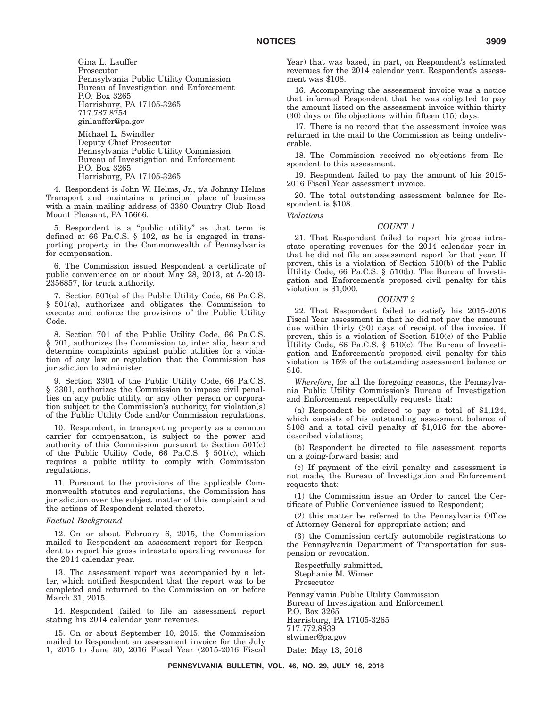Gina L. Lauffer Prosecutor Pennsylvania Public Utility Commission Bureau of Investigation and Enforcement P.O. Box 3265 Harrisburg, PA 17105-3265 717.787.8754 ginlauffer@pa.gov

Michael L. Swindler Deputy Chief Prosecutor Pennsylvania Public Utility Commission Bureau of Investigation and Enforcement P.O. Box 3265 Harrisburg, PA 17105-3265

4. Respondent is John W. Helms, Jr., t/a Johnny Helms Transport and maintains a principal place of business with a main mailing address of 3380 Country Club Road Mount Pleasant, PA 15666.

5. Respondent is a ''public utility'' as that term is defined at 66 Pa.C.S. § 102, as he is engaged in transporting property in the Commonwealth of Pennsylvania for compensation.

6. The Commission issued Respondent a certificate of public convenience on or about May 28, 2013, at A-2013- 2356857, for truck authority.

7. Section 501(a) of the Public Utility Code, 66 Pa.C.S. § 501(a), authorizes and obligates the Commission to execute and enforce the provisions of the Public Utility Code.

8. Section 701 of the Public Utility Code, 66 Pa.C.S. § 701, authorizes the Commission to, inter alia, hear and determine complaints against public utilities for a violation of any law or regulation that the Commission has jurisdiction to administer.

9. Section 3301 of the Public Utility Code, 66 Pa.C.S. § 3301, authorizes the Commission to impose civil penalties on any public utility, or any other person or corporation subject to the Commission's authority, for violation(s) of the Public Utility Code and/or Commission regulations.

10. Respondent, in transporting property as a common carrier for compensation, is subject to the power and authority of this Commission pursuant to Section 501(c) of the Public Utility Code, 66 Pa.C.S. § 501(c), which requires a public utility to comply with Commission regulations.

11. Pursuant to the provisions of the applicable Commonwealth statutes and regulations, the Commission has jurisdiction over the subject matter of this complaint and the actions of Respondent related thereto.

#### *Factual Background*

12. On or about February 6, 2015, the Commission mailed to Respondent an assessment report for Respondent to report his gross intrastate operating revenues for the 2014 calendar year.

13. The assessment report was accompanied by a letter, which notified Respondent that the report was to be completed and returned to the Commission on or before March 31, 2015.

14. Respondent failed to file an assessment report stating his 2014 calendar year revenues.

15. On or about September 10, 2015, the Commission mailed to Respondent an assessment invoice for the July 1, 2015 to June 30, 2016 Fiscal Year (2015-2016 Fiscal Year) that was based, in part, on Respondent's estimated revenues for the 2014 calendar year. Respondent's assessment was \$108.

16. Accompanying the assessment invoice was a notice that informed Respondent that he was obligated to pay the amount listed on the assessment invoice within thirty (30) days or file objections within fifteen (15) days.

17. There is no record that the assessment invoice was returned in the mail to the Commission as being undeliverable.

18. The Commission received no objections from Respondent to this assessment.

19. Respondent failed to pay the amount of his 2015- 2016 Fiscal Year assessment invoice.

20. The total outstanding assessment balance for Respondent is \$108.

*Violations*

# *COUNT 1*

21. That Respondent failed to report his gross intrastate operating revenues for the 2014 calendar year in that he did not file an assessment report for that year. If proven, this is a violation of Section 510(b) of the Public Utility Code, 66 Pa.C.S. § 510(b). The Bureau of Investigation and Enforcement's proposed civil penalty for this violation is \$1,000.

### *COUNT 2*

22. That Respondent failed to satisfy his 2015-2016 Fiscal Year assessment in that he did not pay the amount due within thirty (30) days of receipt of the invoice. If proven, this is a violation of Section 510(c) of the Public Utility Code, 66 Pa.C.S. § 510(c). The Bureau of Investigation and Enforcement's proposed civil penalty for this violation is 15% of the outstanding assessment balance or \$16.

*Wherefore*, for all the foregoing reasons, the Pennsylvania Public Utility Commission's Bureau of Investigation and Enforcement respectfully requests that:

(a) Respondent be ordered to pay a total of \$1,124, which consists of his outstanding assessment balance of \$108 and a total civil penalty of \$1,016 for the abovedescribed violations;

(b) Respondent be directed to file assessment reports on a going-forward basis; and

(c) If payment of the civil penalty and assessment is not made, the Bureau of Investigation and Enforcement requests that:

(1) the Commission issue an Order to cancel the Certificate of Public Convenience issued to Respondent;

(2) this matter be referred to the Pennsylvania Office of Attorney General for appropriate action; and

(3) the Commission certify automobile registrations to the Pennsylvania Department of Transportation for suspension or revocation.

Respectfully submitted, Stephanie M. Wimer Prosecutor

Pennsylvania Public Utility Commission Bureau of Investigation and Enforcement P.O. Box 3265 Harrisburg, PA 17105-3265 717.772.8839 stwimer@pa.gov

Date: May 13, 2016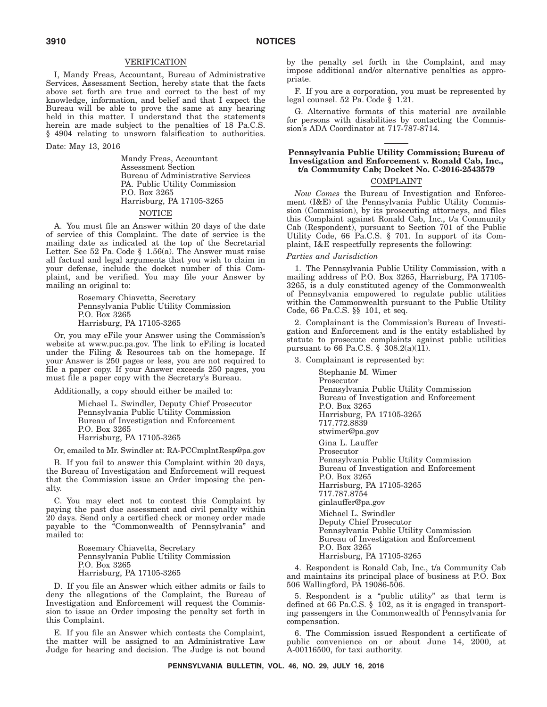#### VERIFICATION

I, Mandy Freas, Accountant, Bureau of Administrative Services, Assessment Section, hereby state that the facts above set forth are true and correct to the best of my knowledge, information, and belief and that I expect the Bureau will be able to prove the same at any hearing held in this matter. I understand that the statements herein are made subject to the penalties of 18 Pa.C.S. § 4904 relating to unsworn falsification to authorities.

Date: May 13, 2016

Mandy Freas, Accountant Assessment Section Bureau of Administrative Services PA. Public Utility Commission P.O. Box 3265 Harrisburg, PA 17105-3265

#### NOTICE

A. You must file an Answer within 20 days of the date of service of this Complaint. The date of service is the mailing date as indicated at the top of the Secretarial Letter. See 52 Pa. Code  $\S$  1.56(a). The Answer must raise all factual and legal arguments that you wish to claim in your defense, include the docket number of this Complaint, and be verified. You may file your Answer by mailing an original to:

> Rosemary Chiavetta, Secretary Pennsylvania Public Utility Commission P.O. Box 3265 Harrisburg, PA 17105-3265

Or, you may eFile your Answer using the Commission's website at www.puc.pa.gov. The link to eFiling is located under the Filing & Resources tab on the homepage. If your Answer is 250 pages or less, you are not required to file a paper copy. If your Answer exceeds 250 pages, you must file a paper copy with the Secretary's Bureau.

Additionally, a copy should either be mailed to:

Or, emailed to Mr. Swindler at: RA-PCCmplntResp@pa.gov

B. If you fail to answer this Complaint within 20 days, the Bureau of Investigation and Enforcement will request that the Commission issue an Order imposing the penalty.

C. You may elect not to contest this Complaint by paying the past due assessment and civil penalty within 20 days. Send only a certified check or money order made payable to the ''Commonwealth of Pennsylvania'' and mailed to:

> Rosemary Chiavetta, Secretary Pennsylvania Public Utility Commission P.O. Box 3265 Harrisburg, PA 17105-3265

D. If you file an Answer which either admits or fails to deny the allegations of the Complaint, the Bureau of Investigation and Enforcement will request the Commission to issue an Order imposing the penalty set forth in this Complaint.

E. If you file an Answer which contests the Complaint, the matter will be assigned to an Administrative Law Judge for hearing and decision. The Judge is not bound by the penalty set forth in the Complaint, and may impose additional and/or alternative penalties as appropriate.

F. If you are a corporation, you must be represented by legal counsel. 52 Pa. Code § 1.21.

G. Alternative formats of this material are available for persons with disabilities by contacting the Commission's ADA Coordinator at 717-787-8714.

# **Pennsylvania Public Utility Commission; Bureau of Investigation and Enforcement v. Ronald Cab, Inc., t/a Community Cab; Docket No. C-2016-2543579**

# COMPLAINT

*Now Comes* the Bureau of Investigation and Enforcement (I&E) of the Pennsylvania Public Utility Commission (Commission), by its prosecuting attorneys, and files this Complaint against Ronald Cab, Inc., t/a Community Cab (Respondent), pursuant to Section 701 of the Public Utility Code, 66 Pa.C.S. § 701. In support of its Complaint, I&E respectfully represents the following:

# *Parties and Jurisdiction*

1. The Pennsylvania Public Utility Commission, with a mailing address of P.O. Box 3265, Harrisburg, PA 17105- 3265, is a duly constituted agency of the Commonwealth of Pennsylvania empowered to regulate public utilities within the Commonwealth pursuant to the Public Utility Code, 66 Pa.C.S. §§ 101, et seq.

2. Complainant is the Commission's Bureau of Investigation and Enforcement and is the entity established by statute to prosecute complaints against public utilities pursuant to 66 Pa.C.S. § 308.2(a)(11).

3. Complainant is represented by:

Stephanie M. Wimer Prosecutor Pennsylvania Public Utility Commission Bureau of Investigation and Enforcement P.O. Box 3265 Harrisburg, PA 17105-3265 717.772.8839 stwimer@pa.gov

Gina L. Lauffer Prosecutor Pennsylvania Public Utility Commission Bureau of Investigation and Enforcement P.O. Box 3265 Harrisburg, PA 17105-3265 717.787.8754 ginlauffer@pa.gov Michael L. Swindler Deputy Chief Prosecutor Pennsylvania Public Utility Commission Bureau of Investigation and Enforcement P.O. Box 3265 Harrisburg, PA 17105-3265

4. Respondent is Ronald Cab, Inc., t/a Community Cab and maintains its principal place of business at P.O. Box 506 Wallingford, PA 19086-506.

5. Respondent is a ''public utility'' as that term is defined at 66 Pa.C.S. § 102, as it is engaged in transporting passengers in the Commonwealth of Pennsylvania for compensation.

6. The Commission issued Respondent a certificate of public convenience on or about June 14, 2000, at A-00116500, for taxi authority.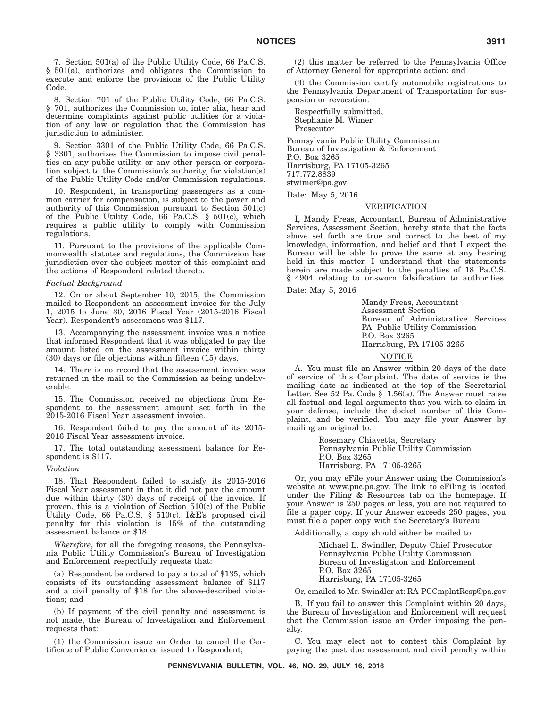7. Section 501(a) of the Public Utility Code, 66 Pa.C.S. § 501(a), authorizes and obligates the Commission to execute and enforce the provisions of the Public Utility Code.

8. Section 701 of the Public Utility Code, 66 Pa.C.S. § 701, authorizes the Commission to, inter alia, hear and determine complaints against public utilities for a violation of any law or regulation that the Commission has jurisdiction to administer.

9. Section 3301 of the Public Utility Code, 66 Pa.C.S. § 3301, authorizes the Commission to impose civil penalties on any public utility, or any other person or corporation subject to the Commission's authority, for violation(s) of the Public Utility Code and/or Commission regulations.

10. Respondent, in transporting passengers as a common carrier for compensation, is subject to the power and authority of this Commission pursuant to Section 501(c) of the Public Utility Code, 66 Pa.C.S. § 501(c), which requires a public utility to comply with Commission regulations.

11. Pursuant to the provisions of the applicable Commonwealth statutes and regulations, the Commission has jurisdiction over the subject matter of this complaint and the actions of Respondent related thereto.

# *Factual Background*

12. On or about September 10, 2015, the Commission mailed to Respondent an assessment invoice for the July 1, 2015 to June 30, 2016 Fiscal Year (2015-2016 Fiscal Year). Respondent's assessment was \$117.

13. Accompanying the assessment invoice was a notice that informed Respondent that it was obligated to pay the amount listed on the assessment invoice within thirty (30) days or file objections within fifteen (15) days.

14. There is no record that the assessment invoice was returned in the mail to the Commission as being undeliverable.

15. The Commission received no objections from Respondent to the assessment amount set forth in the 2015-2016 Fiscal Year assessment invoice.

16. Respondent failed to pay the amount of its 2015- 2016 Fiscal Year assessment invoice.

17. The total outstanding assessment balance for Respondent is \$117.

#### *Violation*

18. That Respondent failed to satisfy its 2015-2016 Fiscal Year assessment in that it did not pay the amount due within thirty (30) days of receipt of the invoice. If proven, this is a violation of Section 510(c) of the Public Utility Code, 66 Pa.C.S. § 510(c). I&E's proposed civil penalty for this violation is 15% of the outstanding assessment balance or \$18.

*Wherefore*, for all the foregoing reasons, the Pennsylvania Public Utility Commission's Bureau of Investigation and Enforcement respectfully requests that:

(a) Respondent be ordered to pay a total of \$135, which consists of its outstanding assessment balance of \$117 and a civil penalty of \$18 for the above-described violations; and

(b) If payment of the civil penalty and assessment is not made, the Bureau of Investigation and Enforcement requests that:

(1) the Commission issue an Order to cancel the Certificate of Public Convenience issued to Respondent;

(2) this matter be referred to the Pennsylvania Office of Attorney General for appropriate action; and

(3) the Commission certify automobile registrations to the Pennsylvania Department of Transportation for suspension or revocation.

Respectfully submitted, Stephanie M. Wimer Prosecutor

Pennsylvania Public Utility Commission Bureau of Investigation & Enforcement P.O. Box 3265 Harrisburg, PA 17105-3265 717.772.8839 stwimer@pa.gov

Date: May 5, 2016

#### VERIFICATION

I, Mandy Freas, Accountant, Bureau of Administrative Services, Assessment Section, hereby state that the facts above set forth are true and correct to the best of my knowledge, information, and belief and that I expect the Bureau will be able to prove the same at any hearing held in this matter. I understand that the statements herein are made subject to the penalties of 18 Pa.C.S. § 4904 relating to unsworn falsification to authorities.

Date: May 5, 2016

Mandy Freas, Accountant Assessment Section Bureau of Administrative Services PA. Public Utility Commission P.O. Box 3265 Harrisburg, PA 17105-3265

# NOTICE

A. You must file an Answer within 20 days of the date of service of this Complaint. The date of service is the mailing date as indicated at the top of the Secretarial Letter. See 52 Pa. Code § 1.56(a). The Answer must raise all factual and legal arguments that you wish to claim in your defense, include the docket number of this Complaint, and be verified. You may file your Answer by mailing an original to:

> Rosemary Chiavetta, Secretary Pennsylvania Public Utility Commission P.O. Box 3265 Harrisburg, PA 17105-3265

Or, you may eFile your Answer using the Commission's website at www.puc.pa.gov. The link to eFiling is located under the Filing & Resources tab on the homepage. If your Answer is 250 pages or less, you are not required to file a paper copy. If your Answer exceeds 250 pages, you must file a paper copy with the Secretary's Bureau.

Additionally, a copy should either be mailed to:

Michael L. Swindler, Deputy Chief Prosecutor Pennsylvania Public Utility Commission Bureau of Investigation and Enforcement P.O. Box 3265 Harrisburg, PA 17105-3265

Or, emailed to Mr. Swindler at: RA-PCCmplntResp@pa.gov

B. If you fail to answer this Complaint within 20 days, the Bureau of Investigation and Enforcement will request that the Commission issue an Order imposing the penalty.

C. You may elect not to contest this Complaint by paying the past due assessment and civil penalty within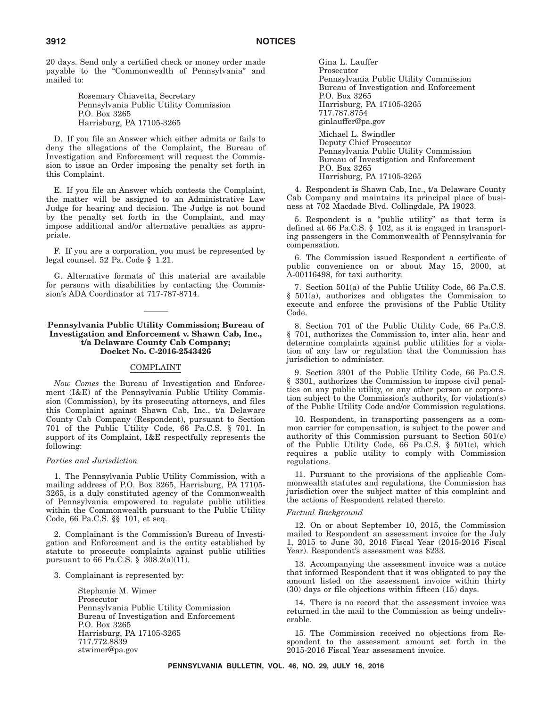20 days. Send only a certified check or money order made payable to the ''Commonwealth of Pennsylvania'' and mailed to:

> Rosemary Chiavetta, Secretary Pennsylvania Public Utility Commission P.O. Box 3265 Harrisburg, PA 17105-3265

D. If you file an Answer which either admits or fails to deny the allegations of the Complaint, the Bureau of Investigation and Enforcement will request the Commission to issue an Order imposing the penalty set forth in this Complaint.

E. If you file an Answer which contests the Complaint, the matter will be assigned to an Administrative Law Judge for hearing and decision. The Judge is not bound by the penalty set forth in the Complaint, and may impose additional and/or alternative penalties as appropriate.

F. If you are a corporation, you must be represented by legal counsel. 52 Pa. Code § 1.21.

G. Alternative formats of this material are available for persons with disabilities by contacting the Commission's ADA Coordinator at 717-787-8714.

### **Pennsylvania Public Utility Commission; Bureau of Investigation and Enforcement v. Shawn Cab, Inc., t/a Delaware County Cab Company; Docket No. C-2016-2543426**

# COMPLAINT

*Now Comes* the Bureau of Investigation and Enforcement (I&E) of the Pennsylvania Public Utility Commission (Commission), by its prosecuting attorneys, and files this Complaint against Shawn Cab, Inc., t/a Delaware County Cab Company (Respondent), pursuant to Section 701 of the Public Utility Code, 66 Pa.C.S. § 701. In support of its Complaint, I&E respectfully represents the following:

### *Parties and Jurisdiction*

1. The Pennsylvania Public Utility Commission, with a mailing address of P.O. Box 3265, Harrisburg, PA 17105- 3265, is a duly constituted agency of the Commonwealth of Pennsylvania empowered to regulate public utilities within the Commonwealth pursuant to the Public Utility Code, 66 Pa.C.S. §§ 101, et seq.

2. Complainant is the Commission's Bureau of Investigation and Enforcement and is the entity established by statute to prosecute complaints against public utilities pursuant to 66 Pa.C.S.  $\S$  308.2(a)(11).

3. Complainant is represented by:

Stephanie M. Wimer Prosecutor Pennsylvania Public Utility Commission Bureau of Investigation and Enforcement P.O. Box 3265 Harrisburg, PA 17105-3265 717.772.8839 stwimer@pa.gov

Gina L. Lauffer Prosecutor Pennsylvania Public Utility Commission Bureau of Investigation and Enforcement P.O. Box 3265 Harrisburg, PA 17105-3265 717.787.8754 ginlauffer@pa.gov

Michael L. Swindler Deputy Chief Prosecutor Pennsylvania Public Utility Commission Bureau of Investigation and Enforcement P.O. Box 3265 Harrisburg, PA 17105-3265

4. Respondent is Shawn Cab, Inc., t/a Delaware County Cab Company and maintains its principal place of business at 702 Macdade Blvd. Collingdale, PA 19023.

5. Respondent is a ''public utility'' as that term is defined at 66 Pa.C.S. § 102, as it is engaged in transporting passengers in the Commonwealth of Pennsylvania for compensation.

6. The Commission issued Respondent a certificate of public convenience on or about May 15, 2000, at A-00116498, for taxi authority.

7. Section 501(a) of the Public Utility Code, 66 Pa.C.S. § 501(a), authorizes and obligates the Commission to execute and enforce the provisions of the Public Utility Code.

8. Section 701 of the Public Utility Code, 66 Pa.C.S. § 701, authorizes the Commission to, inter alia, hear and determine complaints against public utilities for a violation of any law or regulation that the Commission has jurisdiction to administer.

9. Section 3301 of the Public Utility Code, 66 Pa.C.S. § 3301, authorizes the Commission to impose civil penalties on any public utility, or any other person or corporation subject to the Commission's authority, for violation(s) of the Public Utility Code and/or Commission regulations.

10. Respondent, in transporting passengers as a common carrier for compensation, is subject to the power and authority of this Commission pursuant to Section 501(c) of the Public Utility Code, 66 Pa.C.S. § 501(c), which requires a public utility to comply with Commission regulations.

11. Pursuant to the provisions of the applicable Commonwealth statutes and regulations, the Commission has jurisdiction over the subject matter of this complaint and the actions of Respondent related thereto.

#### *Factual Background*

12. On or about September 10, 2015, the Commission mailed to Respondent an assessment invoice for the July 1, 2015 to June 30, 2016 Fiscal Year (2015-2016 Fiscal Year). Respondent's assessment was \$233.

13. Accompanying the assessment invoice was a notice that informed Respondent that it was obligated to pay the amount listed on the assessment invoice within thirty (30) days or file objections within fifteen (15) days.

14. There is no record that the assessment invoice was returned in the mail to the Commission as being undeliverable.

15. The Commission received no objections from Respondent to the assessment amount set forth in the 2015-2016 Fiscal Year assessment invoice.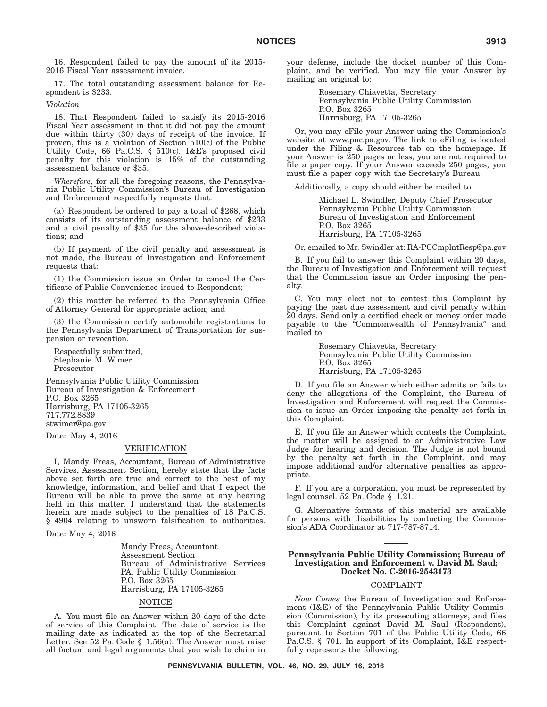16. Respondent failed to pay the amount of its 2015- 2016 Fiscal Year assessment invoice.

17. The total outstanding assessment balance for Respondent is \$233.

*Violation*

18. That Respondent failed to satisfy its 2015-2016 Fiscal Year assessment in that it did not pay the amount due within thirty (30) days of receipt of the invoice. If proven, this is a violation of Section 510(c) of the Public Utility Code, 66 Pa.C.S. § 510(c). I&E's proposed civil penalty for this violation is 15% of the outstanding assessment balance or \$35.

*Wherefore*, for all the foregoing reasons, the Pennsylvania Public Utility Commission's Bureau of Investigation and Enforcement respectfully requests that:

(a) Respondent be ordered to pay a total of \$268, which consists of its outstanding assessment balance of \$233 and a civil penalty of \$35 for the above-described violations; and

(b) If payment of the civil penalty and assessment is not made, the Bureau of Investigation and Enforcement requests that:

(1) the Commission issue an Order to cancel the Certificate of Public Convenience issued to Respondent;

(2) this matter be referred to the Pennsylvania Office of Attorney General for appropriate action; and

(3) the Commission certify automobile registrations to the Pennsylvania Department of Transportation for suspension or revocation.

Respectfully submitted, Stephanie M. Wimer Prosecutor

Pennsylvania Public Utility Commission Bureau of Investigation & Enforcement P.O. Box 3265 Harrisburg, PA 17105-3265 717.772.8839 stwimer@pa.gov

Date: May 4, 2016

#### VERIFICATION

I, Mandy Freas, Accountant, Bureau of Administrative Services, Assessment Section, hereby state that the facts above set forth are true and correct to the best of my knowledge, information, and belief and that I expect the Bureau will be able to prove the same at any hearing held in this matter. I understand that the statements herein are made subject to the penalties of 18 Pa.C.S. § 4904 relating to unsworn falsification to authorities.

Date: May 4, 2016

Mandy Freas, Accountant Assessment Section Bureau of Administrative Services PA. Public Utility Commission P.O. Box 3265 Harrisburg, PA 17105-3265

#### NOTICE

A. You must file an Answer within 20 days of the date of service of this Complaint. The date of service is the mailing date as indicated at the top of the Secretarial Letter. See 52 Pa. Code § 1.56(a). The Answer must raise all factual and legal arguments that you wish to claim in your defense, include the docket number of this Complaint, and be verified. You may file your Answer by mailing an original to:

> Rosemary Chiavetta, Secretary Pennsylvania Public Utility Commission P.O. Box 3265 Harrisburg, PA 17105-3265

Or, you may eFile your Answer using the Commission's website at www.puc.pa.gov. The link to eFiling is located under the Filing & Resources tab on the homepage. If your Answer is 250 pages or less, you are not required to file a paper copy. If your Answer exceeds 250 pages, you must file a paper copy with the Secretary's Bureau.

Additionally, a copy should either be mailed to:

Michael L. Swindler, Deputy Chief Prosecutor Pennsylvania Public Utility Commission Bureau of Investigation and Enforcement P.O. Box 3265 Harrisburg, PA 17105-3265

Or, emailed to Mr. Swindler at: RA-PCCmplntResp@pa.gov

B. If you fail to answer this Complaint within 20 days, the Bureau of Investigation and Enforcement will request that the Commission issue an Order imposing the penalty.

C. You may elect not to contest this Complaint by paying the past due assessment and civil penalty within 20 days. Send only a certified check or money order made payable to the ''Commonwealth of Pennsylvania'' and mailed to:

> Rosemary Chiavetta, Secretary Pennsylvania Public Utility Commission P.O. Box 3265 Harrisburg, PA 17105-3265

D. If you file an Answer which either admits or fails to deny the allegations of the Complaint, the Bureau of Investigation and Enforcement will request the Commission to issue an Order imposing the penalty set forth in this Complaint.

E. If you file an Answer which contests the Complaint, the matter will be assigned to an Administrative Law Judge for hearing and decision. The Judge is not bound by the penalty set forth in the Complaint, and may impose additional and/or alternative penalties as appropriate.

F. If you are a corporation, you must be represented by legal counsel. 52 Pa. Code § 1.21.

G. Alternative formats of this material are available for persons with disabilities by contacting the Commission's ADA Coordinator at 717-787-8714.

#### **Pennsylvania Public Utility Commission; Bureau of Investigation and Enforcement v. David M. Saul; Docket No. C-2016-2543173**

# COMPLAINT

*Now Comes* the Bureau of Investigation and Enforcement (I&E) of the Pennsylvania Public Utility Commission (Commission), by its prosecuting attorneys, and files this Complaint against David M. Saul (Respondent), pursuant to Section 701 of the Public Utility Code, 66 Pa.C.S. § 701. In support of its Complaint, I&E respectfully represents the following: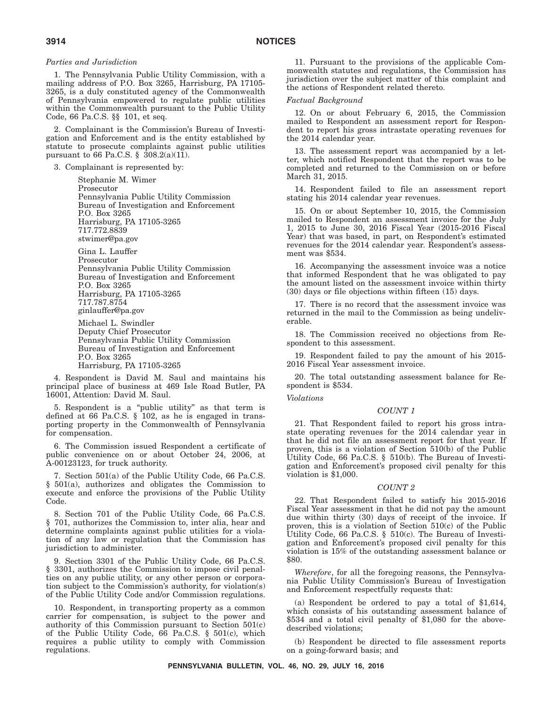#### *Parties and Jurisdiction*

1. The Pennsylvania Public Utility Commission, with a mailing address of P.O. Box 3265, Harrisburg, PA 17105- 3265, is a duly constituted agency of the Commonwealth of Pennsylvania empowered to regulate public utilities within the Commonwealth pursuant to the Public Utility Code, 66 Pa.C.S. §§ 101, et seq.

2. Complainant is the Commission's Bureau of Investigation and Enforcement and is the entity established by statute to prosecute complaints against public utilities pursuant to 66 Pa.C.S.  $\S$  308.2(a)(11).

3. Complainant is represented by:

Stephanie M. Wimer Prosecutor Pennsylvania Public Utility Commission Bureau of Investigation and Enforcement P.O. Box 3265 Harrisburg, PA 17105-3265 717.772.8839 stwimer@pa.gov

Gina L. Lauffer Prosecutor Pennsylvania Public Utility Commission Bureau of Investigation and Enforcement P.O. Box 3265 Harrisburg, PA 17105-3265 717.787.8754 ginlauffer@pa.gov

Michael L. Swindler Deputy Chief Prosecutor Pennsylvania Public Utility Commission Bureau of Investigation and Enforcement P.O. Box 3265 Harrisburg, PA 17105-3265

4. Respondent is David M. Saul and maintains his principal place of business at 469 Isle Road Butler, PA 16001, Attention: David M. Saul.

5. Respondent is a ''public utility'' as that term is defined at 66 Pa.C.S. § 102, as he is engaged in transporting property in the Commonwealth of Pennsylvania for compensation.

6. The Commission issued Respondent a certificate of public convenience on or about October 24, 2006, at A-00123123, for truck authority.

7. Section 501(a) of the Public Utility Code, 66 Pa.C.S. § 501(a), authorizes and obligates the Commission to execute and enforce the provisions of the Public Utility Code.

8. Section 701 of the Public Utility Code, 66 Pa.C.S. § 701, authorizes the Commission to, inter alia, hear and determine complaints against public utilities for a violation of any law or regulation that the Commission has jurisdiction to administer.

9. Section 3301 of the Public Utility Code, 66 Pa.C.S. § 3301, authorizes the Commission to impose civil penalties on any public utility, or any other person or corporation subject to the Commission's authority, for violation(s) of the Public Utility Code and/or Commission regulations.

10. Respondent, in transporting property as a common carrier for compensation, is subject to the power and authority of this Commission pursuant to Section 501(c) of the Public Utility Code, 66 Pa.C.S. § 501(c), which requires a public utility to comply with Commission regulations.

11. Pursuant to the provisions of the applicable Commonwealth statutes and regulations, the Commission has jurisdiction over the subject matter of this complaint and the actions of Respondent related thereto.

#### *Factual Background*

12. On or about February 6, 2015, the Commission mailed to Respondent an assessment report for Respondent to report his gross intrastate operating revenues for the 2014 calendar year.

13. The assessment report was accompanied by a letter, which notified Respondent that the report was to be completed and returned to the Commission on or before March 31, 2015.

14. Respondent failed to file an assessment report stating his 2014 calendar year revenues.

15. On or about September 10, 2015, the Commission mailed to Respondent an assessment invoice for the July 1, 2015 to June 30, 2016 Fiscal Year (2015-2016 Fiscal Year) that was based, in part, on Respondent's estimated revenues for the 2014 calendar year. Respondent's assessment was \$534.

16. Accompanying the assessment invoice was a notice that informed Respondent that he was obligated to pay the amount listed on the assessment invoice within thirty (30) days or file objections within fifteen (15) days.

17. There is no record that the assessment invoice was returned in the mail to the Commission as being undeliverable.

18. The Commission received no objections from Respondent to this assessment.

19. Respondent failed to pay the amount of his 2015- 2016 Fiscal Year assessment invoice.

20. The total outstanding assessment balance for Respondent is \$534.

#### *Violations*

# *COUNT 1*

21. That Respondent failed to report his gross intrastate operating revenues for the 2014 calendar year in that he did not file an assessment report for that year. If proven, this is a violation of Section 510(b) of the Public Utility Code, 66 Pa.C.S. § 510(b). The Bureau of Investigation and Enforcement's proposed civil penalty for this violation is \$1,000.

#### *COUNT 2*

22. That Respondent failed to satisfy his 2015-2016 Fiscal Year assessment in that he did not pay the amount due within thirty (30) days of receipt of the invoice. If proven, this is a violation of Section 510(c) of the Public Utility Code, 66 Pa.C.S. § 510(c). The Bureau of Investigation and Enforcement's proposed civil penalty for this violation is 15% of the outstanding assessment balance or \$80.

*Wherefore*, for all the foregoing reasons, the Pennsylvania Public Utility Commission's Bureau of Investigation and Enforcement respectfully requests that:

(a) Respondent be ordered to pay a total of \$1,614, which consists of his outstanding assessment balance of \$534 and a total civil penalty of \$1,080 for the abovedescribed violations;

(b) Respondent be directed to file assessment reports on a going-forward basis; and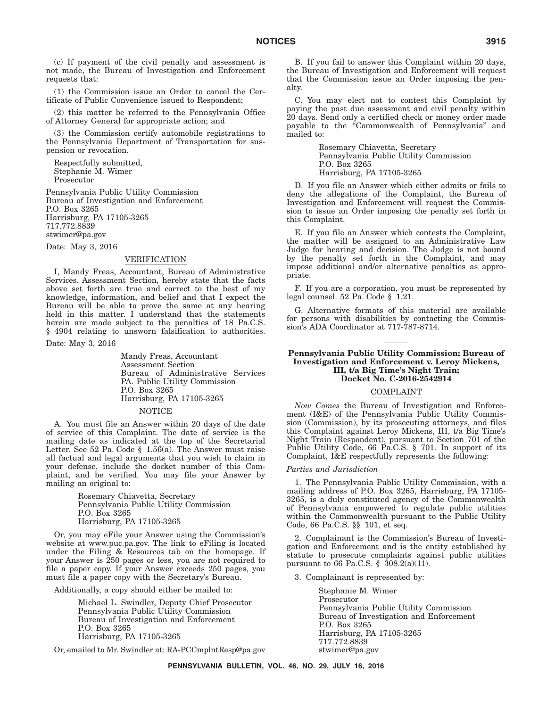(c) If payment of the civil penalty and assessment is not made, the Bureau of Investigation and Enforcement requests that:

(1) the Commission issue an Order to cancel the Certificate of Public Convenience issued to Respondent;

(2) this matter be referred to the Pennsylvania Office of Attorney General for appropriate action; and

(3) the Commission certify automobile registrations to the Pennsylvania Department of Transportation for suspension or revocation.

Respectfully submitted, Stephanie M. Wimer Prosecutor

Pennsylvania Public Utility Commission Bureau of Investigation and Enforcement P.O. Box 3265 Harrisburg, PA 17105-3265 717.772.8839 stwimer@pa.gov

Date: May 3, 2016

#### VERIFICATION

I, Mandy Freas, Accountant, Bureau of Administrative Services, Assessment Section, hereby state that the facts above set forth are true and correct to the best of my knowledge, information, and belief and that I expect the Bureau will be able to prove the same at any hearing held in this matter. I understand that the statements herein are made subject to the penalties of 18 Pa.C.S. § 4904 relating to unsworn falsification to authorities. Date: May 3, 2016

> Mandy Freas, Accountant Assessment Section Bureau of Administrative Services PA. Public Utility Commission P.O. Box 3265 Harrisburg, PA 17105-3265

# **NOTICE**

A. You must file an Answer within 20 days of the date of service of this Complaint. The date of service is the mailing date as indicated at the top of the Secretarial Letter. See 52 Pa. Code  $\S$  1.56(a). The Answer must raise all factual and legal arguments that you wish to claim in your defense, include the docket number of this Complaint, and be verified. You may file your Answer by mailing an original to:

> Rosemary Chiavetta, Secretary Pennsylvania Public Utility Commission P.O. Box 3265 Harrisburg, PA 17105-3265

Or, you may eFile your Answer using the Commission's website at www.puc.pa.gov. The link to eFiling is located under the Filing & Resources tab on the homepage. If your Answer is 250 pages or less, you are not required to file a paper copy. If your Answer exceeds 250 pages, you must file a paper copy with the Secretary's Bureau.

Additionally, a copy should either be mailed to:

Michael L. Swindler, Deputy Chief Prosecutor Pennsylvania Public Utility Commission Bureau of Investigation and Enforcement P.O. Box 3265 Harrisburg, PA 17105-3265

Or, emailed to Mr. Swindler at: RA-PCCmplntResp@pa.gov

B. If you fail to answer this Complaint within 20 days, the Bureau of Investigation and Enforcement will request that the Commission issue an Order imposing the penalty.

C. You may elect not to contest this Complaint by paying the past due assessment and civil penalty within 20 days. Send only a certified check or money order made payable to the ''Commonwealth of Pennsylvania'' and mailed to:

> Rosemary Chiavetta, Secretary Pennsylvania Public Utility Commission P.O. Box 3265 Harrisburg, PA 17105-3265

D. If you file an Answer which either admits or fails to deny the allegations of the Complaint, the Bureau of Investigation and Enforcement will request the Commission to issue an Order imposing the penalty set forth in this Complaint.

E. If you file an Answer which contests the Complaint, the matter will be assigned to an Administrative Law Judge for hearing and decision. The Judge is not bound by the penalty set forth in the Complaint, and may impose additional and/or alternative penalties as appropriate.

F. If you are a corporation, you must be represented by legal counsel. 52 Pa. Code § 1.21.

G. Alternative formats of this material are available for persons with disabilities by contacting the Commission's ADA Coordinator at 717-787-8714.

### **Pennsylvania Public Utility Commission; Bureau of Investigation and Enforcement v. Leroy Mickens, III, t/a Big Time's Night Train; Docket No. C-2016-2542914**

#### COMPLAINT

*Now Comes* the Bureau of Investigation and Enforcement (I&E) of the Pennsylvania Public Utility Commission (Commission), by its prosecuting attorneys, and files this Complaint against Leroy Mickens, III, t/a Big Time's Night Train (Respondent), pursuant to Section 701 of the Public Utility Code, 66 Pa.C.S. § 701. In support of its Complaint, I&E respectfully represents the following:

#### *Parties and Jurisdiction*

1. The Pennsylvania Public Utility Commission, with a mailing address of P.O. Box 3265, Harrisburg, PA 17105- 3265, is a duly constituted agency of the Commonwealth of Pennsylvania empowered to regulate public utilities within the Commonwealth pursuant to the Public Utility Code, 66 Pa.C.S. §§ 101, et seq.

2. Complainant is the Commission's Bureau of Investigation and Enforcement and is the entity established by statute to prosecute complaints against public utilities pursuant to 66 Pa.C.S.  $\S$  308.2(a)(11).

3. Complainant is represented by:

Stephanie M. Wimer Prosecutor Pennsylvania Public Utility Commission Bureau of Investigation and Enforcement P.O. Box 3265 Harrisburg, PA 17105-3265 717.772.8839 stwimer@pa.gov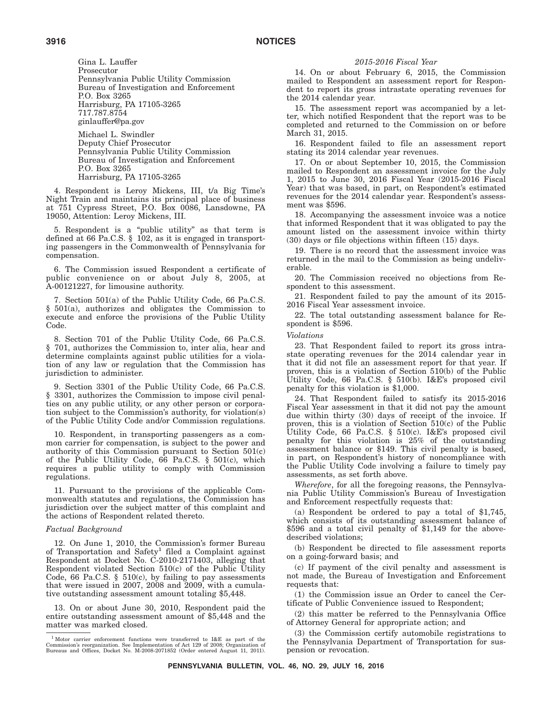Gina L. Lauffer Prosecutor Pennsylvania Public Utility Commission Bureau of Investigation and Enforcement P.O. Box 3265 Harrisburg, PA 17105-3265 717.787.8754 ginlauffer@pa.gov

Michael L. Swindler Deputy Chief Prosecutor Pennsylvania Public Utility Commission Bureau of Investigation and Enforcement P.O. Box 3265 Harrisburg, PA 17105-3265

4. Respondent is Leroy Mickens, III, t/a Big Time's Night Train and maintains its principal place of business at 751 Cypress Street, P.O. Box 0086, Lansdowne, PA 19050, Attention: Leroy Mickens, III.

5. Respondent is a ''public utility'' as that term is defined at 66 Pa.C.S. § 102, as it is engaged in transporting passengers in the Commonwealth of Pennsylvania for compensation.

6. The Commission issued Respondent a certificate of public convenience on or about July 8, 2005, at A-00121227, for limousine authority.

7. Section 501(a) of the Public Utility Code, 66 Pa.C.S. § 501(a), authorizes and obligates the Commission to execute and enforce the provisions of the Public Utility Code.

8. Section 701 of the Public Utility Code, 66 Pa.C.S. § 701, authorizes the Commission to, inter alia, hear and determine complaints against public utilities for a violation of any law or regulation that the Commission has jurisdiction to administer.

9. Section 3301 of the Public Utility Code, 66 Pa.C.S. § 3301, authorizes the Commission to impose civil penalties on any public utility, or any other person or corporation subject to the Commission's authority, for violation(s) of the Public Utility Code and/or Commission regulations.

10. Respondent, in transporting passengers as a common carrier for compensation, is subject to the power and authority of this Commission pursuant to Section 501(c) of the Public Utility Code, 66 Pa.C.S. § 501(c), which requires a public utility to comply with Commission regulations.

11. Pursuant to the provisions of the applicable Commonwealth statutes and regulations, the Commission has jurisdiction over the subject matter of this complaint and the actions of Respondent related thereto.

#### *Factual Background*

12. On June 1, 2010, the Commission's former Bureau of Transportation and Safety<sup>1</sup> filed a Complaint against Respondent at Docket No. C-2010-2171403, alleging that Respondent violated Section 510(c) of the Public Utility Code, 66 Pa.C.S.  $\S$  510(c), by failing to pay assessments that were issued in 2007, 2008 and 2009, with a cumulative outstanding assessment amount totaling \$5,448.

13. On or about June 30, 2010, Respondent paid the entire outstanding assessment amount of \$5,448 and the matter was marked closed.

#### *2015-2016 Fiscal Year*

14. On or about February 6, 2015, the Commission mailed to Respondent an assessment report for Respondent to report its gross intrastate operating revenues for the 2014 calendar year.

15. The assessment report was accompanied by a letter, which notified Respondent that the report was to be completed and returned to the Commission on or before March 31, 2015.

16. Respondent failed to file an assessment report stating its 2014 calendar year revenues.

17. On or about September 10, 2015, the Commission mailed to Respondent an assessment invoice for the July 1, 2015 to June 30, 2016 Fiscal Year (2015-2016 Fiscal Year) that was based, in part, on Respondent's estimated revenues for the 2014 calendar year. Respondent's assessment was \$596.

18. Accompanying the assessment invoice was a notice that informed Respondent that it was obligated to pay the amount listed on the assessment invoice within thirty (30) days or file objections within fifteen (15) days.

19. There is no record that the assessment invoice was returned in the mail to the Commission as being undeliverable.

20. The Commission received no objections from Respondent to this assessment.

21. Respondent failed to pay the amount of its 2015- 2016 Fiscal Year assessment invoice.

22. The total outstanding assessment balance for Respondent is \$596.

#### *Violations*

23. That Respondent failed to report its gross intrastate operating revenues for the 2014 calendar year in that it did not file an assessment report for that year. If proven, this is a violation of Section 510(b) of the Public Utility Code, 66 Pa.C.S. § 510(b). I&E's proposed civil penalty for this violation is \$1,000.

24. That Respondent failed to satisfy its 2015-2016 Fiscal Year assessment in that it did not pay the amount due within thirty (30) days of receipt of the invoice. If proven, this is a violation of Section 510(c) of the Public Utility Code, 66 Pa.C.S. § 510(c). I&E's proposed civil penalty for this violation is 25% of the outstanding assessment balance or \$149. This civil penalty is based, in part, on Respondent's history of noncompliance with the Public Utility Code involving a failure to timely pay assessments, as set forth above.

*Wherefore*, for all the foregoing reasons, the Pennsylvania Public Utility Commission's Bureau of Investigation and Enforcement respectfully requests that:

(a) Respondent be ordered to pay a total of \$1,745, which consists of its outstanding assessment balance of \$596 and a total civil penalty of \$1,149 for the abovedescribed violations;

(b) Respondent be directed to file assessment reports on a going-forward basis; and

(c) If payment of the civil penalty and assessment is not made, the Bureau of Investigation and Enforcement requests that:

(1) the Commission issue an Order to cancel the Certificate of Public Convenience issued to Respondent;

(2) this matter be referred to the Pennsylvania Office of Attorney General for appropriate action; and

(3) the Commission certify automobile registrations to the Pennsylvania Department of Transportation for suspension or revocation.

<sup>&</sup>lt;sup>1</sup> Motor carrier enforcement functions were transferred to I&E as part of the Commission's reorganization. See Implementation of Act 129 of 2008; Organization of Commission of See Bureaus and Offices, Docket No. M-2008-2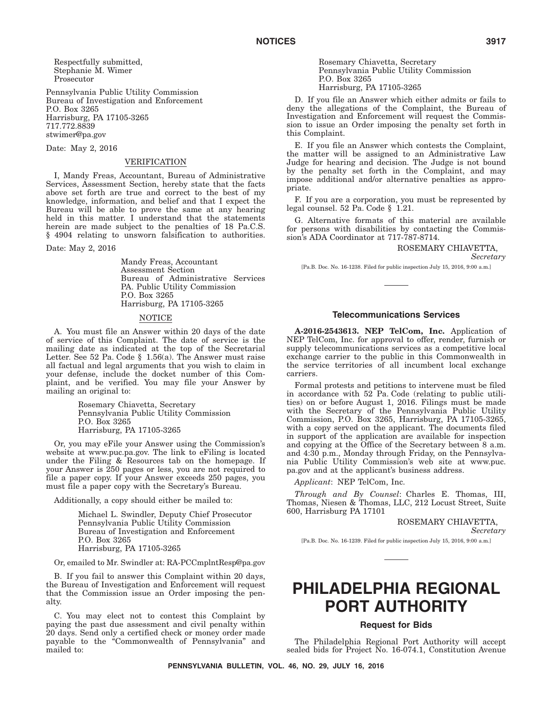Respectfully submitted, Stephanie M. Wimer Prosecutor

Pennsylvania Public Utility Commission Bureau of Investigation and Enforcement P.O. Box 3265 Harrisburg, PA 17105-3265 717.772.8839 stwimer@pa.gov

Date: May 2, 2016

#### VERIFICATION

I, Mandy Freas, Accountant, Bureau of Administrative Services, Assessment Section, hereby state that the facts above set forth are true and correct to the best of my knowledge, information, and belief and that I expect the Bureau will be able to prove the same at any hearing held in this matter. I understand that the statements herein are made subject to the penalties of 18 Pa.C.S. § 4904 relating to unsworn falsification to authorities.

Date: May 2, 2016

Mandy Freas, Accountant Assessment Section Bureau of Administrative Services PA. Public Utility Commission P.O. Box 3265 Harrisburg, PA 17105-3265

# NOTICE

A. You must file an Answer within 20 days of the date of service of this Complaint. The date of service is the mailing date as indicated at the top of the Secretarial Letter. See 52 Pa. Code § 1.56(a). The Answer must raise all factual and legal arguments that you wish to claim in your defense, include the docket number of this Complaint, and be verified. You may file your Answer by mailing an original to:

> Rosemary Chiavetta, Secretary Pennsylvania Public Utility Commission P.O. Box 3265 Harrisburg, PA 17105-3265

Or, you may eFile your Answer using the Commission's website at www.puc.pa.gov. The link to eFiling is located under the Filing & Resources tab on the homepage. If your Answer is 250 pages or less, you are not required to file a paper copy. If your Answer exceeds 250 pages, you must file a paper copy with the Secretary's Bureau.

Additionally, a copy should either be mailed to:

Michael L. Swindler, Deputy Chief Prosecutor Pennsylvania Public Utility Commission Bureau of Investigation and Enforcement P.O. Box 3265 Harrisburg, PA 17105-3265

Or, emailed to Mr. Swindler at: RA-PCCmplntResp@pa.gov

B. If you fail to answer this Complaint within 20 days, the Bureau of Investigation and Enforcement will request that the Commission issue an Order imposing the penalty.

C. You may elect not to contest this Complaint by paying the past due assessment and civil penalty within 20 days. Send only a certified check or money order made payable to the "Commonwealth of Pennsylvania" and mailed to:

Rosemary Chiavetta, Secretary Pennsylvania Public Utility Commission P.O. Box 3265 Harrisburg, PA 17105-3265

D. If you file an Answer which either admits or fails to deny the allegations of the Complaint, the Bureau of Investigation and Enforcement will request the Commission to issue an Order imposing the penalty set forth in this Complaint.

E. If you file an Answer which contests the Complaint, the matter will be assigned to an Administrative Law Judge for hearing and decision. The Judge is not bound by the penalty set forth in the Complaint, and may impose additional and/or alternative penalties as appropriate.

F. If you are a corporation, you must be represented by legal counsel. 52 Pa. Code § 1.21.

G. Alternative formats of this material are available for persons with disabilities by contacting the Commission's ADA Coordinator at 717-787-8714.

ROSEMARY CHIAVETTA,

*Secretary* [Pa.B. Doc. No. 16-1238. Filed for public inspection July 15, 2016, 9:00 a.m.]

#### **Telecommunications Services**

**A-2016-2543613. NEP TelCom, Inc.** Application of NEP TelCom, Inc. for approval to offer, render, furnish or supply telecommunications services as a competitive local exchange carrier to the public in this Commonwealth in the service territories of all incumbent local exchange carriers.

Formal protests and petitions to intervene must be filed in accordance with 52 Pa. Code (relating to public utilities) on or before August 1, 2016. Filings must be made with the Secretary of the Pennsylvania Public Utility Commission, P.O. Box 3265, Harrisburg, PA 17105-3265, with a copy served on the applicant. The documents filed in support of the application are available for inspection and copying at the Office of the Secretary between 8 a.m. and 4:30 p.m., Monday through Friday, on the Pennsylvania Public Utility Commission's web site at www.puc. pa.gov and at the applicant's business address.

*Applicant*: NEP TelCom, Inc.

*Through and By Counsel*: Charles E. Thomas, III, Thomas, Niesen & Thomas, LLC, 212 Locust Street, Suite 600, Harrisburg PA 17101

ROSEMARY CHIAVETTA,

*Secretary*

[Pa.B. Doc. No. 16-1239. Filed for public inspection July 15, 2016, 9:00 a.m.]

# **PHILADELPHIA REGIONAL PORT AUTHORITY**

### **Request for Bids**

The Philadelphia Regional Port Authority will accept sealed bids for Project No. 16-074.1, Constitution Avenue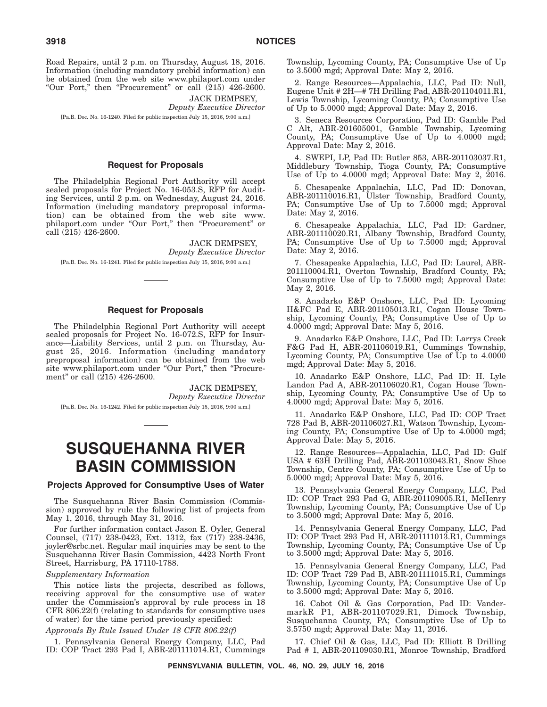Road Repairs, until 2 p.m. on Thursday, August 18, 2016. Information (including mandatory prebid information) can be obtained from the web site www.philaport.com under "Our Port," then "Procurement" or call  $(215)$  426-2600.

JACK DEMPSEY,

*Deputy Executive Director*

[Pa.B. Doc. No. 16-1240. Filed for public inspection July 15, 2016, 9:00 a.m.]

# **Request for Proposals**

The Philadelphia Regional Port Authority will accept sealed proposals for Project No. 16-053.S, RFP for Auditing Services, until 2 p.m. on Wednesday, August 24, 2016. Information (including mandatory preproposal information) can be obtained from the web site www. philaport.com under "Our Port," then "Procurement" or call (215) 426-2600.

> JACK DEMPSEY, *Deputy Executive Director*

[Pa.B. Doc. No. 16-1241. Filed for public inspection July 15, 2016, 9:00 a.m.]

# **Request for Proposals**

The Philadelphia Regional Port Authority will accept sealed proposals for Project No. 16-072.S, RFP for Insurance—Liability Services, until 2 p.m. on Thursday, August 25, 2016. Information (including mandatory preproposal information) can be obtained from the web site www.philaport.com under "Our Port," then "Procurement" or call (215) 426-2600.

> JACK DEMPSEY, *Deputy Executive Director*

[Pa.B. Doc. No. 16-1242. Filed for public inspection July 15, 2016, 9:00 a.m.]

# **SUSQUEHANNA RIVER BASIN COMMISSION**

### **Projects Approved for Consumptive Uses of Water**

The Susquehanna River Basin Commission (Commission) approved by rule the following list of projects from May 1, 2016, through May 31, 2016.

For further information contact Jason E. Oyler, General Counsel, (717) 238-0423, Ext. 1312, fax (717) 238-2436, joyler@srbc.net. Regular mail inquiries may be sent to the Susquehanna River Basin Commission, 4423 North Front Street, Harrisburg, PA 17110-1788.

#### *Supplementary Information*

This notice lists the projects, described as follows, receiving approval for the consumptive use of water under the Commission's approval by rule process in 18 CFR 806.22(f) (relating to standards for consumptive uses of water) for the time period previously specified:

# *Approvals By Rule Issued Under 18 CFR 806.22(f)*

1. Pennsylvania General Energy Company, LLC, Pad ID: COP Tract 293 Pad I, ABR-201111014.R1, Cummings Township, Lycoming County, PA; Consumptive Use of Up to 3.5000 mgd; Approval Date: May 2, 2016.

2. Range Resources—Appalachia, LLC, Pad ID: Null, Eugene Unit # 2H—# 7H Drilling Pad, ABR-201104011.R1, Lewis Township, Lycoming County, PA; Consumptive Use of Up to 5.0000 mgd; Approval Date: May 2, 2016.

3. Seneca Resources Corporation, Pad ID: Gamble Pad C Alt, ABR-201605001, Gamble Township, Lycoming County, PA; Consumptive Use of Up to 4.0000 mgd; Approval Date: May 2, 2016.

4. SWEPI, LP, Pad ID: Butler 853, ABR-201103037.R1, Middlebury Township, Tioga County, PA; Consumptive Use of Up to 4.0000 mgd; Approval Date: May 2, 2016.

5. Chesapeake Appalachia, LLC, Pad ID: Donovan, ABR-201110016.R1, Ulster Township, Bradford County, PA; Consumptive Use of Up to 7.5000 mgd; Approval Date: May 2, 2016.

6. Chesapeake Appalachia, LLC, Pad ID: Gardner, ABR-201110020.R1, Albany Township, Bradford County, PA; Consumptive Use of Up to 7.5000 mgd; Approval Date: May 2, 2016.

7. Chesapeake Appalachia, LLC, Pad ID: Laurel, ABR-201110004.R1, Overton Township, Bradford County, PA; Consumptive Use of Up to 7.5000 mgd; Approval Date: May 2, 2016.

8. Anadarko E&P Onshore, LLC, Pad ID: Lycoming H&FC Pad E, ABR-201105013.R1, Cogan House Township, Lycoming County, PA; Consumptive Use of Up to 4.0000 mgd; Approval Date: May 5, 2016.

9. Anadarko E&P Onshore, LLC, Pad ID: Larrys Creek F&G Pad H, ABR-201106019.R1, Cummings Township, Lycoming County, PA; Consumptive Use of Up to 4.0000 mgd; Approval Date: May 5, 2016.

10. Anadarko E&P Onshore, LLC, Pad ID: H. Lyle Landon Pad A, ABR-201106020.R1, Cogan House Township, Lycoming County, PA; Consumptive Use of Up to 4.0000 mgd; Approval Date: May 5, 2016.

11. Anadarko E&P Onshore, LLC, Pad ID: COP Tract 728 Pad B, ABR-201106027.R1, Watson Township, Lycoming County, PA; Consumptive Use of Up to 4.0000 mgd; Approval Date: May 5, 2016.

12. Range Resources—Appalachia, LLC, Pad ID: Gulf USA # 63H Drilling Pad, ABR-201103043.R1, Snow Shoe Township, Centre County, PA; Consumptive Use of Up to 5.0000 mgd; Approval Date: May 5, 2016.

13. Pennsylvania General Energy Company, LLC, Pad ID: COP Tract 293 Pad G, ABR-201109005.R1, McHenry Township, Lycoming County, PA; Consumptive Use of Up to 3.5000 mgd; Approval Date: May 5, 2016.

14. Pennsylvania General Energy Company, LLC, Pad ID: COP Tract 293 Pad H, ABR-201111013.R1, Cummings Township, Lycoming County, PA; Consumptive Use of Up to 3.5000 mgd; Approval Date: May 5, 2016.

15. Pennsylvania General Energy Company, LLC, Pad ID: COP Tract 729 Pad B, ABR-201111015.R1, Cummings Township, Lycoming County, PA; Consumptive Use of Up to 3.5000 mgd; Approval Date: May 5, 2016.

16. Cabot Oil & Gas Corporation, Pad ID: VandermarkR P1, ABR-201107029.R1, Dimock Township, Susquehanna County, PA; Consumptive Use of Up to 3.5750 mgd; Approval Date: May 11, 2016.

17. Chief Oil & Gas, LLC, Pad ID: Elliott B Drilling Pad # 1, ABR-201109030.R1, Monroe Township, Bradford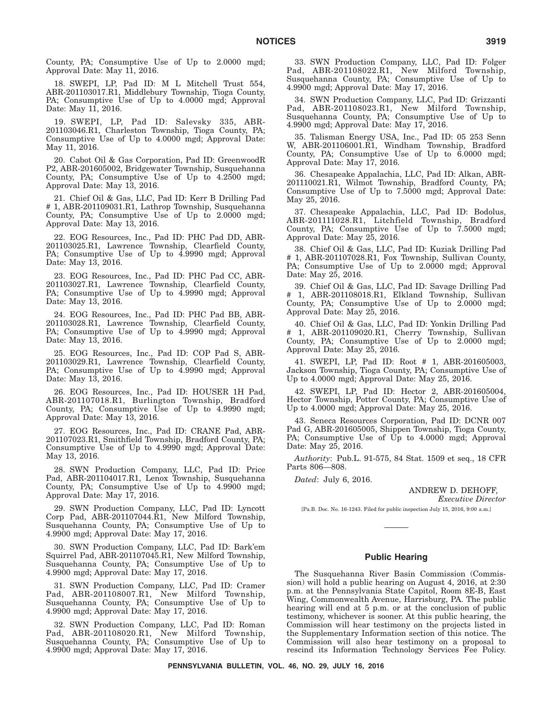County, PA; Consumptive Use of Up to 2.0000 mgd; Approval Date: May 11, 2016.

18. SWEPI, LP, Pad ID: M L Mitchell Trust 554, ABR-201103017.R1, Middlebury Township, Tioga County, PA; Consumptive Use of Up to 4.0000 mgd; Approval Date: May 11, 2016.

19. SWEPI, LP, Pad ID: Salevsky 335, ABR-201103046.R1, Charleston Township, Tioga County, PA; Consumptive Use of Up to 4.0000 mgd; Approval Date: May 11, 2016.

20. Cabot Oil & Gas Corporation, Pad ID: GreenwoodR P2, ABR-201605002, Bridgewater Township, Susquehanna County, PA; Consumptive Use of Up to 4.2500 mgd; Approval Date: May 13, 2016.

21. Chief Oil & Gas, LLC, Pad ID: Kerr B Drilling Pad # 1, ABR-201109031.R1, Lathrop Township, Susquehanna County, PA; Consumptive Use of Up to 2.0000 mgd; Approval Date: May 13, 2016.

22. EOG Resources, Inc., Pad ID: PHC Pad DD, ABR-201103025.R1, Lawrence Township, Clearfield County, PA; Consumptive Use of Up to 4.9990 mgd; Approval Date: May 13, 2016.

23. EOG Resources, Inc., Pad ID: PHC Pad CC, ABR-201103027.R1, Lawrence Township, Clearfield County, PA; Consumptive Use of Up to 4.9990 mgd; Approval Date: May 13, 2016.

24. EOG Resources, Inc., Pad ID: PHC Pad BB, ABR-201103028.R1, Lawrence Township, Clearfield County, PA; Consumptive Use of Up to 4.9990 mgd; Approval Date: May 13, 2016.

25. EOG Resources, Inc., Pad ID: COP Pad S, ABR-201103029.R1, Lawrence Township, Clearfield County, PA; Consumptive Use of Up to 4.9990 mgd; Approval Date: May 13, 2016.

26. EOG Resources, Inc., Pad ID: HOUSER 1H Pad, ABR-201107018.R1, Burlington Township, Bradford County, PA; Consumptive Use of Up to 4.9990 mgd; Approval Date: May 13, 2016.

27. EOG Resources, Inc., Pad ID: CRANE Pad, ABR-201107023.R1, Smithfield Township, Bradford County, PA; Consumptive Use of Up to 4.9990 mgd; Approval Date: May 13, 2016.

28. SWN Production Company, LLC, Pad ID: Price Pad, ABR-201104017.R1, Lenox Township, Susquehanna County, PA; Consumptive Use of Up to 4.9900 mgd; Approval Date: May 17, 2016.

29. SWN Production Company, LLC, Pad ID: Lyncott Corp Pad, ABR-201107044.R1, New Milford Township, Susquehanna County, PA; Consumptive Use of Up to 4.9900 mgd; Approval Date: May 17, 2016.

30. SWN Production Company, LLC, Pad ID: Bark'em Squirrel Pad, ABR-201107045.R1, New Milford Township, Susquehanna County, PA; Consumptive Use of Up to 4.9900 mgd; Approval Date: May 17, 2016.

31. SWN Production Company, LLC, Pad ID: Cramer Pad, ABR-201108007.R1, New Milford Township, Susquehanna County, PA; Consumptive Use of Up to 4.9900 mgd; Approval Date: May 17, 2016.

32. SWN Production Company, LLC, Pad ID: Roman Pad, ABR-201108020.R1, New Milford Township, Susquehanna County, PA; Consumptive Use of Up to 4.9900 mgd; Approval Date: May 17, 2016.

33. SWN Production Company, LLC, Pad ID: Folger Pad, ABR-201108022.R1, New Milford Township, Susquehanna County, PA; Consumptive Use of Up to 4.9900 mgd; Approval Date: May 17, 2016.

34. SWN Production Company, LLC, Pad ID: Grizzanti Pad, ABR-201108023.R1, New Milford Township, Susquehanna County, PA; Consumptive Use of Up to 4.9900 mgd; Approval Date: May 17, 2016.

35. Talisman Energy USA, Inc., Pad ID: 05 253 Senn W, ABR-201106001.R1, Windham Township, Bradford County, PA; Consumptive Use of Up to 6.0000 mgd; Approval Date: May 17, 2016.

36. Chesapeake Appalachia, LLC, Pad ID: Alkan, ABR-201110021.R1, Wilmot Township, Bradford County, PA; Consumptive Use of Up to 7.5000 mgd; Approval Date: May 25, 2016.

37. Chesapeake Appalachia, LLC, Pad ID: Bodolus, ABR-201111028.R1, Litchfield Township, Bradford County, PA; Consumptive Use of Up to 7.5000 mgd; Approval Date: May 25, 2016.

38. Chief Oil & Gas, LLC, Pad ID: Kuziak Drilling Pad # 1, ABR-201107028.R1, Fox Township, Sullivan County, PA; Consumptive Use of Up to 2.0000 mgd; Approval Date: May 25, 2016.

39. Chief Oil & Gas, LLC, Pad ID: Savage Drilling Pad # 1, ABR-201108018.R1, Elkland Township, Sullivan County, PA; Consumptive Use of Up to 2.0000 mgd; Approval Date: May 25, 2016.

40. Chief Oil & Gas, LLC, Pad ID: Yonkin Drilling Pad # 1, ABR-201109020.R1, Cherry Township, Sullivan County, PA; Consumptive Use of Up to 2.0000 mgd; Approval Date: May 25, 2016.

41. SWEPI, LP, Pad ID: Root # 1, ABR-201605003, Jackson Township, Tioga County, PA; Consumptive Use of Up to 4.0000 mgd; Approval Date: May 25, 2016.

42. SWEPI, LP, Pad ID: Hector 2, ABR-201605004, Hector Township, Potter County, PA; Consumptive Use of Up to 4.0000 mgd; Approval Date: May 25, 2016.

43. Seneca Resources Corporation, Pad ID: DCNR 007 Pad G, ABR-201605005, Shippen Township, Tioga County, PA; Consumptive Use of Up to 4.0000 mgd; Approval Date: May 25, 2016.

*Authority*: Pub.L. 91-575, 84 Stat. 1509 et seq., 18 CFR Parts 806—808.

*Dated*: July 6, 2016.

ANDREW D. DEHOFF,

*Executive Director*

[Pa.B. Doc. No. 16-1243. Filed for public inspection July 15, 2016, 9:00 a.m.]

# **Public Hearing**

The Susquehanna River Basin Commission (Commission) will hold a public hearing on August 4, 2016, at 2:30 p.m. at the Pennsylvania State Capitol, Room 8E-B, East Wing, Commonwealth Avenue, Harrisburg, PA. The public hearing will end at 5 p.m. or at the conclusion of public testimony, whichever is sooner. At this public hearing, the Commission will hear testimony on the projects listed in the Supplementary Information section of this notice. The Commission will also hear testimony on a proposal to rescind its Information Technology Services Fee Policy.

**PENNSYLVANIA BULLETIN, VOL. 46, NO. 29, JULY 16, 2016**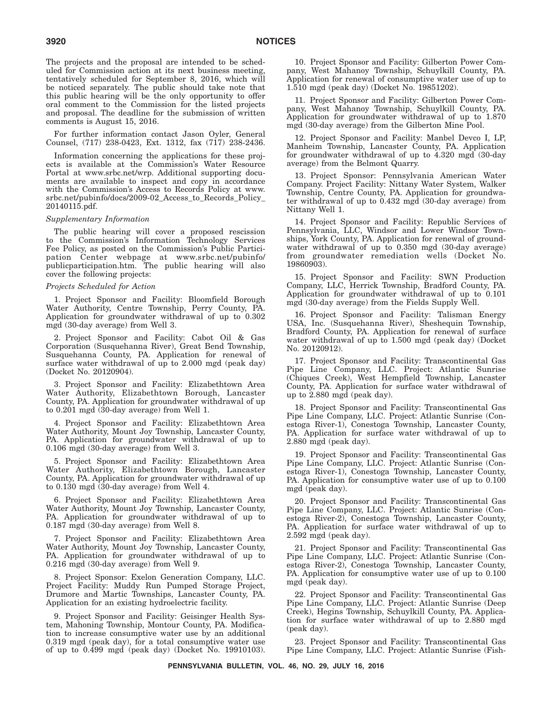The projects and the proposal are intended to be scheduled for Commission action at its next business meeting, tentatively scheduled for September 8, 2016, which will be noticed separately. The public should take note that this public hearing will be the only opportunity to offer oral comment to the Commission for the listed projects and proposal. The deadline for the submission of written comments is August 15, 2016.

For further information contact Jason Oyler, General Counsel, (717) 238-0423, Ext. 1312, fax (717) 238-2436.

Information concerning the applications for these projects is available at the Commission's Water Resource Portal at www.srbc.net/wrp. Additional supporting documents are available to inspect and copy in accordance with the Commission's Access to Records Policy at www. srbc.net/pubinfo/docs/2009-02\_Access\_to\_Records\_Policy\_ 20140115.pdf.

#### *Supplementary Information*

The public hearing will cover a proposed rescission to the Commission's Information Technology Services Fee Policy, as posted on the Commission's Public Participation Center webpage at www.srbc.net/pubinfo/ publicparticipation.htm. The public hearing will also cover the following projects:

#### *Projects Scheduled for Action*

1. Project Sponsor and Facility: Bloomfield Borough Water Authority, Centre Township, Perry County, PA. Application for groundwater withdrawal of up to 0.302 mgd (30-day average) from Well 3.

2. Project Sponsor and Facility: Cabot Oil & Gas Corporation (Susquehanna River), Great Bend Township, Susquehanna County, PA. Application for renewal of surface water withdrawal of up to 2.000 mgd (peak day) (Docket No. 20120904).

3. Project Sponsor and Facility: Elizabethtown Area Water Authority, Elizabethtown Borough, Lancaster County, PA. Application for groundwater withdrawal of up to 0.201 mgd (30-day average) from Well 1.

4. Project Sponsor and Facility: Elizabethtown Area Water Authority, Mount Joy Township, Lancaster County, PA. Application for groundwater withdrawal of up to 0.106 mgd (30-day average) from Well 3.

5. Project Sponsor and Facility: Elizabethtown Area Water Authority, Elizabethtown Borough, Lancaster County, PA. Application for groundwater withdrawal of up to 0.130 mgd (30-day average) from Well 4.

6. Project Sponsor and Facility: Elizabethtown Area Water Authority, Mount Joy Township, Lancaster County, PA. Application for groundwater withdrawal of up to 0.187 mgd (30-day average) from Well 8.

7. Project Sponsor and Facility: Elizabethtown Area Water Authority, Mount Joy Township, Lancaster County, PA. Application for groundwater withdrawal of up to 0.216 mgd (30-day average) from Well 9.

8. Project Sponsor: Exelon Generation Company, LLC. Project Facility: Muddy Run Pumped Storage Project, Drumore and Martic Townships, Lancaster County, PA. Application for an existing hydroelectric facility.

9. Project Sponsor and Facility: Geisinger Health System, Mahoning Township, Montour County, PA. Modification to increase consumptive water use by an additional 0.319 mgd (peak day), for a total consumptive water use of up to 0.499 mgd (peak day) (Docket No. 19910103).

10. Project Sponsor and Facility: Gilberton Power Company, West Mahanoy Township, Schuylkill County, PA. Application for renewal of consumptive water use of up to 1.510 mgd (peak day) (Docket No. 19851202).

11. Project Sponsor and Facility: Gilberton Power Company, West Mahanoy Township, Schuylkill County, PA. Application for groundwater withdrawal of up to 1.870 mgd (30-day average) from the Gilberton Mine Pool.

12. Project Sponsor and Facility: Manbel Devco I, LP, Manheim Township, Lancaster County, PA. Application for groundwater withdrawal of up to 4.320 mgd (30-day average) from the Belmont Quarry.

13. Project Sponsor: Pennsylvania American Water Company. Project Facility: Nittany Water System, Walker Township, Centre County, PA. Application for groundwater withdrawal of up to 0.432 mgd (30-day average) from Nittany Well 1.

14. Project Sponsor and Facility: Republic Services of Pennsylvania, LLC, Windsor and Lower Windsor Townships, York County, PA. Application for renewal of groundwater withdrawal of up to 0.350 mgd (30-day average) from groundwater remediation wells (Docket No. 19860903).

15. Project Sponsor and Facility: SWN Production Company, LLC, Herrick Township, Bradford County, PA. Application for groundwater withdrawal of up to 0.101 mgd (30-day average) from the Fields Supply Well.

16. Project Sponsor and Facility: Talisman Energy USA, Inc. (Susquehanna River), Sheshequin Township, Bradford County, PA. Application for renewal of surface water withdrawal of up to 1.500 mgd (peak day) (Docket No. 20120912).

17. Project Sponsor and Facility: Transcontinental Gas Pipe Line Company, LLC. Project: Atlantic Sunrise (Chiques Creek), West Hempfield Township, Lancaster County, PA. Application for surface water withdrawal of up to 2.880 mgd (peak day).

18. Project Sponsor and Facility: Transcontinental Gas Pipe Line Company, LLC. Project: Atlantic Sunrise (Conestoga River-1), Conestoga Township, Lancaster County, PA. Application for surface water withdrawal of up to 2.880 mgd (peak day).

19. Project Sponsor and Facility: Transcontinental Gas Pipe Line Company, LLC. Project: Atlantic Sunrise (Conestoga River-1), Conestoga Township, Lancaster County, PA. Application for consumptive water use of up to 0.100 mgd (peak day).

20. Project Sponsor and Facility: Transcontinental Gas Pipe Line Company, LLC. Project: Atlantic Sunrise (Conestoga River-2), Conestoga Township, Lancaster County, PA. Application for surface water withdrawal of up to 2.592 mgd (peak day).

21. Project Sponsor and Facility: Transcontinental Gas Pipe Line Company, LLC. Project: Atlantic Sunrise (Conestoga River-2), Conestoga Township, Lancaster County, PA. Application for consumptive water use of up to 0.100 mgd (peak day).

22. Project Sponsor and Facility: Transcontinental Gas Pipe Line Company, LLC. Project: Atlantic Sunrise (Deep Creek), Hegins Township, Schuylkill County, PA. Application for surface water withdrawal of up to 2.880 mgd (peak day).

23. Project Sponsor and Facility: Transcontinental Gas Pipe Line Company, LLC. Project: Atlantic Sunrise (Fish